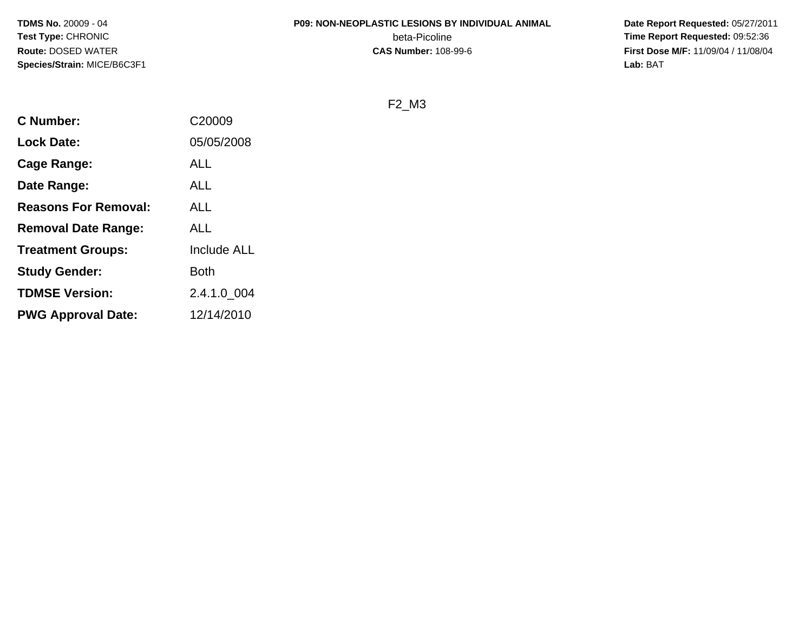### **P09: NON-NEOPLASTIC LESIONS BY INDIVIDUAL ANIMAL**

beta-Picoline<br>CAS Number: 108-99-6

 **Date Report Requested:** 05/27/2011 **Time Report Requested:** 09:52:36 **First Dose M/F:** 11/09/04 / 11/08/04<br>Lab: BAT **Lab:** BAT

### F2\_M3

| C20009             |
|--------------------|
| 05/05/2008         |
| ALL                |
| <b>ALL</b>         |
| ALL                |
| <b>ALL</b>         |
| <b>Include ALL</b> |
| Both               |
| 2.4.1.0 004        |
| 12/14/2010         |
|                    |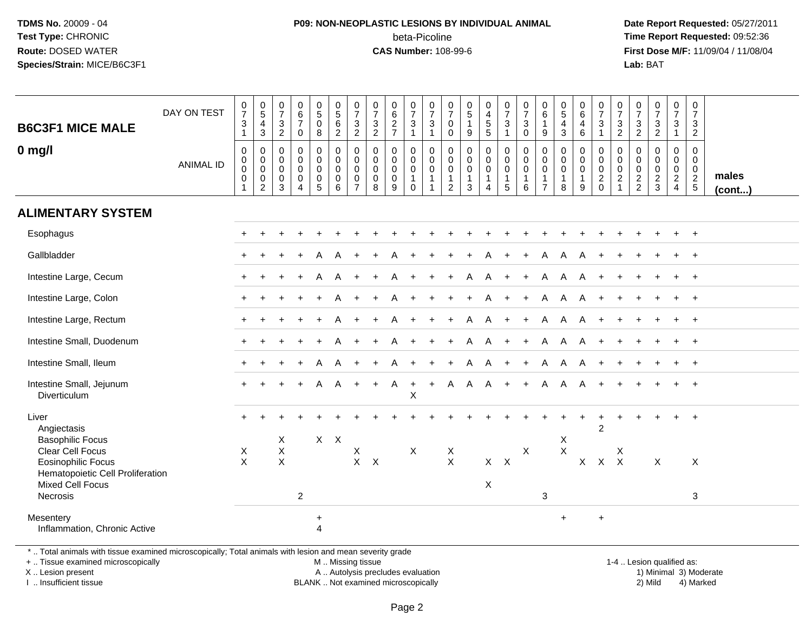#### **P09: NON-NEOPLASTIC LESIONS BY INDIVIDUAL ANIMAL** beta-Picoline**beta-Picoline**<br> **CAS Number:** 108-99-6<br> **CAS Number:** 108-99-6<br> **CAS Number:** 108-99-6

 **Date Report Requested:** 05/27/2011 **First Dose M/F:** 11/09/04 / 11/08/04<br>**Lab:** BAT **Lab:** BAT

| <b>B6C3F1 MICE MALE</b><br>$0$ mg/l                                                                                                                                         | DAY ON TEST<br><b>ANIMAL ID</b> | $\frac{0}{7}$<br>$\mathbf{3}$<br>$\overline{1}$<br>$\mathbf 0$<br>$\pmb{0}$<br>$\ddot{\mathbf{0}}$<br>$\mathbf 0$<br>-1 | $\begin{array}{c} 0 \\ 5 \end{array}$<br>$\overline{4}$<br>$\mathfrak{S}$<br>$\pmb{0}$<br>$\pmb{0}$<br>$\pmb{0}$<br>$\mathbf 0$<br>$\overline{c}$ | $\begin{smallmatrix}0\\7\end{smallmatrix}$<br>3<br>2<br>$\mathbf 0$<br>$\mathbf 0$<br>$\mathbf 0$<br>$\mathbf 0$<br>3 | $\begin{array}{c} 0 \\ 6 \end{array}$<br>$\overline{7}$<br>$\mathbf 0$<br>$\mathbf 0$<br>$\mathbf 0$<br>$\mathbf 0$<br>$\mathbf 0$<br>$\overline{4}$ | $\begin{array}{c} 0 \\ 5 \end{array}$<br>$\pmb{0}$<br>8<br>0<br>$\mathbf 0$<br>$\mathsf{O}\xspace$<br>$\mathsf{O}\xspace$<br>$\overline{5}$ | $\begin{array}{c} 0 \\ 5 \end{array}$<br>6<br>$\overline{2}$<br>$\pmb{0}$<br>$\pmb{0}$<br>$\mathsf{O}\xspace$<br>$\mathbf 0$<br>6 | $\frac{0}{7}$<br>$\mathbf{3}$<br>$\overline{2}$<br>$\mathbf 0$<br>$\mathbf 0$<br>$\mathbf 0$<br>$\mathbf 0$<br>$\overline{7}$ | $\frac{0}{7}$<br>$\ensuremath{\mathsf{3}}$<br>$\overline{2}$<br>0<br>0<br>$\mathbf 0$<br>0<br>8 | 0627<br>$\mathbf 0$<br>$\mathbf 0$<br>$\mathbf 0$<br>$\mathbf 0$<br>9 | $\frac{0}{7}$<br>$\mathsf 3$<br>$\mathbf{1}$<br>0<br>$\mathbf 0$<br>$\mathbf 0$<br>$\mathbf{1}$<br>0 | $\frac{0}{7}$<br>$\mathbf{3}$<br>$\mathbf{1}$<br>$\mathbf 0$<br>$\mathbf 0$<br>$\mathbf 0$<br>$\mathbf{1}$<br>$\mathbf{1}$ | $\frac{0}{7}$<br>0<br>$\Omega$<br>0<br>0<br>$\pmb{0}$<br>$\mathbf{1}$<br>$\overline{c}$ | $\begin{array}{c} 0 \\ 5 \end{array}$<br>$\mathbf{1}$<br>9<br>$\mathbf 0$<br>$\mathbf 0$<br>$\pmb{0}$<br>$\mathbf{1}$<br>$\mathbf{3}$ | $\begin{smallmatrix}0\0\4\end{smallmatrix}$<br>$\begin{array}{c} 5 \\ 5 \end{array}$<br>$\pmb{0}$<br>$\mathbf 0$<br>$\mathbf 0$<br>$\mathbf{1}$<br>4 | $\frac{0}{7}$<br>$\mathbf{3}$<br>$\overline{1}$<br>0<br>$\mathsf{O}\xspace$<br>$\mathsf{O}\xspace$<br>$\mathbf{1}$<br>$\overline{5}$ | $\frac{0}{7}$<br>$\mathbf{3}$<br>$\mathbf 0$<br>$\mathbf 0$<br>$\pmb{0}$<br>$\pmb{0}$<br>$\mathbf{1}$<br>$\,6\,$ | 0<br>$\,6$<br>$\mathbf{1}$<br>9<br>0<br>$\mathbf 0$<br>$\pmb{0}$<br>$\mathbf{1}$<br>$\overline{7}$ | $\begin{smallmatrix}0\0\5\end{smallmatrix}$<br>$\overline{4}$<br>$\sqrt{3}$<br>$\mathbf 0$<br>$\mathbf 0$<br>$\pmb{0}$<br>$\overline{1}$<br>8 | 0<br>$\,6\,$<br>$\overline{4}$<br>6<br>$\mathbf 0$<br>$\mathsf{O}\xspace$<br>$\mathsf{O}\xspace$<br>1<br>9 | $\frac{0}{7}$<br>$\mathsf 3$<br>$\overline{1}$<br>0<br>$\mathbf 0$<br>$\mathbf 0$<br>$\frac{2}{0}$ | $\frac{0}{7}$<br>$\mathbf 3$<br>$\overline{2}$<br>$\mathbf 0$<br>$\mathsf 0$<br>$\mathsf 0$<br>$\sqrt{2}$<br>$\mathbf{1}$ | $\frac{0}{7}$<br>3<br>$\overline{c}$<br>0<br>0<br>$\pmb{0}$<br>$\frac{2}{2}$ | $\frac{0}{7}$<br>$\mathbf{3}$<br>$\overline{c}$<br>$\mathbf 0$<br>$\pmb{0}$<br>$\pmb{0}$<br>$\frac{2}{3}$ | 0<br>$\overline{7}$<br>$\mathbf{3}$<br>$\mathbf{1}$<br>0<br>$\mathsf 0$<br>$\frac{0}{2}$ | 0<br>$\boldsymbol{7}$<br>3<br>$\overline{2}$<br>$\mathsf{O}$<br>$\overline{0}$<br>$\mathbf 0$<br>$\frac{2}{5}$ | males<br>$($ cont $)$ |
|-----------------------------------------------------------------------------------------------------------------------------------------------------------------------------|---------------------------------|-------------------------------------------------------------------------------------------------------------------------|---------------------------------------------------------------------------------------------------------------------------------------------------|-----------------------------------------------------------------------------------------------------------------------|------------------------------------------------------------------------------------------------------------------------------------------------------|---------------------------------------------------------------------------------------------------------------------------------------------|-----------------------------------------------------------------------------------------------------------------------------------|-------------------------------------------------------------------------------------------------------------------------------|-------------------------------------------------------------------------------------------------|-----------------------------------------------------------------------|------------------------------------------------------------------------------------------------------|----------------------------------------------------------------------------------------------------------------------------|-----------------------------------------------------------------------------------------|---------------------------------------------------------------------------------------------------------------------------------------|------------------------------------------------------------------------------------------------------------------------------------------------------|--------------------------------------------------------------------------------------------------------------------------------------|------------------------------------------------------------------------------------------------------------------|----------------------------------------------------------------------------------------------------|-----------------------------------------------------------------------------------------------------------------------------------------------|------------------------------------------------------------------------------------------------------------|----------------------------------------------------------------------------------------------------|---------------------------------------------------------------------------------------------------------------------------|------------------------------------------------------------------------------|-----------------------------------------------------------------------------------------------------------|------------------------------------------------------------------------------------------|----------------------------------------------------------------------------------------------------------------|-----------------------|
| <b>ALIMENTARY SYSTEM</b>                                                                                                                                                    |                                 |                                                                                                                         |                                                                                                                                                   |                                                                                                                       |                                                                                                                                                      |                                                                                                                                             |                                                                                                                                   |                                                                                                                               |                                                                                                 |                                                                       |                                                                                                      |                                                                                                                            |                                                                                         |                                                                                                                                       |                                                                                                                                                      |                                                                                                                                      |                                                                                                                  |                                                                                                    |                                                                                                                                               |                                                                                                            |                                                                                                    |                                                                                                                           |                                                                              |                                                                                                           |                                                                                          |                                                                                                                |                       |
| Esophagus                                                                                                                                                                   |                                 |                                                                                                                         |                                                                                                                                                   |                                                                                                                       |                                                                                                                                                      |                                                                                                                                             |                                                                                                                                   |                                                                                                                               |                                                                                                 |                                                                       |                                                                                                      |                                                                                                                            |                                                                                         |                                                                                                                                       |                                                                                                                                                      |                                                                                                                                      |                                                                                                                  |                                                                                                    |                                                                                                                                               |                                                                                                            |                                                                                                    |                                                                                                                           |                                                                              |                                                                                                           |                                                                                          | $+$                                                                                                            |                       |
| Gallbladder                                                                                                                                                                 |                                 |                                                                                                                         |                                                                                                                                                   |                                                                                                                       |                                                                                                                                                      |                                                                                                                                             |                                                                                                                                   |                                                                                                                               |                                                                                                 |                                                                       |                                                                                                      |                                                                                                                            |                                                                                         |                                                                                                                                       |                                                                                                                                                      |                                                                                                                                      |                                                                                                                  | Α                                                                                                  | Α                                                                                                                                             | A                                                                                                          |                                                                                                    |                                                                                                                           |                                                                              |                                                                                                           |                                                                                          |                                                                                                                |                       |
| Intestine Large, Cecum                                                                                                                                                      |                                 |                                                                                                                         |                                                                                                                                                   |                                                                                                                       |                                                                                                                                                      | A                                                                                                                                           | A                                                                                                                                 |                                                                                                                               |                                                                                                 | A                                                                     |                                                                                                      |                                                                                                                            |                                                                                         | A                                                                                                                                     | A                                                                                                                                                    | $+$                                                                                                                                  | $\ddot{}$                                                                                                        | A                                                                                                  | A                                                                                                                                             | A                                                                                                          |                                                                                                    |                                                                                                                           |                                                                              |                                                                                                           |                                                                                          | $+$                                                                                                            |                       |
| Intestine Large, Colon                                                                                                                                                      |                                 |                                                                                                                         |                                                                                                                                                   |                                                                                                                       |                                                                                                                                                      |                                                                                                                                             |                                                                                                                                   |                                                                                                                               |                                                                                                 |                                                                       | $\ddot{}$                                                                                            |                                                                                                                            |                                                                                         |                                                                                                                                       | A                                                                                                                                                    | $+$                                                                                                                                  | $\ddot{}$                                                                                                        | A                                                                                                  | A                                                                                                                                             | A                                                                                                          | $+$                                                                                                |                                                                                                                           |                                                                              |                                                                                                           | $+$                                                                                      | $+$                                                                                                            |                       |
| Intestine Large, Rectum                                                                                                                                                     |                                 | $+$                                                                                                                     |                                                                                                                                                   |                                                                                                                       |                                                                                                                                                      |                                                                                                                                             |                                                                                                                                   | $\pm$                                                                                                                         |                                                                                                 | A                                                                     | $+$                                                                                                  |                                                                                                                            | $+$                                                                                     | A                                                                                                                                     | A                                                                                                                                                    | $+$                                                                                                                                  | $+$                                                                                                              | A                                                                                                  | A                                                                                                                                             | A                                                                                                          | $\overline{+}$                                                                                     | $\overline{+}$                                                                                                            | ÷                                                                            |                                                                                                           | $+$                                                                                      | $+$                                                                                                            |                       |
| Intestine Small, Duodenum                                                                                                                                                   |                                 | $\pm$                                                                                                                   |                                                                                                                                                   |                                                                                                                       |                                                                                                                                                      |                                                                                                                                             |                                                                                                                                   |                                                                                                                               |                                                                                                 |                                                                       | $+$                                                                                                  |                                                                                                                            | $\ddot{}$                                                                               | A                                                                                                                                     | A                                                                                                                                                    | $+$                                                                                                                                  | $+$                                                                                                              | A                                                                                                  | A                                                                                                                                             | A                                                                                                          |                                                                                                    |                                                                                                                           |                                                                              |                                                                                                           | $\ddot{}$                                                                                | $^{+}$                                                                                                         |                       |
| Intestine Small, Ileum                                                                                                                                                      |                                 |                                                                                                                         |                                                                                                                                                   |                                                                                                                       |                                                                                                                                                      |                                                                                                                                             |                                                                                                                                   |                                                                                                                               |                                                                                                 | A                                                                     | $\ddot{}$                                                                                            |                                                                                                                            | $\ddot{}$                                                                               | A                                                                                                                                     | A                                                                                                                                                    | $\ddot{}$                                                                                                                            | $\ddot{}$                                                                                                        | Α                                                                                                  | A                                                                                                                                             | A                                                                                                          |                                                                                                    |                                                                                                                           |                                                                              |                                                                                                           |                                                                                          | $\overline{+}$                                                                                                 |                       |
| Intestine Small, Jejunum<br>Diverticulum                                                                                                                                    |                                 |                                                                                                                         |                                                                                                                                                   |                                                                                                                       |                                                                                                                                                      | A                                                                                                                                           | $\mathsf{A}$                                                                                                                      | $+$                                                                                                                           | $+$                                                                                             | A                                                                     | $+$<br>$\sf X$                                                                                       | $+$                                                                                                                        | A                                                                                       | $\mathsf{A}$                                                                                                                          | $\mathsf{A}$                                                                                                                                         | $+$                                                                                                                                  | $+$                                                                                                              | A                                                                                                  | $\mathsf{A}$                                                                                                                                  | A                                                                                                          | $+$                                                                                                |                                                                                                                           |                                                                              |                                                                                                           |                                                                                          | $+$                                                                                                            |                       |
| Liver<br>Angiectasis<br><b>Basophilic Focus</b><br>Clear Cell Focus<br><b>Eosinophilic Focus</b><br>Hematopoietic Cell Proliferation<br><b>Mixed Cell Focus</b><br>Necrosis |                                 | X<br>$\times$                                                                                                           |                                                                                                                                                   | X<br>$\mathsf X$<br>$\mathsf X$                                                                                       | $\overline{2}$                                                                                                                                       |                                                                                                                                             | $X$ $X$                                                                                                                           | X<br>$\mathsf{X}$                                                                                                             | $\boldsymbol{\mathsf{X}}$                                                                       |                                                                       | X                                                                                                    |                                                                                                                            | X<br>$\pmb{\times}$                                                                     |                                                                                                                                       | $X$ $X$<br>X                                                                                                                                         |                                                                                                                                      | $\sf X$                                                                                                          | 3                                                                                                  | X<br>$\mathsf X$                                                                                                                              | $X -$                                                                                                      | $\overline{2}$<br>$X$ $X$                                                                          | X                                                                                                                         |                                                                              | X                                                                                                         |                                                                                          | $\ddot{}$<br>X<br>3                                                                                            |                       |
| Mesentery<br>Inflammation, Chronic Active                                                                                                                                   |                                 |                                                                                                                         |                                                                                                                                                   |                                                                                                                       |                                                                                                                                                      | $\ddot{}$<br>4                                                                                                                              |                                                                                                                                   |                                                                                                                               |                                                                                                 |                                                                       |                                                                                                      |                                                                                                                            |                                                                                         |                                                                                                                                       |                                                                                                                                                      |                                                                                                                                      |                                                                                                                  |                                                                                                    | $+$                                                                                                                                           |                                                                                                            | $\ddot{}$                                                                                          |                                                                                                                           |                                                                              |                                                                                                           |                                                                                          |                                                                                                                |                       |

\* .. Total animals with tissue examined microscopically; Total animals with lesion and mean severity grade

+ .. Tissue examined microscopically

X .. Lesion present

I .. Insufficient tissue

M .. Missing tissue

A .. Autolysis precludes evaluation

BLANK .. Not examined microscopically 2) Mild 4) Marked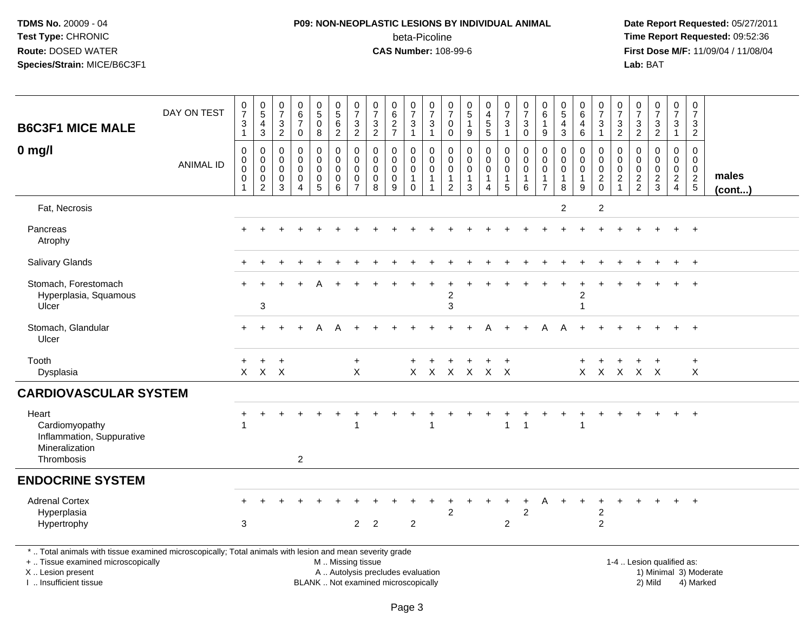# **P09: NON-NEOPLASTIC LESIONS BY INDIVIDUAL ANIMAL**beta-Picoline<br>CAS Number: 108-99-6

 **Date Report Requested:** 05/27/2011 **Time Report Requested:** 09:52:36 **First Dose M/F:** 11/09/04 / 11/08/04<br>Lab: BAT **Lab:** BAT

| <b>B6C3F1 MICE MALE</b>                                                                                                                                             | DAY ON TEST      | $\frac{0}{7}$<br>$\frac{3}{1}$                                                                      | $\begin{array}{c} 0 \\ 5 \end{array}$<br>$\overline{4}$<br>$\mathbf{3}$ | 0<br>$\boldsymbol{7}$<br>$\frac{3}{2}$                        | $\pmb{0}$<br>$\overline{6}$<br>$\overline{7}$<br>$\mathbf 0$            | $\begin{array}{c} 0 \\ 5 \end{array}$<br>$\pmb{0}$<br>$\bf 8$ | $\begin{array}{c} 0 \\ 5 \end{array}$<br>6<br>$\overline{2}$ | $\frac{0}{7}$<br>3<br>$\overline{2}$                                     | $\frac{0}{7}$<br>$\frac{3}{2}$                      | $\begin{array}{c} 0 \\ 6 \end{array}$<br>$\frac{2}{7}$                        | $\begin{array}{c} 0 \\ 7 \end{array}$<br>$\ensuremath{\mathsf{3}}$<br>$\mathbf{1}$ | $\frac{0}{7}$<br>$\frac{3}{1}$                                                | 0<br>$\overline{7}$<br>0<br>$\mathsf 0$                        | 0<br>5<br>$\mathbf 1$<br>9                                     | $_4^{\rm O}$<br>5<br>5                                          | $\begin{smallmatrix}0\\7\end{smallmatrix}$<br>$\ensuremath{\mathsf{3}}$<br>$\mathbf{1}$ | $\frac{0}{7}$<br>$\sqrt{3}$<br>$\pmb{0}$                   | 0<br>6<br>9                                                                | $\begin{array}{c} 0 \\ 5 \end{array}$<br>4<br>$\mathbf 3$    | $\begin{array}{c} 0 \\ 6 \end{array}$<br>4<br>$\,6\,$ | $\frac{0}{7}$<br>$\ensuremath{\mathsf{3}}$<br>$\overline{1}$         | $\frac{0}{7}$<br>$\ensuremath{\mathsf{3}}$<br>$\sqrt{2}$             | $\frac{0}{7}$<br>$\frac{3}{2}$                   | $\frac{0}{7}$<br>$\frac{3}{2}$                   | $\boldsymbol{0}$<br>$\boldsymbol{7}$<br>$\mathbf{3}$<br>$\mathbf{1}$      | $\overline{0}$<br>$\overline{7}$<br>$\mathsf 3$<br>$\overline{2}$ |                        |
|---------------------------------------------------------------------------------------------------------------------------------------------------------------------|------------------|-----------------------------------------------------------------------------------------------------|-------------------------------------------------------------------------|---------------------------------------------------------------|-------------------------------------------------------------------------|---------------------------------------------------------------|--------------------------------------------------------------|--------------------------------------------------------------------------|-----------------------------------------------------|-------------------------------------------------------------------------------|------------------------------------------------------------------------------------|-------------------------------------------------------------------------------|----------------------------------------------------------------|----------------------------------------------------------------|-----------------------------------------------------------------|-----------------------------------------------------------------------------------------|------------------------------------------------------------|----------------------------------------------------------------------------|--------------------------------------------------------------|-------------------------------------------------------|----------------------------------------------------------------------|----------------------------------------------------------------------|--------------------------------------------------|--------------------------------------------------|---------------------------------------------------------------------------|-------------------------------------------------------------------|------------------------|
| $0$ mg/l                                                                                                                                                            | <b>ANIMAL ID</b> | $\mathbf 0$<br>$\begin{smallmatrix}0\0\0\end{smallmatrix}$<br>$\mathsf{O}\xspace$<br>$\overline{1}$ | 0<br>$\mathbf 0$<br>$\overline{0}$<br>$\pmb{0}$<br>$\overline{2}$       | $\mathbf 0$<br>$\mathbf 0$<br>$\mathbf 0$<br>$\mathbf 0$<br>3 | $\mathbf 0$<br>$\Omega$<br>$\mathbf 0$<br>$\mathbf 0$<br>$\overline{A}$ | 0<br>$\mathbf 0$<br>$\pmb{0}$<br>$\pmb{0}$<br>$\sqrt{5}$      | 0<br>$\mathbf 0$<br>$\mathsf{O}\xspace$<br>$\mathbf 0$<br>6  | 0<br>$\mathbf 0$<br>$\mathbf 0$<br>$\mathsf{O}\xspace$<br>$\overline{7}$ | 0<br>$\mathbf 0$<br>$\mathbf 0$<br>$\mathbf 0$<br>8 | $\mathbf 0$<br>$\mathbf 0$<br>$\mathsf{O}\xspace$<br>$\mathsf{O}\xspace$<br>9 | $\mathbf 0$<br>$\mathbf 0$<br>$\mathbf 0$<br>$\mathbf{1}$<br>$\mathbf 0$           | $\mathbf 0$<br>$\mathbf 0$<br>$\mathbf 0$<br>$\overline{1}$<br>$\overline{1}$ | $\mathbf 0$<br>$\mathbf 0$<br>$\mathbf 0$<br>$\mathbf{1}$<br>2 | $\mathbf 0$<br>$\mathbf 0$<br>$\mathbf 0$<br>$\mathbf{1}$<br>3 | 0<br>$\mathbf 0$<br>$\mathsf 0$<br>1<br>$\overline{\mathbf{4}}$ | 0<br>$\mathbf 0$<br>$\mathbf 0$<br>$\mathbf{1}$<br>5                                    | $\mathbf 0$<br>$\pmb{0}$<br>$\pmb{0}$<br>$\mathbf{1}$<br>6 | $\mathbf 0$<br>$\mathbf 0$<br>$\mathbf 0$<br>$\mathbf 1$<br>$\overline{7}$ | $\mathbf 0$<br>$\mathbf 0$<br>$\pmb{0}$<br>$\mathbf{1}$<br>8 | 0<br>$\mathbf{0}$<br>0<br>$\mathbf{1}$<br>9           | $\mathbf 0$<br>$\mathbf 0$<br>$\pmb{0}$<br>$\sqrt{2}$<br>$\mathbf 0$ | $\mathbf 0$<br>$\Omega$<br>$\mathbf 0$<br>$\sqrt{2}$<br>$\mathbf{1}$ | 0<br>$\mathbf 0$<br>$\mathbf 0$<br>$\frac{2}{2}$ | 0<br>$\mathbf 0$<br>$\mathsf 0$<br>$\frac{2}{3}$ | 0<br>$\overline{0}$<br>$\overline{0}$<br>$\overline{2}$<br>$\overline{4}$ | $\mathbf 0$<br>$\mathbf 0$<br>$\frac{0}{2}$                       | males<br>(cont)        |
| Fat, Necrosis                                                                                                                                                       |                  |                                                                                                     |                                                                         |                                                               |                                                                         |                                                               |                                                              |                                                                          |                                                     |                                                                               |                                                                                    |                                                                               |                                                                |                                                                |                                                                 |                                                                                         |                                                            |                                                                            | 2                                                            |                                                       | $\overline{c}$                                                       |                                                                      |                                                  |                                                  |                                                                           |                                                                   |                        |
| Pancreas<br>Atrophy                                                                                                                                                 |                  |                                                                                                     |                                                                         |                                                               |                                                                         |                                                               |                                                              |                                                                          |                                                     |                                                                               |                                                                                    |                                                                               |                                                                |                                                                |                                                                 |                                                                                         |                                                            |                                                                            |                                                              |                                                       |                                                                      |                                                                      |                                                  |                                                  | $\ddot{}$                                                                 | $+$                                                               |                        |
| Salivary Glands                                                                                                                                                     |                  |                                                                                                     |                                                                         |                                                               |                                                                         |                                                               |                                                              |                                                                          |                                                     |                                                                               |                                                                                    |                                                                               |                                                                |                                                                |                                                                 |                                                                                         |                                                            |                                                                            |                                                              |                                                       |                                                                      |                                                                      |                                                  |                                                  |                                                                           | $+$                                                               |                        |
| Stomach, Forestomach<br>Hyperplasia, Squamous<br>Ulcer                                                                                                              |                  |                                                                                                     | 3                                                                       |                                                               |                                                                         |                                                               |                                                              |                                                                          |                                                     |                                                                               |                                                                                    |                                                                               | 2<br>3                                                         |                                                                |                                                                 |                                                                                         |                                                            |                                                                            |                                                              | 2<br>$\overline{1}$                                   |                                                                      |                                                                      |                                                  |                                                  |                                                                           | $\overline{+}$                                                    |                        |
| Stomach, Glandular<br>Ulcer                                                                                                                                         |                  |                                                                                                     |                                                                         |                                                               |                                                                         | Α                                                             |                                                              |                                                                          |                                                     |                                                                               |                                                                                    |                                                                               |                                                                |                                                                |                                                                 |                                                                                         |                                                            | А                                                                          |                                                              |                                                       |                                                                      |                                                                      |                                                  |                                                  |                                                                           | $\ddot{}$                                                         |                        |
| Tooth<br>Dysplasia                                                                                                                                                  |                  | $+$<br>$\mathsf{X}$                                                                                 | $\ddot{}$<br>$X$ $X$                                                    | $\ddot{}$                                                     |                                                                         |                                                               |                                                              | $+$<br>$\mathsf{X}$                                                      |                                                     |                                                                               | $\ddot{}$                                                                          |                                                                               |                                                                | $\ddot{}$<br>$X$ $X$ $X$ $X$ $X$ $X$                           | $+$                                                             | $+$                                                                                     |                                                            |                                                                            |                                                              | $+$                                                   | $X$ $X$ $X$ $X$ $X$                                                  |                                                                      |                                                  | $+$                                              |                                                                           | $\ddot{}$<br>$\mathsf{X}$                                         |                        |
| <b>CARDIOVASCULAR SYSTEM</b>                                                                                                                                        |                  |                                                                                                     |                                                                         |                                                               |                                                                         |                                                               |                                                              |                                                                          |                                                     |                                                                               |                                                                                    |                                                                               |                                                                |                                                                |                                                                 |                                                                                         |                                                            |                                                                            |                                                              |                                                       |                                                                      |                                                                      |                                                  |                                                  |                                                                           |                                                                   |                        |
| Heart<br>Cardiomyopathy<br>Inflammation, Suppurative<br>Mineralization<br>Thrombosis                                                                                |                  | $\ddot{}$                                                                                           |                                                                         |                                                               | $\overline{c}$                                                          |                                                               | $\ddot{}$                                                    | $\ddot{}$<br>$\overline{1}$                                              | $\ddot{}$                                           |                                                                               |                                                                                    | $\overline{\mathbf{1}}$                                                       |                                                                |                                                                |                                                                 |                                                                                         | $\overline{1}$                                             |                                                                            |                                                              | $\ddot{}$                                             | $\ddot{}$                                                            |                                                                      |                                                  |                                                  | $+$                                                                       | $+$                                                               |                        |
| <b>ENDOCRINE SYSTEM</b>                                                                                                                                             |                  |                                                                                                     |                                                                         |                                                               |                                                                         |                                                               |                                                              |                                                                          |                                                     |                                                                               |                                                                                    |                                                                               |                                                                |                                                                |                                                                 |                                                                                         |                                                            |                                                                            |                                                              |                                                       |                                                                      |                                                                      |                                                  |                                                  |                                                                           |                                                                   |                        |
| <b>Adrenal Cortex</b><br>Hyperplasia<br>Hypertrophy                                                                                                                 |                  | 3                                                                                                   |                                                                         |                                                               |                                                                         |                                                               |                                                              | $\overline{2}$                                                           | $\overline{2}$                                      |                                                                               | $\overline{c}$                                                                     |                                                                               | 2                                                              |                                                                |                                                                 | $\overline{c}$                                                                          | $\overline{2}$                                             |                                                                            |                                                              |                                                       | $\overline{c}$<br>$\overline{2}$                                     |                                                                      |                                                  |                                                  |                                                                           |                                                                   |                        |
| *  Total animals with tissue examined microscopically; Total animals with lesion and mean severity grade<br>+  Tissue examined microscopically<br>X  Lesion present |                  |                                                                                                     |                                                                         |                                                               |                                                                         |                                                               | M  Missing tissue<br>A  Autolysis precludes evaluation       |                                                                          |                                                     |                                                                               |                                                                                    |                                                                               |                                                                |                                                                |                                                                 |                                                                                         |                                                            |                                                                            |                                                              |                                                       |                                                                      |                                                                      |                                                  | 1-4  Lesion qualified as:                        |                                                                           |                                                                   | 1) Minimal 3) Moderate |

I .. Insufficient tissue

BLANK .. Not examined microscopically 2) Mild 4) Marked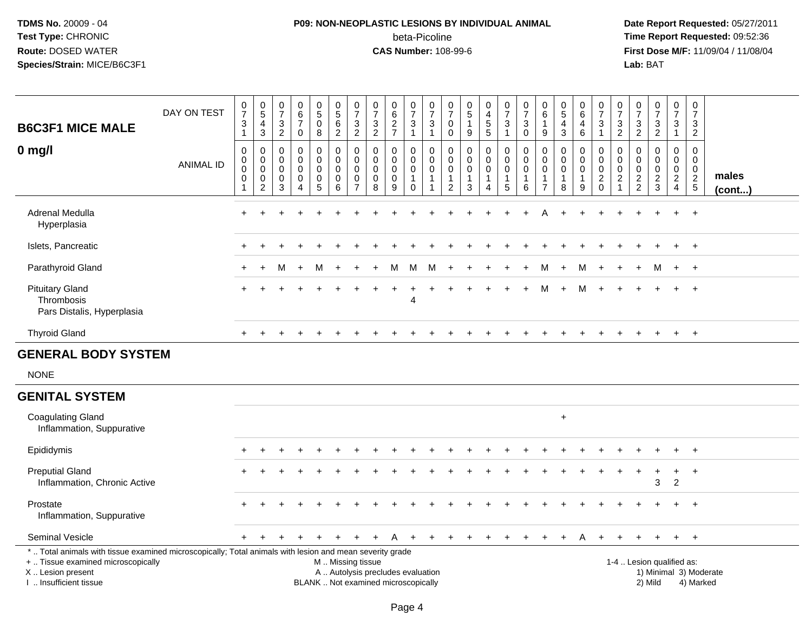# **P09: NON-NEOPLASTIC LESIONS BY INDIVIDUAL ANIMAL**beta-Picoline<br>CAS Number: 108-99-6

 **Date Report Requested:** 05/27/2011 **Time Report Requested:** 09:52:36 **First Dose M/F:** 11/09/04 / 11/08/04<br>Lab: BAT **Lab:** BAT

| <b>B6C3F1 MICE MALE</b>                                            | DAY ON TEST      | $\pmb{0}$<br>$\overline{7}$<br>3                                  | $\pmb{0}$<br>$\mathbf 5$<br>$\overline{4}$<br>3                                          | $\mathbf 0$<br>7<br>$\sqrt{3}$<br>$\overline{2}$        | $\overline{0}$<br>6<br>$\overline{ }$<br>0      | $\begin{array}{c} 0 \\ 5 \end{array}$<br>$\mathbf 0$<br>8 | $\begin{array}{c} 0 \\ 5 \end{array}$<br>$\,6\,$<br>$\overline{2}$          | $\frac{0}{7}$<br>$\mathbf{3}$<br>$\overline{c}$                                                    | $\pmb{0}$<br>$\overline{7}$<br>$\sqrt{3}$<br>$\overline{2}$ | 0<br>6<br>$\overline{\mathbf{c}}$<br>$\overline{ }$ | $\begin{array}{c} 0 \\ 7 \end{array}$<br>$\sqrt{3}$<br>$\overline{A}$ | $\mathbf 0$<br>$\overline{z}$<br>3 | $\overline{ }$<br>0<br>$\mathbf 0$      | $\mathbf 0$<br>$\,$ 5 $\,$<br>$9\,$  | 0<br>4<br>$5\phantom{.0}$<br>5 | $\frac{0}{7}$<br>$\mathbf{3}$<br>1   | $\overline{ }$<br>3<br>$\mathbf 0$ | 6<br>9                                          | 0<br>$\sqrt{5}$<br>4<br>3 | 0<br>6<br>4<br>$6\phantom{1}$      | $\frac{0}{7}$<br>$\sqrt{3}$                                                         | $\mathbf 0$<br>$\overline{7}$<br>$\mathbf{3}$<br>$\overline{2}$ | 7<br>3<br>$\overline{c}$                                                          | 0<br>$\overline{ }$<br>3<br>$\overline{c}$     | $\begin{smallmatrix}0\\7\end{smallmatrix}$<br>$\mathbf{3}$<br>$\overline{A}$ | $\mathbf{0}$<br>$\overline{\phantom{a}}$<br>$\mathbf{3}$<br>$\overline{2}$ |                 |
|--------------------------------------------------------------------|------------------|-------------------------------------------------------------------|------------------------------------------------------------------------------------------|---------------------------------------------------------|-------------------------------------------------|-----------------------------------------------------------|-----------------------------------------------------------------------------|----------------------------------------------------------------------------------------------------|-------------------------------------------------------------|-----------------------------------------------------|-----------------------------------------------------------------------|------------------------------------|-----------------------------------------|--------------------------------------|--------------------------------|--------------------------------------|------------------------------------|-------------------------------------------------|---------------------------|------------------------------------|-------------------------------------------------------------------------------------|-----------------------------------------------------------------|-----------------------------------------------------------------------------------|------------------------------------------------|------------------------------------------------------------------------------|----------------------------------------------------------------------------|-----------------|
| $0$ mg/l                                                           | <b>ANIMAL ID</b> | $\mathbf 0$<br>$\mathsf{O}\xspace$<br>$\pmb{0}$<br>$\overline{0}$ | $\begin{smallmatrix} 0\\0 \end{smallmatrix}$<br>$\pmb{0}$<br>$\pmb{0}$<br>$\overline{2}$ | $\mathbf 0$<br>$\pmb{0}$<br>$\pmb{0}$<br>$\pmb{0}$<br>3 | $\overline{0}$<br>$\mathsf{O}\xspace$<br>0<br>0 | $_{\rm 0}^{\rm 0}$<br>$\mathsf 0$<br>$\pmb{0}$<br>5       | $\begin{smallmatrix} 0\\0 \end{smallmatrix}$<br>$\pmb{0}$<br>$\pmb{0}$<br>6 | $\begin{smallmatrix} 0\\0 \end{smallmatrix}$<br>$\pmb{0}$<br>$\pmb{0}$<br>$\overline{\phantom{0}}$ | $_{\rm 0}^{\rm 0}$<br>$\pmb{0}$<br>$\pmb{0}$<br>8           | 0<br>$\mathbf 0$<br>0<br>0<br>9                     | $\begin{smallmatrix} 0\\0 \end{smallmatrix}$<br>$\pmb{0}$             | $_{\rm 0}^{\rm 0}$<br>$\pmb{0}$    | 0<br>$\mathbf 0$<br>0<br>$\overline{2}$ | $_{\rm 0}^{\rm 0}$<br>$\pmb{0}$<br>3 | $_{\rm 0}^{\rm 0}$<br>0        | $_{\rm 0}^{\rm 0}$<br>$\pmb{0}$<br>5 | 0<br>$\mathbf 0$<br>6              | $\mathbf 0$<br>$\overline{0}$<br>$\overline{ }$ | 0<br>0<br>0<br>8          | 0<br>$\ddot{\mathbf{0}}$<br>0<br>9 | $\begin{smallmatrix} 0\\0 \end{smallmatrix}$<br>$\pmb{0}$<br>$\sqrt{2}$<br>$\Omega$ | $_{\rm 0}^{\rm 0}$<br>$\pmb{0}$<br>$\sqrt{2}$                   | 0<br>$\boldsymbol{0}$<br>$\mathbf 0$<br>$\overline{\mathbf{c}}$<br>$\overline{2}$ | 0<br>$\mathsf{O}\xspace$<br>0<br>$\frac{2}{3}$ | $_{\rm 0}^{\rm 0}$<br>$\pmb{0}$<br>$\sqrt{2}$<br>$\overline{4}$              | 0<br>$\pmb{0}$<br>$\pmb{0}$<br>$\boldsymbol{2}$<br>$\sqrt{5}$              | males<br>(cont) |
| Adrenal Medulla<br>Hyperplasia                                     |                  |                                                                   |                                                                                          |                                                         |                                                 |                                                           |                                                                             |                                                                                                    |                                                             |                                                     |                                                                       |                                    |                                         |                                      |                                |                                      |                                    | A                                               |                           | $\div$                             |                                                                                     |                                                                 |                                                                                   |                                                | $+$                                                                          | $+$                                                                        |                 |
| Islets, Pancreatic                                                 |                  |                                                                   |                                                                                          |                                                         |                                                 |                                                           |                                                                             |                                                                                                    |                                                             |                                                     |                                                                       |                                    |                                         |                                      |                                |                                      |                                    |                                                 |                           |                                    |                                                                                     |                                                                 |                                                                                   |                                                | $+$                                                                          | $+$                                                                        |                 |
| Parathyroid Gland                                                  |                  | $+$                                                               | $\div$                                                                                   | м                                                       | $+$                                             | M                                                         |                                                                             |                                                                                                    |                                                             | м                                                   | M                                                                     | M                                  |                                         |                                      |                                |                                      |                                    | M                                               | $+$                       | M                                  | $+$                                                                                 |                                                                 | $+$                                                                               |                                                | $M + +$                                                                      |                                                                            |                 |
| <b>Pituitary Gland</b><br>Thrombosis<br>Pars Distalis, Hyperplasia |                  | $+$                                                               |                                                                                          |                                                         |                                                 |                                                           |                                                                             |                                                                                                    |                                                             |                                                     | 4                                                                     |                                    |                                         |                                      |                                |                                      |                                    | M                                               | $+$                       | м                                  | $+$                                                                                 |                                                                 |                                                                                   |                                                | $+$                                                                          | $+$                                                                        |                 |
| <b>Thyroid Gland</b>                                               |                  | $+$                                                               |                                                                                          |                                                         |                                                 |                                                           |                                                                             |                                                                                                    |                                                             |                                                     |                                                                       |                                    |                                         |                                      |                                |                                      |                                    |                                                 |                           |                                    |                                                                                     |                                                                 |                                                                                   |                                                | $+$                                                                          | $+$                                                                        |                 |

### **GENERAL BODY SYSTEM**

NONE

| <b>GENITAL SYSTEM</b>                                                                                                                                                                     |           |  |  |  |                                                                                               |  |  |  |  |       |  |  |                                      |   |                                     |
|-------------------------------------------------------------------------------------------------------------------------------------------------------------------------------------------|-----------|--|--|--|-----------------------------------------------------------------------------------------------|--|--|--|--|-------|--|--|--------------------------------------|---|-------------------------------------|
| <b>Coagulating Gland</b><br>Inflammation, Suppurative                                                                                                                                     |           |  |  |  |                                                                                               |  |  |  |  | $\pm$ |  |  |                                      |   |                                     |
| Epididymis                                                                                                                                                                                |           |  |  |  |                                                                                               |  |  |  |  |       |  |  |                                      |   | $+$ $+$                             |
| <b>Preputial Gland</b><br>Inflammation, Chronic Active                                                                                                                                    | $\pm$     |  |  |  |                                                                                               |  |  |  |  |       |  |  | 3                                    | 2 | $+$                                 |
| Prostate<br>Inflammation, Suppurative                                                                                                                                                     | $+$       |  |  |  |                                                                                               |  |  |  |  |       |  |  |                                      |   | $+$                                 |
| <b>Seminal Vesicle</b>                                                                                                                                                                    | $\ddot{}$ |  |  |  |                                                                                               |  |  |  |  |       |  |  |                                      |   | $+$ $+$                             |
| *  Total animals with tissue examined microscopically; Total animals with lesion and mean severity grade<br>+  Tissue examined microscopically<br>X Lesion present<br>Insufficient tissue |           |  |  |  | M  Missing tissue<br>A  Autolysis precludes evaluation<br>BLANK  Not examined microscopically |  |  |  |  |       |  |  | 1-4  Lesion qualified as:<br>2) Mild |   | 1) Minimal 3) Moderate<br>4) Marked |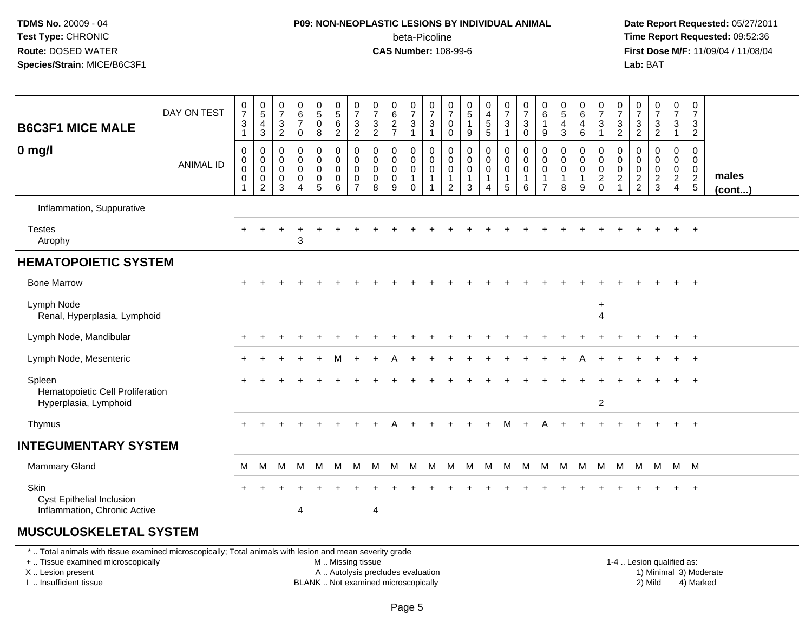#### **P09: NON-NEOPLASTIC LESIONS BY INDIVIDUAL ANIMAL** beta-Picoline**beta-Picoline**<br> **CAS Number:** 108-99-6<br> **CAS Number:** 108-99-6<br> **CAS Number:** 108-99-6

 **Date Report Requested:** 05/27/2011 **First Dose M/F:** 11/09/04 / 11/08/04 Lab: BAT **Lab:** BAT

| <b>B6C3F1 MICE MALE</b>                                                  | DAY ON TEST      | $\frac{0}{7}$<br>3<br>$\mathbf 1$    | $^{\rm 0}_{\rm 5}$<br>$\overline{\mathbf{4}}$<br>$\mathbf{3}$                    | $\frac{0}{7}$<br>$\ensuremath{\mathsf{3}}$<br>$\overline{2}$ | 0<br>$\,6$<br>$\overline{7}$<br>$\mathbf 0$ | $\begin{smallmatrix} 0\\5 \end{smallmatrix}$<br>$\pmb{0}$<br>$\bf8$ | $\begin{array}{c} 0 \\ 5 \\ 6 \end{array}$<br>$\boldsymbol{2}$ | $\frac{0}{7}$<br>$\sqrt{3}$<br>$\sqrt{2}$                            | $\begin{array}{c} 0 \\ 7 \end{array}$<br>3<br>$\boldsymbol{2}$ | $062$<br>$7$                                      | $\frac{0}{7}$<br>$\ensuremath{\mathsf{3}}$<br>$\mathbf{1}$        | $\frac{0}{7}$<br>$\sqrt{3}$<br>$\overline{1}$ | $\frac{0}{7}$<br>0<br>$\mathbf 0$                                   | $\begin{array}{c} 0 \\ 5 \end{array}$<br>$\overline{1}$<br>$\boldsymbol{9}$ | 0<br>$\overline{4}$<br>$\sqrt{5}$<br>$\sqrt{5}$                | $\frac{0}{7}$<br>$\ensuremath{\mathsf{3}}$ | $\begin{array}{c} 0 \\ 7 \\ 3 \end{array}$<br>$\mathbf 0$      | $_{6}^{\rm 0}$<br>$\mathbf{1}$<br>9                                         | $\begin{smallmatrix}0\0\5\end{smallmatrix}$<br>$\overline{4}$<br>$\mathbf{3}$ | $\begin{array}{c} 0 \\ 6 \end{array}$<br>$\overline{4}$<br>$6\phantom{1}$ | $\frac{0}{7}$<br>$\sqrt{3}$<br>$\overline{\mathbf{1}}$             | $\frac{0}{7}$<br>$\frac{3}{2}$                                     | $\frac{0}{7}$<br>$\sqrt{3}$<br>$\overline{2}$ | $\frac{0}{7}$<br>$\frac{3}{2}$                             | $\frac{0}{7}$<br>$\mathbf{3}$<br>$\mathbf{1}$                     | $\frac{0}{7}$<br>$\frac{3}{2}$ |                       |
|--------------------------------------------------------------------------|------------------|--------------------------------------|----------------------------------------------------------------------------------|--------------------------------------------------------------|---------------------------------------------|---------------------------------------------------------------------|----------------------------------------------------------------|----------------------------------------------------------------------|----------------------------------------------------------------|---------------------------------------------------|-------------------------------------------------------------------|-----------------------------------------------|---------------------------------------------------------------------|-----------------------------------------------------------------------------|----------------------------------------------------------------|--------------------------------------------|----------------------------------------------------------------|-----------------------------------------------------------------------------|-------------------------------------------------------------------------------|---------------------------------------------------------------------------|--------------------------------------------------------------------|--------------------------------------------------------------------|-----------------------------------------------|------------------------------------------------------------|-------------------------------------------------------------------|--------------------------------|-----------------------|
| $0$ mg/l                                                                 | <b>ANIMAL ID</b> | 0<br>0<br>$\mathbf 0$<br>$\mathbf 0$ | 0<br>$\mathsf 0$<br>$\ddot{\mathbf{0}}$<br>$\mathsf{O}\xspace$<br>$\overline{c}$ | 0<br>$\mathbf 0$<br>$\mathbf 0$<br>$\,0\,$<br>$\mathbf{3}$   | 0<br>0<br>$\mathbf 0$<br>0<br>4             | $\pmb{0}$<br>$\pmb{0}$<br>$\pmb{0}$<br>$\pmb{0}$<br>5               | 0<br>0<br>$\mathbf 0$<br>0<br>6                                | $\pmb{0}$<br>$\pmb{0}$<br>$\mathbf 0$<br>$\pmb{0}$<br>$\overline{7}$ | 0<br>$\mathbf 0$<br>$\mathbf 0$<br>$\mathbf 0$<br>8            | 0<br>$\mathsf{O}\xspace$<br>$\mathbf 0$<br>0<br>9 | 0<br>$\mathsf{O}\xspace$<br>$\pmb{0}$<br>$\mathbf{1}$<br>$\Omega$ | 0<br>0<br>$\mathbf 0$                         | $\mathbf 0$<br>$\mathbf 0$<br>$\boldsymbol{0}$<br>$\mathbf{1}$<br>2 | 0<br>0<br>$\mathbf 0$<br>$\overline{1}$<br>3                                | $\mathbf 0$<br>$\mathbf 0$<br>$\mathbf 0$<br>$\mathbf{1}$<br>4 | 0<br>0<br>$\mathbf 0$<br>1<br>5            | $\mathbf 0$<br>$\mathbf 0$<br>$\mathbf 0$<br>$\mathbf{1}$<br>6 | $\mathbf 0$<br>$\mathbf 0$<br>$\mathbf 0$<br>$\mathbf{1}$<br>$\overline{7}$ | 0<br>0<br>$\mathbf 0$<br>$\mathbf{1}$<br>8                                    | $\pmb{0}$<br>$\mathbf 0$<br>$\pmb{0}$<br>$\mathbf{1}$<br>9                | 0<br>$\mathbf 0$<br>$\mathbf 0$<br>$\boldsymbol{2}$<br>$\mathbf 0$ | $\boldsymbol{0}$<br>$\mathsf 0$<br>$\overline{0}$<br>$\frac{2}{1}$ | 0<br>0<br>$\mathbf 0$<br>$\frac{2}{2}$        | $\mathbf 0$<br>$\mathbf 0$<br>$\mathbf 0$<br>$\frac{2}{3}$ | 0<br>$\mathbf 0$<br>$\pmb{0}$<br>$\overline{2}$<br>$\overline{4}$ | 0<br>0<br>0<br>$\frac{2}{5}$   | males<br>$($ cont $)$ |
| Inflammation, Suppurative                                                |                  |                                      |                                                                                  |                                                              |                                             |                                                                     |                                                                |                                                                      |                                                                |                                                   |                                                                   |                                               |                                                                     |                                                                             |                                                                |                                            |                                                                |                                                                             |                                                                               |                                                                           |                                                                    |                                                                    |                                               |                                                            |                                                                   |                                |                       |
| <b>Testes</b><br>Atrophy                                                 |                  |                                      |                                                                                  |                                                              | 3                                           |                                                                     |                                                                |                                                                      |                                                                |                                                   |                                                                   |                                               |                                                                     |                                                                             |                                                                |                                            |                                                                |                                                                             |                                                                               |                                                                           |                                                                    |                                                                    |                                               |                                                            |                                                                   |                                |                       |
| <b>HEMATOPOIETIC SYSTEM</b>                                              |                  |                                      |                                                                                  |                                                              |                                             |                                                                     |                                                                |                                                                      |                                                                |                                                   |                                                                   |                                               |                                                                     |                                                                             |                                                                |                                            |                                                                |                                                                             |                                                                               |                                                                           |                                                                    |                                                                    |                                               |                                                            |                                                                   |                                |                       |
| <b>Bone Marrow</b>                                                       |                  |                                      |                                                                                  |                                                              |                                             |                                                                     |                                                                |                                                                      |                                                                |                                                   |                                                                   |                                               |                                                                     |                                                                             |                                                                |                                            |                                                                |                                                                             |                                                                               |                                                                           |                                                                    |                                                                    |                                               |                                                            |                                                                   | $+$                            |                       |
| Lymph Node<br>Renal, Hyperplasia, Lymphoid                               |                  |                                      |                                                                                  |                                                              |                                             |                                                                     |                                                                |                                                                      |                                                                |                                                   |                                                                   |                                               |                                                                     |                                                                             |                                                                |                                            |                                                                |                                                                             |                                                                               |                                                                           | $\ddot{}$<br>4                                                     |                                                                    |                                               |                                                            |                                                                   |                                |                       |
| Lymph Node, Mandibular                                                   |                  |                                      |                                                                                  |                                                              |                                             |                                                                     |                                                                |                                                                      |                                                                |                                                   |                                                                   |                                               |                                                                     |                                                                             |                                                                |                                            |                                                                |                                                                             |                                                                               |                                                                           |                                                                    |                                                                    |                                               |                                                            |                                                                   | $\ddot{}$                      |                       |
| Lymph Node, Mesenteric                                                   |                  | $\ddot{}$                            |                                                                                  |                                                              |                                             |                                                                     | м                                                              |                                                                      |                                                                |                                                   |                                                                   |                                               |                                                                     |                                                                             |                                                                |                                            |                                                                |                                                                             |                                                                               |                                                                           |                                                                    |                                                                    |                                               |                                                            |                                                                   | $+$                            |                       |
| Spleen<br>Hematopoietic Cell Proliferation<br>Hyperplasia, Lymphoid      |                  |                                      |                                                                                  |                                                              |                                             |                                                                     |                                                                |                                                                      |                                                                |                                                   |                                                                   |                                               |                                                                     |                                                                             |                                                                |                                            |                                                                |                                                                             |                                                                               |                                                                           | $\overline{c}$                                                     |                                                                    |                                               |                                                            |                                                                   |                                |                       |
| Thymus                                                                   |                  |                                      |                                                                                  |                                                              |                                             |                                                                     |                                                                |                                                                      |                                                                |                                                   |                                                                   |                                               |                                                                     |                                                                             |                                                                | м                                          | $+$                                                            | A                                                                           |                                                                               |                                                                           |                                                                    |                                                                    |                                               |                                                            | $\pm$                                                             | $+$                            |                       |
| <b>INTEGUMENTARY SYSTEM</b>                                              |                  |                                      |                                                                                  |                                                              |                                             |                                                                     |                                                                |                                                                      |                                                                |                                                   |                                                                   |                                               |                                                                     |                                                                             |                                                                |                                            |                                                                |                                                                             |                                                                               |                                                                           |                                                                    |                                                                    |                                               |                                                            |                                                                   |                                |                       |
| <b>Mammary Gland</b>                                                     |                  | М                                    | M                                                                                | M                                                            | M                                           | M                                                                   | М                                                              | M                                                                    | M                                                              | M                                                 | M                                                                 | M                                             | M                                                                   | M                                                                           |                                                                | M M                                        | M                                                              | M                                                                           |                                                                               | M M                                                                       | M                                                                  | M                                                                  | M                                             |                                                            | M M M                                                             |                                |                       |
| Skin<br><b>Cyst Epithelial Inclusion</b><br>Inflammation, Chronic Active |                  |                                      |                                                                                  |                                                              | 4                                           |                                                                     |                                                                |                                                                      | 4                                                              |                                                   |                                                                   |                                               |                                                                     |                                                                             |                                                                |                                            |                                                                |                                                                             |                                                                               |                                                                           |                                                                    |                                                                    |                                               |                                                            | $+$                                                               | $+$                            |                       |
| <b>MUSCULOSKELETAL SYSTEM</b>                                            |                  |                                      |                                                                                  |                                                              |                                             |                                                                     |                                                                |                                                                      |                                                                |                                                   |                                                                   |                                               |                                                                     |                                                                             |                                                                |                                            |                                                                |                                                                             |                                                                               |                                                                           |                                                                    |                                                                    |                                               |                                                            |                                                                   |                                |                       |

#### \* .. Total animals with tissue examined microscopically; Total animals with lesion and mean severity grade

+ .. Tissue examined microscopically

X .. Lesion present

I .. Insufficient tissue

M .. Missing tissue

A .. Autolysis precludes evaluation

BLANK .. Not examined microscopically 2) Mild 4) Marked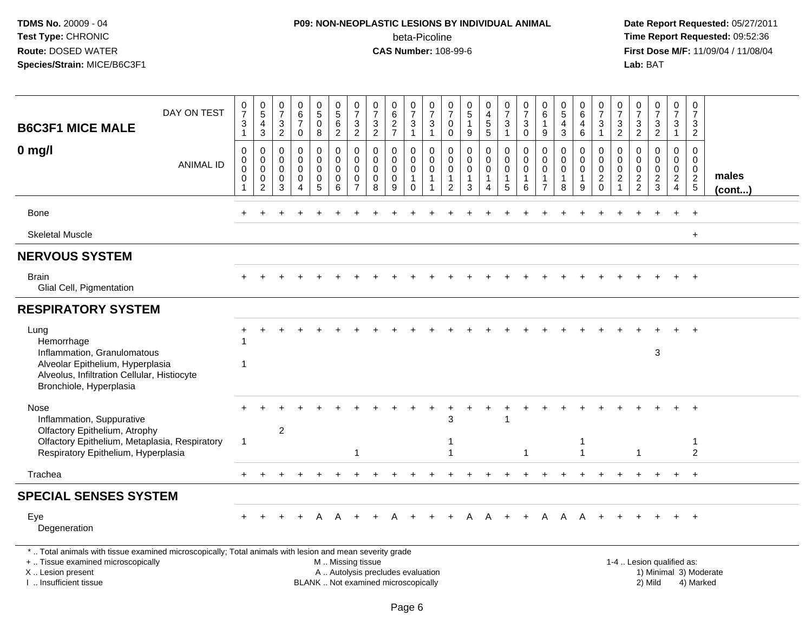# **P09: NON-NEOPLASTIC LESIONS BY INDIVIDUAL ANIMAL**beta-Picoline<br>CAS Number: 108-99-6

 **Date Report Requested:** 05/27/2011 **Time Report Requested:** 09:52:36 **First Dose M/F:** 11/09/04 / 11/08/04<br>Lab: BAT **Lab:** BAT

| <b>B6C3F1 MICE MALE</b>                                                                                                                                                                       | DAY ON TEST      | $\frac{0}{7}$<br>$\ensuremath{\mathsf{3}}$<br>$\mathbf{1}$ | $\frac{0}{5}$<br>$\overline{4}$<br>3                                   | $\frac{0}{7}$<br>$\ensuremath{\mathsf{3}}$<br>$\overline{2}$ | $\begin{array}{c} 0 \\ 6 \\ 7 \end{array}$<br>$\mathbf 0$ | $\begin{matrix} 0 \\ 5 \end{matrix}$<br>$\mathbf 0$<br>8 | $\begin{array}{c} 0 \\ 5 \end{array}$<br>$\,6\,$<br>$\overline{2}$ | 0<br>$\overline{7}$<br>$\mathbf{3}$<br>$\overline{2}$                    | $\frac{0}{7}$<br>$\ensuremath{\mathsf{3}}$<br>$\overline{2}$             | $\begin{matrix} 0 \\ 6 \end{matrix}$<br>$\overline{2}$<br>$\overline{7}$ | $\frac{0}{7}$<br>$\mathbf{3}$<br>$\mathbf{1}$                | 0<br>$\overline{7}$<br>3<br>$\mathbf{1}$               | $\frac{0}{7}$<br>$\pmb{0}$<br>$\mathbf 0$               | $\begin{matrix} 0 \\ 5 \end{matrix}$<br>$\overline{1}$<br>9  | $\boldsymbol{0}$<br>$\overline{4}$<br>$\frac{5}{5}$                           | $\frac{0}{7}$<br>$\sqrt{3}$<br>$\overline{1}$               | $\frac{0}{7}$<br>$\sqrt{3}$<br>$\mathbf 0$                  | $\begin{array}{c} 0 \\ 6 \end{array}$<br>$\mathbf{1}$<br>9                  | $\begin{array}{c} 0 \\ 5 \end{array}$<br>$\overline{\mathbf{4}}$<br>3 | $\begin{matrix} 0 \\ 6 \end{matrix}$<br>$\overline{4}$<br>6 | $\frac{0}{7}$<br>$\ensuremath{\mathsf{3}}$<br>$\mathbf{1}$         | $\frac{0}{7}$<br>$\ensuremath{\mathsf{3}}$<br>2             | $\frac{0}{7}$<br>$\frac{3}{2}$                             | $\frac{0}{7}$<br>$\mathsf 3$<br>$\overline{2}$      | 0<br>$\overline{7}$<br>$\sqrt{3}$<br>$\mathbf{1}$                               | 0<br>$\overline{7}$<br>3<br>$\overline{2}$  |                        |
|-----------------------------------------------------------------------------------------------------------------------------------------------------------------------------------------------|------------------|------------------------------------------------------------|------------------------------------------------------------------------|--------------------------------------------------------------|-----------------------------------------------------------|----------------------------------------------------------|--------------------------------------------------------------------|--------------------------------------------------------------------------|--------------------------------------------------------------------------|--------------------------------------------------------------------------|--------------------------------------------------------------|--------------------------------------------------------|---------------------------------------------------------|--------------------------------------------------------------|-------------------------------------------------------------------------------|-------------------------------------------------------------|-------------------------------------------------------------|-----------------------------------------------------------------------------|-----------------------------------------------------------------------|-------------------------------------------------------------|--------------------------------------------------------------------|-------------------------------------------------------------|------------------------------------------------------------|-----------------------------------------------------|---------------------------------------------------------------------------------|---------------------------------------------|------------------------|
| $0$ mg/l                                                                                                                                                                                      | <b>ANIMAL ID</b> | $\mathbf 0$<br>$\mathbf 0$<br>$\Omega$<br>$\mathbf 0$<br>1 | $\mathbf 0$<br>$\pmb{0}$<br>$\pmb{0}$<br>$\mathbf 0$<br>$\overline{c}$ | 0<br>$\mathbf 0$<br>$\Omega$<br>0<br>3                       | 0<br>$\mathbf 0$<br>$\mathbf 0$<br>$\mathbf 0$<br>4       | 0<br>$\overline{0}$<br>0<br>0<br>5                       | $\mathbf 0$<br>$\mathbf 0$<br>$\mathbf 0$<br>$\mathbf 0$<br>6      | $\mathbf 0$<br>$\Omega$<br>$\mathbf{0}$<br>$\mathbf 0$<br>$\overline{7}$ | $\mathbf 0$<br>$\Omega$<br>$\Omega$<br>$\mathbf 0$<br>8                  | 0<br>$\Omega$<br>$\mathbf 0$<br>$\mathbf 0$<br>9                         | 0<br>$\mathsf{O}$<br>$\mathbf 0$<br>$\mathbf{1}$<br>$\Omega$ | $\mathbf 0$<br>$\Omega$<br>$\mathbf 0$<br>$\mathbf{1}$ | 0<br>$\mathbf 0$<br>0<br>$\mathbf{1}$<br>$\overline{2}$ | $\pmb{0}$<br>$\mathbf 0$<br>$\mathbf 0$<br>$\mathbf{1}$<br>3 | $\mathbf 0$<br>$\mathbf 0$<br>$\mathbf 0$<br>$\overline{1}$<br>$\overline{4}$ | $\mathbf 0$<br>$\Omega$<br>$\mathbf 0$<br>$\mathbf{1}$<br>5 | $\mathbf 0$<br>$\Omega$<br>$\mathbf 0$<br>$\mathbf{1}$<br>6 | $\mathbf 0$<br>$\mathbf 0$<br>$\mathbf 0$<br>$\mathbf{1}$<br>$\overline{7}$ | 0<br>$\mathbf 0$<br>0<br>$\mathbf 1$<br>8                             | 0<br>$\mathbf 0$<br>0<br>$\mathbf{1}$<br>9                  | $\mathbf 0$<br>$\mathbf 0$<br>$\mathsf{O}\xspace$<br>$\frac{2}{0}$ | $\mathbf 0$<br>$\mathbf 0$<br>$\mathbf 0$<br>$\overline{c}$ | $\mathbf 0$<br>$\mathbf 0$<br>$\mathbf 0$<br>$\frac{2}{2}$ | 0<br>$\overline{0}$<br>$\mathbf 0$<br>$\frac{2}{3}$ | $\mathbf 0$<br>$\mathbf 0$<br>$\mathbf 0$<br>$\boldsymbol{2}$<br>$\overline{4}$ | 0<br>$\Omega$<br>0<br>$\frac{2}{5}$         | males<br>(cont)        |
| Bone                                                                                                                                                                                          |                  |                                                            |                                                                        |                                                              |                                                           |                                                          |                                                                    |                                                                          |                                                                          |                                                                          |                                                              |                                                        |                                                         |                                                              |                                                                               |                                                             |                                                             |                                                                             |                                                                       |                                                             |                                                                    |                                                             |                                                            |                                                     |                                                                                 | $\ddot{}$                                   |                        |
| <b>Skeletal Muscle</b>                                                                                                                                                                        |                  |                                                            |                                                                        |                                                              |                                                           |                                                          |                                                                    |                                                                          |                                                                          |                                                                          |                                                              |                                                        |                                                         |                                                              |                                                                               |                                                             |                                                             |                                                                             |                                                                       |                                                             |                                                                    |                                                             |                                                            |                                                     |                                                                                 | $\ddot{}$                                   |                        |
| <b>NERVOUS SYSTEM</b>                                                                                                                                                                         |                  |                                                            |                                                                        |                                                              |                                                           |                                                          |                                                                    |                                                                          |                                                                          |                                                                          |                                                              |                                                        |                                                         |                                                              |                                                                               |                                                             |                                                             |                                                                             |                                                                       |                                                             |                                                                    |                                                             |                                                            |                                                     |                                                                                 |                                             |                        |
| <b>Brain</b><br>Glial Cell, Pigmentation                                                                                                                                                      |                  |                                                            |                                                                        |                                                              |                                                           |                                                          |                                                                    |                                                                          |                                                                          |                                                                          |                                                              |                                                        |                                                         |                                                              |                                                                               |                                                             |                                                             |                                                                             |                                                                       |                                                             |                                                                    |                                                             |                                                            |                                                     |                                                                                 |                                             |                        |
| <b>RESPIRATORY SYSTEM</b>                                                                                                                                                                     |                  |                                                            |                                                                        |                                                              |                                                           |                                                          |                                                                    |                                                                          |                                                                          |                                                                          |                                                              |                                                        |                                                         |                                                              |                                                                               |                                                             |                                                             |                                                                             |                                                                       |                                                             |                                                                    |                                                             |                                                            |                                                     |                                                                                 |                                             |                        |
| Lung<br>Hemorrhage<br>Inflammation, Granulomatous<br>Alveolar Epithelium, Hyperplasia<br>Alveolus, Infiltration Cellular, Histiocyte<br>Bronchiole, Hyperplasia                               |                  | 1                                                          |                                                                        |                                                              |                                                           |                                                          |                                                                    |                                                                          |                                                                          |                                                                          |                                                              |                                                        |                                                         |                                                              |                                                                               |                                                             |                                                             |                                                                             |                                                                       |                                                             |                                                                    |                                                             |                                                            | 3                                                   |                                                                                 |                                             |                        |
| Nose<br>Inflammation, Suppurative<br>Olfactory Epithelium, Atrophy<br>Olfactory Epithelium, Metaplasia, Respiratory<br>Respiratory Epithelium, Hyperplasia                                    |                  | -1                                                         |                                                                        | $\overline{c}$                                               |                                                           |                                                          |                                                                    | 1                                                                        |                                                                          |                                                                          |                                                              |                                                        | 3                                                       |                                                              |                                                                               |                                                             | $\mathbf{1}$                                                |                                                                             |                                                                       | 1<br>$\overline{1}$                                         |                                                                    |                                                             | $\overline{\mathbf{1}}$                                    |                                                     |                                                                                 | $\ddot{}$<br>$\mathbf{1}$<br>$\overline{2}$ |                        |
| Trachea                                                                                                                                                                                       |                  |                                                            |                                                                        |                                                              |                                                           |                                                          |                                                                    |                                                                          |                                                                          |                                                                          |                                                              |                                                        |                                                         |                                                              |                                                                               |                                                             |                                                             |                                                                             |                                                                       |                                                             |                                                                    |                                                             |                                                            |                                                     |                                                                                 | $+$                                         |                        |
| <b>SPECIAL SENSES SYSTEM</b>                                                                                                                                                                  |                  |                                                            |                                                                        |                                                              |                                                           |                                                          |                                                                    |                                                                          |                                                                          |                                                                          |                                                              |                                                        |                                                         |                                                              |                                                                               |                                                             |                                                             |                                                                             |                                                                       |                                                             |                                                                    |                                                             |                                                            |                                                     |                                                                                 |                                             |                        |
| Eye<br>Degeneration                                                                                                                                                                           |                  |                                                            |                                                                        |                                                              |                                                           |                                                          |                                                                    |                                                                          |                                                                          |                                                                          |                                                              |                                                        |                                                         |                                                              |                                                                               |                                                             |                                                             |                                                                             |                                                                       |                                                             |                                                                    |                                                             |                                                            |                                                     |                                                                                 | $+$                                         |                        |
| *  Total animals with tissue examined microscopically; Total animals with lesion and mean severity grade<br>+  Tissue examined microscopically<br>X  Lesion present<br>I  Insufficient tissue |                  |                                                            |                                                                        |                                                              |                                                           |                                                          |                                                                    | M  Missing tissue                                                        | A  Autolysis precludes evaluation<br>BLANK  Not examined microscopically |                                                                          |                                                              |                                                        |                                                         |                                                              |                                                                               |                                                             |                                                             |                                                                             |                                                                       |                                                             |                                                                    |                                                             |                                                            | 1-4  Lesion qualified as:<br>2) Mild                |                                                                                 | 4) Marked                                   | 1) Minimal 3) Moderate |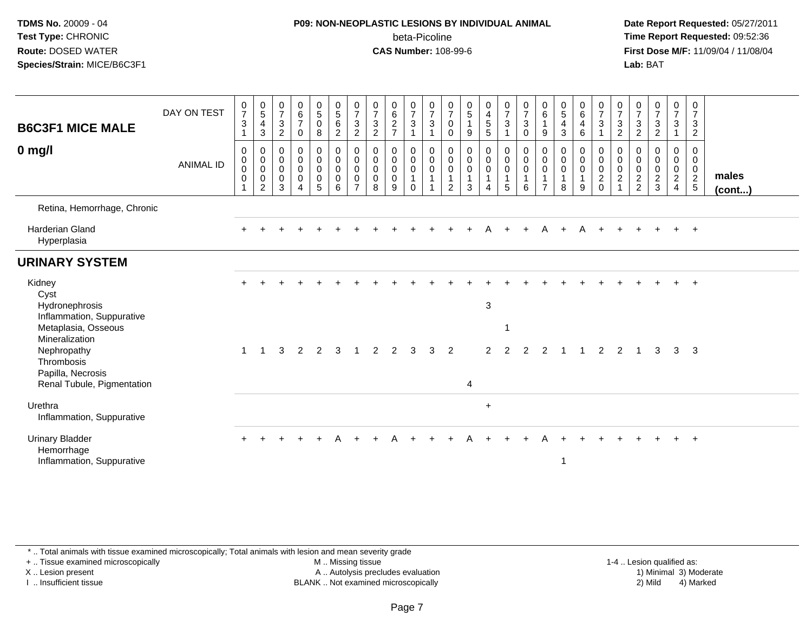#### **P09: NON-NEOPLASTIC LESIONS BY INDIVIDUAL ANIMAL** beta-Picoline**beta-Picoline**<br> **CAS Number:** 108-99-6<br> **CAS Number:** 108-99-6<br> **CAS Number:** 108-99-6

 **Date Report Requested:** 05/27/2011 **First Dose M/F:** 11/09/04 / 11/08/04<br>**Lab:** BAT **Lab:** BAT

| <b>B6C3F1 MICE MALE</b>                                                      | DAY ON TEST      | $\frac{0}{7}$<br>$\sqrt{3}$             | $\begin{array}{c} 0 \\ 5 \end{array}$<br>$\overline{4}$<br>$\mathbf{3}$ | $\frac{0}{7}$<br>$\ensuremath{\mathsf{3}}$<br>$\boldsymbol{2}$ | $\begin{array}{c} 0 \\ 6 \\ 7 \end{array}$<br>0 | $\begin{array}{c} 0 \\ 5 \end{array}$<br>$\pmb{0}$<br>8              | $\frac{0}{5}$<br>6<br>$\overline{a}$                                          | $\frac{0}{7}$<br>$\ensuremath{\mathsf{3}}$<br>$\sqrt{2}$           | $\frac{0}{7}$<br>$\ensuremath{\mathsf{3}}$<br>$\sqrt{2}$ | $\begin{array}{c} 0 \\ 6 \end{array}$<br>$\overline{c}$<br>$\overline{7}$ | $\frac{0}{7}$<br>3                          | $\begin{array}{c} 0 \\ 7 \\ 3 \end{array}$<br>$\overline{1}$                | $\frac{0}{7}$<br>$\pmb{0}$<br>$\mathbf 0$                                 | $\begin{array}{c} 0 \\ 5 \end{array}$<br>9 | $\begin{array}{c} 0 \\ 4 \\ 5 \end{array}$<br>$\sqrt{5}$ | $\frac{0}{7}$<br>$\sqrt{3}$                        | $\frac{0}{7}$<br>$\mathbf{3}$<br>$\mathbf 0$                 | $\begin{array}{c} 0 \\ 6 \end{array}$<br>9      | $\begin{array}{c} 0 \\ 5 \\ 4 \end{array}$<br>$\mathbf{3}$ | $_6^0$<br>$\overline{\mathbf{4}}$<br>6           | $\begin{array}{c} 0 \\ 7 \\ 3 \end{array}$     | $\frac{0}{7}$<br>$\sqrt{3}$<br>$\overline{2}$  | $\frac{0}{7}$<br>$\mathbf{3}$<br>$\overline{2}$ | $\frac{0}{7}$<br>$\sqrt{3}$<br>$\sqrt{2}$    | $\frac{0}{7}$<br>$\mathbf{3}$                  | $\frac{0}{7}$<br>$\mathbf{3}$<br>$\boldsymbol{2}$ |                       |
|------------------------------------------------------------------------------|------------------|-----------------------------------------|-------------------------------------------------------------------------|----------------------------------------------------------------|-------------------------------------------------|----------------------------------------------------------------------|-------------------------------------------------------------------------------|--------------------------------------------------------------------|----------------------------------------------------------|---------------------------------------------------------------------------|---------------------------------------------|-----------------------------------------------------------------------------|---------------------------------------------------------------------------|--------------------------------------------|----------------------------------------------------------|----------------------------------------------------|--------------------------------------------------------------|-------------------------------------------------|------------------------------------------------------------|--------------------------------------------------|------------------------------------------------|------------------------------------------------|-------------------------------------------------|----------------------------------------------|------------------------------------------------|---------------------------------------------------|-----------------------|
| $0$ mg/l                                                                     | <b>ANIMAL ID</b> | 0<br>$\boldsymbol{0}$<br>$\pmb{0}$<br>0 | $\mathbf 0$<br>$\overline{0}$<br>$\mathbf 0$<br>$\overline{2}$          | 0<br>$\mathbf 0$<br>$\pmb{0}$<br>0<br>3                        | 0<br>$\pmb{0}$<br>$\mathbf 0$<br>$\pmb{0}$<br>4 | $\mathbf 0$<br>$\mathsf{O}\xspace$<br>$\pmb{0}$<br>$\mathsf{O}$<br>5 | 0<br>$\overline{0}$<br>$\boldsymbol{0}$<br>$\boldsymbol{0}$<br>$6\phantom{a}$ | $\pmb{0}$<br>$\pmb{0}$<br>$\pmb{0}$<br>$\pmb{0}$<br>$\overline{7}$ | 0<br>$\pmb{0}$<br>$\pmb{0}$<br>$\mathbf 0$<br>8          | 0<br>$\pmb{0}$<br>$\mathbf 0$<br>$\mathbf 0$<br>9                         | 0<br>$\mathbf 0$<br>$\mathsf 0$<br>$\Omega$ | $\begin{smallmatrix} 0\\0 \end{smallmatrix}$<br>$\mathbf 0$<br>$\mathbf{1}$ | 0<br>$\mathsf{O}\xspace$<br>$\mathbf 0$<br>$\mathbf{1}$<br>$\overline{2}$ | 0<br>$\pmb{0}$<br>$\pmb{0}$<br>3           | $\pmb{0}$<br>$\pmb{0}$<br>$\pmb{0}$<br>$\mathbf{1}$<br>4 | 0<br>$\mathsf{O}\xspace$<br>0<br>$\mathbf{1}$<br>5 | $\pmb{0}$<br>$\mathbf 0$<br>$\mathbf 0$<br>$\mathbf{1}$<br>6 | 0<br>$\mathbf 0$<br>$\pmb{0}$<br>$\overline{7}$ | 0<br>$\pmb{0}$<br>$\pmb{0}$<br>$\mathbf{1}$<br>8           | 0<br>$\pmb{0}$<br>$\pmb{0}$<br>$\mathbf{1}$<br>9 | 0<br>$\mathbf 0$<br>$\pmb{0}$<br>$\frac{2}{0}$ | 0<br>$\pmb{0}$<br>$\mathbf 0$<br>$\frac{2}{1}$ | 0<br>$\pmb{0}$<br>$\pmb{0}$<br>$\frac{2}{2}$    | 0<br>$\pmb{0}$<br>$\pmb{0}$<br>$\frac{2}{3}$ | 0<br>$\mathbf 0$<br>$\pmb{0}$<br>$\frac{2}{4}$ | $\mathbf 0$<br>$\mathbf 0$<br>$\frac{0}{2}$       | males<br>$($ cont $)$ |
| Retina, Hemorrhage, Chronic                                                  |                  |                                         |                                                                         |                                                                |                                                 |                                                                      |                                                                               |                                                                    |                                                          |                                                                           |                                             |                                                                             |                                                                           |                                            |                                                          |                                                    |                                                              |                                                 |                                                            |                                                  |                                                |                                                |                                                 |                                              |                                                |                                                   |                       |
| <b>Harderian Gland</b><br>Hyperplasia                                        |                  |                                         |                                                                         |                                                                |                                                 |                                                                      |                                                                               |                                                                    |                                                          |                                                                           |                                             |                                                                             |                                                                           |                                            |                                                          | $+$                                                |                                                              |                                                 |                                                            | A                                                | $\ddot{}$                                      |                                                |                                                 |                                              | $+$                                            | $+$                                               |                       |
| <b>URINARY SYSTEM</b>                                                        |                  |                                         |                                                                         |                                                                |                                                 |                                                                      |                                                                               |                                                                    |                                                          |                                                                           |                                             |                                                                             |                                                                           |                                            |                                                          |                                                    |                                                              |                                                 |                                                            |                                                  |                                                |                                                |                                                 |                                              |                                                |                                                   |                       |
| Kidney<br>Cyst<br>Hydronephrosis                                             |                  |                                         |                                                                         |                                                                |                                                 |                                                                      |                                                                               |                                                                    |                                                          |                                                                           |                                             |                                                                             |                                                                           |                                            | 3                                                        |                                                    |                                                              |                                                 |                                                            |                                                  |                                                |                                                |                                                 |                                              |                                                |                                                   |                       |
| Inflammation, Suppurative<br>Metaplasia, Osseous<br>Mineralization           |                  |                                         |                                                                         |                                                                |                                                 |                                                                      |                                                                               |                                                                    |                                                          |                                                                           |                                             |                                                                             |                                                                           |                                            |                                                          |                                                    |                                                              |                                                 |                                                            |                                                  |                                                |                                                |                                                 |                                              |                                                |                                                   |                       |
| Nephropathy<br>Thrombosis<br>Papilla, Necrosis<br>Renal Tubule, Pigmentation |                  | -1                                      |                                                                         | 3                                                              | 2                                               | 2                                                                    | 3                                                                             | -1                                                                 | $\overline{2}$                                           | 2                                                                         | 3                                           | 3                                                                           | 2                                                                         | $\overline{4}$                             | 2                                                        | 2                                                  | 2                                                            | 2                                               |                                                            |                                                  | $\overline{2}$                                 | 2                                              |                                                 | 3                                            | 3                                              | -3                                                |                       |
|                                                                              |                  |                                         |                                                                         |                                                                |                                                 |                                                                      |                                                                               |                                                                    |                                                          |                                                                           |                                             |                                                                             |                                                                           |                                            |                                                          |                                                    |                                                              |                                                 |                                                            |                                                  |                                                |                                                |                                                 |                                              |                                                |                                                   |                       |
| Urethra<br>Inflammation, Suppurative                                         |                  |                                         |                                                                         |                                                                |                                                 |                                                                      |                                                                               |                                                                    |                                                          |                                                                           |                                             |                                                                             |                                                                           |                                            | $\ddot{}$                                                |                                                    |                                                              |                                                 |                                                            |                                                  |                                                |                                                |                                                 |                                              |                                                |                                                   |                       |
| <b>Urinary Bladder</b><br>Hemorrhage<br>Inflammation, Suppurative            |                  |                                         |                                                                         |                                                                |                                                 |                                                                      |                                                                               |                                                                    |                                                          |                                                                           |                                             |                                                                             |                                                                           |                                            |                                                          |                                                    |                                                              |                                                 | -1                                                         |                                                  |                                                |                                                |                                                 |                                              |                                                |                                                   |                       |

\* .. Total animals with tissue examined microscopically; Total animals with lesion and mean severity grade

+ .. Tissue examined microscopically

X .. Lesion present

I .. Insufficient tissue

M .. Missing tissue

Lesion present A .. Autolysis precludes evaluation 1) Minimal 3) Moderate

BLANK .. Not examined microscopically 2) Mild 4) Marked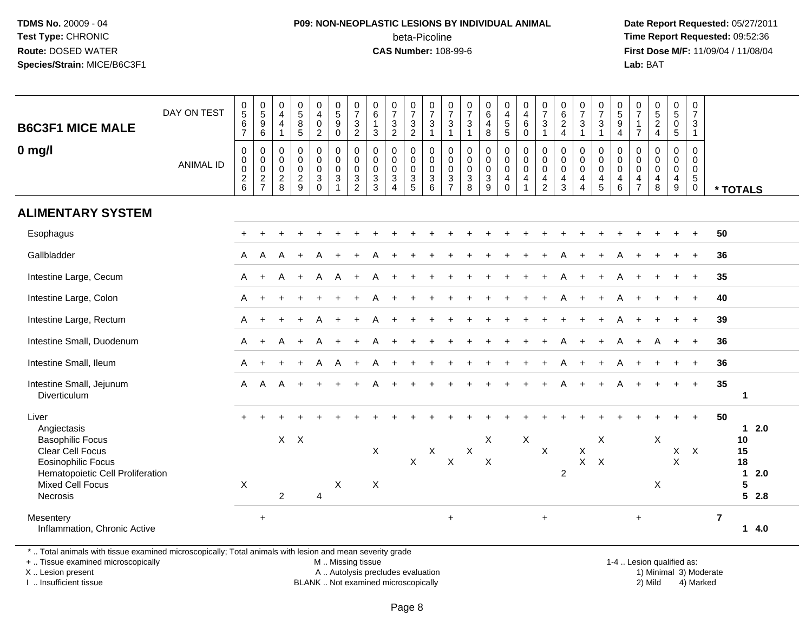#### **P09: NON-NEOPLASTIC LESIONS BY INDIVIDUAL ANIMAL** beta-Picoline**beta-Picoline**<br> **CAS Number:** 108-99-6<br> **CAS Number:** 108-99-6<br> **CAS Number:** 108-99-6

 **Date Report Requested:** 05/27/2011 **First Dose M/F:** 11/09/04 / 11/08/04<br>**Lab:** BAT **Lab:** BAT

| <b>B6C3F1 MICE MALE</b><br>$0$ mg/l                                                                                                                                  | DAY ON TEST<br><b>ANIMAL ID</b> | $\pmb{0}$<br>5<br>$\,6$<br>$\overline{7}$<br>$\boldsymbol{0}$<br>$\mathbf 0$<br>$\mathbf 0$ | $^{\rm 0}_{\rm 5}$<br>9<br>6<br>$\pmb{0}$<br>00027 | $\pmb{0}$<br>$\overline{4}$<br>$\overline{4}$<br>$\mathbf{1}$<br>$\pmb{0}$<br>$\mathsf{O}\xspace$<br>$\ddot{\mathbf{0}}$ | $\begin{array}{c} 0 \\ 5 \end{array}$<br>$\bf 8$<br>$\overline{5}$<br>$\pmb{0}$<br>$\ddot{\mathbf{0}}$<br>$\ddot{\mathbf{0}}$ | $\begin{smallmatrix}0\\4\end{smallmatrix}$<br>$\pmb{0}$<br>$\overline{2}$<br>$\begin{smallmatrix}0\\0\\0\end{smallmatrix}$<br>$\overline{3}$ | $\begin{array}{c} 0 \\ 5 \end{array}$<br>$9\,$<br>$\mathsf{O}\xspace$<br>$\pmb{0}$<br>$\ddot{\mathbf{0}}$<br>$\ddot{\mathbf{0}}$<br>$\overline{3}$ | $\frac{0}{7}$<br>3<br>$\overline{c}$<br>0<br>$\mathbf 0$<br>$\mathbf 0$<br>3 | $_{6}^{\rm 0}$<br>$\mathbf{1}$<br>$\mathfrak{Z}$<br>$\pmb{0}$<br>$\ddot{\mathbf{0}}$<br>$\overline{0}$ | $\frac{0}{7}$<br>$\sqrt{3}$<br>$\overline{2}$<br>$\pmb{0}$<br>$\bar{0}$<br>$\overline{0}$<br>$\overline{3}$ | 0<br>$\boldsymbol{7}$<br>$\sqrt{3}$<br>$\overline{c}$<br>0<br>$\bar{0}$<br>$\overline{0}$ | $\frac{0}{7}$<br>$\sqrt{3}$<br>$\overline{1}$<br>$\pmb{0}$<br>$\ddot{\mathbf{0}}$<br>$\overline{0}$<br>$\overline{3}$ | $\frac{0}{7}$<br>$\mathbf{3}$<br>$\mathbf{1}$<br>0<br>$\mathbf 0$<br>0<br>$\mathbf{3}$ | $\frac{0}{7}$<br>$\ensuremath{\mathsf{3}}$<br>$\mathbf{1}$<br>$\mathbf 0$<br>$\ddot{\mathbf{0}}$<br>$\ddot{\mathbf{0}}$<br>$\sqrt{3}$ | $_6^0$<br>$\overline{4}$<br>8<br>$\mathbf 0$<br>$\bar{0}$<br>$\ddot{\mathbf{0}}$<br>$\mathbf{3}$ | 0<br>$\frac{4}{5}$<br>$\overline{5}$<br>$\pmb{0}$<br>$\ddot{\mathbf{0}}$<br>$\overline{0}$<br>$\overline{4}$ | 0<br>$\overline{\mathbf{4}}$<br>$\,6\,$<br>$\mathbf 0$<br>$_{\rm 0}^{\rm 0}$<br>$\overline{0}$<br>$\overline{4}$ | $\frac{0}{7}$<br>$\mathbf{3}$<br>$\mathbf{1}$<br>$\mathbf 0$<br>$\mathbf 0$<br>$\ddot{\mathbf{0}}$ | $\begin{matrix} 0 \\ 6 \\ 2 \\ 4 \end{matrix}$<br>$\pmb{0}$<br>$\mathbf 0$<br>$\mathbf 0$<br>$\overline{a}$ | $\frac{0}{7}$<br>3<br>$\mathbf{1}$<br>0<br>$\mathbf 0$<br>$\mathbf 0$<br>4 | $\frac{0}{7}$<br>$\ensuremath{\mathsf{3}}$<br>$\mathbf{1}$<br>$\begin{smallmatrix}0\\0\end{smallmatrix}$<br>$\overline{0}$<br>4 | $\begin{array}{c} 0 \\ 5 \end{array}$<br>9<br>$\overline{4}$<br>0<br>$\mathbf 0$<br>$\overline{0}$<br>4 | 0<br>$\overline{7}$<br>$\mathbf{1}$<br>$\overline{7}$<br>$\pmb{0}$<br>$_{\rm 0}^{\rm 0}$ | $\frac{0}{5}$<br>$\frac{2}{4}$<br>$\pmb{0}$<br>$\ddot{\mathbf{0}}$<br>$\overline{0}$<br>$\overline{4}$ | $\begin{array}{c} 0 \\ 5 \end{array}$<br>$\pmb{0}$<br>$5\phantom{.0}$<br>0<br>$\mathbf 0$<br>$\mathbf 0$ | 0<br>$\overline{7}$<br>3<br>$\mathbf{1}$<br>$\mathsf{O}\xspace$<br>$\mathbf 0$<br>$\mathbf 0$<br>$\sqrt{5}$ |                                                                                |
|----------------------------------------------------------------------------------------------------------------------------------------------------------------------|---------------------------------|---------------------------------------------------------------------------------------------|----------------------------------------------------|--------------------------------------------------------------------------------------------------------------------------|-------------------------------------------------------------------------------------------------------------------------------|----------------------------------------------------------------------------------------------------------------------------------------------|----------------------------------------------------------------------------------------------------------------------------------------------------|------------------------------------------------------------------------------|--------------------------------------------------------------------------------------------------------|-------------------------------------------------------------------------------------------------------------|-------------------------------------------------------------------------------------------|-----------------------------------------------------------------------------------------------------------------------|----------------------------------------------------------------------------------------|---------------------------------------------------------------------------------------------------------------------------------------|--------------------------------------------------------------------------------------------------|--------------------------------------------------------------------------------------------------------------|------------------------------------------------------------------------------------------------------------------|----------------------------------------------------------------------------------------------------|-------------------------------------------------------------------------------------------------------------|----------------------------------------------------------------------------|---------------------------------------------------------------------------------------------------------------------------------|---------------------------------------------------------------------------------------------------------|------------------------------------------------------------------------------------------|--------------------------------------------------------------------------------------------------------|----------------------------------------------------------------------------------------------------------|-------------------------------------------------------------------------------------------------------------|--------------------------------------------------------------------------------|
|                                                                                                                                                                      |                                 | $\frac{2}{6}$                                                                               |                                                    | $_{\rm 8}^2$                                                                                                             | $\frac{2}{9}$                                                                                                                 | $\mathbf 0$                                                                                                                                  | $\mathbf{1}$                                                                                                                                       | $\overline{2}$                                                               | $\frac{3}{3}$                                                                                          | $\overline{4}$                                                                                              | $\frac{3}{5}$                                                                             | $\,6\,$                                                                                                               | $\overline{7}$                                                                         | 8                                                                                                                                     | 9                                                                                                | $\mathbf 0$                                                                                                  |                                                                                                                  | $\frac{4}{2}$                                                                                      | 3                                                                                                           | $\overline{4}$                                                             | 5                                                                                                                               | 6                                                                                                       | $\frac{4}{7}$                                                                            | $\,8\,$                                                                                                | $\begin{array}{c} 4 \\ 9 \end{array}$                                                                    | $\overline{0}$                                                                                              | * TOTALS                                                                       |
| <b>ALIMENTARY SYSTEM</b>                                                                                                                                             |                                 |                                                                                             |                                                    |                                                                                                                          |                                                                                                                               |                                                                                                                                              |                                                                                                                                                    |                                                                              |                                                                                                        |                                                                                                             |                                                                                           |                                                                                                                       |                                                                                        |                                                                                                                                       |                                                                                                  |                                                                                                              |                                                                                                                  |                                                                                                    |                                                                                                             |                                                                            |                                                                                                                                 |                                                                                                         |                                                                                          |                                                                                                        |                                                                                                          |                                                                                                             |                                                                                |
| Esophagus                                                                                                                                                            |                                 |                                                                                             |                                                    |                                                                                                                          |                                                                                                                               |                                                                                                                                              |                                                                                                                                                    |                                                                              |                                                                                                        |                                                                                                             |                                                                                           |                                                                                                                       |                                                                                        |                                                                                                                                       |                                                                                                  |                                                                                                              |                                                                                                                  |                                                                                                    |                                                                                                             |                                                                            |                                                                                                                                 |                                                                                                         |                                                                                          |                                                                                                        |                                                                                                          |                                                                                                             | 50                                                                             |
| Gallbladder                                                                                                                                                          |                                 | A                                                                                           | A                                                  | A                                                                                                                        | $\ddot{}$                                                                                                                     | A                                                                                                                                            |                                                                                                                                                    |                                                                              |                                                                                                        |                                                                                                             |                                                                                           |                                                                                                                       |                                                                                        |                                                                                                                                       |                                                                                                  |                                                                                                              |                                                                                                                  |                                                                                                    |                                                                                                             |                                                                            |                                                                                                                                 | А                                                                                                       |                                                                                          |                                                                                                        | $+$                                                                                                      | $+$                                                                                                         | 36                                                                             |
| Intestine Large, Cecum                                                                                                                                               |                                 | A                                                                                           | $\ddot{}$                                          | А                                                                                                                        | $\ddot{}$                                                                                                                     | A                                                                                                                                            | A                                                                                                                                                  | $\ddot{}$                                                                    |                                                                                                        | $\overline{ }$                                                                                              |                                                                                           |                                                                                                                       |                                                                                        |                                                                                                                                       |                                                                                                  |                                                                                                              |                                                                                                                  |                                                                                                    |                                                                                                             |                                                                            |                                                                                                                                 | А                                                                                                       |                                                                                          |                                                                                                        | $+$                                                                                                      | $+$                                                                                                         | 35                                                                             |
| Intestine Large, Colon                                                                                                                                               |                                 | A                                                                                           |                                                    |                                                                                                                          |                                                                                                                               |                                                                                                                                              |                                                                                                                                                    |                                                                              |                                                                                                        |                                                                                                             |                                                                                           |                                                                                                                       |                                                                                        |                                                                                                                                       |                                                                                                  |                                                                                                              |                                                                                                                  |                                                                                                    |                                                                                                             |                                                                            |                                                                                                                                 | A                                                                                                       |                                                                                          |                                                                                                        |                                                                                                          | $\ddot{}$                                                                                                   | 40                                                                             |
| Intestine Large, Rectum                                                                                                                                              |                                 | A                                                                                           |                                                    |                                                                                                                          |                                                                                                                               |                                                                                                                                              |                                                                                                                                                    |                                                                              |                                                                                                        |                                                                                                             |                                                                                           |                                                                                                                       |                                                                                        |                                                                                                                                       |                                                                                                  |                                                                                                              |                                                                                                                  |                                                                                                    |                                                                                                             |                                                                            |                                                                                                                                 |                                                                                                         |                                                                                          |                                                                                                        |                                                                                                          | $\ddot{}$                                                                                                   | 39                                                                             |
| Intestine Small, Duodenum                                                                                                                                            |                                 | A                                                                                           |                                                    |                                                                                                                          |                                                                                                                               | A                                                                                                                                            |                                                                                                                                                    |                                                                              |                                                                                                        |                                                                                                             |                                                                                           |                                                                                                                       |                                                                                        |                                                                                                                                       |                                                                                                  |                                                                                                              |                                                                                                                  |                                                                                                    |                                                                                                             |                                                                            |                                                                                                                                 | Α                                                                                                       |                                                                                          |                                                                                                        |                                                                                                          | $+$                                                                                                         | 36                                                                             |
| Intestine Small, Ileum                                                                                                                                               |                                 | A                                                                                           |                                                    |                                                                                                                          | $\ddot{}$                                                                                                                     | Α                                                                                                                                            | Α                                                                                                                                                  | $\ddot{}$                                                                    |                                                                                                        |                                                                                                             |                                                                                           |                                                                                                                       |                                                                                        |                                                                                                                                       |                                                                                                  |                                                                                                              |                                                                                                                  |                                                                                                    |                                                                                                             |                                                                            |                                                                                                                                 | А                                                                                                       |                                                                                          |                                                                                                        | $\ddot{}$                                                                                                | $\ddot{}$                                                                                                   | 36                                                                             |
| Intestine Small, Jejunum<br>Diverticulum                                                                                                                             |                                 | A                                                                                           | А                                                  |                                                                                                                          |                                                                                                                               |                                                                                                                                              |                                                                                                                                                    |                                                                              |                                                                                                        |                                                                                                             |                                                                                           |                                                                                                                       |                                                                                        |                                                                                                                                       |                                                                                                  |                                                                                                              |                                                                                                                  |                                                                                                    |                                                                                                             |                                                                            |                                                                                                                                 |                                                                                                         |                                                                                          |                                                                                                        |                                                                                                          | $+$                                                                                                         | 35<br>1                                                                        |
| Liver<br>Angiectasis<br><b>Basophilic Focus</b><br>Clear Cell Focus<br><b>Eosinophilic Focus</b><br>Hematopoietic Cell Proliferation<br>Mixed Cell Focus<br>Necrosis |                                 | $\boldsymbol{\mathsf{X}}$                                                                   |                                                    | $\overline{2}$                                                                                                           | $X$ $X$                                                                                                                       | 4                                                                                                                                            | X                                                                                                                                                  |                                                                              | $\mathsf X$<br>$\mathsf X$                                                                             |                                                                                                             | $\pmb{\times}$                                                                            | $\mathsf{X}$                                                                                                          | $\mathsf X$                                                                            | $\mathsf{X}$                                                                                                                          | X<br>$\boldsymbol{\mathsf{X}}$                                                                   |                                                                                                              | $\boldsymbol{\mathsf{X}}$                                                                                        | $\mathsf{X}$                                                                                       | $\overline{c}$                                                                                              | X<br>$\mathsf{X}$                                                          | X<br>$\mathsf{X}$                                                                                                               |                                                                                                         |                                                                                          | X<br>X                                                                                                 | X<br>$\pmb{\times}$                                                                                      | $+$<br>$\mathsf{X}$                                                                                         | 50<br>2.0<br>$\mathbf 1$<br>10<br>15<br>18<br>2.0<br>$\mathbf{1}$<br>5<br>52.8 |
| Mesentery<br>Inflammation, Chronic Active                                                                                                                            |                                 |                                                                                             | $\ddot{}$                                          |                                                                                                                          |                                                                                                                               |                                                                                                                                              |                                                                                                                                                    |                                                                              |                                                                                                        |                                                                                                             |                                                                                           |                                                                                                                       | $\ddot{}$                                                                              |                                                                                                                                       |                                                                                                  |                                                                                                              |                                                                                                                  | $\ddot{}$                                                                                          |                                                                                                             |                                                                            |                                                                                                                                 |                                                                                                         | $+$                                                                                      |                                                                                                        |                                                                                                          |                                                                                                             | $\overline{7}$<br>14.0                                                         |

\* .. Total animals with tissue examined microscopically; Total animals with lesion and mean severity grade

+ .. Tissue examined microscopically

X .. Lesion present

I .. Insufficient tissue

M .. Missing tissue

BLANK .. Not examined microscopically

1-4 .. Lesion qualified as:<br>1) Minimal 3) Moderate A .. Autolysis precludes evaluation 19 (1999) 1999 10: 12 (1999) 1999 10: 12 (1999) A .. Autolysis precludes evaluation 1999 10: 13 (1999) 1999 10: 13 (1999) 1999 10: 13 (1999) 1999 10: 13 (1999) 1999 10: 13 (1999) 1999 10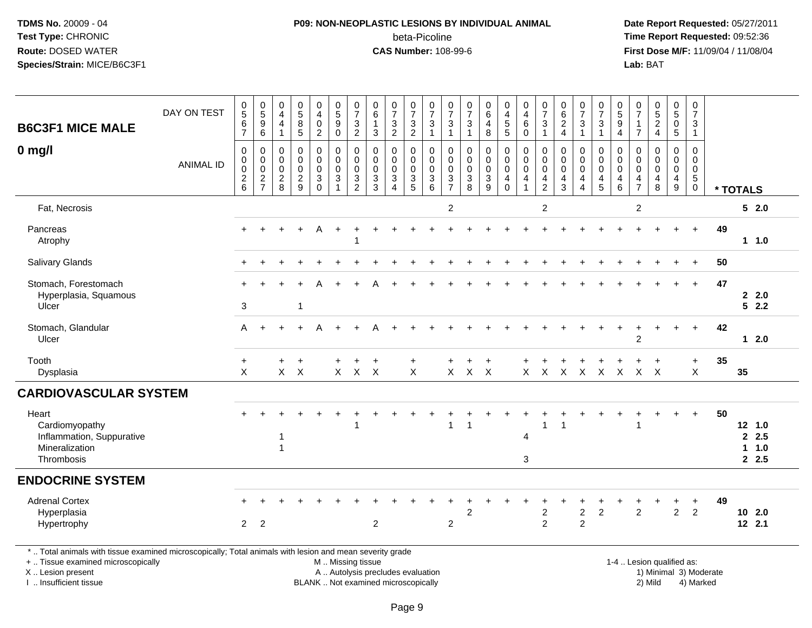# **P09: NON-NEOPLASTIC LESIONS BY INDIVIDUAL ANIMAL**beta-Picoline<br>CAS Number: 108-99-6

 **Date Report Requested:** 05/27/2011 **Time Report Requested:** 09:52:36 **First Dose M/F:** 11/09/04 / 11/08/04<br>Lab: BAT **Lab:** BAT

| <b>B6C3F1 MICE MALE</b>                                                                                                                        | DAY ON TEST      | $\begin{array}{c} 0 \\ 5 \end{array}$<br>6<br>$\overline{7}$ | $\begin{array}{c} 0 \\ 5 \end{array}$<br>9<br>6     | 0<br>$\overline{4}$<br>$\overline{\mathbf{4}}$   | $\begin{array}{c} 0 \\ 5 \end{array}$<br>$\bf 8$<br>$\sqrt{5}$ | 0<br>$\overline{4}$<br>$\pmb{0}$<br>$\overline{2}$                        | $\begin{array}{c} 0 \\ 5 \end{array}$<br>$\boldsymbol{9}$<br>$\mathbf 0$  | $\frac{0}{7}$<br>$\ensuremath{\mathsf{3}}$<br>$\overline{c}$       | 0<br>$\,6\,$<br>$\mathbf{1}$<br>$\mathbf{3}$                                | $\begin{array}{c} 0 \\ 7 \end{array}$<br>$\ensuremath{\mathsf{3}}$<br>$\overline{c}$ | $\begin{array}{c} 0 \\ 7 \end{array}$<br>$\frac{3}{2}$     | $\frac{0}{7}$<br>$\ensuremath{\mathsf{3}}$<br>$\overline{1}$ | $\frac{0}{7}$<br>$\sqrt{3}$<br>$\mathbf{1}$                                                   | $\frac{0}{7}$<br>$\sqrt{3}$<br>$\mathbf{1}$                       | $_6^0$<br>$\overline{4}$<br>8                   | $\begin{smallmatrix}0\0\4\end{smallmatrix}$<br>$\sqrt{5}$<br>$5\phantom{.0}$ | $\begin{smallmatrix}0\\4\end{smallmatrix}$<br>$\,6\,$<br>$\pmb{0}$          | $\frac{0}{7}$<br>$\ensuremath{\mathsf{3}}$<br>$\overline{1}$ | 0<br>$\,6\,$<br>$\sqrt{2}$<br>$\overline{4}$                       | $\frac{0}{7}$<br>$\mathsf 3$<br>$\mathbf{1}$                      | $\frac{0}{7}$<br>$\mathsf 3$<br>$\overline{1}$                                       | $\begin{smallmatrix}0\\5\end{smallmatrix}$<br>$\boldsymbol{9}$<br>$\overline{4}$ | 0<br>$\overline{7}$<br>$\mathbf{1}$<br>$\overline{7}$                      | $\begin{array}{c} 0 \\ 5 \end{array}$<br>$\frac{2}{4}$                            | $\begin{array}{c} 0 \\ 5 \end{array}$<br>$\pmb{0}$<br>$\sqrt{5}$                        | $\pmb{0}$<br>$\overline{7}$<br>3<br>$\mathbf{1}$                 |    |              |                             |
|------------------------------------------------------------------------------------------------------------------------------------------------|------------------|--------------------------------------------------------------|-----------------------------------------------------|--------------------------------------------------|----------------------------------------------------------------|---------------------------------------------------------------------------|---------------------------------------------------------------------------|--------------------------------------------------------------------|-----------------------------------------------------------------------------|--------------------------------------------------------------------------------------|------------------------------------------------------------|--------------------------------------------------------------|-----------------------------------------------------------------------------------------------|-------------------------------------------------------------------|-------------------------------------------------|------------------------------------------------------------------------------|-----------------------------------------------------------------------------|--------------------------------------------------------------|--------------------------------------------------------------------|-------------------------------------------------------------------|--------------------------------------------------------------------------------------|----------------------------------------------------------------------------------|----------------------------------------------------------------------------|-----------------------------------------------------------------------------------|-----------------------------------------------------------------------------------------|------------------------------------------------------------------|----|--------------|-----------------------------|
| $0$ mg/l                                                                                                                                       | <b>ANIMAL ID</b> | $\pmb{0}$<br>$\pmb{0}$<br>$\overline{0}$<br>$\frac{2}{6}$    | 0<br>$\mathbf 0$<br>$\overline{0}$<br>$\frac{2}{7}$ | $\mathbf 0$<br>$\mathbf 0$<br>0<br>$\frac{2}{8}$ | $\mathbf 0$<br>$\pmb{0}$<br>$\overline{0}$<br>$\frac{2}{9}$    | 0<br>0<br>$\ddot{\mathbf{0}}$<br>$\ensuremath{\mathsf{3}}$<br>$\mathbf 0$ | $\pmb{0}$<br>$\mathbf 0$<br>$\mathbf 0$<br>$\overline{3}$<br>$\mathbf{1}$ | 0<br>0<br>$\pmb{0}$<br>$\ensuremath{\mathsf{3}}$<br>$\overline{2}$ | $\mathbf 0$<br>$\mathbf 0$<br>$\mathbf 0$<br>$\ensuremath{\mathsf{3}}$<br>3 | $\mathbf 0$<br>$\mathbf 0$<br>$\pmb{0}$<br>$\overline{3}$<br>$\boldsymbol{\Lambda}$  | $\mathbf 0$<br>$\mathbf 0$<br>$\mathbf 0$<br>$\frac{3}{5}$ | 0<br>$\mathbf 0$<br>$\mathbf 0$<br>$\overline{3}$<br>6       | $\mathbf 0$<br>$\mathbf 0$<br>$\boldsymbol{0}$<br>$\ensuremath{\mathsf{3}}$<br>$\overline{7}$ | $\pmb{0}$<br>$\mathbf 0$<br>$\overline{0}$<br>$\overline{3}$<br>8 | 0<br>0<br>$\overline{0}$<br>$\overline{3}$<br>9 | 0<br>0<br>$\ddot{\mathbf{0}}$<br>$\overline{4}$<br>$\mathbf 0$               | $\mathbf 0$<br>$\mathbf 0$<br>$\pmb{0}$<br>$\overline{4}$<br>$\overline{1}$ | $\mathbf 0$<br>$\mathbf 0$<br>0<br>4<br>$\overline{c}$       | $\mathbf 0$<br>$\Omega$<br>$\boldsymbol{0}$<br>$\overline{4}$<br>3 | 0<br>$\mathbf 0$<br>$\pmb{0}$<br>$\overline{4}$<br>$\overline{4}$ | 0<br>$\mathsf 0$<br>$\ddot{\mathbf{0}}$<br>$\overline{\mathbf{4}}$<br>$\overline{5}$ | $\mathbf 0$<br>$\mathbf 0$<br>$\overline{0}$<br>$\overline{4}$<br>$6\phantom{1}$ | $\mathbf 0$<br>$\Omega$<br>$\mathbf 0$<br>$\overline{4}$<br>$\overline{7}$ | $\mathbf 0$<br>$\mathbf 0$<br>$\mathsf{O}\xspace$<br>$\overline{\mathbf{4}}$<br>8 | $\mathbf 0$<br>$\mathbf 0$<br>$\mathsf{O}\xspace$<br>$\overline{4}$<br>$\boldsymbol{9}$ | 0<br>$\mathbf 0$<br>$\mathbf 0$<br>$\overline{5}$<br>$\mathbf 0$ |    | * TOTALS     |                             |
| Fat, Necrosis                                                                                                                                  |                  |                                                              |                                                     |                                                  |                                                                |                                                                           |                                                                           |                                                                    |                                                                             |                                                                                      |                                                            |                                                              | $\boldsymbol{2}$                                                                              |                                                                   |                                                 |                                                                              |                                                                             | $\boldsymbol{2}$                                             |                                                                    |                                                                   |                                                                                      |                                                                                  | $\boldsymbol{2}$                                                           |                                                                                   |                                                                                         |                                                                  |    |              | 52.0                        |
| Pancreas<br>Atrophy                                                                                                                            |                  |                                                              |                                                     |                                                  |                                                                | A                                                                         | $\ddot{}$                                                                 |                                                                    |                                                                             |                                                                                      |                                                            |                                                              |                                                                                               |                                                                   |                                                 |                                                                              |                                                                             |                                                              |                                                                    |                                                                   |                                                                                      |                                                                                  |                                                                            |                                                                                   |                                                                                         | $\ddot{}$                                                        | 49 |              | 1 1.0                       |
| <b>Salivary Glands</b>                                                                                                                         |                  |                                                              | ÷.                                                  |                                                  |                                                                |                                                                           |                                                                           |                                                                    |                                                                             |                                                                                      |                                                            |                                                              |                                                                                               |                                                                   |                                                 |                                                                              |                                                                             |                                                              |                                                                    |                                                                   |                                                                                      |                                                                                  |                                                                            |                                                                                   |                                                                                         | $\ddot{}$                                                        | 50 |              |                             |
| Stomach, Forestomach<br>Hyperplasia, Squamous<br>Ulcer                                                                                         |                  | $\mathbf{3}$                                                 |                                                     |                                                  | $\mathbf 1$                                                    |                                                                           |                                                                           |                                                                    |                                                                             |                                                                                      |                                                            |                                                              |                                                                                               |                                                                   |                                                 |                                                                              |                                                                             |                                                              |                                                                    |                                                                   |                                                                                      |                                                                                  |                                                                            |                                                                                   |                                                                                         | $\div$                                                           | 47 |              | 2.0<br>52.2                 |
| Stomach, Glandular<br>Ulcer                                                                                                                    |                  | A                                                            |                                                     |                                                  |                                                                | A                                                                         |                                                                           |                                                                    |                                                                             |                                                                                      |                                                            |                                                              |                                                                                               |                                                                   |                                                 |                                                                              |                                                                             |                                                              |                                                                    |                                                                   |                                                                                      |                                                                                  | $\overline{2}$                                                             |                                                                                   |                                                                                         |                                                                  | 42 |              | $12.0$                      |
| Tooth<br>Dysplasia                                                                                                                             |                  | $\ddot{}$<br>$\mathsf{X}$                                    |                                                     | $\mathsf{X}$                                     | $\sf X$                                                        |                                                                           | $\mathsf{X}$                                                              |                                                                    | $X$ $X$                                                                     |                                                                                      | $\pm$<br>X                                                 |                                                              | X                                                                                             | $\mathsf{X}$                                                      | $\mathsf{X}$                                    |                                                                              | $\mathsf{X}$                                                                | X                                                            | $\times$                                                           | $\boldsymbol{\mathsf{X}}$                                         | $\mathsf{X}$                                                                         | X                                                                                | $\mathsf{X}$                                                               | $\boldsymbol{\mathsf{X}}$                                                         |                                                                                         | $+$<br>$\mathsf{X}$                                              | 35 | 35           |                             |
| <b>CARDIOVASCULAR SYSTEM</b>                                                                                                                   |                  |                                                              |                                                     |                                                  |                                                                |                                                                           |                                                                           |                                                                    |                                                                             |                                                                                      |                                                            |                                                              |                                                                                               |                                                                   |                                                 |                                                                              |                                                                             |                                                              |                                                                    |                                                                   |                                                                                      |                                                                                  |                                                                            |                                                                                   |                                                                                         |                                                                  |    |              |                             |
| Heart<br>Cardiomyopathy<br>Inflammation, Suppurative<br>Mineralization<br>Thrombosis                                                           |                  | $+$                                                          |                                                     | $\overline{1}$                                   |                                                                |                                                                           |                                                                           | $\mathbf{1}$                                                       |                                                                             |                                                                                      |                                                            |                                                              | 1                                                                                             | 1                                                                 |                                                 |                                                                              | 4<br>$\mathbf{3}$                                                           |                                                              | -1                                                                 |                                                                   |                                                                                      |                                                                                  |                                                                            |                                                                                   |                                                                                         | $\ddot{}$                                                        | 50 | $\mathbf{1}$ | 12 1.0<br>2.5<br>1.0<br>2.5 |
| <b>ENDOCRINE SYSTEM</b>                                                                                                                        |                  |                                                              |                                                     |                                                  |                                                                |                                                                           |                                                                           |                                                                    |                                                                             |                                                                                      |                                                            |                                                              |                                                                                               |                                                                   |                                                 |                                                                              |                                                                             |                                                              |                                                                    |                                                                   |                                                                                      |                                                                                  |                                                                            |                                                                                   |                                                                                         |                                                                  |    |              |                             |
| <b>Adrenal Cortex</b><br>Hyperplasia<br>Hypertrophy                                                                                            |                  | $\overline{2}$                                               | $\overline{2}$                                      |                                                  |                                                                |                                                                           |                                                                           |                                                                    | $\overline{c}$                                                              |                                                                                      |                                                            |                                                              | $\boldsymbol{2}$                                                                              | $\overline{2}$                                                    |                                                 |                                                                              |                                                                             | $\overline{2}$<br>$\overline{c}$                             |                                                                    | $\mathbf 2$<br>$\overline{c}$                                     | $\overline{2}$                                                                       |                                                                                  | $\overline{2}$                                                             |                                                                                   | $\overline{2}$                                                                          | $\overline{2}$                                                   | 49 |              | 102.0<br>$12$ 2.1           |
| *  Total animals with tissue examined microscopically; Total animals with lesion and mean severity grade<br>+  Tissue examined microscopically |                  |                                                              |                                                     |                                                  |                                                                |                                                                           | M  Missing tissue                                                         |                                                                    |                                                                             |                                                                                      |                                                            |                                                              |                                                                                               |                                                                   |                                                 |                                                                              |                                                                             |                                                              |                                                                    |                                                                   |                                                                                      |                                                                                  |                                                                            | 1-4  Lesion qualified as:                                                         |                                                                                         |                                                                  |    |              |                             |

X .. Lesion present

I .. Insufficient tissue

A .. Autolysis precludes evaluation

BLANK .. Not examined microscopically 2) Mild 4) Marked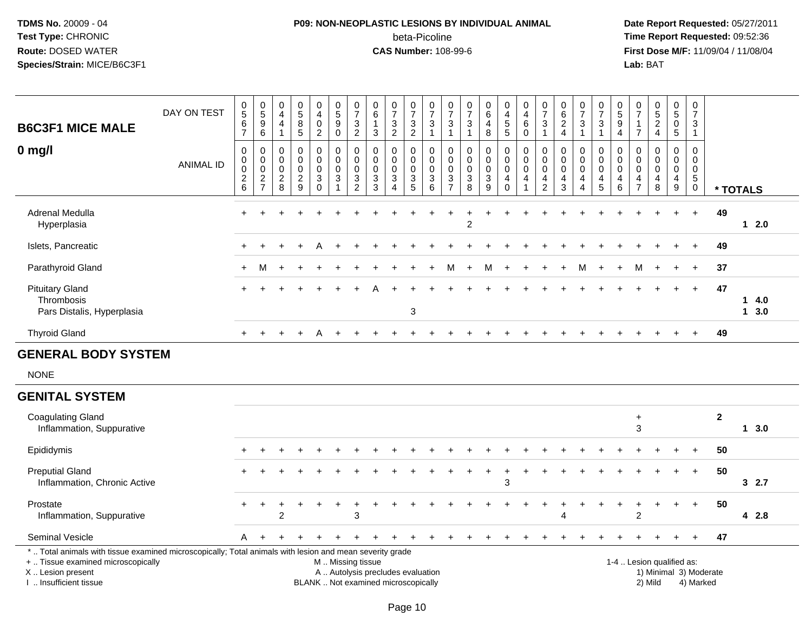# **P09: NON-NEOPLASTIC LESIONS BY INDIVIDUAL ANIMAL**beta-Picoline<br>CAS Number: 108-99-6

 **Date Report Requested:** 05/27/2011 **Time Report Requested:** 09:52:36 **First Dose M/F:** 11/09/04 / 11/08/04<br>Lab: BAT **Lab:** BAT

| <b>B6C3F1 MICE MALE</b>                                            | DAY ON TEST | $\begin{array}{c} 0 \\ 5 \end{array}$<br>$\,6\,$<br>$\overline{z}$ | $\begin{array}{c} 0 \\ 5 \end{array}$<br>9<br>6        | 0<br>$\overline{\mathbf{4}}$<br>$\overline{4}$         | $\begin{array}{c} 0 \\ 5 \end{array}$<br>$\bf 8$<br>5        | 0<br>$\overline{4}$<br>$\pmb{0}$<br>$\overline{c}$                 | $\begin{array}{c} 0 \\ 5 \end{array}$<br>$\boldsymbol{9}$<br>$\pmb{0}$ | $\frac{0}{7}$<br>3<br>$\overline{c}$         | $\begin{array}{c} 0 \\ 6 \end{array}$<br>3               | $\frac{0}{7}$<br>$\mathbf{3}$<br>$\overline{2}$  | $\frac{0}{7}$<br>$\ensuremath{\mathsf{3}}$<br>$\boldsymbol{2}$ | $\frac{0}{7}$<br>$\sqrt{3}$                        | $\frac{0}{7}$<br>3                                            | 0<br>$\boldsymbol{7}$<br>3                                                   | $\overline{0}$<br>6<br>$\overline{4}$<br>8 | $_4^{\rm O}$<br>$\sqrt{5}$<br>$\sqrt{5}$                 | 0<br>$\overline{\mathbf{4}}$<br>$\,6\,$<br>$\pmb{0}$       | $\frac{0}{7}$<br>$\sqrt{3}$                                                        | $\begin{matrix} 0 \\ 6 \\ 2 \end{matrix}$<br>$\overline{4}$           | 0<br>$\overline{7}$<br>3      | $\frac{0}{7}$<br>$\sqrt{3}$             | $\begin{array}{c} 0 \\ 5 \end{array}$<br>$\boldsymbol{9}$<br>4                                | 0<br>$\overline{ }$                                                      | $\begin{array}{c} 0 \\ 5 \\ 2 \end{array}$<br>$\overline{4}$ | 0<br>5<br>0<br>5      | 0<br>$\overline{7}$<br>$\ensuremath{\mathsf{3}}$<br>$\overline{1}$ |    |                                 |
|--------------------------------------------------------------------|-------------|--------------------------------------------------------------------|--------------------------------------------------------|--------------------------------------------------------|--------------------------------------------------------------|--------------------------------------------------------------------|------------------------------------------------------------------------|----------------------------------------------|----------------------------------------------------------|--------------------------------------------------|----------------------------------------------------------------|----------------------------------------------------|---------------------------------------------------------------|------------------------------------------------------------------------------|--------------------------------------------|----------------------------------------------------------|------------------------------------------------------------|------------------------------------------------------------------------------------|-----------------------------------------------------------------------|-------------------------------|-----------------------------------------|-----------------------------------------------------------------------------------------------|--------------------------------------------------------------------------|--------------------------------------------------------------|-----------------------|--------------------------------------------------------------------|----|---------------------------------|
| $0$ mg/l                                                           | ANIMAL ID   | $\pmb{0}$<br>$\mathbf 0$<br>$\mathbf 0$<br>$\frac{2}{6}$           | $\pmb{0}$<br>$\pmb{0}$<br>$\mathbf 0$<br>$\frac{2}{7}$ | $\,0\,$<br>$\mathbf 0$<br>$\mathbf 0$<br>$\frac{2}{8}$ | $\pmb{0}$<br>$\mathbf 0$<br>$\pmb{0}$<br>$\overline{2}$<br>9 | $\mathbf 0$<br>$\pmb{0}$<br>$\pmb{0}$<br>$\sqrt{3}$<br>$\mathbf 0$ | $\pmb{0}$<br>$\pmb{0}$<br>$_{3}^{\rm 0}$                               | 0<br>$\mathbf 0$<br>0<br>3<br>$\overline{2}$ | $\pmb{0}$<br>$\pmb{0}$<br>$\pmb{0}$<br>$\mathbf{3}$<br>3 | 0<br>$\pmb{0}$<br>$\pmb{0}$<br>$\mathbf{3}$<br>4 | 0<br>0<br>0<br>$\sqrt{3}$<br>5                                 | $_{\rm 0}^{\rm 0}$<br>$\pmb{0}$<br>$\sqrt{3}$<br>6 | $\pmb{0}$<br>$\mathbf 0$<br>0<br>$\sqrt{3}$<br>$\overline{ }$ | $\boldsymbol{0}$<br>$\pmb{0}$<br>$\pmb{0}$<br>$\ensuremath{\mathsf{3}}$<br>8 | 0<br>$\boldsymbol{0}$<br>0<br>3<br>9       | $_{\rm 0}^{\rm 0}$<br>$\mathbf 0$<br>$\overline{4}$<br>0 | $_{\rm 0}^{\rm 0}$<br>$\pmb{0}$<br>$\overline{\mathbf{4}}$ | $\begin{smallmatrix} 0\\0 \end{smallmatrix}$<br>$\mathbf 0$<br>4<br>$\overline{2}$ | $\pmb{0}$<br>$\pmb{0}$<br>$\pmb{0}$<br>$\overline{4}$<br>$\mathbf{3}$ | 0<br>$\pmb{0}$<br>0<br>4<br>4 | 0<br>$\pmb{0}$<br>$\mathbf 0$<br>4<br>5 | $\begin{smallmatrix}0\\0\end{smallmatrix}$<br>$\pmb{0}$<br>$\overline{\mathbf{r}}$<br>$\,6\,$ | 0<br>$\pmb{0}$<br>$\pmb{0}$<br>$\overline{\mathbf{4}}$<br>$\overline{ }$ | $\pmb{0}$<br>$\mathbf 0$<br>$\pmb{0}$<br>4<br>8              | 0<br>0<br>0<br>4<br>9 | 0<br>0<br>0<br>$\overline{5}$<br>$\mathbf 0$                       |    | * TOTALS                        |
| Adrenal Medulla<br>Hyperplasia                                     |             | $+$                                                                |                                                        |                                                        |                                                              |                                                                    |                                                                        |                                              |                                                          |                                                  |                                                                |                                                    |                                                               | 2                                                                            |                                            |                                                          |                                                            |                                                                                    |                                                                       |                               |                                         |                                                                                               |                                                                          |                                                              | $\pm$                 | $+$                                                                | 49 | 2.0<br>1.                       |
| Islets, Pancreatic                                                 |             |                                                                    |                                                        |                                                        |                                                              | А                                                                  |                                                                        |                                              |                                                          |                                                  |                                                                |                                                    |                                                               |                                                                              |                                            |                                                          |                                                            |                                                                                    |                                                                       |                               |                                         |                                                                                               |                                                                          |                                                              | $\ddot{}$             | $+$                                                                | 49 |                                 |
| Parathyroid Gland                                                  |             | $+$                                                                | М                                                      | $+$                                                    |                                                              |                                                                    |                                                                        |                                              |                                                          |                                                  |                                                                |                                                    | м                                                             | $+$                                                                          | м                                          | $+$                                                      |                                                            |                                                                                    |                                                                       | м                             | $+$                                     | $+$                                                                                           | м                                                                        | $\ddot{}$                                                    | $+$                   | $+$                                                                | 37 |                                 |
| <b>Pituitary Gland</b><br>Thrombosis<br>Pars Distalis, Hyperplasia |             |                                                                    |                                                        |                                                        |                                                              |                                                                    |                                                                        |                                              |                                                          |                                                  | 3                                                              |                                                    |                                                               |                                                                              |                                            |                                                          |                                                            |                                                                                    |                                                                       |                               |                                         |                                                                                               |                                                                          |                                                              |                       | $+$                                                                | 47 | 4.0<br>-1<br>3.0<br>$\mathbf 1$ |
| <b>Thyroid Gland</b>                                               |             | $\pm$                                                              |                                                        |                                                        |                                                              | Α                                                                  |                                                                        |                                              |                                                          |                                                  |                                                                |                                                    |                                                               |                                                                              |                                            |                                                          |                                                            |                                                                                    |                                                                       |                               |                                         |                                                                                               |                                                                          |                                                              |                       |                                                                    | 49 |                                 |

### **GENERAL BODY SYSTEM**

NONE

### **GENITAL SYSTEM**

| <b>JENIIAL JIJIEM</b>                                                                                                                                                                     |       |       |   |  |                   |   |                                                                          |  |  |  |   |  |   |  |   |         |                           |                                     |    |       |  |
|-------------------------------------------------------------------------------------------------------------------------------------------------------------------------------------------|-------|-------|---|--|-------------------|---|--------------------------------------------------------------------------|--|--|--|---|--|---|--|---|---------|---------------------------|-------------------------------------|----|-------|--|
| <b>Coagulating Gland</b><br>Inflammation, Suppurative                                                                                                                                     |       |       |   |  |                   |   |                                                                          |  |  |  |   |  |   |  | 3 |         |                           |                                     |    | 3.0   |  |
| Epididymis                                                                                                                                                                                |       |       |   |  |                   |   |                                                                          |  |  |  |   |  |   |  |   |         |                           |                                     | 50 |       |  |
| <b>Preputial Gland</b><br>Inflammation, Chronic Active                                                                                                                                    | $\pm$ |       |   |  |                   |   |                                                                          |  |  |  | 3 |  |   |  |   |         |                           | $+$                                 | 50 | 32.7  |  |
| Prostate<br>Inflammation, Suppurative                                                                                                                                                     |       |       | 2 |  |                   | 3 |                                                                          |  |  |  |   |  | 4 |  | 2 |         |                           | $+$                                 | 50 | 4 2.8 |  |
| <b>Seminal Vesicle</b>                                                                                                                                                                    | A     | $\pm$ |   |  |                   |   |                                                                          |  |  |  |   |  |   |  |   |         |                           |                                     | 47 |       |  |
| *  Total animals with tissue examined microscopically; Total animals with lesion and mean severity grade<br>+  Tissue examined microscopically<br>X Lesion present<br>Insufficient tissue |       |       |   |  | M  Missing tissue |   | A  Autolysis precludes evaluation<br>BLANK  Not examined microscopically |  |  |  |   |  |   |  |   | 2) Mild | 1-4  Lesion qualified as: | 1) Minimal 3) Moderate<br>4) Marked |    |       |  |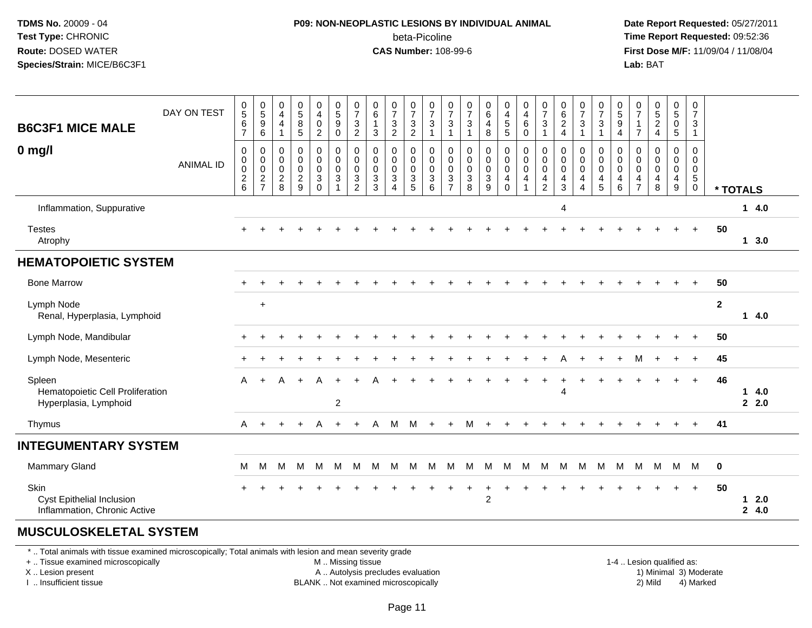#### **P09: NON-NEOPLASTIC LESIONS BY INDIVIDUAL ANIMAL** beta-Picoline**beta-Picoline**<br> **CAS Number:** 108-99-6<br> **CAS Number:** 108-99-6<br> **CAS Number:** 108-99-6

 **Date Report Requested:** 05/27/2011 **First Dose M/F:** 11/09/04 / 11/08/04<br>**Lab:** BAT **Lab:** BAT

|                                                                          | DAY ON TEST      | 0<br>5<br>6                                                  | $\begin{array}{c} 0 \\ 5 \\ 9 \end{array}$       | 0<br>4<br>4                                 | $^{\rm 0}_{\rm 5}$<br>$\bf 8$                          | 0<br>$\overline{4}$<br>$\pmb{0}$                            | $\begin{smallmatrix} 0\\5 \end{smallmatrix}$<br>9 | $\frac{0}{7}$<br>$\sqrt{3}$                            | $\begin{array}{c} 0 \\ 6 \end{array}$<br>$\overline{1}$ | $\frac{0}{7}$<br>$\ensuremath{\mathsf{3}}$                    | $\frac{0}{7}$<br>$\ensuremath{\mathsf{3}}$                      | $\frac{0}{7}$<br>$\ensuremath{\mathsf{3}}$                     | $\frac{0}{7}$<br>3                     | $\frac{0}{7}$<br>3                                      | $_{6}^{\rm 0}$<br>4                              | $\begin{array}{c} 0 \\ 4 \\ 5 \\ 5 \end{array}$                  | 0<br>$\overline{\mathbf{4}}$<br>$\,6$                               | $\pmb{0}$<br>$\overline{7}$<br>$\mathbf{3}$            | 0<br>6<br>$\sqrt{2}$                               | $\frac{0}{7}$<br>3                        | $\frac{0}{7}$<br>$\sqrt{3}$                                          | $\begin{array}{c} 0 \\ 5 \\ 9 \end{array}$              | 0<br>$\overline{7}$                          | $\begin{array}{c} 0 \\ 5 \\ 2 \end{array}$ | 0<br>$\overline{5}$<br>$\mathbf 0$  | 0<br>$\overline{7}$<br>3                                      |              |           |      |
|--------------------------------------------------------------------------|------------------|--------------------------------------------------------------|--------------------------------------------------|---------------------------------------------|--------------------------------------------------------|-------------------------------------------------------------|---------------------------------------------------|--------------------------------------------------------|---------------------------------------------------------|---------------------------------------------------------------|-----------------------------------------------------------------|----------------------------------------------------------------|----------------------------------------|---------------------------------------------------------|--------------------------------------------------|------------------------------------------------------------------|---------------------------------------------------------------------|--------------------------------------------------------|----------------------------------------------------|-------------------------------------------|----------------------------------------------------------------------|---------------------------------------------------------|----------------------------------------------|--------------------------------------------|-------------------------------------|---------------------------------------------------------------|--------------|-----------|------|
| <b>B6C3F1 MICE MALE</b>                                                  |                  | $\overline{7}$                                               | $\,6\,$                                          | 1                                           | $\sqrt{5}$                                             | $\overline{c}$                                              | $\mathsf{O}\xspace$                               | $\overline{2}$                                         | $\mathbf{3}$                                            | $\overline{2}$                                                | $\overline{c}$                                                  | $\mathbf{1}$                                                   | $\mathbf{1}$                           | $\mathbf{1}$                                            | $\bf 8$                                          |                                                                  | $\mathbf 0$                                                         | $\mathbf{1}$                                           | $\overline{\mathbf{4}}$                            |                                           | $\overline{1}$                                                       | $\overline{4}$                                          | $\overline{7}$                               | $\overline{4}$                             | $5\phantom{.0}$                     | $\mathbf{1}$                                                  |              |           |      |
| $0$ mg/l                                                                 | <b>ANIMAL ID</b> | 0<br>0<br>$\pmb{0}$<br>$\begin{array}{c} 2 \\ 6 \end{array}$ | 0<br>$\mathbf 0$<br>$\mathbf 0$<br>$\frac{2}{7}$ | 0<br>0<br>0<br>$\overline{\mathbf{c}}$<br>8 | 0<br>0<br>$\mathsf{O}\xspace$<br>$\boldsymbol{2}$<br>9 | 0<br>$\mathsf 0$<br>$\mathsf 0$<br>$\mathbf{3}$<br>$\Omega$ | 0<br>0<br>0<br>$\sqrt{3}$<br>1                    | $\pmb{0}$<br>$\pmb{0}$<br>$\mathbf 0$<br>$\frac{3}{2}$ | 0<br>$\mathbf 0$<br>$\mathbf 0$<br>3<br>3               | 0<br>$\mathbf 0$<br>$\pmb{0}$<br>$\sqrt{3}$<br>$\overline{4}$ | 0<br>0<br>$\mathsf{O}\xspace$<br>$\ensuremath{\mathsf{3}}$<br>5 | 0<br>$\mathsf 0$<br>$\mathsf{O}\xspace$<br>$\overline{3}$<br>6 | 0<br>0<br>$\mathsf 0$<br>$\frac{3}{7}$ | 0<br>0<br>$\mathbf 0$<br>$\ensuremath{\mathsf{3}}$<br>8 | 0<br>$\mathbf 0$<br>$\pmb{0}$<br>$\sqrt{3}$<br>9 | 0<br>$\mathbf 0$<br>$\mathbf 0$<br>$\overline{4}$<br>$\mathbf 0$ | 0<br>$\mathbf 0$<br>$\mathbf 0$<br>$\overline{4}$<br>$\overline{1}$ | 0<br>$\mathbf 0$<br>$\mathbf 0$<br>4<br>$\overline{2}$ | 0<br>$\mathbf 0$<br>$\mathbf 0$<br>4<br>$\sqrt{3}$ | 0<br>$\mathbf 0$<br>$\mathbf 0$<br>4<br>4 | 0<br>$\mathbf 0$<br>$\mathbf 0$<br>$\overline{4}$<br>$5\phantom{.0}$ | 0<br>$\mathbf 0$<br>$\mathsf{O}\xspace$<br>4<br>$\,6\,$ | 0<br>$\mathbf 0$<br>0<br>4<br>$\overline{7}$ | 0<br>$\pmb{0}$<br>$\mathbf 0$<br>4<br>8    | 0<br>$\mathbf 0$<br>0<br>4<br>$9\,$ | $\mathbf 0$<br>$\mathbf 0$<br>$\mathbf 0$<br>5<br>$\mathbf 0$ |              | * TOTALS  |      |
| Inflammation, Suppurative                                                |                  |                                                              |                                                  |                                             |                                                        |                                                             |                                                   |                                                        |                                                         |                                                               |                                                                 |                                                                |                                        |                                                         |                                                  |                                                                  |                                                                     |                                                        | 4                                                  |                                           |                                                                      |                                                         |                                              |                                            |                                     |                                                               |              | 14.0      |      |
| <b>Testes</b><br>Atrophy                                                 |                  |                                                              |                                                  |                                             |                                                        |                                                             |                                                   |                                                        |                                                         |                                                               |                                                                 |                                                                |                                        |                                                         |                                                  |                                                                  |                                                                     |                                                        |                                                    |                                           |                                                                      |                                                         |                                              |                                            |                                     | $+$                                                           | 50           | 13.0      |      |
| <b>HEMATOPOIETIC SYSTEM</b>                                              |                  |                                                              |                                                  |                                             |                                                        |                                                             |                                                   |                                                        |                                                         |                                                               |                                                                 |                                                                |                                        |                                                         |                                                  |                                                                  |                                                                     |                                                        |                                                    |                                           |                                                                      |                                                         |                                              |                                            |                                     |                                                               |              |           |      |
| <b>Bone Marrow</b>                                                       |                  |                                                              |                                                  |                                             |                                                        |                                                             |                                                   |                                                        |                                                         |                                                               |                                                                 |                                                                |                                        |                                                         |                                                  |                                                                  |                                                                     |                                                        |                                                    |                                           |                                                                      |                                                         |                                              |                                            |                                     | $\ddot{}$                                                     | 50           |           |      |
| Lymph Node<br>Renal, Hyperplasia, Lymphoid                               |                  |                                                              | $\ddot{}$                                        |                                             |                                                        |                                                             |                                                   |                                                        |                                                         |                                                               |                                                                 |                                                                |                                        |                                                         |                                                  |                                                                  |                                                                     |                                                        |                                                    |                                           |                                                                      |                                                         |                                              |                                            |                                     |                                                               | $\mathbf{2}$ | 14.0      |      |
| Lymph Node, Mandibular                                                   |                  |                                                              |                                                  |                                             |                                                        |                                                             |                                                   |                                                        |                                                         |                                                               |                                                                 |                                                                |                                        |                                                         |                                                  |                                                                  |                                                                     |                                                        |                                                    |                                           |                                                                      |                                                         |                                              |                                            |                                     |                                                               | 50           |           |      |
| Lymph Node, Mesenteric                                                   |                  |                                                              |                                                  |                                             |                                                        |                                                             |                                                   |                                                        |                                                         |                                                               |                                                                 |                                                                |                                        |                                                         |                                                  |                                                                  |                                                                     |                                                        |                                                    |                                           |                                                                      |                                                         |                                              |                                            | ÷.                                  | $\ddot{}$                                                     | 45           |           |      |
| Spleen<br>Hematopoietic Cell Proliferation<br>Hyperplasia, Lymphoid      |                  | A                                                            | $\ddot{}$                                        | A                                           |                                                        | A                                                           | $\overline{2}$                                    |                                                        |                                                         |                                                               |                                                                 |                                                                |                                        |                                                         |                                                  |                                                                  |                                                                     |                                                        | 4                                                  |                                           |                                                                      |                                                         |                                              |                                            | $\ddot{}$                           | $+$                                                           | 46           | 2.0       | 14.0 |
| Thymus                                                                   |                  | A                                                            |                                                  |                                             |                                                        | A                                                           | $\ddot{}$                                         |                                                        | A                                                       | M                                                             | M                                                               | $\overline{+}$                                                 | $\ddot{}$                              | м                                                       |                                                  |                                                                  |                                                                     |                                                        |                                                    |                                           |                                                                      |                                                         |                                              |                                            |                                     |                                                               | 41           |           |      |
| <b>INTEGUMENTARY SYSTEM</b>                                              |                  |                                                              |                                                  |                                             |                                                        |                                                             |                                                   |                                                        |                                                         |                                                               |                                                                 |                                                                |                                        |                                                         |                                                  |                                                                  |                                                                     |                                                        |                                                    |                                           |                                                                      |                                                         |                                              |                                            |                                     |                                                               |              |           |      |
| <b>Mammary Gland</b>                                                     |                  | м                                                            | M                                                | M                                           | м                                                      | M                                                           | M                                                 | м                                                      | м                                                       | м                                                             | М                                                               | M                                                              | М                                      | М                                                       | м                                                | м                                                                | м                                                                   | м                                                      | M                                                  | M                                         | M                                                                    | M                                                       | М                                            | M                                          | M                                   | M                                                             | 0            |           |      |
| Skin<br><b>Cyst Epithelial Inclusion</b><br>Inflammation, Chronic Active |                  | $\div$                                                       |                                                  |                                             |                                                        |                                                             |                                                   |                                                        |                                                         |                                                               |                                                                 |                                                                |                                        |                                                         | +<br>2                                           |                                                                  |                                                                     |                                                        |                                                    |                                           |                                                                      |                                                         |                                              |                                            | $\ddot{}$                           | $+$                                                           | 50           | 1<br>24.0 | 2.0  |

\* .. Total animals with tissue examined microscopically; Total animals with lesion and mean severity grade

+ .. Tissue examined microscopically

X .. Lesion present

I .. Insufficient tissue

M .. Missing tissue

A .. Autolysis precludes evaluation

BLANK .. Not examined microscopically 2) Mild 4) Marked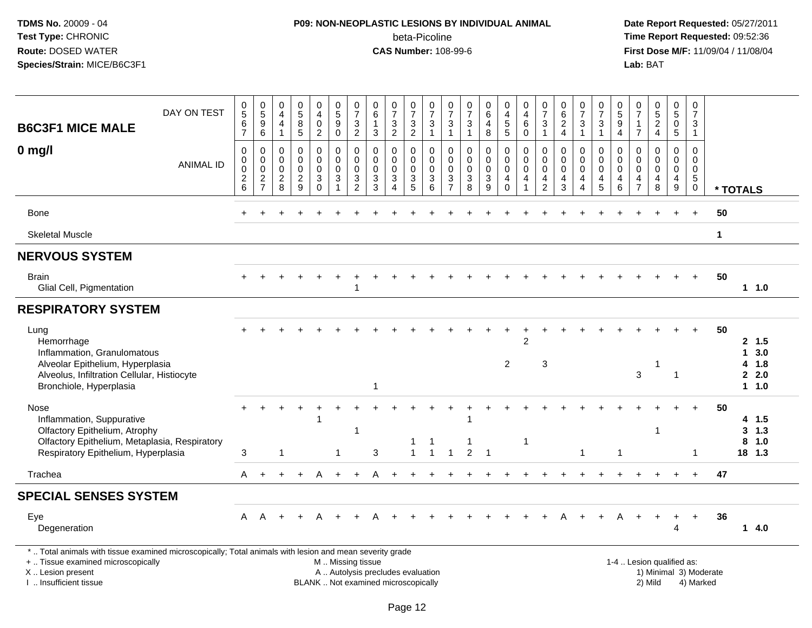# **P09: NON-NEOPLASTIC LESIONS BY INDIVIDUAL ANIMAL**beta-Picoline<br>CAS Number: 108-99-6

 **Date Report Requested:** 05/27/2011 **Time Report Requested:** 09:52:36 **First Dose M/F:** 11/09/04 / 11/08/04<br>Lab: BAT **Lab:** BAT

| <b>B6C3F1 MICE MALE</b>                                                                                                                                                                       | DAY ON TEST      | 0<br>$\overline{5}$<br>6<br>$\overline{7}$          | $\begin{array}{c} 0 \\ 5 \end{array}$<br>$^9$ 6        | $\pmb{0}$<br>$\overline{4}$<br>4<br>$\mathbf{1}$ | $\begin{array}{c} 0 \\ 5 \end{array}$<br>$^8_5$ | $\pmb{0}$<br>$\overline{4}$<br>$\mathbf 0$<br>$\overline{2}$             | 0<br>$\overline{5}$<br>9<br>$\pmb{0}$                         | $\pmb{0}$<br>$\overline{7}$<br>$\mathbf{3}$<br>$\sqrt{2}$                   | 0<br>$6\phantom{a}$<br>$\mathbf{1}$<br>$\mathfrak{Z}$                       | $\frac{0}{7}$<br>$\frac{3}{2}$                         | $\frac{0}{7}$<br>$\frac{3}{2}$                 | $\begin{array}{c} 0 \\ 7 \end{array}$<br>$\mathbf{3}$<br>$\mathbf{1}$ | $\frac{0}{7}$<br>$\mathbf{3}$<br>$\overline{1}$                           | $\frac{0}{7}$<br>$\sqrt{3}$<br>$\overline{1}$                  | $\begin{array}{c} 0 \\ 6 \end{array}$<br>$\overline{\mathbf{4}}$<br>8 | 0<br>$\overline{\mathbf{4}}$<br>$\sqrt{5}$<br>$\overline{5}$ | 0<br>$\overline{4}$<br>6<br>$\pmb{0}$ | $\frac{0}{7}$<br>$\ensuremath{\mathsf{3}}$<br>$\mathbf{1}$          | $_{6}^{\rm 0}$<br>$\overline{c}$<br>$\overline{4}$ | $\frac{0}{7}$<br>$\mathbf 3$<br>$\mathbf{1}$           | $\frac{0}{7}$<br>$\frac{3}{1}$                                                | $\begin{array}{c} 0 \\ 5 \end{array}$<br>$\boldsymbol{9}$<br>$\overline{a}$    | $\frac{0}{7}$<br>$\mathbf{1}$<br>$\overline{7}$                               | $\frac{0}{5}$<br>2<br>4                                | $\pmb{0}$<br>$\overline{5}$<br>0<br>$\overline{5}$                            | 0<br>$\overline{7}$<br>3<br>$\mathbf{1}$                           |             |             |                               |
|-----------------------------------------------------------------------------------------------------------------------------------------------------------------------------------------------|------------------|-----------------------------------------------------|--------------------------------------------------------|--------------------------------------------------|-------------------------------------------------|--------------------------------------------------------------------------|---------------------------------------------------------------|-----------------------------------------------------------------------------|-----------------------------------------------------------------------------|--------------------------------------------------------|------------------------------------------------|-----------------------------------------------------------------------|---------------------------------------------------------------------------|----------------------------------------------------------------|-----------------------------------------------------------------------|--------------------------------------------------------------|---------------------------------------|---------------------------------------------------------------------|----------------------------------------------------|--------------------------------------------------------|-------------------------------------------------------------------------------|--------------------------------------------------------------------------------|-------------------------------------------------------------------------------|--------------------------------------------------------|-------------------------------------------------------------------------------|--------------------------------------------------------------------|-------------|-------------|-------------------------------|
| $0$ mg/l                                                                                                                                                                                      | <b>ANIMAL ID</b> | $\mathbf 0$<br>0<br>$\mathbf 0$<br>$^2\phantom{1}6$ | $\mathbf 0$<br>$\pmb{0}$<br>$\pmb{0}$<br>$\frac{2}{7}$ | 0<br>$\mathbf 0$<br>$\mathbf 0$<br>$\frac{2}{8}$ | 0<br>$\pmb{0}$<br>$\pmb{0}$<br>$\frac{2}{9}$    | $\mathbf 0$<br>$\mathbf 0$<br>$\mathbf 0$<br>$\mathbf{3}$<br>$\mathbf 0$ | 0<br>$\mathbf 0$<br>$\mathbf 0$<br>$\sqrt{3}$<br>$\mathbf{1}$ | $\mathbf 0$<br>$\mathbf 0$<br>$\mathbf 0$<br>$\mathbf{3}$<br>$\overline{c}$ | $\mathbf 0$<br>$\mathbf 0$<br>$\mathbf 0$<br>$\mathbf{3}$<br>$\overline{3}$ | 0<br>$\mathbf 0$<br>$\mathbf 0$<br>3<br>$\overline{4}$ | 0<br>$\boldsymbol{0}$<br>$\mathbf 0$<br>3<br>5 | 0<br>$\pmb{0}$<br>$\mathsf{O}\xspace$<br>$\mathbf{3}$<br>6            | $\mathbf 0$<br>$\mathbf 0$<br>$\mathbf 0$<br>$\sqrt{3}$<br>$\overline{7}$ | $\mathbf 0$<br>$\mathbf 0$<br>$\mathbf 0$<br>$\mathbf{3}$<br>8 | $\mathbf 0$<br>$\mathbf 0$<br>$\mathbf 0$<br>3<br>$\overline{9}$      | 0<br>$\mathbf 0$<br>$\mathbf 0$<br>4<br>$\mathbf 0$          | 0<br>$\pmb{0}$<br>$\pmb{0}$<br>4<br>1 | 0<br>$\mathbf 0$<br>$\mathbf 0$<br>$\overline{4}$<br>$\overline{2}$ | $\mathbf 0$<br>0<br>$\mathbf 0$<br>4<br>3          | 0<br>$\mathbf 0$<br>$\mathbf 0$<br>4<br>$\overline{4}$ | $\mathbf 0$<br>$\mathbf 0$<br>$\mathbf 0$<br>$\overline{4}$<br>$\overline{5}$ | $\mathbf 0$<br>$\mathbf 0$<br>$\mathbf 0$<br>$\overline{4}$<br>$6\phantom{1}6$ | $\mathbf 0$<br>$\mathbf 0$<br>$\mathbf 0$<br>$\overline{4}$<br>$\overline{7}$ | 0<br>$\mathbf 0$<br>$\mathbf 0$<br>$\overline{4}$<br>8 | 0<br>$\mathbf 0$<br>$\mathsf{O}\xspace$<br>$\overline{4}$<br>$\boldsymbol{9}$ | $\mathbf 0$<br>$\mathbf 0$<br>$\pmb{0}$<br>$\sqrt{5}$<br>$\pmb{0}$ |             | * TOTALS    |                               |
| Bone                                                                                                                                                                                          |                  |                                                     |                                                        |                                                  |                                                 |                                                                          |                                                               |                                                                             |                                                                             |                                                        |                                                |                                                                       |                                                                           |                                                                |                                                                       |                                                              |                                       |                                                                     |                                                    |                                                        |                                                                               |                                                                                |                                                                               |                                                        |                                                                               | $\overline{+}$                                                     | 50          |             |                               |
| <b>Skeletal Muscle</b>                                                                                                                                                                        |                  |                                                     |                                                        |                                                  |                                                 |                                                                          |                                                               |                                                                             |                                                                             |                                                        |                                                |                                                                       |                                                                           |                                                                |                                                                       |                                                              |                                       |                                                                     |                                                    |                                                        |                                                                               |                                                                                |                                                                               |                                                        |                                                                               |                                                                    | $\mathbf 1$ |             |                               |
| <b>NERVOUS SYSTEM</b>                                                                                                                                                                         |                  |                                                     |                                                        |                                                  |                                                 |                                                                          |                                                               |                                                                             |                                                                             |                                                        |                                                |                                                                       |                                                                           |                                                                |                                                                       |                                                              |                                       |                                                                     |                                                    |                                                        |                                                                               |                                                                                |                                                                               |                                                        |                                                                               |                                                                    |             |             |                               |
| <b>Brain</b><br>Glial Cell, Pigmentation                                                                                                                                                      |                  |                                                     |                                                        |                                                  |                                                 |                                                                          |                                                               |                                                                             |                                                                             |                                                        |                                                |                                                                       |                                                                           |                                                                |                                                                       |                                                              |                                       |                                                                     |                                                    |                                                        |                                                                               |                                                                                |                                                                               |                                                        |                                                                               |                                                                    | 50          |             | $1 1.0$                       |
| <b>RESPIRATORY SYSTEM</b>                                                                                                                                                                     |                  |                                                     |                                                        |                                                  |                                                 |                                                                          |                                                               |                                                                             |                                                                             |                                                        |                                                |                                                                       |                                                                           |                                                                |                                                                       |                                                              |                                       |                                                                     |                                                    |                                                        |                                                                               |                                                                                |                                                                               |                                                        |                                                                               |                                                                    |             |             |                               |
| Lung<br>Hemorrhage<br>Inflammation, Granulomatous<br>Alveolar Epithelium, Hyperplasia<br>Alveolus, Infiltration Cellular, Histiocyte                                                          |                  |                                                     |                                                        |                                                  |                                                 |                                                                          |                                                               |                                                                             |                                                                             |                                                        |                                                |                                                                       |                                                                           |                                                                |                                                                       | $\overline{2}$                                               | 2                                     | 3                                                                   |                                                    |                                                        |                                                                               |                                                                                | 3                                                                             | -1                                                     | -1                                                                            |                                                                    | 50          | 1.          | 2, 1.5<br>3.0<br>4 1.8<br>2.0 |
| Bronchiole, Hyperplasia                                                                                                                                                                       |                  |                                                     |                                                        |                                                  |                                                 |                                                                          |                                                               |                                                                             | $\overline{1}$                                                              |                                                        |                                                |                                                                       |                                                                           |                                                                |                                                                       |                                                              |                                       |                                                                     |                                                    |                                                        |                                                                               |                                                                                |                                                                               |                                                        |                                                                               |                                                                    |             |             | $1 \t1.0$                     |
| Nose<br>Inflammation, Suppurative<br>Olfactory Epithelium, Atrophy<br>Olfactory Epithelium, Metaplasia, Respiratory<br>Respiratory Epithelium, Hyperplasia                                    |                  | 3                                                   |                                                        | 1                                                |                                                 |                                                                          | $\overline{1}$                                                | 1                                                                           | 3                                                                           |                                                        | 1<br>$\mathbf{1}$                              | -1<br>$\overline{1}$                                                  | $\overline{1}$                                                            | -1<br>$\overline{2}$                                           | $\overline{1}$                                                        |                                                              | $\mathbf 1$                           |                                                                     |                                                    | 1                                                      |                                                                               | 1                                                                              |                                                                               | 1                                                      |                                                                               | -1                                                                 | 50          | 8<br>18 1.3 | 4 1.5<br>3, 1.3<br>1.0        |
| Trachea                                                                                                                                                                                       |                  | A                                                   | $\ddot{}$                                              |                                                  | $\ddot{}$                                       | A                                                                        |                                                               |                                                                             |                                                                             |                                                        |                                                |                                                                       |                                                                           |                                                                |                                                                       |                                                              |                                       |                                                                     |                                                    |                                                        |                                                                               |                                                                                |                                                                               |                                                        |                                                                               | $\ddot{}$                                                          | 47          |             |                               |
| <b>SPECIAL SENSES SYSTEM</b>                                                                                                                                                                  |                  |                                                     |                                                        |                                                  |                                                 |                                                                          |                                                               |                                                                             |                                                                             |                                                        |                                                |                                                                       |                                                                           |                                                                |                                                                       |                                                              |                                       |                                                                     |                                                    |                                                        |                                                                               |                                                                                |                                                                               |                                                        |                                                                               |                                                                    |             |             |                               |
| Eye<br>Degeneration                                                                                                                                                                           |                  | A                                                   | Α                                                      |                                                  |                                                 |                                                                          |                                                               |                                                                             |                                                                             |                                                        |                                                |                                                                       |                                                                           |                                                                |                                                                       |                                                              |                                       |                                                                     |                                                    |                                                        |                                                                               |                                                                                |                                                                               |                                                        | 4                                                                             | $\ddot{}$                                                          | 36          |             | 14.0                          |
| *  Total animals with tissue examined microscopically; Total animals with lesion and mean severity grade<br>+  Tissue examined microscopically<br>X  Lesion present<br>I  Insufficient tissue |                  |                                                     |                                                        |                                                  |                                                 |                                                                          | M  Missing tissue                                             |                                                                             | A  Autolysis precludes evaluation<br>BLANK  Not examined microscopically    |                                                        |                                                |                                                                       |                                                                           |                                                                |                                                                       |                                                              |                                       |                                                                     |                                                    |                                                        |                                                                               |                                                                                |                                                                               | 1-4  Lesion qualified as:<br>2) Mild                   |                                                                               | 1) Minimal 3) Moderate<br>4) Marked                                |             |             |                               |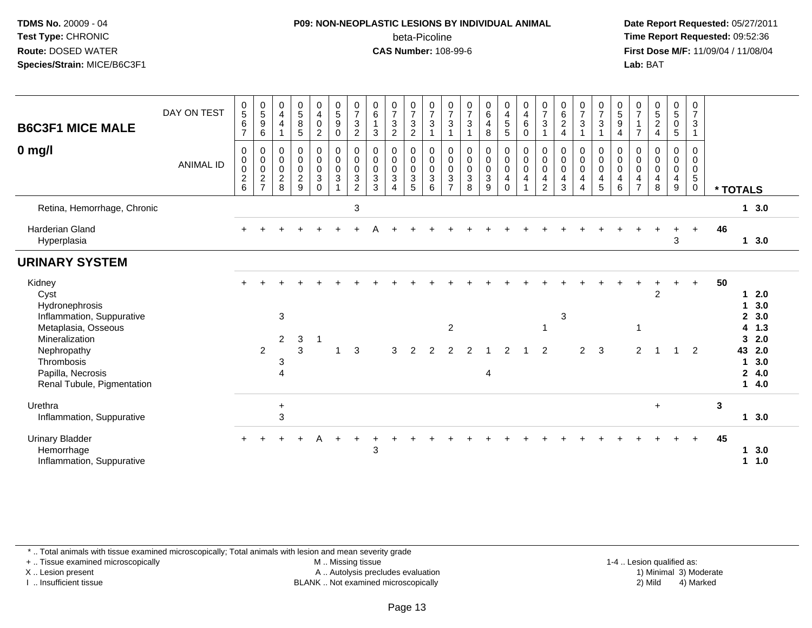#### **P09: NON-NEOPLASTIC LESIONS BY INDIVIDUAL ANIMAL** beta-Picoline**beta-Picoline**<br> **CAS Number:** 108-99-6<br> **CAS Number:** 108-99-6<br> **CAS Number:** 108-99-6

 **Date Report Requested:** 05/27/2011 **First Dose M/F:** 11/09/04 / 11/08/04<br>**Lab:** BAT **Lab:** BAT

| <b>B6C3F1 MICE MALE</b><br>$0$ mg/l                                                                                                                                                    | DAY ON TEST<br><b>ANIMAL ID</b> | 0<br>$\overline{5}$<br>$\,6$<br>$\overline{7}$<br>0<br>0<br>0<br>$\begin{array}{c} 2 \\ 6 \end{array}$ | $\begin{array}{c} 0 \\ 5 \\ 9 \end{array}$<br>$\,6\,$<br>$\boldsymbol{0}$<br>$\overline{0}$<br>$\frac{2}{7}$ | 0<br>$\overline{a}$<br>$\overline{4}$<br>$\mathbf{1}$<br>$\mathbf 0$<br>$\boldsymbol{0}$<br>$\mathbf 0$<br>$\boldsymbol{2}$<br>8 | 0<br>$\overline{5}$<br>8<br>5<br>0<br>$\mathbf 0$<br>$\mathbf 0$<br>$\overline{c}$<br>9 | $\begin{smallmatrix}0\0\4\end{smallmatrix}$<br>0<br>$\overline{c}$<br>0<br>$\mathsf{O}\xspace$<br>$\mathsf{O}$<br>3<br>$\Omega$ | $\begin{array}{c} 0 \\ 5 \\ 9 \end{array}$<br>$\mathsf 0$<br>$\pmb{0}$<br>$\pmb{0}$<br>$\overline{0}$<br>$\mathbf{3}$ | $\frac{0}{7}$<br>$\ensuremath{\mathsf{3}}$<br>$\sqrt{2}$<br>$\pmb{0}$<br>$\pmb{0}$<br>$\pmb{0}$<br>$\ensuremath{\mathsf{3}}$<br>$\overline{c}$ | $\begin{array}{c} 0 \\ 6 \end{array}$<br>$\mathbf{3}$<br>0<br>$\mathbf 0$<br>$\mathbf 0$<br>$\mathbf{3}$<br>3 | $\frac{0}{7}$<br>$\mathbf{3}$<br>$\sqrt{2}$<br>$\pmb{0}$<br>$\pmb{0}$<br>$\pmb{0}$<br>$\sqrt{3}$<br>$\Delta$ | $\frac{0}{7}$<br>$\mathbf{3}$<br>$\overline{c}$<br>0<br>$\mathbf 0$<br>0<br>$\ensuremath{\mathsf{3}}$<br>5 | $\begin{array}{c} 0 \\ 7 \\ 3 \end{array}$<br>0<br>$\mathsf{O}\xspace$<br>$\ddot{\mathbf{0}}$<br>$\sqrt{3}$<br>6 | $\frac{0}{7}$<br>$\mathbf{3}$<br>1<br>0<br>$\boldsymbol{0}$<br>$\overline{0}$<br>$\ensuremath{\mathsf{3}}$<br>$\overline{7}$ | $\frac{0}{7}$<br>$\mathbf{3}$<br>0<br>$\mathbf 0$<br>$\pmb{0}$<br>$\mathbf{3}$<br>8 | $\begin{array}{c} 0 \\ 6 \end{array}$<br>$\overline{4}$<br>8<br>$\mathbf 0$<br>$\pmb{0}$<br>$\overline{0}$<br>$\sqrt{3}$<br>9 | 0<br>$\frac{4}{5}$<br>$\sqrt{5}$<br>0<br>$\pmb{0}$<br>$\pmb{0}$<br>$\overline{\mathbf{4}}$<br>$\Omega$ | 0<br>$\overline{4}$<br>6<br>0<br>$\pmb{0}$<br>$\mathsf{O}\xspace$<br>$\mathbf 0$<br>$\overline{4}$ | $\frac{0}{7}$<br>3<br>0<br>$\mathbf 0$<br>0<br>4<br>$\overline{2}$ | $_{6}^{\rm 0}$<br>$\overline{c}$<br>$\overline{4}$<br>0<br>$\pmb{0}$<br>0<br>$\overline{4}$<br>3 | $\begin{array}{c} 0 \\ 7 \end{array}$<br>$\sqrt{3}$<br>$\mathbf 0$<br>$\pmb{0}$<br>$\pmb{0}$<br>$\overline{\mathbf{4}}$<br>$\overline{4}$ | $\frac{0}{7}$<br>$\ensuremath{\mathsf{3}}$<br>0<br>$\mathbf 0$<br>0<br>4<br>$\sqrt{5}$ | $\begin{array}{c} 0 \\ 5 \\ 9 \end{array}$<br>$\overline{4}$<br>0<br>$\mathbf 0$<br>$\overline{0}$<br>$\overline{\mathbf{4}}$<br>6 | $\frac{0}{7}$<br>$\overline{7}$<br>0<br>$\mathbf 0$<br>$\mathbf 0$<br>4<br>$\overline{ }$ | $\begin{array}{c} 0 \\ 5 \\ 2 \end{array}$<br>4<br>0<br>$\pmb{0}$<br>$\mathbf 0$<br>4<br>8 | $^{\rm 0}_{\rm 5}$<br>$\pmb{0}$<br>$\sqrt{5}$<br>0<br>$\pmb{0}$<br>$\pmb{0}$<br>$\overline{\mathbf{4}}$<br>$\boldsymbol{9}$ | 0<br>$\overline{7}$<br>$\mathsf 3$<br>$\overline{1}$<br>$\mathbf 0$<br>$\mathbf 0$<br>$\mathbf 0$<br>$\sqrt{5}$<br>$\mathbf 0$ |    | * TOTALS                     |                                                             |
|----------------------------------------------------------------------------------------------------------------------------------------------------------------------------------------|---------------------------------|--------------------------------------------------------------------------------------------------------|--------------------------------------------------------------------------------------------------------------|----------------------------------------------------------------------------------------------------------------------------------|-----------------------------------------------------------------------------------------|---------------------------------------------------------------------------------------------------------------------------------|-----------------------------------------------------------------------------------------------------------------------|------------------------------------------------------------------------------------------------------------------------------------------------|---------------------------------------------------------------------------------------------------------------|--------------------------------------------------------------------------------------------------------------|------------------------------------------------------------------------------------------------------------|------------------------------------------------------------------------------------------------------------------|------------------------------------------------------------------------------------------------------------------------------|-------------------------------------------------------------------------------------|-------------------------------------------------------------------------------------------------------------------------------|--------------------------------------------------------------------------------------------------------|----------------------------------------------------------------------------------------------------|--------------------------------------------------------------------|--------------------------------------------------------------------------------------------------|-------------------------------------------------------------------------------------------------------------------------------------------|----------------------------------------------------------------------------------------|------------------------------------------------------------------------------------------------------------------------------------|-------------------------------------------------------------------------------------------|--------------------------------------------------------------------------------------------|-----------------------------------------------------------------------------------------------------------------------------|--------------------------------------------------------------------------------------------------------------------------------|----|------------------------------|-------------------------------------------------------------|
| Retina, Hemorrhage, Chronic                                                                                                                                                            |                                 |                                                                                                        |                                                                                                              |                                                                                                                                  |                                                                                         |                                                                                                                                 |                                                                                                                       | $\mathbf{3}$                                                                                                                                   |                                                                                                               |                                                                                                              |                                                                                                            |                                                                                                                  |                                                                                                                              |                                                                                     |                                                                                                                               |                                                                                                        |                                                                                                    |                                                                    |                                                                                                  |                                                                                                                                           |                                                                                        |                                                                                                                                    |                                                                                           |                                                                                            |                                                                                                                             |                                                                                                                                |    |                              | 13.0                                                        |
| <b>Harderian Gland</b><br>Hyperplasia                                                                                                                                                  |                                 |                                                                                                        |                                                                                                              |                                                                                                                                  |                                                                                         |                                                                                                                                 |                                                                                                                       |                                                                                                                                                |                                                                                                               |                                                                                                              |                                                                                                            |                                                                                                                  |                                                                                                                              |                                                                                     |                                                                                                                               |                                                                                                        |                                                                                                    |                                                                    |                                                                                                  |                                                                                                                                           |                                                                                        |                                                                                                                                    |                                                                                           |                                                                                            | 3                                                                                                                           |                                                                                                                                | 46 |                              | $1 \quad 3.0$                                               |
| <b>URINARY SYSTEM</b>                                                                                                                                                                  |                                 |                                                                                                        |                                                                                                              |                                                                                                                                  |                                                                                         |                                                                                                                                 |                                                                                                                       |                                                                                                                                                |                                                                                                               |                                                                                                              |                                                                                                            |                                                                                                                  |                                                                                                                              |                                                                                     |                                                                                                                               |                                                                                                        |                                                                                                    |                                                                    |                                                                                                  |                                                                                                                                           |                                                                                        |                                                                                                                                    |                                                                                           |                                                                                            |                                                                                                                             |                                                                                                                                |    |                              |                                                             |
| Kidney<br>Cyst<br>Hydronephrosis<br>Inflammation, Suppurative<br>Metaplasia, Osseous<br>Mineralization<br>Nephropathy<br>Thrombosis<br>Papilla, Necrosis<br>Renal Tubule, Pigmentation |                                 |                                                                                                        | $\overline{2}$                                                                                               | $\sqrt{3}$<br>$\overline{\mathbf{c}}$<br>3<br>$\overline{4}$                                                                     | 3<br>3                                                                                  | -1                                                                                                                              | 1                                                                                                                     | 3                                                                                                                                              |                                                                                                               | 3                                                                                                            | 2                                                                                                          | $\mathcal{P}$                                                                                                    | $\overline{2}$<br>2                                                                                                          | $\overline{2}$                                                                      | 4                                                                                                                             | $\overline{2}$                                                                                         |                                                                                                    | 2                                                                  | $\sqrt{3}$                                                                                       | $\overline{2}$                                                                                                                            | $\mathbf{3}$                                                                           |                                                                                                                                    | $\mathbf 1$<br>2                                                                          | $\overline{c}$                                                                             | $\div$<br>$\overline{1}$                                                                                                    | $\ddot{}$<br>2                                                                                                                 | 50 | 1<br>2<br>3<br>43<br>2<br>-1 | 2.0<br>3.0<br>3.0<br>1.3<br>2.0<br>2.0<br>3.0<br>4.0<br>4.0 |
| Urethra<br>Inflammation, Suppurative                                                                                                                                                   |                                 |                                                                                                        |                                                                                                              | $\ddot{}$<br>3                                                                                                                   |                                                                                         |                                                                                                                                 |                                                                                                                       |                                                                                                                                                |                                                                                                               |                                                                                                              |                                                                                                            |                                                                                                                  |                                                                                                                              |                                                                                     |                                                                                                                               |                                                                                                        |                                                                                                    |                                                                    |                                                                                                  |                                                                                                                                           |                                                                                        |                                                                                                                                    |                                                                                           | $+$                                                                                        |                                                                                                                             |                                                                                                                                | 3  |                              | $1 \quad 3.0$                                               |
| <b>Urinary Bladder</b><br>Hemorrhage<br>Inflammation, Suppurative                                                                                                                      |                                 |                                                                                                        |                                                                                                              |                                                                                                                                  |                                                                                         |                                                                                                                                 |                                                                                                                       |                                                                                                                                                | 3                                                                                                             |                                                                                                              |                                                                                                            |                                                                                                                  |                                                                                                                              |                                                                                     |                                                                                                                               |                                                                                                        |                                                                                                    |                                                                    |                                                                                                  |                                                                                                                                           |                                                                                        |                                                                                                                                    |                                                                                           |                                                                                            |                                                                                                                             | ÷                                                                                                                              | 45 | 1<br>1                       | 3.0<br>1.0                                                  |

\* .. Total animals with tissue examined microscopically; Total animals with lesion and mean severity grade

+ .. Tissue examined microscopically

X .. Lesion present

I .. Insufficient tissue

 M .. Missing tissueA .. Autolysis precludes evaluation

 1-4 .. Lesion qualified as: BLANK .. Not examined microscopically 2) Mild 4) Marked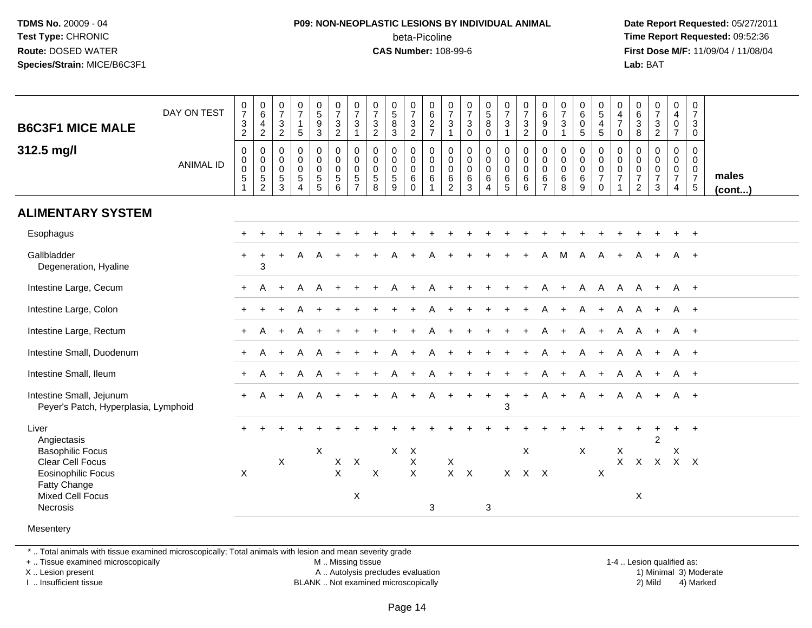#### **P09: NON-NEOPLASTIC LESIONS BY INDIVIDUAL ANIMAL** beta-Picoline**beta-Picoline**<br> **CAS Number:** 108-99-6<br> **CAS Number:** 108-99-6<br> **CAS Number:** 108-99-6

 **Date Report Requested:** 05/27/2011 **First Dose M/F:** 11/09/04 / 11/08/04 Lab: BAT **Lab:** BAT

| DAY ON TEST<br><b>B6C3F1 MICE MALE</b>                                                                                                             | $\frac{0}{7}$<br>$\mathbf{3}$<br>$\overline{c}$ |             | $\begin{array}{c} 0 \\ 6 \end{array}$<br>$\frac{4}{2}$      | $\pmb{0}$<br>$\overline{7}$<br>$\mathbf{3}$<br>$\overline{2}$ | $\pmb{0}$<br>$\boldsymbol{7}$<br>$\mathbf{1}$<br>$\sqrt{5}$               | $\begin{array}{c} 0 \\ 5 \end{array}$<br>$\overline{9}$<br>3 | $\frac{0}{7}$<br>$\frac{3}{2}$                                           | $\frac{0}{7}$<br>$\sqrt{3}$<br>$\mathbf{1}$               | $\pmb{0}$<br>$\overline{7}$<br>$\mathbf{3}$<br>$\overline{2}$ | $\pmb{0}$<br>$\begin{array}{c} 5 \\ 8 \\ 3 \end{array}$           | 0<br>$\boldsymbol{7}$<br>$\sqrt{3}$<br>$\overline{c}$ | $\pmb{0}$<br>$\,6\,$<br>$\frac{2}{7}$                                          | 0<br>$\boldsymbol{7}$<br>$\mathbf{3}$<br>$\mathbf{1}$  | $\frac{0}{7}$<br>$\mathbf 3$<br>$\pmb{0}$                  | $\begin{array}{c} 0 \\ 5 \\ 8 \end{array}$<br>$\mathsf 0$       | $\begin{smallmatrix}0\\7\end{smallmatrix}$<br>$\mathbf{3}$<br>$\mathbf{1}$ | $\frac{0}{7}$<br>$\frac{3}{2}$                             | $\pmb{0}$<br>$\,6$<br>9<br>$\mathbf 0$                       | $\frac{0}{7}$<br>$\mathbf{3}$<br>$\mathbf{1}$                | 0<br>6<br>$\overline{0}$<br>5             | $\frac{0}{5}$<br>$\frac{4}{5}$                                                | 0<br>$\overline{\mathbf{4}}$<br>$\overline{7}$<br>0             | 0<br>$\,6\,$<br>$\overline{3}$<br>8                                                | $\frac{0}{7}$<br>$\frac{3}{2}$                                            | 0<br>$\overline{4}$<br>$\mathbf 0$<br>$\overline{7}$                | $\mathbf 0$<br>$\overline{7}$<br>3<br>0                               |                 |
|----------------------------------------------------------------------------------------------------------------------------------------------------|-------------------------------------------------|-------------|-------------------------------------------------------------|---------------------------------------------------------------|---------------------------------------------------------------------------|--------------------------------------------------------------|--------------------------------------------------------------------------|-----------------------------------------------------------|---------------------------------------------------------------|-------------------------------------------------------------------|-------------------------------------------------------|--------------------------------------------------------------------------------|--------------------------------------------------------|------------------------------------------------------------|-----------------------------------------------------------------|----------------------------------------------------------------------------|------------------------------------------------------------|--------------------------------------------------------------|--------------------------------------------------------------|-------------------------------------------|-------------------------------------------------------------------------------|-----------------------------------------------------------------|------------------------------------------------------------------------------------|---------------------------------------------------------------------------|---------------------------------------------------------------------|-----------------------------------------------------------------------|-----------------|
| 312.5 mg/l<br><b>ANIMAL ID</b>                                                                                                                     | 0<br>0<br>$\sqrt{5}$                            | $\mathbf 0$ | $\pmb{0}$<br>$\begin{matrix} 0 \\ 0 \\ 5 \\ 2 \end{matrix}$ | 0<br>$\mathbf 0$<br>$\mathbf 0$<br>$\,$ 5 $\,$<br>3           | $\mathbf 0$<br>$\mathbf 0$<br>$\mathbf 0$<br>$\sqrt{5}$<br>$\overline{4}$ | $\mathbf 0$<br>$\mathsf 0$<br>$\mathbf 0$<br>$\frac{5}{5}$   | 0<br>$\mathbf 0$<br>$\mathsf{O}\xspace$<br>$\sqrt{5}$<br>$6\overline{6}$ | $\pmb{0}$<br>$\pmb{0}$<br>$\overline{0}$<br>$\frac{5}{7}$ | $\mathbf 0$<br>$\mathbf 0$<br>$\mathbf 0$<br>$\sqrt{5}$<br>8  | $\boldsymbol{0}$<br>$\mathbf 0$<br>$\mathbf 0$<br>$\sqrt{5}$<br>9 | 0<br>$\mathbf 0$<br>$\mathbf 0$<br>6<br>$\mathbf 0$   | $\pmb{0}$<br>$\mathsf{O}\xspace$<br>$\ddot{\mathbf{0}}$<br>6<br>$\overline{1}$ | 0<br>$\mathbf 0$<br>$\mathsf 0$<br>6<br>$\overline{2}$ | $\mathbf 0$<br>0<br>$\mathbf 0$<br>$\,6\,$<br>$\mathbf{3}$ | $\pmb{0}$<br>$\pmb{0}$<br>$\overline{0}$<br>6<br>$\overline{4}$ | $\mathbf 0$<br>$\mathbf 0$<br>$\mathbf 0$<br>$6\over 5$                    | $\pmb{0}$<br>$\mathbf 0$<br>$\mathsf 0$<br>$6\overline{6}$ | 0<br>$\mathbf 0$<br>$\mathbf 0$<br>$\,6\,$<br>$\overline{7}$ | $\boldsymbol{0}$<br>$\mathbf 0$<br>$\mathbf 0$<br>$\,6$<br>8 | 0<br>$\mathbf 0$<br>$\mathbf 0$<br>6<br>9 | 0<br>$\mathbf 0$<br>$\mathsf{O}\xspace$<br>$\boldsymbol{7}$<br>$\overline{0}$ | $\pmb{0}$<br>$\pmb{0}$<br>$\overline{0}$<br>$\overline{7}$<br>1 | $\mathbf 0$<br>$\mathbf 0$<br>$\boldsymbol{0}$<br>$\overline{7}$<br>$\overline{2}$ | $\mathbf 0$<br>$\mathbf 0$<br>$\pmb{0}$<br>$\overline{7}$<br>$\mathbf{3}$ | 0<br>$\mathbf 0$<br>$\mathbf 0$<br>$\overline{7}$<br>$\overline{4}$ | 0<br>$\mathbf 0$<br>$\mathbf 0$<br>$\boldsymbol{7}$<br>$\overline{5}$ | males<br>(cont) |
| <b>ALIMENTARY SYSTEM</b>                                                                                                                           |                                                 |             |                                                             |                                                               |                                                                           |                                                              |                                                                          |                                                           |                                                               |                                                                   |                                                       |                                                                                |                                                        |                                                            |                                                                 |                                                                            |                                                            |                                                              |                                                              |                                           |                                                                               |                                                                 |                                                                                    |                                                                           |                                                                     |                                                                       |                 |
| Esophagus                                                                                                                                          |                                                 |             |                                                             |                                                               |                                                                           |                                                              |                                                                          |                                                           |                                                               |                                                                   |                                                       |                                                                                |                                                        |                                                            |                                                                 |                                                                            |                                                            |                                                              |                                                              |                                           |                                                                               |                                                                 |                                                                                    |                                                                           |                                                                     |                                                                       |                 |
| Gallbladder<br>Degeneration, Hyaline                                                                                                               |                                                 | $+$         | 3                                                           | $+$                                                           | A                                                                         | A                                                            |                                                                          |                                                           |                                                               |                                                                   |                                                       |                                                                                |                                                        |                                                            |                                                                 |                                                                            |                                                            | A                                                            | M                                                            | $\overline{A}$                            | $\overline{A}$                                                                | $+$                                                             | A                                                                                  |                                                                           | A +                                                                 |                                                                       |                 |
| Intestine Large, Cecum                                                                                                                             | $+$                                             |             |                                                             |                                                               | A                                                                         | A                                                            |                                                                          |                                                           |                                                               | А                                                                 | $+$                                                   |                                                                                |                                                        |                                                            |                                                                 |                                                                            |                                                            | A                                                            |                                                              | Α                                         | $\mathsf{A}$                                                                  | $\mathsf{A}$                                                    | $\mathsf{A}$                                                                       | $+$                                                                       | A +                                                                 |                                                                       |                 |
| Intestine Large, Colon                                                                                                                             |                                                 |             |                                                             |                                                               |                                                                           |                                                              |                                                                          |                                                           |                                                               |                                                                   |                                                       |                                                                                |                                                        |                                                            |                                                                 |                                                                            |                                                            |                                                              |                                                              | A                                         | $\ddot{}$                                                                     | A                                                               | A                                                                                  |                                                                           | A +                                                                 |                                                                       |                 |
| Intestine Large, Rectum                                                                                                                            |                                                 |             | A                                                           | $+$                                                           |                                                                           |                                                              |                                                                          |                                                           |                                                               |                                                                   |                                                       |                                                                                |                                                        |                                                            |                                                                 |                                                                            |                                                            | A                                                            | $+$                                                          | A                                         | $+$                                                                           | A                                                               | A                                                                                  | $+$                                                                       | A +                                                                 |                                                                       |                 |
| Intestine Small, Duodenum                                                                                                                          |                                                 | $+$         | A                                                           | $+$                                                           | A                                                                         | A                                                            |                                                                          |                                                           |                                                               | A                                                                 |                                                       |                                                                                |                                                        |                                                            |                                                                 |                                                                            |                                                            | A                                                            | $+$                                                          | A                                         | $+$                                                                           | $\mathsf{A}$                                                    | A                                                                                  | $+$                                                                       | A +                                                                 |                                                                       |                 |
| Intestine Small, Ileum                                                                                                                             |                                                 | $+$         | A                                                           | $+$                                                           |                                                                           | A                                                            |                                                                          |                                                           |                                                               |                                                                   | $\ddot{}$                                             |                                                                                |                                                        |                                                            |                                                                 |                                                                            |                                                            |                                                              | $\ddot{}$                                                    | A                                         | $+$                                                                           | A                                                               | A                                                                                  | $+$                                                                       | A +                                                                 |                                                                       |                 |
| Intestine Small, Jejunum<br>Peyer's Patch, Hyperplasia, Lymphoid                                                                                   |                                                 | $+$         | A                                                           | $+$                                                           | A                                                                         | A                                                            |                                                                          |                                                           |                                                               | A                                                                 | $\ddot{}$                                             |                                                                                |                                                        |                                                            | $+$                                                             | $+$<br>3                                                                   | $+$                                                        | A                                                            | $+$                                                          | $\overline{A}$                            | $+$                                                                           | $\mathsf{A}$                                                    | A                                                                                  | $+$                                                                       | A +                                                                 |                                                                       |                 |
| Liver<br>Angiectasis<br><b>Basophilic Focus</b><br><b>Clear Cell Focus</b><br><b>Eosinophilic Focus</b><br>Fatty Change<br><b>Mixed Cell Focus</b> | X                                               |             |                                                             | $\times$                                                      |                                                                           | X                                                            | $X$ $X$<br>$\mathsf{X}$                                                  | $\boldsymbol{\mathsf{X}}$                                 | X                                                             | $X$ $X$                                                           | $\mathsf X$<br>$\mathsf{X}$                           |                                                                                | X<br>$X$ $X$                                           |                                                            |                                                                 |                                                                            | X<br>X X X                                                 |                                                              |                                                              | X                                         | $\mathsf X$                                                                   | X<br>X                                                          | $\boldsymbol{\mathsf{X}}$                                                          | $\overline{c}$<br>X X X X                                                 | $\ddot{}$<br>X                                                      | $^{+}$                                                                |                 |
| Necrosis                                                                                                                                           |                                                 |             |                                                             |                                                               |                                                                           |                                                              |                                                                          |                                                           |                                                               |                                                                   |                                                       | 3                                                                              |                                                        |                                                            | 3                                                               |                                                                            |                                                            |                                                              |                                                              |                                           |                                                                               |                                                                 |                                                                                    |                                                                           |                                                                     |                                                                       |                 |
| $M$ aaantami                                                                                                                                       |                                                 |             |                                                             |                                                               |                                                                           |                                                              |                                                                          |                                                           |                                                               |                                                                   |                                                       |                                                                                |                                                        |                                                            |                                                                 |                                                                            |                                                            |                                                              |                                                              |                                           |                                                                               |                                                                 |                                                                                    |                                                                           |                                                                     |                                                                       |                 |

Mesentery

\* .. Total animals with tissue examined microscopically; Total animals with lesion and mean severity grade

+ .. Tissue examined microscopically

X .. Lesion present

I .. Insufficient tissue

M .. Missing tissue

A .. Autolysis precludes evaluation

BLANK .. Not examined microscopically 2) Mild 4) Marked

1-4 .. Lesion qualified as:<br>1) Minimal 3) Moderate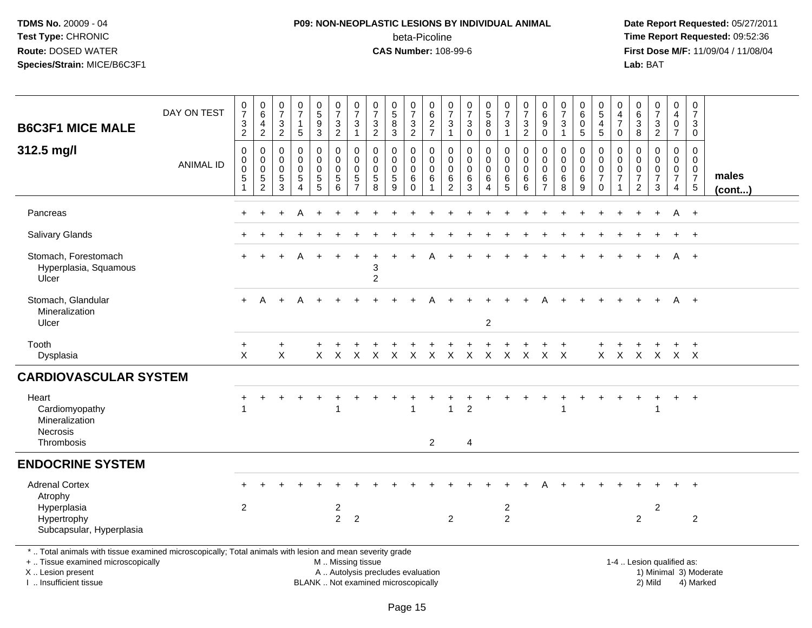# **P09: NON-NEOPLASTIC LESIONS BY INDIVIDUAL ANIMAL**beta-Picoline<br>CAS Number: 108-99-6

 **Date Report Requested:** 05/27/2011 **Time Report Requested:** 09:52:36 **First Dose M/F:** 11/09/04 / 11/08/04<br>**Lab:** BAT **Lab:** BAT

| <b>B6C3F1 MICE MALE</b>                                                                                                                        | DAY ON TEST      | $\pmb{0}$<br>$\overline{7}$<br>$\ensuremath{\mathsf{3}}$<br>$\overline{c}$ | $_{6}^{\rm 0}$<br>4<br>$\overline{2}$                        | 0<br>$\overline{7}$<br>3<br>2                      | $\begin{array}{c} 0 \\ 7 \end{array}$<br>$\mathbf{1}$<br>$\overline{5}$ | $\begin{array}{c} 0 \\ 5 \end{array}$<br>$\frac{9}{3}$          | $\begin{array}{c} 0 \\ 7 \end{array}$<br>$\frac{3}{2}$       | $\frac{0}{7}$<br>3<br>$\mathbf{1}$                           | $\begin{smallmatrix}0\\7\end{smallmatrix}$<br>$\frac{3}{2}$ | $\begin{array}{c} 0 \\ 5 \end{array}$<br>8<br>$\overline{3}$ | 0<br>$\overline{7}$<br>$\frac{3}{2}$                     | $\mathbf 0$<br>$\,6\,$<br>$\frac{2}{7}$                        | 0<br>$\overline{7}$<br>$\mathbf{3}$<br>$\mathbf{1}$ | $\pmb{0}$<br>$\overline{7}$<br>3<br>$\mathbf 0$  | $^{\rm 0}_{\rm 5}$<br>8<br>$\mathbf 0$ | 0<br>$\overline{7}$<br>$\ensuremath{\mathsf{3}}$<br>$\mathbf{1}$ | $\begin{array}{c} 0 \\ 7 \end{array}$<br>$\frac{3}{2}$  | $\begin{array}{c} 0 \\ 6 \end{array}$<br>$\boldsymbol{9}$<br>$\mathbf 0$ | $\frac{0}{7}$<br>$\sqrt{3}$<br>$\mathbf{1}$               | 0<br>6<br>$\mathbf 0$<br>5                    | 0<br>$\,$ 5 $\,$<br>$\frac{4}{5}$                                | 0<br>4<br>$\overline{7}$<br>$\mathbf 0$                         | 0<br>$\,6$<br>$\mathsf 3$<br>8                        | $\begin{array}{c} 0 \\ 7 \end{array}$<br>$\frac{3}{2}$          | 0<br>$\overline{4}$<br>$\mathbf 0$<br>$\overline{7}$                          | $\pmb{0}$<br>$\overline{7}$<br>3<br>$\mathbf 0$                           |                 |
|------------------------------------------------------------------------------------------------------------------------------------------------|------------------|----------------------------------------------------------------------------|--------------------------------------------------------------|----------------------------------------------------|-------------------------------------------------------------------------|-----------------------------------------------------------------|--------------------------------------------------------------|--------------------------------------------------------------|-------------------------------------------------------------|--------------------------------------------------------------|----------------------------------------------------------|----------------------------------------------------------------|-----------------------------------------------------|--------------------------------------------------|----------------------------------------|------------------------------------------------------------------|---------------------------------------------------------|--------------------------------------------------------------------------|-----------------------------------------------------------|-----------------------------------------------|------------------------------------------------------------------|-----------------------------------------------------------------|-------------------------------------------------------|-----------------------------------------------------------------|-------------------------------------------------------------------------------|---------------------------------------------------------------------------|-----------------|
| 312.5 mg/l                                                                                                                                     | <b>ANIMAL ID</b> | $\mathbf 0$<br>$\mathbf 0$<br>$\mathbf 0$<br>5<br>$\mathbf{1}$             | $\mathbf 0$<br>0<br>$\,0\,$<br>$\mathbf 5$<br>$\overline{c}$ | $\mathbf 0$<br>0<br>$\mathbf 0$<br>$\sqrt{5}$<br>3 | $\mathbf 0$<br>0<br>$\pmb{0}$<br>$\sqrt{5}$<br>$\overline{4}$           | $\mathbf 0$<br>0<br>$\mathbf 0$<br>$\sqrt{5}$<br>$\overline{5}$ | $\mathbf 0$<br>$\mathbf 0$<br>$\mathbf 0$<br>$\sqrt{5}$<br>6 | 0<br>$\Omega$<br>$\mathbf 0$<br>$\sqrt{5}$<br>$\overline{7}$ | $\mathbf 0$<br>$\mathbf 0$<br>$\pmb{0}$<br>$\sqrt{5}$<br>8  | $\mathbf 0$<br>0<br>$\mathbf 0$<br>5<br>9                    | 0<br>$\mathbf 0$<br>$\mathsf{O}$<br>$\,6$<br>$\mathbf 0$ | $\mathbf 0$<br>$\mathbf 0$<br>$\mathbf 0$<br>6<br>$\mathbf{1}$ | 0<br>$\Omega$<br>$\mathbf 0$<br>6<br>$\overline{c}$ | $\mathbf 0$<br>$\Omega$<br>$\mathbf 0$<br>6<br>3 | 0<br>$\mathbf 0$<br>0<br>6<br>4        | $\mathbf 0$<br>0<br>$\mathbf 0$<br>$6\phantom{1}6$<br>5          | $\mathbf 0$<br>$\mathbf 0$<br>$\pmb{0}$<br>$\,6\,$<br>6 | 0<br>0<br>$\mathbf 0$<br>6<br>$\overline{7}$                             | $\mathbf 0$<br>$\mathbf 0$<br>$\mathbf 0$<br>$\,6\,$<br>8 | 0<br>$\mathbf 0$<br>$\mathbf 0$<br>$\,6$<br>9 | 0<br>0<br>$\mathbf 0$<br>$\boldsymbol{7}$<br>$\mathsf{O}\xspace$ | 0<br>$\mathbf 0$<br>$\pmb{0}$<br>$\overline{7}$<br>$\mathbf{1}$ | $\mathbf 0$<br>0<br>0<br>$\overline{7}$<br>$\sqrt{2}$ | $\mathbf 0$<br>0<br>$\pmb{0}$<br>$\overline{7}$<br>$\mathbf{3}$ | $\mathbf 0$<br>$\mathbf 0$<br>$\mathbf 0$<br>$\overline{7}$<br>$\overline{4}$ | $\mathbf 0$<br>$\mathbf 0$<br>$\mathbf 0$<br>$\overline{7}$<br>$\sqrt{5}$ | males<br>(cont) |
| Pancreas                                                                                                                                       |                  |                                                                            |                                                              |                                                    | А                                                                       |                                                                 |                                                              |                                                              |                                                             |                                                              |                                                          |                                                                |                                                     |                                                  |                                        |                                                                  |                                                         |                                                                          |                                                           |                                               |                                                                  |                                                                 |                                                       |                                                                 | Α                                                                             | $+$                                                                       |                 |
| <b>Salivary Glands</b>                                                                                                                         |                  |                                                                            |                                                              |                                                    |                                                                         |                                                                 |                                                              |                                                              |                                                             |                                                              |                                                          |                                                                |                                                     |                                                  |                                        |                                                                  |                                                         |                                                                          |                                                           |                                               |                                                                  |                                                                 |                                                       |                                                                 |                                                                               | $+$                                                                       |                 |
| Stomach, Forestomach<br>Hyperplasia, Squamous<br>Ulcer                                                                                         |                  |                                                                            |                                                              |                                                    |                                                                         |                                                                 |                                                              |                                                              | 3<br>$\overline{2}$                                         |                                                              |                                                          |                                                                |                                                     |                                                  |                                        |                                                                  |                                                         |                                                                          |                                                           |                                               |                                                                  |                                                                 |                                                       |                                                                 | A                                                                             | $+$                                                                       |                 |
| Stomach, Glandular<br>Mineralization<br>Ulcer                                                                                                  |                  | $+$                                                                        | A                                                            | $+$                                                | A                                                                       | $+$                                                             | $\ddot{}$                                                    | $\ddot{}$                                                    |                                                             | $\ddot{}$                                                    | $\ddot{}$                                                | A                                                              | $\ddot{}$                                           |                                                  | $\ddot{}$<br>$\overline{c}$            |                                                                  | ÷                                                       | А                                                                        |                                                           | $\ddot{}$                                     | $\pm$                                                            | $+$                                                             | $\div$                                                | $\ddot{}$                                                       |                                                                               | $A +$                                                                     |                 |
| Tooth<br>Dysplasia                                                                                                                             |                  | $\ddot{}$<br>$\times$                                                      |                                                              | $\ddot{}$<br>X                                     |                                                                         | +<br>$X -$                                                      | $\mathsf{X}$                                                 |                                                              | $X$ $X$                                                     |                                                              | X X X                                                    |                                                                |                                                     | X X X                                            |                                        | +<br>X X X X                                                     | $\ddot{}$                                               | +                                                                        | $\overline{+}$                                            |                                               |                                                                  |                                                                 |                                                       | $\ddot{}$<br>X X X X X X                                        | $\ddot{}$                                                                     | $+$                                                                       |                 |
| <b>CARDIOVASCULAR SYSTEM</b>                                                                                                                   |                  |                                                                            |                                                              |                                                    |                                                                         |                                                                 |                                                              |                                                              |                                                             |                                                              |                                                          |                                                                |                                                     |                                                  |                                        |                                                                  |                                                         |                                                                          |                                                           |                                               |                                                                  |                                                                 |                                                       |                                                                 |                                                                               |                                                                           |                 |
| Heart<br>Cardiomyopathy<br>Mineralization<br>Necrosis<br>Thrombosis                                                                            |                  | $\overline{1}$                                                             |                                                              |                                                    |                                                                         | +                                                               | $\overline{1}$                                               |                                                              |                                                             | +                                                            |                                                          | $\overline{2}$                                                 | 1                                                   | $\overline{2}$<br>4                              |                                        |                                                                  |                                                         |                                                                          | $\mathbf{1}$                                              |                                               |                                                                  | +                                                               |                                                       |                                                                 | $+$                                                                           | $+$                                                                       |                 |
| <b>ENDOCRINE SYSTEM</b>                                                                                                                        |                  |                                                                            |                                                              |                                                    |                                                                         |                                                                 |                                                              |                                                              |                                                             |                                                              |                                                          |                                                                |                                                     |                                                  |                                        |                                                                  |                                                         |                                                                          |                                                           |                                               |                                                                  |                                                                 |                                                       |                                                                 |                                                                               |                                                                           |                 |
| <b>Adrenal Cortex</b><br>Atrophy<br>Hyperplasia<br>Hypertrophy<br>Subcapsular, Hyperplasia                                                     |                  | $\overline{c}$                                                             |                                                              |                                                    |                                                                         |                                                                 | $\overline{c}$<br>$\overline{2}$                             | $\overline{2}$                                               |                                                             |                                                              |                                                          |                                                                | $\overline{2}$                                      |                                                  |                                        | $\overline{c}$<br>$\overline{2}$                                 |                                                         |                                                                          |                                                           |                                               |                                                                  |                                                                 | $\overline{2}$                                        | $\overline{c}$                                                  |                                                                               | $\overline{2}$                                                            |                 |
| *  Total animals with tissue examined microscopically; Total animals with lesion and mean severity grade<br>+  Tissue examined microscopically |                  |                                                                            |                                                              |                                                    |                                                                         |                                                                 | M  Missing tissue                                            |                                                              |                                                             |                                                              |                                                          |                                                                |                                                     |                                                  |                                        |                                                                  |                                                         |                                                                          |                                                           |                                               |                                                                  |                                                                 |                                                       | 1-4  Lesion qualified as:                                       |                                                                               |                                                                           |                 |

X .. Lesion present

I .. Insufficient tissue

 M .. Missing tissueA .. Autolysis precludes evaluation

BLANK .. Not examined microscopically 2) Mild 4) Marked

1-4 .. Lesion qualified as:<br>1) Minimal 3) Moderate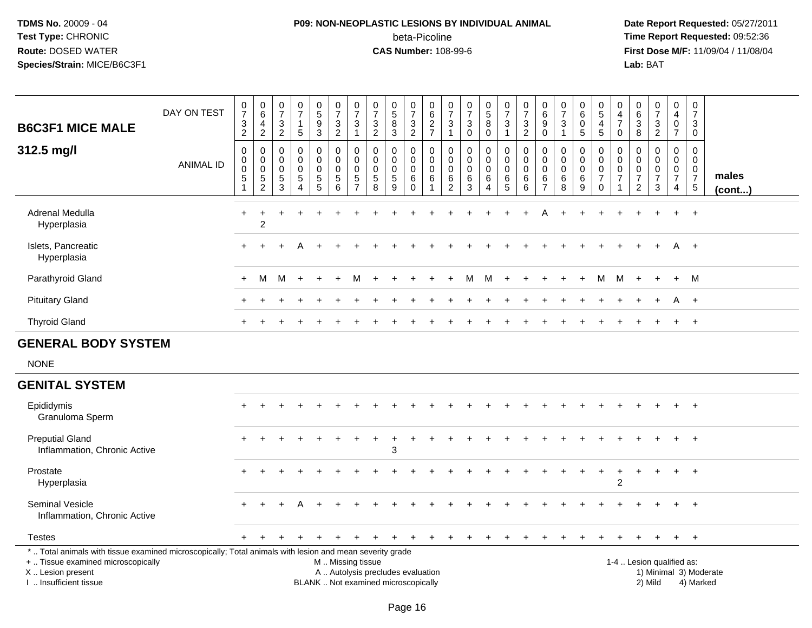# **P09: NON-NEOPLASTIC LESIONS BY INDIVIDUAL ANIMAL**beta-Picoline<br>CAS Number: 108-99-6

 **Date Report Requested:** 05/27/2011 **Time Report Requested:** 09:52:36 **First Dose M/F:** 11/09/04 / 11/08/04<br>Lab: BAT **Lab:** BAT

| <b>B6C3F1 MICE MALE</b>                                                                                                                                                                      | DAY ON TEST      | 0<br>$\overline{7}$<br>$\sqrt{3}$<br>$\sqrt{2}$                       | 0<br>6<br>4<br>$\overline{c}$                        | 0<br>$\overline{7}$<br>3<br>$\overline{2}$ | $\frac{0}{7}$<br>$\mathbf{1}$<br>5        | $\begin{array}{c} 0 \\ 5 \end{array}$<br>9<br>3          | 0<br>$\overline{7}$<br>3<br>$\overline{2}$                       | 0<br>$\overline{7}$<br>3<br>$\mathbf{1}$                                  | 0<br>$\overline{7}$<br>3<br>$\overline{c}$                    | 0<br>$\overline{5}$<br>8<br>$\mathbf{3}$                                 | 0<br>$\overline{7}$<br>3<br>$\overline{2}$ | 0<br>$\,6\,$<br>$\overline{2}$<br>$\overline{7}$                   | 0<br>$\overline{7}$<br>3<br>$\overline{1}$                           | $\pmb{0}$<br>$\overline{7}$<br>$\mathbf{3}$<br>$\mathbf 0$ | $\begin{array}{c} 0 \\ 5 \end{array}$<br>8<br>$\mathbf 0$ | 0<br>$\overline{7}$<br>$\mathbf{3}$<br>$\mathbf{1}$                          | 0<br>$\overline{7}$<br>$\mathbf{3}$<br>$\overline{c}$ | 0<br>$\,6\,$<br>9<br>0                       | $\frac{0}{7}$<br>$\mathbf{3}$<br>$\overline{1}$         | 0<br>$\,6\,$<br>$\mathbf 0$<br>5        | 0<br>$\sqrt{5}$<br>$\overline{4}$<br>$\overline{5}$                          | 0<br>4<br>$\overline{7}$<br>$\mathbf 0$ | 0<br>$\,6\,$<br>3<br>$\bf 8$                    | $\begin{array}{c} 0 \\ 7 \end{array}$<br>$\sqrt{3}$<br>$\overline{2}$ | $\mathbf 0$<br>4<br>$\mathbf 0$<br>$\overline{7}$                             | $\mathbf 0$<br>$\overline{7}$<br>3<br>$\mathbf 0$                         |                 |
|----------------------------------------------------------------------------------------------------------------------------------------------------------------------------------------------|------------------|-----------------------------------------------------------------------|------------------------------------------------------|--------------------------------------------|-------------------------------------------|----------------------------------------------------------|------------------------------------------------------------------|---------------------------------------------------------------------------|---------------------------------------------------------------|--------------------------------------------------------------------------|--------------------------------------------|--------------------------------------------------------------------|----------------------------------------------------------------------|------------------------------------------------------------|-----------------------------------------------------------|------------------------------------------------------------------------------|-------------------------------------------------------|----------------------------------------------|---------------------------------------------------------|-----------------------------------------|------------------------------------------------------------------------------|-----------------------------------------|-------------------------------------------------|-----------------------------------------------------------------------|-------------------------------------------------------------------------------|---------------------------------------------------------------------------|-----------------|
| 312.5 mg/l                                                                                                                                                                                   | <b>ANIMAL ID</b> | $\pmb{0}$<br>$\mathbf 0$<br>$\mathbf 0$<br>$\sqrt{5}$<br>$\mathbf{1}$ | $\mathbf 0$<br>0<br>$\pmb{0}$<br>5<br>$\overline{c}$ | 0<br>$\mathbf 0$<br>0<br>$\sqrt{5}$<br>3   | 0<br>$\mathbf 0$<br>$\mathbf 0$<br>5<br>4 | 0<br>0<br>$\pmb{0}$<br>$5\phantom{.0}$<br>$\overline{5}$ | $\mathbf 0$<br>$\mathbf 0$<br>$\pmb{0}$<br>$\sqrt{5}$<br>$\,6\,$ | $\mathbf 0$<br>$\mathbf 0$<br>$\mathbf 0$<br>$\sqrt{5}$<br>$\overline{7}$ | $\mathbf 0$<br>$\mathbf 0$<br>$\mathbf 0$<br>$\mathbf 5$<br>8 | $\mathbf 0$<br>$\mathbf 0$<br>$\pmb{0}$<br>$\sqrt{5}$<br>9               | 0<br>0<br>$\mathbf 0$<br>$\,6\,$<br>0      | $\mathbf 0$<br>$\mathbf 0$<br>$\pmb{0}$<br>$\,6\,$<br>$\mathbf{1}$ | $\mathbf 0$<br>0<br>$\mathbf 0$<br>$6\phantom{1}6$<br>$\overline{2}$ | $\pmb{0}$<br>$\mathbf 0$<br>$\mathbf 0$<br>$\,6\,$<br>3    | 0<br>0<br>$\pmb{0}$<br>$\,6\,$<br>4                       | $\mathbf 0$<br>$\mathbf 0$<br>$\ddot{\mathbf{0}}$<br>$\,6$<br>$\overline{5}$ | $\mathbf 0$<br>0<br>$\mathsf{O}\xspace$<br>6<br>6     | 0<br>$\mathbf 0$<br>0<br>6<br>$\overline{7}$ | $\mathbf 0$<br>$\mathbf 0$<br>$\pmb{0}$<br>$\,6\,$<br>8 | 0<br>0<br>$\pmb{0}$<br>$\,6\,$<br>$9\,$ | $\mathbf 0$<br>$\mathbf 0$<br>$\mathbf 0$<br>$\boldsymbol{7}$<br>$\mathbf 0$ | 0<br>0<br>0<br>$\overline{7}$<br>1      | 0<br>0<br>0<br>$\overline{7}$<br>$\overline{2}$ | $\pmb{0}$<br>$\mathbf 0$<br>$\pmb{0}$<br>$\overline{7}$<br>3          | $\mathbf 0$<br>$\mathbf 0$<br>$\mathbf 0$<br>$\overline{7}$<br>$\overline{4}$ | $\mathbf 0$<br>$\mathbf 0$<br>$\mathbf 0$<br>$\overline{7}$<br>$\sqrt{5}$ | males<br>(cont) |
| Adrenal Medulla<br>Hyperplasia                                                                                                                                                               |                  | $+$                                                                   | ÷<br>$\overline{c}$                                  |                                            |                                           |                                                          |                                                                  |                                                                           |                                                               |                                                                          |                                            |                                                                    |                                                                      |                                                            |                                                           |                                                                              |                                                       |                                              |                                                         |                                         |                                                                              |                                         |                                                 |                                                                       |                                                                               | $\div$                                                                    |                 |
| Islets, Pancreatic<br>Hyperplasia                                                                                                                                                            |                  |                                                                       |                                                      |                                            |                                           |                                                          |                                                                  |                                                                           |                                                               |                                                                          |                                            |                                                                    |                                                                      |                                                            |                                                           |                                                                              |                                                       |                                              |                                                         |                                         |                                                                              |                                         |                                                 |                                                                       | A                                                                             | $+$                                                                       |                 |
| Parathyroid Gland                                                                                                                                                                            |                  | $\ddot{}$                                                             | М                                                    | M                                          | $\ddot{}$                                 | $\ddot{}$                                                | $+$                                                              | M                                                                         | $\ddot{}$                                                     | $\ddot{}$                                                                | $\ddot{}$                                  | $\div$                                                             | $\ddot{}$                                                            | М                                                          | M                                                         | $+$                                                                          | $\ddot{}$                                             | $\pm$                                        | $\ddot{}$                                               | $\ddot{}$                               | M                                                                            | M                                       | $+$                                             | $+$                                                                   | $+$                                                                           | M                                                                         |                 |
| <b>Pituitary Gland</b>                                                                                                                                                                       |                  |                                                                       |                                                      |                                            |                                           |                                                          |                                                                  |                                                                           |                                                               |                                                                          |                                            |                                                                    |                                                                      |                                                            |                                                           |                                                                              |                                                       |                                              |                                                         |                                         |                                                                              |                                         |                                                 |                                                                       | A                                                                             | $^{+}$                                                                    |                 |
| <b>Thyroid Gland</b>                                                                                                                                                                         |                  |                                                                       |                                                      |                                            |                                           |                                                          |                                                                  |                                                                           |                                                               |                                                                          |                                            |                                                                    |                                                                      |                                                            |                                                           |                                                                              |                                                       |                                              |                                                         |                                         |                                                                              |                                         |                                                 |                                                                       | $+$                                                                           | $+$                                                                       |                 |
| <b>GENERAL BODY SYSTEM</b>                                                                                                                                                                   |                  |                                                                       |                                                      |                                            |                                           |                                                          |                                                                  |                                                                           |                                                               |                                                                          |                                            |                                                                    |                                                                      |                                                            |                                                           |                                                                              |                                                       |                                              |                                                         |                                         |                                                                              |                                         |                                                 |                                                                       |                                                                               |                                                                           |                 |
| <b>NONE</b>                                                                                                                                                                                  |                  |                                                                       |                                                      |                                            |                                           |                                                          |                                                                  |                                                                           |                                                               |                                                                          |                                            |                                                                    |                                                                      |                                                            |                                                           |                                                                              |                                                       |                                              |                                                         |                                         |                                                                              |                                         |                                                 |                                                                       |                                                                               |                                                                           |                 |
| <b>GENITAL SYSTEM</b>                                                                                                                                                                        |                  |                                                                       |                                                      |                                            |                                           |                                                          |                                                                  |                                                                           |                                                               |                                                                          |                                            |                                                                    |                                                                      |                                                            |                                                           |                                                                              |                                                       |                                              |                                                         |                                         |                                                                              |                                         |                                                 |                                                                       |                                                                               |                                                                           |                 |
| Epididymis<br>Granuloma Sperm                                                                                                                                                                |                  |                                                                       |                                                      |                                            |                                           |                                                          |                                                                  |                                                                           |                                                               |                                                                          |                                            |                                                                    |                                                                      |                                                            |                                                           |                                                                              |                                                       |                                              |                                                         |                                         |                                                                              |                                         |                                                 |                                                                       |                                                                               | $\ddot{}$                                                                 |                 |
| <b>Preputial Gland</b><br>Inflammation, Chronic Active                                                                                                                                       |                  |                                                                       |                                                      |                                            |                                           |                                                          |                                                                  |                                                                           |                                                               | 3                                                                        |                                            |                                                                    |                                                                      |                                                            |                                                           |                                                                              |                                                       |                                              |                                                         |                                         |                                                                              |                                         |                                                 |                                                                       |                                                                               | $\ddot{}$                                                                 |                 |
| Prostate<br>Hyperplasia                                                                                                                                                                      |                  |                                                                       |                                                      |                                            |                                           |                                                          |                                                                  |                                                                           |                                                               |                                                                          |                                            |                                                                    |                                                                      |                                                            |                                                           |                                                                              |                                                       |                                              |                                                         |                                         |                                                                              | 2                                       |                                                 |                                                                       |                                                                               | $+$                                                                       |                 |
| <b>Seminal Vesicle</b><br>Inflammation, Chronic Active                                                                                                                                       |                  |                                                                       |                                                      |                                            |                                           |                                                          |                                                                  |                                                                           |                                                               |                                                                          |                                            |                                                                    |                                                                      |                                                            |                                                           |                                                                              |                                                       |                                              |                                                         |                                         |                                                                              |                                         |                                                 |                                                                       |                                                                               |                                                                           |                 |
| <b>Testes</b>                                                                                                                                                                                |                  |                                                                       |                                                      |                                            |                                           |                                                          |                                                                  |                                                                           |                                                               |                                                                          |                                            |                                                                    |                                                                      |                                                            |                                                           |                                                                              |                                                       |                                              |                                                         |                                         |                                                                              |                                         |                                                 |                                                                       | $\ddot{}$                                                                     | $+$                                                                       |                 |
| *  Total animals with tissue examined microscopically; Total animals with lesion and mean severity grade<br>+  Tissue examined microscopically<br>X Lesion present<br>I. Insufficient tissue |                  |                                                                       |                                                      |                                            |                                           |                                                          |                                                                  | M  Missing tissue                                                         |                                                               | A  Autolysis precludes evaluation<br>BLANK  Not examined microscopically |                                            |                                                                    |                                                                      |                                                            |                                                           |                                                                              |                                                       |                                              |                                                         |                                         |                                                                              |                                         |                                                 | 1-4  Lesion qualified as:<br>2) Mild                                  |                                                                               | 1) Minimal 3) Moderate<br>4) Marked                                       |                 |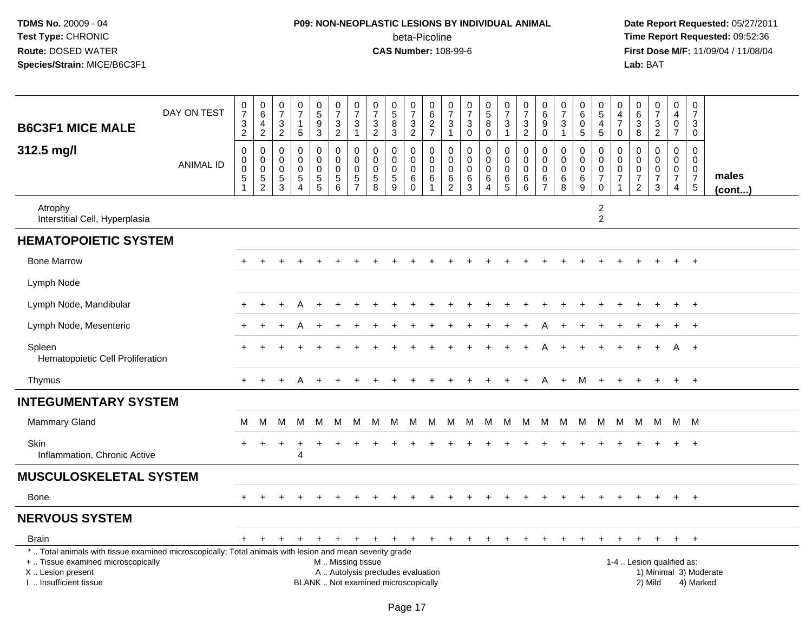# **P09: NON-NEOPLASTIC LESIONS BY INDIVIDUAL ANIMAL**beta-Picoline<br>CAS Number: 108-99-6

 **Date Report Requested:** 05/27/2011 **Time Report Requested:** 09:52:36 **First Dose M/F:** 11/09/04 / 11/08/04<br>Lab: BAT **Lab:** BAT

| <b>B6C3F1 MICE MALE</b>                                                                                                                                                                      | DAY ON TEST      | $\frac{0}{7}$<br>$\ensuremath{\mathsf{3}}$<br>$\overline{2}$ | $\boldsymbol{0}$<br>$6\phantom{a}$<br>$\overline{4}$<br>$\sqrt{2}$ | $\frac{0}{7}$<br>$\sqrt{3}$<br>$\overline{2}$    | $\frac{0}{7}$<br>1<br>$\,$ 5 $\,$                                         | $\pmb{0}$<br>$\,$ 5 $\,$<br>$\boldsymbol{9}$<br>$\sqrt{3}$ | $\frac{0}{7}$<br>$\ensuremath{\mathsf{3}}$<br>$\boldsymbol{2}$   | 0<br>$\overline{7}$<br>3<br>$\mathbf{1}$                       | $\frac{0}{7}$<br>$\ensuremath{\mathsf{3}}$<br>$\overline{2}$ | $\begin{array}{c} 0 \\ 5 \\ 8 \end{array}$<br>3                          | $\frac{0}{7}$<br>$\mathbf{3}$<br>$\overline{c}$   | 0<br>$\,6\,$<br>$\frac{2}{7}$                                     | $\frac{0}{7}$<br>3<br>$\overline{1}$             | $\frac{0}{7}$<br>$\sqrt{3}$<br>$\mathbf 0$                    | $\begin{array}{c} 0 \\ 5 \\ 8 \end{array}$<br>$\pmb{0}$          | $\frac{0}{7}$<br>$\ensuremath{\mathsf{3}}$<br>$\mathbf{1}$ | 0<br>$\overline{7}$<br>3<br>$\overline{c}$      | 0<br>$\,6\,$<br>9<br>$\mathbf 0$                   | $\begin{array}{c} 0 \\ 7 \end{array}$<br>3<br>$\mathbf{1}$   | 0<br>$6\phantom{1}$<br>$\mathbf 0$<br>$\sqrt{5}$        | 0<br>$\overline{5}$<br>$\overline{4}$<br>$\overline{5}$                       | 0<br>$\overline{4}$<br>$\overline{7}$<br>$\mathbf 0$ | 0<br>$\,6\,$<br>$\sqrt{3}$<br>8                                              | $\frac{0}{7}$<br>3<br>$\overline{2}$                | 0<br>$\overline{4}$<br>$\mathbf 0$<br>$\overline{7}$                  | $\mathbf 0$<br>$\overline{7}$<br>3<br>$\mathbf 0$        |                        |
|----------------------------------------------------------------------------------------------------------------------------------------------------------------------------------------------|------------------|--------------------------------------------------------------|--------------------------------------------------------------------|--------------------------------------------------|---------------------------------------------------------------------------|------------------------------------------------------------|------------------------------------------------------------------|----------------------------------------------------------------|--------------------------------------------------------------|--------------------------------------------------------------------------|---------------------------------------------------|-------------------------------------------------------------------|--------------------------------------------------|---------------------------------------------------------------|------------------------------------------------------------------|------------------------------------------------------------|-------------------------------------------------|----------------------------------------------------|--------------------------------------------------------------|---------------------------------------------------------|-------------------------------------------------------------------------------|------------------------------------------------------|------------------------------------------------------------------------------|-----------------------------------------------------|-----------------------------------------------------------------------|----------------------------------------------------------|------------------------|
| 312.5 mg/l                                                                                                                                                                                   | <b>ANIMAL ID</b> | 0<br>0<br>$\pmb{0}$<br>$\frac{5}{1}$                         | 0<br>$\pmb{0}$<br>$\pmb{0}$<br>$\frac{5}{2}$                       | $\mathbf 0$<br>0<br>$\mathbf 0$<br>$\frac{5}{3}$ | $\mathbf 0$<br>$\mathbf 0$<br>$\mathbf 0$<br>$\sqrt{5}$<br>$\overline{4}$ | 0<br>$\mathbf 0$<br>$\mathbf 0$<br>$\frac{5}{5}$           | $\Omega$<br>$\mathbf 0$<br>$\mathbf 0$<br>$\mathbf 5$<br>$\,6\,$ | 0<br>$\pmb{0}$<br>$\mathbf 0$<br>$\,$ 5 $\,$<br>$\overline{7}$ | $\mathbf 0$<br>$\mathbf 0$<br>0<br>$\sqrt{5}$<br>8           | 0<br>$\mathbf 0$<br>$\mathbf 0$<br>5<br>9                                | 0<br>$\mathbf 0$<br>$\mathsf 0$<br>6<br>$\pmb{0}$ | $\mathbf 0$<br>$\mathbf 0$<br>$\Omega$<br>$\,6$<br>$\overline{1}$ | $\mathbf 0$<br>0<br>$\mathbf 0$<br>$\frac{6}{2}$ | $\mathbf 0$<br>$\mathbf 0$<br>$\Omega$<br>6<br>$\overline{3}$ | 0<br>$\pmb{0}$<br>$\mathsf{O}\xspace$<br>$\,6$<br>$\overline{4}$ | 0<br>$\mathbf 0$<br>$\mathbf 0$<br>6<br>$\overline{5}$     | $\mathbf 0$<br>$\mathbf 0$<br>0<br>6<br>$\,6\,$ | 0<br>0<br>$\mathbf 0$<br>$\,6\,$<br>$\overline{7}$ | $\mathbf 0$<br>$\pmb{0}$<br>$\pmb{0}$<br>6<br>$\overline{8}$ | $\mathbf{0}$<br>$\overline{0}$<br>$\mathbf 0$<br>6<br>9 | $\mathbf 0$<br>$\boldsymbol{0}$<br>$\mathbf 0$<br>$\overline{7}$<br>$\pmb{0}$ | 0<br>0<br>$\Omega$<br>7                              | $\Omega$<br>$\mathbf 0$<br>$\mathbf 0$<br>$\boldsymbol{7}$<br>$\overline{2}$ | $\Omega$<br>$\mathbf 0$<br>0<br>$\overline{7}$<br>3 | 0<br>$\mathbf 0$<br>$\mathbf 0$<br>$\boldsymbol{7}$<br>$\overline{4}$ | $\Omega$<br>0<br>0<br>$\boldsymbol{7}$<br>$\overline{5}$ | males<br>(cont)        |
| Atrophy<br>Interstitial Cell, Hyperplasia                                                                                                                                                    |                  |                                                              |                                                                    |                                                  |                                                                           |                                                            |                                                                  |                                                                |                                                              |                                                                          |                                                   |                                                                   |                                                  |                                                               |                                                                  |                                                            |                                                 |                                                    |                                                              |                                                         | $\overline{c}$<br>$\overline{2}$                                              |                                                      |                                                                              |                                                     |                                                                       |                                                          |                        |
| <b>HEMATOPOIETIC SYSTEM</b>                                                                                                                                                                  |                  |                                                              |                                                                    |                                                  |                                                                           |                                                            |                                                                  |                                                                |                                                              |                                                                          |                                                   |                                                                   |                                                  |                                                               |                                                                  |                                                            |                                                 |                                                    |                                                              |                                                         |                                                                               |                                                      |                                                                              |                                                     |                                                                       |                                                          |                        |
| <b>Bone Marrow</b>                                                                                                                                                                           |                  |                                                              |                                                                    |                                                  |                                                                           |                                                            |                                                                  |                                                                |                                                              |                                                                          |                                                   |                                                                   |                                                  |                                                               |                                                                  |                                                            |                                                 |                                                    |                                                              |                                                         |                                                                               |                                                      |                                                                              |                                                     |                                                                       | $+$                                                      |                        |
| Lymph Node                                                                                                                                                                                   |                  |                                                              |                                                                    |                                                  |                                                                           |                                                            |                                                                  |                                                                |                                                              |                                                                          |                                                   |                                                                   |                                                  |                                                               |                                                                  |                                                            |                                                 |                                                    |                                                              |                                                         |                                                                               |                                                      |                                                                              |                                                     |                                                                       |                                                          |                        |
| Lymph Node, Mandibular                                                                                                                                                                       |                  | $\ddot{}$                                                    | $\overline{1}$                                                     |                                                  |                                                                           |                                                            |                                                                  |                                                                |                                                              |                                                                          |                                                   |                                                                   |                                                  |                                                               |                                                                  |                                                            |                                                 |                                                    |                                                              |                                                         |                                                                               |                                                      |                                                                              |                                                     |                                                                       | $^{+}$                                                   |                        |
| Lymph Node, Mesenteric                                                                                                                                                                       |                  | $\ddot{}$                                                    |                                                                    |                                                  |                                                                           |                                                            |                                                                  |                                                                |                                                              |                                                                          |                                                   |                                                                   |                                                  |                                                               |                                                                  |                                                            |                                                 |                                                    |                                                              |                                                         |                                                                               |                                                      |                                                                              |                                                     |                                                                       | $\ddot{}$                                                |                        |
| Spleen<br>Hematopoietic Cell Proliferation                                                                                                                                                   |                  |                                                              |                                                                    |                                                  |                                                                           |                                                            |                                                                  |                                                                |                                                              |                                                                          |                                                   |                                                                   |                                                  |                                                               |                                                                  |                                                            |                                                 |                                                    |                                                              |                                                         |                                                                               |                                                      |                                                                              |                                                     | A                                                                     | $+$                                                      |                        |
| Thymus                                                                                                                                                                                       |                  | $+$                                                          | $\ddot{}$                                                          | $\pm$                                            |                                                                           | $\overline{+}$                                             |                                                                  |                                                                |                                                              |                                                                          |                                                   |                                                                   |                                                  |                                                               |                                                                  |                                                            |                                                 | A                                                  | $+$                                                          | M                                                       | $+$                                                                           |                                                      |                                                                              |                                                     |                                                                       | $+$                                                      |                        |
| <b>INTEGUMENTARY SYSTEM</b>                                                                                                                                                                  |                  |                                                              |                                                                    |                                                  |                                                                           |                                                            |                                                                  |                                                                |                                                              |                                                                          |                                                   |                                                                   |                                                  |                                                               |                                                                  |                                                            |                                                 |                                                    |                                                              |                                                         |                                                                               |                                                      |                                                                              |                                                     |                                                                       |                                                          |                        |
| <b>Mammary Gland</b>                                                                                                                                                                         |                  | M                                                            | м                                                                  | м                                                | м                                                                         | м                                                          | M                                                                | M                                                              | M                                                            | M                                                                        | M                                                 | м                                                                 | М                                                | M                                                             | M                                                                | M                                                          | M                                               | M                                                  | M                                                            | M                                                       | M                                                                             | M                                                    | M                                                                            | M                                                   |                                                                       | M M                                                      |                        |
| Skin<br>Inflammation, Chronic Active                                                                                                                                                         |                  | $+$                                                          | $\div$                                                             |                                                  | 4                                                                         |                                                            |                                                                  |                                                                |                                                              |                                                                          |                                                   |                                                                   |                                                  |                                                               |                                                                  |                                                            |                                                 |                                                    |                                                              |                                                         |                                                                               |                                                      |                                                                              |                                                     |                                                                       | $^{+}$                                                   |                        |
| <b>MUSCULOSKELETAL SYSTEM</b>                                                                                                                                                                |                  |                                                              |                                                                    |                                                  |                                                                           |                                                            |                                                                  |                                                                |                                                              |                                                                          |                                                   |                                                                   |                                                  |                                                               |                                                                  |                                                            |                                                 |                                                    |                                                              |                                                         |                                                                               |                                                      |                                                                              |                                                     |                                                                       |                                                          |                        |
| Bone                                                                                                                                                                                         |                  |                                                              |                                                                    |                                                  |                                                                           |                                                            |                                                                  |                                                                |                                                              |                                                                          |                                                   |                                                                   |                                                  |                                                               |                                                                  |                                                            |                                                 |                                                    |                                                              |                                                         |                                                                               |                                                      |                                                                              |                                                     | $+$                                                                   | $+$                                                      |                        |
| <b>NERVOUS SYSTEM</b>                                                                                                                                                                        |                  |                                                              |                                                                    |                                                  |                                                                           |                                                            |                                                                  |                                                                |                                                              |                                                                          |                                                   |                                                                   |                                                  |                                                               |                                                                  |                                                            |                                                 |                                                    |                                                              |                                                         |                                                                               |                                                      |                                                                              |                                                     |                                                                       |                                                          |                        |
| <b>Brain</b>                                                                                                                                                                                 |                  | $+$                                                          |                                                                    |                                                  |                                                                           | $\ddot{}$                                                  |                                                                  | $\ddot{}$                                                      | $+$                                                          | $\ddot{}$                                                                | $+$                                               | $+$                                                               | $+$                                              | $+$                                                           | $+$                                                              |                                                            | $\ddot{}$                                       |                                                    | $\ddot{}$                                                    | $\ddot{}$                                               |                                                                               | $\ddot{}$                                            |                                                                              | $\ddot{}$                                           | $+$                                                                   | $+$                                                      |                        |
| *  Total animals with tissue examined microscopically; Total animals with lesion and mean severity grade<br>+  Tissue examined microscopically<br>X Lesion present<br>I. Insufficient tissue |                  |                                                              |                                                                    |                                                  |                                                                           |                                                            | M  Missing tissue                                                |                                                                |                                                              | A  Autolysis precludes evaluation<br>BLANK  Not examined microscopically |                                                   |                                                                   |                                                  |                                                               |                                                                  |                                                            |                                                 |                                                    |                                                              |                                                         |                                                                               |                                                      |                                                                              | 1-4  Lesion qualified as:<br>2) Mild                |                                                                       | 4) Marked                                                | 1) Minimal 3) Moderate |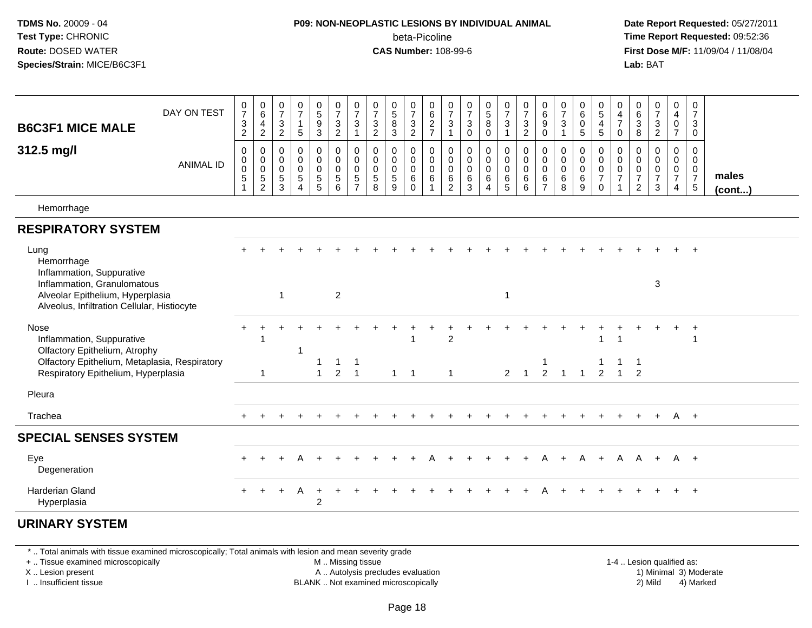#### **P09: NON-NEOPLASTIC LESIONS BY INDIVIDUAL ANIMAL** beta-Picoline**beta-Picoline**<br> **CAS Number:** 108-99-6<br> **CAS Number:** 108-99-6<br> **CAS Number:** 108-99-6

 **Date Report Requested:** 05/27/2011 **First Dose M/F:** 11/09/04 / 11/08/04 Lab: BAT **Lab:** BAT

| <b>B6C3F1 MICE MALE</b><br>312.5 mg/l                                                                                                                             | DAY ON TEST<br><b>ANIMAL ID</b> | $\frac{0}{7}$<br>$\frac{3}{2}$<br>$\pmb{0}$<br>$\pmb{0}$<br>$\mathbf 0$<br>$\overline{5}$ | $_{6}^{\rm 0}$<br>$\overline{4}$<br>$\overline{2}$<br>$\pmb{0}$<br>$\pmb{0}$<br>$\mathsf{O}\xspace$<br>$\,$ 5 $\,$<br>$\overline{2}$ | $\frac{0}{7}$<br>$\frac{3}{2}$<br>$\mathbf 0$<br>0<br>$\mathsf 0$<br>$\,$ 5 $\,$<br>$\mathbf{3}$ | $\begin{smallmatrix}0\\7\end{smallmatrix}$<br>$\mathbf{1}$<br>$\sqrt{5}$<br>$\mathbf 0$<br>$\ddot{\mathbf{0}}$<br>$\pmb{0}$<br>$\overline{5}$<br>$\boldsymbol{\Lambda}$ | $\begin{array}{c} 0 \\ 5 \end{array}$<br>9<br>$\overline{3}$<br>0<br>$\mathbf 0$<br>$\pmb{0}$<br>$\overline{5}$<br>5 | $\begin{array}{c} 0 \\ 7 \end{array}$<br>$\frac{3}{2}$<br>$\pmb{0}$<br>$\overline{0}$<br>$\mathbf 0$<br>$\overline{5}$<br>6 | $\frac{0}{7}$<br>3<br>$\mathbf 0$<br>0<br>$\Omega$<br>5<br>$\overline{7}$ | $\frac{0}{7}$<br>$\frac{3}{2}$<br>$\pmb{0}$<br>$\pmb{0}$<br>$\pmb{0}$<br>$\overline{5}$<br>8 | $\begin{array}{c} 0 \\ 5 \\ 8 \end{array}$<br>$\overline{3}$<br>0<br>$\pmb{0}$<br>$\pmb{0}$<br>5<br>9 | $\frac{0}{7}$<br>$\frac{3}{2}$<br>0<br>$\mathbf 0$<br>$\mathbf 0$<br>6<br>$\mathbf 0$ | 0627<br>$\mathbf 0$<br>$\mathbf 0$<br>$\mathbf 0$<br>$\,6\,$<br>$\overline{1}$ | $\frac{0}{7}$<br>$\ensuremath{\mathsf{3}}$<br>$\overline{1}$<br>0<br>0<br>$\mathbf 0$<br>6<br>$\overline{2}$ | $\begin{array}{c} 0 \\ 7 \end{array}$<br>$\sqrt{3}$<br>$\mathbf 0$<br>$\pmb{0}$<br>$\pmb{0}$<br>$\mathbf 0$<br>$\,6\,$<br>3 | $\begin{array}{c} 0 \\ 5 \end{array}$<br>8<br>$\pmb{0}$<br>$\mathbf 0$<br>$\mathbf 0$<br>$\mathbf 0$<br>6<br>$\overline{4}$ | $\frac{0}{7}$<br>$\frac{3}{1}$<br>$\pmb{0}$<br>$\ddot{\mathbf{0}}$<br>$\pmb{0}$<br>$6\phantom{a}$<br>5 | $\begin{array}{c} 0 \\ 7 \end{array}$<br>$\frac{3}{2}$<br>$\mathbf 0$<br>$\ddot{\mathbf{0}}$<br>$\mathsf{O}\xspace$<br>6<br>6 | $\begin{array}{c} 0 \\ 6 \end{array}$<br>$\boldsymbol{9}$<br>0<br>0<br>0<br>$\mathbf 0$<br>6<br>$\overline{7}$ | $\begin{array}{c} 0 \\ 7 \end{array}$<br>$\ensuremath{\mathsf{3}}$<br>$\mathbf{1}$<br>$\mathbf 0$<br>$\ddot{\mathbf{0}}$<br>$\mathbf 0$<br>$\,6\,$<br>8 | $\begin{array}{c} 0 \\ 6 \end{array}$<br>$\pmb{0}$<br>$\overline{5}$<br>0<br>$\mathbf 0$<br>$\mathbf 0$<br>$\,6$<br>9 | 0,5,4,5<br>$\boldsymbol{0}$<br>$\pmb{0}$<br>$\mathbf 0$<br>$\overline{7}$<br>$\mathbf 0$ | 0<br>4<br>$\overline{7}$<br>0<br>$\mathbf 0$<br>0<br>$\mathsf 0$<br>$\overline{7}$ | 0<br>6<br>3<br>8<br>0<br>$\mathbf 0$<br>$\mathbf 0$<br>$\frac{7}{2}$ | $\frac{0}{7}$<br>$\frac{3}{2}$<br>$\mathbf 0$<br>$\mathbf 0$<br>$\pmb{0}$<br>$\overline{7}$<br>3 | $\begin{smallmatrix}0\\4\end{smallmatrix}$<br>$\frac{0}{7}$<br>0<br>$\overline{0}$<br>$\begin{smallmatrix}0\\7\end{smallmatrix}$<br>4 | $\frac{0}{7}$<br>$\sqrt{3}$<br>$\mathbf 0$<br>0<br>$\mathbf 0$<br>$\mathbf 0$<br>$\overline{7}$<br>$5\phantom{.0}$ | males<br>$($ cont $)$ |
|-------------------------------------------------------------------------------------------------------------------------------------------------------------------|---------------------------------|-------------------------------------------------------------------------------------------|--------------------------------------------------------------------------------------------------------------------------------------|--------------------------------------------------------------------------------------------------|-------------------------------------------------------------------------------------------------------------------------------------------------------------------------|----------------------------------------------------------------------------------------------------------------------|-----------------------------------------------------------------------------------------------------------------------------|---------------------------------------------------------------------------|----------------------------------------------------------------------------------------------|-------------------------------------------------------------------------------------------------------|---------------------------------------------------------------------------------------|--------------------------------------------------------------------------------|--------------------------------------------------------------------------------------------------------------|-----------------------------------------------------------------------------------------------------------------------------|-----------------------------------------------------------------------------------------------------------------------------|--------------------------------------------------------------------------------------------------------|-------------------------------------------------------------------------------------------------------------------------------|----------------------------------------------------------------------------------------------------------------|---------------------------------------------------------------------------------------------------------------------------------------------------------|-----------------------------------------------------------------------------------------------------------------------|------------------------------------------------------------------------------------------|------------------------------------------------------------------------------------|----------------------------------------------------------------------|--------------------------------------------------------------------------------------------------|---------------------------------------------------------------------------------------------------------------------------------------|--------------------------------------------------------------------------------------------------------------------|-----------------------|
| Hemorrhage                                                                                                                                                        |                                 |                                                                                           |                                                                                                                                      |                                                                                                  |                                                                                                                                                                         |                                                                                                                      |                                                                                                                             |                                                                           |                                                                                              |                                                                                                       |                                                                                       |                                                                                |                                                                                                              |                                                                                                                             |                                                                                                                             |                                                                                                        |                                                                                                                               |                                                                                                                |                                                                                                                                                         |                                                                                                                       |                                                                                          |                                                                                    |                                                                      |                                                                                                  |                                                                                                                                       |                                                                                                                    |                       |
| <b>RESPIRATORY SYSTEM</b>                                                                                                                                         |                                 |                                                                                           |                                                                                                                                      |                                                                                                  |                                                                                                                                                                         |                                                                                                                      |                                                                                                                             |                                                                           |                                                                                              |                                                                                                       |                                                                                       |                                                                                |                                                                                                              |                                                                                                                             |                                                                                                                             |                                                                                                        |                                                                                                                               |                                                                                                                |                                                                                                                                                         |                                                                                                                       |                                                                                          |                                                                                    |                                                                      |                                                                                                  |                                                                                                                                       |                                                                                                                    |                       |
| Lung<br>Hemorrhage<br>Inflammation, Suppurative<br>Inflammation, Granulomatous<br>Alveolar Epithelium, Hyperplasia<br>Alveolus, Infiltration Cellular, Histiocyte |                                 |                                                                                           |                                                                                                                                      | $\mathbf{1}$                                                                                     |                                                                                                                                                                         |                                                                                                                      | $\overline{2}$                                                                                                              |                                                                           |                                                                                              |                                                                                                       |                                                                                       |                                                                                |                                                                                                              |                                                                                                                             |                                                                                                                             | 1                                                                                                      |                                                                                                                               |                                                                                                                |                                                                                                                                                         |                                                                                                                       |                                                                                          |                                                                                    |                                                                      | 3                                                                                                |                                                                                                                                       |                                                                                                                    |                       |
| Nose<br>Inflammation, Suppurative<br>Olfactory Epithelium, Atrophy<br>Olfactory Epithelium, Metaplasia, Respiratory<br>Respiratory Epithelium, Hyperplasia        |                                 |                                                                                           | $\overline{1}$                                                                                                                       |                                                                                                  |                                                                                                                                                                         | -1<br>$\overline{ }$                                                                                                 | 1<br>$\overline{2}$                                                                                                         | -1<br>$\overline{1}$                                                      |                                                                                              | $\mathbf{1}$                                                                                          | $\overline{\phantom{0}}$                                                              |                                                                                | 2<br>$\overline{\mathbf{1}}$                                                                                 |                                                                                                                             |                                                                                                                             | $\overline{2}$                                                                                         | $\overline{1}$                                                                                                                | 2                                                                                                              | $\overline{1}$                                                                                                                                          |                                                                                                                       | 2                                                                                        | $\mathbf{1}$                                                                       | $\mathcal{P}$                                                        |                                                                                                  |                                                                                                                                       |                                                                                                                    |                       |
| Pleura                                                                                                                                                            |                                 |                                                                                           |                                                                                                                                      |                                                                                                  |                                                                                                                                                                         |                                                                                                                      |                                                                                                                             |                                                                           |                                                                                              |                                                                                                       |                                                                                       |                                                                                |                                                                                                              |                                                                                                                             |                                                                                                                             |                                                                                                        |                                                                                                                               |                                                                                                                |                                                                                                                                                         |                                                                                                                       |                                                                                          |                                                                                    |                                                                      |                                                                                                  |                                                                                                                                       |                                                                                                                    |                       |
| Trachea                                                                                                                                                           |                                 |                                                                                           |                                                                                                                                      |                                                                                                  |                                                                                                                                                                         |                                                                                                                      |                                                                                                                             |                                                                           |                                                                                              |                                                                                                       |                                                                                       |                                                                                |                                                                                                              |                                                                                                                             |                                                                                                                             |                                                                                                        |                                                                                                                               |                                                                                                                |                                                                                                                                                         |                                                                                                                       |                                                                                          |                                                                                    |                                                                      | $+$                                                                                              | A +                                                                                                                                   |                                                                                                                    |                       |
| <b>SPECIAL SENSES SYSTEM</b>                                                                                                                                      |                                 |                                                                                           |                                                                                                                                      |                                                                                                  |                                                                                                                                                                         |                                                                                                                      |                                                                                                                             |                                                                           |                                                                                              |                                                                                                       |                                                                                       |                                                                                |                                                                                                              |                                                                                                                             |                                                                                                                             |                                                                                                        |                                                                                                                               |                                                                                                                |                                                                                                                                                         |                                                                                                                       |                                                                                          |                                                                                    |                                                                      |                                                                                                  |                                                                                                                                       |                                                                                                                    |                       |
| Eye<br>Degeneration                                                                                                                                               |                                 |                                                                                           |                                                                                                                                      |                                                                                                  |                                                                                                                                                                         |                                                                                                                      |                                                                                                                             |                                                                           |                                                                                              |                                                                                                       |                                                                                       |                                                                                |                                                                                                              |                                                                                                                             |                                                                                                                             |                                                                                                        |                                                                                                                               | А                                                                                                              |                                                                                                                                                         | A                                                                                                                     | $+$                                                                                      | $\mathsf{A}$                                                                       | $\mathsf{A}$                                                         | $+$                                                                                              | A +                                                                                                                                   |                                                                                                                    |                       |
| Harderian Gland<br>Hyperplasia                                                                                                                                    |                                 | $+$                                                                                       | $+$                                                                                                                                  | $+$                                                                                              | A                                                                                                                                                                       | $+$<br>$\overline{2}$                                                                                                |                                                                                                                             |                                                                           |                                                                                              |                                                                                                       |                                                                                       |                                                                                |                                                                                                              |                                                                                                                             |                                                                                                                             |                                                                                                        |                                                                                                                               |                                                                                                                |                                                                                                                                                         |                                                                                                                       |                                                                                          |                                                                                    |                                                                      |                                                                                                  |                                                                                                                                       | $+$                                                                                                                |                       |

### **URINARY SYSTEM**

\* .. Total animals with tissue examined microscopically; Total animals with lesion and mean severity grade

+ .. Tissue examined microscopically

X .. Lesion present

I .. Insufficient tissue

M .. Missing tissue

A .. Autolysis precludes evaluation

BLANK .. Not examined microscopically 2) Mild 4) Marked

1-4 .. Lesion qualified as:<br>1) Minimal 3) Moderate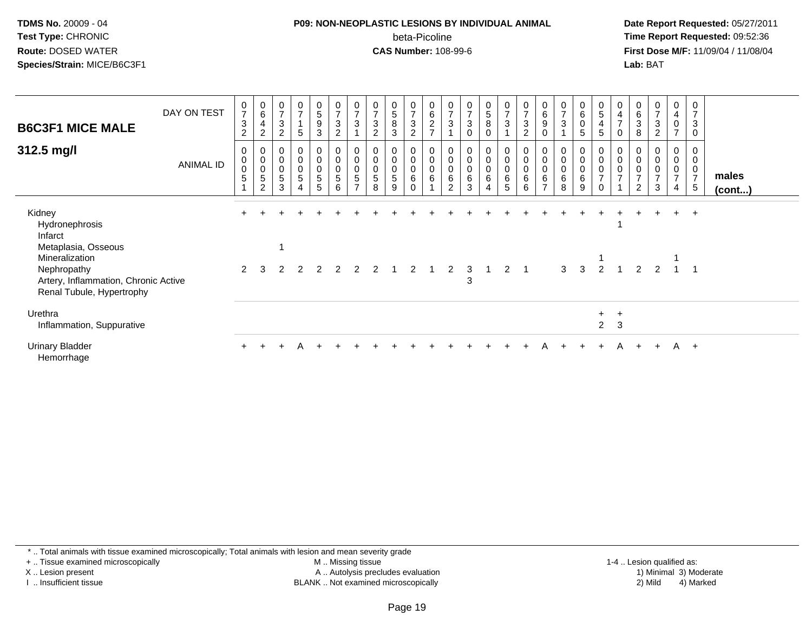#### **P09: NON-NEOPLASTIC LESIONS BY INDIVIDUAL ANIMAL** beta-Picoline**beta-Picoline**<br> **CAS Number:** 108-99-6<br> **CAS Number:** 108-99-6<br> **CAS Number:** 108-99-6

 **Date Report Requested:** 05/27/2011 **First Dose M/F:** 11/09/04 / 11/08/04<br>**Lab:** BAT **Lab:** BAT

| <b>B6C3F1 MICE MALE</b>                                                                            | DAY ON TEST      | $\frac{0}{7}$<br>$\sqrt{3}$<br>$\overline{c}$ | $\begin{array}{c} 0 \\ 6 \end{array}$<br>$\overline{4}$<br>$\overline{c}$ | $\boldsymbol{7}$<br>$\mathbf{3}$<br>$\overline{2}$                        | $\frac{0}{7}$<br>5                                                | $\begin{array}{c} 0 \\ 5 \end{array}$<br>9<br>3 | $\frac{0}{7}$<br>$\sqrt{3}$<br>$\overline{2}$                    | $\frac{0}{7}$<br>3                                              | $\overline{\mathcal{I}}$<br>$\ensuremath{\mathsf{3}}$<br>2     | $\begin{array}{c} 0 \\ 5 \end{array}$<br>8<br>3 | $\begin{array}{c} 0 \\ 7 \\ 3 \end{array}$<br>$\overline{2}$ | $_{6}^{\rm 0}$<br>$\boldsymbol{2}$<br>$\overline{ }$ | $\frac{0}{7}$<br>$\mathbf{3}$ | $\begin{array}{c} 0 \\ 7 \\ 3 \end{array}$<br>$\mathbf 0$      | $\begin{smallmatrix}0\5\8\end{smallmatrix}$<br>$\Omega$ | $\frac{0}{7}$<br>$\sqrt{3}$                                   | $\frac{0}{7}$<br>$\ensuremath{\mathsf{3}}$<br>$\overline{c}$ | 6<br>$\boldsymbol{9}$<br>$\Omega$          | $\begin{array}{c} 0 \\ 7 \\ 3 \end{array}$  | $\begin{matrix} 0 \ 6 \ 0 \end{matrix}$<br>5 | 0<br>$\overline{5}$<br>4<br>5                                                 | $\frac{4}{7}$<br>$\Omega$                     | $\begin{matrix} 0 \\ 6 \\ 3 \end{matrix}$<br>8                                  | $\frac{0}{7}$<br>$\sqrt{3}$<br>$\overline{c}$ | $\begin{smallmatrix}0\0\4\end{smallmatrix}$<br>$\mathbf 0$<br>$\overline{7}$                                 | 0<br>$\overline{7}$<br>$\sqrt{3}$<br>$\mathbf 0$ |                       |
|----------------------------------------------------------------------------------------------------|------------------|-----------------------------------------------|---------------------------------------------------------------------------|---------------------------------------------------------------------------|-------------------------------------------------------------------|-------------------------------------------------|------------------------------------------------------------------|-----------------------------------------------------------------|----------------------------------------------------------------|-------------------------------------------------|--------------------------------------------------------------|------------------------------------------------------|-------------------------------|----------------------------------------------------------------|---------------------------------------------------------|---------------------------------------------------------------|--------------------------------------------------------------|--------------------------------------------|---------------------------------------------|----------------------------------------------|-------------------------------------------------------------------------------|-----------------------------------------------|---------------------------------------------------------------------------------|-----------------------------------------------|--------------------------------------------------------------------------------------------------------------|--------------------------------------------------|-----------------------|
| 312.5 mg/l                                                                                         | <b>ANIMAL ID</b> | 0<br>0<br>$\pmb{0}$<br>$\overline{5}$         | 0<br>$\mathbf 0$<br>$\pmb{0}$<br>5<br>2                                   | $\boldsymbol{0}$<br>$\boldsymbol{0}$<br>$\overline{0}$<br>$\sqrt{5}$<br>3 | $\begin{smallmatrix}0\0\0\0\5\end{smallmatrix}$<br>$\overline{4}$ | $_{0}^{0}$<br>0<br>5<br>5                       | $_{\rm 0}^{\rm 0}$<br>$\pmb{0}$<br>$\sqrt{5}$<br>$6\phantom{1}6$ | $_{\rm 0}^{\rm 0}$<br>$\pmb{0}$<br>$\sqrt{5}$<br>$\overline{ }$ | $\boldsymbol{0}$<br>$\pmb{0}$<br>$\pmb{0}$<br>$\mathbf 5$<br>8 | 0<br>0<br>0<br>5<br>9                           | 0<br>$\overline{0}$<br>0<br>6<br>$\Omega$                    | 0<br>$\mathbf 0$<br>$\mathbf 0$<br>6                 | 0<br>0<br>0<br>0<br>0<br>2    | $\begin{matrix} 0 \\ 0 \\ 0 \\ 6 \end{matrix}$<br>$\mathbf{3}$ | $_{0}^{0}$<br>$\mathbf 0$<br>$\,6\,$<br>$\overline{4}$  | $\begin{smallmatrix}0\\0\\0\end{smallmatrix}$<br>$\,6\,$<br>5 | $\begin{smallmatrix}0\0\0\0\end{smallmatrix}$<br>6<br>6      | 0<br>0<br>$\pmb{0}$<br>6<br>$\overline{ }$ | 0<br>$\pmb{0}$<br>$\pmb{0}$<br>$\,6\,$<br>8 | 0<br>$\mathsf 0$<br>$\pmb{0}$<br>6<br>9      | $\mathbf 0$<br>$\boldsymbol{0}$<br>$\pmb{0}$<br>$\overline{7}$<br>$\mathbf 0$ | 0<br>$\pmb{0}$<br>$\pmb{0}$<br>$\overline{7}$ | 0<br>$\begin{matrix} 0 \\ 0 \end{matrix}$<br>$\boldsymbol{7}$<br>$\overline{2}$ | $_0^0$<br>$\pmb{0}$<br>$\overline{ }$<br>3    | $\begin{smallmatrix} 0\\0 \end{smallmatrix}$<br>$\begin{smallmatrix}0\\7\end{smallmatrix}$<br>$\overline{4}$ | 0<br>$\mathbf 0$<br>$\frac{0}{7}$<br>$\sqrt{5}$  | males<br>$($ cont $)$ |
| Kidney<br>Hydronephrosis<br>Infarct<br>Metaplasia, Osseous                                         |                  |                                               |                                                                           |                                                                           |                                                                   |                                                 |                                                                  |                                                                 |                                                                |                                                 |                                                              |                                                      |                               |                                                                |                                                         |                                                               |                                                              |                                            |                                             |                                              |                                                                               |                                               |                                                                                 |                                               | $\ddot{}$                                                                                                    | $+$                                              |                       |
| Mineralization<br>Nephropathy<br>Artery, Inflammation, Chronic Active<br>Renal Tubule, Hypertrophy |                  | $\overline{2}$                                | 3                                                                         |                                                                           |                                                                   |                                                 |                                                                  |                                                                 |                                                                |                                                 | 2                                                            |                                                      | $\overline{2}$                | 3<br>3                                                         | $\overline{1}$                                          | 2                                                             | $\overline{1}$                                               |                                            | $\mathbf{3}$                                | $\mathbf{3}$                                 | 2                                                                             |                                               | $\overline{2}$                                                                  | $\mathcal{P}$                                 | $\sim$                                                                                                       |                                                  |                       |
| Urethra<br>Inflammation, Suppurative                                                               |                  |                                               |                                                                           |                                                                           |                                                                   |                                                 |                                                                  |                                                                 |                                                                |                                                 |                                                              |                                                      |                               |                                                                |                                                         |                                                               |                                                              |                                            |                                             |                                              | $+$<br>$\overline{2}$                                                         | $\overline{ }$<br>3                           |                                                                                 |                                               |                                                                                                              |                                                  |                       |
| <b>Urinary Bladder</b><br>Hemorrhage                                                               |                  |                                               |                                                                           |                                                                           | A                                                                 | $\div$                                          |                                                                  |                                                                 |                                                                |                                                 |                                                              |                                                      |                               |                                                                |                                                         |                                                               | $\ddot{}$                                                    | A                                          |                                             | $+$                                          | $+$                                                                           | $\mathsf{A}$                                  | $+$                                                                             | $+$                                           | A +                                                                                                          |                                                  |                       |

\* .. Total animals with tissue examined microscopically; Total animals with lesion and mean severity grade

+ .. Tissue examined microscopically

X .. Lesion present

I .. Insufficient tissue

 M .. Missing tissueLesion present A .. Autolysis precludes evaluation 1) Minimal 3) Moderate

BLANK .. Not examined microscopically 2) Mild 4) Marked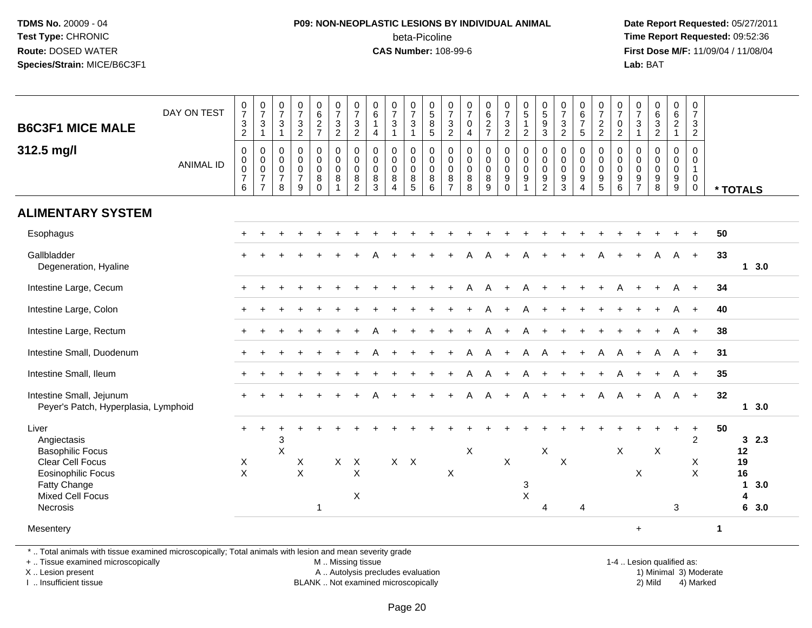### **P09: NON-NEOPLASTIC LESIONS BY INDIVIDUAL ANIMAL** beta-Picoline**beta-Picoline**<br> **CAS Number:** 108-99-6<br> **CAS Number:** 108-99-6<br> **CAS Number:** 108-99-6

 **Date Report Requested:** 05/27/2011 **First Dose M/F:** 11/09/04 / 11/08/04<br>Lab: BAT **Lab:** BAT

| <b>B6C3F1 MICE MALE</b>                                                                                                                                        | DAY ON TEST      | $\frac{0}{7}$<br>$\ensuremath{\mathsf{3}}$<br>$\overline{c}$   | $\frac{0}{7}$<br>$\ensuremath{\mathsf{3}}$<br>$\mathbf{1}$                  | $\frac{0}{7}$<br>3<br>$\mathbf{1}$                               | 0<br>$\overline{7}$<br>$\mathbf{3}$<br>$\overline{2}$ | $_{6}^{\rm 0}$<br>$\frac{2}{7}$                                | $\begin{array}{c} 0 \\ 7 \end{array}$<br>$\sqrt{3}$<br>$\boldsymbol{2}$ | $\frac{0}{7}$<br>$\frac{3}{2}$                        | $_{6}^{\rm 0}$<br>1<br>$\overline{4}$               | $\frac{0}{7}$<br>$\mathbf{3}$<br>$\overline{1}$            | $\frac{0}{7}$<br>3<br>$\mathbf{1}$                     | $\begin{array}{c} 0 \\ 5 \end{array}$<br>8<br>$\overline{5}$ | $\frac{0}{7}$<br>$\frac{3}{2}$                 | 0<br>$\overline{7}$<br>0<br>$\overline{4}$                | $\pmb{0}$<br>$\,6\,$<br>$\frac{2}{7}$                 | $\frac{0}{7}$<br>$\sqrt{3}$<br>$\overline{2}$                         | $\begin{array}{c} 0 \\ 5 \end{array}$<br>$\mathbf{1}$<br>$\overline{2}$               | $\begin{array}{c} 0 \\ 5 \end{array}$<br>$\boldsymbol{9}$<br>$\mathbf{3}$ | $\begin{array}{c} 0 \\ 7 \end{array}$<br>$\frac{3}{2}$     | $\begin{array}{c} 0 \\ 6 \end{array}$<br>$\overline{7}$<br>$\sqrt{5}$ | $\frac{0}{7}$<br>$\frac{2}{2}$                                        | $\frac{0}{7}$<br>0<br>$\overline{2}$                   | $\frac{0}{7}$<br>3<br>$\mathbf{1}$                         | $_{6}^{\rm 0}$<br>$\ensuremath{\mathsf{3}}$<br>$\overline{c}$ | $\begin{array}{c} 0 \\ 6 \end{array}$<br>$\overline{2}$<br>$\mathbf{1}$   | $\frac{0}{7}$<br>$\ensuremath{\mathsf{3}}$<br>$\sqrt{2}$           |              |                                                                    |  |
|----------------------------------------------------------------------------------------------------------------------------------------------------------------|------------------|----------------------------------------------------------------|-----------------------------------------------------------------------------|------------------------------------------------------------------|-------------------------------------------------------|----------------------------------------------------------------|-------------------------------------------------------------------------|-------------------------------------------------------|-----------------------------------------------------|------------------------------------------------------------|--------------------------------------------------------|--------------------------------------------------------------|------------------------------------------------|-----------------------------------------------------------|-------------------------------------------------------|-----------------------------------------------------------------------|---------------------------------------------------------------------------------------|---------------------------------------------------------------------------|------------------------------------------------------------|-----------------------------------------------------------------------|-----------------------------------------------------------------------|--------------------------------------------------------|------------------------------------------------------------|---------------------------------------------------------------|---------------------------------------------------------------------------|--------------------------------------------------------------------|--------------|--------------------------------------------------------------------|--|
| 312.5 mg/l                                                                                                                                                     | <b>ANIMAL ID</b> | $\mathbf 0$<br>$\pmb{0}$<br>$\mathbf 0$<br>$\overline{7}$<br>6 | $\pmb{0}$<br>$\pmb{0}$<br>$\mathbf 0$<br>$\boldsymbol{7}$<br>$\overline{7}$ | $\mathbf 0$<br>$\mathbf 0$<br>$\mathbf 0$<br>$\overline{7}$<br>8 | 0<br>$\pmb{0}$<br>$\pmb{0}$<br>$\boldsymbol{7}$<br>9  | $\mathbf 0$<br>$\pmb{0}$<br>$\pmb{0}$<br>$\, 8$<br>$\mathbf 0$ | 0<br>$\mathsf{O}\xspace$<br>$\pmb{0}$<br>$\bf 8$<br>$\overline{1}$      | $\pmb{0}$<br>$\pmb{0}$<br>$\pmb{0}$<br>$\frac{8}{2}$  | $\mathbf 0$<br>$\mathbf 0$<br>$\mathbf 0$<br>8<br>3 | 0<br>$\pmb{0}$<br>$\mathbf 0$<br>$\bf 8$<br>$\overline{4}$ | 0<br>$\mathsf{O}\xspace$<br>$\pmb{0}$<br>$\frac{8}{5}$ | 0<br>$\mathbf 0$<br>$\mathbf 0$<br>$\bf 8$<br>$6^{\circ}$    | $\mathbf 0$<br>$\overline{0}$<br>$\frac{8}{7}$ | $\mathbf 0$<br>$\mathbf 0$<br>$\mathbf 0$<br>$\bf 8$<br>8 | $\mathbf 0$<br>$\pmb{0}$<br>$\pmb{0}$<br>$\bf 8$<br>9 | $\mathbf 0$<br>$\pmb{0}$<br>$\pmb{0}$<br>$\boldsymbol{9}$<br>$\Omega$ | $\mathsf 0$<br>$\pmb{0}$<br>$\mathsf{O}\xspace$<br>$\boldsymbol{9}$<br>$\overline{1}$ | $\pmb{0}$<br>$\pmb{0}$<br>$\pmb{0}$<br>$\frac{9}{2}$                      | $\mathbf 0$<br>$\mathbf 0$<br>$\mathbf 0$<br>$\frac{9}{3}$ | $\pmb{0}$<br>$\pmb{0}$<br>$\mathbf 0$<br>$9\,$<br>$\overline{4}$      | 0<br>$\mathbf 0$<br>$\mathbf 0$<br>$\boldsymbol{9}$<br>$\overline{5}$ | 0<br>$\mathbf 0$<br>$\pmb{0}$<br>$\boldsymbol{9}$<br>6 | $\mathbf 0$<br>$\mathbf 0$<br>$\mathbf 0$<br>$\frac{9}{7}$ | 0<br>$\mathsf 0$<br>$\mathsf{O}\xspace$<br>$\frac{9}{8}$      | $\pmb{0}$<br>$\pmb{0}$<br>$\pmb{0}$<br>$\boldsymbol{9}$<br>$\overline{9}$ | $\pmb{0}$<br>$\pmb{0}$<br>$\mathbf{1}$<br>$\pmb{0}$<br>$\mathbf 0$ | * TOTALS     |                                                                    |  |
| <b>ALIMENTARY SYSTEM</b>                                                                                                                                       |                  |                                                                |                                                                             |                                                                  |                                                       |                                                                |                                                                         |                                                       |                                                     |                                                            |                                                        |                                                              |                                                |                                                           |                                                       |                                                                       |                                                                                       |                                                                           |                                                            |                                                                       |                                                                       |                                                        |                                                            |                                                               |                                                                           |                                                                    |              |                                                                    |  |
| Esophagus                                                                                                                                                      |                  | ÷                                                              |                                                                             |                                                                  |                                                       |                                                                |                                                                         |                                                       |                                                     |                                                            |                                                        |                                                              |                                                |                                                           |                                                       |                                                                       |                                                                                       |                                                                           |                                                            |                                                                       |                                                                       |                                                        |                                                            |                                                               |                                                                           |                                                                    | 50           |                                                                    |  |
| Gallbladder<br>Degeneration, Hyaline                                                                                                                           |                  |                                                                |                                                                             |                                                                  |                                                       |                                                                |                                                                         |                                                       |                                                     |                                                            |                                                        |                                                              |                                                |                                                           |                                                       |                                                                       |                                                                                       |                                                                           |                                                            |                                                                       |                                                                       |                                                        |                                                            | A                                                             | A                                                                         | $+$                                                                | 33           | $1 \quad 3.0$                                                      |  |
| Intestine Large, Cecum                                                                                                                                         |                  |                                                                |                                                                             |                                                                  |                                                       |                                                                |                                                                         |                                                       |                                                     |                                                            |                                                        |                                                              |                                                | A                                                         | A                                                     | $\ddot{}$                                                             | A                                                                                     | $\ddot{+}$                                                                |                                                            |                                                                       | $\div$                                                                |                                                        |                                                            |                                                               | A                                                                         | $+$                                                                | 34           |                                                                    |  |
| Intestine Large, Colon                                                                                                                                         |                  |                                                                |                                                                             |                                                                  |                                                       |                                                                |                                                                         |                                                       |                                                     |                                                            |                                                        |                                                              |                                                |                                                           |                                                       | $\ddot{}$                                                             | A                                                                                     |                                                                           |                                                            |                                                                       |                                                                       |                                                        |                                                            |                                                               | A                                                                         | $+$                                                                | 40           |                                                                    |  |
| Intestine Large, Rectum                                                                                                                                        |                  | $\div$                                                         |                                                                             |                                                                  |                                                       |                                                                |                                                                         |                                                       |                                                     |                                                            |                                                        |                                                              |                                                |                                                           |                                                       | $\ddot{}$                                                             | A                                                                                     | $\ddot{}$                                                                 |                                                            |                                                                       |                                                                       |                                                        |                                                            |                                                               | A                                                                         | $+$                                                                | 38           |                                                                    |  |
| Intestine Small, Duodenum                                                                                                                                      |                  | ÷                                                              |                                                                             |                                                                  |                                                       |                                                                |                                                                         |                                                       |                                                     |                                                            |                                                        |                                                              |                                                | A                                                         | A                                                     | $+$                                                                   | A                                                                                     | A                                                                         | $+$                                                        |                                                                       | A                                                                     | A                                                      | $\ddot{}$                                                  | A                                                             | A                                                                         | $+$                                                                | 31           |                                                                    |  |
| Intestine Small, Ileum                                                                                                                                         |                  | $\div$                                                         |                                                                             |                                                                  |                                                       |                                                                |                                                                         |                                                       |                                                     |                                                            |                                                        |                                                              |                                                | A                                                         | A                                                     | $\ddot{}$                                                             | A                                                                                     | $+$                                                                       |                                                            |                                                                       |                                                                       |                                                        |                                                            |                                                               | A                                                                         | $+$                                                                | 35           |                                                                    |  |
| Intestine Small, Jejunum<br>Peyer's Patch, Hyperplasia, Lymphoid                                                                                               |                  | $+$                                                            |                                                                             |                                                                  |                                                       |                                                                |                                                                         |                                                       |                                                     |                                                            |                                                        | $\ddot{}$                                                    | $\ddot{}$                                      | A                                                         | A                                                     | $+$                                                                   | A                                                                                     | $\ddot{}$                                                                 | $+$                                                        | $\ddot{}$                                                             | A                                                                     | A                                                      | $+$                                                        | $\mathsf{A}$                                                  | $\mathsf{A}$                                                              | $+$                                                                | 32           | $1 \quad 3.0$                                                      |  |
| Liver<br>Angiectasis<br><b>Basophilic Focus</b><br><b>Clear Cell Focus</b><br><b>Eosinophilic Focus</b><br>Fatty Change<br><b>Mixed Cell Focus</b><br>Necrosis |                  | $+$<br>X<br>$\mathsf{X}$                                       |                                                                             | $\ensuremath{\mathsf{3}}$<br>$\sf X$                             | X<br>$\pmb{\times}$                                   | $\overline{1}$                                                 | X                                                                       | $\mathsf{X}$<br>$\times$<br>$\boldsymbol{\mathsf{X}}$ |                                                     |                                                            | $X$ $X$                                                |                                                              | X                                              | $\boldsymbol{\mathsf{X}}$                                 |                                                       | X                                                                     | 3<br>$\mathsf X$                                                                      | $\pmb{\times}$<br>$\overline{4}$                                          | X                                                          | 4                                                                     |                                                                       | X                                                      | $\mathsf X$                                                | X                                                             | 3                                                                         | $\ddot{}$<br>$\overline{2}$<br>X<br>$\times$                       | 50           | 2.3<br>3<br>12<br>19<br>16<br>$\mathbf{1}$<br>3.0<br>4<br>6<br>3.0 |  |
| Mesentery                                                                                                                                                      |                  |                                                                |                                                                             |                                                                  |                                                       |                                                                |                                                                         |                                                       |                                                     |                                                            |                                                        |                                                              |                                                |                                                           |                                                       |                                                                       |                                                                                       |                                                                           |                                                            |                                                                       |                                                                       |                                                        | $\ddot{}$                                                  |                                                               |                                                                           |                                                                    | $\mathbf{1}$ |                                                                    |  |
| *  Total animals with tissue examined microscopically; Total animals with lesion and mean severity grade                                                       |                  |                                                                |                                                                             |                                                                  |                                                       |                                                                |                                                                         |                                                       |                                                     |                                                            |                                                        |                                                              |                                                |                                                           |                                                       |                                                                       |                                                                                       |                                                                           |                                                            |                                                                       |                                                                       |                                                        |                                                            |                                                               |                                                                           |                                                                    |              |                                                                    |  |

+ .. Tissue examined microscopically

X .. Lesion present

I .. Insufficient tissue

M .. Missing tissue

BLANK .. Not examined microscopically

1-4 .. Lesion qualified as:<br>1) Minimal 3) Moderate A .. Autolysis precludes evaluation 19 and 10 minimal 3) Moderate 1 and 20 minimal 3) Moderate 19 minimal 3) Moderat<br>19 and 19 and 19 and 19 and 19 and 19 and 19 and 19 and 19 and 19 and 19 and 19 and 19 and 19 and 19 and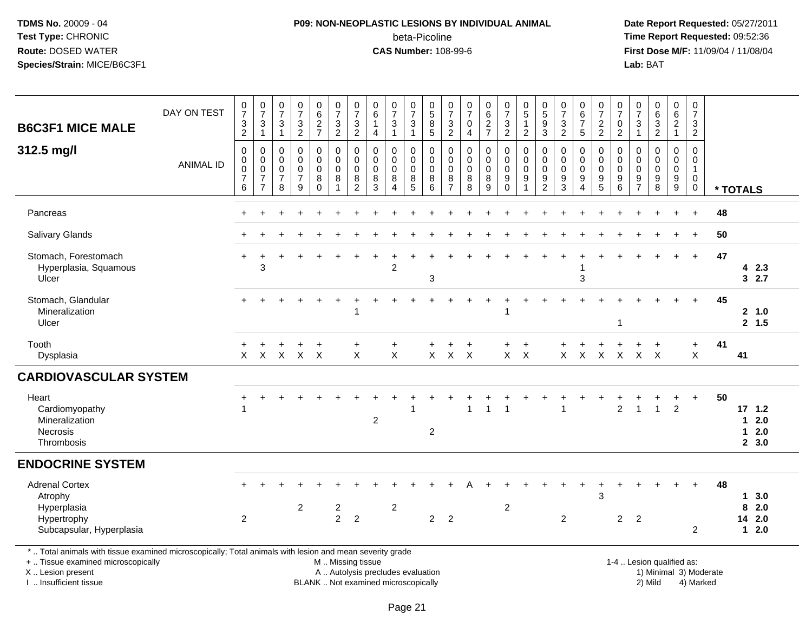# **P09: NON-NEOPLASTIC LESIONS BY INDIVIDUAL ANIMAL**beta-Picoline<br>CAS Number: 108-99-6

 **Date Report Requested:** 05/27/2011 **Time Report Requested:** 09:52:36 **First Dose M/F:** 11/09/04 / 11/08/04<br>Lab: BAT **Lab:** BAT

| <b>B6C3F1 MICE MALE</b>                                                                                                                        | DAY ON TEST      | $\frac{0}{7}$<br>$\ensuremath{\mathsf{3}}$<br>$\overline{2}$        | $\begin{array}{c} 0 \\ 7 \end{array}$<br>3<br>$\mathbf{1}$          | $\frac{0}{7}$<br>$\sqrt{3}$<br>$\mathbf{1}$            | $\begin{array}{c} 0 \\ 7 \end{array}$<br>$\frac{3}{2}$         | $_{\rm 6}^{\rm 0}$<br>$\overline{2}$<br>$\overline{7}$ | $\pmb{0}$<br>$\overline{7}$<br>$\ensuremath{\mathsf{3}}$<br>$\overline{2}$ | $\frac{0}{7}$<br>$\ensuremath{\mathsf{3}}$<br>$\overline{2}$ | 0<br>$6\phantom{a}$<br>$\mathbf{1}$<br>$\overline{4}$ | $\frac{0}{7}$<br>$\ensuremath{\mathsf{3}}$                     | $\begin{array}{c} 0 \\ 7 \end{array}$<br>$\ensuremath{\mathsf{3}}$<br>$\mathbf{1}$ | 0<br>$\overline{5}$<br>$\, 8$<br>$\overline{5}$     | 0<br>$\overline{7}$<br>$\sqrt{3}$<br>$\sqrt{2}$                  | $\frac{0}{7}$<br>$\pmb{0}$<br>$\overline{\mathbf{4}}$ | 0<br>6<br>2<br>$\overline{7}$   | $\frac{0}{7}$<br>$\ensuremath{\mathsf{3}}$<br>$\overline{2}$               | $\begin{array}{c} 0 \\ 5 \end{array}$<br>$\mathbf{1}$<br>$\overline{2}$ | $\begin{array}{c} 0 \\ 5 \end{array}$<br>$\boldsymbol{9}$<br>$\mathfrak{Z}$ | 0<br>$\overline{7}$<br>$\mathbf{3}$<br>$\overline{2}$ | 0<br>$\overline{6}$<br>$\overline{7}$<br>5   | 0<br>$\overline{7}$<br>$\frac{2}{2}$                                | $\frac{0}{7}$<br>$\,0\,$<br>$\overline{2}$             | $\begin{array}{c} 0 \\ 7 \end{array}$<br>$\mathbf{3}$<br>$\mathbf{1}$ | $\begin{array}{c} 0 \\ 6 \end{array}$<br>$\ensuremath{\mathsf{3}}$<br>$\sqrt{2}$ | $\begin{array}{c} 0 \\ 6 \end{array}$<br>$\overline{2}$<br>$\mathbf{1}$ | 0<br>$\overline{7}$<br>3<br>$\overline{c}$                               |    |                             |                                  |
|------------------------------------------------------------------------------------------------------------------------------------------------|------------------|---------------------------------------------------------------------|---------------------------------------------------------------------|--------------------------------------------------------|----------------------------------------------------------------|--------------------------------------------------------|----------------------------------------------------------------------------|--------------------------------------------------------------|-------------------------------------------------------|----------------------------------------------------------------|------------------------------------------------------------------------------------|-----------------------------------------------------|------------------------------------------------------------------|-------------------------------------------------------|---------------------------------|----------------------------------------------------------------------------|-------------------------------------------------------------------------|-----------------------------------------------------------------------------|-------------------------------------------------------|----------------------------------------------|---------------------------------------------------------------------|--------------------------------------------------------|-----------------------------------------------------------------------|----------------------------------------------------------------------------------|-------------------------------------------------------------------------|--------------------------------------------------------------------------|----|-----------------------------|----------------------------------|
| 312.5 mg/l                                                                                                                                     | <b>ANIMAL ID</b> | $\pmb{0}$<br>$_{\rm 0}^{\rm 0}$<br>$\overline{7}$<br>$6\phantom{1}$ | 0<br>$\mathbf 0$<br>$\mathbf 0$<br>$\overline{7}$<br>$\overline{7}$ | $\mathbf 0$<br>$\mathbf 0$<br>0<br>$\overline{7}$<br>8 | $\mathbf 0$<br>$\mathbf 0$<br>$\pmb{0}$<br>$\overline{7}$<br>9 | 0<br>$\boldsymbol{0}$<br>0<br>8<br>$\Omega$            | $\pmb{0}$<br>$\mathbf 0$<br>$\mathbf 0$<br>8<br>$\mathbf{1}$               | 0<br>0<br>$\mathbf 0$<br>8<br>$\overline{2}$                 | $\Omega$<br>$\mathbf 0$<br>$\mathbf 0$<br>8<br>3      | $\mathbf 0$<br>$\mathbf 0$<br>0<br>8<br>$\boldsymbol{\Lambda}$ | $\mathbf 0$<br>$\mathbf 0$<br>$\mathbf 0$<br>$\bf 8$<br>$\overline{5}$             | $\mathbf 0$<br>$\mathbf 0$<br>$\mathbf 0$<br>8<br>6 | $\mathbf 0$<br>$\mathbf 0$<br>$\mathbf 0$<br>8<br>$\overline{7}$ | $\mathbf 0$<br>$\mathbf 0$<br>$\mathbf 0$<br>8<br>8   | 0<br>$\mathbf 0$<br>0<br>8<br>9 | 0<br>$\mathbf 0$<br>$\mathbf 0$<br>$\boldsymbol{9}$<br>$\ddot{\mathbf{0}}$ | $\pmb{0}$<br>$\pmb{0}$<br>$\pmb{0}$<br>$\boldsymbol{9}$<br>$\mathbf{1}$ | $\mathbf 0$<br>$\mathbf 0$<br>0<br>9<br>$\overline{2}$                      | $\mathbf 0$<br>$\Omega$<br>$\mathbf 0$<br>9<br>3      | 0<br>$\mathbf 0$<br>0<br>9<br>$\overline{4}$ | 0<br>$\mathsf 0$<br>$\pmb{0}$<br>$\boldsymbol{9}$<br>$\overline{5}$ | $\mathbf 0$<br>0<br>$\pmb{0}$<br>$\boldsymbol{9}$<br>6 | $\mathbf 0$<br>$\Omega$<br>0<br>$\frac{9}{7}$                         | $\mathbf 0$<br>$\Omega$<br>$\mathbf 0$<br>$9\,$<br>8                             | 0<br>0<br>$\mathbf 0$<br>$\boldsymbol{9}$<br>$\overline{9}$             | $\mathbf 0$<br>$\mathbf 0$<br>$\mathbf{1}$<br>$\mathbf 0$<br>$\mathbf 0$ |    | <b>* TOTALS</b>             |                                  |
| Pancreas                                                                                                                                       |                  |                                                                     |                                                                     |                                                        |                                                                |                                                        |                                                                            |                                                              |                                                       |                                                                |                                                                                    |                                                     |                                                                  |                                                       |                                 |                                                                            |                                                                         |                                                                             |                                                       |                                              |                                                                     |                                                        |                                                                       |                                                                                  |                                                                         |                                                                          | 48 |                             |                                  |
| Salivary Glands                                                                                                                                |                  |                                                                     |                                                                     |                                                        |                                                                |                                                        |                                                                            |                                                              |                                                       |                                                                |                                                                                    |                                                     |                                                                  |                                                       |                                 |                                                                            |                                                                         |                                                                             |                                                       |                                              |                                                                     |                                                        |                                                                       |                                                                                  |                                                                         | $\ddot{}$                                                                | 50 |                             |                                  |
| Stomach, Forestomach<br>Hyperplasia, Squamous<br>Ulcer                                                                                         |                  | $+$                                                                 | $\ddot{}$<br>3                                                      |                                                        |                                                                |                                                        |                                                                            |                                                              |                                                       | $\overline{c}$                                                 |                                                                                    | 3                                                   |                                                                  |                                                       |                                 |                                                                            |                                                                         |                                                                             |                                                       | 3                                            |                                                                     |                                                        |                                                                       |                                                                                  |                                                                         | $+$                                                                      | 47 |                             | 42.3<br>32.7                     |
| Stomach, Glandular<br>Mineralization<br>Ulcer                                                                                                  |                  |                                                                     |                                                                     |                                                        |                                                                |                                                        |                                                                            | -1                                                           |                                                       |                                                                |                                                                                    |                                                     |                                                                  |                                                       |                                 |                                                                            |                                                                         |                                                                             |                                                       |                                              |                                                                     | -1                                                     |                                                                       |                                                                                  |                                                                         | $\ddot{}$                                                                | 45 |                             | 2 1.0<br>2, 1.5                  |
| Tooth<br>Dysplasia                                                                                                                             |                  | $\mathsf{X}$                                                        | $\ddot{}$                                                           | $\ddot{}$                                              | $\ddot{}$<br>X X X X                                           | $\ddot{}$                                              |                                                                            | $\ddot{}$<br>$\pmb{\times}$                                  |                                                       | $+$<br>X                                                       |                                                                                    | +<br>$\mathsf{X}$                                   | $\ddot{}$                                                        | $\ddot{}$<br>$X$ $X$                                  |                                 | $+$                                                                        | $\ddot{}$<br>$X$ $X$                                                    |                                                                             |                                                       | $X$ $X$                                      | $\ddot{}$<br>$\mathsf{X}$                                           | $\ddot{}$<br>$\mathsf{X}$                              | +                                                                     | $\div$<br>$X$ $X$                                                                |                                                                         | $\ddot{}$<br>X                                                           | 41 | 41                          |                                  |
| <b>CARDIOVASCULAR SYSTEM</b>                                                                                                                   |                  |                                                                     |                                                                     |                                                        |                                                                |                                                        |                                                                            |                                                              |                                                       |                                                                |                                                                                    |                                                     |                                                                  |                                                       |                                 |                                                                            |                                                                         |                                                                             |                                                       |                                              |                                                                     |                                                        |                                                                       |                                                                                  |                                                                         |                                                                          |    |                             |                                  |
| Heart<br>Cardiomyopathy<br>Mineralization<br>Necrosis<br>Thrombosis                                                                            |                  |                                                                     |                                                                     |                                                        |                                                                |                                                        |                                                                            |                                                              | $\overline{c}$                                        |                                                                |                                                                                    | $\overline{2}$                                      |                                                                  |                                                       |                                 |                                                                            |                                                                         |                                                                             | 1                                                     |                                              |                                                                     | $\overline{c}$                                         | 1                                                                     | $\overline{1}$                                                                   | $\overline{2}$                                                          |                                                                          | 50 | $\mathbf 1$<br>$\mathbf{1}$ | $17$ 1.2<br>2.0<br>2.0<br>2, 3.0 |
| <b>ENDOCRINE SYSTEM</b>                                                                                                                        |                  |                                                                     |                                                                     |                                                        |                                                                |                                                        |                                                                            |                                                              |                                                       |                                                                |                                                                                    |                                                     |                                                                  |                                                       |                                 |                                                                            |                                                                         |                                                                             |                                                       |                                              |                                                                     |                                                        |                                                                       |                                                                                  |                                                                         |                                                                          |    |                             |                                  |
| <b>Adrenal Cortex</b><br>Atrophy<br>Hyperplasia<br>Hypertrophy<br>Subcapsular, Hyperplasia                                                     |                  | $\overline{2}$                                                      |                                                                     |                                                        | $\overline{2}$                                                 |                                                        | $\overline{\mathbf{c}}$<br>$\overline{2}$                                  | $\overline{2}$                                               |                                                       | $\overline{c}$                                                 |                                                                                    | $\overline{2}$                                      | $\overline{2}$                                                   |                                                       |                                 | $\overline{c}$                                                             |                                                                         |                                                                             | $\overline{2}$                                        |                                              | 3                                                                   | $\overline{2}$                                         | 2                                                                     |                                                                                  |                                                                         | $\overline{2}$                                                           | 48 | $\mathbf 1$<br>8            | 3.0<br>2.0<br>14 2.0<br>$12.0$   |
| *  Total animals with tissue examined microscopically; Total animals with lesion and mean severity grade<br>+  Tissue examined microscopically |                  |                                                                     |                                                                     |                                                        |                                                                |                                                        |                                                                            | M  Missing tissue                                            |                                                       |                                                                |                                                                                    |                                                     |                                                                  |                                                       |                                 |                                                                            |                                                                         |                                                                             |                                                       |                                              |                                                                     |                                                        |                                                                       | 1-4  Lesion qualified as:                                                        |                                                                         |                                                                          |    |                             |                                  |

X .. Lesion present

I .. Insufficient tissue

A .. Autolysis precludes evaluation

BLANK .. Not examined microscopically 2) Mild 4) Marked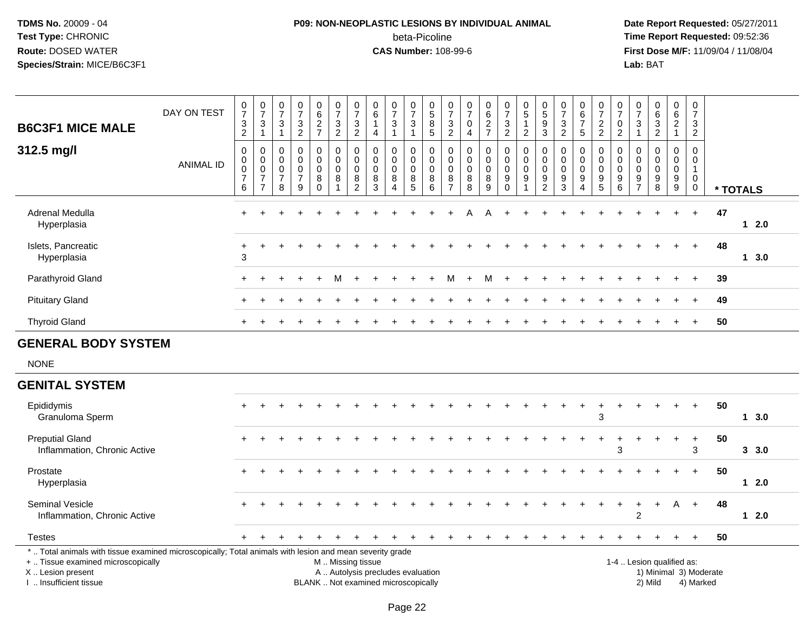# **P09: NON-NEOPLASTIC LESIONS BY INDIVIDUAL ANIMAL**beta-Picoline<br>CAS Number: 108-99-6

 **Date Report Requested:** 05/27/2011 **Time Report Requested:** 09:52:36 **First Dose M/F:** 11/09/04 / 11/08/04<br>Lab: BAT **Lab:** BAT

| <b>B6C3F1 MICE MALE</b>                                                                                                                                                                      | DAY ON TEST      | $\frac{0}{7}$<br>$\overline{3}$<br>$\sqrt{2}$              | $\frac{0}{7}$<br>$\ensuremath{\mathsf{3}}$<br>$\mathbf{1}$ | $\begin{smallmatrix}0\\7\end{smallmatrix}$<br>$\sqrt{3}$<br>$\mathbf{1}$ | $\frac{0}{7}$<br>$\ensuremath{\mathsf{3}}$<br>$\overline{c}$     | 0627                                                                | $\frac{0}{7}$<br>$\sqrt{3}$<br>$\overline{2}$                  | 0<br>$\overline{7}$<br>$\mathbf{3}$<br>$\overline{c}$      | 0<br>$\,6\,$<br>$\mathbf{1}$<br>$\overline{4}$       | $\frac{0}{7}$<br>$\sqrt{3}$<br>$\mathbf{1}$                              | $\begin{array}{c} 0 \\ 7 \end{array}$<br>$\sqrt{3}$<br>$\mathbf{1}$ | $\pmb{0}$<br>$\overline{5}$<br>$\, 8$<br>5                     | $\pmb{0}$<br>$\overline{7}$<br>$\sqrt{3}$<br>$\boldsymbol{2}$ | $\frac{0}{7}$<br>$\mathbf 0$<br>4                   | $\begin{matrix} 0 \\ 6 \\ 2 \end{matrix}$<br>$\overline{7}$ | $\frac{0}{7}$<br>$\ensuremath{\mathsf{3}}$<br>$\overline{2}$ | $\begin{array}{c} 0 \\ 5 \end{array}$<br>$\overline{1}$<br>$\overline{2}$ | 0<br>$\sqrt{5}$<br>9<br>$\mathbf{3}$                   | $\begin{array}{c} 0 \\ 7 \end{array}$<br>$\sqrt{3}$<br>2 | 0<br>$\frac{6}{7}$<br>$\sqrt{5}$                                             | $\begin{array}{c} 0 \\ 7 \end{array}$<br>$\frac{2}{2}$             | $\frac{0}{7}$<br>$\pmb{0}$<br>$\overline{2}$              | $\frac{0}{7}$<br>$\mathbf{3}$<br>$\overline{1}$        | $\pmb{0}$<br>$\frac{6}{3}$<br>$\overline{2}$  | $\pmb{0}$<br>6<br>$\overline{2}$<br>$\mathbf{1}$                   | 0<br>$\overline{7}$<br>$\mathbf{3}$<br>$\overline{2}$          |                        |          |
|----------------------------------------------------------------------------------------------------------------------------------------------------------------------------------------------|------------------|------------------------------------------------------------|------------------------------------------------------------|--------------------------------------------------------------------------|------------------------------------------------------------------|---------------------------------------------------------------------|----------------------------------------------------------------|------------------------------------------------------------|------------------------------------------------------|--------------------------------------------------------------------------|---------------------------------------------------------------------|----------------------------------------------------------------|---------------------------------------------------------------|-----------------------------------------------------|-------------------------------------------------------------|--------------------------------------------------------------|---------------------------------------------------------------------------|--------------------------------------------------------|----------------------------------------------------------|------------------------------------------------------------------------------|--------------------------------------------------------------------|-----------------------------------------------------------|--------------------------------------------------------|-----------------------------------------------|--------------------------------------------------------------------|----------------------------------------------------------------|------------------------|----------|
| 312.5 mg/l                                                                                                                                                                                   | <b>ANIMAL ID</b> | $\mathbf 0$<br>0<br>$\pmb{0}$<br>$\overline{7}$<br>$\,6\,$ | 0<br>0<br>$\pmb{0}$<br>7<br>$\overline{7}$                 | $\mathbf 0$<br>0<br>0<br>$\overline{7}$<br>8                             | $\mathbf 0$<br>$\mathbf 0$<br>$\mathbf 0$<br>$\overline{7}$<br>9 | $\mathbf 0$<br>$\pmb{0}$<br>$\mathsf{O}\xspace$<br>8<br>$\mathbf 0$ | $\mathbf 0$<br>$\mathbf 0$<br>$\mathbf 0$<br>8<br>$\mathbf{1}$ | $\Omega$<br>$\mathbf 0$<br>$\Omega$<br>8<br>$\overline{2}$ | $\mathbf 0$<br>$\mathbf 0$<br>0<br>8<br>$\mathbf{3}$ | $\mathbf 0$<br>$\mathbf 0$<br>0<br>8<br>$\overline{4}$                   | 0<br>$\mathbf 0$<br>0<br>8<br>$\sqrt{5}$                            | $\Omega$<br>$\mathbf 0$<br>$\mathsf{O}\xspace$<br>8<br>$\,6\,$ | 0<br>$\mathbf 0$<br>$\mathbf 0$<br>8<br>$\overline{7}$        | $\mathbf 0$<br>$\mathbf 0$<br>$\mathbf 0$<br>8<br>8 | $\mathbf 0$<br>0<br>0<br>8<br>9                             | $\mathbf 0$<br>$\mathbf 0$<br>$\mathbf 0$<br>9<br>$\pmb{0}$  | $\mathbf 0$<br>$\mathbf 0$<br>$\mathbf 0$<br>9<br>$\overline{1}$          | 0<br>$\mathbf 0$<br>$\mathbf 0$<br>9<br>$\overline{c}$ | $\Omega$<br>$\mathbf 0$<br>$\Omega$<br>9<br>3            | $\Omega$<br>$\mathbf 0$<br>$\mathbf 0$<br>$\boldsymbol{9}$<br>$\overline{4}$ | $\mathbf 0$<br>$\mathsf{O}\xspace$<br>$\mathbf 0$<br>$\frac{9}{5}$ | $\mathbf 0$<br>$\mathbf 0$<br>$\mathsf 0$<br>9<br>$\,6\,$ | $\mathbf 0$<br>0<br>$\mathbf 0$<br>9<br>$\overline{7}$ | $\Omega$<br>$\mathbf 0$<br>$\Omega$<br>9<br>8 | $\mathbf 0$<br>$\mathbf 0$<br>$\mathbf 0$<br>9<br>$\boldsymbol{9}$ | $\mathbf 0$<br>$\mathbf 0$<br>$\mathbf{1}$<br>0<br>$\mathsf 0$ |                        | * TOTALS |
| Adrenal Medulla<br>Hyperplasia                                                                                                                                                               |                  |                                                            |                                                            |                                                                          |                                                                  |                                                                     |                                                                |                                                            |                                                      |                                                                          |                                                                     |                                                                |                                                               |                                                     |                                                             |                                                              |                                                                           |                                                        |                                                          |                                                                              |                                                                    |                                                           |                                                        |                                               |                                                                    | $+$                                                            | 47                     | $12.0$   |
| Islets, Pancreatic<br>Hyperplasia                                                                                                                                                            |                  | ÷<br>3                                                     |                                                            |                                                                          |                                                                  |                                                                     |                                                                |                                                            |                                                      |                                                                          |                                                                     |                                                                |                                                               |                                                     |                                                             |                                                              |                                                                           |                                                        |                                                          |                                                                              |                                                                    |                                                           |                                                        |                                               |                                                                    | $\ddot{}$                                                      | 48                     | 1, 3.0   |
| Parathyroid Gland                                                                                                                                                                            |                  |                                                            |                                                            |                                                                          |                                                                  |                                                                     | м                                                              | $\ddot{}$                                                  |                                                      |                                                                          |                                                                     |                                                                | М                                                             | $\ddot{}$                                           | M                                                           | $+$                                                          |                                                                           |                                                        |                                                          |                                                                              |                                                                    |                                                           |                                                        |                                               |                                                                    | $\ddot{}$                                                      | 39                     |          |
| <b>Pituitary Gland</b>                                                                                                                                                                       |                  |                                                            |                                                            |                                                                          |                                                                  |                                                                     |                                                                |                                                            |                                                      |                                                                          |                                                                     |                                                                |                                                               |                                                     |                                                             |                                                              |                                                                           |                                                        |                                                          |                                                                              |                                                                    |                                                           |                                                        |                                               |                                                                    |                                                                | 49                     |          |
| <b>Thyroid Gland</b>                                                                                                                                                                         |                  |                                                            |                                                            |                                                                          |                                                                  |                                                                     |                                                                |                                                            |                                                      |                                                                          |                                                                     |                                                                |                                                               |                                                     |                                                             |                                                              |                                                                           |                                                        |                                                          |                                                                              |                                                                    |                                                           |                                                        |                                               |                                                                    |                                                                | 50                     |          |
| <b>GENERAL BODY SYSTEM</b>                                                                                                                                                                   |                  |                                                            |                                                            |                                                                          |                                                                  |                                                                     |                                                                |                                                            |                                                      |                                                                          |                                                                     |                                                                |                                                               |                                                     |                                                             |                                                              |                                                                           |                                                        |                                                          |                                                                              |                                                                    |                                                           |                                                        |                                               |                                                                    |                                                                |                        |          |
| <b>NONE</b>                                                                                                                                                                                  |                  |                                                            |                                                            |                                                                          |                                                                  |                                                                     |                                                                |                                                            |                                                      |                                                                          |                                                                     |                                                                |                                                               |                                                     |                                                             |                                                              |                                                                           |                                                        |                                                          |                                                                              |                                                                    |                                                           |                                                        |                                               |                                                                    |                                                                |                        |          |
| <b>GENITAL SYSTEM</b>                                                                                                                                                                        |                  |                                                            |                                                            |                                                                          |                                                                  |                                                                     |                                                                |                                                            |                                                      |                                                                          |                                                                     |                                                                |                                                               |                                                     |                                                             |                                                              |                                                                           |                                                        |                                                          |                                                                              |                                                                    |                                                           |                                                        |                                               |                                                                    |                                                                |                        |          |
| Epididymis<br>Granuloma Sperm                                                                                                                                                                |                  |                                                            |                                                            |                                                                          |                                                                  |                                                                     |                                                                |                                                            |                                                      |                                                                          |                                                                     |                                                                |                                                               |                                                     |                                                             |                                                              |                                                                           |                                                        |                                                          |                                                                              | $\ddot{}$<br>3                                                     |                                                           |                                                        |                                               |                                                                    | $\ddot{}$                                                      | 50                     | 13.0     |
| <b>Preputial Gland</b><br>Inflammation, Chronic Active                                                                                                                                       |                  |                                                            |                                                            |                                                                          |                                                                  |                                                                     |                                                                |                                                            |                                                      |                                                                          |                                                                     |                                                                |                                                               |                                                     |                                                             |                                                              |                                                                           |                                                        |                                                          |                                                                              |                                                                    | 3                                                         |                                                        |                                               |                                                                    | $\ddot{}$<br>3                                                 | 50                     | 3, 3.0   |
| Prostate<br>Hyperplasia                                                                                                                                                                      |                  |                                                            |                                                            |                                                                          |                                                                  |                                                                     |                                                                |                                                            |                                                      |                                                                          |                                                                     |                                                                |                                                               |                                                     |                                                             |                                                              |                                                                           |                                                        |                                                          |                                                                              |                                                                    |                                                           |                                                        |                                               |                                                                    | $+$                                                            | 50                     | $12.0$   |
| Seminal Vesicle<br>Inflammation, Chronic Active                                                                                                                                              |                  |                                                            |                                                            |                                                                          |                                                                  |                                                                     |                                                                |                                                            |                                                      |                                                                          |                                                                     |                                                                |                                                               |                                                     |                                                             |                                                              |                                                                           |                                                        |                                                          |                                                                              |                                                                    |                                                           | $\overline{c}$                                         |                                               | A                                                                  | $+$                                                            | 48                     | $12.0$   |
| <b>Testes</b>                                                                                                                                                                                |                  |                                                            |                                                            |                                                                          |                                                                  |                                                                     |                                                                |                                                            |                                                      |                                                                          |                                                                     |                                                                |                                                               |                                                     |                                                             |                                                              |                                                                           |                                                        |                                                          |                                                                              |                                                                    |                                                           |                                                        |                                               |                                                                    | $\ddot{}$                                                      | 50                     |          |
| *  Total animals with tissue examined microscopically; Total animals with lesion and mean severity grade<br>+  Tissue examined microscopically<br>X Lesion present<br>I  Insufficient tissue |                  |                                                            |                                                            |                                                                          |                                                                  |                                                                     | M  Missing tissue                                              |                                                            |                                                      | A  Autolysis precludes evaluation<br>BLANK  Not examined microscopically |                                                                     |                                                                |                                                               |                                                     |                                                             |                                                              |                                                                           |                                                        |                                                          |                                                                              |                                                                    |                                                           |                                                        | 1-4  Lesion qualified as:<br>2) Mild          |                                                                    | 4) Marked                                                      | 1) Minimal 3) Moderate |          |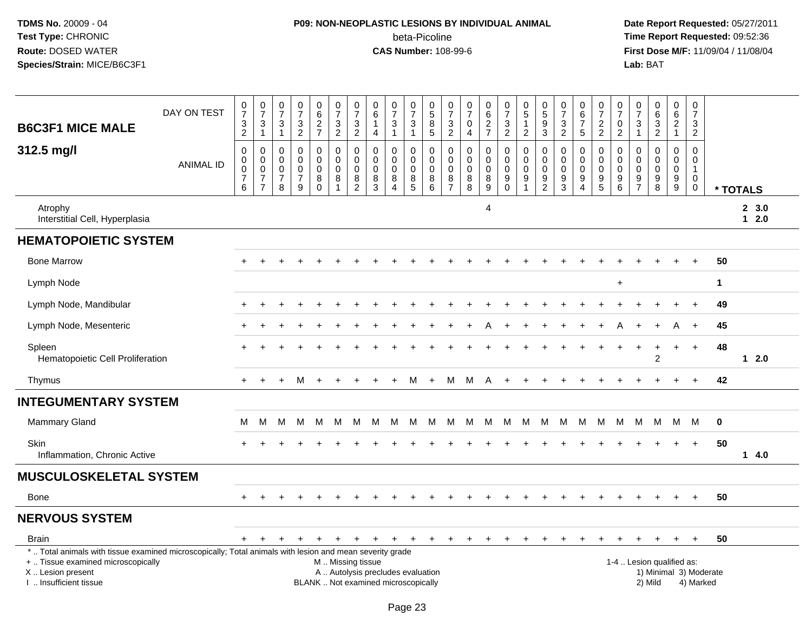# **P09: NON-NEOPLASTIC LESIONS BY INDIVIDUAL ANIMAL**beta-Picoline<br>CAS Number: 108-99-6

 **Date Report Requested:** 05/27/2011 **Time Report Requested:** 09:52:36 **First Dose M/F:** 11/09/04 / 11/08/04<br>Lab: BAT **Lab:** BAT

| <b>B6C3F1 MICE MALE</b>                                                                                                                                                                      | DAY ON TEST      | $\frac{0}{7}$<br>3<br>$\sqrt{2}$                   | $\frac{0}{7}$<br>$\sqrt{3}$<br>$\overline{1}$              | $\frac{0}{7}$<br>$\ensuremath{\mathsf{3}}$<br>$\mathbf{1}$ | $\frac{0}{7}$<br>$\frac{3}{2}$                                          | 0627                                                                | $\begin{array}{c} 0 \\ 7 \end{array}$<br>$\frac{3}{2}$                                        | $\frac{0}{7}$<br>$\frac{3}{2}$                                                   | 0<br>$\,6\,$<br>$\overline{1}$<br>$\overline{4}$         | $\frac{0}{7}$<br>$\ensuremath{\mathsf{3}}$<br>$\overline{1}$               | $\frac{0}{7}$<br>$\sqrt{3}$<br>$\mathbf{1}$ | 0<br>5<br>8<br>5                               | $\begin{array}{c} 0 \\ 7 \end{array}$<br>$\frac{3}{2}$             | 0<br>$\overline{7}$<br>$\pmb{0}$<br>$\overline{4}$ | 0627                                                       | $\frac{0}{7}$<br>$\ensuremath{\mathsf{3}}$<br>$\boldsymbol{2}$ | $\begin{array}{c} 0 \\ 5 \end{array}$<br>$\mathbf{1}$<br>$\overline{2}$     | $\begin{smallmatrix}0\0\5\end{smallmatrix}$<br>$\boldsymbol{9}$<br>$\mathbf{3}$ | $\frac{0}{7}$<br>$\frac{3}{2}$                   | $_6^0$<br>$\overline{7}$<br>5                                    | $\frac{0}{7}$<br>$\frac{2}{2}$                                  | $\begin{array}{c} 0 \\ 7 \end{array}$<br>$^{\rm 0}_{\rm 2}$                     | $\frac{0}{7}$<br>$\sqrt{3}$<br>$\mathbf{1}$ | $\begin{array}{c} 0 \\ 6 \\ 3 \\ 2 \end{array}$                                 | $\begin{array}{c} 0 \\ 6 \end{array}$<br>$\boldsymbol{2}$<br>1 | 0<br>$\overline{7}$<br>$\sqrt{3}$<br>$\overline{2}$                      |             |                  |
|----------------------------------------------------------------------------------------------------------------------------------------------------------------------------------------------|------------------|----------------------------------------------------|------------------------------------------------------------|------------------------------------------------------------|-------------------------------------------------------------------------|---------------------------------------------------------------------|-----------------------------------------------------------------------------------------------|----------------------------------------------------------------------------------|----------------------------------------------------------|----------------------------------------------------------------------------|---------------------------------------------|------------------------------------------------|--------------------------------------------------------------------|----------------------------------------------------|------------------------------------------------------------|----------------------------------------------------------------|-----------------------------------------------------------------------------|---------------------------------------------------------------------------------|--------------------------------------------------|------------------------------------------------------------------|-----------------------------------------------------------------|---------------------------------------------------------------------------------|---------------------------------------------|---------------------------------------------------------------------------------|----------------------------------------------------------------|--------------------------------------------------------------------------|-------------|------------------|
| 312.5 mg/l                                                                                                                                                                                   | <b>ANIMAL ID</b> | 0<br>$\pmb{0}$<br>0<br>$\boldsymbol{7}$<br>$\,6\,$ | $\mathbf 0$<br>$\mathbf 0$<br>$\mathbf 0$<br>$\frac{7}{7}$ | $\mathbf 0$<br>$\mathbf 0$<br>0<br>$\overline{7}$<br>8     | 0<br>$\mathbf 0$<br>$\mathbf 0$<br>$\boldsymbol{7}$<br>$\boldsymbol{9}$ | $\mathsf 0$<br>$\mathbf 0$<br>$\mathbf 0$<br>$\bar{8}$ <sup>0</sup> | 0<br>$\mathbf 0$<br>$\mathbf 0$<br>8                                                          | $\pmb{0}$<br>$\mathbf 0$<br>$\mathbf 0$<br>$\begin{array}{c} 8 \\ 2 \end{array}$ | 0<br>$\mathbf{0}$<br>$\Omega$<br>$\bf 8$<br>$\mathbf{3}$ | $\mathbf 0$<br>$\Omega$<br>$\mathbf 0$<br>$\, 8$<br>$\boldsymbol{\Lambda}$ | 0<br>$\Omega$<br>$\mathbf 0$<br>$^8_5$      | 0<br>$\mathbf 0$<br>$\pmb{0}$<br>$\frac{8}{6}$ | $\mathsf{O}\xspace$<br>$\mathbf 0$<br>$\mathbf 0$<br>$\frac{8}{7}$ | $\mathbf 0$<br>$\mathbf 0$<br>0<br>$_{8}^8$        | $\mathbf 0$<br>$\mathbf 0$<br>$\mathbf 0$<br>$\frac{8}{9}$ | 0<br>$\mathbf 0$<br>0<br>$\boldsymbol{9}$<br>$\mathbf 0$       | $\pmb{0}$<br>$\mathbf 0$<br>$\mathbf 0$<br>$\boldsymbol{9}$<br>$\mathbf{1}$ | 0<br>$\mathbf 0$<br>$\mathbf 0$<br>$\boldsymbol{9}$<br>$\overline{c}$           | 0<br>$\mathbf 0$<br>$\mathbf 0$<br>$\frac{9}{3}$ | $\mathbf 0$<br>$\mathbf 0$<br>$\mathbf 0$<br>9<br>$\overline{4}$ | 0<br>$\mathsf{O}$<br>0<br>$\begin{array}{c} 9 \\ 5 \end{array}$ | $\mathbf 0$<br>$\mathbf 0$<br>$\mathbf 0$<br>$\boldsymbol{9}$<br>$\overline{6}$ | 0<br>$\Omega$<br>0<br>$\frac{9}{7}$         | $\mathbf 0$<br>$\Omega$<br>$\mathbf 0$<br>$\begin{array}{c} 9 \\ 8 \end{array}$ | $\mathbf 0$<br>$\Omega$<br>0<br>$^9_9$                         | $\mathbf 0$<br>$\mathbf 0$<br>$\mathbf{1}$<br>$\mathbf 0$<br>$\mathbf 0$ |             | * TOTALS         |
| Atrophy<br>Interstitial Cell, Hyperplasia                                                                                                                                                    |                  |                                                    |                                                            |                                                            |                                                                         |                                                                     |                                                                                               |                                                                                  |                                                          |                                                                            |                                             |                                                |                                                                    |                                                    | $\overline{4}$                                             |                                                                |                                                                             |                                                                                 |                                                  |                                                                  |                                                                 |                                                                                 |                                             |                                                                                 |                                                                |                                                                          |             | 2, 3.0<br>$12.0$ |
| <b>HEMATOPOIETIC SYSTEM</b>                                                                                                                                                                  |                  |                                                    |                                                            |                                                            |                                                                         |                                                                     |                                                                                               |                                                                                  |                                                          |                                                                            |                                             |                                                |                                                                    |                                                    |                                                            |                                                                |                                                                             |                                                                                 |                                                  |                                                                  |                                                                 |                                                                                 |                                             |                                                                                 |                                                                |                                                                          |             |                  |
| <b>Bone Marrow</b>                                                                                                                                                                           |                  |                                                    |                                                            |                                                            |                                                                         |                                                                     |                                                                                               |                                                                                  |                                                          |                                                                            |                                             |                                                |                                                                    |                                                    |                                                            |                                                                |                                                                             |                                                                                 |                                                  |                                                                  |                                                                 |                                                                                 |                                             |                                                                                 |                                                                |                                                                          | 50          |                  |
| Lymph Node                                                                                                                                                                                   |                  |                                                    |                                                            |                                                            |                                                                         |                                                                     |                                                                                               |                                                                                  |                                                          |                                                                            |                                             |                                                |                                                                    |                                                    |                                                            |                                                                |                                                                             |                                                                                 |                                                  |                                                                  |                                                                 | $\ddot{}$                                                                       |                                             |                                                                                 |                                                                |                                                                          | $\mathbf 1$ |                  |
| Lymph Node, Mandibular                                                                                                                                                                       |                  |                                                    |                                                            |                                                            |                                                                         |                                                                     |                                                                                               |                                                                                  |                                                          |                                                                            |                                             |                                                |                                                                    |                                                    |                                                            |                                                                |                                                                             |                                                                                 |                                                  |                                                                  |                                                                 |                                                                                 |                                             |                                                                                 |                                                                |                                                                          | 49          |                  |
| Lymph Node, Mesenteric                                                                                                                                                                       |                  |                                                    |                                                            |                                                            |                                                                         |                                                                     |                                                                                               |                                                                                  |                                                          |                                                                            |                                             |                                                |                                                                    |                                                    |                                                            |                                                                |                                                                             |                                                                                 |                                                  |                                                                  |                                                                 |                                                                                 |                                             |                                                                                 | A                                                              |                                                                          | 45          |                  |
| Spleen<br>Hematopoietic Cell Proliferation                                                                                                                                                   |                  |                                                    |                                                            |                                                            |                                                                         |                                                                     |                                                                                               |                                                                                  |                                                          |                                                                            |                                             |                                                |                                                                    |                                                    |                                                            |                                                                |                                                                             |                                                                                 |                                                  |                                                                  |                                                                 |                                                                                 | $\ddot{}$                                   | $\overline{2}$                                                                  | $\ddot{}$                                                      | $+$                                                                      | 48          | $12.0$           |
| Thymus                                                                                                                                                                                       |                  | $+$                                                | $\ddot{}$                                                  | $\ddot{}$                                                  | м                                                                       | $+$                                                                 |                                                                                               |                                                                                  |                                                          |                                                                            | м                                           | $+$                                            | M                                                                  | M A                                                |                                                            | $+$                                                            | $\ddot{}$                                                                   |                                                                                 |                                                  |                                                                  |                                                                 |                                                                                 |                                             |                                                                                 |                                                                |                                                                          | 42          |                  |
| <b>INTEGUMENTARY SYSTEM</b>                                                                                                                                                                  |                  |                                                    |                                                            |                                                            |                                                                         |                                                                     |                                                                                               |                                                                                  |                                                          |                                                                            |                                             |                                                |                                                                    |                                                    |                                                            |                                                                |                                                                             |                                                                                 |                                                  |                                                                  |                                                                 |                                                                                 |                                             |                                                                                 |                                                                |                                                                          |             |                  |
| Mammary Gland                                                                                                                                                                                |                  | м                                                  | M                                                          | м                                                          | м                                                                       | M                                                                   | M                                                                                             | м                                                                                | м                                                        | M                                                                          | M                                           | M                                              | M                                                                  |                                                    | M M                                                        | M                                                              | M                                                                           | M                                                                               | M                                                | M                                                                | M                                                               | M                                                                               | м                                           | M                                                                               | M                                                              | M                                                                        | $\mathbf 0$ |                  |
| Skin<br>Inflammation, Chronic Active                                                                                                                                                         |                  |                                                    |                                                            |                                                            |                                                                         |                                                                     |                                                                                               |                                                                                  |                                                          |                                                                            |                                             |                                                |                                                                    |                                                    |                                                            |                                                                |                                                                             |                                                                                 |                                                  |                                                                  |                                                                 |                                                                                 |                                             |                                                                                 |                                                                | $\ddot{}$                                                                | 50          | 14.0             |
| <b>MUSCULOSKELETAL SYSTEM</b>                                                                                                                                                                |                  |                                                    |                                                            |                                                            |                                                                         |                                                                     |                                                                                               |                                                                                  |                                                          |                                                                            |                                             |                                                |                                                                    |                                                    |                                                            |                                                                |                                                                             |                                                                                 |                                                  |                                                                  |                                                                 |                                                                                 |                                             |                                                                                 |                                                                |                                                                          |             |                  |
| Bone                                                                                                                                                                                         |                  |                                                    |                                                            |                                                            |                                                                         |                                                                     |                                                                                               |                                                                                  |                                                          |                                                                            |                                             |                                                |                                                                    |                                                    |                                                            |                                                                |                                                                             |                                                                                 |                                                  |                                                                  |                                                                 |                                                                                 |                                             |                                                                                 |                                                                |                                                                          | 50          |                  |
| <b>NERVOUS SYSTEM</b>                                                                                                                                                                        |                  |                                                    |                                                            |                                                            |                                                                         |                                                                     |                                                                                               |                                                                                  |                                                          |                                                                            |                                             |                                                |                                                                    |                                                    |                                                            |                                                                |                                                                             |                                                                                 |                                                  |                                                                  |                                                                 |                                                                                 |                                             |                                                                                 |                                                                |                                                                          |             |                  |
| <b>Brain</b>                                                                                                                                                                                 |                  | $+$                                                |                                                            |                                                            |                                                                         |                                                                     | $+$                                                                                           | $+$                                                                              | $+$                                                      | $+$                                                                        | $+$                                         | $+$                                            | $+$                                                                | $+$                                                | $+$                                                        | $+$                                                            | $\ddot{}$                                                                   | $\ddot{}$                                                                       | $+$                                              | $\ddot{}$                                                        | $\ddot{}$                                                       |                                                                                 |                                             |                                                                                 | $+$                                                            | $+$                                                                      | 50          |                  |
| *  Total animals with tissue examined microscopically; Total animals with lesion and mean severity grade<br>+  Tissue examined microscopically<br>X Lesion present<br>I. Insufficient tissue |                  |                                                    |                                                            |                                                            |                                                                         |                                                                     | M  Missing tissue<br>A  Autolysis precludes evaluation<br>BLANK  Not examined microscopically |                                                                                  |                                                          |                                                                            |                                             |                                                |                                                                    |                                                    |                                                            |                                                                |                                                                             |                                                                                 |                                                  |                                                                  |                                                                 |                                                                                 |                                             | 1-4  Lesion qualified as:<br>2) Mild                                            |                                                                | 1) Minimal 3) Moderate<br>4) Marked                                      |             |                  |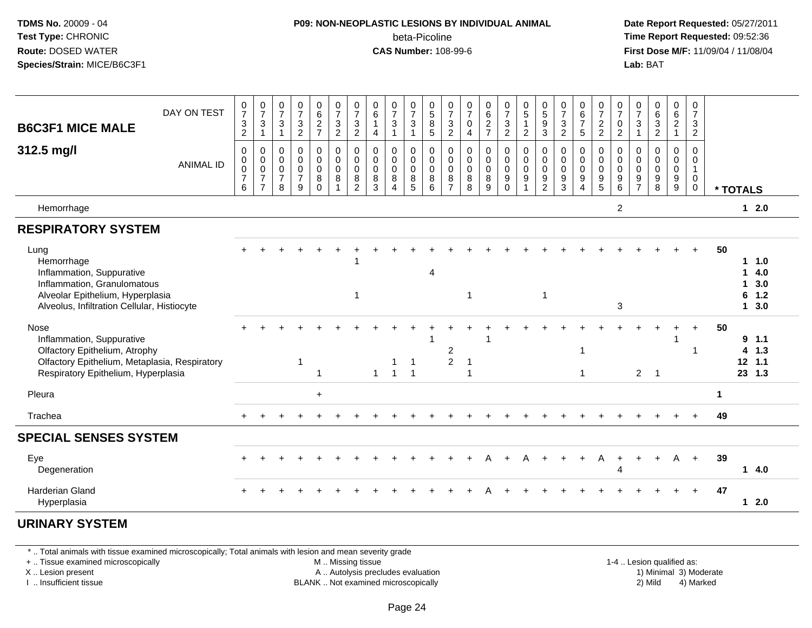#### **P09: NON-NEOPLASTIC LESIONS BY INDIVIDUAL ANIMAL** beta-Picoline**beta-Picoline**<br> **CAS Number:** 108-99-6<br> **CAS Number:** 108-99-6<br> **CAS Number:** 108-99-6

 **Date Report Requested:** 05/27/2011 **First Dose M/F:** 11/09/04 / 11/08/04 Lab: BAT **Lab:** BAT

| <b>B6C3F1 MICE MALE</b>                                                                                                                                           | DAY ON TEST      | $\frac{0}{7}$<br>$\frac{3}{2}$                                 | $\frac{0}{7}$<br>$\sqrt{3}$<br>$\mathbf{1}$                                         | $\frac{0}{7}$<br>3<br>$\mathbf{1}$                            | $\frac{0}{7}$<br>$\frac{3}{2}$                               | 0627                                                                 | $\frac{0}{7}$<br>$\ensuremath{\mathsf{3}}$<br>$\overline{2}$ | $\frac{0}{7}$<br>$\frac{3}{2}$                                              | 0<br>$6\phantom{a}$<br>$\overline{1}$<br>$\overline{4}$ | $\frac{0}{7}$<br>$\mathbf{3}$<br>$\mathbf{1}$                            | $\frac{0}{7}$<br>3                             | 0<br>5<br>5<br>5                                                  | $\frac{0}{7}$<br>$\frac{3}{2}$                                                        | $\frac{0}{7}$<br>0<br>$\overline{4}$               | 0627                                                         | $\frac{0}{7}$<br>$\sqrt{3}$<br>$\overline{2}$                 | $\begin{array}{c} 0 \\ 5 \end{array}$<br>$\mathbf{1}$<br>$\overline{2}$    | $\begin{smallmatrix}0\0\5\end{smallmatrix}$<br>$\frac{9}{3}$                | $\frac{0}{7}$<br>$\sqrt{3}$<br>$\overline{2}$         | $\begin{array}{c} 0 \\ 6 \end{array}$<br>$\overline{7}$<br>5             | $\frac{0}{7}$<br>$\frac{2}{2}$                                                    | 0<br>$\overline{7}$<br>$\mathsf 0$<br>$\overline{2}$            | $\frac{0}{7}$<br>$\sqrt{3}$<br>$\mathbf{1}$                                  | $\begin{matrix} 0 \\ 6 \end{matrix}$<br>$\frac{3}{2}$           | $_6^0$<br>$\overline{a}$<br>$\mathbf{1}$                   | 0<br>$\overline{7}$<br>$\mathbf{3}$<br>$\overline{2}$        |              |                                                           |                                         |  |
|-------------------------------------------------------------------------------------------------------------------------------------------------------------------|------------------|----------------------------------------------------------------|-------------------------------------------------------------------------------------|---------------------------------------------------------------|--------------------------------------------------------------|----------------------------------------------------------------------|--------------------------------------------------------------|-----------------------------------------------------------------------------|---------------------------------------------------------|--------------------------------------------------------------------------|------------------------------------------------|-------------------------------------------------------------------|---------------------------------------------------------------------------------------|----------------------------------------------------|--------------------------------------------------------------|---------------------------------------------------------------|----------------------------------------------------------------------------|-----------------------------------------------------------------------------|-------------------------------------------------------|--------------------------------------------------------------------------|-----------------------------------------------------------------------------------|-----------------------------------------------------------------|------------------------------------------------------------------------------|-----------------------------------------------------------------|------------------------------------------------------------|--------------------------------------------------------------|--------------|-----------------------------------------------------------|-----------------------------------------|--|
| 312.5 mg/l                                                                                                                                                        | <b>ANIMAL ID</b> | $\mathbf 0$<br>$\pmb{0}$<br>$\mathbf 0$<br>$\overline{7}$<br>6 | $\mathbf 0$<br>$\pmb{0}$<br>$\begin{array}{c} 0 \\ 7 \end{array}$<br>$\overline{7}$ | $\Omega$<br>$\mathbf 0$<br>$\mathbf 0$<br>$\overline{7}$<br>8 | $\mathbf 0$<br>$\pmb{0}$<br>$\pmb{0}$<br>$\overline{7}$<br>9 | $\mathsf{O}$<br>$\bar{0}$<br>$\pmb{0}$<br>$\overline{8}$<br>$\Omega$ | 0<br>$\mathsf{O}\xspace$<br>$\mathsf{O}\xspace$<br>$\bf 8$   | $\mathbf 0$<br>$\pmb{0}$<br>$\mathbf 0$<br>$\overline{8}$<br>$\overline{2}$ | $\Omega$<br>$\mathbf 0$<br>0<br>8<br>3                  | $\Omega$<br>$\pmb{0}$<br>$\pmb{0}$<br>$\, 8$<br>$\boldsymbol{\varDelta}$ | $\Omega$<br>$\mathbf 0$<br>$\pmb{0}$<br>8<br>5 | $\mathbf 0$<br>$\overline{0}$ <sub>0</sub><br>$\overline{8}$<br>6 | $\mathbf 0$<br>$\mathsf{O}\xspace$<br>$\mathbf 0$<br>$\overline{8}$<br>$\overline{7}$ | $\Omega$<br>$\pmb{0}$<br>$\pmb{0}$<br>$\bf 8$<br>8 | $\mathbf 0$<br>$\pmb{0}$<br>$\pmb{0}$<br>$\overline{8}$<br>9 | 0<br>$\pmb{0}$<br>$\mathsf 0$<br>$\boldsymbol{9}$<br>$\Omega$ | $\Omega$<br>$\mathbf 0$<br>$\mathbf 0$<br>$\boldsymbol{9}$<br>$\mathbf{1}$ | $\mathbf 0$<br>$\pmb{0}$<br>$\pmb{0}$<br>$\boldsymbol{9}$<br>$\overline{2}$ | $\Omega$<br>$\mathbf 0$<br>0<br>$\boldsymbol{9}$<br>3 | $\Omega$<br>0<br>$\pmb{0}$<br>$\boldsymbol{9}$<br>$\boldsymbol{\Lambda}$ | $\mathbf 0$<br>$\mathbf 0$<br>$\mathsf{O}\xspace$<br>$\overline{9}$<br>$\sqrt{5}$ | $\Omega$<br>$\mathsf 0$<br>$\mathbf 0$<br>$\boldsymbol{9}$<br>6 | $\Omega$<br>$\mathbf 0$<br>$\mathbf 0$<br>$\boldsymbol{9}$<br>$\overline{7}$ | $\Omega$<br>$\mathbf 0$<br>$\mathbf 0$<br>$\boldsymbol{9}$<br>8 | $\Omega$<br>0<br>$\boldsymbol{0}$<br>$\boldsymbol{9}$<br>9 | $\mathbf 0$<br>$\mathsf 0$<br>$\mathbf{1}$<br>$\pmb{0}$<br>0 |              | * TOTALS                                                  |                                         |  |
| Hemorrhage                                                                                                                                                        |                  |                                                                |                                                                                     |                                                               |                                                              |                                                                      |                                                              |                                                                             |                                                         |                                                                          |                                                |                                                                   |                                                                                       |                                                    |                                                              |                                                               |                                                                            |                                                                             |                                                       |                                                                          |                                                                                   | $\overline{c}$                                                  |                                                                              |                                                                 |                                                            |                                                              |              |                                                           | $12.0$                                  |  |
| <b>RESPIRATORY SYSTEM</b>                                                                                                                                         |                  |                                                                |                                                                                     |                                                               |                                                              |                                                                      |                                                              |                                                                             |                                                         |                                                                          |                                                |                                                                   |                                                                                       |                                                    |                                                              |                                                               |                                                                            |                                                                             |                                                       |                                                                          |                                                                                   |                                                                 |                                                                              |                                                                 |                                                            |                                                              |              |                                                           |                                         |  |
| Lung<br>Hemorrhage<br>Inflammation, Suppurative<br>Inflammation, Granulomatous<br>Alveolar Epithelium, Hyperplasia<br>Alveolus, Infiltration Cellular, Histiocyte |                  |                                                                |                                                                                     |                                                               |                                                              |                                                                      |                                                              | -1                                                                          |                                                         |                                                                          |                                                | 4                                                                 |                                                                                       |                                                    |                                                              |                                                               |                                                                            | $\mathbf{1}$                                                                |                                                       |                                                                          |                                                                                   | $\mathbf{3}$                                                    |                                                                              |                                                                 |                                                            |                                                              | 50           | $\blacktriangleleft$<br>$\mathbf{1}$<br>6<br>$\mathbf{1}$ | $1 \t1.0$<br>4.0<br>3.0<br>$1.2$<br>3.0 |  |
| Nose<br>Inflammation, Suppurative<br>Olfactory Epithelium, Atrophy<br>Olfactory Epithelium, Metaplasia, Respiratory<br>Respiratory Epithelium, Hyperplasia        |                  |                                                                |                                                                                     |                                                               | 1                                                            | $\overline{1}$                                                       |                                                              |                                                                             | $\overline{1}$                                          | 1<br>$\overline{1}$                                                      | $\mathbf 1$<br>$\overline{1}$                  |                                                                   | 2<br>$\overline{c}$                                                                   |                                                    |                                                              |                                                               |                                                                            |                                                                             |                                                       | 1<br>1                                                                   |                                                                                   |                                                                 | $\overline{c}$                                                               | $\overline{1}$                                                  |                                                            | $\ddot{}$                                                    | 50           | 4<br>12                                                   | 9, 1.1<br>1.3<br>1.1<br>23 1.3          |  |
| Pleura                                                                                                                                                            |                  |                                                                |                                                                                     |                                                               |                                                              | $+$                                                                  |                                                              |                                                                             |                                                         |                                                                          |                                                |                                                                   |                                                                                       |                                                    |                                                              |                                                               |                                                                            |                                                                             |                                                       |                                                                          |                                                                                   |                                                                 |                                                                              |                                                                 |                                                            |                                                              | $\mathbf{1}$ |                                                           |                                         |  |
| Trachea                                                                                                                                                           |                  |                                                                |                                                                                     |                                                               |                                                              |                                                                      |                                                              |                                                                             |                                                         |                                                                          |                                                |                                                                   |                                                                                       |                                                    |                                                              |                                                               |                                                                            |                                                                             |                                                       |                                                                          |                                                                                   |                                                                 |                                                                              |                                                                 |                                                            |                                                              | 49           |                                                           |                                         |  |
| <b>SPECIAL SENSES SYSTEM</b>                                                                                                                                      |                  |                                                                |                                                                                     |                                                               |                                                              |                                                                      |                                                              |                                                                             |                                                         |                                                                          |                                                |                                                                   |                                                                                       |                                                    |                                                              |                                                               |                                                                            |                                                                             |                                                       |                                                                          |                                                                                   |                                                                 |                                                                              |                                                                 |                                                            |                                                              |              |                                                           |                                         |  |
| Eye<br>Degeneration                                                                                                                                               |                  |                                                                |                                                                                     |                                                               |                                                              |                                                                      |                                                              |                                                                             |                                                         |                                                                          |                                                |                                                                   |                                                                                       |                                                    |                                                              |                                                               |                                                                            |                                                                             |                                                       |                                                                          | A                                                                                 | $\ddot{}$<br>Δ                                                  |                                                                              |                                                                 | A                                                          | $+$                                                          | 39           |                                                           | 14.0                                    |  |
| <b>Harderian Gland</b><br>Hyperplasia                                                                                                                             |                  | $\ddot{}$                                                      |                                                                                     |                                                               |                                                              |                                                                      |                                                              |                                                                             |                                                         |                                                                          |                                                |                                                                   |                                                                                       |                                                    |                                                              |                                                               |                                                                            |                                                                             |                                                       |                                                                          |                                                                                   |                                                                 |                                                                              |                                                                 |                                                            | $+$                                                          | 47           |                                                           | 12.0                                    |  |
|                                                                                                                                                                   |                  |                                                                |                                                                                     |                                                               |                                                              |                                                                      |                                                              |                                                                             |                                                         |                                                                          |                                                |                                                                   |                                                                                       |                                                    |                                                              |                                                               |                                                                            |                                                                             |                                                       |                                                                          |                                                                                   |                                                                 |                                                                              |                                                                 |                                                            |                                                              |              |                                                           |                                         |  |

### **URINARY SYSTEM**

\* .. Total animals with tissue examined microscopically; Total animals with lesion and mean severity grade

+ .. Tissue examined microscopically

X .. Lesion present

I .. Insufficient tissue

M .. Missing tissue

A .. Autolysis precludes evaluation

BLANK .. Not examined microscopically 2) Mild 4) Marked

1-4 .. Lesion qualified as:<br>1) Minimal 3) Moderate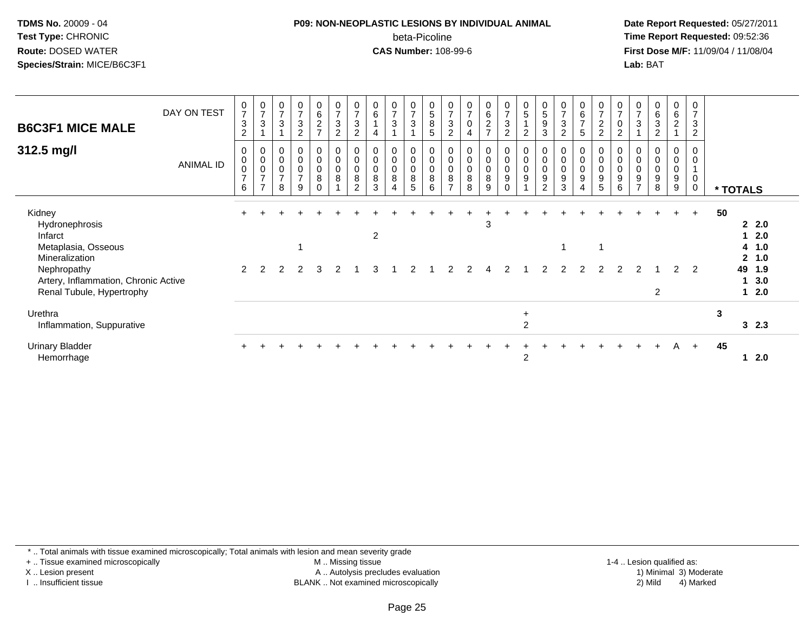#### **P09: NON-NEOPLASTIC LESIONS BY INDIVIDUAL ANIMAL** beta-Picoline**beta-Picoline**<br> **CAS Number:** 108-99-6<br> **CAS Number:** 108-99-6<br> **CAS Number:** 108-99-6

 **Date Report Requested:** 05/27/2011 **First Dose M/F:** 11/09/04 / 11/08/04<br>**Lab:** BAT **Lab:** BAT

| <b>B6C3F1 MICE MALE</b>                                                                                                                                          | DAY ON TEST | $\frac{0}{7}$<br>$\sqrt{3}$<br>$\overline{c}$                       | $\frac{0}{7}$<br>3                                        | $\frac{0}{7}$<br>3                              | $\begin{array}{c} 0 \\ 7 \end{array}$<br>$\sqrt{3}$<br>$\overline{2}$ | $_6^0$<br>$\frac{2}{7}$            | $\pmb{0}$<br>$\overline{7}$<br>$\ensuremath{\mathsf{3}}$<br>$\overline{2}$ | $\frac{0}{7}$<br>3<br>$\overline{2}$    | $\begin{array}{c} 0 \\ 6 \end{array}$<br>$\overline{4}$ | $\frac{0}{7}$<br>$\sqrt{3}$                                      | $\frac{0}{7}$<br>3                  | $\begin{array}{c} 0 \\ 5 \end{array}$<br>$\bf 8$<br>5              | 0<br>$\overline{7}$<br>3<br>$\overline{c}$                   | $\frac{0}{7}$<br>$\mathbf 0$<br>$\overline{4}$ | $\begin{matrix} 0 \\ 6 \\ 2 \end{matrix}$<br>$\overline{ }$ | $\frac{0}{7}$<br>$\sqrt{3}$<br>$\overline{2}$                                 | $\begin{array}{c} 0 \\ 5 \end{array}$<br>$\overline{1}$<br>$\overline{2}$ | $\begin{array}{c} 0 \\ 5 \end{array}$<br>9<br>3                   | $\frac{0}{7}$<br>3<br>$\overline{c}$ | $\begin{array}{c} 0 \\ 6 \\ 7 \end{array}$<br>$\sqrt{5}$            | $\frac{0}{7}$<br>$\sqrt{2}$<br>$\overline{c}$        | $\frac{0}{7}$<br>0<br>$\overline{c}$                   | $\frac{0}{7}$<br>3                                 | $\begin{matrix} 0 \\ 6 \\ 3 \end{matrix}$<br>$\overline{2}$ | $_6^0$<br>$\overline{2}$<br>1         | 0<br>$\overline{z}$<br>$\mathbf{3}$<br>$\overline{2}$ |               |                                                  |
|------------------------------------------------------------------------------------------------------------------------------------------------------------------|-------------|---------------------------------------------------------------------|-----------------------------------------------------------|-------------------------------------------------|-----------------------------------------------------------------------|------------------------------------|----------------------------------------------------------------------------|-----------------------------------------|---------------------------------------------------------|------------------------------------------------------------------|-------------------------------------|--------------------------------------------------------------------|--------------------------------------------------------------|------------------------------------------------|-------------------------------------------------------------|-------------------------------------------------------------------------------|---------------------------------------------------------------------------|-------------------------------------------------------------------|--------------------------------------|---------------------------------------------------------------------|------------------------------------------------------|--------------------------------------------------------|----------------------------------------------------|-------------------------------------------------------------|---------------------------------------|-------------------------------------------------------|---------------|--------------------------------------------------|
| 312.5 mg/l                                                                                                                                                       | ANIMAL ID   | $\mathbf 0$<br>$\pmb{0}$<br>$\boldsymbol{0}$<br>$\overline{7}$<br>6 | 0<br>0<br>$\mathsf 0$<br>$\overline{ }$<br>$\overline{ }$ | $\pmb{0}$<br>$\mathbf 0$<br>$\overline{7}$<br>8 | $\begin{smallmatrix}0\\0\\0\end{smallmatrix}$<br>$\overline{7}$<br>9  | 0<br>0<br>0<br>$\bf 8$<br>$\Omega$ | $\pmb{0}$<br>$\pmb{0}$<br>$\pmb{0}$<br>8                                   | 0<br>$\pmb{0}$<br>$\mathbf 0$<br>8<br>2 | $\mathsf 0$<br>$\pmb{0}$<br>$\, 8$<br>3                 | $\pmb{0}$<br>$\pmb{0}$<br>$\pmb{0}$<br>$\bf 8$<br>$\overline{4}$ | 0<br>$\pmb{0}$<br>0<br>$\,8\,$<br>5 | $\begin{smallmatrix}0\0\0\end{smallmatrix}$<br>$\overline{8}$<br>6 | $\boldsymbol{0}$<br>$\mathbf 0$<br>$\bf 8$<br>$\overline{ }$ | $\pmb{0}$<br>$\mbox{O}$<br>$\bf8$<br>8         | 0<br>0<br>$\mathsf 0$<br>8<br>9                             | $\begin{smallmatrix}0\\0\\0\end{smallmatrix}$<br>$\boldsymbol{9}$<br>$\Omega$ | $\begin{smallmatrix}0\\0\\0\end{smallmatrix}$<br>$\boldsymbol{9}$         | 0<br>$\pmb{0}$<br>$\pmb{0}$<br>$\boldsymbol{9}$<br>$\overline{2}$ | $\pmb{0}$<br>$\mathbf 0$<br>9<br>3   | 0<br>$\pmb{0}$<br>$\mathsf 0$<br>$\boldsymbol{9}$<br>$\overline{4}$ | 0<br>$\pmb{0}$<br>$\pmb{0}$<br>$\boldsymbol{9}$<br>5 | 0<br>$\pmb{0}$<br>$\mathbf 0$<br>$\boldsymbol{9}$<br>6 | 0<br>$\pmb{0}$<br>$\pmb{0}$<br>9<br>$\overline{ }$ | $\pmb{0}$<br>$\overline{0}$<br>$\boldsymbol{9}$<br>8        | $\pmb{0}$<br>$\pmb{0}$<br>0<br>9<br>9 | 0<br>0<br>0<br>0                                      | * TOTALS      |                                                  |
| Kidney<br>Hydronephrosis<br>Infarct<br>Metaplasia, Osseous<br>Mineralization<br>Nephropathy<br>Artery, Inflammation, Chronic Active<br>Renal Tubule, Hypertrophy |             | $\mathcal{P}$                                                       |                                                           | 2                                               | 2                                                                     | 3                                  |                                                                            |                                         | $\overline{2}$<br>3                                     |                                                                  | 2                                   |                                                                    |                                                              |                                                | 3                                                           | 2                                                                             |                                                                           |                                                                   |                                      | 2                                                                   | 2                                                    |                                                        | 2                                                  | 2                                                           | $\ddot{}$<br>2                        | $+$<br>2                                              | 50<br>2<br>49 | 22.0<br>2.0<br>4 1.0<br>1.0<br>1.9<br>3.0<br>2.0 |
| Urethra<br>Inflammation, Suppurative                                                                                                                             |             |                                                                     |                                                           |                                                 |                                                                       |                                    |                                                                            |                                         |                                                         |                                                                  |                                     |                                                                    |                                                              |                                                |                                                             |                                                                               | $+$<br>$\overline{2}$                                                     |                                                                   |                                      |                                                                     |                                                      |                                                        |                                                    |                                                             |                                       |                                                       | 3             | 32.3                                             |
| <b>Urinary Bladder</b><br>Hemorrhage                                                                                                                             |             |                                                                     |                                                           |                                                 |                                                                       |                                    |                                                                            |                                         |                                                         |                                                                  |                                     |                                                                    |                                                              |                                                |                                                             |                                                                               | $\overline{c}$                                                            |                                                                   |                                      |                                                                     |                                                      |                                                        |                                                    |                                                             | A                                     | $+$                                                   | 45            | 2.0                                              |

\* .. Total animals with tissue examined microscopically; Total animals with lesion and mean severity grade

+ .. Tissue examined microscopically

X .. Lesion present

I .. Insufficient tissue

 M .. Missing tissueA .. Autolysis precludes evaluation

 1-4 .. Lesion qualified as: BLANK .. Not examined microscopically 2) Mild 4) Marked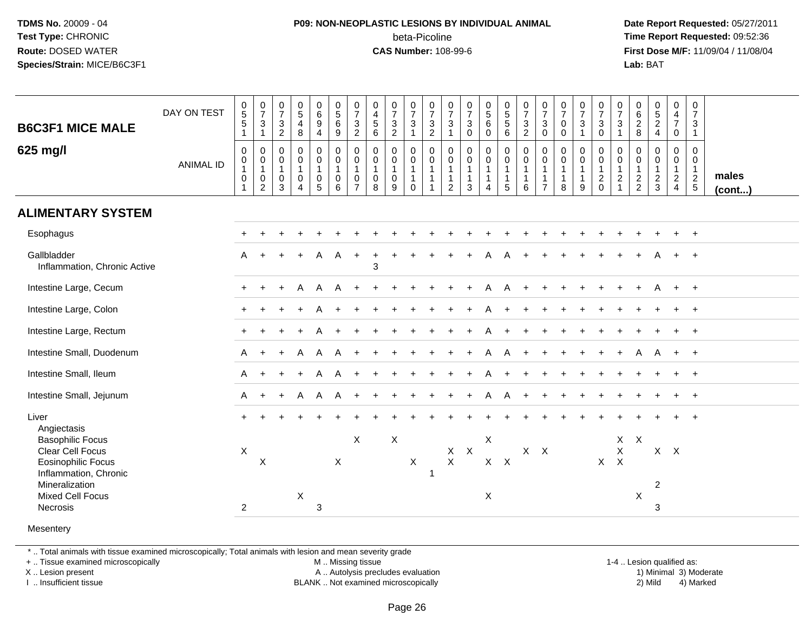#### **P09: NON-NEOPLASTIC LESIONS BY INDIVIDUAL ANIMAL** beta-Picoline**beta-Picoline**<br> **CAS Number:** 108-99-6<br> **CAS Number:** 108-99-6<br> **CAS Number:** 108-99-6

 **Date Report Requested:** 05/27/2011 **First Dose M/F:** 11/09/04 / 11/08/04<br>**Lab:** BAT **Lab:** BAT

| <b>B6C3F1 MICE MALE</b>                                                | DAY ON TEST      | $\begin{array}{c} 0 \\ 5 \end{array}$<br>$\sqrt{5}$<br>$\mathbf{1}$<br>$\mathbf 0$ | $\frac{0}{7}$<br>$\mathbf{3}$<br>$\mathbf{1}$<br>$\mathbf 0$ | $\frac{0}{7}$<br>$\mathbf{3}$<br>$\overline{2}$<br>$\mathbf 0$ | $\begin{array}{c} 0 \\ 5 \end{array}$<br>$\overline{4}$<br>8<br>$\mathbf 0$ | $\begin{array}{c} 0 \\ 6 \end{array}$<br>$\boldsymbol{9}$<br>$\overline{4}$<br>$\mathbf 0$ | $\begin{array}{c} 0 \\ 5 \\ 6 \end{array}$<br>9<br>$\mathsf 0$    | 0<br>$\boldsymbol{7}$<br>$\mathbf{3}$<br>$\mathbf{2}$<br>$\mathbf 0$ | $\pmb{0}$<br>$\overline{4}$<br>$\sqrt{5}$<br>$\,6\,$<br>$\mathbf 0$ | $\frac{0}{7}$<br>$\ensuremath{\mathsf{3}}$<br>$\overline{2}$<br>$\mathbf 0$ | $\frac{0}{7}$<br>$\sqrt{3}$<br>$\mathbf{1}$<br>$\mathbf 0$ | 0<br>$\boldsymbol{7}$<br>$\sqrt{3}$<br>$\boldsymbol{2}$<br>$\mathbf 0$ | $\frac{0}{7}$<br>$\mathbf{3}$<br>$\mathbf{1}$<br>$\mathbf 0$ | $\frac{0}{7}$<br>$\mathbf{3}$<br>$\mathbf 0$<br>$\mathbf 0$ | $\begin{array}{c} 0 \\ 5 \\ 6 \end{array}$<br>$\mathsf{O}$<br>$\pmb{0}$ | $\begin{array}{c} 0 \\ 5 \\ 5 \end{array}$<br>$\,6\,$<br>$\mathbf 0$ | $\mathbf 0$<br>$\boldsymbol{7}$<br>$\mathbf{3}$<br>$\overline{2}$<br>$\mathbf 0$ | $\frac{0}{7}$<br>$\sqrt{3}$<br>$\boldsymbol{0}$<br>$\mathbf 0$     | $\frac{0}{7}$<br>$\mathbf 0$<br>$\mathbf 0$<br>0 | $\frac{0}{7}$<br>$\sqrt{3}$<br>$\overline{1}$<br>$\mathbf 0$ | 0<br>$\overline{7}$<br>3<br>$\mathsf 0$<br>0      | $\frac{0}{7}$<br>$\mathbf 3$<br>$\overline{1}$<br>$\mathbf 0$   | 0628<br>0                                  | $\frac{0}{5}$<br>$\frac{2}{4}$<br>0        | $\pmb{0}$<br>$\overline{4}$<br>$\overline{7}$<br>$\mathbf 0$<br>$\mathbf 0$ | $\mathbf 0$<br>$\overline{7}$<br>3<br>$\overline{1}$<br>0 |                 |
|------------------------------------------------------------------------|------------------|------------------------------------------------------------------------------------|--------------------------------------------------------------|----------------------------------------------------------------|-----------------------------------------------------------------------------|--------------------------------------------------------------------------------------------|-------------------------------------------------------------------|----------------------------------------------------------------------|---------------------------------------------------------------------|-----------------------------------------------------------------------------|------------------------------------------------------------|------------------------------------------------------------------------|--------------------------------------------------------------|-------------------------------------------------------------|-------------------------------------------------------------------------|----------------------------------------------------------------------|----------------------------------------------------------------------------------|--------------------------------------------------------------------|--------------------------------------------------|--------------------------------------------------------------|---------------------------------------------------|-----------------------------------------------------------------|--------------------------------------------|--------------------------------------------|-----------------------------------------------------------------------------|-----------------------------------------------------------|-----------------|
| 625 mg/l                                                               | <b>ANIMAL ID</b> | $\begin{smallmatrix}0\\1\end{smallmatrix}$<br>0<br>$\overline{1}$                  | $\pmb{0}$<br>$\mathbf{1}$<br>$\mathbf 0$<br>2                | $\mathbf 0$<br>$\mathbf{1}$<br>$\boldsymbol{0}$<br>3           | $\pmb{0}$<br>$\mathbf{1}$<br>$\mathbf 0$<br>4                               | $\pmb{0}$<br>$\mathbf{1}$<br>$\pmb{0}$<br>5                                                | $\pmb{0}$<br>$\mathbf{1}$<br>$\begin{matrix} 0 \\ 6 \end{matrix}$ | 0<br>$\mathbf{1}$<br>0<br>$\overline{7}$                             | $\pmb{0}$<br>$\mathbf{1}$<br>$\pmb{0}$<br>8                         | 0<br>$\overline{1}$<br>0<br>9                                               | $\overline{0}$<br>1<br>$\mathbf{1}$<br>$\Omega$            | 0<br>1<br>1                                                            | $\,0\,$<br>$\mathbf{1}$<br>$\mathbf{1}$<br>$\overline{2}$    | 0<br>$\mathbf{1}$<br>$\mathbf{1}$<br>3                      | $\pmb{0}$<br>$\mathbf{1}$<br>$\mathbf{1}$<br>4                          | $\pmb{0}$<br>$\mathbf{1}$<br>5                                       | 0<br>$\overline{1}$<br>$\mathbf 1$<br>6                                          | $\boldsymbol{0}$<br>$\mathbf{1}$<br>$\mathbf{1}$<br>$\overline{7}$ | $\pmb{0}$<br>$\mathbf{1}$<br>1<br>8              | $\boldsymbol{0}$<br>$\overline{1}$<br>$\mathbf{1}$<br>9      | 0<br>$\mathbf{1}$<br>$\boldsymbol{2}$<br>$\Omega$ | $\pmb{0}$<br>$\mathbf{1}$<br>$\boldsymbol{2}$<br>$\overline{1}$ | $\pmb{0}$<br>$\mathbf{1}$<br>$\frac{2}{2}$ | $\pmb{0}$<br>$\mathbf{1}$<br>$\frac{2}{3}$ | $\pmb{0}$<br>$\mathbf{1}$<br>$\overline{c}$<br>$\overline{4}$               | 0<br>$\overline{1}$<br>$\frac{2}{5}$                      | males<br>(cont) |
| <b>ALIMENTARY SYSTEM</b>                                               |                  |                                                                                    |                                                              |                                                                |                                                                             |                                                                                            |                                                                   |                                                                      |                                                                     |                                                                             |                                                            |                                                                        |                                                              |                                                             |                                                                         |                                                                      |                                                                                  |                                                                    |                                                  |                                                              |                                                   |                                                                 |                                            |                                            |                                                                             |                                                           |                 |
| Esophagus                                                              |                  |                                                                                    |                                                              |                                                                |                                                                             |                                                                                            |                                                                   |                                                                      |                                                                     |                                                                             |                                                            |                                                                        |                                                              |                                                             |                                                                         |                                                                      |                                                                                  |                                                                    |                                                  |                                                              |                                                   |                                                                 |                                            |                                            |                                                                             |                                                           |                 |
| Gallbladder<br>Inflammation, Chronic Active                            |                  | A                                                                                  |                                                              |                                                                |                                                                             | Α                                                                                          | A                                                                 | $\ddot{}$                                                            | $\mathbf{3}$                                                        |                                                                             |                                                            |                                                                        |                                                              |                                                             |                                                                         |                                                                      |                                                                                  |                                                                    |                                                  |                                                              |                                                   |                                                                 |                                            |                                            |                                                                             |                                                           |                 |
| Intestine Large, Cecum                                                 |                  |                                                                                    |                                                              |                                                                | A                                                                           | A                                                                                          | A                                                                 |                                                                      |                                                                     |                                                                             |                                                            |                                                                        |                                                              |                                                             | А                                                                       | А                                                                    |                                                                                  |                                                                    |                                                  |                                                              |                                                   |                                                                 | $\div$                                     | A                                          | $\ddot{}$                                                                   | $+$                                                       |                 |
| Intestine Large, Colon                                                 |                  |                                                                                    |                                                              |                                                                |                                                                             |                                                                                            |                                                                   |                                                                      |                                                                     |                                                                             |                                                            |                                                                        |                                                              |                                                             |                                                                         |                                                                      |                                                                                  |                                                                    |                                                  |                                                              |                                                   |                                                                 |                                            |                                            |                                                                             | $\div$                                                    |                 |
| Intestine Large, Rectum                                                |                  | $\ddot{}$                                                                          |                                                              |                                                                |                                                                             |                                                                                            |                                                                   |                                                                      |                                                                     |                                                                             |                                                            |                                                                        |                                                              |                                                             |                                                                         |                                                                      |                                                                                  |                                                                    |                                                  |                                                              |                                                   |                                                                 |                                            |                                            |                                                                             | $+$                                                       |                 |
| Intestine Small, Duodenum                                              |                  | A                                                                                  |                                                              |                                                                |                                                                             | A                                                                                          |                                                                   |                                                                      |                                                                     |                                                                             |                                                            |                                                                        |                                                              |                                                             |                                                                         |                                                                      |                                                                                  |                                                                    |                                                  |                                                              |                                                   |                                                                 | A                                          |                                            |                                                                             | $\overline{+}$                                            |                 |
| Intestine Small, Ileum                                                 |                  | A                                                                                  |                                                              |                                                                |                                                                             | A                                                                                          | Α                                                                 |                                                                      |                                                                     |                                                                             |                                                            |                                                                        |                                                              |                                                             |                                                                         |                                                                      |                                                                                  |                                                                    |                                                  |                                                              |                                                   |                                                                 |                                            |                                            |                                                                             |                                                           |                 |
| Intestine Small, Jejunum                                               |                  | A                                                                                  |                                                              |                                                                | A                                                                           | A                                                                                          | A                                                                 |                                                                      |                                                                     |                                                                             |                                                            |                                                                        |                                                              |                                                             | А                                                                       |                                                                      |                                                                                  |                                                                    |                                                  |                                                              |                                                   |                                                                 |                                            |                                            |                                                                             | $+$                                                       |                 |
| Liver<br>Angiectasis<br><b>Basophilic Focus</b>                        |                  | $\div$                                                                             |                                                              |                                                                |                                                                             |                                                                                            |                                                                   | X                                                                    |                                                                     | X                                                                           |                                                            |                                                                        |                                                              |                                                             | X                                                                       |                                                                      |                                                                                  |                                                                    |                                                  |                                                              |                                                   | $\mathsf X$                                                     | $\boldsymbol{\mathsf{X}}$                  |                                            |                                                                             |                                                           |                 |
| Clear Cell Focus<br><b>Eosinophilic Focus</b><br>Inflammation, Chronic |                  | $\boldsymbol{\mathsf{X}}$                                                          | $\boldsymbol{\mathsf{X}}$                                    |                                                                |                                                                             |                                                                                            | $\pmb{\times}$                                                    |                                                                      |                                                                     |                                                                             | $\mathsf X$                                                | 1                                                                      | $\mathsf{X}$                                                 | $X$ $X$                                                     |                                                                         | $X$ $X$                                                              | $X$ $X$                                                                          |                                                                    |                                                  |                                                              | $\sf X$                                           | $\mathsf X$<br>$\mathsf{X}$                                     |                                            |                                            | $X$ $X$                                                                     |                                                           |                 |
| Mineralization<br><b>Mixed Cell Focus</b><br>Necrosis                  |                  | $\overline{2}$                                                                     |                                                              |                                                                | X                                                                           | 3                                                                                          |                                                                   |                                                                      |                                                                     |                                                                             |                                                            |                                                                        |                                                              |                                                             | X                                                                       |                                                                      |                                                                                  |                                                                    |                                                  |                                                              |                                                   |                                                                 | X                                          | $\overline{2}$<br>3                        |                                                                             |                                                           |                 |

#### Mesentery

\* .. Total animals with tissue examined microscopically; Total animals with lesion and mean severity grade

+ .. Tissue examined microscopically

X .. Lesion present

I .. Insufficient tissue

M .. Missing tissue

 Lesion present A .. Autolysis precludes evaluation 1) Minimal 3) ModerateBLANK .. Not examined microscopically 2) Mild 4) Marked

1-4 .. Lesion qualified as:<br>1) Minimal 3) Moderate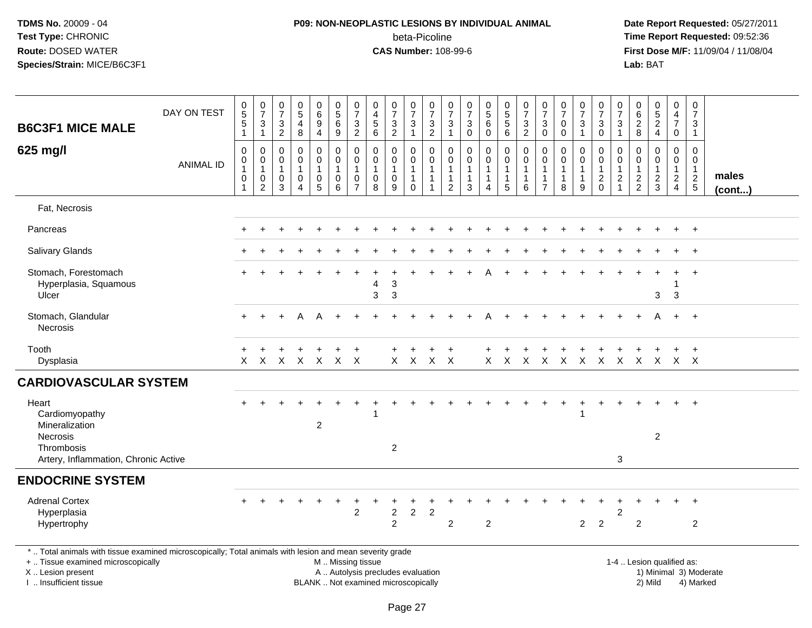# **P09: NON-NEOPLASTIC LESIONS BY INDIVIDUAL ANIMAL**beta-Picoline<br>CAS Number: 108-99-6

 **Date Report Requested:** 05/27/2011 **Time Report Requested:** 09:52:36 **First Dose M/F:** 11/09/04 / 11/08/04<br>Lab: BAT **Lab:** BAT

| <b>B6C3F1 MICE MALE</b>                                                                                                                                                                       | DAY ON TEST      | $\begin{array}{c} 0 \\ 5 \\ 5 \end{array}$<br>$\mathbf{1}$          | $\begin{array}{c} 0 \\ 7 \end{array}$<br>3<br>$\mathbf{1}$ | 0<br>$\overline{7}$<br>$\ensuremath{\mathsf{3}}$<br>$\overline{c}$ | $\begin{array}{c} 0 \\ 5 \end{array}$<br>$\overline{4}$<br>$\bf 8$      | $\begin{array}{c} 0 \\ 6 \end{array}$<br>$\boldsymbol{9}$<br>4                      | $\begin{array}{c} 0 \\ 5 \end{array}$<br>$\,6\,$<br>9                        | 0<br>$\overline{7}$<br>$\ensuremath{\mathsf{3}}$<br>$\overline{2}$ | $\pmb{0}$<br>$\overline{4}$<br>$\overline{5}$<br>6                       | $\frac{0}{7}$<br>$\frac{3}{2}$                             | $\frac{0}{7}$<br>$\ensuremath{\mathsf{3}}$<br>$\mathbf{1}$    | $\frac{0}{7}$<br>$\frac{3}{2}$                                | 0<br>$\overline{7}$<br>$\ensuremath{\mathsf{3}}$<br>$\overline{1}$   | $\frac{0}{7}$<br>$\sqrt{3}$<br>$\mathbf 0$                                 | $\begin{array}{c} 0 \\ 5 \end{array}$<br>6<br>0 | $\begin{array}{c} 0 \\ 5 \\ 5 \end{array}$<br>6                    | $\begin{array}{c} 0 \\ 7 \end{array}$<br>$\ensuremath{\mathsf{3}}$<br>$\overline{2}$ | $\frac{0}{7}$<br>$\sqrt{3}$<br>0         | $\begin{array}{c} 0 \\ 7 \end{array}$<br>$\mathbf 0$<br>$\mathbf 0$ | 0<br>$\overline{7}$<br>$\ensuremath{\mathsf{3}}$<br>$\mathbf{1}$ | $\frac{0}{7}$<br>$\sqrt{3}$<br>$\mathbf 0$                   | 0<br>$\overline{7}$<br>3<br>$\mathbf{1}$                                              | $\begin{array}{c} 0 \\ 6 \end{array}$<br>$\boldsymbol{2}$<br>8 | $\begin{array}{c} 0 \\ 5 \\ 2 \end{array}$<br>$\overline{4}$ | 0<br>$\overline{\mathbf{4}}$<br>$\overline{7}$<br>0  | $\mathbf 0$<br>$\overline{7}$<br>$\mathbf{3}$<br>$\mathbf{1}$ |                        |
|-----------------------------------------------------------------------------------------------------------------------------------------------------------------------------------------------|------------------|---------------------------------------------------------------------|------------------------------------------------------------|--------------------------------------------------------------------|-------------------------------------------------------------------------|-------------------------------------------------------------------------------------|------------------------------------------------------------------------------|--------------------------------------------------------------------|--------------------------------------------------------------------------|------------------------------------------------------------|---------------------------------------------------------------|---------------------------------------------------------------|----------------------------------------------------------------------|----------------------------------------------------------------------------|-------------------------------------------------|--------------------------------------------------------------------|--------------------------------------------------------------------------------------|------------------------------------------|---------------------------------------------------------------------|------------------------------------------------------------------|--------------------------------------------------------------|---------------------------------------------------------------------------------------|----------------------------------------------------------------|--------------------------------------------------------------|------------------------------------------------------|---------------------------------------------------------------|------------------------|
| 625 mg/l                                                                                                                                                                                      | <b>ANIMAL ID</b> | $\pmb{0}$<br>$\pmb{0}$<br>$\mathbf{1}$<br>$\pmb{0}$<br>$\mathbf{1}$ | 0<br>$\mathbf 0$<br>$\mathbf{1}$<br>0<br>$\overline{2}$    | $\mathbf 0$<br>$\pmb{0}$<br>$\mathbf{1}$<br>$\pmb{0}$<br>3         | $\pmb{0}$<br>$\pmb{0}$<br>$\mathbf{1}$<br>$\mathsf 0$<br>$\overline{4}$ | $\mathbf 0$<br>$\mathbf 0$<br>$\mathbf{1}$<br>$\begin{array}{c} 0 \\ 5 \end{array}$ | $\mathbf 0$<br>$\mathbf 0$<br>$\overline{1}$<br>$\pmb{0}$<br>$6\phantom{1}6$ | 0<br>$\mathbf 0$<br>0<br>$\overline{7}$                            | 0<br>$\mathbf 0$<br>$\mathbf{1}$<br>$\pmb{0}$<br>8                       | $\mathbf 0$<br>$\pmb{0}$<br>$\mathbf{1}$<br>$\pmb{0}$<br>9 | 0<br>$\mathsf{O}\xspace$<br>$\mathbf{1}$<br>$\mathbf{1}$<br>0 | $\mathbf 0$<br>$\pmb{0}$<br>$\mathbf{1}$<br>$\mathbf{1}$<br>1 | 0<br>$\mathbf 0$<br>$\overline{1}$<br>$\mathbf{1}$<br>$\overline{2}$ | $\mathbf 0$<br>$\mathbf 0$<br>$\mathbf{1}$<br>$\mathbf{1}$<br>$\mathbf{3}$ | 0<br>$\mathbf 0$<br>$\mathbf{1}$<br>4           | 0<br>$\mathbf 0$<br>$\mathbf{1}$<br>$\mathbf{1}$<br>$\overline{5}$ | $\mathbf 0$<br>$\pmb{0}$<br>$\mathbf{1}$<br>1<br>6                                   | 0<br>$\mathbf 0$<br>-1<br>$\overline{7}$ | $\mathbf 0$<br>$\mathbf 0$<br>$\mathbf{1}$<br>$\mathbf 1$<br>8      | 0<br>$\mathbf 0$<br>$\mathbf{1}$<br>1<br>9                       | $\mathbf 0$<br>$\mathbf 0$<br>$\overline{1}$<br>$^2_{\rm 0}$ | $\mathbf 0$<br>$\mathbf 0$<br>$\mathbf{1}$<br>$\overline{\mathbf{c}}$<br>$\mathbf{1}$ | 0<br>$\mathbf 0$<br>$\mathbf{1}$<br>$\frac{2}{2}$              | 0<br>$\pmb{0}$<br>$\mathbf{1}$<br>$\frac{2}{3}$              | $\mathbf 0$<br>$\mathbf 0$<br>$\mathbf{1}$<br>$_4^2$ | $\mathbf 0$<br>$\mathbf 0$<br>$\mathbf{1}$<br>$\frac{2}{5}$   | males<br>$($ cont $)$  |
| Fat, Necrosis                                                                                                                                                                                 |                  |                                                                     |                                                            |                                                                    |                                                                         |                                                                                     |                                                                              |                                                                    |                                                                          |                                                            |                                                               |                                                               |                                                                      |                                                                            |                                                 |                                                                    |                                                                                      |                                          |                                                                     |                                                                  |                                                              |                                                                                       |                                                                |                                                              |                                                      |                                                               |                        |
| Pancreas                                                                                                                                                                                      |                  |                                                                     |                                                            |                                                                    |                                                                         |                                                                                     |                                                                              |                                                                    |                                                                          |                                                            |                                                               |                                                               |                                                                      |                                                                            |                                                 |                                                                    |                                                                                      |                                          |                                                                     |                                                                  |                                                              |                                                                                       |                                                                |                                                              |                                                      | $+$                                                           |                        |
| Salivary Glands                                                                                                                                                                               |                  |                                                                     |                                                            |                                                                    |                                                                         |                                                                                     |                                                                              |                                                                    |                                                                          |                                                            |                                                               |                                                               |                                                                      |                                                                            |                                                 |                                                                    |                                                                                      |                                          |                                                                     |                                                                  |                                                              |                                                                                       |                                                                |                                                              |                                                      | $\overline{+}$                                                |                        |
| Stomach, Forestomach<br>Hyperplasia, Squamous<br>Ulcer                                                                                                                                        |                  |                                                                     |                                                            |                                                                    |                                                                         |                                                                                     |                                                                              |                                                                    | 4<br>3                                                                   | 3<br>3                                                     |                                                               |                                                               |                                                                      |                                                                            |                                                 |                                                                    |                                                                                      |                                          |                                                                     |                                                                  |                                                              |                                                                                       |                                                                | $\mathbf{3}$                                                 | 3                                                    | $\overline{+}$                                                |                        |
| Stomach, Glandular<br><b>Necrosis</b>                                                                                                                                                         |                  |                                                                     |                                                            | $\ddot{}$                                                          | A                                                                       | A                                                                                   |                                                                              |                                                                    |                                                                          |                                                            |                                                               |                                                               |                                                                      |                                                                            |                                                 |                                                                    |                                                                                      |                                          |                                                                     |                                                                  |                                                              |                                                                                       |                                                                | А                                                            | $+$                                                  | $+$                                                           |                        |
| Tooth<br>Dysplasia                                                                                                                                                                            |                  | $\times$                                                            |                                                            |                                                                    |                                                                         |                                                                                     | X X X X X X                                                                  |                                                                    |                                                                          |                                                            | X X X X                                                       |                                                               | $\ddot{}$                                                            |                                                                            |                                                 |                                                                    |                                                                                      |                                          |                                                                     |                                                                  |                                                              |                                                                                       |                                                                | X X X X X X X X X X X                                        |                                                      | $\overline{+}$                                                |                        |
| <b>CARDIOVASCULAR SYSTEM</b>                                                                                                                                                                  |                  |                                                                     |                                                            |                                                                    |                                                                         |                                                                                     |                                                                              |                                                                    |                                                                          |                                                            |                                                               |                                                               |                                                                      |                                                                            |                                                 |                                                                    |                                                                                      |                                          |                                                                     |                                                                  |                                                              |                                                                                       |                                                                |                                                              |                                                      |                                                               |                        |
| Heart<br>Cardiomyopathy<br>Mineralization<br><b>Necrosis</b>                                                                                                                                  |                  |                                                                     |                                                            |                                                                    |                                                                         | $\overline{c}$                                                                      |                                                                              |                                                                    |                                                                          |                                                            |                                                               |                                                               |                                                                      |                                                                            |                                                 |                                                                    |                                                                                      |                                          |                                                                     | 1                                                                |                                                              |                                                                                       |                                                                | $\overline{2}$                                               |                                                      | $+$                                                           |                        |
| Thrombosis<br>Artery, Inflammation, Chronic Active                                                                                                                                            |                  |                                                                     |                                                            |                                                                    |                                                                         |                                                                                     |                                                                              |                                                                    |                                                                          | $\overline{2}$                                             |                                                               |                                                               |                                                                      |                                                                            |                                                 |                                                                    |                                                                                      |                                          |                                                                     |                                                                  |                                                              | 3                                                                                     |                                                                |                                                              |                                                      |                                                               |                        |
| <b>ENDOCRINE SYSTEM</b>                                                                                                                                                                       |                  |                                                                     |                                                            |                                                                    |                                                                         |                                                                                     |                                                                              |                                                                    |                                                                          |                                                            |                                                               |                                                               |                                                                      |                                                                            |                                                 |                                                                    |                                                                                      |                                          |                                                                     |                                                                  |                                                              |                                                                                       |                                                                |                                                              |                                                      |                                                               |                        |
| <b>Adrenal Cortex</b><br>Hyperplasia<br>Hypertrophy                                                                                                                                           |                  |                                                                     |                                                            |                                                                    |                                                                         |                                                                                     |                                                                              | $\overline{c}$                                                     |                                                                          | $\overline{c}$<br>$\overline{c}$                           | $\overline{2}$                                                | $\overline{2}$                                                | $\overline{c}$                                                       |                                                                            | $\overline{2}$                                  |                                                                    |                                                                                      |                                          |                                                                     | $\overline{2}$                                                   | 2                                                            | $\overline{c}$                                                                        | $\overline{2}$                                                 |                                                              |                                                      | $\overline{2}$                                                |                        |
| *  Total animals with tissue examined microscopically; Total animals with lesion and mean severity grade<br>+  Tissue examined microscopically<br>X  Lesion present<br>I  Insufficient tissue |                  |                                                                     |                                                            |                                                                    |                                                                         |                                                                                     | M  Missing tissue                                                            |                                                                    | A  Autolysis precludes evaluation<br>BLANK  Not examined microscopically |                                                            |                                                               |                                                               |                                                                      |                                                                            |                                                 |                                                                    |                                                                                      |                                          |                                                                     |                                                                  |                                                              |                                                                                       |                                                                | 1-4  Lesion qualified as:<br>2) Mild                         |                                                      | 4) Marked                                                     | 1) Minimal 3) Moderate |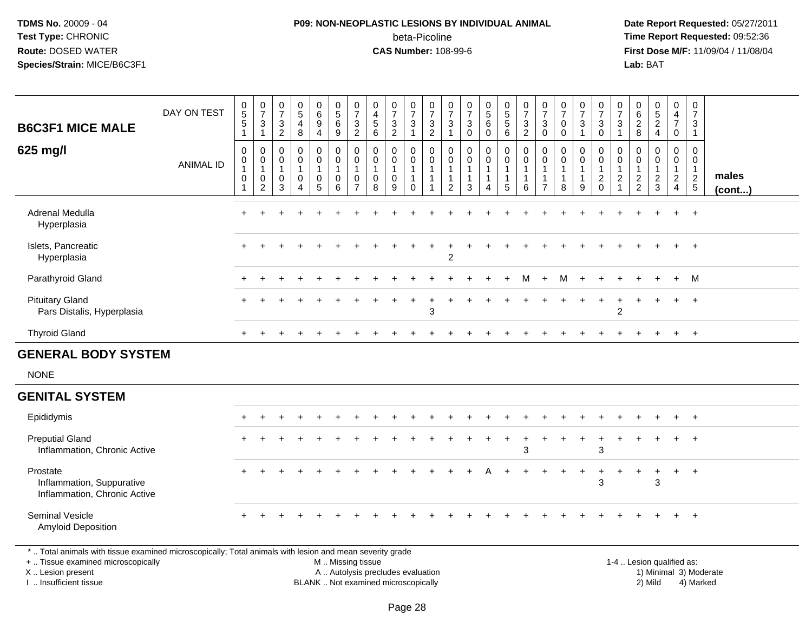#### **P09: NON-NEOPLASTIC LESIONS BY INDIVIDUAL ANIMAL** beta-Picoline**beta-Picoline**<br> **CAS Number:** 108-99-6<br> **CAS Number:** 108-99-6<br> **CAS Number:** 108-99-6

 **Date Report Requested:** 05/27/2011 **First Dose M/F:** 11/09/04 / 11/08/04 Lab: BAT **Lab:** BAT

| <b>B6C3F1 MICE MALE</b><br>625 mg/l                                   | DAY ON TEST<br><b>ANIMAL ID</b> | $\begin{array}{c} 0 \\ 5 \\ 5 \end{array}$<br>$\mathbf{1}$<br>$\pmb{0}$<br>$\pmb{0}$<br>$\mathbf{1}$<br>$\mathbf 0$<br>$\mathbf{1}$ | $\frac{0}{7}$<br>$\sqrt{3}$<br>$\mathbf{1}$<br>$\mathsf 0$<br>$\,0\,$<br>$\mathbf{1}$<br>$\pmb{0}$<br>$\sqrt{2}$ | $\frac{0}{7}$<br>$\mathsf 3$<br>$\overline{2}$<br>$\mathbf 0$<br>$\boldsymbol{0}$<br>$\overline{1}$<br>$\mathbf 0$<br>3 | $\begin{array}{c} 0 \\ 5 \end{array}$<br>$\overline{\mathbf{4}}$<br>8<br>$\mathbf 0$<br>$\mathbf 0$<br>$\mathbf{1}$<br>$\mathsf 0$<br>4 | $\begin{array}{c} 0 \\ 6 \end{array}$<br>$\boldsymbol{9}$<br>4<br>0<br>$\mathsf{O}\xspace$<br>$\mathbf{1}$<br>$\pmb{0}$<br>5 | $\begin{array}{c} 0 \\ 5 \\ 6 \end{array}$<br>$\boldsymbol{9}$<br>$\begin{smallmatrix} 0\\0 \end{smallmatrix}$<br>$\mathbf{1}$<br>$\mathsf{O}\xspace$<br>6 | $\frac{0}{7}$<br>$\mathbf{3}$<br>$\boldsymbol{2}$<br>$\mathbf 0$<br>$\mathbf 0$<br>$\mathbf{1}$<br>$\mathbf 0$<br>$\overline{7}$ | $\begin{smallmatrix}0\\4\end{smallmatrix}$<br>$\sqrt{5}$<br>$\,6\,$<br>$\mathbf 0$<br>$\mathbf 0$<br>$\mathbf{1}$<br>$\mathsf{O}\xspace$<br>8 | $\frac{0}{7}$<br>$\frac{3}{2}$<br>$\mathbf 0$<br>$\mathbf 0$<br>$\mathbf{1}$<br>$\mathbf 0$<br>9 | $\frac{0}{7}$<br>$\mathsf 3$<br>$\overline{1}$<br>$\boldsymbol{0}$<br>$\mathbf 0$<br>$\mathbf{1}$<br>$\overline{1}$<br>$\mathbf 0$ | $\frac{0}{7}$<br>$\mathbf{3}$<br>$\overline{2}$<br>0<br>$\mathbf 0$<br>$\mathbf{1}$<br>$\mathbf{1}$<br>$\mathbf{1}$ | $\frac{0}{7}$<br>$\mathbf{3}$<br>$\mathbf{1}$<br>$\mathbf 0$<br>$\pmb{0}$<br>1<br>$\mathbf{1}$<br>$\overline{2}$ | $\frac{0}{7}$<br>$\mathsf 3$<br>$\pmb{0}$<br>$\pmb{0}$<br>$\pmb{0}$<br>$\mathbf 1$<br>$\overline{1}$<br>3 | $\begin{array}{c} 0 \\ 5 \\ 6 \end{array}$<br>$\mathbf 0$<br>0<br>$\mathbf 0$<br>$\mathbf{1}$<br>$\mathbf{1}$<br>4 | 0<br>5<br>5<br>6<br>$\pmb{0}$<br>$\mathsf{O}\xspace$<br>$\mathbf{1}$<br>$\mathbf{1}$<br>$\overline{5}$ | $\begin{smallmatrix}0\\7\end{smallmatrix}$<br>$\frac{3}{2}$<br>$\mathbf 0$<br>$\pmb{0}$<br>$\overline{1}$<br>$\overline{1}$<br>6 | $\frac{0}{7}$<br>$\mathbf{3}$<br>$\mathbf 0$<br>0<br>$\boldsymbol{0}$<br>-1<br>$\overline{1}$<br>$\overline{7}$ | $\frac{0}{7}$<br>$\mathbf 0$<br>$\mathbf 0$<br>$\mathbf 0$<br>$\mathbf 0$<br>$\mathbf{1}$<br>$\mathbf{1}$<br>8 | $\frac{0}{7}$<br>3<br>$\mathbf{1}$<br>0<br>$\mathbf 0$<br>1<br>1<br>9 | $\frac{0}{7}$<br>$_{0}^{3}$<br>$\begin{smallmatrix} 0\\0 \end{smallmatrix}$<br>$\mathbf{1}$<br>$\overline{2}$<br>$\mathbf 0$ | $\frac{0}{7}$<br>3<br>$\mathbf{1}$<br>$\mathbf 0$<br>$\mathbf 0$<br>$\mathbf{1}$<br>$\overline{c}$<br>$\mathbf{1}$ | 0628<br>$\mathbf 0$<br>0<br>$\mathbf{1}$<br>$\overline{2}$<br>$\overline{2}$ | $\begin{array}{c} 0 \\ 5 \\ 2 \end{array}$<br>$\overline{4}$<br>0<br>$\mathbf 0$<br>1<br>$\overline{c}$<br>$\mathfrak{Z}$ | $\boldsymbol{0}$<br>$\frac{4}{7}$<br>$\mathbf 0$<br>$\pmb{0}$<br>$\mathbf 0$<br>$\overline{1}$<br>$\overline{2}$<br>$\overline{4}$ | $\pmb{0}$<br>$\overline{7}$<br>$\mathbf{3}$<br>$\mathbf{1}$<br>$\mathbf 0$<br>$\boldsymbol{0}$<br>$\mathbf{1}$<br>$\overline{2}$<br>$\sqrt{5}$ | males  |
|-----------------------------------------------------------------------|---------------------------------|-------------------------------------------------------------------------------------------------------------------------------------|------------------------------------------------------------------------------------------------------------------|-------------------------------------------------------------------------------------------------------------------------|-----------------------------------------------------------------------------------------------------------------------------------------|------------------------------------------------------------------------------------------------------------------------------|------------------------------------------------------------------------------------------------------------------------------------------------------------|----------------------------------------------------------------------------------------------------------------------------------|-----------------------------------------------------------------------------------------------------------------------------------------------|--------------------------------------------------------------------------------------------------|------------------------------------------------------------------------------------------------------------------------------------|---------------------------------------------------------------------------------------------------------------------|------------------------------------------------------------------------------------------------------------------|-----------------------------------------------------------------------------------------------------------|--------------------------------------------------------------------------------------------------------------------|--------------------------------------------------------------------------------------------------------|----------------------------------------------------------------------------------------------------------------------------------|-----------------------------------------------------------------------------------------------------------------|----------------------------------------------------------------------------------------------------------------|-----------------------------------------------------------------------|------------------------------------------------------------------------------------------------------------------------------|--------------------------------------------------------------------------------------------------------------------|------------------------------------------------------------------------------|---------------------------------------------------------------------------------------------------------------------------|------------------------------------------------------------------------------------------------------------------------------------|------------------------------------------------------------------------------------------------------------------------------------------------|--------|
|                                                                       |                                 |                                                                                                                                     |                                                                                                                  |                                                                                                                         |                                                                                                                                         |                                                                                                                              |                                                                                                                                                            |                                                                                                                                  |                                                                                                                                               |                                                                                                  |                                                                                                                                    |                                                                                                                     |                                                                                                                  |                                                                                                           |                                                                                                                    |                                                                                                        |                                                                                                                                  |                                                                                                                 |                                                                                                                |                                                                       |                                                                                                                              |                                                                                                                    |                                                                              |                                                                                                                           |                                                                                                                                    |                                                                                                                                                | (cont) |
| <b>Adrenal Medulla</b><br>Hyperplasia                                 |                                 |                                                                                                                                     |                                                                                                                  |                                                                                                                         |                                                                                                                                         |                                                                                                                              |                                                                                                                                                            |                                                                                                                                  |                                                                                                                                               |                                                                                                  |                                                                                                                                    |                                                                                                                     |                                                                                                                  |                                                                                                           |                                                                                                                    |                                                                                                        |                                                                                                                                  |                                                                                                                 |                                                                                                                |                                                                       |                                                                                                                              |                                                                                                                    |                                                                              |                                                                                                                           |                                                                                                                                    | $\ddot{+}$                                                                                                                                     |        |
| Islets, Pancreatic<br>Hyperplasia                                     |                                 |                                                                                                                                     |                                                                                                                  |                                                                                                                         |                                                                                                                                         |                                                                                                                              |                                                                                                                                                            |                                                                                                                                  |                                                                                                                                               |                                                                                                  |                                                                                                                                    |                                                                                                                     | 2                                                                                                                |                                                                                                           |                                                                                                                    |                                                                                                        |                                                                                                                                  |                                                                                                                 |                                                                                                                |                                                                       |                                                                                                                              |                                                                                                                    |                                                                              |                                                                                                                           |                                                                                                                                    | $+$                                                                                                                                            |        |
| Parathyroid Gland                                                     |                                 |                                                                                                                                     |                                                                                                                  |                                                                                                                         |                                                                                                                                         |                                                                                                                              |                                                                                                                                                            |                                                                                                                                  |                                                                                                                                               |                                                                                                  |                                                                                                                                    |                                                                                                                     |                                                                                                                  |                                                                                                           |                                                                                                                    | $\div$                                                                                                 | м                                                                                                                                | $+$                                                                                                             | м                                                                                                              | $\ddot{}$                                                             | $\ddot{}$                                                                                                                    | $\ddot{}$                                                                                                          |                                                                              |                                                                                                                           | $+$                                                                                                                                | M                                                                                                                                              |        |
| <b>Pituitary Gland</b><br>Pars Distalis, Hyperplasia                  |                                 |                                                                                                                                     |                                                                                                                  |                                                                                                                         |                                                                                                                                         |                                                                                                                              |                                                                                                                                                            |                                                                                                                                  |                                                                                                                                               |                                                                                                  |                                                                                                                                    | $\mathbf{3}$                                                                                                        |                                                                                                                  |                                                                                                           |                                                                                                                    |                                                                                                        |                                                                                                                                  |                                                                                                                 |                                                                                                                |                                                                       |                                                                                                                              | $\overline{c}$                                                                                                     |                                                                              |                                                                                                                           | $\ddot{}$                                                                                                                          | $\overline{+}$                                                                                                                                 |        |
| <b>Thyroid Gland</b>                                                  |                                 | $+$                                                                                                                                 | $\ddot{}$                                                                                                        |                                                                                                                         |                                                                                                                                         |                                                                                                                              |                                                                                                                                                            |                                                                                                                                  |                                                                                                                                               |                                                                                                  |                                                                                                                                    |                                                                                                                     |                                                                                                                  |                                                                                                           |                                                                                                                    |                                                                                                        |                                                                                                                                  |                                                                                                                 |                                                                                                                |                                                                       |                                                                                                                              |                                                                                                                    |                                                                              |                                                                                                                           | $+$                                                                                                                                | $+$                                                                                                                                            |        |
| <b>GENERAL BODY SYSTEM</b>                                            |                                 |                                                                                                                                     |                                                                                                                  |                                                                                                                         |                                                                                                                                         |                                                                                                                              |                                                                                                                                                            |                                                                                                                                  |                                                                                                                                               |                                                                                                  |                                                                                                                                    |                                                                                                                     |                                                                                                                  |                                                                                                           |                                                                                                                    |                                                                                                        |                                                                                                                                  |                                                                                                                 |                                                                                                                |                                                                       |                                                                                                                              |                                                                                                                    |                                                                              |                                                                                                                           |                                                                                                                                    |                                                                                                                                                |        |
| <b>NONE</b>                                                           |                                 |                                                                                                                                     |                                                                                                                  |                                                                                                                         |                                                                                                                                         |                                                                                                                              |                                                                                                                                                            |                                                                                                                                  |                                                                                                                                               |                                                                                                  |                                                                                                                                    |                                                                                                                     |                                                                                                                  |                                                                                                           |                                                                                                                    |                                                                                                        |                                                                                                                                  |                                                                                                                 |                                                                                                                |                                                                       |                                                                                                                              |                                                                                                                    |                                                                              |                                                                                                                           |                                                                                                                                    |                                                                                                                                                |        |
| <b>GENITAL SYSTEM</b>                                                 |                                 |                                                                                                                                     |                                                                                                                  |                                                                                                                         |                                                                                                                                         |                                                                                                                              |                                                                                                                                                            |                                                                                                                                  |                                                                                                                                               |                                                                                                  |                                                                                                                                    |                                                                                                                     |                                                                                                                  |                                                                                                           |                                                                                                                    |                                                                                                        |                                                                                                                                  |                                                                                                                 |                                                                                                                |                                                                       |                                                                                                                              |                                                                                                                    |                                                                              |                                                                                                                           |                                                                                                                                    |                                                                                                                                                |        |
| Epididymis                                                            |                                 |                                                                                                                                     |                                                                                                                  |                                                                                                                         |                                                                                                                                         |                                                                                                                              |                                                                                                                                                            |                                                                                                                                  |                                                                                                                                               |                                                                                                  |                                                                                                                                    |                                                                                                                     |                                                                                                                  |                                                                                                           |                                                                                                                    |                                                                                                        |                                                                                                                                  |                                                                                                                 |                                                                                                                |                                                                       |                                                                                                                              |                                                                                                                    |                                                                              |                                                                                                                           |                                                                                                                                    | $+$                                                                                                                                            |        |
| <b>Preputial Gland</b><br>Inflammation, Chronic Active                |                                 |                                                                                                                                     |                                                                                                                  |                                                                                                                         |                                                                                                                                         |                                                                                                                              |                                                                                                                                                            |                                                                                                                                  |                                                                                                                                               |                                                                                                  |                                                                                                                                    |                                                                                                                     |                                                                                                                  |                                                                                                           |                                                                                                                    |                                                                                                        | 3                                                                                                                                |                                                                                                                 |                                                                                                                |                                                                       | 3                                                                                                                            |                                                                                                                    |                                                                              |                                                                                                                           |                                                                                                                                    | $+$                                                                                                                                            |        |
| Prostate<br>Inflammation, Suppurative<br>Inflammation, Chronic Active |                                 | $\ddot{}$                                                                                                                           |                                                                                                                  |                                                                                                                         |                                                                                                                                         |                                                                                                                              |                                                                                                                                                            |                                                                                                                                  |                                                                                                                                               |                                                                                                  |                                                                                                                                    |                                                                                                                     |                                                                                                                  |                                                                                                           |                                                                                                                    |                                                                                                        |                                                                                                                                  |                                                                                                                 |                                                                                                                | $\ddot{}$                                                             | 3                                                                                                                            |                                                                                                                    |                                                                              | 3                                                                                                                         | $+$                                                                                                                                | $+$                                                                                                                                            |        |
| Seminal Vesicle<br>Amyloid Deposition                                 |                                 |                                                                                                                                     |                                                                                                                  |                                                                                                                         |                                                                                                                                         |                                                                                                                              |                                                                                                                                                            |                                                                                                                                  |                                                                                                                                               |                                                                                                  |                                                                                                                                    |                                                                                                                     |                                                                                                                  |                                                                                                           |                                                                                                                    |                                                                                                        |                                                                                                                                  |                                                                                                                 |                                                                                                                |                                                                       |                                                                                                                              |                                                                                                                    |                                                                              |                                                                                                                           |                                                                                                                                    | $+$                                                                                                                                            |        |

\* .. Total animals with tissue examined microscopically; Total animals with lesion and mean severity grade

+ .. Tissue examined microscopically

X .. Lesion present

I .. Insufficient tissue

 M .. Missing tissueA .. Autolysis precludes evaluation

 1-4 .. Lesion qualified as: BLANK .. Not examined microscopically 2) Mild 4) Marked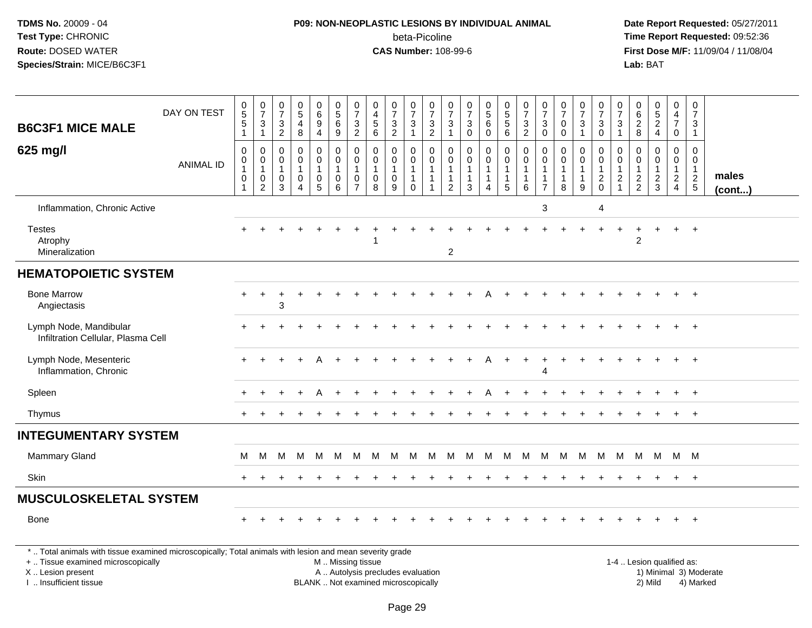### **P09: NON-NEOPLASTIC LESIONS BY INDIVIDUAL ANIMAL** beta-Picoline**beta-Picoline**<br> **CAS Number:** 108-99-6<br> **CAS Number:** 108-99-6<br> **CAS Number:** 108-99-6

 **Date Report Requested:** 05/27/2011 **First Dose M/F:** 11/09/04 / 11/08/04<br>Lab: BAT **Lab:** BAT

| <b>B6C3F1 MICE MALE</b>                                                                                         | DAY ON TEST      | $\begin{array}{c} 0 \\ 5 \end{array}$<br>$\overline{5}$<br>$\mathbf{1}$ | $\frac{0}{7}$<br>$\mathbf{3}$<br>$\overline{1}$      | 0<br>$\overline{7}$<br>3<br>$\overline{2}$             | $\begin{array}{c} 0 \\ 5 \end{array}$<br>4<br>8                | $_{6}^{\rm 0}$<br>9<br>4         | $\begin{array}{c} 0 \\ 5 \end{array}$<br>6<br>$\overline{9}$ | $\frac{0}{7}$<br>$\frac{3}{2}$                                              | $\mathbf 0$<br>$\overline{4}$<br>$\begin{array}{c} 5 \\ 6 \end{array}$ | $\begin{array}{c} 0 \\ 7 \end{array}$<br>$\frac{3}{2}$         | $\frac{0}{7}$<br>$\mathbf{3}$<br>$\mathbf{1}$                          | $\frac{0}{7}$<br>$\frac{3}{2}$                        | 0<br>$\overline{7}$<br>3<br>$\mathbf{1}$                 | 0<br>$\overline{7}$<br>$\mathbf{3}$<br>$\mathbf 0$    | $\begin{array}{c} 0 \\ 5 \end{array}$<br>$6\phantom{a}$<br>$\mathbf 0$ | $\begin{array}{c} 0 \\ 5 \\ 5 \end{array}$<br>6                        | $\frac{0}{7}$<br>$\frac{3}{2}$                                    | $\frac{0}{7}$<br>3<br>$\mathbf 0$ | $\frac{0}{7}$<br>$\mathbf 0$<br>$\mathbf 0$                     | $\frac{0}{7}$<br>3<br>1                                | $\frac{0}{7}$<br>$\mathbf{3}$<br>$\ddot{\mathbf{0}}$              | $\frac{0}{7}$<br>$\ensuremath{\mathsf{3}}$<br>$\mathbf{1}$   | $\begin{array}{c} 0 \\ 6 \end{array}$<br>$\frac{2}{8}$        | $\begin{array}{c} 0 \\ 5 \end{array}$<br>$\overline{2}$<br>$\overline{4}$ | 0<br>$\overline{4}$<br>$\overline{7}$<br>$\mathbf 0$         | $\pmb{0}$<br>$\overline{7}$<br>$\mathbf{3}$<br>$\mathbf{1}$ |                       |
|-----------------------------------------------------------------------------------------------------------------|------------------|-------------------------------------------------------------------------|------------------------------------------------------|--------------------------------------------------------|----------------------------------------------------------------|----------------------------------|--------------------------------------------------------------|-----------------------------------------------------------------------------|------------------------------------------------------------------------|----------------------------------------------------------------|------------------------------------------------------------------------|-------------------------------------------------------|----------------------------------------------------------|-------------------------------------------------------|------------------------------------------------------------------------|------------------------------------------------------------------------|-------------------------------------------------------------------|-----------------------------------|-----------------------------------------------------------------|--------------------------------------------------------|-------------------------------------------------------------------|--------------------------------------------------------------|---------------------------------------------------------------|---------------------------------------------------------------------------|--------------------------------------------------------------|-------------------------------------------------------------|-----------------------|
| 625 mg/l                                                                                                        | <b>ANIMAL ID</b> | 0<br>$\boldsymbol{0}$<br>$\overline{1}$<br>$\mathbf 0$                  | 0<br>$\mathbf 0$<br>$\mathbf{1}$<br>$\mathbf 0$<br>2 | $\mathbf 0$<br>0<br>$\overline{1}$<br>$\mathbf 0$<br>3 | $\mathbf 0$<br>$\mathbf 0$<br>$\mathbf{1}$<br>$\mathbf 0$<br>4 | 0<br>0<br>$\mathbf{1}$<br>0<br>5 | $\pmb{0}$<br>$\mathbf 0$<br>$\mathbf{1}$<br>$\pmb{0}$<br>6   | $\mathbf 0$<br>$\mathbf 0$<br>$\overline{1}$<br>$\pmb{0}$<br>$\overline{7}$ | $\mathbf 0$<br>$\mathbf 0$<br>$\overline{1}$<br>0<br>8                 | $\mathbf 0$<br>$\mathbf 0$<br>$\mathbf{1}$<br>$\mathbf 0$<br>9 | $\mathbf 0$<br>$\mathbf 0$<br>$\mathbf{1}$<br>$\mathbf{1}$<br>$\Omega$ | 0<br>$\mathbf 0$<br>$\mathbf{1}$<br>$\mathbf{1}$<br>1 | 0<br>0<br>$\mathbf{1}$<br>$\mathbf{1}$<br>$\overline{2}$ | $\mathbf 0$<br>0<br>$\mathbf{1}$<br>$\mathbf{1}$<br>3 | 0<br>0<br>$\mathbf{1}$<br>$\mathbf{1}$<br>$\boldsymbol{\Lambda}$       | $\mathbf 0$<br>$\overline{0}$<br>$\overline{1}$<br>$\overline{1}$<br>5 | $\mathbf 0$<br>$\mathbf 0$<br>$\overline{1}$<br>$\mathbf{1}$<br>6 | 0<br>0<br>1<br>$\overline{7}$     | $\mathbf 0$<br>$\mathbf 0$<br>$\mathbf{1}$<br>$\mathbf{1}$<br>8 | $\mathbf{0}$<br>0<br>$\mathbf{1}$<br>$\mathbf{1}$<br>9 | 0<br>$\mathbf 0$<br>$\mathbf{1}$<br>$\overline{a}$<br>$\mathbf 0$ | $\mathbf 0$<br>$\mathbf 0$<br>$\mathbf{1}$<br>$\overline{c}$ | $\mathbf 0$<br>$\mathbf 0$<br>$\overline{1}$<br>$\frac{2}{2}$ | $\mathbf 0$<br>$\mathbf 0$<br>$\mathbf{1}$<br>$\frac{2}{3}$               | 0<br>$\overline{0}$<br>1<br>$\overline{2}$<br>$\overline{4}$ | 0<br>$\mathbf 0$<br>$\mathbf{1}$<br>$\frac{2}{5}$           | males<br>$($ cont $)$ |
| Inflammation, Chronic Active                                                                                    |                  |                                                                         |                                                      |                                                        |                                                                |                                  |                                                              |                                                                             |                                                                        |                                                                |                                                                        |                                                       |                                                          |                                                       |                                                                        |                                                                        |                                                                   | $\mathbf 3$                       |                                                                 |                                                        | $\overline{4}$                                                    |                                                              |                                                               |                                                                           |                                                              |                                                             |                       |
| <b>Testes</b><br>Atrophy<br>Mineralization                                                                      |                  |                                                                         |                                                      |                                                        |                                                                |                                  |                                                              |                                                                             |                                                                        |                                                                |                                                                        |                                                       | $\overline{2}$                                           |                                                       |                                                                        |                                                                        |                                                                   |                                   |                                                                 |                                                        |                                                                   |                                                              | 2                                                             |                                                                           |                                                              |                                                             |                       |
| <b>HEMATOPOIETIC SYSTEM</b>                                                                                     |                  |                                                                         |                                                      |                                                        |                                                                |                                  |                                                              |                                                                             |                                                                        |                                                                |                                                                        |                                                       |                                                          |                                                       |                                                                        |                                                                        |                                                                   |                                   |                                                                 |                                                        |                                                                   |                                                              |                                                               |                                                                           |                                                              |                                                             |                       |
| <b>Bone Marrow</b><br>Angiectasis                                                                               |                  | $+$                                                                     | $\ddot{}$                                            | 3                                                      |                                                                |                                  |                                                              |                                                                             |                                                                        |                                                                |                                                                        |                                                       |                                                          |                                                       |                                                                        |                                                                        |                                                                   |                                   |                                                                 |                                                        |                                                                   |                                                              |                                                               |                                                                           |                                                              | $\overline{+}$                                              |                       |
| Lymph Node, Mandibular<br>Infiltration Cellular, Plasma Cell                                                    |                  |                                                                         |                                                      |                                                        |                                                                |                                  |                                                              |                                                                             |                                                                        |                                                                |                                                                        |                                                       |                                                          |                                                       |                                                                        |                                                                        |                                                                   |                                   |                                                                 |                                                        |                                                                   |                                                              |                                                               |                                                                           |                                                              |                                                             |                       |
| Lymph Node, Mesenteric<br>Inflammation, Chronic                                                                 |                  | $+$                                                                     |                                                      |                                                        |                                                                |                                  |                                                              |                                                                             |                                                                        |                                                                |                                                                        |                                                       |                                                          |                                                       | A                                                                      | $+$                                                                    | $+$                                                               | $\ddot{}$<br>4                    |                                                                 |                                                        |                                                                   |                                                              |                                                               |                                                                           |                                                              | $\overline{ }$                                              |                       |
| Spleen                                                                                                          |                  | $+$                                                                     |                                                      |                                                        |                                                                | A                                |                                                              |                                                                             |                                                                        |                                                                |                                                                        |                                                       |                                                          |                                                       |                                                                        |                                                                        |                                                                   |                                   |                                                                 |                                                        |                                                                   |                                                              |                                                               |                                                                           | $\ddot{}$                                                    | $\overline{+}$                                              |                       |
| Thymus                                                                                                          |                  |                                                                         |                                                      |                                                        |                                                                |                                  |                                                              |                                                                             |                                                                        |                                                                |                                                                        |                                                       |                                                          |                                                       |                                                                        |                                                                        |                                                                   |                                   |                                                                 |                                                        |                                                                   |                                                              |                                                               |                                                                           |                                                              | $\overline{1}$                                              |                       |
| <b>INTEGUMENTARY SYSTEM</b>                                                                                     |                  |                                                                         |                                                      |                                                        |                                                                |                                  |                                                              |                                                                             |                                                                        |                                                                |                                                                        |                                                       |                                                          |                                                       |                                                                        |                                                                        |                                                                   |                                   |                                                                 |                                                        |                                                                   |                                                              |                                                               |                                                                           |                                                              |                                                             |                       |
| <b>Mammary Gland</b>                                                                                            |                  | м                                                                       | M                                                    | М                                                      | M                                                              | M                                | M                                                            | м                                                                           | м                                                                      | M                                                              | M                                                                      | M                                                     | М                                                        | M                                                     | M                                                                      | М                                                                      | M                                                                 | M                                 | M                                                               | M                                                      | M                                                                 | M                                                            | М                                                             | M                                                                         | M M                                                          |                                                             |                       |
| Skin                                                                                                            |                  |                                                                         |                                                      |                                                        |                                                                |                                  |                                                              |                                                                             |                                                                        |                                                                |                                                                        |                                                       |                                                          |                                                       |                                                                        |                                                                        |                                                                   |                                   |                                                                 |                                                        |                                                                   |                                                              |                                                               |                                                                           | $\ddot{}$                                                    | $+$                                                         |                       |
| <b>MUSCULOSKELETAL SYSTEM</b>                                                                                   |                  |                                                                         |                                                      |                                                        |                                                                |                                  |                                                              |                                                                             |                                                                        |                                                                |                                                                        |                                                       |                                                          |                                                       |                                                                        |                                                                        |                                                                   |                                   |                                                                 |                                                        |                                                                   |                                                              |                                                               |                                                                           |                                                              |                                                             |                       |
| Bone<br>* Total animals with tissue examined microscopically: Total animals with lesion and mean severity grade |                  |                                                                         |                                                      |                                                        |                                                                |                                  |                                                              |                                                                             |                                                                        |                                                                |                                                                        |                                                       |                                                          |                                                       |                                                                        |                                                                        |                                                                   |                                   |                                                                 |                                                        |                                                                   |                                                              |                                                               |                                                                           |                                                              | $\overline{1}$                                              |                       |

\* .. Total animals with tissue examined microscopically; Total animals with lesion and mean severity grade

+ .. Tissue examined microscopically

X .. Lesion present

I .. Insufficient tissue

M .. Missing tissue

BLANK .. Not examined microscopically

 1-4 .. Lesion qualified as: A .. Autolysis precludes evaluation 19 and 10 minimal 3) Moderate 1 and 20 minimal 3) Moderate 19 minimal 3) Moderat<br>19 and 19 and 19 and 19 and 19 and 19 and 19 and 19 and 19 and 19 and 19 and 19 and 19 and 19 and 19 and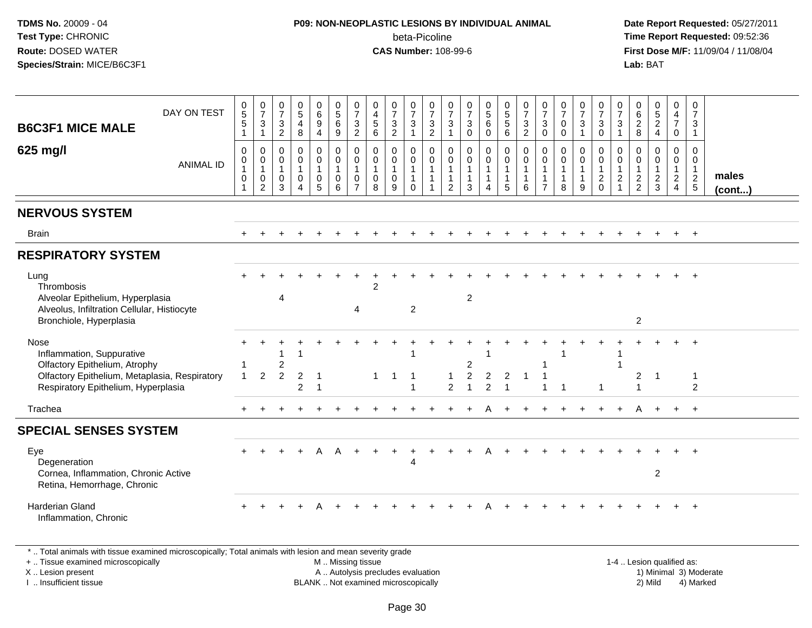#### **P09: NON-NEOPLASTIC LESIONS BY INDIVIDUAL ANIMAL** beta-Picoline**beta-Picoline**<br> **CAS Number:** 108-99-6<br> **CAS Number:** 108-99-6<br> **CAS Number:** 108-99-6

 **Date Report Requested:** 05/27/2011 **First Dose M/F:** 11/09/04 / 11/08/04<br>**Lab:** BAT **Lab:** BAT

| <b>B6C3F1 MICE MALE</b>                                                                                                                                    | DAY ON TEST      | $\begin{matrix}0\\5\end{matrix}$<br>$\sqrt{5}$<br>-1      | $\frac{0}{7}$<br>3<br>$\mathbf{1}$                             | $\frac{0}{7}$<br>$\mathsf 3$<br>$\overline{2}$       | $\begin{array}{c} 0 \\ 5 \end{array}$<br>$\overline{4}$<br>8 | $\begin{array}{c} 0 \\ 6 \end{array}$<br>$9\,$<br>$\overline{4}$          | $\begin{smallmatrix} 0\\5 \end{smallmatrix}$<br>$\,6\,$<br>9 | $\frac{0}{7}$<br>3<br>$\overline{2}$                                           | $\begin{smallmatrix}0\0\4\end{smallmatrix}$<br>$\overline{5}$<br>6 | $\frac{0}{7}$<br>3<br>$\overline{2}$                 | $\frac{0}{7}$<br>$\mathbf{3}$<br>$\mathbf{1}$                                           | $\frac{0}{7}$<br>$\ensuremath{\mathsf{3}}$<br>$\overline{2}$ | $\frac{0}{7}$<br>3             | $\frac{0}{7}$<br>$\mathsf 3$<br>$\mathbf 0$                     | $\begin{array}{c} 0 \\ 5 \\ 6 \end{array}$<br>$\mathbf 0$ | $\begin{array}{c} 0 \\ 5 \\ 5 \end{array}$<br>6                   | $\frac{0}{7}$<br>$\mathbf{3}$<br>$\overline{c}$ | $\frac{0}{7}$<br>$\mathbf{3}$<br>$\mathbf 0$                           | $\frac{0}{7}$<br>0<br>$\Omega$ | $\frac{0}{7}$<br>$\ensuremath{\mathsf{3}}$<br>$\overline{1}$ | $\frac{0}{7}$<br>$\mathbf{3}$<br>$\mathbf 0$      | $\frac{0}{7}$<br>3<br>$\mathbf{1}$                                 | 0628                                              | $\begin{array}{c} 0 \\ 5 \\ 2 \end{array}$<br>$\overline{4}$ | 0<br>$\overline{\mathbf{4}}$<br>$\overline{7}$<br>$\mathbf 0$ | 0<br>$\overline{7}$<br>3<br>$\overline{1}$                  |                       |
|------------------------------------------------------------------------------------------------------------------------------------------------------------|------------------|-----------------------------------------------------------|----------------------------------------------------------------|------------------------------------------------------|--------------------------------------------------------------|---------------------------------------------------------------------------|--------------------------------------------------------------|--------------------------------------------------------------------------------|--------------------------------------------------------------------|------------------------------------------------------|-----------------------------------------------------------------------------------------|--------------------------------------------------------------|--------------------------------|-----------------------------------------------------------------|-----------------------------------------------------------|-------------------------------------------------------------------|-------------------------------------------------|------------------------------------------------------------------------|--------------------------------|--------------------------------------------------------------|---------------------------------------------------|--------------------------------------------------------------------|---------------------------------------------------|--------------------------------------------------------------|---------------------------------------------------------------|-------------------------------------------------------------|-----------------------|
| 625 mg/l                                                                                                                                                   | <b>ANIMAL ID</b> | $\mathbf 0$<br>$\mathbf 0$<br>$\mathbf{1}$<br>$\mathbf 0$ | $\mathbf 0$<br>$\mathbf 0$<br>$\mathbf{1}$<br>$\mathbf 0$<br>2 | $\mathbf 0$<br>$\mathbf 0$<br>$\mathbf{1}$<br>0<br>3 | 0<br>$\mathbf 0$<br>$\mathbf{1}$<br>0<br>4                   | $\pmb{0}$<br>$\mathbf 0$<br>$\mathbf{1}$<br>$\mathbf 0$<br>$\overline{5}$ | $\mathbf 0$<br>$\pmb{0}$<br>$\mathbf{1}$<br>0<br>6           | $\mathbf 0$<br>$\mathbf 0$<br>$\overline{1}$<br>$\mathbf{0}$<br>$\overline{7}$ | $\mathbf 0$<br>$\mathbf 0$<br>$\mathbf{1}$<br>$\mathbf 0$<br>8     | 0<br>$\mathbf 0$<br>$\mathbf{1}$<br>$\mathbf 0$<br>9 | $\begin{smallmatrix}0\0\0\end{smallmatrix}$<br>$\mathbf{1}$<br>$\mathbf{1}$<br>$\Omega$ | $\mathbf 0$<br>$\mathbf 0$<br>$\mathbf{1}$<br>$\mathbf{1}$   | 0<br>0<br>$\mathbf 1$<br>2     | $\mathbf 0$<br>$\mathbf 0$<br>$\mathbf{1}$<br>$\mathbf{1}$<br>3 | 0<br>$\mathbf 0$<br>$\mathbf{1}$<br>$\mathbf{1}$<br>4     | $\mathbf 0$<br>$\mathbf 0$<br>$\mathbf{1}$<br>$\overline{1}$<br>5 | 0<br>0<br>$\mathbf{1}$<br>$\mathbf{1}$<br>6     | 0<br>$\mathbf 0$<br>$\overline{1}$<br>$\overline{1}$<br>$\overline{7}$ | $\mathbf 0$<br>0<br>8          | 0<br>$\mathbf 0$<br>$\overline{1}$<br>$\overline{1}$<br>9    | 0<br>$\mathbf 0$<br>$\mathbf{1}$<br>2<br>$\Omega$ | 0<br>$\mathbf 0$<br>$\mathbf{1}$<br>$\overline{2}$<br>$\mathbf{1}$ | 0<br>$\mathbf 0$<br>$\mathbf{1}$<br>$\frac{2}{2}$ | 0<br>$\mathbf 0$<br>$\mathbf{1}$<br>$\frac{2}{3}$            | 0<br>$\mathbf 0$<br>$\mathbf{1}$<br>$rac{2}{4}$               | $\mathbf 0$<br>$\mathbf 0$<br>$\mathbf{1}$<br>$\frac{2}{5}$ | males<br>$($ cont $)$ |
| <b>NERVOUS SYSTEM</b>                                                                                                                                      |                  |                                                           |                                                                |                                                      |                                                              |                                                                           |                                                              |                                                                                |                                                                    |                                                      |                                                                                         |                                                              |                                |                                                                 |                                                           |                                                                   |                                                 |                                                                        |                                |                                                              |                                                   |                                                                    |                                                   |                                                              |                                                               |                                                             |                       |
| <b>Brain</b>                                                                                                                                               |                  |                                                           |                                                                |                                                      |                                                              |                                                                           |                                                              |                                                                                |                                                                    |                                                      |                                                                                         |                                                              |                                |                                                                 |                                                           |                                                                   |                                                 |                                                                        |                                |                                                              |                                                   |                                                                    |                                                   | $+$                                                          | $+$                                                           | $+$                                                         |                       |
| <b>RESPIRATORY SYSTEM</b>                                                                                                                                  |                  |                                                           |                                                                |                                                      |                                                              |                                                                           |                                                              |                                                                                |                                                                    |                                                      |                                                                                         |                                                              |                                |                                                                 |                                                           |                                                                   |                                                 |                                                                        |                                |                                                              |                                                   |                                                                    |                                                   |                                                              |                                                               |                                                             |                       |
| Lung<br>Thrombosis<br>Alveolar Epithelium, Hyperplasia<br>Alveolus, Infiltration Cellular, Histiocyte<br>Bronchiole, Hyperplasia                           |                  |                                                           |                                                                |                                                      |                                                              |                                                                           |                                                              | $\overline{4}$                                                                 | 2                                                                  |                                                      | 2                                                                                       |                                                              |                                | $\overline{2}$                                                  |                                                           |                                                                   |                                                 |                                                                        |                                |                                                              |                                                   |                                                                    | $\overline{2}$                                    |                                                              |                                                               | $+$                                                         |                       |
| Nose<br>Inflammation, Suppurative<br>Olfactory Epithelium, Atrophy<br>Olfactory Epithelium, Metaplasia, Respiratory<br>Respiratory Epithelium, Hyperplasia |                  | $\blacktriangleleft$                                      | 2                                                              | 2<br>$\overline{2}$                                  | $\overline{2}$<br>$\overline{2}$                             | $\mathbf 1$                                                               |                                                              |                                                                                | 1                                                                  | $\overline{1}$                                       | - 1                                                                                     |                                                              | $\mathbf{1}$<br>$\overline{2}$ | 2<br>$\overline{2}$<br>$\overline{1}$                           | $\overline{c}$<br>$\overline{2}$                          | $\overline{2}$                                                    |                                                 |                                                                        |                                |                                                              | -1                                                | -1                                                                 | $\overline{2}$<br>$\mathbf{1}$                    | -1                                                           |                                                               | $\mathbf{1}$<br>2                                           |                       |
| Trachea                                                                                                                                                    |                  |                                                           |                                                                |                                                      |                                                              |                                                                           |                                                              |                                                                                |                                                                    |                                                      |                                                                                         |                                                              |                                |                                                                 | A                                                         |                                                                   |                                                 |                                                                        |                                |                                                              |                                                   | $\div$                                                             | A                                                 | $+$                                                          | $+$                                                           | $+$                                                         |                       |
| <b>SPECIAL SENSES SYSTEM</b>                                                                                                                               |                  |                                                           |                                                                |                                                      |                                                              |                                                                           |                                                              |                                                                                |                                                                    |                                                      |                                                                                         |                                                              |                                |                                                                 |                                                           |                                                                   |                                                 |                                                                        |                                |                                                              |                                                   |                                                                    |                                                   |                                                              |                                                               |                                                             |                       |
| Eye<br>Degeneration<br>Cornea, Inflammation, Chronic Active<br>Retina, Hemorrhage, Chronic                                                                 |                  |                                                           |                                                                |                                                      |                                                              | А                                                                         |                                                              |                                                                                |                                                                    |                                                      | 4                                                                                       |                                                              |                                |                                                                 |                                                           |                                                                   |                                                 |                                                                        |                                |                                                              |                                                   |                                                                    |                                                   | $\overline{c}$                                               |                                                               |                                                             |                       |
| Harderian Gland<br>Inflammation, Chronic                                                                                                                   |                  |                                                           |                                                                |                                                      |                                                              |                                                                           |                                                              |                                                                                |                                                                    |                                                      |                                                                                         |                                                              |                                |                                                                 |                                                           |                                                                   |                                                 |                                                                        |                                |                                                              |                                                   |                                                                    |                                                   |                                                              |                                                               |                                                             |                       |

\* .. Total animals with tissue examined microscopically; Total animals with lesion and mean severity grade

+ .. Tissue examined microscopically

X .. Lesion present

I .. Insufficient tissue

 M .. Missing tissueA .. Autolysis precludes evaluation

 1-4 .. Lesion qualified as: BLANK .. Not examined microscopically 2) Mild 4) Marked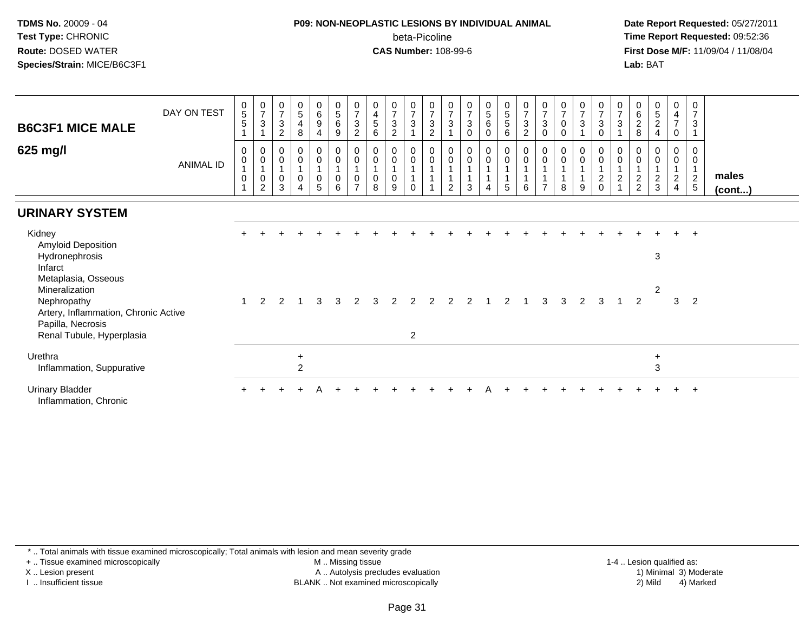#### **P09: NON-NEOPLASTIC LESIONS BY INDIVIDUAL ANIMAL** beta-Picoline**beta-Picoline**<br> **CAS Number:** 108-99-6<br> **CAS Number:** 108-99-6<br> **CAS Number:** 108-99-6

 **Date Report Requested:** 05/27/2011 **First Dose M/F:** 11/09/04 / 11/08/04 Lab: BAT **Lab:** BAT

| <b>B6C3F1 MICE MALE</b>                                                                                           | DAY ON TEST | $\pmb{0}$<br>$\,$ 5 $\,$<br>5 | $\frac{0}{7}$<br>$\mathbf{3}$                 | $\frac{0}{7}$<br>$\sqrt{3}$<br>$\overline{c}$ | $\begin{array}{c} 0 \\ 5 \end{array}$<br>$\overline{4}$<br>8 | $\begin{matrix} 0 \\ 6 \end{matrix}$<br>$\boldsymbol{9}$<br>$\overline{4}$ | $\begin{array}{c} 0 \\ 5 \\ 6 \end{array}$<br>9 | $\frac{0}{7}$<br>$\mathbf{3}$<br>$\overline{2}$ | $\pmb{0}$<br>$\overline{\mathbf{4}}$<br>$\sqrt{5}$<br>6 | $\frac{0}{7}$<br>$\mathbf{3}$<br>$\overline{c}$ | $\begin{array}{c} 0 \\ 7 \\ 3 \end{array}$ | $\frac{0}{7}$<br>$\ensuremath{\mathsf{3}}$<br>$\overline{2}$ | $\frac{0}{7}$<br>$\mathbf{3}$ | $\begin{smallmatrix}0\\7\end{smallmatrix}$<br>$\ensuremath{\mathsf{3}}$<br>$\mathbf 0$ | $\begin{matrix}0\5\6\end{matrix}$<br>$\Omega$ | $\begin{array}{c} 0 \\ 5 \\ 5 \end{array}$<br>$\,6\,$ | $\frac{0}{7}$<br>3<br>$\overline{c}$ | $\begin{matrix} 0 \\ 7 \\ 3 \end{matrix}$<br>$\mathbf 0$ | $\frac{0}{7}$<br>$\pmb{0}$<br>$\Omega$ | $\frac{0}{7}$<br>$\mathbf{3}$ | $\frac{0}{7}$<br>$\sqrt{3}$<br>$\boldsymbol{0}$ | $\frac{0}{7}$<br>$\mathbf{3}$ | $\begin{matrix} 0 \\ 6 \\ 2 \end{matrix}$<br>8 | $\begin{array}{c} 0 \\ 5 \\ 2 \end{array}$<br>$\overline{4}$ | $\pmb{0}$<br>$\overline{\mathbf{4}}$<br>$\overline{7}$<br>$\mathbf 0$ | 0<br>$\overline{7}$<br>3                                              |                       |
|-------------------------------------------------------------------------------------------------------------------|-------------|-------------------------------|-----------------------------------------------|-----------------------------------------------|--------------------------------------------------------------|----------------------------------------------------------------------------|-------------------------------------------------|-------------------------------------------------|---------------------------------------------------------|-------------------------------------------------|--------------------------------------------|--------------------------------------------------------------|-------------------------------|----------------------------------------------------------------------------------------|-----------------------------------------------|-------------------------------------------------------|--------------------------------------|----------------------------------------------------------|----------------------------------------|-------------------------------|-------------------------------------------------|-------------------------------|------------------------------------------------|--------------------------------------------------------------|-----------------------------------------------------------------------|-----------------------------------------------------------------------|-----------------------|
| 625 mg/l                                                                                                          | ANIMAL ID   | $\pmb{0}$<br>$\mathbf 0$<br>0 | 0<br>$\pmb{0}$<br>$\pmb{0}$<br>$\overline{2}$ | 0<br>$\mbox{O}$<br>$\mathbf 0$<br>3           | 0<br>$\mathbf 0$<br>$\pmb{0}$<br>$\boldsymbol{\Lambda}$      | 0<br>$\pmb{0}$<br>$\mathbf 0$<br>5                                         | $_{\rm 0}^{\rm 0}$<br>$\pmb{0}$<br>6            | 0<br>$\pmb{0}$<br>0<br>$\overline{ }$           | $\boldsymbol{0}$<br>$\pmb{0}$<br>0<br>8                 | 0<br>$\pmb{0}$<br>0<br>9                        | $\begin{smallmatrix}0\\0\end{smallmatrix}$ | $_{\rm 0}^{\rm 0}$                                           | 2                             | $\pmb{0}$<br>$\pmb{0}$<br>3                                                            | 0<br>$\pmb{0}$                                | $\begin{smallmatrix} 0\\0 \end{smallmatrix}$<br>5     | 0<br>$\mathbf 0$<br>6                | $_0^0$                                                   | 0<br>$\pmb{0}$<br>8                    | 0<br>$\mathbf 0$<br>9         | 0<br>$\mathbf 0$<br>$\overline{c}$<br>$\Omega$  | 0<br>0<br>$\overline{c}$      | 0<br>$\mathbf 0$<br>$\frac{2}{2}$              | 0<br>0<br>$\overline{a}$<br>3                                | $\pmb{0}$<br>$\mathsf 0$<br>$\mathbf{1}$<br>$\frac{2}{4}$             | 0<br>$\mathbf 0$<br>$\mathbf{1}$<br>$\overline{2}$<br>$5\phantom{.0}$ | males<br>$($ cont $)$ |
| <b>URINARY SYSTEM</b>                                                                                             |             |                               |                                               |                                               |                                                              |                                                                            |                                                 |                                                 |                                                         |                                                 |                                            |                                                              |                               |                                                                                        |                                               |                                                       |                                      |                                                          |                                        |                               |                                                 |                               |                                                |                                                              |                                                                       |                                                                       |                       |
| Kidney<br>Amyloid Deposition<br>Hydronephrosis<br>Infarct                                                         |             |                               |                                               |                                               |                                                              |                                                                            |                                                 |                                                 |                                                         |                                                 |                                            |                                                              |                               |                                                                                        |                                               |                                                       |                                      |                                                          |                                        |                               |                                                 |                               |                                                | 3                                                            |                                                                       | $\overline{ }$                                                        |                       |
| Metaplasia, Osseous<br>Mineralization<br>Nephropathy<br>Artery, Inflammation, Chronic Active<br>Papilla, Necrosis |             |                               | $\mathcal{P}$                                 | $\mathcal{P}$                                 |                                                              | 3                                                                          | 3                                               | 2                                               | 3                                                       | $\mathcal{P}$                                   | $\mathcal{P}$                              | $\mathcal{P}$                                                | $\mathfrak{p}$                | $\mathcal{P}$                                                                          |                                               | $\mathcal{P}$                                         |                                      | 3                                                        | 3                                      | $\overline{2}$                | 3                                               |                               | $\overline{2}$                                 | 2                                                            | 3                                                                     | $\overline{2}$                                                        |                       |
| Renal Tubule, Hyperplasia                                                                                         |             |                               |                                               |                                               |                                                              |                                                                            |                                                 |                                                 |                                                         |                                                 | $\overline{2}$                             |                                                              |                               |                                                                                        |                                               |                                                       |                                      |                                                          |                                        |                               |                                                 |                               |                                                |                                                              |                                                                       |                                                                       |                       |
| Urethra<br>Inflammation, Suppurative                                                                              |             |                               |                                               |                                               | $+$<br>$\overline{c}$                                        |                                                                            |                                                 |                                                 |                                                         |                                                 |                                            |                                                              |                               |                                                                                        |                                               |                                                       |                                      |                                                          |                                        |                               |                                                 |                               |                                                | $\ddot{}$<br>3                                               |                                                                       |                                                                       |                       |
| <b>Urinary Bladder</b><br>Inflammation, Chronic                                                                   |             |                               |                                               |                                               |                                                              |                                                                            |                                                 |                                                 |                                                         |                                                 |                                            |                                                              |                               |                                                                                        |                                               |                                                       |                                      |                                                          |                                        |                               |                                                 |                               |                                                |                                                              |                                                                       | $\overline{ }$                                                        |                       |

\* .. Total animals with tissue examined microscopically; Total animals with lesion and mean severity grade

+ .. Tissue examined microscopically

X .. Lesion present

I .. Insufficient tissue

M .. Missing tissue

A .. Autolysis precludes evaluation

BLANK .. Not examined microscopically 2) Mild 4) Marked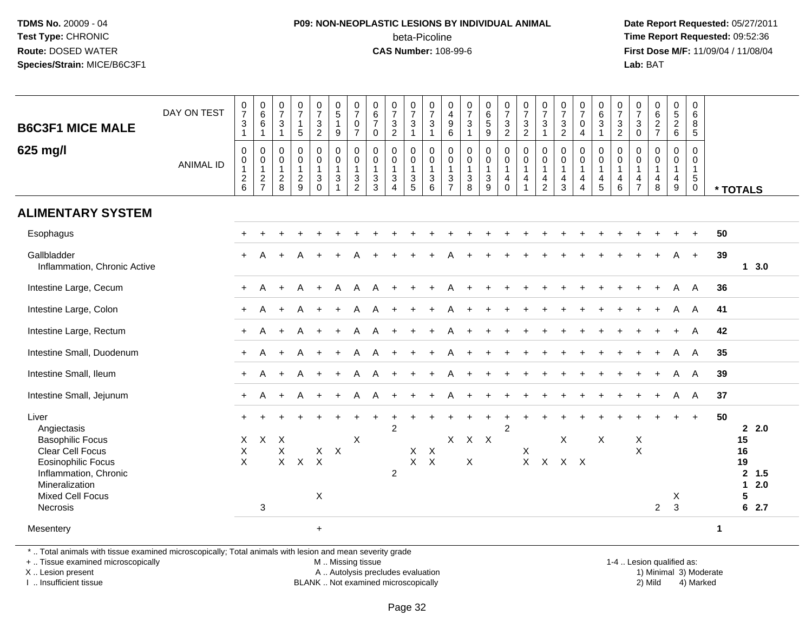### **P09: NON-NEOPLASTIC LESIONS BY INDIVIDUAL ANIMAL** beta-Picoline**beta-Picoline**<br> **CAS Number:** 108-99-6<br> **CAS Number:** 108-99-6<br> **CAS Number:** 108-99-6

 **Date Report Requested:** 05/27/2011 **First Dose M/F:** 11/09/04 / 11/08/04 Lab: BAT **Lab:** BAT

| <b>B6C3F1 MICE MALE</b>                                                                                                                                                                                                                                                                                                                                                                                   | DAY ON TEST                                                                                                                                                                                                                   | $\pmb{0}$<br>$\overline{7}$<br>$\ensuremath{\mathsf{3}}$<br>$\mathbf{1}$ | $\pmb{0}$<br>6<br>6<br>$\overline{1}$                                          | $\frac{0}{7}$<br>$\mathbf{3}$<br>$\mathbf 1$               | $\pmb{0}$<br>$\boldsymbol{7}$<br>$\mathbf{1}$<br>5            | $\frac{0}{7}$<br>$\mathbf{3}$<br>$\overline{c}$                      | $\begin{array}{c} 0 \\ 5 \\ 1 \end{array}$<br>9                            | $\frac{0}{7}$<br>$\pmb{0}$<br>$\overline{7}$                               | $\begin{array}{c} 0 \\ 6 \end{array}$<br>$\overline{7}$<br>$\mathbf 0$ | $\begin{array}{c} 0 \\ 7 \end{array}$<br>$\frac{3}{2}$                                | $\frac{0}{7}$<br>3<br>$\mathbf 1$          | $\frac{0}{7}$<br>$\mathbf{3}$<br>$\mathbf{1}$                       | $\,0\,$<br>$\overline{4}$<br>$\boldsymbol{9}$<br>$6\phantom{1}$                         | $\frac{0}{7}$<br>3<br>-1                               | $\pmb{0}$<br>$6\phantom{a}$<br>$\sqrt{5}$<br>9              | $\frac{0}{7}$<br>$\mathbf{3}$<br>$\overline{2}$                | $\begin{smallmatrix}0\\7\end{smallmatrix}$<br>$\mathbf{3}$<br>$\overline{2}$ | $\frac{0}{7}$<br>$\ensuremath{\mathsf{3}}$<br>$\mathbf 1$                    | $\begin{array}{c} 0 \\ 7 \end{array}$<br>$\ensuremath{\mathsf{3}}$<br>$\overline{2}$ | $\begin{array}{c} 0 \\ 7 \end{array}$<br>$\mathbf 0$<br>$\overline{4}$         | $\,0\,$<br>$\,6\,$<br>$\sqrt{3}$<br>$\mathbf{1}$                 | 0<br>$\overline{7}$<br>$\mathsf 3$<br>$\overline{2}$         | $\frac{0}{7}$<br>$\sqrt{3}$<br>$\mathbf 0$                                     | $\pmb{0}$<br>6<br>$\frac{2}{7}$               | $0$<br>$5$<br>$2$<br>$6$                                         | $\begin{array}{c} 0 \\ 6 \end{array}$<br>$\frac{8}{5}$                |                                    |               |
|-----------------------------------------------------------------------------------------------------------------------------------------------------------------------------------------------------------------------------------------------------------------------------------------------------------------------------------------------------------------------------------------------------------|-------------------------------------------------------------------------------------------------------------------------------------------------------------------------------------------------------------------------------|--------------------------------------------------------------------------|--------------------------------------------------------------------------------|------------------------------------------------------------|---------------------------------------------------------------|----------------------------------------------------------------------|----------------------------------------------------------------------------|----------------------------------------------------------------------------|------------------------------------------------------------------------|---------------------------------------------------------------------------------------|--------------------------------------------|---------------------------------------------------------------------|-----------------------------------------------------------------------------------------|--------------------------------------------------------|-------------------------------------------------------------|----------------------------------------------------------------|------------------------------------------------------------------------------|------------------------------------------------------------------------------|--------------------------------------------------------------------------------------|--------------------------------------------------------------------------------|------------------------------------------------------------------|--------------------------------------------------------------|--------------------------------------------------------------------------------|-----------------------------------------------|------------------------------------------------------------------|-----------------------------------------------------------------------|------------------------------------|---------------|
| 625 mg/l                                                                                                                                                                                                                                                                                                                                                                                                  | <b>ANIMAL ID</b>                                                                                                                                                                                                              | 0<br>0<br>$\mathbf{1}$<br>$\sqrt{2}$<br>$6\phantom{a}$                   | $\mathbf 0$<br>$\mathbf 0$<br>$\mathbf{1}$<br>$\overline{c}$<br>$\overline{7}$ | 0<br>$\mathsf{O}$<br>$\mathbf{1}$<br>$\boldsymbol{2}$<br>8 | $\mathbf 0$<br>$\mathbf 0$<br>$\mathbf{1}$<br>$\sqrt{2}$<br>9 | $\mathbf 0$<br>$\pmb{0}$<br>$\mathbf{1}$<br>$\mathbf{3}$<br>$\Omega$ | $\mathbf 0$<br>$\mathbf 0$<br>$\mathbf{1}$<br>$\sqrt{3}$<br>$\overline{1}$ | $\mathbf 0$<br>$\mathbf 0$<br>$\mathbf{1}$<br>$\sqrt{3}$<br>$\overline{2}$ | 0<br>$\pmb{0}$<br>$\mathbf{1}$<br>$\ensuremath{\mathsf{3}}$<br>3       | $\pmb{0}$<br>$\pmb{0}$<br>$\mathbf{1}$<br>$\ensuremath{\mathsf{3}}$<br>$\overline{4}$ | 0<br>$\mathbf 0$<br>$\mathbf{1}$<br>3<br>5 | 0<br>$\mathsf{O}$<br>$\mathbf{1}$<br>$\ensuremath{\mathsf{3}}$<br>6 | $\mathbf 0$<br>$\pmb{0}$<br>$\mathbf{1}$<br>$\ensuremath{\mathsf{3}}$<br>$\overline{7}$ | $\mathbf 0$<br>0<br>$\overline{1}$<br>$\mathbf 3$<br>8 | $\mathbf 0$<br>$\pmb{0}$<br>$\mathbf{1}$<br>$\sqrt{3}$<br>9 | 0<br>$\mathbf 0$<br>$\mathbf{1}$<br>$\overline{4}$<br>$\Omega$ | $\mathsf{O}$<br>$\mathbf 0$<br>$\mathbf{1}$<br>4<br>1                        | $\mathbf 0$<br>$\pmb{0}$<br>$\mathbf{1}$<br>$\overline{4}$<br>$\overline{c}$ | $\mathbf 0$<br>0<br>$\overline{1}$<br>$\overline{\mathbf{4}}$<br>3                   | $\mathbf 0$<br>$\mathbf 0$<br>$\mathbf{1}$<br>$\overline{4}$<br>$\overline{4}$ | 0<br>$\mathbf 0$<br>$\mathbf{1}$<br>$\overline{4}$<br>$\sqrt{5}$ | 0<br>0<br>$\mathbf{1}$<br>$\overline{\mathbf{4}}$<br>$\,6\,$ | 0<br>$\mathsf{O}$<br>$\mathbf{1}$<br>$\overline{\mathbf{4}}$<br>$\overline{7}$ | 0<br>0<br>$\mathbf{1}$<br>$\overline{4}$<br>8 | $\mathbf 0$<br>0<br>$\mathbf{1}$<br>$\overline{\mathbf{4}}$<br>9 | $\mathbf 0$<br>$\mathbf 0$<br>$\mathbf{1}$<br>$\sqrt{5}$<br>$\pmb{0}$ | * TOTALS                           |               |
| <b>ALIMENTARY SYSTEM</b>                                                                                                                                                                                                                                                                                                                                                                                  |                                                                                                                                                                                                                               |                                                                          |                                                                                |                                                            |                                                               |                                                                      |                                                                            |                                                                            |                                                                        |                                                                                       |                                            |                                                                     |                                                                                         |                                                        |                                                             |                                                                |                                                                              |                                                                              |                                                                                      |                                                                                |                                                                  |                                                              |                                                                                |                                               |                                                                  |                                                                       |                                    |               |
| Esophagus                                                                                                                                                                                                                                                                                                                                                                                                 |                                                                                                                                                                                                                               |                                                                          |                                                                                |                                                            |                                                               |                                                                      |                                                                            |                                                                            |                                                                        |                                                                                       |                                            |                                                                     |                                                                                         |                                                        |                                                             |                                                                |                                                                              |                                                                              |                                                                                      |                                                                                |                                                                  |                                                              |                                                                                |                                               |                                                                  |                                                                       | 50                                 |               |
| Gallbladder<br>Inflammation, Chronic Active                                                                                                                                                                                                                                                                                                                                                               |                                                                                                                                                                                                                               | $\ddot{}$                                                                |                                                                                |                                                            |                                                               |                                                                      |                                                                            |                                                                            |                                                                        |                                                                                       |                                            |                                                                     |                                                                                         |                                                        |                                                             |                                                                |                                                                              |                                                                              |                                                                                      |                                                                                |                                                                  |                                                              |                                                                                |                                               | A                                                                | $+$                                                                   | 39                                 | $1 \quad 3.0$ |
| Intestine Large, Cecum                                                                                                                                                                                                                                                                                                                                                                                    |                                                                                                                                                                                                                               | $+$                                                                      | A                                                                              | $\ddot{}$                                                  | A                                                             | $+$                                                                  | A                                                                          | A                                                                          | A                                                                      |                                                                                       |                                            | $+$                                                                 | A                                                                                       |                                                        |                                                             |                                                                |                                                                              |                                                                              |                                                                                      |                                                                                |                                                                  |                                                              |                                                                                |                                               | A                                                                | A                                                                     | 36                                 |               |
| Intestine Large, Colon                                                                                                                                                                                                                                                                                                                                                                                    |                                                                                                                                                                                                                               | $\ddot{}$                                                                | A                                                                              | $\ddot{}$                                                  |                                                               |                                                                      | $+$                                                                        | A                                                                          | A                                                                      |                                                                                       |                                            | $\ddot{}$                                                           | A                                                                                       |                                                        |                                                             |                                                                |                                                                              |                                                                              |                                                                                      |                                                                                |                                                                  |                                                              |                                                                                |                                               | A                                                                | A                                                                     | 41                                 |               |
| Intestine Large, Rectum                                                                                                                                                                                                                                                                                                                                                                                   |                                                                                                                                                                                                                               | $+$                                                                      | A                                                                              | $\ddot{}$                                                  | A                                                             |                                                                      | $+$                                                                        | A                                                                          | A                                                                      |                                                                                       |                                            | $\ddot{}$                                                           | A                                                                                       |                                                        |                                                             |                                                                |                                                                              |                                                                              |                                                                                      |                                                                                |                                                                  |                                                              |                                                                                |                                               | $\ddot{}$                                                        | A                                                                     | 42                                 |               |
| Intestine Small, Duodenum                                                                                                                                                                                                                                                                                                                                                                                 |                                                                                                                                                                                                                               | $\ddot{}$                                                                | A                                                                              | $\ddot{}$                                                  | A                                                             | $\ddot{}$                                                            | $+$                                                                        | A                                                                          | Α                                                                      |                                                                                       | $\ddot{}$                                  | $\ddot{}$                                                           | A                                                                                       |                                                        |                                                             |                                                                |                                                                              |                                                                              |                                                                                      |                                                                                |                                                                  |                                                              |                                                                                |                                               | A                                                                | - A                                                                   | 35                                 |               |
| Intestine Small, Ileum                                                                                                                                                                                                                                                                                                                                                                                    |                                                                                                                                                                                                                               | $+$                                                                      | A                                                                              |                                                            | А                                                             |                                                                      |                                                                            | A                                                                          | А                                                                      |                                                                                       |                                            |                                                                     | A                                                                                       |                                                        |                                                             |                                                                |                                                                              |                                                                              |                                                                                      |                                                                                |                                                                  |                                                              |                                                                                |                                               | A                                                                | $\overline{A}$                                                        | 39                                 |               |
| Intestine Small, Jejunum                                                                                                                                                                                                                                                                                                                                                                                  |                                                                                                                                                                                                                               | $\ddot{}$                                                                |                                                                                |                                                            | А                                                             |                                                                      | $+$                                                                        | A                                                                          | Α                                                                      |                                                                                       | $\overline{1}$                             | $\ddot{}$                                                           | A                                                                                       |                                                        |                                                             |                                                                |                                                                              |                                                                              |                                                                                      |                                                                                |                                                                  |                                                              |                                                                                |                                               | A                                                                | A                                                                     | 37                                 |               |
| Liver<br>Angiectasis                                                                                                                                                                                                                                                                                                                                                                                      |                                                                                                                                                                                                                               | $\ddot{}$                                                                |                                                                                |                                                            |                                                               |                                                                      |                                                                            |                                                                            |                                                                        | $\overline{2}$                                                                        |                                            |                                                                     |                                                                                         |                                                        |                                                             | $\overline{2}$                                                 |                                                                              |                                                                              |                                                                                      |                                                                                |                                                                  |                                                              |                                                                                |                                               |                                                                  | $+$                                                                   | 50<br>$\mathbf{2}$                 | 2.0           |
| <b>Basophilic Focus</b><br>Clear Cell Focus                                                                                                                                                                                                                                                                                                                                                               |                                                                                                                                                                                                                               | X<br>X                                                                   | $\mathsf{X}$                                                                   | $\mathsf{X}$<br>Χ                                          |                                                               |                                                                      | $X$ $X$                                                                    | X                                                                          |                                                                        |                                                                                       | X                                          | X                                                                   | $\mathsf{X}$                                                                            | X                                                      | $\mathsf{X}$                                                |                                                                | X                                                                            |                                                                              | X                                                                                    |                                                                                | X                                                                |                                                              | X<br>$\overline{\mathsf{X}}$                                                   |                                               |                                                                  |                                                                       | 15<br>16                           |               |
| <b>Eosinophilic Focus</b><br>Inflammation, Chronic<br>Mineralization                                                                                                                                                                                                                                                                                                                                      |                                                                                                                                                                                                                               | $\mathsf{X}$                                                             |                                                                                | $\mathsf{X}$                                               | $\mathsf X$                                                   | $\mathsf X$                                                          |                                                                            |                                                                            |                                                                        | 2                                                                                     | $\mathsf X$                                | $\mathsf{X}$                                                        |                                                                                         | $\boldsymbol{\mathsf{X}}$                              |                                                             |                                                                | X                                                                            | X                                                                            | $X$ $X$                                                                              |                                                                                |                                                                  |                                                              |                                                                                |                                               |                                                                  |                                                                       | 19<br>$\mathbf{2}$<br>$\mathbf{1}$ | 1.5<br>2.0    |
| Mixed Cell Focus<br>Necrosis                                                                                                                                                                                                                                                                                                                                                                              |                                                                                                                                                                                                                               |                                                                          | $\ensuremath{\mathsf{3}}$                                                      |                                                            |                                                               | X                                                                    |                                                                            |                                                                            |                                                                        |                                                                                       |                                            |                                                                     |                                                                                         |                                                        |                                                             |                                                                |                                                                              |                                                                              |                                                                                      |                                                                                |                                                                  |                                                              |                                                                                | $\overline{c}$                                | X<br>3                                                           |                                                                       | 5                                  | 62.7          |
|                                                                                                                                                                                                                                                                                                                                                                                                           |                                                                                                                                                                                                                               |                                                                          |                                                                                |                                                            |                                                               |                                                                      |                                                                            |                                                                            |                                                                        |                                                                                       |                                            |                                                                     |                                                                                         |                                                        |                                                             |                                                                |                                                                              |                                                                              |                                                                                      |                                                                                |                                                                  |                                                              |                                                                                |                                               |                                                                  |                                                                       |                                    |               |
| Mesentery<br>$\Phi = -\frac{1}{2} \frac{1}{2} \frac{1}{2} \frac{1}{2} \frac{1}{2} \frac{1}{2} \frac{1}{2} \frac{1}{2} \frac{1}{2} \frac{1}{2} \frac{1}{2} \frac{1}{2} \frac{1}{2} \frac{1}{2} \frac{1}{2} \frac{1}{2} \frac{1}{2} \frac{1}{2} \frac{1}{2} \frac{1}{2} \frac{1}{2} \frac{1}{2} \frac{1}{2} \frac{1}{2} \frac{1}{2} \frac{1}{2} \frac{1}{2} \frac{1}{2} \frac{1}{2} \frac{1}{2} \frac{1}{2$ | the control throughout the control of the control of the control of the control of the control of the control of the control of the control of the control of the control of the control of the control of the control of the |                                                                          |                                                                                |                                                            |                                                               | $\ddot{}$                                                            |                                                                            |                                                                            |                                                                        |                                                                                       |                                            |                                                                     |                                                                                         |                                                        |                                                             |                                                                |                                                                              |                                                                              |                                                                                      |                                                                                |                                                                  |                                                              |                                                                                |                                               |                                                                  |                                                                       | $\mathbf{1}$                       |               |

\* .. Total animals with tissue examined microscopically; Total animals with lesion and mean severity grade

+ .. Tissue examined microscopically

X .. Lesion present

I .. Insufficient tissue

M .. Missing tissue

A .. Autolysis precludes evaluation

BLANK .. Not examined microscopically 2) Mild 4) Marked

1-4 .. Lesion qualified as:<br>1) Minimal 3) Moderate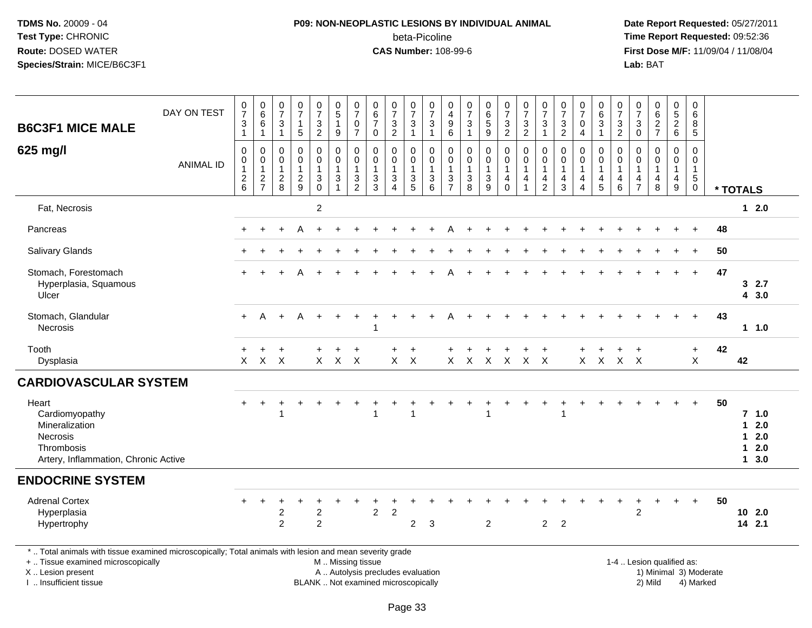# **P09: NON-NEOPLASTIC LESIONS BY INDIVIDUAL ANIMAL**beta-Picoline<br>CAS Number: 108-99-6

 **Date Report Requested:** 05/27/2011 **Time Report Requested:** 09:52:36 **First Dose M/F:** 11/09/04 / 11/08/04<br>Lab: BAT **Lab:** BAT

|                                                                                                                                                                     | DAY ON TEST      | $\frac{0}{7}$                                              | $\begin{array}{c} 0 \\ 6 \end{array}$                     | 0<br>$\overline{7}$                               | $\begin{array}{c} 0 \\ 7 \end{array}$                       | $\frac{0}{7}$                                                 | 0<br>$\overline{5}$                                             | $\frac{0}{7}$                                                                  | $\begin{array}{c} 0 \\ 6 \end{array}$             | $\frac{0}{7}$                                 | $\begin{smallmatrix}0\\7\end{smallmatrix}$                                   | 0<br>$\overline{7}$                                            | 0<br>$\overline{4}$                                                        | $\pmb{0}$<br>$\boldsymbol{7}$                                     | $_6^0$                                                               | $\frac{0}{7}$                                                          | $\frac{0}{7}$                                                     | $\frac{0}{7}$                                                                 | $\frac{0}{7}$                                                                         | $\frac{0}{7}$                | 0<br>$6\overline{6}$                                              | $\frac{0}{7}$                                                     | 0<br>$\overline{7}$                         | 0627                                                 | $\begin{array}{c} 0 \\ 5 \end{array}$                         | 0<br>$\,6\,$                                                          |                        |                       |                                      |
|---------------------------------------------------------------------------------------------------------------------------------------------------------------------|------------------|------------------------------------------------------------|-----------------------------------------------------------|---------------------------------------------------|-------------------------------------------------------------|---------------------------------------------------------------|-----------------------------------------------------------------|--------------------------------------------------------------------------------|---------------------------------------------------|-----------------------------------------------|------------------------------------------------------------------------------|----------------------------------------------------------------|----------------------------------------------------------------------------|-------------------------------------------------------------------|----------------------------------------------------------------------|------------------------------------------------------------------------|-------------------------------------------------------------------|-------------------------------------------------------------------------------|---------------------------------------------------------------------------------------|------------------------------|-------------------------------------------------------------------|-------------------------------------------------------------------|---------------------------------------------|------------------------------------------------------|---------------------------------------------------------------|-----------------------------------------------------------------------|------------------------|-----------------------|--------------------------------------|
| <b>B6C3F1 MICE MALE</b>                                                                                                                                             |                  | 3<br>$\mathbf{1}$                                          | $\,6\,$<br>$\mathbf{1}$                                   | 3<br>$\mathbf{1}$                                 | $\mathbf{1}$<br>$\sqrt{5}$                                  | $\mathbf{3}$<br>$\overline{2}$                                | 1<br>$\boldsymbol{9}$                                           | $\pmb{0}$<br>$\overline{7}$                                                    | $\overline{7}$<br>$\mathbf 0$                     | $\frac{3}{2}$                                 | $\mathsf 3$<br>$\mathbf{1}$                                                  | $\sqrt{3}$<br>$\overline{1}$                                   | $\boldsymbol{9}$<br>$\,6\,$                                                | $\ensuremath{\mathsf{3}}$<br>$\mathbf{1}$                         | $\frac{5}{9}$                                                        | $\frac{3}{2}$                                                          | $\frac{3}{2}$                                                     | $\sqrt{3}$<br>$\overline{1}$                                                  | $\frac{3}{2}$                                                                         | 0<br>$\overline{4}$          | $\ensuremath{\mathsf{3}}$<br>$\mathbf{1}$                         | $\frac{3}{2}$                                                     | $\ensuremath{\mathsf{3}}$<br>$\mathbf 0$    |                                                      | $\frac{2}{6}$                                                 | 8<br>$\overline{5}$                                                   |                        |                       |                                      |
| 625 mg/l                                                                                                                                                            | <b>ANIMAL ID</b> | $\pmb{0}$<br>$\mathsf{O}$<br>$\mathbf{1}$<br>$\frac{2}{6}$ | $\pmb{0}$<br>$\mathbf 0$<br>$\mathbf{1}$<br>$\frac{2}{7}$ | 0<br>$\mathbf 0$<br>$\mathbf{1}$<br>$\frac{2}{8}$ | $\mathbf 0$<br>$\mathbf 0$<br>$\mathbf{1}$<br>$\frac{2}{9}$ | 0<br>$\mathbf 0$<br>$\mathbf{1}$<br>$\sqrt{3}$<br>$\mathbf 0$ | $\mathbf 0$<br>$\mathbf 0$<br>1<br>$\sqrt{3}$<br>$\overline{ }$ | $\mathbf 0$<br>$\mathbf 0$<br>1<br>$\ensuremath{\mathsf{3}}$<br>$\overline{2}$ | $\Omega$<br>0<br>$\mathbf{1}$<br>$\mathsf 3$<br>3 | $\mathbf 0$<br>$\mathbf 0$<br>$\sqrt{3}$<br>4 | $\mathbf 0$<br>$\mathbf 0$<br>$\mathbf{1}$<br>$\ensuremath{\mathsf{3}}$<br>5 | $\mathbf 0$<br>$\Omega$<br>$\overline{1}$<br>$\mathbf{3}$<br>6 | $\mathbf 0$<br>$\mathbf 0$<br>$\mathbf{1}$<br>$\sqrt{3}$<br>$\overline{7}$ | $\mathbf 0$<br>$\mathbf 0$<br>1<br>$\ensuremath{\mathsf{3}}$<br>8 | $\mathbf 0$<br>$\overline{0}$<br>$\mathbf{1}$<br>3<br>$\overline{9}$ | 0<br>$\boldsymbol{0}$<br>$\mathbf{1}$<br>$\overline{4}$<br>$\mathbf 0$ | $\mathbf 0$<br>$\mathbf 0$<br>$\mathbf{1}$<br>$\overline{4}$<br>1 | $\mathbf 0$<br>$\mathbf 0$<br>$\mathbf 1$<br>$\overline{4}$<br>$\overline{2}$ | $\mathbf 0$<br>$\mathbf 0$<br>$\mathbf{1}$<br>$\overline{\mathbf{4}}$<br>$\mathbf{3}$ | 0<br>$\Omega$<br>1<br>4<br>4 | $\mathbf 0$<br>$\mathbf 0$<br>$\mathbf{1}$<br>$\overline{4}$<br>5 | $\mathbf 0$<br>$\mathbf 0$<br>$\mathbf{1}$<br>4<br>$6\phantom{a}$ | $\Omega$<br>$\Omega$<br>4<br>$\overline{7}$ | $\mathbf 0$<br>$\mathbf 0$<br>$\mathbf{1}$<br>4<br>8 | $\Omega$<br>$\Omega$<br>$\mathbf{1}$<br>4<br>$\boldsymbol{9}$ | $\Omega$<br>$\mathbf{0}$<br>$\mathbf{1}$<br>$\sqrt{5}$<br>$\mathbf 0$ |                        | * TOTALS              |                                      |
| Fat, Necrosis                                                                                                                                                       |                  |                                                            |                                                           |                                                   |                                                             | $\overline{\mathbf{c}}$                                       |                                                                 |                                                                                |                                                   |                                               |                                                                              |                                                                |                                                                            |                                                                   |                                                                      |                                                                        |                                                                   |                                                                               |                                                                                       |                              |                                                                   |                                                                   |                                             |                                                      |                                                               |                                                                       |                        |                       | $12.0$                               |
| Pancreas                                                                                                                                                            |                  |                                                            |                                                           |                                                   |                                                             |                                                               |                                                                 |                                                                                |                                                   |                                               |                                                                              |                                                                |                                                                            |                                                                   |                                                                      |                                                                        |                                                                   |                                                                               |                                                                                       |                              |                                                                   |                                                                   |                                             |                                                      |                                                               |                                                                       | 48                     |                       |                                      |
| Salivary Glands                                                                                                                                                     |                  |                                                            |                                                           |                                                   |                                                             |                                                               |                                                                 |                                                                                |                                                   |                                               |                                                                              |                                                                |                                                                            |                                                                   |                                                                      |                                                                        |                                                                   |                                                                               |                                                                                       |                              |                                                                   |                                                                   |                                             |                                                      |                                                               | $\ddot{}$                                                             | 50                     |                       |                                      |
| Stomach, Forestomach<br>Hyperplasia, Squamous<br>Ulcer                                                                                                              |                  |                                                            |                                                           |                                                   |                                                             |                                                               |                                                                 |                                                                                |                                                   |                                               |                                                                              |                                                                |                                                                            |                                                                   |                                                                      |                                                                        |                                                                   |                                                                               |                                                                                       |                              |                                                                   |                                                                   |                                             |                                                      |                                                               | $\ddot{}$                                                             | 47                     |                       | 32.7<br>4 3.0                        |
| Stomach, Glandular<br>Necrosis                                                                                                                                      |                  | $+$                                                        | A                                                         | $+$                                               | A                                                           | $+$                                                           |                                                                 |                                                                                |                                                   |                                               |                                                                              |                                                                | А                                                                          |                                                                   |                                                                      |                                                                        |                                                                   |                                                                               |                                                                                       |                              |                                                                   |                                                                   |                                             |                                                      | $+$                                                           | $+$                                                                   | 43                     |                       | 11.0                                 |
| Tooth<br>Dysplasia                                                                                                                                                  |                  | $\ddot{}$                                                  | $\ddot{}$<br>$X$ $X$ $X$                                  | $\ddot{}$                                         |                                                             | +                                                             | +<br>$X$ $X$ $X$                                                | $\ddot{}$                                                                      |                                                   | $\ddot{}$                                     | $\ddot{}$<br>$X$ $X$                                                         |                                                                |                                                                            | X X X X X X                                                       | $\ddot{}$                                                            | $\ddot{}$                                                              | $\ddot{}$                                                         | $\ddot{}$                                                                     |                                                                                       | +                            |                                                                   | $\ddot{}$<br>$X$ $X$ $X$ $X$                                      | $\ddot{}$                                   |                                                      |                                                               | $+$<br>$\mathsf{X}$                                                   | 42                     | 42                    |                                      |
| <b>CARDIOVASCULAR SYSTEM</b>                                                                                                                                        |                  |                                                            |                                                           |                                                   |                                                             |                                                               |                                                                 |                                                                                |                                                   |                                               |                                                                              |                                                                |                                                                            |                                                                   |                                                                      |                                                                        |                                                                   |                                                                               |                                                                                       |                              |                                                                   |                                                                   |                                             |                                                      |                                                               |                                                                       |                        |                       |                                      |
| Heart<br>Cardiomyopathy<br>Mineralization<br><b>Necrosis</b><br>Thrombosis<br>Artery, Inflammation, Chronic Active                                                  |                  |                                                            | ÷                                                         |                                                   |                                                             |                                                               |                                                                 |                                                                                |                                                   |                                               |                                                                              |                                                                |                                                                            |                                                                   | -1                                                                   |                                                                        |                                                                   |                                                                               |                                                                                       |                              |                                                                   |                                                                   |                                             |                                                      |                                                               | $+$                                                                   | 50                     | 1<br>$\mathbf 1$<br>1 | $7$ 1.0<br>2.0<br>2.0<br>2.0<br>13.0 |
| <b>ENDOCRINE SYSTEM</b>                                                                                                                                             |                  |                                                            |                                                           |                                                   |                                                             |                                                               |                                                                 |                                                                                |                                                   |                                               |                                                                              |                                                                |                                                                            |                                                                   |                                                                      |                                                                        |                                                                   |                                                                               |                                                                                       |                              |                                                                   |                                                                   |                                             |                                                      |                                                               |                                                                       |                        |                       |                                      |
| <b>Adrenal Cortex</b><br>Hyperplasia<br>Hypertrophy                                                                                                                 |                  |                                                            | $\ddot{}$                                                 | $\overline{\mathbf{c}}$<br>$\overline{2}$         |                                                             | 2<br>$\overline{2}$                                           |                                                                 |                                                                                | $\overline{2}$                                    | $\sqrt{2}$                                    | $\overline{2}$                                                               | 3                                                              |                                                                            |                                                                   | $\overline{2}$                                                       |                                                                        |                                                                   | $2^{\circ}$                                                                   | $\overline{2}$                                                                        |                              |                                                                   |                                                                   | +<br>$\overline{c}$                         |                                                      | $\ddot{}$                                                     | $+$                                                                   | 50                     | 14 2.1                | 102.0                                |
| *  Total animals with tissue examined microscopically; Total animals with lesion and mean severity grade<br>+  Tissue examined microscopically<br>X  Lesion present |                  |                                                            |                                                           |                                                   |                                                             |                                                               | M. Missing tissue                                               |                                                                                | A  Autolysis precludes evaluation                 |                                               |                                                                              |                                                                |                                                                            |                                                                   |                                                                      |                                                                        |                                                                   |                                                                               |                                                                                       |                              |                                                                   |                                                                   |                                             | 1-4  Lesion qualified as:                            |                                                               |                                                                       | 1) Minimal 3) Moderate |                       |                                      |

I .. Insufficient tissue

BLANK .. Not examined microscopically 2) Mild 4) Marked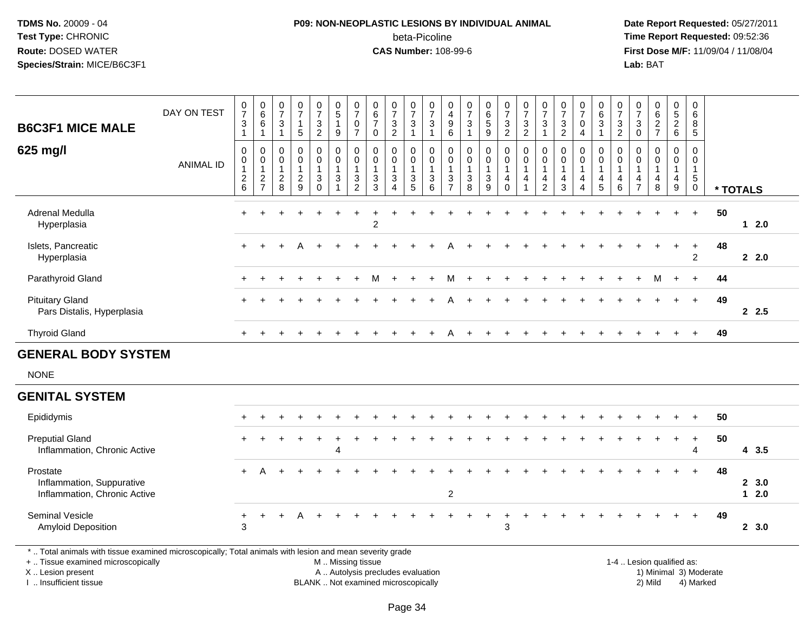#### **P09: NON-NEOPLASTIC LESIONS BY INDIVIDUAL ANIMAL** beta-Picoline**beta-Picoline**<br> **CAS Number:** 108-99-6<br> **CAS Number:** 108-99-6<br> **CAS Number:** 108-99-6

 **Date Report Requested:** 05/27/2011 **First Dose M/F:** 11/09/04 / 11/08/04<br>**Lab:** BAT **Lab:** BAT

| <b>B6C3F1 MICE MALE</b>                              | DAY ON TEST      | $\frac{0}{7}$<br>$\sqrt{3}$<br>$\mathbf{1}$                                       | $\begin{array}{c} 0 \\ 6 \end{array}$<br>6 | $\frac{0}{7}$<br>$\mathbf{3}$<br>$\overline{\mathbf{A}}$ | $\frac{0}{7}$<br>$\overline{1}$<br>5                    | $\frac{0}{7}$<br>$\mathbf{3}$<br>$\overline{c}$ | $\begin{array}{c} 0 \\ 5 \end{array}$<br>$\overline{1}$<br>$\boldsymbol{9}$ | $\frac{0}{7}$<br>$\mathbf 0$<br>$\overline{7}$                | $\begin{array}{c} 0 \\ 6 \\ 7 \end{array}$<br>$\mathbf 0$                | $\frac{0}{7}$<br>3<br>$\overline{2}$     | $\begin{array}{c} 0 \\ 7 \\ 3 \end{array}$<br>$\overline{ }$ | $\frac{0}{7}$<br>$\mathbf{3}$                                                | $\boldsymbol{0}$<br>$\overline{4}$<br>9<br>6               | $\frac{0}{7}$<br>$\mathbf{3}$<br>$\overline{1}$                         | $0$<br>6<br>5<br>9                    | $\begin{array}{c} 0 \\ 7 \\ 3 \end{array}$<br>$\overline{c}$ | $\frac{0}{7}$<br>$\mathsf 3$<br>$\boldsymbol{2}$ | $\frac{0}{7}$<br>$\overline{3}$                                      | $\frac{0}{7}$<br>$\mathbf{3}$<br>$\overline{2}$                           | $\frac{0}{7}$<br>$\pmb{0}$<br>4                      | $\begin{matrix} 0 \\ 6 \\ 3 \end{matrix}$<br>$\mathbf{1}$              | $\frac{0}{7}$<br>3<br>$\overline{2}$     | 0<br>$\overline{7}$<br>$\mathbf{3}$<br>$\mathbf 0$ | 062                      | $0$<br>5<br>2<br>6                                                | $\mathbf 0$<br>$\,6\,$<br>8<br>$\sqrt{5}$                      |    |               |  |
|------------------------------------------------------|------------------|-----------------------------------------------------------------------------------|--------------------------------------------|----------------------------------------------------------|---------------------------------------------------------|-------------------------------------------------|-----------------------------------------------------------------------------|---------------------------------------------------------------|--------------------------------------------------------------------------|------------------------------------------|--------------------------------------------------------------|------------------------------------------------------------------------------|------------------------------------------------------------|-------------------------------------------------------------------------|---------------------------------------|--------------------------------------------------------------|--------------------------------------------------|----------------------------------------------------------------------|---------------------------------------------------------------------------|------------------------------------------------------|------------------------------------------------------------------------|------------------------------------------|----------------------------------------------------|--------------------------|-------------------------------------------------------------------|----------------------------------------------------------------|----|---------------|--|
| 625 mg/l                                             | <b>ANIMAL ID</b> | $\mathbf 0$<br>$\pmb{0}$<br>$\mathbf{1}$<br>$\begin{array}{c} 2 \\ 6 \end{array}$ | 0<br>$\pmb{0}$<br>1<br>$\frac{2}{7}$       | $\pmb{0}$<br>$\pmb{0}$<br>$\mathbf{1}$<br>$^2_{\bf 8}$   | $\pmb{0}$<br>$\pmb{0}$<br>$\mathbf{1}$<br>$\frac{2}{9}$ | 0<br>0<br>3<br>$\Omega$                         | $\pmb{0}$<br>$\mathbf 0$<br>$\overline{1}$<br>$\mathbf{3}$                  | $\pmb{0}$<br>$\pmb{0}$<br>$\mathbf{1}$<br>3<br>$\overline{2}$ | $\pmb{0}$<br>$\pmb{0}$<br>$\mathbf{1}$<br>$\ensuremath{\mathsf{3}}$<br>3 | 0<br>$\mathsf{O}$<br>3<br>$\overline{4}$ | $\pmb{0}$<br>$\mathbf 0$<br>$\mathbf{1}$<br>$\frac{3}{5}$    | $\pmb{0}$<br>$\mathsf 0$<br>$\overline{1}$<br>$\mathbf{3}$<br>$6\phantom{1}$ | 0<br>0<br>$\overline{1}$<br>$\mathbf{3}$<br>$\overline{7}$ | $\pmb{0}$<br>$\pmb{0}$<br>$\mathbf 1$<br>$\ensuremath{\mathsf{3}}$<br>8 | $\mathbf 0$<br>$\mathsf{O}$<br>3<br>9 | 0<br>0<br>$\overline{1}$<br>4<br>$\Omega$                    | $\pmb{0}$<br>$\pmb{0}$<br>$\overline{A}$<br>4    | 0<br>$\pmb{0}$<br>$\overline{1}$<br>$\overline{4}$<br>$\overline{2}$ | 0<br>$\pmb{0}$<br>$\mathbf{1}$<br>$\overline{\mathbf{4}}$<br>$\mathbf{3}$ | 0<br>$\mathbf 0$<br>$\overline{4}$<br>$\overline{4}$ | $\pmb{0}$<br>$\pmb{0}$<br>$\mathbf{1}$<br>$\overline{\mathbf{4}}$<br>5 | 0<br>$\pmb{0}$<br>$\mathbf{1}$<br>4<br>6 | 0<br>0<br>4<br>$\overline{7}$                      | 0<br>$\pmb{0}$<br>4<br>8 | 0<br>$\mathsf{O}$<br>$\mathbf{1}$<br>$\overline{\mathbf{4}}$<br>9 | $\mathbf 0$<br>$\mathbf 0$<br>$\mathbf{1}$<br>5<br>$\mathbf 0$ |    | * TOTALS      |  |
| Adrenal Medulla<br>Hyperplasia                       |                  | $+$                                                                               |                                            |                                                          |                                                         |                                                 |                                                                             |                                                               | $\overline{2}$                                                           |                                          |                                                              |                                                                              |                                                            |                                                                         |                                       |                                                              |                                                  |                                                                      |                                                                           |                                                      |                                                                        |                                          |                                                    |                          |                                                                   | $+$                                                            | 50 | $1 \quad 2.0$ |  |
| Islets, Pancreatic<br>Hyperplasia                    |                  | $+$                                                                               | ÷                                          |                                                          | A                                                       |                                                 |                                                                             |                                                               |                                                                          |                                          |                                                              |                                                                              |                                                            |                                                                         |                                       |                                                              |                                                  |                                                                      |                                                                           |                                                      |                                                                        |                                          |                                                    |                          | $\ddot{}$                                                         | $\ddot{}$<br>$\overline{2}$                                    | 48 | 2.0           |  |
| Parathyroid Gland                                    |                  |                                                                                   |                                            |                                                          |                                                         |                                                 |                                                                             |                                                               | м                                                                        |                                          |                                                              |                                                                              | М                                                          |                                                                         |                                       |                                                              |                                                  |                                                                      |                                                                           |                                                      |                                                                        |                                          |                                                    | м                        | $+$                                                               | $+$                                                            | 44 |               |  |
| <b>Pituitary Gland</b><br>Pars Distalis, Hyperplasia |                  |                                                                                   |                                            |                                                          |                                                         |                                                 |                                                                             |                                                               |                                                                          |                                          |                                                              |                                                                              |                                                            |                                                                         |                                       |                                                              |                                                  |                                                                      |                                                                           |                                                      |                                                                        |                                          |                                                    |                          | $\ddot{}$                                                         | $+$                                                            | 49 | 2.5           |  |
| <b>Thyroid Gland</b>                                 |                  |                                                                                   |                                            |                                                          |                                                         |                                                 |                                                                             |                                                               |                                                                          |                                          |                                                              |                                                                              |                                                            |                                                                         |                                       |                                                              |                                                  |                                                                      |                                                                           |                                                      |                                                                        |                                          |                                                    |                          |                                                                   |                                                                | 49 |               |  |
| <b>GENERAL BODY SYSTEM</b>                           |                  |                                                                                   |                                            |                                                          |                                                         |                                                 |                                                                             |                                                               |                                                                          |                                          |                                                              |                                                                              |                                                            |                                                                         |                                       |                                                              |                                                  |                                                                      |                                                                           |                                                      |                                                                        |                                          |                                                    |                          |                                                                   |                                                                |    |               |  |
| <b>NONE</b>                                          |                  |                                                                                   |                                            |                                                          |                                                         |                                                 |                                                                             |                                                               |                                                                          |                                          |                                                              |                                                                              |                                                            |                                                                         |                                       |                                                              |                                                  |                                                                      |                                                                           |                                                      |                                                                        |                                          |                                                    |                          |                                                                   |                                                                |    |               |  |
| <b>GENITAL SYSTEM</b>                                |                  |                                                                                   |                                            |                                                          |                                                         |                                                 |                                                                             |                                                               |                                                                          |                                          |                                                              |                                                                              |                                                            |                                                                         |                                       |                                                              |                                                  |                                                                      |                                                                           |                                                      |                                                                        |                                          |                                                    |                          |                                                                   |                                                                |    |               |  |
| Epididymis                                           |                  |                                                                                   |                                            |                                                          |                                                         |                                                 |                                                                             |                                                               |                                                                          |                                          |                                                              |                                                                              |                                                            |                                                                         |                                       |                                                              |                                                  |                                                                      |                                                                           |                                                      |                                                                        |                                          |                                                    |                          | $\div$                                                            | $+$                                                            | 50 |               |  |
| <b>Preputial Gland</b>                               |                  |                                                                                   |                                            |                                                          |                                                         |                                                 |                                                                             |                                                               |                                                                          |                                          |                                                              |                                                                              |                                                            |                                                                         |                                       |                                                              |                                                  |                                                                      |                                                                           |                                                      |                                                                        |                                          |                                                    |                          |                                                                   | $\ddot{}$                                                      | 50 |               |  |

| Inflammation, Chronic Active                                          |  |  |  |  |  |  |  |  |  |  |  |  |  |  |  |  |  |  |  |  |  |  |  |  | 4 3.5          |
|-----------------------------------------------------------------------|--|--|--|--|--|--|--|--|--|--|--|--|--|--|--|--|--|--|--|--|--|--|--|--|----------------|
| Prostate<br>Inflammation, Suppurative<br>Inflammation, Chronic Active |  |  |  |  |  |  |  |  |  |  |  |  |  |  |  |  |  |  |  |  |  |  |  |  | 2, 3.0<br>12.0 |
| Seminal Vesicle<br><b>Amyloid Deposition</b>                          |  |  |  |  |  |  |  |  |  |  |  |  |  |  |  |  |  |  |  |  |  |  |  |  | 2, 3.0         |

\* .. Total animals with tissue examined microscopically; Total animals with lesion and mean severity grade

+ .. Tissue examined microscopically

X .. Lesion present

I .. Insufficient tissue

 M .. Missing tissueA .. Autolysis precludes evaluation

 1-4 .. Lesion qualified as: BLANK .. Not examined microscopically 2) Mild 4) Marked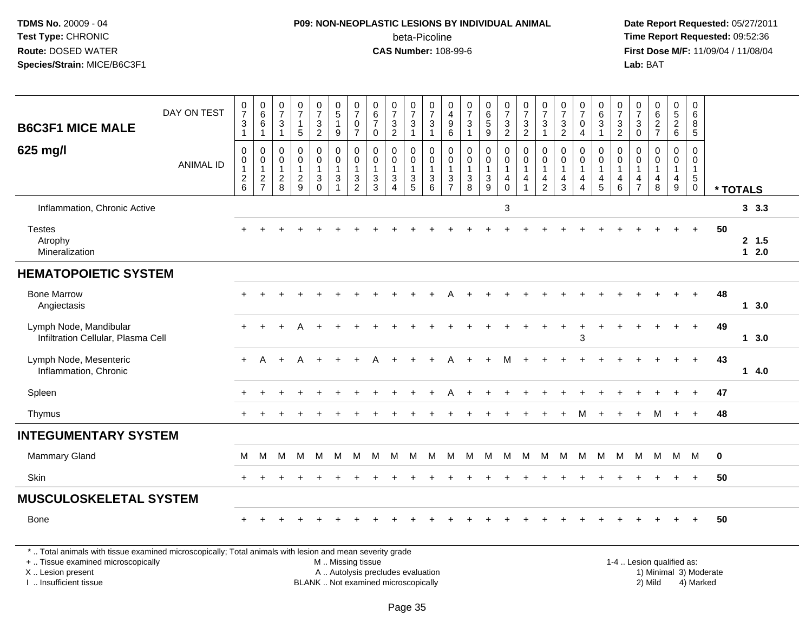#### **P09: NON-NEOPLASTIC LESIONS BY INDIVIDUAL ANIMAL** beta-Picoline**beta-Picoline**<br> **CAS Number:** 108-99-6<br> **CAS Number:** 108-99-6<br> **CAS Number:** 108-99-6

 **Date Report Requested:** 05/27/2011 **First Dose M/F:** 11/09/04 / 11/08/04<br>**Lab:** BAT **Lab:** BAT

| <b>B6C3F1 MICE MALE</b>                                      | DAY ON TEST      | $\begin{smallmatrix}0\\7\end{smallmatrix}$<br>$\mathsf 3$<br>$\mathbf{1}$ | $\begin{array}{c} 0 \\ 6 \end{array}$<br>$\,6$<br>$\mathbf{1}$ | $\frac{0}{7}$<br>3<br>$\mathbf{1}$                            | $\frac{0}{7}$<br>$\mathbf{1}$<br>5                                     | $\frac{0}{7}$<br>3<br>$\overline{2}$                              | $\begin{array}{c} 0 \\ 5 \end{array}$<br>$\mathbf{1}$<br>$\boldsymbol{9}$      | $\frac{0}{7}$<br>$\mathbf 0$<br>$\overline{7}$                              | $\begin{array}{c} 0 \\ 6 \\ 7 \end{array}$<br>$\mathbf 0$ | $\frac{0}{7}$<br>$\frac{3}{2}$                                             | $\frac{0}{7}$<br>$\mathbf{3}$<br>$\mathbf{1}$                | $\begin{matrix} 0 \\ 7 \\ 3 \end{matrix}$<br>$\mathbf{1}$                    | 0<br>$\overline{4}$<br>9<br>6                           | $\frac{0}{7}$<br>$\mathbf 3$<br>$\mathbf{1}$                       | $\begin{array}{c} 0 \\ 6 \\ 5 \end{array}$<br>$9\,$                                     | $\frac{0}{7}$<br>$\sqrt{3}$<br>$\overline{2}$                                     | $\frac{0}{7}$<br>$\frac{3}{2}$                                                     | $\frac{0}{7}$<br>3<br>$\mathbf{1}$                                | $\frac{0}{7}$<br>$\frac{3}{2}$                              | $\frac{0}{7}$<br>$\mathsf{O}$<br>$\overline{4}$                                          | $\begin{matrix} 0 \\ 6 \\ 3 \end{matrix}$<br>$\mathbf{1}$     | $\frac{0}{7}$<br>$\frac{3}{2}$                                  | $\frac{0}{7}$<br>$\sqrt{3}$<br>$\mathsf{O}\xspace$      | 0627                                                                       | $0$<br>52<br>6                                          | $_6^0$<br>8<br>$\overline{5}$                                                         |    |             |               |
|--------------------------------------------------------------|------------------|---------------------------------------------------------------------------|----------------------------------------------------------------|---------------------------------------------------------------|------------------------------------------------------------------------|-------------------------------------------------------------------|--------------------------------------------------------------------------------|-----------------------------------------------------------------------------|-----------------------------------------------------------|----------------------------------------------------------------------------|--------------------------------------------------------------|------------------------------------------------------------------------------|---------------------------------------------------------|--------------------------------------------------------------------|-----------------------------------------------------------------------------------------|-----------------------------------------------------------------------------------|------------------------------------------------------------------------------------|-------------------------------------------------------------------|-------------------------------------------------------------|------------------------------------------------------------------------------------------|---------------------------------------------------------------|-----------------------------------------------------------------|---------------------------------------------------------|----------------------------------------------------------------------------|---------------------------------------------------------|---------------------------------------------------------------------------------------|----|-------------|---------------|
| 625 mg/l                                                     | <b>ANIMAL ID</b> | $\mathbf 0$<br>0<br>$\overline{1}$<br>$^2\phantom{1}6$                    | 0<br>$\mathsf{O}\xspace$<br>$\mathbf{1}$<br>$\frac{2}{7}$      | $\mathbf 0$<br>$\mathbf 0$<br>$\mathbf{1}$<br>$\sqrt{2}$<br>8 | $\pmb{0}$<br>$\pmb{0}$<br>$\mathbf{1}$<br>$\sqrt{2}$<br>$\overline{9}$ | $\mathsf{O}$<br>$\boldsymbol{0}$<br>$\mathbf{1}$<br>3<br>$\Omega$ | $\pmb{0}$<br>$\ddot{\mathbf{0}}$<br>$\mathbf{1}$<br>$\sqrt{3}$<br>$\mathbf{1}$ | $\pmb{0}$<br>$\overline{0}$<br>$\mathbf{1}$<br>$\sqrt{3}$<br>$\overline{2}$ | $\mathbf 0$<br>$\mathbf 0$<br>$\overline{1}$<br>3<br>3    | $\pmb{0}$<br>$\mathbf 0$<br>$\mathbf{1}$<br>$\mathbf{3}$<br>$\overline{a}$ | 0<br>$\mathbf 0$<br>$\mathbf{1}$<br>$\sqrt{3}$<br>$\sqrt{5}$ | $\boldsymbol{0}$<br>$\ddot{\mathbf{0}}$<br>$\mathbf{1}$<br>$\mathbf{3}$<br>6 | $\mathbf 0$<br>0<br>$\mathbf{1}$<br>3<br>$\overline{7}$ | $\mathbf 0$<br>0<br>$\mathbf{1}$<br>$\ensuremath{\mathsf{3}}$<br>8 | $\mathbf 0$<br>$\pmb{0}$<br>$\mathbf{1}$<br>$\ensuremath{\mathsf{3}}$<br>$\overline{9}$ | $\pmb{0}$<br>$\mathsf{O}\xspace$<br>$\mathbf{1}$<br>$\overline{4}$<br>$\mathbf 0$ | $\pmb{0}$<br>$\ddot{\mathbf{0}}$<br>$\mathbf{1}$<br>$\overline{a}$<br>$\mathbf{1}$ | $\mathbf 0$<br>$\mathbf 0$<br>$\mathbf{1}$<br>4<br>$\overline{c}$ | $\pmb{0}$<br>$\pmb{0}$<br>$\mathbf{1}$<br>4<br>$\mathbf{3}$ | $\mathbf{0}$<br>$\mathsf{O}$<br>$\mathbf{1}$<br>$\overline{4}$<br>$\boldsymbol{\Lambda}$ | $\pmb{0}$<br>$\bar{0}$<br>$\mathbf{1}$<br>$\overline{4}$<br>5 | $\mathbf 0$<br>$\pmb{0}$<br>$\mathbf{1}$<br>$\overline{4}$<br>6 | $\mathbf 0$<br>0<br>$\mathbf{1}$<br>4<br>$\overline{7}$ | $\mathbf 0$<br>$\mathbf 0$<br>$\mathbf{1}$<br>$\overline{\mathbf{4}}$<br>8 | 0<br>$\mathbf 0$<br>$\mathbf{1}$<br>$\overline{4}$<br>9 | $\mathbf 0$<br>$\boldsymbol{0}$<br>$\mathbf{1}$<br>$\overline{5}$<br>$\boldsymbol{0}$ |    | * TOTALS    |               |
| Inflammation, Chronic Active                                 |                  |                                                                           |                                                                |                                                               |                                                                        |                                                                   |                                                                                |                                                                             |                                                           |                                                                            |                                                              |                                                                              |                                                         |                                                                    |                                                                                         | $\mathbf{3}$                                                                      |                                                                                    |                                                                   |                                                             |                                                                                          |                                                               |                                                                 |                                                         |                                                                            |                                                         |                                                                                       |    |             | 3.3.3         |
| <b>Testes</b><br>Atrophy<br>Mineralization                   |                  | $+$                                                                       |                                                                |                                                               |                                                                        |                                                                   |                                                                                |                                                                             |                                                           |                                                                            |                                                              |                                                                              |                                                         |                                                                    |                                                                                         |                                                                                   |                                                                                    |                                                                   |                                                             |                                                                                          |                                                               |                                                                 |                                                         |                                                                            |                                                         | $\ddot{}$                                                                             | 50 | $\mathbf 1$ | 2, 1.5<br>2.0 |
| <b>HEMATOPOIETIC SYSTEM</b>                                  |                  |                                                                           |                                                                |                                                               |                                                                        |                                                                   |                                                                                |                                                                             |                                                           |                                                                            |                                                              |                                                                              |                                                         |                                                                    |                                                                                         |                                                                                   |                                                                                    |                                                                   |                                                             |                                                                                          |                                                               |                                                                 |                                                         |                                                                            |                                                         |                                                                                       |    |             |               |
| <b>Bone Marrow</b><br>Angiectasis                            |                  | $+$                                                                       |                                                                |                                                               |                                                                        |                                                                   |                                                                                |                                                                             |                                                           |                                                                            |                                                              |                                                                              |                                                         |                                                                    |                                                                                         |                                                                                   |                                                                                    |                                                                   |                                                             |                                                                                          |                                                               |                                                                 |                                                         |                                                                            |                                                         | $+$                                                                                   | 48 |             | 13.0          |
| Lymph Node, Mandibular<br>Infiltration Cellular, Plasma Cell |                  |                                                                           |                                                                |                                                               |                                                                        |                                                                   |                                                                                |                                                                             |                                                           |                                                                            |                                                              |                                                                              |                                                         |                                                                    |                                                                                         |                                                                                   |                                                                                    |                                                                   |                                                             | 3                                                                                        |                                                               |                                                                 |                                                         |                                                                            |                                                         | $\ddot{}$                                                                             | 49 |             | 13.0          |
| Lymph Node, Mesenteric<br>Inflammation, Chronic              |                  | $+$                                                                       | A                                                              |                                                               |                                                                        |                                                                   |                                                                                |                                                                             |                                                           |                                                                            |                                                              |                                                                              |                                                         |                                                                    |                                                                                         |                                                                                   |                                                                                    |                                                                   |                                                             |                                                                                          |                                                               |                                                                 |                                                         |                                                                            | $\ddot{}$                                               | $+$                                                                                   | 43 |             | 14.0          |
| Spleen                                                       |                  | $+$                                                                       |                                                                |                                                               |                                                                        |                                                                   |                                                                                |                                                                             |                                                           |                                                                            |                                                              |                                                                              | А                                                       |                                                                    |                                                                                         |                                                                                   |                                                                                    |                                                                   |                                                             |                                                                                          |                                                               |                                                                 |                                                         |                                                                            |                                                         | $+$                                                                                   | 47 |             |               |
| Thymus                                                       |                  | $+$                                                                       |                                                                |                                                               |                                                                        |                                                                   |                                                                                |                                                                             |                                                           |                                                                            |                                                              |                                                                              |                                                         |                                                                    |                                                                                         |                                                                                   |                                                                                    |                                                                   |                                                             | M                                                                                        | $\pm$                                                         | $\overline{+}$                                                  | $+$                                                     |                                                                            | M +                                                     | $+$                                                                                   | 48 |             |               |
| <b>INTEGUMENTARY SYSTEM</b>                                  |                  |                                                                           |                                                                |                                                               |                                                                        |                                                                   |                                                                                |                                                                             |                                                           |                                                                            |                                                              |                                                                              |                                                         |                                                                    |                                                                                         |                                                                                   |                                                                                    |                                                                   |                                                             |                                                                                          |                                                               |                                                                 |                                                         |                                                                            |                                                         |                                                                                       |    |             |               |
| Mammary Gland                                                |                  | м                                                                         | м                                                              | м                                                             | M                                                                      | м                                                                 | M                                                                              | M                                                                           | м                                                         | м                                                                          | M                                                            | M                                                                            | M                                                       | M                                                                  | M                                                                                       | M                                                                                 | M                                                                                  | M                                                                 | M                                                           | M                                                                                        | M                                                             | M                                                               | м                                                       | M                                                                          | M M                                                     |                                                                                       | 0  |             |               |
| Skin                                                         |                  |                                                                           |                                                                |                                                               |                                                                        |                                                                   |                                                                                |                                                                             |                                                           |                                                                            |                                                              |                                                                              |                                                         |                                                                    |                                                                                         |                                                                                   |                                                                                    |                                                                   |                                                             |                                                                                          |                                                               |                                                                 |                                                         |                                                                            |                                                         | $\ddot{}$                                                                             | 50 |             |               |
| <b>MUSCULOSKELETAL SYSTEM</b>                                |                  |                                                                           |                                                                |                                                               |                                                                        |                                                                   |                                                                                |                                                                             |                                                           |                                                                            |                                                              |                                                                              |                                                         |                                                                    |                                                                                         |                                                                                   |                                                                                    |                                                                   |                                                             |                                                                                          |                                                               |                                                                 |                                                         |                                                                            |                                                         |                                                                                       |    |             |               |
| Bone                                                         |                  |                                                                           |                                                                |                                                               |                                                                        |                                                                   |                                                                                |                                                                             |                                                           |                                                                            |                                                              |                                                                              |                                                         |                                                                    |                                                                                         |                                                                                   |                                                                                    |                                                                   |                                                             |                                                                                          |                                                               |                                                                 |                                                         |                                                                            |                                                         |                                                                                       | 50 |             |               |

\* .. Total animals with tissue examined microscopically; Total animals with lesion and mean severity grade

+ .. Tissue examined microscopically

X .. Lesion present

I .. Insufficient tissue

 M .. Missing tissueA .. Autolysis precludes evaluation

BLANK .. Not examined microscopically 2) Mild 4) Marked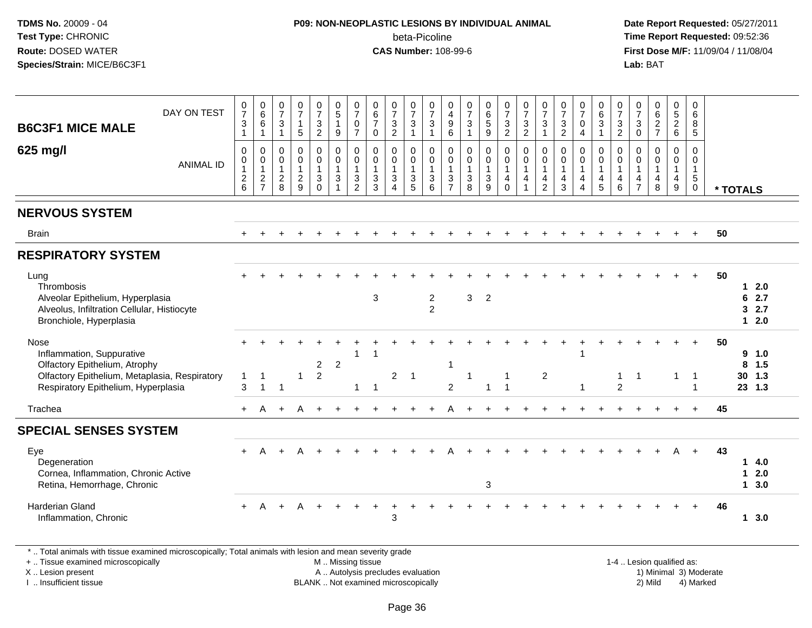# **P09: NON-NEOPLASTIC LESIONS BY INDIVIDUAL ANIMAL**beta-Picoline<br>CAS Number: 108-99-6

 **Date Report Requested:** 05/27/2011 **Time Report Requested:** 09:52:36 **First Dose M/F:** 11/09/04 / 11/08/04<br>Lab: BAT **Lab:** BAT

| <b>B6C3F1 MICE MALE</b>                                                                                                                                    | DAY ON TEST      | $\frac{0}{7}$<br>$\mathbf{3}$<br>$\mathbf{1}$                   | $\begin{array}{c} 0 \\ 6 \end{array}$<br>6<br>$\mathbf{1}$           | $\frac{0}{7}$<br>$\sqrt{3}$<br>$\overline{1}$           | $\frac{0}{7}$<br>$\mathbf{1}$<br>$\sqrt{5}$                       | $\frac{0}{7}$<br>$\mathbf{3}$<br>$\overline{2}$                           | $\begin{array}{c} 0 \\ 5 \end{array}$<br>$\mathbf{1}$<br>9                | $\frac{0}{7}$<br>$\pmb{0}$<br>$\overline{7}$                     | $\begin{array}{c} 0 \\ 6 \end{array}$<br>$\overline{7}$<br>$\mathbf 0$ | $\frac{0}{7}$<br>$\ensuremath{\mathsf{3}}$<br>$\overline{2}$         | $\frac{0}{7}$<br>$\mathsf 3$<br>$\overline{1}$                             | $\frac{0}{7}$<br>$\mathbf{3}$<br>$\overline{1}$                   | 0<br>$\overline{4}$<br>$\boldsymbol{9}$<br>6                    | $\frac{0}{7}$<br>$\mathbf{3}$<br>$\mathbf{1}$               | $\begin{matrix} 0 \\ 6 \\ 5 \end{matrix}$<br>9 | $\frac{0}{7}$<br>$\frac{3}{2}$                            | $\frac{0}{7}$<br>$\frac{3}{2}$                                               | $\frac{0}{7}$<br>$\mathbf{3}$<br>$\overline{1}$ | $\frac{0}{7}$<br>$\mathbf{3}$<br>$\overline{2}$                  | $\frac{0}{7}$<br>$\mathbf 0$<br>$\overline{4}$          | $\begin{array}{c} 0 \\ 6 \end{array}$<br>$\sqrt{3}$<br>$\overline{1}$ | $\frac{0}{7}$<br>$\ensuremath{\mathsf{3}}$<br>$\overline{2}$ | $\frac{0}{7}$<br>$\mathsf 3$<br>$\mathbf 0$             | $\begin{matrix} 0 \\ 6 \\ 2 \end{matrix}$<br>$\overline{7}$       | 0<br>$\frac{5}{2}$<br>$6\phantom{1}$       | 0<br>6<br>8<br>$\sqrt{5}$                                          |          |                     |                               |
|------------------------------------------------------------------------------------------------------------------------------------------------------------|------------------|-----------------------------------------------------------------|----------------------------------------------------------------------|---------------------------------------------------------|-------------------------------------------------------------------|---------------------------------------------------------------------------|---------------------------------------------------------------------------|------------------------------------------------------------------|------------------------------------------------------------------------|----------------------------------------------------------------------|----------------------------------------------------------------------------|-------------------------------------------------------------------|-----------------------------------------------------------------|-------------------------------------------------------------|------------------------------------------------|-----------------------------------------------------------|------------------------------------------------------------------------------|-------------------------------------------------|------------------------------------------------------------------|---------------------------------------------------------|-----------------------------------------------------------------------|--------------------------------------------------------------|---------------------------------------------------------|-------------------------------------------------------------------|--------------------------------------------|--------------------------------------------------------------------|----------|---------------------|-------------------------------|
| 625 mg/l                                                                                                                                                   | <b>ANIMAL ID</b> | $\mathbf 0$<br>$\pmb{0}$<br>$\mathbf{1}$<br>$\overline{c}$<br>6 | 0<br>$\mathbf 0$<br>$\mathbf{1}$<br>$\overline{c}$<br>$\overline{7}$ | $\mathbf 0$<br>0<br>$\mathbf{1}$<br>$\overline{c}$<br>8 | $\mathbf 0$<br>$\mathbf 0$<br>$\mathbf{1}$<br>$\overline{c}$<br>9 | 0<br>$\mathsf 0$<br>$\mathbf{1}$<br>$\ensuremath{\mathsf{3}}$<br>$\Omega$ | $\Omega$<br>$\mathbf 0$<br>$\mathbf{1}$<br>$\mathbf{3}$<br>$\overline{1}$ | 0<br>$\pmb{0}$<br>$\mathbf{1}$<br>$\mathbf{3}$<br>$\overline{2}$ | $\mathbf 0$<br>$\mathbf 0$<br>$\mathbf{1}$<br>$\sqrt{3}$<br>3          | 0<br>$\mathsf{O}\xspace$<br>$\mathbf{1}$<br>$\mathbf{3}$<br>$\Delta$ | 0<br>$\mathsf{O}\xspace$<br>$\mathbf{1}$<br>$\ensuremath{\mathsf{3}}$<br>5 | $\mathbf 0$<br>$\mathbf 0$<br>$\overline{1}$<br>$\mathbf{3}$<br>6 | $\mathbf 0$<br>$\pmb{0}$<br>$\mathbf{1}$<br>3<br>$\overline{7}$ | $\mathbf 0$<br>$\pmb{0}$<br>$\mathbf{1}$<br>$\sqrt{3}$<br>8 | 0<br>$\pmb{0}$<br>$\mathbf{1}$<br>3<br>9       | 0<br>$\mathsf{O}\xspace$<br>$\mathbf{1}$<br>4<br>$\Omega$ | $\mathbf 0$<br>$\pmb{0}$<br>$\overline{1}$<br>$\overline{4}$<br>$\mathbf{1}$ | 0<br>0<br>$\overline{1}$<br>4<br>$\overline{2}$ | $\Omega$<br>$\mathbf 0$<br>$\overline{1}$<br>$\overline{4}$<br>3 | 0<br>$\mathbf 0$<br>$\mathbf{1}$<br>$\overline{4}$<br>4 | $\mathbf 0$<br>$\mathbf 0$<br>$\mathbf{1}$<br>$\overline{a}$<br>5     | $\mathbf 0$<br>$\pmb{0}$<br>$\mathbf{1}$<br>4<br>6           | $\mathbf 0$<br>0<br>$\mathbf{1}$<br>4<br>$\overline{7}$ | $\mathbf 0$<br>$\mathbf 0$<br>$\mathbf{1}$<br>$\overline{4}$<br>8 | 0<br>$\mathbf 0$<br>$\mathbf{1}$<br>4<br>9 | $\mathbf 0$<br>0<br>$\mathbf{1}$<br>$5\phantom{.0}$<br>$\mathbf 0$ | * TOTALS |                     |                               |
| <b>NERVOUS SYSTEM</b>                                                                                                                                      |                  |                                                                 |                                                                      |                                                         |                                                                   |                                                                           |                                                                           |                                                                  |                                                                        |                                                                      |                                                                            |                                                                   |                                                                 |                                                             |                                                |                                                           |                                                                              |                                                 |                                                                  |                                                         |                                                                       |                                                              |                                                         |                                                                   |                                            |                                                                    |          |                     |                               |
| <b>Brain</b>                                                                                                                                               |                  |                                                                 |                                                                      |                                                         |                                                                   |                                                                           |                                                                           |                                                                  |                                                                        |                                                                      |                                                                            |                                                                   |                                                                 |                                                             |                                                |                                                           |                                                                              |                                                 |                                                                  |                                                         |                                                                       |                                                              |                                                         |                                                                   |                                            |                                                                    | 50       |                     |                               |
| <b>RESPIRATORY SYSTEM</b>                                                                                                                                  |                  |                                                                 |                                                                      |                                                         |                                                                   |                                                                           |                                                                           |                                                                  |                                                                        |                                                                      |                                                                            |                                                                   |                                                                 |                                                             |                                                |                                                           |                                                                              |                                                 |                                                                  |                                                         |                                                                       |                                                              |                                                         |                                                                   |                                            |                                                                    |          |                     |                               |
| Lung<br>Thrombosis<br>Alveolar Epithelium, Hyperplasia<br>Alveolus, Infiltration Cellular, Histiocyte<br>Bronchiole, Hyperplasia                           |                  |                                                                 |                                                                      |                                                         |                                                                   |                                                                           |                                                                           |                                                                  | 3                                                                      |                                                                      |                                                                            | $\boldsymbol{2}$<br>$\overline{c}$                                |                                                                 | 3                                                           | $\overline{2}$                                 |                                                           |                                                                              |                                                 |                                                                  |                                                         |                                                                       |                                                              |                                                         |                                                                   |                                            |                                                                    | 50       | 1.                  | 2.0<br>62.7<br>32.7<br>$12.0$ |
| Nose<br>Inflammation, Suppurative<br>Olfactory Epithelium, Atrophy<br>Olfactory Epithelium, Metaplasia, Respiratory<br>Respiratory Epithelium, Hyperplasia |                  | 3                                                               | $\mathbf{1}$                                                         |                                                         | -1                                                                | 2<br>$\sqrt{2}$                                                           | $\overline{2}$                                                            | $\mathbf{1}$<br>$\mathbf{1}$                                     |                                                                        | $\overline{2}$                                                       | $\overline{1}$                                                             |                                                                   | 1<br>$\overline{c}$                                             | $\mathbf{1}$                                                | -1                                             | -1<br>$\overline{1}$                                      |                                                                              | $\overline{2}$                                  |                                                                  | 1<br>1                                                  |                                                                       | $\mathbf 1$<br>$\overline{2}$                                | $\overline{1}$                                          |                                                                   | 1                                          | $\overline{1}$                                                     | 50       | $30$ 1.3<br>23, 1.3 | 9, 1.0<br>$8$ 1.5             |
| Trachea                                                                                                                                                    |                  | $+$                                                             | A                                                                    |                                                         |                                                                   |                                                                           |                                                                           |                                                                  |                                                                        |                                                                      |                                                                            |                                                                   |                                                                 |                                                             |                                                |                                                           |                                                                              |                                                 |                                                                  |                                                         |                                                                       |                                                              |                                                         |                                                                   |                                            |                                                                    | 45       |                     |                               |
| <b>SPECIAL SENSES SYSTEM</b>                                                                                                                               |                  |                                                                 |                                                                      |                                                         |                                                                   |                                                                           |                                                                           |                                                                  |                                                                        |                                                                      |                                                                            |                                                                   |                                                                 |                                                             |                                                |                                                           |                                                                              |                                                 |                                                                  |                                                         |                                                                       |                                                              |                                                         |                                                                   |                                            |                                                                    |          |                     |                               |
| Eye<br>Degeneration<br>Cornea, Inflammation, Chronic Active<br>Retina, Hemorrhage, Chronic                                                                 |                  | $+$                                                             | A                                                                    | $+$                                                     |                                                                   |                                                                           |                                                                           |                                                                  |                                                                        |                                                                      |                                                                            |                                                                   |                                                                 |                                                             | 3                                              |                                                           |                                                                              |                                                 |                                                                  |                                                         |                                                                       |                                                              |                                                         |                                                                   | А                                          | $+$                                                                | 43       | $\mathbf 1$<br>1    | 4.0<br>2.0<br>13.0            |
| Harderian Gland<br>Inflammation, Chronic                                                                                                                   |                  | $+$                                                             | A                                                                    | $+$                                                     |                                                                   |                                                                           |                                                                           |                                                                  |                                                                        | 3                                                                    |                                                                            |                                                                   |                                                                 |                                                             |                                                |                                                           |                                                                              |                                                 |                                                                  |                                                         |                                                                       |                                                              |                                                         |                                                                   |                                            | $\ddot{}$                                                          | 46       |                     | 13.0                          |

+ .. Tissue examined microscopically

X .. Lesion present

I .. Insufficient tissue

M .. Missing tissue

BLANK .. Not examined microscopically

 1-4 .. Lesion qualified as: A .. Autolysis precludes evaluation 19 and 10 minimal 3) Moderate 1 and 20 minimal 3) Moderate 19 minimal 3) Moderat<br>19 and 19 and 19 and 19 and 19 and 19 and 19 and 19 and 19 and 19 and 19 and 19 and 19 and 19 and 19 and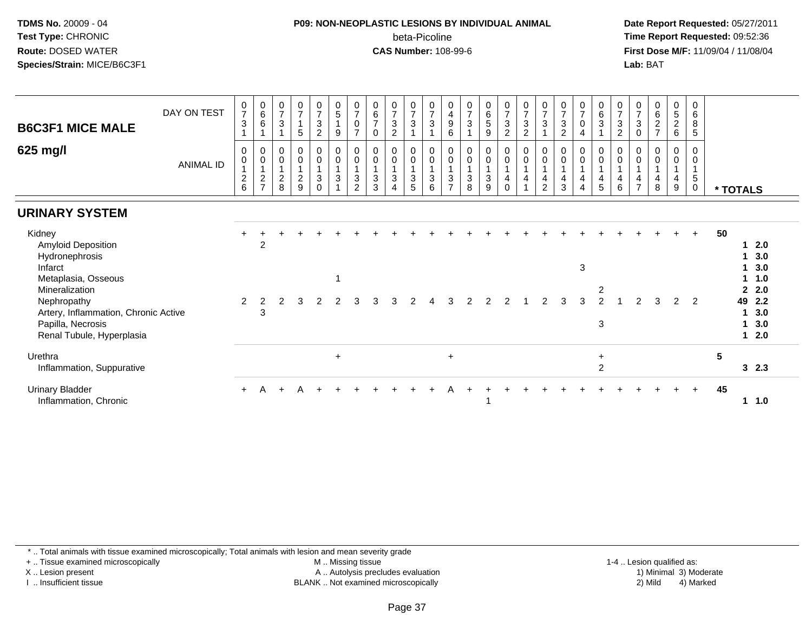#### **P09: NON-NEOPLASTIC LESIONS BY INDIVIDUAL ANIMAL** beta-Picoline**beta-Picoline**<br> **CAS Number:** 108-99-6<br> **CAS Number:** 108-99-6<br> **CAS Number:** 108-99-6

 **Date Report Requested:** 05/27/2011 **First Dose M/F:** 11/09/04 / 11/08/04<br>Lab: BAT **Lab:** BAT

| <b>B6C3F1 MICE MALE</b><br>625 mg/l                                                                               | DAY ON TEST<br><b>ANIMAL ID</b> | $\frac{0}{7}$<br>3<br>0<br>$\pmb{0}$ | $_{\rm 6}^{\rm 0}$<br>$\,6\,$<br>0<br>$\mathbf 0$<br>$\overline{1}$ | $\begin{smallmatrix}0\\7\end{smallmatrix}$<br>$\mathbf{3}$<br>0<br>$\,0\,$ | $\frac{0}{7}$<br>$\overline{1}$<br>$\sqrt{5}$<br>$\pmb{0}$<br>$\pmb{0}$ | $\begin{array}{c} 0 \\ 7 \\ 3 \end{array}$<br>$\overline{2}$<br>$\mathbf 0$<br>$\pmb{0}$ | $\begin{array}{c} 0 \\ 5 \\ 1 \end{array}$<br>9<br>$\mathbf 0$<br>$\mathbf 0$ | $\frac{0}{7}$<br>0<br>$\overline{7}$<br>0<br>$\pmb{0}$ | $\begin{array}{c} 0 \\ 6 \\ 7 \end{array}$<br>0<br>0<br>$\mathbf 0$ | $\begin{array}{c} 0 \\ 7 \\ 3 \end{array}$<br>$\overline{2}$<br>$\mathbf 0$<br>$\mathsf{O}\xspace$ | $\begin{array}{c} 0 \\ 7 \\ 3 \end{array}$<br>$_{\rm 0}^{\rm 0}$ | $\begin{matrix} 0 \\ 7 \\ 3 \end{matrix}$<br>$\mathbf{1}$<br>$\mathbf 0$<br>$\pmb{0}$ | $\begin{array}{c} 0 \\ 4 \\ 9 \end{array}$<br>6<br>0<br>$\pmb{0}$ | $\begin{array}{c} 0 \\ 7 \\ 3 \end{array}$<br>$\mathbf 0$<br>$\pmb{0}$ | $\begin{array}{c} 0 \\ 6 \\ 5 \end{array}$<br>9<br>$\mathbf 0$<br>$\pmb{0}$ | $\begin{array}{c} 0 \\ 7 \\ 3 \end{array}$<br>$\boldsymbol{2}$<br>0<br>$\mathsf{O}$ | $\begin{smallmatrix}0\\7\end{smallmatrix}$<br>$\overline{3}$<br>$\overline{2}$<br>$\mathbf 0$<br>$\pmb{0}$ | $\frac{0}{7}$<br>$\sqrt{3}$<br>0<br>0 | $\begin{array}{c} 0 \\ 7 \\ 3 \end{array}$<br>$\overline{2}$<br>0<br>$\pmb{0}$ | $\frac{0}{7}$<br>$\mathbf 0$<br>4<br>0<br>$\mathbf 0$ | $\begin{matrix} 0 \\ 6 \\ 3 \end{matrix}$<br>$_{0}^{0}$ | $\begin{array}{c} 0 \\ 7 \\ 3 \end{array}$<br>$\overline{2}$<br>0<br>$\mathbf 0$ | $\frac{0}{7}$<br>$\sqrt{3}$<br>0<br>0<br>0 | 062<br>0<br>$\pmb{0}$        | 0<br>5<br>2<br>6<br>0<br>$\boldsymbol{0}$ | 0<br>$\,6\,$<br>8<br>5<br>0<br>$\mathbf 0$  |                 |                                   |                                        |
|-------------------------------------------------------------------------------------------------------------------|---------------------------------|--------------------------------------|---------------------------------------------------------------------|----------------------------------------------------------------------------|-------------------------------------------------------------------------|------------------------------------------------------------------------------------------|-------------------------------------------------------------------------------|--------------------------------------------------------|---------------------------------------------------------------------|----------------------------------------------------------------------------------------------------|------------------------------------------------------------------|---------------------------------------------------------------------------------------|-------------------------------------------------------------------|------------------------------------------------------------------------|-----------------------------------------------------------------------------|-------------------------------------------------------------------------------------|------------------------------------------------------------------------------------------------------------|---------------------------------------|--------------------------------------------------------------------------------|-------------------------------------------------------|---------------------------------------------------------|----------------------------------------------------------------------------------|--------------------------------------------|------------------------------|-------------------------------------------|---------------------------------------------|-----------------|-----------------------------------|----------------------------------------|
|                                                                                                                   |                                 | $\mathbf{1}$<br>$\frac{2}{6}$        | $\frac{2}{7}$                                                       | $\overline{1}$<br>$\frac{2}{8}$                                            | $\overline{1}$<br>$\overline{2}$<br>9                                   | $\mathbf{1}$<br>$\sqrt{3}$<br>$\mathbf 0$                                                | $\mathbf{1}$<br>$\mathbf{3}$<br>$\overline{A}$                                | $\mathbf{1}$<br>3<br>$\overline{2}$                    | $\overline{1}$<br>$\mathbf{3}$<br>3                                 | $\mathbf{1}$<br>$\mathbf{3}$<br>$\overline{4}$                                                     | $\overline{1}$<br>$\mathsf 3$<br>$\sqrt{5}$                      | $\mathbf{1}$<br>$\sqrt{3}$<br>6                                                       | 3<br>$\overline{7}$                                               | $\mathbf{1}$<br>$\mathbf{3}$<br>8                                      | $\mathbf{1}$<br>$\mathbf{3}$<br>9                                           | 4<br>0                                                                              | $\overline{1}$<br>$\overline{4}$                                                                           | 4<br>$\overline{2}$                   | $\mathbf{1}$<br>4<br>3                                                         | 4<br>$\overline{4}$                                   | $\mathbf{1}$<br>4<br>5                                  | $\mathbf{1}$<br>$\overline{\mathbf{4}}$<br>6                                     | $\overline{7}$                             | $\overline{\mathbf{4}}$<br>8 | $\mathbf{1}$<br>4<br>9                    | $\overline{1}$<br>$\sqrt{5}$<br>$\mathbf 0$ | * TOTALS        |                                   |                                        |
| <b>URINARY SYSTEM</b>                                                                                             |                                 |                                      |                                                                     |                                                                            |                                                                         |                                                                                          |                                                                               |                                                        |                                                                     |                                                                                                    |                                                                  |                                                                                       |                                                                   |                                                                        |                                                                             |                                                                                     |                                                                                                            |                                       |                                                                                |                                                       |                                                         |                                                                                  |                                            |                              |                                           |                                             |                 |                                   |                                        |
| Kidney<br>Amyloid Deposition<br>Hydronephrosis<br>Infarct<br>Metaplasia, Osseous<br>Mineralization<br>Nephropathy |                                 | $\overline{2}$                       | $\overline{2}$<br>2                                                 | 2                                                                          | з                                                                       |                                                                                          | -1                                                                            |                                                        |                                                                     |                                                                                                    |                                                                  |                                                                                       | 3                                                                 |                                                                        | 2                                                                           |                                                                                     |                                                                                                            |                                       |                                                                                | 3<br>З                                                | 2<br>$\sim$                                             |                                                                                  |                                            | 3                            | 2                                         | $\overline{2}$                              | 50              | 1<br>1<br>1<br>$\mathbf{2}$<br>49 | 2.0<br>3.0<br>3.0<br>1.0<br>2.0<br>2.2 |
| Artery, Inflammation, Chronic Active<br>Papilla, Necrosis<br>Renal Tubule, Hyperplasia                            |                                 |                                      | 3                                                                   |                                                                            |                                                                         |                                                                                          |                                                                               |                                                        |                                                                     |                                                                                                    |                                                                  |                                                                                       |                                                                   |                                                                        |                                                                             |                                                                                     |                                                                                                            |                                       |                                                                                |                                                       | 3                                                       |                                                                                  |                                            |                              |                                           |                                             |                 | 1<br>1                            | 3.0<br>3.0<br>$1 \quad 2.0$            |
| Urethra<br>Inflammation, Suppurative                                                                              |                                 |                                      |                                                                     |                                                                            |                                                                         |                                                                                          | $\ddot{}$                                                                     |                                                        |                                                                     |                                                                                                    |                                                                  |                                                                                       | $\ddot{}$                                                         |                                                                        |                                                                             |                                                                                     |                                                                                                            |                                       |                                                                                |                                                       | $\ddot{}$<br>2                                          |                                                                                  |                                            |                              |                                           |                                             | $5\phantom{.0}$ | 32.3                              |                                        |
| <b>Urinary Bladder</b><br>Inflammation, Chronic                                                                   |                                 | $+$                                  | A                                                                   | $+$                                                                        | A                                                                       |                                                                                          |                                                                               |                                                        |                                                                     |                                                                                                    |                                                                  |                                                                                       |                                                                   |                                                                        |                                                                             |                                                                                     |                                                                                                            |                                       |                                                                                |                                                       |                                                         |                                                                                  |                                            |                              |                                           |                                             | 45              | 1.                                | 1.0                                    |

\* .. Total animals with tissue examined microscopically; Total animals with lesion and mean severity grade

+ .. Tissue examined microscopically

X .. Lesion present

I .. Insufficient tissue

 M .. Missing tissueA .. Autolysis precludes evaluation

1-4 .. Lesion qualified as:<br>1) Minimal 3) Moderate BLANK .. Not examined microscopically 2) Mild 4) Marked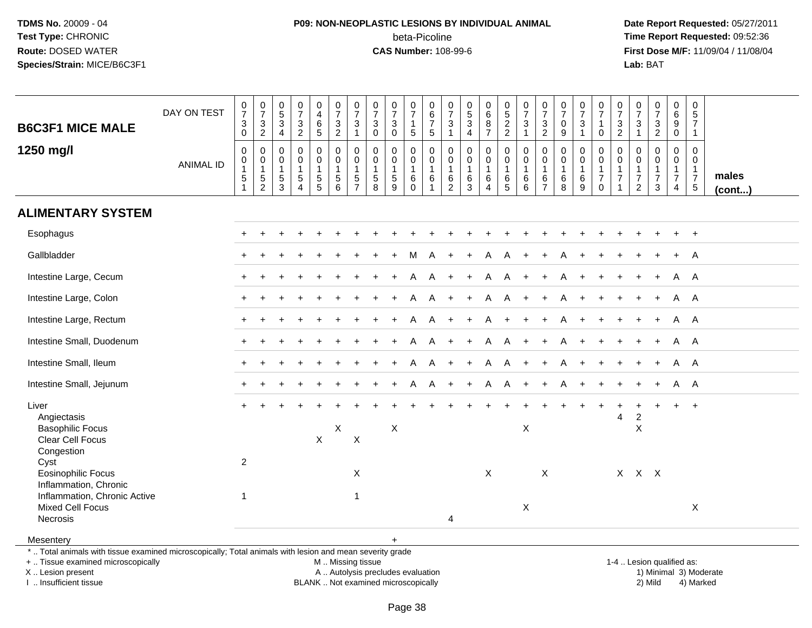# **P09: NON-NEOPLASTIC LESIONS BY INDIVIDUAL ANIMAL**beta-Picoline<br>CAS Number: 108-99-6

 **Date Report Requested:** 05/27/2011 **Time Report Requested:** 09:52:36 **First Dose M/F:** 11/09/04 / 11/08/04<br>Lab: BAT **Lab:** BAT

| <b>B6C3F1 MICE MALE</b>                                                                                                                                                                       | DAY ON TEST      | $\begin{array}{c} 0 \\ 7 \\ 3 \end{array}$<br>$\pmb{0}$ | $\frac{0}{7}$<br>$\frac{3}{2}$          | $\begin{array}{c} 0 \\ 5 \\ 3 \end{array}$<br>$\overline{4}$ | $\begin{array}{c} 0 \\ 7 \end{array}$<br>$\mathbf{3}$<br>$\overline{2}$ | $\begin{smallmatrix}0\0\4\end{smallmatrix}$<br>6<br>$\overline{5}$                  | $\frac{0}{7}$<br>$\ensuremath{\mathsf{3}}$<br>$\overline{2}$ | $\pmb{0}$<br>$\overline{7}$<br>3<br>$\mathbf{1}$        | $\begin{array}{c} 0 \\ 7 \end{array}$<br>3<br>$\mathbf 0$                           | $\frac{0}{7}$<br>3<br>$\mathbf 0$                 | $\begin{array}{c} 0 \\ 7 \end{array}$<br>$\mathbf 1$<br>$\overline{5}$ | 0<br>$\,6$<br>$\overline{7}$<br>5                             | 0<br>$\overline{7}$<br>3<br>$\mathbf{1}$             | $\begin{array}{c} 0 \\ 5 \end{array}$<br>3<br>$\overline{4}$                    | $\pmb{0}$<br>$\,6\,$<br>8<br>$\overline{7}$                   | $0$<br>52<br>2                                                   | $\begin{array}{c} 0 \\ 7 \end{array}$<br>3<br>$\mathbf{1}$ | $\frac{0}{7}$<br>$\mathbf{3}$<br>$\overline{2}$                | $\frac{0}{7}$<br>0<br>9                                     | 0<br>$\overline{7}$<br>3<br>$\mathbf{1}$ | $\frac{0}{7}$<br>$\overline{1}$<br>$\mathbf 0$                              | 0<br>$\overline{7}$<br>3<br>$\overline{c}$ | $\frac{0}{7}$<br>3<br>$\mathbf{1}$                                                   | $\frac{0}{7}$<br>3<br>$\overline{a}$              | $\pmb{0}$<br>$6\overline{6}$<br>9<br>$\mathbf 0$                  | $\pmb{0}$<br>5<br>$\overline{7}$<br>$\mathbf{1}$                           |                        |
|-----------------------------------------------------------------------------------------------------------------------------------------------------------------------------------------------|------------------|---------------------------------------------------------|-----------------------------------------|--------------------------------------------------------------|-------------------------------------------------------------------------|-------------------------------------------------------------------------------------|--------------------------------------------------------------|---------------------------------------------------------|-------------------------------------------------------------------------------------|---------------------------------------------------|------------------------------------------------------------------------|---------------------------------------------------------------|------------------------------------------------------|---------------------------------------------------------------------------------|---------------------------------------------------------------|------------------------------------------------------------------|------------------------------------------------------------|----------------------------------------------------------------|-------------------------------------------------------------|------------------------------------------|-----------------------------------------------------------------------------|--------------------------------------------|--------------------------------------------------------------------------------------|---------------------------------------------------|-------------------------------------------------------------------|----------------------------------------------------------------------------|------------------------|
| 1250 mg/l                                                                                                                                                                                     | <b>ANIMAL ID</b> | 0<br>0<br>$\mathbf{1}$<br>$\frac{5}{1}$                 | 0<br>0<br>$\mathbf{1}$<br>$\frac{5}{2}$ | $\mathbf 0$<br>0<br>$\mathbf{1}$<br>$\frac{5}{3}$            | $\mathbf 0$<br>0<br>$\mathbf{1}$<br>$\frac{5}{4}$                       | $\mathbf 0$<br>$\mathbf 0$<br>$\mathbf{1}$<br>$\begin{array}{c} 5 \\ 5 \end{array}$ | $\mathbf 0$<br>0<br>$\mathbf{1}$<br>$\sqrt{5}$<br>6          | $\mathbf 0$<br>0<br>$\mathbf{1}$<br>5<br>$\overline{7}$ | $\mathbf 0$<br>$\mathbf 0$<br>$\mathbf{1}$<br>$\begin{array}{c} 5 \\ 8 \end{array}$ | 0<br>$\mathbf 0$<br>$\mathbf{1}$<br>$\frac{5}{9}$ | $\mathbf 0$<br>$\mathbf 0$<br>$\mathbf{1}$<br>6<br>$\overline{0}$      | $\mathbf 0$<br>0<br>$\mathbf{1}$<br>$\,6\,$<br>$\overline{1}$ | $\Omega$<br>0<br>$\mathbf{1}$<br>6<br>$\overline{2}$ | $\mathbf 0$<br>$\mathsf{O}\xspace$<br>$\mathbf{1}$<br>$\,6\,$<br>$\overline{3}$ | 0<br>$\mathbf 0$<br>$\mathbf{1}$<br>$\,6\,$<br>$\overline{4}$ | $\Omega$<br>$\pmb{0}$<br>$\mathbf{1}$<br>$\,6$<br>$\overline{5}$ | $\mathbf 0$<br>0<br>1<br>6<br>$\overline{6}$               | $\Omega$<br>$\mathbf 0$<br>$\mathbf{1}$<br>6<br>$\overline{7}$ | $\mathbf 0$<br>0<br>$\mathbf{1}$<br>$\,6$<br>$\overline{8}$ | 0<br>$\overline{0}$<br>6<br>9            | $\mathbf 0$<br>$\mathbf 0$<br>$\mathbf{1}$<br>$\overline{7}$<br>$\mathbf 0$ | $\Omega$<br>0<br>$\mathbf 1$<br>7          | $\Omega$<br>$\Omega$<br>$\overline{1}$<br>$\overline{\mathcal{I}}$<br>$\overline{2}$ | $\mathbf 0$<br>$\mathbf 0$<br>$\overline{7}$<br>3 | $\mathbf 0$<br>$\mathbf 0$<br>$\mathbf{1}$<br>$\overline{7}$<br>4 | $\mathbf 0$<br>$\mathbf 0$<br>$\mathbf{1}$<br>$\overline{7}$<br>$\sqrt{5}$ | males<br>(cont)        |
| <b>ALIMENTARY SYSTEM</b>                                                                                                                                                                      |                  |                                                         |                                         |                                                              |                                                                         |                                                                                     |                                                              |                                                         |                                                                                     |                                                   |                                                                        |                                                               |                                                      |                                                                                 |                                                               |                                                                  |                                                            |                                                                |                                                             |                                          |                                                                             |                                            |                                                                                      |                                                   |                                                                   |                                                                            |                        |
| Esophagus                                                                                                                                                                                     |                  |                                                         |                                         |                                                              |                                                                         |                                                                                     |                                                              |                                                         |                                                                                     |                                                   |                                                                        |                                                               |                                                      |                                                                                 |                                                               |                                                                  |                                                            |                                                                |                                                             |                                          |                                                                             |                                            |                                                                                      |                                                   |                                                                   | $\overline{+}$                                                             |                        |
| Gallbladder                                                                                                                                                                                   |                  |                                                         |                                         |                                                              |                                                                         |                                                                                     |                                                              |                                                         |                                                                                     |                                                   |                                                                        |                                                               |                                                      |                                                                                 | A                                                             |                                                                  |                                                            |                                                                |                                                             |                                          |                                                                             |                                            |                                                                                      |                                                   | $+$                                                               | A                                                                          |                        |
| Intestine Large, Cecum                                                                                                                                                                        |                  |                                                         |                                         |                                                              |                                                                         |                                                                                     |                                                              |                                                         |                                                                                     |                                                   | A                                                                      | A                                                             |                                                      |                                                                                 | A                                                             | A                                                                | $\ddot{}$                                                  |                                                                | A                                                           |                                          |                                                                             |                                            |                                                                                      | $\ddot{}$                                         | A                                                                 | A                                                                          |                        |
| Intestine Large, Colon                                                                                                                                                                        |                  |                                                         |                                         |                                                              |                                                                         |                                                                                     |                                                              |                                                         |                                                                                     |                                                   |                                                                        | А                                                             |                                                      |                                                                                 | A                                                             | A                                                                |                                                            |                                                                |                                                             |                                          |                                                                             |                                            |                                                                                      |                                                   | A                                                                 | A                                                                          |                        |
| Intestine Large, Rectum                                                                                                                                                                       |                  |                                                         |                                         |                                                              |                                                                         |                                                                                     |                                                              |                                                         |                                                                                     |                                                   | A                                                                      | A                                                             | $\ddot{}$                                            | $\div$                                                                          | A                                                             | $\ddot{}$                                                        | $\ddot{}$                                                  |                                                                | A                                                           |                                          |                                                                             |                                            |                                                                                      | $\ddot{}$                                         | A                                                                 | - A                                                                        |                        |
| Intestine Small, Duodenum                                                                                                                                                                     |                  |                                                         |                                         |                                                              |                                                                         |                                                                                     |                                                              |                                                         |                                                                                     |                                                   | A                                                                      | A                                                             | $\ddot{}$                                            | $+$                                                                             | Α                                                             | A                                                                | $\ddot{}$                                                  |                                                                | А                                                           |                                          |                                                                             |                                            |                                                                                      |                                                   | A                                                                 | A                                                                          |                        |
| Intestine Small, Ileum                                                                                                                                                                        |                  |                                                         |                                         |                                                              |                                                                         |                                                                                     |                                                              |                                                         |                                                                                     |                                                   | A                                                                      | A                                                             |                                                      | $\ddot{}$                                                                       | A                                                             | A                                                                | $\ddot{}$                                                  |                                                                | A                                                           |                                          |                                                                             |                                            |                                                                                      |                                                   | A                                                                 | A                                                                          |                        |
| Intestine Small, Jejunum                                                                                                                                                                      |                  |                                                         |                                         |                                                              |                                                                         |                                                                                     |                                                              |                                                         |                                                                                     |                                                   | A                                                                      | A                                                             | $\pm$                                                | $\ddot{}$                                                                       | A                                                             | A                                                                | $\ddot{}$                                                  |                                                                | Α                                                           |                                          |                                                                             |                                            |                                                                                      |                                                   | A                                                                 | A                                                                          |                        |
| Liver<br>Angiectasis<br><b>Basophilic Focus</b><br>Clear Cell Focus<br>Congestion                                                                                                             |                  |                                                         |                                         |                                                              |                                                                         | $\mathsf{X}$                                                                        | X                                                            | X                                                       |                                                                                     | $\sf X$                                           |                                                                        |                                                               |                                                      |                                                                                 |                                                               |                                                                  | $\pmb{\times}$                                             |                                                                |                                                             |                                          |                                                                             | 4                                          | $\overline{c}$<br>$\boldsymbol{\mathsf{X}}$                                          | $\ddot{}$                                         | $+$                                                               | $+$                                                                        |                        |
| Cyst<br><b>Eosinophilic Focus</b><br>Inflammation, Chronic                                                                                                                                    |                  | $\overline{2}$                                          |                                         |                                                              |                                                                         |                                                                                     |                                                              | X                                                       |                                                                                     |                                                   |                                                                        |                                                               |                                                      |                                                                                 | $\sf X$                                                       |                                                                  |                                                            | X                                                              |                                                             |                                          |                                                                             |                                            | $X$ $X$ $X$                                                                          |                                                   |                                                                   |                                                                            |                        |
| Inflammation, Chronic Active<br><b>Mixed Cell Focus</b><br>Necrosis                                                                                                                           |                  | 1                                                       |                                         |                                                              |                                                                         |                                                                                     |                                                              | $\mathbf{1}$                                            |                                                                                     |                                                   |                                                                        |                                                               | $\overline{4}$                                       |                                                                                 |                                                               |                                                                  | $\boldsymbol{\mathsf{X}}$                                  |                                                                |                                                             |                                          |                                                                             |                                            |                                                                                      |                                                   |                                                                   | X                                                                          |                        |
| Mesentery                                                                                                                                                                                     |                  |                                                         |                                         |                                                              |                                                                         |                                                                                     |                                                              |                                                         |                                                                                     | $\ddot{}$                                         |                                                                        |                                                               |                                                      |                                                                                 |                                                               |                                                                  |                                                            |                                                                |                                                             |                                          |                                                                             |                                            |                                                                                      |                                                   |                                                                   |                                                                            |                        |
| *  Total animals with tissue examined microscopically; Total animals with lesion and mean severity grade<br>+  Tissue examined microscopically<br>X  Lesion present<br>I  Insufficient tissue |                  |                                                         |                                         |                                                              |                                                                         |                                                                                     | M  Missing tissue                                            |                                                         | A  Autolysis precludes evaluation<br>BLANK  Not examined microscopically            |                                                   |                                                                        |                                                               |                                                      |                                                                                 |                                                               |                                                                  |                                                            |                                                                |                                                             |                                          |                                                                             |                                            | 1-4  Lesion qualified as:                                                            | 2) Mild                                           |                                                                   | 4) Marked                                                                  | 1) Minimal 3) Moderate |

I .. Insufficient tissue

Page 38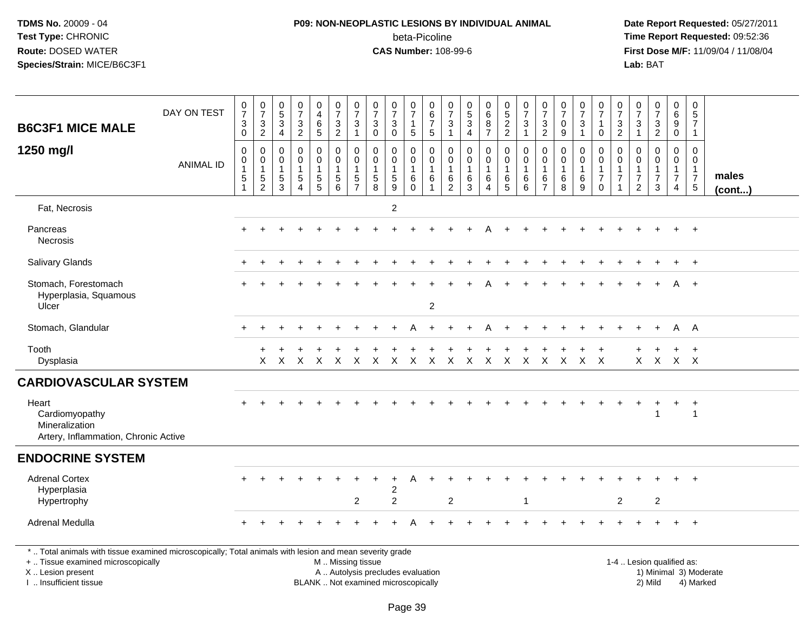### **P09: NON-NEOPLASTIC LESIONS BY INDIVIDUAL ANIMAL**beta-Picoline<br>CAS Number: 108-99-6

| <b>B6C3F1 MICE MALE</b>                                                                                                                                                                       | DAY ON TEST      | $\frac{0}{7}$<br>$\mathbf 3$<br>$\overline{0}$    | $\frac{0}{7}$<br>$\frac{3}{2}$                            | $\begin{array}{c} 0 \\ 5 \\ 3 \end{array}$<br>$\overline{4}$ | $\frac{0}{7}$<br>$\ensuremath{\mathsf{3}}$<br>$\overline{2}$               | $_4^{\rm 0}$<br>$\,6\,$<br>$\overline{5}$                 | $\begin{smallmatrix} 0\\7 \end{smallmatrix}$<br>$\frac{3}{2}$ | $\frac{0}{7}$<br>$\ensuremath{\mathsf{3}}$<br>$\mathbf{1}$ | $\frac{0}{7}$<br>$\sqrt{3}$<br>0                                          | $\frac{0}{7}$<br>$\sqrt{3}$<br>$\mathbf 0$                               | $\begin{array}{c} 0 \\ 7 \end{array}$<br>-1<br>$\sqrt{5}$ | $\,0\,$<br>$6\phantom{1}6$<br>$\boldsymbol{7}$<br>5                       | 0<br>$\overline{7}$<br>3<br>1                | $\begin{array}{c} 0 \\ 5 \end{array}$<br>$\ensuremath{\mathsf{3}}$<br>$\overline{4}$ | $\begin{matrix}0\6\8\end{matrix}$<br>$\overline{7}$     | $0$<br>$5$<br>$2$<br>$2$                                   | $\begin{array}{c} 0 \\ 7 \end{array}$<br>$\sqrt{3}$<br>$\mathbf{1}$        | $\frac{0}{7}$<br>$\ensuremath{\mathsf{3}}$<br>$\sqrt{2}$ | $\begin{array}{c} 0 \\ 7 \end{array}$<br>$\pmb{0}$<br>$\boldsymbol{9}$ | $\frac{0}{7}$<br>$\mathbf{3}$<br>$\mathbf{1}$ | $\begin{array}{c} 0 \\ 7 \end{array}$<br>$\mathbf{1}$<br>0                    | $\frac{0}{7}$<br>$\frac{3}{2}$                                               | $\frac{0}{7}$<br>$\sqrt{3}$<br>$\mathbf{1}$                          | $\begin{array}{c} 0 \\ 7 \end{array}$<br>$\frac{3}{2}$            | $\pmb{0}$<br>$6\overline{6}$<br>$\boldsymbol{9}$<br>$\pmb{0}$ | $\mathbf 0$<br>$\overline{5}$<br>$\overline{7}$<br>$\mathbf{1}$            |                 |
|-----------------------------------------------------------------------------------------------------------------------------------------------------------------------------------------------|------------------|---------------------------------------------------|-----------------------------------------------------------|--------------------------------------------------------------|----------------------------------------------------------------------------|-----------------------------------------------------------|---------------------------------------------------------------|------------------------------------------------------------|---------------------------------------------------------------------------|--------------------------------------------------------------------------|-----------------------------------------------------------|---------------------------------------------------------------------------|----------------------------------------------|--------------------------------------------------------------------------------------|---------------------------------------------------------|------------------------------------------------------------|----------------------------------------------------------------------------|----------------------------------------------------------|------------------------------------------------------------------------|-----------------------------------------------|-------------------------------------------------------------------------------|------------------------------------------------------------------------------|----------------------------------------------------------------------|-------------------------------------------------------------------|---------------------------------------------------------------|----------------------------------------------------------------------------|-----------------|
| 1250 mg/l                                                                                                                                                                                     | <b>ANIMAL ID</b> | $\mathbf 0$<br>0<br>$\mathbf{1}$<br>$\frac{5}{1}$ | $\mathbf 0$<br>$\pmb{0}$<br>$\mathbf{1}$<br>$\frac{5}{2}$ | $\mathbf 0$<br>0<br>$\overline{1}$<br>$\frac{5}{3}$          | $\mathbf 0$<br>$\mathbf 0$<br>$\mathbf{1}$<br>$\sqrt{5}$<br>$\overline{A}$ | $\mathbf 0$<br>$\pmb{0}$<br>$\mathbf{1}$<br>$\frac{5}{5}$ | $\mathbf 0$<br>$\mathbf 0$<br>$\mathbf{1}$<br>$\frac{5}{6}$   | $\mathbf 0$<br>0<br>$\mathbf{1}$<br>$\frac{5}{7}$          | $\mathbf 0$<br>0<br>$\mathbf{1}$<br>$\begin{array}{c} 5 \\ 8 \end{array}$ | $\mathbf 0$<br>$\pmb{0}$<br>$\mathbf{1}$<br>$\frac{5}{9}$                | $\mathbf 0$<br>0<br>$\mathbf{1}$<br>6<br>$\mathbf 0$      | $\mathbf 0$<br>$\mathbf 0$<br>$\overline{1}$<br>$\,6\,$<br>$\overline{1}$ | $\mathbf 0$<br>0<br>1<br>6<br>$\overline{2}$ | $\mathbf 0$<br>$\mathbf 0$<br>$\mathbf{1}$<br>$\,6\,$<br>$\mathbf{3}$                | $\mathbf 0$<br>0<br>$\mathbf{1}$<br>6<br>$\overline{4}$ | $\mathbf 0$<br>$\mathbf 0$<br>$\overline{1}$<br>$6\over 5$ | $\mathbf 0$<br>$\mathbf 0$<br>$\overline{1}$<br>$\,6\,$<br>$6\phantom{1}6$ | $\mathbf 0$<br>0<br>$\mathbf{1}$<br>6<br>$\overline{7}$  | $\mathbf 0$<br>$\mathbf 0$<br>$\mathbf{1}$<br>6<br>$\overline{8}$      | 0<br>$\mathbf 0$<br>$\mathbf{1}$<br>$^6_9$    | $\mathbf 0$<br>$\mathbf 0$<br>$\mathbf{1}$<br>$\boldsymbol{7}$<br>$\mathbf 0$ | $\mathbf 0$<br>$\mathbf 0$<br>$\mathbf{1}$<br>$\overline{7}$<br>$\mathbf{1}$ | $\mathbf 0$<br>0<br>$\mathbf{1}$<br>$\overline{7}$<br>$\overline{2}$ | $\mathbf 0$<br>$\mathbf 0$<br>$\mathbf{1}$<br>$\overline{7}$<br>3 | $\mathbf 0$<br>$\mathbf 0$<br>1<br>$\overline{7}$<br>4        | $\mathbf 0$<br>$\mathbf 0$<br>$\mathbf{1}$<br>$\overline{7}$<br>$\sqrt{5}$ | males<br>(cont) |
| Fat, Necrosis                                                                                                                                                                                 |                  |                                                   |                                                           |                                                              |                                                                            |                                                           |                                                               |                                                            |                                                                           | $\overline{c}$                                                           |                                                           |                                                                           |                                              |                                                                                      |                                                         |                                                            |                                                                            |                                                          |                                                                        |                                               |                                                                               |                                                                              |                                                                      |                                                                   |                                                               |                                                                            |                 |
| Pancreas<br><b>Necrosis</b>                                                                                                                                                                   |                  |                                                   |                                                           |                                                              |                                                                            |                                                           |                                                               |                                                            |                                                                           |                                                                          |                                                           |                                                                           |                                              |                                                                                      |                                                         |                                                            |                                                                            |                                                          |                                                                        |                                               |                                                                               |                                                                              |                                                                      |                                                                   |                                                               |                                                                            |                 |
| Salivary Glands                                                                                                                                                                               |                  |                                                   |                                                           |                                                              |                                                                            |                                                           |                                                               |                                                            |                                                                           |                                                                          |                                                           |                                                                           |                                              |                                                                                      |                                                         |                                                            |                                                                            |                                                          |                                                                        |                                               |                                                                               |                                                                              |                                                                      |                                                                   |                                                               | $+$                                                                        |                 |
| Stomach, Forestomach<br>Hyperplasia, Squamous<br>Ulcer                                                                                                                                        |                  |                                                   |                                                           |                                                              |                                                                            |                                                           |                                                               |                                                            |                                                                           |                                                                          |                                                           | $\overline{c}$                                                            |                                              |                                                                                      |                                                         |                                                            |                                                                            |                                                          |                                                                        |                                               |                                                                               |                                                                              |                                                                      |                                                                   | A                                                             | $+$                                                                        |                 |
|                                                                                                                                                                                               |                  |                                                   |                                                           |                                                              |                                                                            |                                                           |                                                               |                                                            |                                                                           |                                                                          |                                                           |                                                                           |                                              |                                                                                      |                                                         |                                                            |                                                                            |                                                          |                                                                        |                                               |                                                                               |                                                                              |                                                                      |                                                                   |                                                               |                                                                            |                 |
| Stomach, Glandular                                                                                                                                                                            |                  |                                                   |                                                           |                                                              |                                                                            |                                                           |                                                               |                                                            |                                                                           |                                                                          |                                                           |                                                                           |                                              |                                                                                      |                                                         |                                                            |                                                                            |                                                          |                                                                        |                                               |                                                                               |                                                                              |                                                                      |                                                                   | A                                                             | - A                                                                        |                 |
| Tooth<br>Dysplasia                                                                                                                                                                            |                  |                                                   | X                                                         | $\sf X$                                                      | $\mathsf{X}$                                                               | $\mathsf{X}$                                              | $\boldsymbol{\mathsf{X}}$                                     | $\boldsymbol{\mathsf{X}}$                                  | $\sf X$                                                                   | $\mathsf{X}$                                                             | $\boldsymbol{\mathsf{X}}$                                 |                                                                           |                                              | X X X X X                                                                            |                                                         |                                                            | $\mathsf{X}$                                                               |                                                          | X X X X                                                                |                                               |                                                                               |                                                                              |                                                                      | X X X X                                                           |                                                               | $+$                                                                        |                 |
| <b>CARDIOVASCULAR SYSTEM</b>                                                                                                                                                                  |                  |                                                   |                                                           |                                                              |                                                                            |                                                           |                                                               |                                                            |                                                                           |                                                                          |                                                           |                                                                           |                                              |                                                                                      |                                                         |                                                            |                                                                            |                                                          |                                                                        |                                               |                                                                               |                                                                              |                                                                      |                                                                   |                                                               |                                                                            |                 |
| Heart<br>Cardiomyopathy<br>Mineralization<br>Artery, Inflammation, Chronic Active                                                                                                             |                  |                                                   |                                                           |                                                              |                                                                            |                                                           |                                                               |                                                            |                                                                           |                                                                          |                                                           |                                                                           |                                              |                                                                                      |                                                         |                                                            |                                                                            |                                                          |                                                                        |                                               |                                                                               |                                                                              |                                                                      |                                                                   |                                                               | $\ddot{}$<br>$\overline{1}$                                                |                 |
| <b>ENDOCRINE SYSTEM</b>                                                                                                                                                                       |                  |                                                   |                                                           |                                                              |                                                                            |                                                           |                                                               |                                                            |                                                                           |                                                                          |                                                           |                                                                           |                                              |                                                                                      |                                                         |                                                            |                                                                            |                                                          |                                                                        |                                               |                                                                               |                                                                              |                                                                      |                                                                   |                                                               |                                                                            |                 |
| <b>Adrenal Cortex</b><br>Hyperplasia<br>Hypertrophy                                                                                                                                           |                  |                                                   |                                                           |                                                              |                                                                            |                                                           |                                                               | 2                                                          |                                                                           | 2<br>$\overline{2}$                                                      |                                                           |                                                                           | $\overline{2}$                               |                                                                                      |                                                         |                                                            | -1                                                                         |                                                          |                                                                        |                                               |                                                                               | $\overline{2}$                                                               |                                                                      | $\overline{\mathbf{c}}$                                           |                                                               |                                                                            |                 |
| Adrenal Medulla                                                                                                                                                                               |                  |                                                   |                                                           |                                                              |                                                                            |                                                           |                                                               |                                                            |                                                                           |                                                                          |                                                           |                                                                           |                                              |                                                                                      |                                                         |                                                            |                                                                            |                                                          |                                                                        |                                               |                                                                               |                                                                              |                                                                      |                                                                   |                                                               | $\ddot{}$                                                                  |                 |
| *  Total animals with tissue examined microscopically; Total animals with lesion and mean severity grade<br>+  Tissue examined microscopically<br>X  Lesion present<br>I. Insufficient tissue |                  |                                                   |                                                           |                                                              |                                                                            |                                                           | M  Missing tissue                                             |                                                            |                                                                           | A  Autolysis precludes evaluation<br>BLANK  Not examined microscopically |                                                           |                                                                           |                                              |                                                                                      |                                                         |                                                            |                                                                            |                                                          |                                                                        |                                               |                                                                               |                                                                              |                                                                      | 1-4  Lesion qualified as:<br>2) Mild                              |                                                               | 1) Minimal 3) Moderate<br>4) Marked                                        |                 |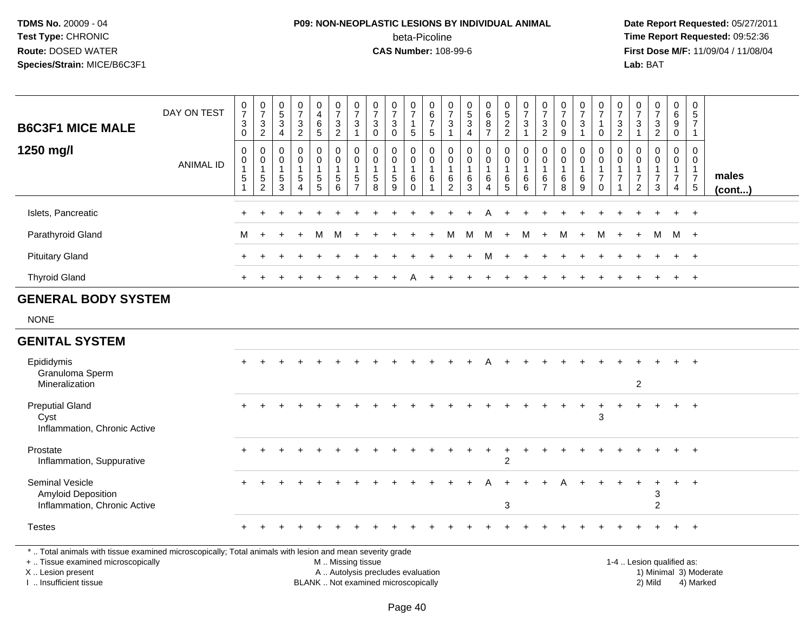# **P09: NON-NEOPLASTIC LESIONS BY INDIVIDUAL ANIMAL**beta-Picoline<br>CAS Number: 108-99-6

| <b>B6C3F1 MICE MALE</b>                                                                                                                                                                       | DAY ON TEST      | 0<br>$\overline{7}$<br>3<br>0                   | $\frac{0}{7}$<br>$\mathbf{3}$<br>$\overline{c}$           | 0<br>$\overline{5}$<br>3<br>4                                 | $\mathbf 0$<br>$\overline{7}$<br>3<br>$\sqrt{2}$                 | 0<br>$\overline{4}$<br>$\,6\,$<br>$\sqrt{5}$                     | 0<br>$\overline{7}$<br>$\mathbf{3}$<br>$\overline{2}$         | 0<br>$\overline{7}$<br>3<br>$\mathbf{1}$      | 0<br>$\overline{7}$<br>$\mathbf{3}$<br>0            | $\frac{0}{7}$<br>3<br>0                                                  | $\pmb{0}$<br>$\overline{7}$<br>1<br>$\sqrt{5}$   | $\mathbf 0$<br>$\,6\,$<br>$\overline{7}$<br>$\overline{5}$        | 0<br>$\overline{7}$<br>3<br>$\mathbf{1}$             | 0<br>$\sqrt{5}$<br>3<br>4                                | 0<br>$6\phantom{a}$<br>8<br>$\overline{7}$   | $\pmb{0}$<br>$\overline{5}$<br>$\overline{2}$<br>$\overline{2}$ | $\frac{0}{7}$<br>$\mathbf{3}$<br>$\mathbf{1}$                   | 0<br>$\overline{7}$<br>3<br>$\overline{2}$    | $\frac{0}{7}$<br>$\mathbf 0$<br>9                          | 0<br>$\overline{7}$<br>3<br>$\mathbf{1}$     | 0<br>$\overline{7}$<br>$\overline{1}$<br>$\mathbf 0$                          | 0<br>$\overline{7}$<br>3<br>$\overline{c}$ | 0<br>$\overline{7}$<br>3<br>$\mathbf{1}$                             | $\frac{0}{7}$<br>3<br>$\overline{2}$          | $\mathbf 0$<br>$\,6\,$<br>9<br>$\mathbf 0$                             | 0<br>$\sqrt{5}$<br>$\overline{7}$<br>$\mathbf{1}$                            |                        |
|-----------------------------------------------------------------------------------------------------------------------------------------------------------------------------------------------|------------------|-------------------------------------------------|-----------------------------------------------------------|---------------------------------------------------------------|------------------------------------------------------------------|------------------------------------------------------------------|---------------------------------------------------------------|-----------------------------------------------|-----------------------------------------------------|--------------------------------------------------------------------------|--------------------------------------------------|-------------------------------------------------------------------|------------------------------------------------------|----------------------------------------------------------|----------------------------------------------|-----------------------------------------------------------------|-----------------------------------------------------------------|-----------------------------------------------|------------------------------------------------------------|----------------------------------------------|-------------------------------------------------------------------------------|--------------------------------------------|----------------------------------------------------------------------|-----------------------------------------------|------------------------------------------------------------------------|------------------------------------------------------------------------------|------------------------|
| 1250 mg/l                                                                                                                                                                                     | <b>ANIMAL ID</b> | 0<br>0<br>$\overline{1}$<br>5<br>$\overline{1}$ | $\mathbf 0$<br>$\pmb{0}$<br>$\mathbf{1}$<br>$\frac{5}{2}$ | $\mathbf 0$<br>$\mathbf 0$<br>$\mathbf{1}$<br>$\sqrt{5}$<br>3 | $\mathbf 0$<br>$\mathbf 0$<br>-1<br>$\sqrt{5}$<br>$\overline{4}$ | 0<br>$\mathbf 0$<br>$\mathbf{1}$<br>$\sqrt{5}$<br>$\overline{5}$ | $\mathbf 0$<br>$\mathbf 0$<br>$\mathbf{1}$<br>$\sqrt{5}$<br>6 | 0<br>0<br>$\mathbf{1}$<br>5<br>$\overline{7}$ | $\mathbf 0$<br>0<br>$\mathbf{1}$<br>$\sqrt{5}$<br>8 | $\mathbf 0$<br>0<br>$\mathbf{1}$<br>$\sqrt{5}$<br>9                      | $\mathbf 0$<br>$\mathsf{O}$<br>$\,6$<br>$\Omega$ | $\mathbf 0$<br>$\mathbf 0$<br>$\overline{1}$<br>6<br>$\mathbf{1}$ | $\mathbf 0$<br>$\mathbf 0$<br>$\mathbf{1}$<br>6<br>2 | $\mathbf 0$<br>$\mathbf 0$<br>$\mathbf{1}$<br>$\,6$<br>3 | 0<br>$\mathbf 0$<br>1<br>6<br>$\overline{4}$ | 0<br>0<br>$\mathbf{1}$<br>$\,6\,$<br>$\overline{5}$             | $\mathbf 0$<br>$\pmb{0}$<br>$\mathbf{1}$<br>6<br>$6\phantom{a}$ | $\mathbf 0$<br>0<br>-1<br>6<br>$\overline{7}$ | $\mathbf 0$<br>$\mathbf 0$<br>$\overline{1}$<br>$\,6$<br>8 | 0<br>0<br>$\overline{1}$<br>$\,6\,$<br>$9\,$ | $\mathbf 0$<br>$\mathbf 0$<br>$\overline{1}$<br>$\overline{7}$<br>$\mathbf 0$ | 0<br>0<br>1<br>$\overline{7}$              | 0<br>$\mathbf 0$<br>$\mathbf{1}$<br>$\overline{7}$<br>$\overline{2}$ | 0<br>0<br>$\mathbf{1}$<br>$\overline{7}$<br>3 | 0<br>$\mathbf 0$<br>$\mathbf{1}$<br>$\boldsymbol{7}$<br>$\overline{4}$ | $\mathbf 0$<br>$\mathbf 0$<br>$\overline{1}$<br>$\overline{7}$<br>$\sqrt{5}$ | males<br>(cont)        |
| Islets, Pancreatic                                                                                                                                                                            |                  |                                                 |                                                           |                                                               |                                                                  |                                                                  |                                                               |                                               |                                                     |                                                                          |                                                  |                                                                   |                                                      |                                                          |                                              |                                                                 |                                                                 |                                               |                                                            |                                              |                                                                               |                                            |                                                                      |                                               | $\ddot{}$                                                              | $+$                                                                          |                        |
| Parathyroid Gland                                                                                                                                                                             |                  | М                                               |                                                           |                                                               |                                                                  | M                                                                | M                                                             |                                               |                                                     |                                                                          |                                                  |                                                                   | м                                                    | M                                                        | M                                            | $+$                                                             | M                                                               | $+$                                           | M                                                          | $+$                                          | M                                                                             |                                            |                                                                      | M                                             | M +                                                                    |                                                                              |                        |
| <b>Pituitary Gland</b>                                                                                                                                                                        |                  |                                                 |                                                           |                                                               |                                                                  |                                                                  |                                                               |                                               |                                                     |                                                                          |                                                  |                                                                   |                                                      |                                                          | M                                            | $\div$                                                          |                                                                 |                                               |                                                            |                                              |                                                                               |                                            |                                                                      |                                               |                                                                        | $^{+}$                                                                       |                        |
| <b>Thyroid Gland</b>                                                                                                                                                                          |                  | $+$                                             |                                                           |                                                               |                                                                  |                                                                  |                                                               |                                               |                                                     |                                                                          |                                                  |                                                                   |                                                      |                                                          |                                              |                                                                 |                                                                 |                                               |                                                            |                                              |                                                                               |                                            |                                                                      |                                               | $\ddot{}$                                                              | $+$                                                                          |                        |
| <b>GENERAL BODY SYSTEM</b>                                                                                                                                                                    |                  |                                                 |                                                           |                                                               |                                                                  |                                                                  |                                                               |                                               |                                                     |                                                                          |                                                  |                                                                   |                                                      |                                                          |                                              |                                                                 |                                                                 |                                               |                                                            |                                              |                                                                               |                                            |                                                                      |                                               |                                                                        |                                                                              |                        |
| <b>NONE</b>                                                                                                                                                                                   |                  |                                                 |                                                           |                                                               |                                                                  |                                                                  |                                                               |                                               |                                                     |                                                                          |                                                  |                                                                   |                                                      |                                                          |                                              |                                                                 |                                                                 |                                               |                                                            |                                              |                                                                               |                                            |                                                                      |                                               |                                                                        |                                                                              |                        |
| <b>GENITAL SYSTEM</b>                                                                                                                                                                         |                  |                                                 |                                                           |                                                               |                                                                  |                                                                  |                                                               |                                               |                                                     |                                                                          |                                                  |                                                                   |                                                      |                                                          |                                              |                                                                 |                                                                 |                                               |                                                            |                                              |                                                                               |                                            |                                                                      |                                               |                                                                        |                                                                              |                        |
| Epididymis<br>Granuloma Sperm<br>Mineralization                                                                                                                                               |                  |                                                 |                                                           |                                                               |                                                                  |                                                                  |                                                               |                                               |                                                     |                                                                          |                                                  |                                                                   |                                                      |                                                          |                                              |                                                                 |                                                                 |                                               |                                                            |                                              |                                                                               |                                            | $\overline{2}$                                                       |                                               |                                                                        |                                                                              |                        |
| <b>Preputial Gland</b><br>Cyst<br>Inflammation, Chronic Active                                                                                                                                |                  |                                                 |                                                           |                                                               |                                                                  |                                                                  |                                                               |                                               |                                                     |                                                                          |                                                  |                                                                   |                                                      |                                                          |                                              |                                                                 |                                                                 |                                               |                                                            |                                              | 3                                                                             |                                            |                                                                      |                                               |                                                                        | $\overline{+}$                                                               |                        |
| Prostate<br>Inflammation, Suppurative                                                                                                                                                         |                  |                                                 |                                                           |                                                               |                                                                  |                                                                  |                                                               |                                               |                                                     |                                                                          |                                                  |                                                                   |                                                      |                                                          | $\div$                                       | $\ddot{}$<br>$\overline{c}$                                     |                                                                 |                                               |                                                            |                                              |                                                                               |                                            |                                                                      |                                               |                                                                        | $^{+}$                                                                       |                        |
| <b>Seminal Vesicle</b><br><b>Amyloid Deposition</b><br>Inflammation, Chronic Active                                                                                                           |                  |                                                 |                                                           |                                                               |                                                                  |                                                                  |                                                               |                                               |                                                     |                                                                          |                                                  |                                                                   |                                                      |                                                          |                                              | 3                                                               |                                                                 |                                               |                                                            |                                              |                                                                               |                                            |                                                                      | 3<br>$\overline{2}$                           | $+$                                                                    | $+$                                                                          |                        |
| <b>Testes</b>                                                                                                                                                                                 |                  |                                                 |                                                           |                                                               |                                                                  |                                                                  |                                                               |                                               |                                                     |                                                                          |                                                  |                                                                   |                                                      |                                                          |                                              |                                                                 |                                                                 |                                               |                                                            |                                              |                                                                               |                                            |                                                                      |                                               |                                                                        | $+$                                                                          |                        |
| *  Total animals with tissue examined microscopically; Total animals with lesion and mean severity grade<br>+  Tissue examined microscopically<br>X  Lesion present<br>I. Insufficient tissue |                  |                                                 |                                                           |                                                               |                                                                  |                                                                  | M. Missing tissue                                             |                                               |                                                     | A  Autolysis precludes evaluation<br>BLANK  Not examined microscopically |                                                  |                                                                   |                                                      |                                                          |                                              |                                                                 |                                                                 |                                               |                                                            |                                              |                                                                               |                                            |                                                                      | 1-4  Lesion qualified as:<br>2) Mild          |                                                                        | 4) Marked                                                                    | 1) Minimal 3) Moderate |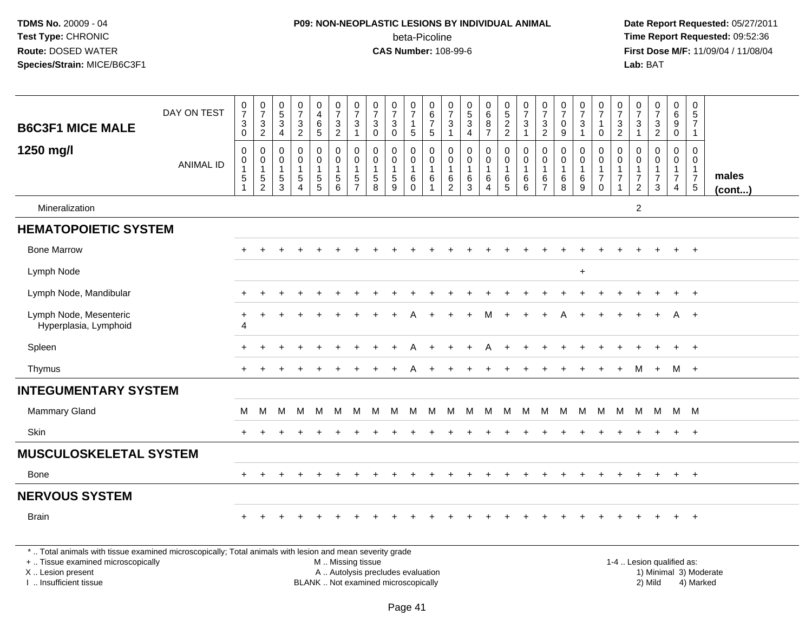#### **P09: NON-NEOPLASTIC LESIONS BY INDIVIDUAL ANIMAL** beta-Picoline**beta-Picoline**<br> **CAS Number:** 108-99-6<br> **CAS Number:** 108-99-6<br> **CAS Number:** 108-99-6

 **Date Report Requested:** 05/27/2011 **First Dose M/F:** 11/09/04 / 11/08/04<br>**Lab:** BAT **Lab:** BAT

| <b>B6C3F1 MICE MALE</b>                         | DAY ON TEST      | $\frac{0}{7}$<br>$\ensuremath{\mathsf{3}}$<br>$\mathbf 0$ | $\frac{0}{7}$<br>$\frac{3}{2}$                                        | $\begin{matrix} 0 \\ 5 \end{matrix}$<br>$\mathbf{3}$<br>$\overline{4}$ | $\frac{0}{7}$<br>$\frac{3}{2}$                                           | $\frac{0}{4}$<br>$\,6$<br>5                               | $\frac{0}{7}$<br>$\sqrt{3}$<br>$\overline{2}$           | $\frac{0}{7}$<br>$\ensuremath{\mathsf{3}}$<br>$\mathbf{1}$                   | $\frac{0}{7}$<br>$\mathbf{3}$<br>$\mathbf 0$                 | $\frac{0}{7}$<br>$\mathbf{3}$<br>$\mathbf 0$              | 0<br>$\overline{7}$<br>5                          | 0<br>6<br>7<br>5                                                      | $\frac{0}{7}$<br>$\mathbf{3}$<br>$\mathbf{1}$                           | $\begin{array}{c} 0 \\ 5 \end{array}$<br>$\ensuremath{\mathsf{3}}$<br>4 | $\begin{matrix}0\\6\\8\end{matrix}$<br>$\overline{7}$                           | $\frac{0}{5}$<br>2<br>2                            | $\frac{0}{7}$<br>$\overline{3}$<br>$\overline{1}$            | $\frac{0}{7}$<br>$\mathbf{3}$<br>$\overline{c}$ | $\frac{0}{7}$<br>$\mathbf 0$<br>9              | $\frac{0}{7}$<br>$\mathbf{3}$<br>$\mathbf{1}$         | $\frac{0}{7}$<br>$\mathbf{1}$<br>0                                        | $\frac{0}{7}$<br>$\frac{3}{2}$                                               | $\frac{0}{7}$<br>$\mathbf{3}$<br>$\overline{1}$                          | $\frac{0}{7}$<br>$\sqrt{3}$<br>$\overline{2}$                     | 0<br>$6\overline{6}$<br>9<br>$\mathbf 0$                                       | $\begin{array}{c} 0 \\ 5 \\ 7 \end{array}$<br>$\mathbf{1}$     |                       |
|-------------------------------------------------|------------------|-----------------------------------------------------------|-----------------------------------------------------------------------|------------------------------------------------------------------------|--------------------------------------------------------------------------|-----------------------------------------------------------|---------------------------------------------------------|------------------------------------------------------------------------------|--------------------------------------------------------------|-----------------------------------------------------------|---------------------------------------------------|-----------------------------------------------------------------------|-------------------------------------------------------------------------|-------------------------------------------------------------------------|---------------------------------------------------------------------------------|----------------------------------------------------|--------------------------------------------------------------|-------------------------------------------------|------------------------------------------------|-------------------------------------------------------|---------------------------------------------------------------------------|------------------------------------------------------------------------------|--------------------------------------------------------------------------|-------------------------------------------------------------------|--------------------------------------------------------------------------------|----------------------------------------------------------------|-----------------------|
| 1250 mg/l                                       | <b>ANIMAL ID</b> | 0<br>0<br>$\overline{1}$<br>$\sqrt{5}$<br>$\overline{1}$  | $\boldsymbol{0}$<br>$\overline{0}$<br>$\overline{1}$<br>$\frac{5}{2}$ | $\mathbf 0$<br>0<br>$\mathbf{1}$<br>$\sqrt{5}$<br>3                    | $\mathbf 0$<br>$\pmb{0}$<br>$\mathbf{1}$<br>$\sqrt{5}$<br>$\overline{4}$ | $\mathsf 0$<br>$\pmb{0}$<br>$\mathbf{1}$<br>$\frac{5}{5}$ | 0<br>$\mathbf 0$<br>$\mathbf{1}$<br>$\overline{5}$<br>6 | $\pmb{0}$<br>$\overline{0}$<br>$\mathbf{1}$<br>$\,$ 5 $\,$<br>$\overline{7}$ | $\Omega$<br>$\mathbf 0$<br>$\overline{1}$<br>$\sqrt{5}$<br>8 | $\mathbf 0$<br>$\boldsymbol{0}$<br>$\mathbf{1}$<br>5<br>9 | 0<br>$\mathbf 0$<br>$\mathbf{1}$<br>6<br>$\Omega$ | 0<br>$\ddot{\mathbf{0}}$<br>$\mathbf{1}$<br>$\,6\,$<br>$\overline{1}$ | $\mathbf 0$<br>$\mathbf 0$<br>$\mathbf{1}$<br>$\,6\,$<br>$\overline{2}$ | $\mathbf 0$<br>0<br>$\mathbf{1}$<br>$\,6\,$<br>3                        | $\mathbf 0$<br>$\mathsf{O}\xspace$<br>$\mathbf{1}$<br>$\,6\,$<br>$\overline{4}$ | 0<br>$\mathbf 0$<br>$\overline{1}$<br>$\,6\,$<br>5 | $\mathbf 0$<br>$\ddot{\mathbf{0}}$<br>$\mathbf{1}$<br>6<br>6 | 0<br>$\mathbf 0$<br>1<br>6<br>$\overline{7}$    | 0<br>$\pmb{0}$<br>$\mathbf{1}$<br>$\,6\,$<br>8 | $\mathbf 0$<br>$\mathsf{O}$<br>$\mathbf{1}$<br>6<br>9 | 0<br>$\mathsf{O}\xspace$<br>$\mathbf{1}$<br>$\overline{7}$<br>$\mathbf 0$ | $\mathbf 0$<br>$\mathbf 0$<br>$\mathbf{1}$<br>$\overline{7}$<br>$\mathbf{1}$ | $\Omega$<br>$\Omega$<br>$\mathbf{1}$<br>$\overline{7}$<br>$\overline{2}$ | $\mathbf 0$<br>$\mathbf 0$<br>$\mathbf{1}$<br>$\overline{7}$<br>3 | $\mathbf 0$<br>$\mathbf 0$<br>$\mathbf{1}$<br>$\overline{7}$<br>$\overline{4}$ | 0<br>$\mathbf 0$<br>$\begin{array}{c} 1 \\ 7 \\ 5 \end{array}$ | males<br>$($ cont $)$ |
| Mineralization                                  |                  |                                                           |                                                                       |                                                                        |                                                                          |                                                           |                                                         |                                                                              |                                                              |                                                           |                                                   |                                                                       |                                                                         |                                                                         |                                                                                 |                                                    |                                                              |                                                 |                                                |                                                       |                                                                           |                                                                              | $\overline{c}$                                                           |                                                                   |                                                                                |                                                                |                       |
| <b>HEMATOPOIETIC SYSTEM</b>                     |                  |                                                           |                                                                       |                                                                        |                                                                          |                                                           |                                                         |                                                                              |                                                              |                                                           |                                                   |                                                                       |                                                                         |                                                                         |                                                                                 |                                                    |                                                              |                                                 |                                                |                                                       |                                                                           |                                                                              |                                                                          |                                                                   |                                                                                |                                                                |                       |
| <b>Bone Marrow</b>                              |                  |                                                           |                                                                       |                                                                        |                                                                          |                                                           |                                                         |                                                                              |                                                              |                                                           |                                                   |                                                                       |                                                                         |                                                                         |                                                                                 |                                                    |                                                              |                                                 |                                                |                                                       |                                                                           |                                                                              |                                                                          |                                                                   | $\pm$                                                                          | $\overline{+}$                                                 |                       |
| Lymph Node                                      |                  |                                                           |                                                                       |                                                                        |                                                                          |                                                           |                                                         |                                                                              |                                                              |                                                           |                                                   |                                                                       |                                                                         |                                                                         |                                                                                 |                                                    |                                                              |                                                 |                                                | $+$                                                   |                                                                           |                                                                              |                                                                          |                                                                   |                                                                                |                                                                |                       |
| Lymph Node, Mandibular                          |                  | $\ddot{}$                                                 |                                                                       |                                                                        |                                                                          |                                                           |                                                         |                                                                              |                                                              |                                                           |                                                   |                                                                       |                                                                         |                                                                         |                                                                                 |                                                    |                                                              |                                                 |                                                |                                                       |                                                                           |                                                                              |                                                                          |                                                                   |                                                                                | $+$                                                            |                       |
| Lymph Node, Mesenteric<br>Hyperplasia, Lymphoid |                  | $\ddot{}$<br>4                                            |                                                                       |                                                                        |                                                                          |                                                           |                                                         |                                                                              |                                                              |                                                           | А                                                 |                                                                       |                                                                         |                                                                         | м                                                                               | $\ddot{}$                                          |                                                              |                                                 | А                                              | $\ddot{}$                                             | $\ddot{}$                                                                 |                                                                              |                                                                          |                                                                   | A                                                                              | $+$                                                            |                       |
| Spleen                                          |                  | ÷                                                         |                                                                       |                                                                        |                                                                          |                                                           |                                                         |                                                                              |                                                              |                                                           |                                                   |                                                                       |                                                                         |                                                                         |                                                                                 | $\ddot{}$                                          |                                                              |                                                 |                                                |                                                       |                                                                           |                                                                              |                                                                          |                                                                   | $\div$                                                                         | $+$                                                            |                       |
| Thymus                                          |                  | $+$                                                       |                                                                       |                                                                        |                                                                          |                                                           |                                                         |                                                                              |                                                              |                                                           |                                                   |                                                                       |                                                                         |                                                                         |                                                                                 |                                                    |                                                              |                                                 |                                                |                                                       |                                                                           |                                                                              | м                                                                        | $+$                                                               | M +                                                                            |                                                                |                       |
| <b>INTEGUMENTARY SYSTEM</b>                     |                  |                                                           |                                                                       |                                                                        |                                                                          |                                                           |                                                         |                                                                              |                                                              |                                                           |                                                   |                                                                       |                                                                         |                                                                         |                                                                                 |                                                    |                                                              |                                                 |                                                |                                                       |                                                                           |                                                                              |                                                                          |                                                                   |                                                                                |                                                                |                       |
| <b>Mammary Gland</b>                            |                  | M                                                         | м                                                                     | M                                                                      | м                                                                        | М                                                         | м                                                       | м                                                                            | м                                                            | M                                                         | M                                                 | M                                                                     | M                                                                       | M                                                                       | M                                                                               | M                                                  | M                                                            | M                                               | M                                              | M                                                     | M                                                                         | M                                                                            | M                                                                        | M                                                                 |                                                                                | M M                                                            |                       |
| Skin                                            |                  |                                                           |                                                                       |                                                                        |                                                                          |                                                           |                                                         |                                                                              |                                                              |                                                           |                                                   |                                                                       |                                                                         |                                                                         |                                                                                 |                                                    |                                                              |                                                 |                                                |                                                       |                                                                           |                                                                              |                                                                          |                                                                   |                                                                                | $+$                                                            |                       |
| <b>MUSCULOSKELETAL SYSTEM</b>                   |                  |                                                           |                                                                       |                                                                        |                                                                          |                                                           |                                                         |                                                                              |                                                              |                                                           |                                                   |                                                                       |                                                                         |                                                                         |                                                                                 |                                                    |                                                              |                                                 |                                                |                                                       |                                                                           |                                                                              |                                                                          |                                                                   |                                                                                |                                                                |                       |
| <b>Bone</b>                                     |                  | $+$                                                       |                                                                       |                                                                        |                                                                          | +                                                         |                                                         |                                                                              |                                                              |                                                           |                                                   |                                                                       |                                                                         |                                                                         |                                                                                 |                                                    |                                                              |                                                 |                                                | $\div$                                                | $\pm$                                                                     |                                                                              |                                                                          | $\pm$                                                             | $+$                                                                            | $+$                                                            |                       |
| <b>NERVOUS SYSTEM</b>                           |                  |                                                           |                                                                       |                                                                        |                                                                          |                                                           |                                                         |                                                                              |                                                              |                                                           |                                                   |                                                                       |                                                                         |                                                                         |                                                                                 |                                                    |                                                              |                                                 |                                                |                                                       |                                                                           |                                                                              |                                                                          |                                                                   |                                                                                |                                                                |                       |
| <b>Brain</b>                                    |                  | $\ddot{}$                                                 |                                                                       |                                                                        |                                                                          |                                                           |                                                         |                                                                              |                                                              |                                                           |                                                   |                                                                       |                                                                         |                                                                         |                                                                                 |                                                    |                                                              |                                                 |                                                |                                                       |                                                                           |                                                                              |                                                                          |                                                                   |                                                                                | $\overline{+}$                                                 |                       |

\* .. Total animals with tissue examined microscopically; Total animals with lesion and mean severity grade

+ .. Tissue examined microscopically

X .. Lesion present

I .. Insufficient tissue

 M .. Missing tissueA .. Autolysis precludes evaluation

BLANK .. Not examined microscopically 2) Mild 4) Marked

1-4 .. Lesion qualified as: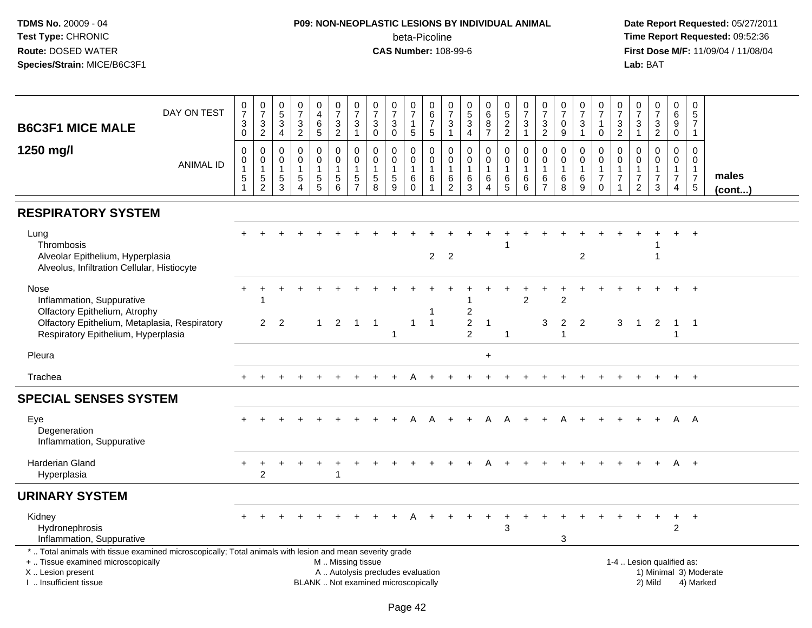### **P09: NON-NEOPLASTIC LESIONS BY INDIVIDUAL ANIMAL**beta-Picoline<br>CAS Number: 108-99-6

| <b>B6C3F1 MICE MALE</b><br>1250 mg/l                                                                                                                                                          | DAY ON TEST<br><b>ANIMAL ID</b> | $\frac{0}{7}$<br>3<br>$\mathbf 0$<br>$\mathbf 0$<br>0<br>$\mathbf{1}$<br>$\mathbf 5$ | $\frac{0}{7}$<br>$\mathbf{3}$<br>$\overline{2}$<br>$\pmb{0}$<br>$\pmb{0}$<br>$\overline{1}$<br>$\mathbf 5$ | $\pmb{0}$<br>$\overline{5}$<br>$\sqrt{3}$<br>$\overline{4}$<br>0<br>$\mathbf 0$<br>$\mathbf{1}$<br>$\,$ 5 $\,$ | $\begin{array}{c} 0 \\ 7 \end{array}$<br>$\frac{3}{2}$<br>$\mathbf 0$<br>$\mathbf 0$<br>$\mathbf 1$<br>$\sqrt{5}$ | 0<br>$\overline{4}$<br>$\,6\,$<br>$\overline{5}$<br>0<br>$\mathbf 0$<br>$\mathbf{1}$<br>$\sqrt{5}$ | 0<br>$\overline{7}$<br>$\frac{3}{2}$<br>$\Omega$<br>$\mathbf 0$<br>1<br>$\sqrt{5}$ | $\frac{0}{7}$<br>3<br>$\mathbf{1}$<br>$\mathsf{O}\xspace$<br>$\mathbf 0$<br>$\mathbf{1}$<br>$\frac{5}{7}$ | 0<br>$\overline{7}$<br>$\mathfrak{S}$<br>$\mathbf 0$<br>$\Omega$<br>$\mathbf 0$<br>$\overline{1}$<br>$\overline{5}$ | $\begin{array}{c} 0 \\ 7 \end{array}$<br>$\sqrt{3}$<br>$\mathbf 0$<br>$\Omega$<br>0<br>$\mathbf 1$<br>$\sqrt{5}$ | $\mathbf 0$<br>$\overline{7}$<br>$\mathbf{1}$<br>$\sqrt{5}$<br>$\Omega$<br>$\mathbf 0$<br>$\mathbf{1}$<br>6 | $\mathbf 0$<br>6<br>$\overline{7}$<br>5<br>$\Omega$<br>$\mathbf 0$<br>$\overline{1}$<br>$\,6$ | 0<br>$\overline{7}$<br>$\ensuremath{\mathsf{3}}$<br>$\mathbf{1}$<br>$\Omega$<br>$\mathbf 0$<br>$\overline{1}$<br>$6\phantom{1}6$ | $\mathbf 0$<br>$\overline{5}$<br>$\ensuremath{\mathsf{3}}$<br>$\overline{4}$<br>$\pmb{0}$<br>$\mathbf 0$<br>$\mathbf{1}$<br>6 | $_{6}^{\rm 0}$<br>8<br>$\overline{7}$<br>$\mathsf{O}$<br>$\mathbf 0$<br>$\mathbf{1}$<br>6 | $\frac{0}{5}$<br>2<br>2<br>$\mathsf 0$<br>$\mathbf 0$<br>$\mathbf{1}$<br>$^6$ 5 | $\frac{0}{7}$<br>$\sqrt{3}$<br>$\mathbf{1}$<br>$\mathbf 0$<br>$\mathbf 0$<br>$\overline{1}$<br>$\,6$ | $\begin{array}{c} 0 \\ 7 \end{array}$<br>$\ensuremath{\mathsf{3}}$<br>2<br>$\mathsf{O}\xspace$<br>$\mathbf 0$<br>$\overline{1}$<br>6 | $\frac{0}{7}$<br>$\pmb{0}$<br>9<br>$\Omega$<br>$\mathbf 0$<br>$\mathbf{1}$<br>$\,6\,$ | $\frac{0}{7}$<br>$\ensuremath{\mathsf{3}}$<br>$\mathbf{1}$<br>0<br>$\mathbf 0$<br>$\,6\,$ | $\frac{0}{7}$<br>$\mathbf{1}$<br>$\mathsf{O}\xspace$<br>0<br>$\mathsf{O}\xspace$<br>$\mathbf{1}$<br>$\boldsymbol{7}$ | $\frac{0}{7}$<br>$\frac{3}{2}$<br>$\mathsf{O}\xspace$<br>$\mathbf 0$<br>$\mathbf{1}$<br>$\overline{7}$ | 0<br>$\overline{7}$<br>$\sqrt{3}$<br>$\mathbf{1}$<br>$\Omega$<br>$\Omega$<br>$\overline{7}$ | $\begin{array}{c} 0 \\ 7 \end{array}$<br>$\frac{3}{2}$<br>$\mathbf 0$<br>$\mathbf 0$<br>$\mathbf{1}$<br>$\overline{7}$ | 0<br>6<br>$\boldsymbol{9}$<br>$\mathbf 0$<br>0<br>$\mathbf 0$<br>$\mathbf{1}$<br>$\overline{7}$ | $\mathbf 0$<br>$\overline{5}$<br>$\overline{7}$<br>$\mathbf{1}$<br>$\Omega$<br>$\Omega$<br>$\overline{1}$<br>$\overline{7}$ | males                  |
|-----------------------------------------------------------------------------------------------------------------------------------------------------------------------------------------------|---------------------------------|--------------------------------------------------------------------------------------|------------------------------------------------------------------------------------------------------------|----------------------------------------------------------------------------------------------------------------|-------------------------------------------------------------------------------------------------------------------|----------------------------------------------------------------------------------------------------|------------------------------------------------------------------------------------|-----------------------------------------------------------------------------------------------------------|---------------------------------------------------------------------------------------------------------------------|------------------------------------------------------------------------------------------------------------------|-------------------------------------------------------------------------------------------------------------|-----------------------------------------------------------------------------------------------|----------------------------------------------------------------------------------------------------------------------------------|-------------------------------------------------------------------------------------------------------------------------------|-------------------------------------------------------------------------------------------|---------------------------------------------------------------------------------|------------------------------------------------------------------------------------------------------|--------------------------------------------------------------------------------------------------------------------------------------|---------------------------------------------------------------------------------------|-------------------------------------------------------------------------------------------|----------------------------------------------------------------------------------------------------------------------|--------------------------------------------------------------------------------------------------------|---------------------------------------------------------------------------------------------|------------------------------------------------------------------------------------------------------------------------|-------------------------------------------------------------------------------------------------|-----------------------------------------------------------------------------------------------------------------------------|------------------------|
|                                                                                                                                                                                               |                                 | $\overline{1}$                                                                       | $\overline{2}$                                                                                             | 3                                                                                                              | $\Delta$                                                                                                          | $\overline{5}$                                                                                     | 6                                                                                  |                                                                                                           | $\overline{8}$                                                                                                      | 9                                                                                                                | $\Omega$                                                                                                    | $\overline{1}$                                                                                | $\overline{2}$                                                                                                                   | $\overline{3}$                                                                                                                | $\overline{4}$                                                                            |                                                                                 | $6\phantom{1}6$                                                                                      | $\overline{7}$                                                                                                                       | 8                                                                                     | 9                                                                                         | $\mathbf 0$                                                                                                          | $\mathbf{1}$                                                                                           | $\overline{2}$                                                                              | 3                                                                                                                      | $\overline{4}$                                                                                  | $\sqrt{5}$                                                                                                                  | $($ cont $)$           |
| <b>RESPIRATORY SYSTEM</b>                                                                                                                                                                     |                                 |                                                                                      |                                                                                                            |                                                                                                                |                                                                                                                   |                                                                                                    |                                                                                    |                                                                                                           |                                                                                                                     |                                                                                                                  |                                                                                                             |                                                                                               |                                                                                                                                  |                                                                                                                               |                                                                                           |                                                                                 |                                                                                                      |                                                                                                                                      |                                                                                       |                                                                                           |                                                                                                                      |                                                                                                        |                                                                                             |                                                                                                                        |                                                                                                 |                                                                                                                             |                        |
| Lung<br>Thrombosis<br>Alveolar Epithelium, Hyperplasia<br>Alveolus, Infiltration Cellular, Histiocyte                                                                                         |                                 |                                                                                      |                                                                                                            |                                                                                                                |                                                                                                                   |                                                                                                    |                                                                                    |                                                                                                           |                                                                                                                     |                                                                                                                  |                                                                                                             | $\overline{2}$                                                                                | 2                                                                                                                                |                                                                                                                               |                                                                                           |                                                                                 |                                                                                                      |                                                                                                                                      |                                                                                       | 2                                                                                         |                                                                                                                      |                                                                                                        |                                                                                             |                                                                                                                        |                                                                                                 | $\ddot{}$                                                                                                                   |                        |
| Nose<br>Inflammation, Suppurative<br>Olfactory Epithelium, Atrophy<br>Olfactory Epithelium, Metaplasia, Respiratory<br>Respiratory Epithelium, Hyperplasia                                    |                                 |                                                                                      | 2                                                                                                          | 2                                                                                                              |                                                                                                                   | 1                                                                                                  | $\overline{2}$                                                                     | $\overline{1}$                                                                                            | $\overline{1}$                                                                                                      |                                                                                                                  | $\mathbf{1}$                                                                                                | $\overline{\mathbf{1}}$                                                                       |                                                                                                                                  | 2<br>$\overline{c}$<br>2                                                                                                      | $\overline{1}$                                                                            | 1                                                                               | 2                                                                                                    | 3                                                                                                                                    | 2<br>$\overline{2}$<br>-1                                                             | $\overline{2}$                                                                            |                                                                                                                      | 3                                                                                                      | $\mathbf{1}$                                                                                | 2                                                                                                                      | $\overline{1}$<br>1                                                                             | $\overline{1}$                                                                                                              |                        |
|                                                                                                                                                                                               |                                 |                                                                                      |                                                                                                            |                                                                                                                |                                                                                                                   |                                                                                                    |                                                                                    |                                                                                                           |                                                                                                                     |                                                                                                                  |                                                                                                             |                                                                                               |                                                                                                                                  |                                                                                                                               |                                                                                           |                                                                                 |                                                                                                      |                                                                                                                                      |                                                                                       |                                                                                           |                                                                                                                      |                                                                                                        |                                                                                             |                                                                                                                        |                                                                                                 |                                                                                                                             |                        |
| Pleura                                                                                                                                                                                        |                                 |                                                                                      |                                                                                                            |                                                                                                                |                                                                                                                   |                                                                                                    |                                                                                    |                                                                                                           |                                                                                                                     |                                                                                                                  |                                                                                                             |                                                                                               |                                                                                                                                  |                                                                                                                               | $\ddot{}$                                                                                 |                                                                                 |                                                                                                      |                                                                                                                                      |                                                                                       |                                                                                           |                                                                                                                      |                                                                                                        |                                                                                             |                                                                                                                        |                                                                                                 |                                                                                                                             |                        |
| Trachea                                                                                                                                                                                       |                                 |                                                                                      |                                                                                                            |                                                                                                                |                                                                                                                   |                                                                                                    |                                                                                    |                                                                                                           |                                                                                                                     |                                                                                                                  |                                                                                                             |                                                                                               |                                                                                                                                  |                                                                                                                               |                                                                                           |                                                                                 |                                                                                                      |                                                                                                                                      |                                                                                       |                                                                                           |                                                                                                                      |                                                                                                        |                                                                                             |                                                                                                                        | $\ddot{}$                                                                                       | $+$                                                                                                                         |                        |
| <b>SPECIAL SENSES SYSTEM</b>                                                                                                                                                                  |                                 |                                                                                      |                                                                                                            |                                                                                                                |                                                                                                                   |                                                                                                    |                                                                                    |                                                                                                           |                                                                                                                     |                                                                                                                  |                                                                                                             |                                                                                               |                                                                                                                                  |                                                                                                                               |                                                                                           |                                                                                 |                                                                                                      |                                                                                                                                      |                                                                                       |                                                                                           |                                                                                                                      |                                                                                                        |                                                                                             |                                                                                                                        |                                                                                                 |                                                                                                                             |                        |
| Eye<br>Degeneration<br>Inflammation, Suppurative                                                                                                                                              |                                 |                                                                                      |                                                                                                            |                                                                                                                |                                                                                                                   |                                                                                                    |                                                                                    |                                                                                                           |                                                                                                                     |                                                                                                                  |                                                                                                             |                                                                                               |                                                                                                                                  |                                                                                                                               | А                                                                                         |                                                                                 |                                                                                                      |                                                                                                                                      |                                                                                       |                                                                                           |                                                                                                                      |                                                                                                        |                                                                                             |                                                                                                                        |                                                                                                 | AA                                                                                                                          |                        |
| Harderian Gland<br>Hyperplasia                                                                                                                                                                |                                 |                                                                                      | 2                                                                                                          |                                                                                                                |                                                                                                                   | $\ddot{}$                                                                                          |                                                                                    |                                                                                                           |                                                                                                                     |                                                                                                                  |                                                                                                             |                                                                                               |                                                                                                                                  |                                                                                                                               |                                                                                           |                                                                                 |                                                                                                      |                                                                                                                                      |                                                                                       |                                                                                           |                                                                                                                      |                                                                                                        |                                                                                             |                                                                                                                        |                                                                                                 | A +                                                                                                                         |                        |
| <b>URINARY SYSTEM</b>                                                                                                                                                                         |                                 |                                                                                      |                                                                                                            |                                                                                                                |                                                                                                                   |                                                                                                    |                                                                                    |                                                                                                           |                                                                                                                     |                                                                                                                  |                                                                                                             |                                                                                               |                                                                                                                                  |                                                                                                                               |                                                                                           |                                                                                 |                                                                                                      |                                                                                                                                      |                                                                                       |                                                                                           |                                                                                                                      |                                                                                                        |                                                                                             |                                                                                                                        |                                                                                                 |                                                                                                                             |                        |
| Kidney<br>Hydronephrosis<br>Inflammation, Suppurative                                                                                                                                         |                                 |                                                                                      |                                                                                                            |                                                                                                                |                                                                                                                   |                                                                                                    |                                                                                    |                                                                                                           |                                                                                                                     |                                                                                                                  |                                                                                                             |                                                                                               |                                                                                                                                  |                                                                                                                               |                                                                                           | 3                                                                               |                                                                                                      |                                                                                                                                      | 3                                                                                     |                                                                                           |                                                                                                                      |                                                                                                        |                                                                                             |                                                                                                                        | +<br>$\overline{c}$                                                                             | $\overline{+}$                                                                                                              |                        |
| *  Total animals with tissue examined microscopically; Total animals with lesion and mean severity grade<br>+  Tissue examined microscopically<br>X  Lesion present<br>I. Insufficient tissue |                                 |                                                                                      |                                                                                                            |                                                                                                                |                                                                                                                   |                                                                                                    |                                                                                    | M. Missing tissue                                                                                         |                                                                                                                     | A  Autolysis precludes evaluation<br>BLANK  Not examined microscopically                                         |                                                                                                             |                                                                                               |                                                                                                                                  |                                                                                                                               |                                                                                           |                                                                                 |                                                                                                      |                                                                                                                                      |                                                                                       |                                                                                           |                                                                                                                      |                                                                                                        |                                                                                             | 1-4  Lesion qualified as:<br>2) Mild                                                                                   |                                                                                                 | 4) Marked                                                                                                                   | 1) Minimal 3) Moderate |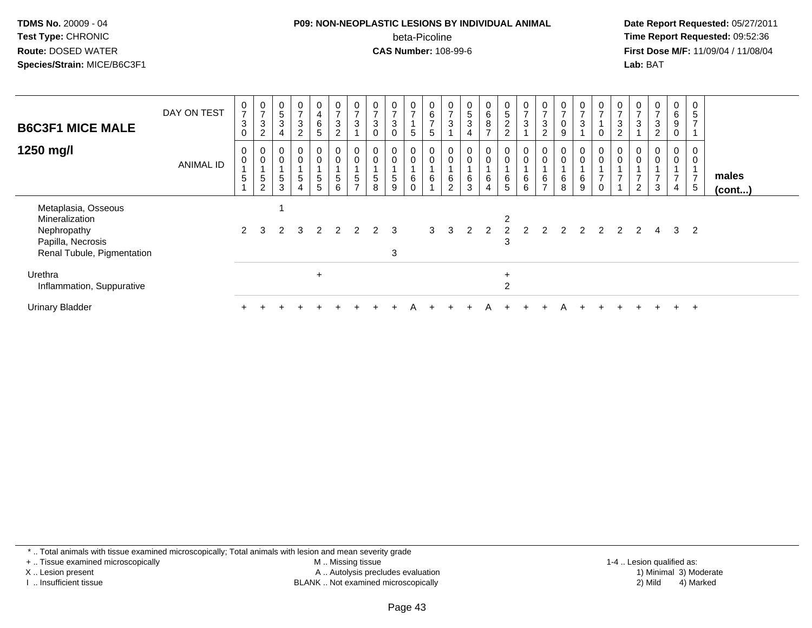#### **P09: NON-NEOPLASTIC LESIONS BY INDIVIDUAL ANIMAL** beta-Picoline**beta-Picoline**<br> **CAS Number:** 108-99-6<br> **CAS Number:** 108-99-6<br> **CAS Number:** 108-99-6

 **Date Report Requested:** 05/27/2011 **First Dose M/F:** 11/09/04 / 11/08/04<br>**Lab:** BAT **Lab:** BAT

| <b>B6C3F1 MICE MALE</b>                                                                                 | DAY ON TEST      | $\boldsymbol{0}$<br>$\overline{7}$<br>3 | $\frac{0}{7}$<br>$\ensuremath{\mathsf{3}}$<br>2 | $\begin{array}{c} 0 \\ 5 \end{array}$<br>$\ensuremath{\mathsf{3}}$ | $\frac{0}{7}$<br>$\ensuremath{\mathsf{3}}$<br>2         | $\begin{smallmatrix}0\0\4\end{smallmatrix}$<br>$\,6\,$<br>$5\phantom{.0}$ | $\frac{0}{7}$<br>$\frac{3}{2}$                                  | $\mathbf 0$<br>$\overline{ }$<br>3                          | $\frac{0}{7}$<br>$\sqrt{3}$            | $\frac{0}{7}$<br>$\sqrt{3}$ | $\frac{0}{7}$<br>5                           | $\begin{array}{c} 0 \\ 6 \\ 7 \end{array}$<br>5 | $\frac{0}{7}$<br>3             | $\begin{array}{c} 0 \\ 5 \\ 3 \end{array}$     | $\begin{matrix}0\\6\\8\end{matrix}$<br>$\overline{ }$ | $\begin{array}{c} 0 \\ 5 \end{array}$<br>$\overline{a}$<br>$\overline{2}$ | $\frac{0}{7}$<br>$\mathbf{3}$            | $\frac{0}{7}$<br>$\sqrt{3}$<br>$\overline{2}$         | $\overline{7}$<br>$\pmb{0}$<br>9           | $\frac{0}{7}$<br>$\mathbf{3}$ | $\frac{0}{7}$                 | $\frac{0}{7}$<br>$\ensuremath{\mathsf{3}}$<br>$\overline{2}$ | $\frac{0}{7}$<br>$\mathbf{3}$                          | $\frac{0}{7}$<br>$\sqrt{3}$<br>$\overline{2}$ | $\mathbf 0$<br>6<br>9                      | 0<br>$\sqrt{5}$<br>$\overline{7}$ |                 |
|---------------------------------------------------------------------------------------------------------|------------------|-----------------------------------------|-------------------------------------------------|--------------------------------------------------------------------|---------------------------------------------------------|---------------------------------------------------------------------------|-----------------------------------------------------------------|-------------------------------------------------------------|----------------------------------------|-----------------------------|----------------------------------------------|-------------------------------------------------|--------------------------------|------------------------------------------------|-------------------------------------------------------|---------------------------------------------------------------------------|------------------------------------------|-------------------------------------------------------|--------------------------------------------|-------------------------------|-------------------------------|--------------------------------------------------------------|--------------------------------------------------------|-----------------------------------------------|--------------------------------------------|-----------------------------------|-----------------|
| 1250 mg/l                                                                                               | <b>ANIMAL ID</b> | 0<br>$\mathbf 0$<br>5                   | 0<br>$\pmb{0}$<br>$\,$ 5 $\,$<br>$\overline{2}$ | $\boldsymbol{0}$<br>$\mathbf 0$<br>$\,$ 5 $\,$<br>3                | $\pmb{0}$<br>$\pmb{0}$<br>$\,$ 5 $\,$<br>$\overline{4}$ | $\mathbf 0$<br>$\mathsf{O}\xspace$<br>$\frac{5}{5}$                       | $\begin{smallmatrix} 0\\0 \end{smallmatrix}$<br>$\sqrt{5}$<br>6 | $\mathbf 0$<br>$\pmb{0}$<br>$\overline{5}$<br>$\rightarrow$ | $_{\rm 0}^{\rm 0}$<br>$\mathbf 5$<br>8 | 0<br>0<br>5<br>9            | 0<br>$\mathsf{O}\xspace$<br>6<br>$\mathbf 0$ | $\pmb{0}$<br>$\mathsf 0$<br>$\,6\,$             | 0<br>$\mathbf 0$<br>$\,6$<br>2 | $\begin{matrix} 0 \\ 0 \end{matrix}$<br>6<br>3 | $_0^0$<br>6<br>4                                      | 0<br>0<br>$\begin{array}{c} 6 \\ 5 \end{array}$                           | $_{\rm 0}^{\rm 0}$<br>$\,6\,$<br>$\,6\,$ | $\pmb{0}$<br>$\mathsf 0$<br>$\,6\,$<br>$\overline{ }$ | $\mathbf 0$<br>$\mathbf 0$<br>$\,6\,$<br>8 | 0<br>0<br>6<br>9              | $_0^0$<br>$\overline{7}$<br>0 | 0<br>$\mathbf 0$                                             | $_{\rm 0}^{\rm 0}$<br>$\overline{ }$<br>$\overline{2}$ | $_{\rm 0}^{\rm 0}$<br>$\overline{ }$<br>3     | $\overline{0}$<br>0<br>$\overline{ }$<br>4 | 0<br>$\overline{ }$<br>$\sqrt{5}$ | males<br>(cont) |
| Metaplasia, Osseous<br>Mineralization<br>Nephropathy<br>Papilla, Necrosis<br>Renal Tubule, Pigmentation |                  | $\overline{2}$                          | -3                                              | 2                                                                  | 3                                                       |                                                                           |                                                                 |                                                             | 2 2 2 2 3                              | 3                           |                                              | $\mathbf{3}$                                    | - 3                            | $\mathcal{P}$                                  | $\overline{2}$                                        | 2<br>$\mathcal{P}$<br>3                                                   |                                          | $\mathcal{P}$                                         | $\mathcal{P}$                              | $\mathcal{P}$                 |                               | $2\quad 2\quad 2$                                            |                                                        | $\overline{4}$                                | $3\quad 2$                                 |                                   |                 |
| Urethra<br>Inflammation, Suppurative                                                                    |                  |                                         |                                                 |                                                                    |                                                         | $+$                                                                       |                                                                 |                                                             |                                        |                             |                                              |                                                 |                                |                                                |                                                       | $\ddot{}$<br>2                                                            |                                          |                                                       |                                            |                               |                               |                                                              |                                                        |                                               |                                            |                                   |                 |
| <b>Urinary Bladder</b>                                                                                  |                  |                                         |                                                 |                                                                    |                                                         |                                                                           |                                                                 |                                                             |                                        |                             |                                              |                                                 |                                |                                                | А                                                     |                                                                           |                                          |                                                       |                                            |                               |                               |                                                              |                                                        |                                               |                                            | $\div$                            |                 |

\* .. Total animals with tissue examined microscopically; Total animals with lesion and mean severity grade

+ .. Tissue examined microscopically

X .. Lesion present

I .. Insufficient tissue

 M .. Missing tissueA .. Autolysis precludes evaluation

BLANK .. Not examined microscopically 2) Mild 4) Marked

1-4 .. Lesion qualified as: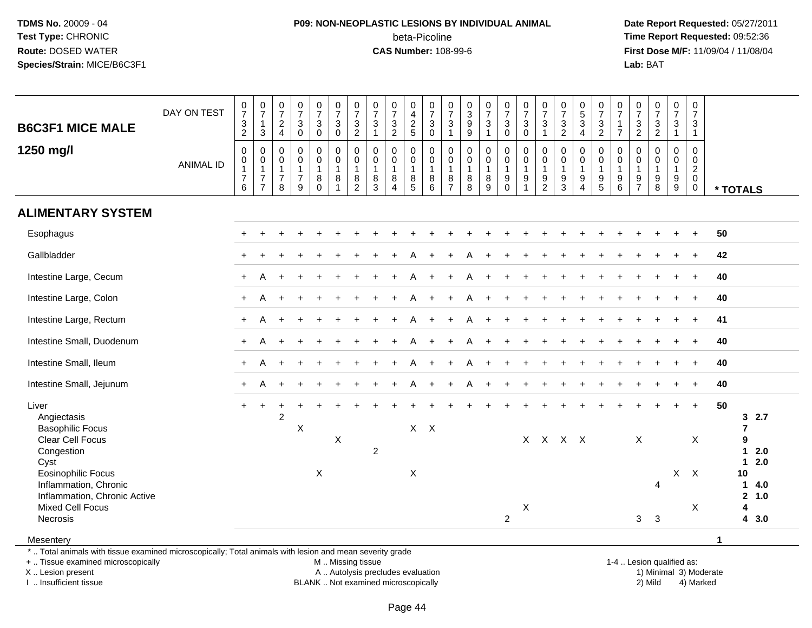## **P09: NON-NEOPLASTIC LESIONS BY INDIVIDUAL ANIMAL**beta-Picoline<br>CAS Number: 108-99-6

 **Date Report Requested:** 05/27/2011 **Time Report Requested:** 09:52:36 **First Dose M/F:** 11/09/04 / 11/08/04<br>**Lab:** BAT **Lab:** BAT

| <b>B6C3F1 MICE MALE</b><br>1250 mg/l                                                                                                                                | DAY ON TEST<br><b>ANIMAL ID</b> | $\begin{smallmatrix}0\\7\end{smallmatrix}$<br>$\frac{3}{2}$<br>$\pmb{0}$<br>$\mathbf 0$ | $\frac{0}{7}$<br>$\mathbf{1}$<br>$\mathbf{3}$<br>0<br>$\mathbf 0$ | $\begin{array}{c} 0 \\ 7 \end{array}$<br>$\frac{2}{4}$<br>0<br>$\mathbf 0$ | $\begin{array}{c} 0 \\ 7 \end{array}$<br>$\mathbf{3}$<br>$\mathbf 0$<br>$\mathbf 0$<br>$\mathbf 0$ | $\frac{0}{7}$<br>$\mathbf{3}$<br>$\mathsf 0$<br>$\pmb{0}$<br>$\mathbf 0$ | $\frac{0}{7}$<br>3<br>$\mathbf 0$<br>0<br>$\mathbf 0$ | $\frac{0}{7}$<br>$\frac{3}{2}$<br>$\pmb{0}$<br>$\pmb{0}$         | $\begin{array}{c} 0 \\ 7 \end{array}$<br>$\mathbf{3}$<br>$\mathbf{1}$<br>0<br>$\mathbf 0$ | $\begin{array}{c} 0 \\ 7 \end{array}$<br>$\sqrt{3}$<br>$\overline{2}$<br>$\Omega$<br>$\mathbf 0$ | $\pmb{0}$<br>$\overline{4}$<br>$\frac{2}{5}$<br>$\mathbf 0$<br>$\mathbf 0$ | $\begin{array}{c} 0 \\ 7 \end{array}$<br>$\ensuremath{\mathsf{3}}$<br>$\overline{0}$<br>$\mathbf 0$<br>$\mathbf 0$ | $\frac{0}{7}$<br>$\sqrt{3}$<br>$\mathbf{1}$<br>$\mathbf 0$<br>$\mathsf 0$ | $\begin{array}{c} 0 \\ 3 \\ 9 \end{array}$<br>$\mathbf 0$<br>$\mathbf 0$ | $\frac{0}{7}$<br>$\sqrt{3}$<br>$\overline{1}$<br>$\mathbf 0$<br>$\mathbf 0$ | $\frac{0}{7}$<br>3<br>$\pmb{0}$<br>0<br>$\mathbf 0$ | $\frac{0}{7}$<br>$_{0}^{3}$<br>$\pmb{0}$<br>$\mathsf{O}\xspace$ | $\begin{array}{c} 0 \\ 7 \end{array}$<br>$\mathbf{3}$<br>$\mathbf{1}$<br>$\mathbf 0$<br>$\mathbf 0$ | $\frac{0}{7}$<br>$\sqrt{3}$<br>$\overline{2}$<br>$\Omega$<br>$\mathbf 0$ | $\begin{smallmatrix}0\5\3\end{smallmatrix}$<br>$\overline{4}$<br>$\mathbf 0$<br>$\mathbf 0$ | $\frac{0}{7}$<br>$\frac{3}{2}$<br>0<br>$\mathbf 0$ | $\begin{array}{c} 0 \\ 7 \end{array}$<br>$\overline{1}$<br>$\overline{7}$<br>$\mathbf 0$<br>$\mathbf 0$ | 0<br>$\overline{7}$<br>$\mathbf{3}$<br>$\overline{2}$<br>$\Omega$<br>$\mathbf 0$ | $\frac{0}{7}$<br>$\frac{3}{2}$<br>$\Omega$<br>$\mathbf 0$ | $\frac{0}{7}$<br>$\frac{3}{1}$<br>$\mathbf 0$<br>$\mathbf 0$ | $\begin{smallmatrix} 0\\7 \end{smallmatrix}$<br>$\frac{3}{1}$<br>$\overline{0}$<br>$\mathbf 0$ |                                                 |
|---------------------------------------------------------------------------------------------------------------------------------------------------------------------|---------------------------------|-----------------------------------------------------------------------------------------|-------------------------------------------------------------------|----------------------------------------------------------------------------|----------------------------------------------------------------------------------------------------|--------------------------------------------------------------------------|-------------------------------------------------------|------------------------------------------------------------------|-------------------------------------------------------------------------------------------|--------------------------------------------------------------------------------------------------|----------------------------------------------------------------------------|--------------------------------------------------------------------------------------------------------------------|---------------------------------------------------------------------------|--------------------------------------------------------------------------|-----------------------------------------------------------------------------|-----------------------------------------------------|-----------------------------------------------------------------|-----------------------------------------------------------------------------------------------------|--------------------------------------------------------------------------|---------------------------------------------------------------------------------------------|----------------------------------------------------|---------------------------------------------------------------------------------------------------------|----------------------------------------------------------------------------------|-----------------------------------------------------------|--------------------------------------------------------------|------------------------------------------------------------------------------------------------|-------------------------------------------------|
|                                                                                                                                                                     |                                 | $\mathbf{1}$<br>$\boldsymbol{7}$<br>$6\phantom{1}6$                                     | $\mathbf{1}$<br>$\overline{7}$<br>$\overline{7}$                  | 1<br>$\overline{7}$<br>8                                                   | $\mathbf{1}$<br>$\boldsymbol{7}$<br>9                                                              | $\mathbf{1}$<br>8<br>$\Omega$                                            | 1<br>8                                                | $\overline{1}$<br>$\begin{smallmatrix} 8 \\ 2 \end{smallmatrix}$ | $\overline{1}$<br>8<br>3                                                                  | $\mathbf{1}$<br>$\, 8$<br>$\overline{4}$                                                         | 8<br>$\overline{5}$                                                        | $\mathbf{1}$<br>8<br>$\overline{6}$                                                                                | $\mathbf{1}$<br>$\frac{8}{7}$                                             | $\mathbf{1}$<br>$_{8}^8$                                                 | $\mathbf{1}$<br>$\bf 8$<br>9                                                | 1<br>$\boldsymbol{9}$<br>$\bar{0}$                  | $\mathbf{1}$<br>$\frac{9}{1}$                                   | $\mathbf{1}$<br>$\frac{9}{2}$                                                                       | $\frac{9}{3}$                                                            | $\mathbf{1}$<br>$\boldsymbol{9}$<br>$\overline{4}$                                          | $\overline{1}$<br>9<br>$\overline{5}$              | $\overline{1}$<br>$\boldsymbol{9}$<br>6                                                                 | $\mathbf{1}$<br>9<br>$\overline{7}$                                              | $\overline{1}$<br>$\boldsymbol{9}$<br>$\overline{8}$      | $\mathbf{1}$<br>$\boldsymbol{9}$<br>$\overline{9}$           | $^2_{\rm 0}$<br>$\mathbf 0$                                                                    | * TOTALS                                        |
| <b>ALIMENTARY SYSTEM</b>                                                                                                                                            |                                 |                                                                                         |                                                                   |                                                                            |                                                                                                    |                                                                          |                                                       |                                                                  |                                                                                           |                                                                                                  |                                                                            |                                                                                                                    |                                                                           |                                                                          |                                                                             |                                                     |                                                                 |                                                                                                     |                                                                          |                                                                                             |                                                    |                                                                                                         |                                                                                  |                                                           |                                                              |                                                                                                |                                                 |
| Esophagus                                                                                                                                                           |                                 | $\pm$                                                                                   |                                                                   |                                                                            |                                                                                                    |                                                                          |                                                       |                                                                  |                                                                                           |                                                                                                  |                                                                            |                                                                                                                    |                                                                           |                                                                          |                                                                             |                                                     |                                                                 |                                                                                                     |                                                                          |                                                                                             |                                                    |                                                                                                         |                                                                                  |                                                           |                                                              | $+$                                                                                            | 50                                              |
| Gallbladder                                                                                                                                                         |                                 |                                                                                         |                                                                   |                                                                            |                                                                                                    |                                                                          |                                                       |                                                                  |                                                                                           |                                                                                                  |                                                                            |                                                                                                                    |                                                                           |                                                                          |                                                                             |                                                     |                                                                 |                                                                                                     |                                                                          |                                                                                             |                                                    |                                                                                                         |                                                                                  |                                                           |                                                              | $+$                                                                                            | 42                                              |
| Intestine Large, Cecum                                                                                                                                              |                                 | $\ddot{}$                                                                               |                                                                   |                                                                            |                                                                                                    |                                                                          |                                                       |                                                                  |                                                                                           |                                                                                                  |                                                                            |                                                                                                                    |                                                                           |                                                                          |                                                                             |                                                     |                                                                 |                                                                                                     |                                                                          |                                                                                             |                                                    |                                                                                                         |                                                                                  |                                                           |                                                              | $\ddot{}$                                                                                      | 40                                              |
| Intestine Large, Colon                                                                                                                                              |                                 | $\pm$                                                                                   | A                                                                 |                                                                            |                                                                                                    |                                                                          |                                                       |                                                                  |                                                                                           |                                                                                                  |                                                                            |                                                                                                                    |                                                                           | A                                                                        |                                                                             |                                                     |                                                                 |                                                                                                     |                                                                          |                                                                                             |                                                    |                                                                                                         |                                                                                  |                                                           |                                                              |                                                                                                | 40                                              |
| Intestine Large, Rectum                                                                                                                                             |                                 |                                                                                         | A                                                                 |                                                                            |                                                                                                    |                                                                          |                                                       |                                                                  |                                                                                           |                                                                                                  |                                                                            |                                                                                                                    |                                                                           |                                                                          |                                                                             |                                                     |                                                                 |                                                                                                     |                                                                          |                                                                                             |                                                    |                                                                                                         |                                                                                  |                                                           |                                                              | $\ddot{}$                                                                                      | 41                                              |
| Intestine Small, Duodenum                                                                                                                                           |                                 | $+$                                                                                     | A                                                                 |                                                                            |                                                                                                    |                                                                          |                                                       |                                                                  |                                                                                           |                                                                                                  |                                                                            | $\ddot{}$                                                                                                          | $\ddot{}$                                                                 |                                                                          |                                                                             |                                                     |                                                                 |                                                                                                     |                                                                          |                                                                                             |                                                    |                                                                                                         |                                                                                  |                                                           | $\ddot{}$                                                    | $+$                                                                                            | 40                                              |
| Intestine Small, Ileum                                                                                                                                              |                                 | $+$                                                                                     | A                                                                 | $\ddot{}$                                                                  |                                                                                                    | $\div$                                                                   |                                                       |                                                                  |                                                                                           |                                                                                                  | A                                                                          | $\ddot{}$                                                                                                          | $\ddot{}$                                                                 | A                                                                        | $\ddot{}$                                                                   | $\ddot{}$                                           |                                                                 |                                                                                                     |                                                                          |                                                                                             |                                                    |                                                                                                         |                                                                                  |                                                           | $\ddot{}$                                                    | $+$                                                                                            | 40                                              |
| Intestine Small, Jejunum                                                                                                                                            |                                 | $\ddot{}$                                                                               | A                                                                 |                                                                            |                                                                                                    |                                                                          |                                                       |                                                                  |                                                                                           |                                                                                                  |                                                                            |                                                                                                                    |                                                                           |                                                                          |                                                                             |                                                     |                                                                 |                                                                                                     |                                                                          |                                                                                             |                                                    |                                                                                                         |                                                                                  |                                                           |                                                              |                                                                                                | 40                                              |
| Liver<br>Angiectasis<br><b>Basophilic Focus</b>                                                                                                                     |                                 | $+$                                                                                     | $\ddot{}$                                                         | $\overline{2}$                                                             | X                                                                                                  |                                                                          |                                                       |                                                                  |                                                                                           |                                                                                                  |                                                                            | $X$ $X$                                                                                                            |                                                                           |                                                                          |                                                                             |                                                     |                                                                 |                                                                                                     |                                                                          |                                                                                             |                                                    |                                                                                                         |                                                                                  |                                                           |                                                              | $\ddot{+}$                                                                                     | 50<br>3<br>2.7<br>$\overline{\mathbf{r}}$       |
| Clear Cell Focus<br>Congestion<br>Cyst                                                                                                                              |                                 |                                                                                         |                                                                   |                                                                            |                                                                                                    |                                                                          | X                                                     |                                                                  | $\overline{2}$                                                                            |                                                                                                  |                                                                            |                                                                                                                    |                                                                           |                                                                          |                                                                             |                                                     |                                                                 |                                                                                                     | X X X X                                                                  |                                                                                             |                                                    |                                                                                                         | X                                                                                |                                                           |                                                              | X                                                                                              | 9<br>$\mathbf{1}$<br>2.0<br>2.0<br>$\mathbf{1}$ |
| <b>Eosinophilic Focus</b><br>Inflammation, Chronic<br>Inflammation, Chronic Active                                                                                  |                                 |                                                                                         |                                                                   |                                                                            |                                                                                                    | X                                                                        |                                                       |                                                                  |                                                                                           |                                                                                                  | X                                                                          |                                                                                                                    |                                                                           |                                                                          |                                                                             |                                                     |                                                                 |                                                                                                     |                                                                          |                                                                                             |                                                    |                                                                                                         |                                                                                  | $\overline{4}$                                            | X                                                            | $\mathsf{X}$                                                                                   | 10<br>4.0<br>-1<br>$\mathbf{2}$<br>1.0          |
| <b>Mixed Cell Focus</b><br>Necrosis                                                                                                                                 |                                 |                                                                                         |                                                                   |                                                                            |                                                                                                    |                                                                          |                                                       |                                                                  |                                                                                           |                                                                                                  |                                                                            |                                                                                                                    |                                                                           |                                                                          |                                                                             | $\overline{2}$                                      | X                                                               |                                                                                                     |                                                                          |                                                                                             |                                                    |                                                                                                         | $\mathbf{3}$                                                                     | 3                                                         |                                                              | X                                                                                              | 4<br>4 3.0                                      |
| Mesentery                                                                                                                                                           |                                 |                                                                                         |                                                                   |                                                                            |                                                                                                    |                                                                          |                                                       |                                                                  |                                                                                           |                                                                                                  |                                                                            |                                                                                                                    |                                                                           |                                                                          |                                                                             |                                                     |                                                                 |                                                                                                     |                                                                          |                                                                                             |                                                    |                                                                                                         |                                                                                  |                                                           |                                                              |                                                                                                | $\blacktriangleleft$                            |
| *  Total animals with tissue examined microscopically; Total animals with lesion and mean severity grade<br>+  Tissue examined microscopically<br>X  Lesion present |                                 |                                                                                         |                                                                   |                                                                            |                                                                                                    |                                                                          | M  Missing tissue                                     |                                                                  |                                                                                           | A  Autolysis precludes evaluation                                                                |                                                                            |                                                                                                                    |                                                                           |                                                                          |                                                                             |                                                     |                                                                 |                                                                                                     |                                                                          |                                                                                             |                                                    |                                                                                                         |                                                                                  | 1-4  Lesion qualified as:                                 |                                                              | 1) Minimal 3) Moderate                                                                         |                                                 |

I .. Insufficient tissue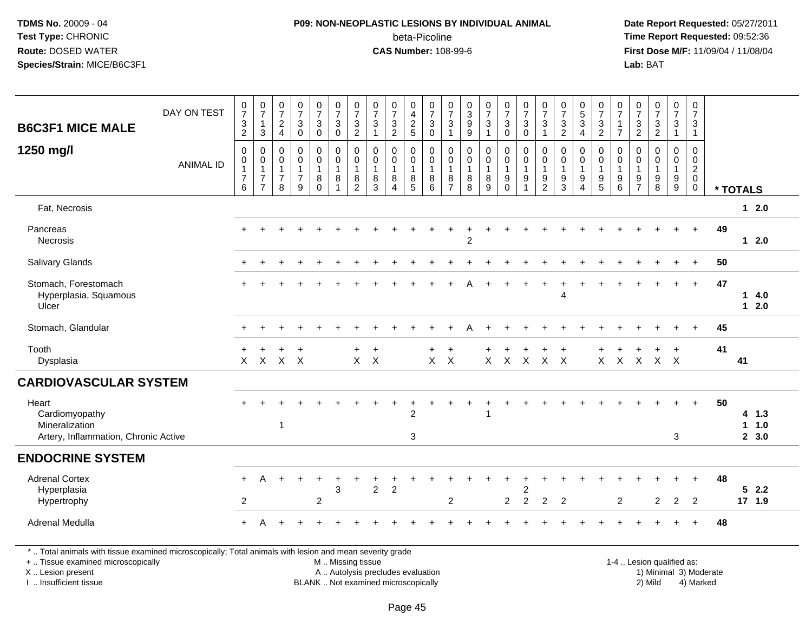### **P09: NON-NEOPLASTIC LESIONS BY INDIVIDUAL ANIMAL**beta-Picoline<br>CAS Number: 108-99-6

 **Date Report Requested:** 05/27/2011 **Time Report Requested:** 09:52:36 **First Dose M/F:** 11/09/04 / 11/08/04<br>**Lab:** BAT **Lab:** BAT

| <b>B6C3F1 MICE MALE</b>                                                                                                                                             | DAY ON TEST      | $\frac{0}{7}$<br>$\frac{3}{2}$                                          | $\frac{0}{7}$<br>$\mathbf{1}$<br>$\mathbf{3}$                        | $\frac{0}{7}$<br>$\frac{2}{4}$                                    | $\begin{smallmatrix}0\\7\end{smallmatrix}$<br>$\ensuremath{\mathsf{3}}$<br>$\mathbf 0$ | $\frac{0}{7}$<br>3<br>$\mathbf 0$         | $\frac{0}{7}$<br>$_0^3$                                             | $\frac{0}{7}$<br>$\frac{3}{2}$                                    | 0<br>$\overline{7}$<br>$\mathbf{3}$<br>$\mathbf{1}$ | $\frac{0}{7}$<br>$\frac{3}{2}$                                    | 0<br>$\overline{4}$<br>$\frac{2}{5}$                | $\frac{0}{7}$<br>$\mathsf 3$<br>$\mathbf 0$                     | 0<br>$\overline{7}$<br>3<br>$\mathbf{1}$               | 0<br>$\overline{3}$<br>9<br>9                          | $\frac{0}{7}$<br>$\mathbf{3}$<br>$\mathbf{1}$ | $\frac{0}{7}$<br>3<br>$\mathbf 0$                    | $\frac{0}{7}$<br>$\ensuremath{\mathsf{3}}$<br>$\mathbf 0$                          | $\frac{0}{7}$<br>3<br>$\mathbf{1}$                                    | $\frac{0}{7}$<br>$\frac{3}{2}$                                      | $\begin{smallmatrix}0\0\5\end{smallmatrix}$<br>3<br>4 | $\frac{0}{7}$<br>$\frac{3}{2}$                                                    | $\frac{0}{7}$<br>$\overline{7}$                           | $\frac{0}{7}$<br>$\frac{3}{2}$                                            | $\begin{smallmatrix}0\\7\end{smallmatrix}$<br>$\frac{3}{2}$ | $\frac{0}{7}$<br>3<br>$\mathbf{1}$                                                 | 0<br>$\boldsymbol{7}$<br>3<br>$\mathbf{1}$                 |                        |             |                          |
|---------------------------------------------------------------------------------------------------------------------------------------------------------------------|------------------|-------------------------------------------------------------------------|----------------------------------------------------------------------|-------------------------------------------------------------------|----------------------------------------------------------------------------------------|-------------------------------------------|---------------------------------------------------------------------|-------------------------------------------------------------------|-----------------------------------------------------|-------------------------------------------------------------------|-----------------------------------------------------|-----------------------------------------------------------------|--------------------------------------------------------|--------------------------------------------------------|-----------------------------------------------|------------------------------------------------------|------------------------------------------------------------------------------------|-----------------------------------------------------------------------|---------------------------------------------------------------------|-------------------------------------------------------|-----------------------------------------------------------------------------------|-----------------------------------------------------------|---------------------------------------------------------------------------|-------------------------------------------------------------|------------------------------------------------------------------------------------|------------------------------------------------------------|------------------------|-------------|--------------------------|
| 1250 mg/l                                                                                                                                                           | <b>ANIMAL ID</b> | $\pmb{0}$<br>$\mathsf{O}\xspace$<br>$\mathbf{1}$<br>$\overline{7}$<br>6 | 0<br>$\mathsf 0$<br>$\mathbf{1}$<br>$\overline{7}$<br>$\overline{7}$ | $\mathbf 0$<br>$\mathbf 0$<br>$\mathbf{1}$<br>$\overline{7}$<br>8 | $\mathbf 0$<br>$\mathbf 0$<br>$\mathbf{1}$<br>$\overline{7}$<br>9                      | 0<br>$\mathbf 0$<br>1<br>8<br>$\mathbf 0$ | 0<br>$\mathsf{O}\xspace$<br>$\mathbf{1}$<br>$\,8\,$<br>$\mathbf{1}$ | $\mathbf 0$<br>$\mathbf 0$<br>$\mathbf{1}$<br>8<br>$\overline{2}$ | $\mathbf 0$<br>$\mathbf 0$<br>$\mathbf 1$<br>8<br>3 | $\mathbf 0$<br>$\mathbf 0$<br>$\mathbf{1}$<br>8<br>$\overline{4}$ | 0<br>$\mathbf 0$<br>$\mathbf{1}$<br>8<br>$\sqrt{5}$ | $\mathbf 0$<br>$\mathbf 0$<br>$\mathbf{1}$<br>$\, 8$<br>$\,6\,$ | $\mathbf 0$<br>$\mathbf 0$<br>1<br>8<br>$\overline{7}$ | $\mathbf 0$<br>$\mathbf 0$<br>$\overline{1}$<br>8<br>8 | 0<br>$\mathbf 0$<br>1<br>8<br>9               | 0<br>$\mathbf 0$<br>$\mathbf{1}$<br>9<br>$\mathbf 0$ | $\mathbf 0$<br>$\mathbf 0$<br>$\overline{1}$<br>$\boldsymbol{9}$<br>$\overline{1}$ | $\mathbf 0$<br>$\mathbf 0$<br>$\mathbf{1}$<br>$9\,$<br>$\overline{c}$ | $\mathbf 0$<br>$\mathbf 0$<br>$\mathbf{1}$<br>$\boldsymbol{9}$<br>3 | 0<br>$\mathbf 0$<br>9<br>4                            | $\mathbf 0$<br>$\mathbf 0$<br>$\mathbf{1}$<br>$\boldsymbol{9}$<br>$5\phantom{.0}$ | $\mathbf 0$<br>$\mathbf 0$<br>$\mathbf 1$<br>9<br>$\,6\,$ | $\mathbf 0$<br>$\Omega$<br>$\overline{\mathbf{1}}$<br>9<br>$\overline{7}$ | $\mathbf 0$<br>$\Omega$<br>$\mathbf{1}$<br>9<br>8           | $\mathbf 0$<br>$\mathbf 0$<br>$\mathbf{1}$<br>$\boldsymbol{9}$<br>$\boldsymbol{9}$ | $\mathsf 0$<br>$\mathbf 0$<br>$\frac{2}{0}$<br>$\mathbf 0$ |                        | * TOTALS    |                          |
| Fat, Necrosis                                                                                                                                                       |                  |                                                                         |                                                                      |                                                                   |                                                                                        |                                           |                                                                     |                                                                   |                                                     |                                                                   |                                                     |                                                                 |                                                        |                                                        |                                               |                                                      |                                                                                    |                                                                       |                                                                     |                                                       |                                                                                   |                                                           |                                                                           |                                                             |                                                                                    |                                                            |                        |             | $12.0$                   |
| Pancreas<br><b>Necrosis</b>                                                                                                                                         |                  |                                                                         |                                                                      |                                                                   |                                                                                        |                                           |                                                                     |                                                                   |                                                     |                                                                   |                                                     |                                                                 |                                                        | $\overline{2}$                                         |                                               |                                                      |                                                                                    |                                                                       |                                                                     |                                                       |                                                                                   |                                                           |                                                                           |                                                             |                                                                                    |                                                            | 49                     |             | $12.0$                   |
| Salivary Glands                                                                                                                                                     |                  |                                                                         |                                                                      |                                                                   |                                                                                        |                                           |                                                                     |                                                                   |                                                     |                                                                   |                                                     |                                                                 |                                                        |                                                        |                                               |                                                      |                                                                                    |                                                                       |                                                                     |                                                       |                                                                                   |                                                           |                                                                           |                                                             |                                                                                    |                                                            | 50                     |             |                          |
| Stomach, Forestomach<br>Hyperplasia, Squamous<br>Ulcer                                                                                                              |                  |                                                                         |                                                                      |                                                                   |                                                                                        |                                           |                                                                     |                                                                   |                                                     |                                                                   |                                                     |                                                                 |                                                        |                                                        |                                               |                                                      |                                                                                    |                                                                       |                                                                     |                                                       |                                                                                   |                                                           |                                                                           |                                                             |                                                                                    | $\ddot{}$                                                  | 47                     |             | 14.0<br>$12.0$           |
| Stomach, Glandular                                                                                                                                                  |                  |                                                                         |                                                                      |                                                                   |                                                                                        |                                           |                                                                     |                                                                   |                                                     |                                                                   |                                                     |                                                                 |                                                        |                                                        |                                               |                                                      |                                                                                    |                                                                       |                                                                     |                                                       |                                                                                   |                                                           |                                                                           |                                                             |                                                                                    |                                                            | 45                     |             |                          |
| Tooth<br>Dysplasia                                                                                                                                                  |                  |                                                                         | +<br>X X X X                                                         | +                                                                 | $\ddot{}$                                                                              |                                           |                                                                     | $\ddot{}$                                                         | $\ddot{}$<br>$X$ $X$                                |                                                                   |                                                     |                                                                 | $\ddot{}$<br>$X$ $X$                                   |                                                        | $+$                                           |                                                      | X X X X X                                                                          | $\ddot{}$                                                             | $\ddot{}$                                                           |                                                       |                                                                                   |                                                           |                                                                           | ÷<br>X X X X X                                              | $\overline{+}$                                                                     |                                                            | 41                     | 41          |                          |
| <b>CARDIOVASCULAR SYSTEM</b>                                                                                                                                        |                  |                                                                         |                                                                      |                                                                   |                                                                                        |                                           |                                                                     |                                                                   |                                                     |                                                                   |                                                     |                                                                 |                                                        |                                                        |                                               |                                                      |                                                                                    |                                                                       |                                                                     |                                                       |                                                                                   |                                                           |                                                                           |                                                             |                                                                                    |                                                            |                        |             |                          |
| Heart<br>Cardiomyopathy<br>Mineralization<br>Artery, Inflammation, Chronic Active                                                                                   |                  |                                                                         |                                                                      | 1                                                                 |                                                                                        |                                           |                                                                     |                                                                   |                                                     |                                                                   | $\overline{c}$<br>3                                 |                                                                 |                                                        |                                                        | -1                                            |                                                      |                                                                                    |                                                                       |                                                                     |                                                       |                                                                                   |                                                           |                                                                           |                                                             | 3                                                                                  |                                                            | 50                     | $\mathbf 1$ | $4$ 1.3<br>1.0<br>2, 3.0 |
| <b>ENDOCRINE SYSTEM</b>                                                                                                                                             |                  |                                                                         |                                                                      |                                                                   |                                                                                        |                                           |                                                                     |                                                                   |                                                     |                                                                   |                                                     |                                                                 |                                                        |                                                        |                                               |                                                      |                                                                                    |                                                                       |                                                                     |                                                       |                                                                                   |                                                           |                                                                           |                                                             |                                                                                    |                                                            |                        |             |                          |
| <b>Adrenal Cortex</b><br>Hyperplasia<br>Hypertrophy                                                                                                                 |                  | $+$<br>2                                                                | A                                                                    |                                                                   | $\div$                                                                                 | $\ddot{}$<br>2                            | 3                                                                   |                                                                   | $\overline{2}$                                      | $\overline{2}$                                                    |                                                     |                                                                 | 2                                                      |                                                        |                                               | $\overline{2}$                                       | 2<br>$\overline{2}$                                                                | $\overline{c}$                                                        | $\overline{2}$                                                      |                                                       |                                                                                   | $\overline{2}$                                            |                                                                           | $\overline{2}$                                              | 2                                                                                  | $\overline{2}$                                             | 48                     |             | 52.2<br>17 1.9           |
| Adrenal Medulla                                                                                                                                                     |                  | $+$                                                                     | A                                                                    |                                                                   |                                                                                        |                                           |                                                                     |                                                                   |                                                     |                                                                   |                                                     |                                                                 |                                                        |                                                        |                                               |                                                      |                                                                                    |                                                                       |                                                                     |                                                       |                                                                                   |                                                           |                                                                           |                                                             |                                                                                    |                                                            | 48                     |             |                          |
| *  Total animals with tissue examined microscopically; Total animals with lesion and mean severity grade<br>+  Tissue examined microscopically<br>X  Lesion present |                  |                                                                         |                                                                      |                                                                   |                                                                                        |                                           | M  Missing tissue<br>A  Autolysis precludes evaluation              |                                                                   |                                                     |                                                                   |                                                     |                                                                 |                                                        |                                                        |                                               |                                                      |                                                                                    |                                                                       |                                                                     |                                                       |                                                                                   |                                                           |                                                                           | 1-4  Lesion qualified as:                                   |                                                                                    |                                                            | 1) Minimal 3) Moderate |             |                          |

I .. Insufficient tissue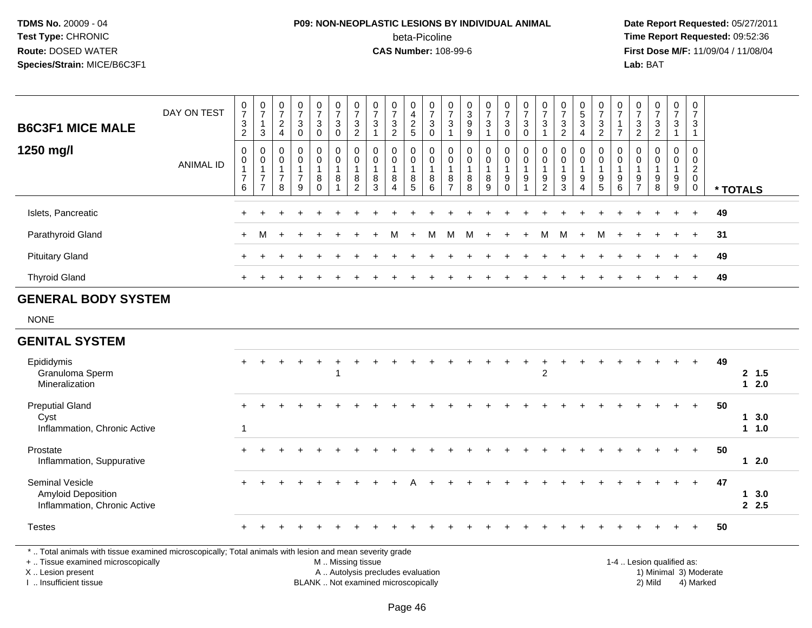#### **P09: NON-NEOPLASTIC LESIONS BY INDIVIDUAL ANIMAL** beta-Picoline**beta-Picoline**<br> **CAS Number:** 108-99-6<br> **CAS Number:** 108-99-6<br> **CAS Number:** 108-99-6

 **Date Report Requested:** 05/27/2011 **First Dose M/F:** 11/09/04 / 11/08/04 Lab: BAT **Lab:** BAT

| <b>B6C3F1 MICE MALE</b>                                        | DAY ON TEST      | $\begin{smallmatrix}0\\7\end{smallmatrix}$<br>$\mathsf 3$<br>$\overline{2}$ | $\begin{array}{c} 0 \\ 7 \end{array}$<br>$\mathbf{1}$<br>$\mathbf{3}$      | $\pmb{0}$<br>$\boldsymbol{7}$<br>$\sqrt{2}$<br>$\overline{4}$ | $\begin{smallmatrix}0\\7\end{smallmatrix}$<br>$\mathbf{3}$<br>$\pmb{0}$ | $\frac{0}{7}$<br>3<br>$\mathbf 0$                            | $\begin{array}{c} 0 \\ 7 \\ 3 \end{array}$<br>$\pmb{0}$                                | $\frac{0}{7}$<br>$\sqrt{3}$<br>$\overline{2}$                       | $\frac{0}{7}$<br>$\sqrt{3}$<br>$\overline{1}$              | $\begin{array}{c} 0 \\ 7 \\ 3 \end{array}$<br>$\overline{2}$ | $\begin{array}{c} 0 \\ 4 \\ 2 \\ 5 \end{array}$                 | $\begin{matrix}0\\7\end{matrix}$<br>3<br>$\mathsf 0$ | $\frac{0}{7}$<br>$\mathbf{3}$                         | $\begin{smallmatrix}0\3\9\end{smallmatrix}$<br>$\boldsymbol{9}$ | $\frac{0}{7}$<br>$\sqrt{3}$                            | $\frac{0}{7}$<br>$\mathsf 3$<br>$\mathbf 0$                                   | $\frac{0}{7}$<br>$\sqrt{3}$<br>$\mathbf 0$                                     | $\frac{0}{7}$<br>$\sqrt{3}$<br>$\mathbf{1}$           | $\frac{0}{7}$<br>$\sqrt{3}$<br>$\overline{c}$                   | $\begin{array}{c} 0 \\ 5 \\ 3 \end{array}$<br>$\overline{4}$                 | $\begin{array}{c} 0 \\ 7 \\ 3 \end{array}$<br>$\overline{2}$                      | $\frac{0}{7}$<br>$\mathbf{1}$<br>$\overline{7}$    | 0<br>$\boldsymbol{7}$<br>$\sqrt{3}$<br>$\sqrt{2}$ | $\begin{array}{c} 0 \\ 7 \\ 3 \end{array}$<br>$\overline{2}$              | $\frac{0}{7}$<br>$\mathfrak{Z}$<br>$\overline{1}$ | $\mathbf 0$<br>$\boldsymbol{7}$<br>$\ensuremath{\mathsf{3}}$<br>1              |    |                   |                  |
|----------------------------------------------------------------|------------------|-----------------------------------------------------------------------------|----------------------------------------------------------------------------|---------------------------------------------------------------|-------------------------------------------------------------------------|--------------------------------------------------------------|----------------------------------------------------------------------------------------|---------------------------------------------------------------------|------------------------------------------------------------|--------------------------------------------------------------|-----------------------------------------------------------------|------------------------------------------------------|-------------------------------------------------------|-----------------------------------------------------------------|--------------------------------------------------------|-------------------------------------------------------------------------------|--------------------------------------------------------------------------------|-------------------------------------------------------|-----------------------------------------------------------------|------------------------------------------------------------------------------|-----------------------------------------------------------------------------------|----------------------------------------------------|---------------------------------------------------|---------------------------------------------------------------------------|---------------------------------------------------|--------------------------------------------------------------------------------|----|-------------------|------------------|
| 1250 mg/l                                                      | <b>ANIMAL ID</b> | 0<br>$\pmb{0}$<br>$\overline{1}$<br>$\overline{7}$<br>6                     | $\pmb{0}$<br>$\pmb{0}$<br>$\mathbf{1}$<br>$\overline{7}$<br>$\overline{7}$ | 0<br>$\pmb{0}$<br>$\mathbf{1}$<br>$\overline{7}$<br>8         | $\pmb{0}$<br>$\pmb{0}$<br>$\mathbf{1}$<br>$\overline{7}$<br>9           | 0<br>$\mathsf{O}\xspace$<br>$\mathbf{1}$<br>8<br>$\mathbf 0$ | $\begin{smallmatrix}0\0\0\end{smallmatrix}$<br>$\mathbf{1}$<br>$\bf 8$<br>$\mathbf{1}$ | $\pmb{0}$<br>$\pmb{0}$<br>$\mathbf{1}$<br>$\bf 8$<br>$\overline{2}$ | $\mathbf 0$<br>$\pmb{0}$<br>$\overline{1}$<br>$\,8\,$<br>3 | $\mathbf 0$<br>$\pmb{0}$<br>$\mathbf{1}$<br>8<br>$\Delta$    | $\pmb{0}$<br>$\mathbf 0$<br>$\mathbf{1}$<br>8<br>$\overline{5}$ | $\pmb{0}$<br>$\mathsf 0$<br>$\mathbf{1}$<br>8<br>6   | 0<br>$\pmb{0}$<br>$\mathbf{1}$<br>8<br>$\overline{7}$ | 0<br>$\pmb{0}$<br>$\mathbf{1}$<br>$\bf 8$<br>8                  | $\pmb{0}$<br>$\pmb{0}$<br>$\mathbf{1}$<br>$\bf 8$<br>9 | 0<br>$\mathsf{O}\xspace$<br>$\overline{1}$<br>$\boldsymbol{9}$<br>$\mathbf 0$ | $\pmb{0}$<br>$\pmb{0}$<br>$\overline{1}$<br>$\boldsymbol{9}$<br>$\overline{1}$ | 0<br>$\pmb{0}$<br>$\mathbf{1}$<br>9<br>$\overline{2}$ | $\pmb{0}$<br>$\pmb{0}$<br>$\mathbf{1}$<br>$\boldsymbol{9}$<br>3 | 0<br>$\mathsf{O}\xspace$<br>$\mathbf{1}$<br>$9\,$<br>$\overline{\mathbf{4}}$ | 0<br>$\mathsf{O}\xspace$<br>$\mathbf{1}$<br>$\begin{array}{c} 9 \\ 5 \end{array}$ | $\pmb{0}$<br>$\mathbf 0$<br>$\mathbf{1}$<br>$^9_6$ | 0<br>0<br>$\mathbf{1}$<br>$\frac{9}{7}$           | $\mathbf 0$<br>$\mathbf 0$<br>$\mathbf{1}$<br>$\boldsymbol{9}$<br>$\,8\,$ | 0<br>$\pmb{0}$<br>$\mathbf{1}$<br>$9\,$<br>9      | $\mathbf 0$<br>$\mathsf{O}\xspace$<br>$\sqrt{2}$<br>$\mathbf 0$<br>$\mathbf 0$ |    | * TOTALS          |                  |
| Islets, Pancreatic                                             |                  | $\ddot{}$                                                                   |                                                                            |                                                               |                                                                         |                                                              |                                                                                        |                                                                     |                                                            |                                                              |                                                                 |                                                      |                                                       |                                                                 |                                                        |                                                                               |                                                                                |                                                       |                                                                 |                                                                              |                                                                                   |                                                    |                                                   |                                                                           |                                                   | $+$                                                                            | 49 |                   |                  |
| Parathyroid Gland                                              |                  | $+$                                                                         | М                                                                          | $\ddot{}$                                                     |                                                                         |                                                              |                                                                                        |                                                                     |                                                            | м                                                            | $+$                                                             | м                                                    | м                                                     | м                                                               | $\div$                                                 |                                                                               |                                                                                | M                                                     | M                                                               | $\ddot{+}$                                                                   | М                                                                                 |                                                    |                                                   |                                                                           | $\ddot{}$                                         | $+$                                                                            | 31 |                   |                  |
| <b>Pituitary Gland</b>                                         |                  |                                                                             |                                                                            |                                                               |                                                                         |                                                              |                                                                                        |                                                                     |                                                            |                                                              |                                                                 |                                                      |                                                       |                                                                 |                                                        |                                                                               |                                                                                |                                                       |                                                                 |                                                                              |                                                                                   |                                                    |                                                   |                                                                           | $\ddot{}$                                         | $+$                                                                            | 49 |                   |                  |
| <b>Thyroid Gland</b>                                           |                  |                                                                             |                                                                            |                                                               |                                                                         |                                                              |                                                                                        |                                                                     |                                                            |                                                              |                                                                 |                                                      |                                                       |                                                                 |                                                        |                                                                               |                                                                                |                                                       |                                                                 |                                                                              |                                                                                   |                                                    |                                                   |                                                                           |                                                   | $+$                                                                            | 49 |                   |                  |
| <b>GENERAL BODY SYSTEM</b>                                     |                  |                                                                             |                                                                            |                                                               |                                                                         |                                                              |                                                                                        |                                                                     |                                                            |                                                              |                                                                 |                                                      |                                                       |                                                                 |                                                        |                                                                               |                                                                                |                                                       |                                                                 |                                                                              |                                                                                   |                                                    |                                                   |                                                                           |                                                   |                                                                                |    |                   |                  |
| <b>NONE</b>                                                    |                  |                                                                             |                                                                            |                                                               |                                                                         |                                                              |                                                                                        |                                                                     |                                                            |                                                              |                                                                 |                                                      |                                                       |                                                                 |                                                        |                                                                               |                                                                                |                                                       |                                                                 |                                                                              |                                                                                   |                                                    |                                                   |                                                                           |                                                   |                                                                                |    |                   |                  |
| <b>GENITAL SYSTEM</b>                                          |                  |                                                                             |                                                                            |                                                               |                                                                         |                                                              |                                                                                        |                                                                     |                                                            |                                                              |                                                                 |                                                      |                                                       |                                                                 |                                                        |                                                                               |                                                                                |                                                       |                                                                 |                                                                              |                                                                                   |                                                    |                                                   |                                                                           |                                                   |                                                                                |    |                   |                  |
| Epididymis<br>Granuloma Sperm<br>Mineralization                |                  | $+$                                                                         | $\ddot{}$                                                                  |                                                               |                                                                         |                                                              |                                                                                        |                                                                     |                                                            |                                                              |                                                                 |                                                      |                                                       |                                                                 |                                                        |                                                                               |                                                                                | $\overline{2}$                                        |                                                                 |                                                                              |                                                                                   |                                                    |                                                   |                                                                           |                                                   | $+$                                                                            | 49 |                   | 2, 1.5<br>$12.0$ |
| <b>Preputial Gland</b><br>Cyst<br>Inflammation, Chronic Active |                  | -1                                                                          |                                                                            |                                                               |                                                                         |                                                              |                                                                                        |                                                                     |                                                            |                                                              |                                                                 |                                                      |                                                       |                                                                 |                                                        |                                                                               |                                                                                |                                                       |                                                                 |                                                                              |                                                                                   |                                                    |                                                   |                                                                           |                                                   | $+$                                                                            | 50 | 1<br>$\mathbf{1}$ | 3.0<br>1.0       |
| Prostate<br>Inflammation, Suppurative                          |                  |                                                                             |                                                                            |                                                               |                                                                         |                                                              |                                                                                        |                                                                     |                                                            |                                                              |                                                                 |                                                      |                                                       |                                                                 |                                                        |                                                                               |                                                                                |                                                       |                                                                 |                                                                              |                                                                                   |                                                    |                                                   |                                                                           | $\div$                                            | $+$                                                                            | 50 |                   | $12.0$           |

Testes<sup>+</sup>

\* .. Total animals with tissue examined microscopically; Total animals with lesion and mean severity grade

+ .. Tissue examined microscopically

X .. Lesion present

I .. Insufficient tissue

 M .. Missing tissueA .. Autolysis precludes evaluation BLANK .. Not examined microscopically 2) Mild 4) Marked

<sup>+</sup> <sup>+</sup> <sup>+</sup> <sup>+</sup> <sup>+</sup> <sup>+</sup> <sup>+</sup> <sup>+</sup> <sup>A</sup>

1-4 .. Lesion qualified as:

 $2.5$ 

<sup>+</sup> <sup>+</sup> <sup>+</sup> <sup>+</sup> <sup>+</sup> <sup>+</sup> <sup>+</sup> <sup>+</sup> <sup>+</sup> <sup>+</sup> <sup>+</sup> <sup>+</sup> <sup>+</sup> <sup>+</sup> <sup>+</sup> **<sup>47</sup>**

<sup>+</sup> <sup>+</sup> <sup>+</sup> <sup>+</sup> <sup>+</sup> <sup>+</sup> <sup>+</sup> <sup>+</sup> <sup>+</sup> <sup>+</sup> <sup>+</sup> <sup>+</sup> <sup>+</sup> <sup>+</sup> <sup>+</sup> <sup>+</sup> <sup>+</sup> <sup>+</sup> <sup>+</sup> <sup>+</sup> <sup>+</sup> <sup>+</sup> <sup>+</sup> <sup>+</sup> **<sup>50</sup>**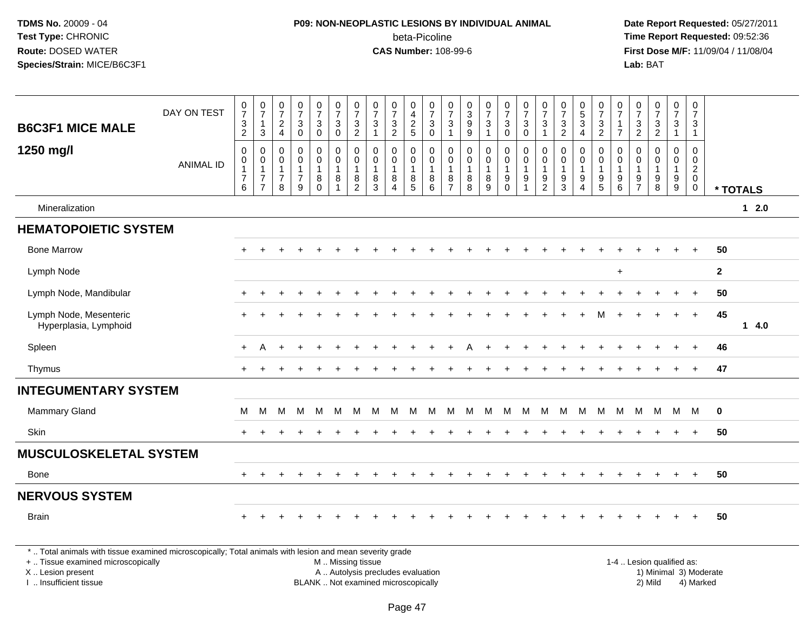#### **P09: NON-NEOPLASTIC LESIONS BY INDIVIDUAL ANIMAL** beta-Picoline**beta-Picoline**<br> **CAS Number:** 108-99-6<br> **CAS Number:** 108-99-6<br> **CAS Number:** 108-99-6

 **Date Report Requested:** 05/27/2011 **First Dose M/F:** 11/09/04 / 11/08/04<br>**Lab:** BAT **Lab:** BAT

| <b>B6C3F1 MICE MALE</b>                         | DAY ON TEST      | $\frac{0}{7}$<br>$\frac{3}{2}$                                                            | $\frac{0}{7}$<br>$\overline{1}$<br>$\mathbf{3}$                                  | $\frac{0}{7}$<br>$\sqrt{2}$<br>$\overline{4}$                     | $\frac{0}{7}$<br>$\mathbf{3}$<br>$\mathsf 0$                    | $\frac{0}{7}$<br>3<br>0                                      | $\begin{smallmatrix}0\\7\end{smallmatrix}$<br>$\mathbf{3}$<br>$\ddot{\mathbf{0}}$ | $\frac{0}{7}$<br>$\frac{3}{2}$                                      | $\frac{0}{7}$<br>$\mathbf{3}$<br>$\overline{1}$                 | $\frac{0}{7}$<br>$\sqrt{3}$<br>$\overline{2}$                             | 0<br>$\overline{4}$<br>$rac{2}{5}$            | $\frac{0}{7}$<br>$\mathbf{3}$<br>$\overline{0}$                             | $\frac{0}{7}$<br>3<br>$\mathbf{1}$            | 0<br>$\ensuremath{\mathsf{3}}$<br>$\frac{9}{9}$ | $\frac{0}{7}$<br>$\sqrt{3}$<br>$\overline{1}$                         | $\frac{0}{7}$<br>$\sqrt{3}$<br>$\pmb{0}$             | $\frac{0}{7}$<br>$\sqrt{3}$<br>$\overline{0}$                       | $\frac{0}{7}$<br>3<br>1                                                | $\frac{0}{7}$<br>$\frac{3}{2}$                                         | $\begin{array}{c} 0 \\ 5 \\ 3 \end{array}$<br>$\overline{4}$ | 0<br>$\overline{7}$<br>$\frac{3}{2}$                                      | $\frac{0}{7}$<br>$\overline{1}$<br>$\overline{7}$                           | $\frac{0}{7}$<br>$\ensuremath{\mathsf{3}}$<br>$\overline{c}$ | $\frac{0}{7}$<br>$\sqrt{3}$<br>$\overline{2}$                          | $\frac{0}{7}$<br>$\mathbf{3}$<br>$\mathbf{1}$ | $\frac{0}{7}$<br>$\mathbf{3}$<br>$\mathbf{1}$                                    |              |          |
|-------------------------------------------------|------------------|-------------------------------------------------------------------------------------------|----------------------------------------------------------------------------------|-------------------------------------------------------------------|-----------------------------------------------------------------|--------------------------------------------------------------|-----------------------------------------------------------------------------------|---------------------------------------------------------------------|-----------------------------------------------------------------|---------------------------------------------------------------------------|-----------------------------------------------|-----------------------------------------------------------------------------|-----------------------------------------------|-------------------------------------------------|-----------------------------------------------------------------------|------------------------------------------------------|---------------------------------------------------------------------|------------------------------------------------------------------------|------------------------------------------------------------------------|--------------------------------------------------------------|---------------------------------------------------------------------------|-----------------------------------------------------------------------------|--------------------------------------------------------------|------------------------------------------------------------------------|-----------------------------------------------|----------------------------------------------------------------------------------|--------------|----------|
| 1250 mg/l                                       | <b>ANIMAL ID</b> | $\mathbf 0$<br>$\mathbf 0$<br>$\overline{\mathbf{1}}$<br>$\overline{7}$<br>$6\phantom{1}$ | $\mathbf 0$<br>$\mathbf 0$<br>$\overline{1}$<br>$\overline{7}$<br>$\overline{7}$ | $\mathbf 0$<br>$\mathbf 0$<br>$\mathbf{1}$<br>$\overline{7}$<br>8 | $\pmb{0}$<br>$\mathbf 0$<br>$\mathbf{1}$<br>$\overline{7}$<br>9 | $\mathbf 0$<br>$\mathsf{O}$<br>$\mathbf{1}$<br>8<br>$\Omega$ | $\pmb{0}$<br>$\mathbf 0$<br>$\mathbf{1}$<br>8<br>$\mathbf{1}$                     | $\pmb{0}$<br>$\pmb{0}$<br>$\mathbf{1}$<br>$\bf 8$<br>$\overline{2}$ | $\mathbf 0$<br>$\mathbf 0$<br>$\mathbf{1}$<br>8<br>$\mathbf{3}$ | $\mathbf 0$<br>$\mathbf 0$<br>$\overline{1}$<br>$\,8\,$<br>$\overline{4}$ | 0<br>0<br>$\mathbf{1}$<br>8<br>$\overline{5}$ | $\boldsymbol{0}$<br>$\mathbf 0$<br>$\mathbf{1}$<br>$\bf8$<br>$\overline{6}$ | 0<br>0<br>$\mathbf{1}$<br>8<br>$\overline{7}$ | 0<br>0<br>$\mathbf{1}$<br>8<br>$\overline{8}$   | $\pmb{0}$<br>$\mathbf 0$<br>$\mathbf{1}$<br>$\bf 8$<br>$\overline{9}$ | 0<br>$\mathbf 0$<br>$\mathbf{1}$<br>9<br>$\mathbf 0$ | $\pmb{0}$<br>$\mathbf 0$<br>$\overline{1}$<br>$9\,$<br>$\mathbf{1}$ | 0<br>$\mathbf 0$<br>$\mathbf{1}$<br>$\boldsymbol{9}$<br>$\overline{c}$ | $\mathbf 0$<br>0<br>$\mathbf{1}$<br>$\boldsymbol{9}$<br>$\mathfrak{Z}$ | 0<br>0<br>$\mathbf{1}$<br>9<br>$\overline{4}$                | 0<br>$\mathbf 0$<br>$\mathbf{1}$<br>$\begin{array}{c} 9 \\ 5 \end{array}$ | $\mathbf 0$<br>$\mathbf 0$<br>$\overline{1}$<br>$\boldsymbol{9}$<br>$\,6\,$ | 0<br>$\Omega$<br>$\mathbf{1}$<br>9<br>$\overline{7}$         | $\mathbf 0$<br>$\Omega$<br>$\mathbf{1}$<br>$\boldsymbol{9}$<br>$\,8\,$ | 0<br>$\mathbf 0$<br>$\mathbf{1}$<br>9<br>9    | $\mathbf 0$<br>$\mathbf 0$<br>$\overline{c}$<br>$\mathsf{O}\xspace$<br>$\pmb{0}$ |              | * TOTALS |
| Mineralization                                  |                  |                                                                                           |                                                                                  |                                                                   |                                                                 |                                                              |                                                                                   |                                                                     |                                                                 |                                                                           |                                               |                                                                             |                                               |                                                 |                                                                       |                                                      |                                                                     |                                                                        |                                                                        |                                                              |                                                                           |                                                                             |                                                              |                                                                        |                                               |                                                                                  |              | $12.0$   |
| <b>HEMATOPOIETIC SYSTEM</b>                     |                  |                                                                                           |                                                                                  |                                                                   |                                                                 |                                                              |                                                                                   |                                                                     |                                                                 |                                                                           |                                               |                                                                             |                                               |                                                 |                                                                       |                                                      |                                                                     |                                                                        |                                                                        |                                                              |                                                                           |                                                                             |                                                              |                                                                        |                                               |                                                                                  |              |          |
| <b>Bone Marrow</b>                              |                  |                                                                                           |                                                                                  |                                                                   |                                                                 |                                                              |                                                                                   |                                                                     |                                                                 |                                                                           |                                               |                                                                             |                                               |                                                 |                                                                       |                                                      |                                                                     |                                                                        |                                                                        |                                                              |                                                                           |                                                                             |                                                              |                                                                        |                                               | $+$                                                                              | 50           |          |
| Lymph Node                                      |                  |                                                                                           |                                                                                  |                                                                   |                                                                 |                                                              |                                                                                   |                                                                     |                                                                 |                                                                           |                                               |                                                                             |                                               |                                                 |                                                                       |                                                      |                                                                     |                                                                        |                                                                        |                                                              |                                                                           | $\ddot{}$                                                                   |                                                              |                                                                        |                                               |                                                                                  | $\mathbf{2}$ |          |
| Lymph Node, Mandibular                          |                  | $\pm$                                                                                     |                                                                                  |                                                                   |                                                                 |                                                              |                                                                                   |                                                                     |                                                                 |                                                                           |                                               |                                                                             |                                               |                                                 |                                                                       |                                                      |                                                                     |                                                                        |                                                                        |                                                              |                                                                           |                                                                             |                                                              |                                                                        |                                               | $\ddot{}$                                                                        | 50           |          |
| Lymph Node, Mesenteric<br>Hyperplasia, Lymphoid |                  |                                                                                           |                                                                                  |                                                                   |                                                                 |                                                              |                                                                                   |                                                                     |                                                                 |                                                                           |                                               |                                                                             |                                               |                                                 |                                                                       |                                                      |                                                                     |                                                                        |                                                                        |                                                              |                                                                           |                                                                             |                                                              |                                                                        | $\ddot{}$                                     | $+$                                                                              | 45           | 14.0     |
| Spleen                                          |                  | $+$                                                                                       | A                                                                                |                                                                   |                                                                 |                                                              |                                                                                   |                                                                     |                                                                 |                                                                           |                                               |                                                                             |                                               |                                                 |                                                                       |                                                      |                                                                     |                                                                        |                                                                        |                                                              |                                                                           |                                                                             |                                                              |                                                                        |                                               | $\ddot{}$                                                                        | 46           |          |
| Thymus                                          |                  |                                                                                           |                                                                                  |                                                                   |                                                                 |                                                              |                                                                                   |                                                                     |                                                                 |                                                                           |                                               |                                                                             |                                               |                                                 |                                                                       |                                                      |                                                                     |                                                                        |                                                                        |                                                              |                                                                           |                                                                             |                                                              |                                                                        |                                               | $\ddot{}$                                                                        | 47           |          |
| <b>INTEGUMENTARY SYSTEM</b>                     |                  |                                                                                           |                                                                                  |                                                                   |                                                                 |                                                              |                                                                                   |                                                                     |                                                                 |                                                                           |                                               |                                                                             |                                               |                                                 |                                                                       |                                                      |                                                                     |                                                                        |                                                                        |                                                              |                                                                           |                                                                             |                                                              |                                                                        |                                               |                                                                                  |              |          |
| <b>Mammary Gland</b>                            |                  | м                                                                                         | м                                                                                | м                                                                 | м                                                               | м                                                            | M                                                                                 | м                                                                   | м                                                               | м                                                                         | М                                             | M                                                                           | М                                             | M                                               | M                                                                     | M                                                    | M                                                                   | M                                                                      | M                                                                      | M                                                            | M                                                                         | M                                                                           | M                                                            | M                                                                      | M                                             | M                                                                                | $\mathbf 0$  |          |
| Skin                                            |                  | $+$                                                                                       |                                                                                  |                                                                   |                                                                 |                                                              |                                                                                   |                                                                     |                                                                 |                                                                           |                                               |                                                                             | $\ddot{}$                                     |                                                 |                                                                       | ÷                                                    |                                                                     |                                                                        |                                                                        | $\div$                                                       | ÷                                                                         |                                                                             | $\ddot{}$                                                    | $\ddot{}$                                                              | $\ddot{}$                                     | $\ddot{}$                                                                        | 50           |          |
| <b>MUSCULOSKELETAL SYSTEM</b>                   |                  |                                                                                           |                                                                                  |                                                                   |                                                                 |                                                              |                                                                                   |                                                                     |                                                                 |                                                                           |                                               |                                                                             |                                               |                                                 |                                                                       |                                                      |                                                                     |                                                                        |                                                                        |                                                              |                                                                           |                                                                             |                                                              |                                                                        |                                               |                                                                                  |              |          |
| <b>Bone</b>                                     |                  | $+$                                                                                       |                                                                                  |                                                                   |                                                                 |                                                              |                                                                                   |                                                                     |                                                                 |                                                                           |                                               |                                                                             |                                               |                                                 |                                                                       |                                                      |                                                                     |                                                                        |                                                                        |                                                              |                                                                           |                                                                             |                                                              |                                                                        | $\pm$                                         | $+$                                                                              | 50           |          |
| <b>NERVOUS SYSTEM</b>                           |                  |                                                                                           |                                                                                  |                                                                   |                                                                 |                                                              |                                                                                   |                                                                     |                                                                 |                                                                           |                                               |                                                                             |                                               |                                                 |                                                                       |                                                      |                                                                     |                                                                        |                                                                        |                                                              |                                                                           |                                                                             |                                                              |                                                                        |                                               |                                                                                  |              |          |
| <b>Brain</b>                                    |                  | $+$                                                                                       | $\ddot{}$                                                                        | $\ddot{}$                                                         |                                                                 | $\div$                                                       | $\ddot{}$                                                                         |                                                                     |                                                                 |                                                                           |                                               |                                                                             |                                               |                                                 |                                                                       |                                                      |                                                                     |                                                                        |                                                                        |                                                              |                                                                           |                                                                             |                                                              |                                                                        | $\ddot{}$                                     | $\ddot{}$                                                                        | 50           |          |

\* .. Total animals with tissue examined microscopically; Total animals with lesion and mean severity grade

+ .. Tissue examined microscopically

X .. Lesion present

I .. Insufficient tissue

 M .. Missing tissueA .. Autolysis precludes evaluation

BLANK .. Not examined microscopically 2) Mild 4) Marked

1-4 .. Lesion qualified as: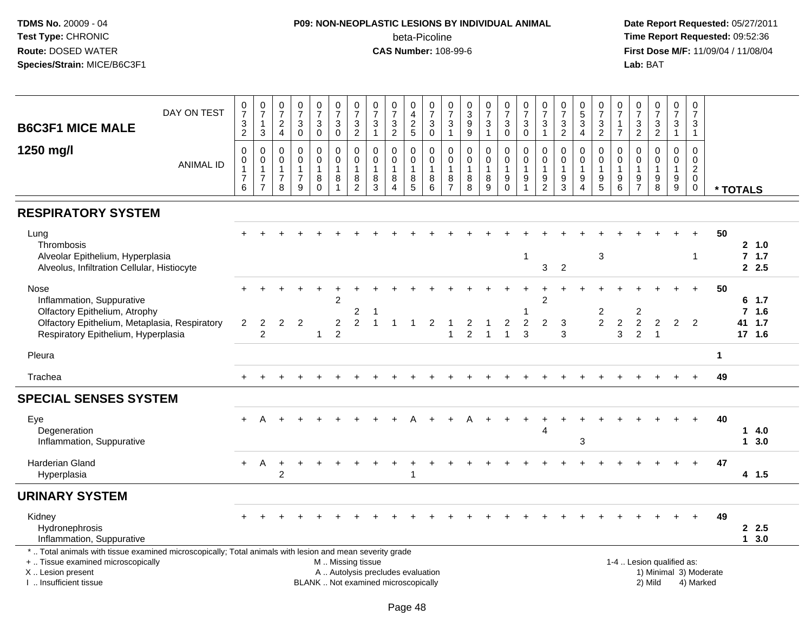### **P09: NON-NEOPLASTIC LESIONS BY INDIVIDUAL ANIMAL**beta-Picoline<br>CAS Number: 108-99-6

| <b>B6C3F1 MICE MALE</b>                                                                                                                                                                       | DAY ON TEST      | $\frac{0}{7}$<br>$\ensuremath{\mathsf{3}}$<br>$\overline{2}$ | $\begin{array}{c} 0 \\ 7 \end{array}$<br>$\mathbf{1}$<br>$\mathbf{3}$ | $\frac{0}{7}$<br>$\boldsymbol{2}$<br>$\overline{4}$               | $\frac{0}{7}$<br>$\ensuremath{\mathsf{3}}$<br>$\mathbf 0$         | $\frac{0}{7}$<br>$\sqrt{3}$<br>$\mathbf 0$                      | $\frac{0}{7}$<br>$\mathbf{3}$<br>$\mathsf{O}\xspace$                | $\frac{0}{7}$<br>$\ensuremath{\mathsf{3}}$<br>$\overline{c}$                                  | $\frac{0}{7}$<br>$\sqrt{3}$<br>$\mathbf{1}$            | $\frac{0}{7}$<br>$\ensuremath{\mathsf{3}}$<br>$\overline{2}$         | 0<br>$\overline{4}$<br>$\frac{2}{5}$               | $\frac{0}{7}$<br>$\sqrt{3}$<br>$\mathbf 0$                   | $\frac{0}{7}$<br>3<br>$\overline{1}$                      | $\begin{smallmatrix}0\3\9\end{smallmatrix}$<br>$\overline{9}$ | $\frac{0}{7}$<br>3<br>$\mathbf{1}$                   | $\frac{0}{7}$<br>$\mathbf{3}$<br>$\mathbf 0$                                               | $\frac{0}{7}$<br>3<br>$\mathbf 0$            | $\frac{0}{7}$<br>$\mathbf{3}$<br>$\mathbf{1}$               | $\frac{0}{7}$<br>$\ensuremath{\mathsf{3}}$<br>$\overline{2}$ | $\begin{array}{c} 0 \\ 5 \end{array}$<br>$\overline{3}$<br>$\overline{4}$ | $\frac{0}{7}$<br>$\frac{3}{2}$                                        | 0<br>$\overline{7}$<br>$\mathbf{1}$<br>$\overline{7}$ | $\frac{0}{7}$<br>$\ensuremath{\mathsf{3}}$<br>$\overline{2}$               | $\frac{0}{7}$<br>3<br>$\overline{2}$       | $\frac{0}{7}$<br>3<br>$\mathbf{1}$                   | 0<br>$\overline{7}$<br>3<br>$\mathbf{1}$                      |                        |          |                                                 |
|-----------------------------------------------------------------------------------------------------------------------------------------------------------------------------------------------|------------------|--------------------------------------------------------------|-----------------------------------------------------------------------|-------------------------------------------------------------------|-------------------------------------------------------------------|-----------------------------------------------------------------|---------------------------------------------------------------------|-----------------------------------------------------------------------------------------------|--------------------------------------------------------|----------------------------------------------------------------------|----------------------------------------------------|--------------------------------------------------------------|-----------------------------------------------------------|---------------------------------------------------------------|------------------------------------------------------|--------------------------------------------------------------------------------------------|----------------------------------------------|-------------------------------------------------------------|--------------------------------------------------------------|---------------------------------------------------------------------------|-----------------------------------------------------------------------|-------------------------------------------------------|----------------------------------------------------------------------------|--------------------------------------------|------------------------------------------------------|---------------------------------------------------------------|------------------------|----------|-------------------------------------------------|
| 1250 mg/l                                                                                                                                                                                     | <b>ANIMAL ID</b> | 0<br>0<br>$\mathbf{1}$<br>$\overline{7}$<br>$6\phantom{1}$   | 0<br>$\mathbf 0$<br>$\mathbf{1}$<br>$\overline{7}$<br>$\overline{7}$  | 0<br>$\mathsf{O}\xspace$<br>$\overline{1}$<br>$\overline{7}$<br>8 | $\mathbf 0$<br>$\mathbf 0$<br>$\mathbf{1}$<br>$\overline{7}$<br>9 | $\mathbf 0$<br>$\pmb{0}$<br>$\mathbf{1}$<br>$\,8\,$<br>$\Omega$ | 0<br>$\mathsf{O}\xspace$<br>$\mathbf{1}$<br>$\,8\,$<br>$\mathbf{1}$ | $\mathbf 0$<br>$\pmb{0}$<br>$\mathbf{1}$<br>8<br>$\overline{2}$                               | $\Omega$<br>$\mathbf 0$<br>$\mathbf{1}$<br>$\bf8$<br>3 | $\mathbf 0$<br>$\pmb{0}$<br>$\mathbf{1}$<br>$\bf8$<br>$\overline{4}$ | 0<br>$\mathbf 0$<br>$\overline{1}$<br>$\bf 8$<br>5 | $\mathbf 0$<br>$\mathbf 0$<br>$\overline{1}$<br>$\bf 8$<br>6 | 0<br>$\mathbf 0$<br>$\overline{1}$<br>8<br>$\overline{7}$ | $\mathbf 0$<br>$\mathbf 0$<br>$\mathbf{1}$<br>$\,8\,$<br>8    | $\mathbf 0$<br>$\mathbf 0$<br>$\mathbf{1}$<br>8<br>9 | $\boldsymbol{0}$<br>$\mathsf{O}\xspace$<br>$\mathbf{1}$<br>$\boldsymbol{9}$<br>$\mathbf 0$ | $\Omega$<br>$\mathbf 0$<br>$\mathbf{1}$<br>9 | $\mathbf 0$<br>$\mathbf 0$<br>$\mathbf{1}$<br>$\frac{9}{2}$ | $\mathbf 0$<br>$\mathbf 0$<br>$\boldsymbol{9}$<br>3          | 0<br>$\mathbf 0$<br>$\mathbf{1}$<br>9<br>$\overline{4}$                   | $\mathbf 0$<br>$\mathbf 0$<br>$\overline{1}$<br>$\boldsymbol{9}$<br>5 | $\Omega$<br>$\Omega$<br>$\mathbf{1}$<br>9<br>6        | $\Omega$<br>$\Omega$<br>$\mathbf{1}$<br>$\boldsymbol{9}$<br>$\overline{7}$ | $\mathbf{0}$<br>$\mathbf 0$<br>1<br>9<br>8 | $\mathbf 0$<br>$\mathbf 0$<br>$\mathbf{1}$<br>$^9_9$ | $\Omega$<br>$\mathbf 0$<br>$\overline{c}$<br>$\mathbf 0$<br>0 |                        | * TOTALS |                                                 |
| <b>RESPIRATORY SYSTEM</b>                                                                                                                                                                     |                  |                                                              |                                                                       |                                                                   |                                                                   |                                                                 |                                                                     |                                                                                               |                                                        |                                                                      |                                                    |                                                              |                                                           |                                                               |                                                      |                                                                                            |                                              |                                                             |                                                              |                                                                           |                                                                       |                                                       |                                                                            |                                            |                                                      |                                                               |                        |          |                                                 |
| Lung<br>Thrombosis<br>Alveolar Epithelium, Hyperplasia<br>Alveolus, Infiltration Cellular, Histiocyte                                                                                         |                  |                                                              |                                                                       |                                                                   |                                                                   |                                                                 |                                                                     |                                                                                               |                                                        |                                                                      |                                                    |                                                              |                                                           |                                                               |                                                      |                                                                                            | $\overline{1}$                               | 3                                                           | 2                                                            |                                                                           | 3                                                                     |                                                       |                                                                            |                                            |                                                      | $\mathbf 1$                                                   | 50                     |          | 2, 1.0<br>7.1.7<br>2.5                          |
| Nose<br>Inflammation, Suppurative<br>Olfactory Epithelium, Atrophy<br>Olfactory Epithelium, Metaplasia, Respiratory<br>Respiratory Epithelium, Hyperplasia                                    |                  | $\overline{2}$                                               | 2<br>$\overline{2}$                                                   | $\overline{2}$                                                    | 2                                                                 | $\mathbf 1$                                                     | $\overline{2}$<br>$\overline{2}$<br>$\overline{2}$                  | 2<br>$\overline{2}$                                                                           |                                                        |                                                                      |                                                    | 2                                                            | 1                                                         | $\overline{2}$                                                | $\mathbf{1}$                                         | 2<br>$\mathbf{1}$                                                                          | 2<br>3                                       | 2<br>$\overline{2}$                                         | 3<br>3                                                       |                                                                           | 2<br>$\overline{2}$                                                   | $\overline{2}$<br>3                                   | 2<br>$\overline{2}$<br>$\overline{2}$                                      | 2<br>$\overline{1}$                        | $\overline{2}$                                       | $\overline{2}$                                                | 50                     |          | $6$ 1.7<br>7 <sub>1.6</sub><br>41 1.7<br>17 1.6 |
| Pleura                                                                                                                                                                                        |                  |                                                              |                                                                       |                                                                   |                                                                   |                                                                 |                                                                     |                                                                                               |                                                        |                                                                      |                                                    |                                                              |                                                           |                                                               |                                                      |                                                                                            |                                              |                                                             |                                                              |                                                                           |                                                                       |                                                       |                                                                            |                                            |                                                      |                                                               | $\mathbf 1$            |          |                                                 |
| Trachea                                                                                                                                                                                       |                  |                                                              |                                                                       |                                                                   |                                                                   |                                                                 |                                                                     |                                                                                               |                                                        |                                                                      |                                                    |                                                              |                                                           |                                                               |                                                      |                                                                                            |                                              |                                                             |                                                              |                                                                           |                                                                       |                                                       |                                                                            |                                            |                                                      |                                                               | 49                     |          |                                                 |
| <b>SPECIAL SENSES SYSTEM</b>                                                                                                                                                                  |                  |                                                              |                                                                       |                                                                   |                                                                   |                                                                 |                                                                     |                                                                                               |                                                        |                                                                      |                                                    |                                                              |                                                           |                                                               |                                                      |                                                                                            |                                              |                                                             |                                                              |                                                                           |                                                                       |                                                       |                                                                            |                                            |                                                      |                                                               |                        |          |                                                 |
| Eye<br>Degeneration<br>Inflammation, Suppurative                                                                                                                                              |                  | $+$                                                          |                                                                       |                                                                   |                                                                   |                                                                 |                                                                     |                                                                                               |                                                        |                                                                      |                                                    |                                                              |                                                           |                                                               |                                                      |                                                                                            | $\ddot{}$                                    |                                                             |                                                              | 3                                                                         |                                                                       |                                                       |                                                                            |                                            |                                                      |                                                               | 40                     |          | 14.0<br>13.0                                    |
| <b>Harderian Gland</b><br>Hyperplasia                                                                                                                                                         |                  | $+$                                                          | A                                                                     | $\overline{2}$                                                    |                                                                   |                                                                 |                                                                     |                                                                                               |                                                        |                                                                      |                                                    |                                                              |                                                           |                                                               |                                                      |                                                                                            |                                              |                                                             |                                                              |                                                                           |                                                                       |                                                       |                                                                            |                                            |                                                      |                                                               | 47                     |          | 4 1.5                                           |
| <b>URINARY SYSTEM</b>                                                                                                                                                                         |                  |                                                              |                                                                       |                                                                   |                                                                   |                                                                 |                                                                     |                                                                                               |                                                        |                                                                      |                                                    |                                                              |                                                           |                                                               |                                                      |                                                                                            |                                              |                                                             |                                                              |                                                                           |                                                                       |                                                       |                                                                            |                                            |                                                      |                                                               |                        |          |                                                 |
| Kidney<br>Hydronephrosis<br>Inflammation, Suppurative                                                                                                                                         |                  |                                                              |                                                                       |                                                                   |                                                                   |                                                                 |                                                                     |                                                                                               |                                                        |                                                                      |                                                    |                                                              |                                                           |                                                               |                                                      |                                                                                            |                                              |                                                             |                                                              |                                                                           |                                                                       |                                                       |                                                                            |                                            |                                                      |                                                               | 49                     |          | 2.5<br>13.0                                     |
| *  Total animals with tissue examined microscopically; Total animals with lesion and mean severity grade<br>+  Tissue examined microscopically<br>X  Lesion present<br>I. Insufficient tissue |                  |                                                              |                                                                       |                                                                   |                                                                   |                                                                 |                                                                     | M  Missing tissue<br>A  Autolysis precludes evaluation<br>BLANK  Not examined microscopically |                                                        |                                                                      |                                                    |                                                              |                                                           |                                                               |                                                      |                                                                                            |                                              |                                                             |                                                              |                                                                           |                                                                       |                                                       |                                                                            | 1-4  Lesion qualified as:<br>2) Mild       |                                                      | 4) Marked                                                     | 1) Minimal 3) Moderate |          |                                                 |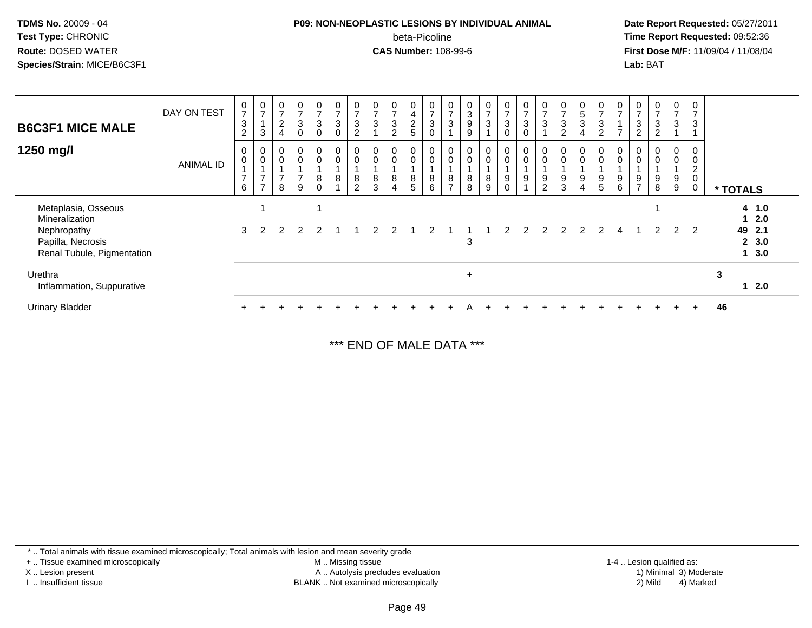#### **P09: NON-NEOPLASTIC LESIONS BY INDIVIDUAL ANIMAL** beta-Picoline**beta-Picoline**<br> **CAS Number:** 108-99-6<br> **CAS Number:** 108-99-6<br> **CAS Number:** 108-99-6

 **Date Report Requested:** 05/27/2011 **First Dose M/F:** 11/09/04 / 11/08/04<br>**Lab:** BAT **Lab:** BAT

| <b>B6C3F1 MICE MALE</b>                                                                                 | DAY ON TEST      | $\boldsymbol{0}$<br>$\overline{7}$<br>3<br>$\overline{2}$ | $\frac{0}{7}$<br>3                    | 0<br>$\overline{7}$<br>$\sqrt{2}$<br>$\overline{4}$ | 0<br>$\rightarrow$<br>$\ensuremath{\mathsf{3}}$<br>$\mathbf 0$   | $\frac{0}{7}$<br>$\mathbf{3}$<br>$\mathbf 0$ | $\frac{0}{7}$<br>$\mathbf{3}$<br>$\mathbf 0$ | $\mathbf{0}$<br>$\rightarrow$<br>3<br>$\overline{c}$  | 0<br>$\overline{z}$<br>$\sqrt{3}$  | 0<br>$\rightarrow$<br>$\sqrt{3}$<br>2 | 0<br>4<br>$\frac{2}{5}$             | $\frac{0}{7}$<br>$\sqrt{3}$<br>0 | $\frac{0}{7}$<br>3                    | $\frac{0}{3}$<br>$\boldsymbol{9}$<br>9          | $\frac{0}{7}$<br>$\mathbf{3}$      | $\frac{0}{7}$<br>3<br>0 | $\frac{0}{7}$<br>$\sqrt{3}$<br>$\pmb{0}$ | $\frac{0}{7}$<br>3                    | $\overline{ }$<br>$\ensuremath{\mathsf{3}}$<br>$\overline{c}$ | 0<br>5<br>3<br>4 | $\frac{0}{7}$<br>$\ensuremath{\mathsf{3}}$<br>$\sqrt{2}$    | $\frac{0}{7}$                                   | $\frac{0}{7}$<br>$\sqrt{3}$<br>$\overline{c}$ | $\mathbf 0$<br>$\overline{7}$<br>3<br>$\overline{2}$     | $\mathbf 0$<br>$\overline{ }$<br>3 | 0<br>$\overline{7}$<br>3              |          |                                            |  |
|---------------------------------------------------------------------------------------------------------|------------------|-----------------------------------------------------------|---------------------------------------|-----------------------------------------------------|------------------------------------------------------------------|----------------------------------------------|----------------------------------------------|-------------------------------------------------------|------------------------------------|---------------------------------------|-------------------------------------|----------------------------------|---------------------------------------|-------------------------------------------------|------------------------------------|-------------------------|------------------------------------------|---------------------------------------|---------------------------------------------------------------|------------------|-------------------------------------------------------------|-------------------------------------------------|-----------------------------------------------|----------------------------------------------------------|------------------------------------|---------------------------------------|----------|--------------------------------------------|--|
| 1250 mg/l                                                                                               | <b>ANIMAL ID</b> | $\mathbf 0$<br>$\mathbf 0$<br>7<br>6                      | 0<br>$\pmb{0}$<br>$\overline{ }$<br>⇁ | 0<br>$\mathbf 0$<br>$\overline{7}$<br>8             | $\mathbf 0$<br>$\mathbf 0$<br>$\overline{ }$<br>$\boldsymbol{9}$ | $\mathbf 0$<br>$\mathsf 0$<br>8<br>0         | $_{\rm 0}^{\rm 0}$<br>$\,8\,$                | $\mathbf 0$<br>$\pmb{0}$<br>$\bf 8$<br>$\overline{2}$ | $\pmb{0}$<br>$\mathbf 0$<br>8<br>3 | 0<br>0<br>8<br>4                      | 0<br>$\mathbf 0$<br>8<br>$\sqrt{5}$ | 0<br>$\pmb{0}$<br>$\bf 8$<br>6   | 0<br>$\pmb{0}$<br>8<br>$\overline{ }$ | $\mathbf 0$<br>$\boldsymbol{0}$<br>$\bf 8$<br>8 | $\mathbf 0$<br>$\pmb{0}$<br>8<br>9 | 0<br>0<br>9<br>0        | $_{\rm 0}^{\rm 0}$<br>$\boldsymbol{9}$   | 0<br>$\pmb{0}$<br>9<br>$\overline{2}$ | $\mathbf 0$<br>$\mathbf 0$<br>$\boldsymbol{9}$<br>3           | 0<br>0<br>9<br>4 | $_{\rm 0}^{\rm 0}$<br>$\begin{array}{c} 9 \\ 5 \end{array}$ | 0<br>$\mathbf 0$<br>$\boldsymbol{9}$<br>$\,6\,$ | 0<br>$\pmb{0}$<br>9<br>$\overline{z}$         | $\mathbf 0$<br>$\mathbf 0$<br>$\boldsymbol{9}$<br>$\bf8$ | $\mathbf 0$<br>0<br>9<br>9         | 0<br>0<br>$\overline{c}$<br>$\pmb{0}$ | * TOTALS |                                            |  |
| Metaplasia, Osseous<br>Mineralization<br>Nephropathy<br>Papilla, Necrosis<br>Renal Tubule, Pigmentation |                  | 3                                                         | 2                                     | 2                                                   | 2                                                                | 2                                            |                                              |                                                       | $\mathcal{P}$                      | $\mathcal{P}$                         |                                     |                                  |                                       | 3                                               |                                    |                         | 2                                        | 2                                     | 2                                                             | $\mathcal{P}$    | 2                                                           | $\overline{4}$                                  |                                               | 2                                                        |                                    | $2 \quad 2$                           |          | 4 1.0<br>2.0<br>49<br>2.1<br>2, 3.0<br>3.0 |  |
| Urethra<br>Inflammation, Suppurative                                                                    |                  |                                                           |                                       |                                                     |                                                                  |                                              |                                              |                                                       |                                    |                                       |                                     |                                  |                                       | $\ddot{}$                                       |                                    |                         |                                          |                                       |                                                               |                  |                                                             |                                                 |                                               |                                                          |                                    |                                       | 3        | 2.0                                        |  |
| <b>Urinary Bladder</b>                                                                                  |                  |                                                           |                                       |                                                     |                                                                  |                                              |                                              |                                                       |                                    |                                       |                                     |                                  |                                       |                                                 |                                    |                         |                                          |                                       |                                                               |                  |                                                             |                                                 |                                               |                                                          |                                    |                                       | 46       |                                            |  |

\*\*\* END OF MALE DATA \*\*\*

\* .. Total animals with tissue examined microscopically; Total animals with lesion and mean severity grade

+ .. Tissue examined microscopically

X .. Lesion present

I .. Insufficient tissue

 M .. Missing tissueA .. Autolysis precludes evaluation

1-4 .. Lesion qualified as:<br>1) Minimal 3) Moderate BLANK .. Not examined microscopically 2) Mild 4) Marked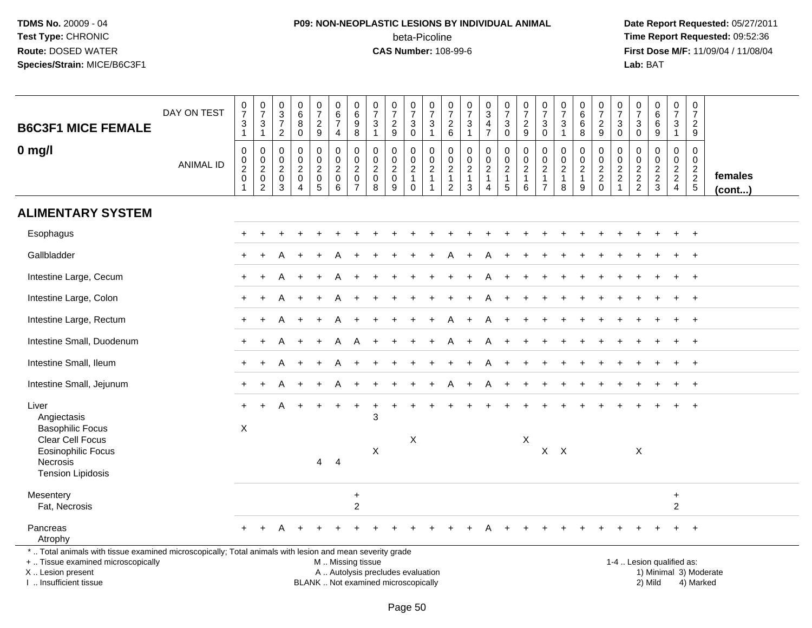# **P09: NON-NEOPLASTIC LESIONS BY INDIVIDUAL ANIMAL**beta-Picoline<br>CAS Number: 108-99-6

 **Date Report Requested:** 05/27/2011 **Time Report Requested:** 09:52:36 **First Dose M/F:** 11/09/04 / 11/08/04<br>Lab: BAT **Lab:** BAT

| <b>B6C3F1 MICE FEMALE</b>                                                                                                                                                                     | DAY ON TEST      | $\frac{0}{7}$<br>$\ensuremath{\mathsf{3}}$<br>$\mathbf{1}$ | $\frac{0}{7}$<br>$\ensuremath{\mathsf{3}}$<br>$\mathbf{1}$ | $_{3}^{\rm 0}$<br>$\overline{7}$<br>$\overline{2}$                            | $\begin{array}{c} 0 \\ 6 \end{array}$<br>8<br>$\mathbf 0$                     | $\begin{array}{c} 0 \\ 7 \end{array}$<br>$\overline{c}$<br>$9\,$ | $_{6}^{\rm 0}$<br>$\boldsymbol{7}$<br>$\overline{4}$                                          | 0<br>$\overline{6}$<br>$\overline{9}$<br>8                          | 0<br>$\overline{7}$<br>$\mathbf{3}$<br>$\mathbf{1}$    | $\frac{0}{7}$<br>$\frac{2}{9}$                             | $\frac{0}{7}$<br>$\ensuremath{\mathsf{3}}$<br>$\mathbf 0$     | $\begin{array}{c} 0 \\ 7 \end{array}$<br>$\sqrt{3}$<br>$\mathbf{1}$              | $\frac{0}{7}$<br>$^2\phantom{1}6$                         | $\frac{0}{7}$<br>$\ensuremath{\mathsf{3}}$<br>$\mathbf{1}$      | $_{3}^{\rm 0}$<br>$\overline{\mathbf{4}}$<br>$\overline{7}$                | $\begin{smallmatrix}0\\7\end{smallmatrix}$<br>$\mathsf 3$<br>$\mathsf{O}\xspace$ | $\frac{0}{7}$<br>$\boldsymbol{2}$<br>9                        | $\begin{array}{c} 0 \\ 7 \end{array}$<br>3<br>$\mathbf 0$                      | $\frac{0}{7}$<br>$\ensuremath{\mathsf{3}}$<br>$\mathbf{1}$        | $_6^0$<br>6<br>8                                        | $\begin{smallmatrix}0\\7\end{smallmatrix}$<br>$\frac{2}{9}$ | $\frac{0}{7}$<br>$\sqrt{3}$<br>$\mathbf 0$        | $\frac{0}{7}$<br>3<br>$\mathbf 0$         | $\begin{array}{c} 0 \\ 6 \end{array}$<br>$\,6\,$<br>9 | $\begin{smallmatrix}0\\7\end{smallmatrix}$<br>$\mathbf{3}$<br>$\mathbf{1}$ | $\begin{array}{c} 0 \\ 7 \end{array}$<br>$\overline{a}$<br>9                 |                        |
|-----------------------------------------------------------------------------------------------------------------------------------------------------------------------------------------------|------------------|------------------------------------------------------------|------------------------------------------------------------|-------------------------------------------------------------------------------|-------------------------------------------------------------------------------|------------------------------------------------------------------|-----------------------------------------------------------------------------------------------|---------------------------------------------------------------------|--------------------------------------------------------|------------------------------------------------------------|---------------------------------------------------------------|----------------------------------------------------------------------------------|-----------------------------------------------------------|-----------------------------------------------------------------|----------------------------------------------------------------------------|----------------------------------------------------------------------------------|---------------------------------------------------------------|--------------------------------------------------------------------------------|-------------------------------------------------------------------|---------------------------------------------------------|-------------------------------------------------------------|---------------------------------------------------|-------------------------------------------|-------------------------------------------------------|----------------------------------------------------------------------------|------------------------------------------------------------------------------|------------------------|
| $0$ mg/l                                                                                                                                                                                      | <b>ANIMAL ID</b> | $\pmb{0}$<br>$\frac{0}{2}$<br>-1                           | $\,0\,$<br>$\frac{0}{2}$<br>$\overline{c}$                 | $\mathbf 0$<br>$\begin{smallmatrix} 0\\2 \end{smallmatrix}$<br>$\pmb{0}$<br>3 | $\mathbf 0$<br>$\mathbf 0$<br>$\overline{2}$<br>$\mathbf 0$<br>$\overline{4}$ | 0<br>$\mathbf 0$<br>$\sqrt{2}$<br>$\pmb{0}$<br>$\overline{5}$    | $\pmb{0}$<br>$\frac{0}{2}$<br>$\mathbf 0$<br>6                                                | 0<br>$\mathbf 0$<br>$\overline{c}$<br>$\mathbf 0$<br>$\overline{7}$ | 0<br>$\mathbf 0$<br>$\overline{2}$<br>$\mathbf 0$<br>8 | $\mathbf 0$<br>$\mathbf 0$<br>$\sqrt{2}$<br>$\pmb{0}$<br>9 | 0<br>$\mathbf 0$<br>$\sqrt{2}$<br>$\mathbf{1}$<br>$\mathbf 0$ | $\mathbf 0$<br>$\mathbf 0$<br>$\overline{c}$<br>$\overline{1}$<br>$\overline{1}$ | 0<br>$\mathbf 0$<br>$\overline{c}$<br>1<br>$\overline{2}$ | $\pmb{0}$<br>$\mathbf 0$<br>$\overline{c}$<br>$\mathbf{1}$<br>3 | $\pmb{0}$<br>$\pmb{0}$<br>$\overline{c}$<br>$\mathbf{1}$<br>$\overline{4}$ | $\mathbf 0$<br>$\mathbf 0$<br>$\sqrt{2}$<br>$\mathbf{1}$<br>$\sqrt{5}$           | 0<br>$\mathbf 0$<br>$\overline{c}$<br>$\mathbf{1}$<br>$\,6\,$ | $\mathbf 0$<br>$\mathbf 0$<br>$\overline{2}$<br>$\mathbf{1}$<br>$\overline{7}$ | $\mathbf 0$<br>$\mathbf 0$<br>$\overline{c}$<br>$\mathbf{1}$<br>8 | 0<br>$\mathbf 0$<br>$\overline{c}$<br>$\mathbf{1}$<br>9 | 0<br>$\begin{array}{c} 0 \\ 2 \\ 2 \\ 0 \end{array}$        | 0<br>$\mathbf 0$<br>$\frac{2}{2}$<br>$\mathbf{1}$ | 0<br>$\mathsf{O}\xspace$<br>$\frac{2}{2}$ | $\mathbf 0$<br>$\mathbf 0$<br>$\frac{2}{3}$           | 0<br>$\mathbf 0$<br>$\frac{2}{2}$<br>$\overline{4}$                        | $\mathbf 0$<br>$\mathbf 0$<br>$\overline{2}$<br>$\sqrt{2}$<br>$\overline{5}$ | females<br>(cont)      |
| <b>ALIMENTARY SYSTEM</b>                                                                                                                                                                      |                  |                                                            |                                                            |                                                                               |                                                                               |                                                                  |                                                                                               |                                                                     |                                                        |                                                            |                                                               |                                                                                  |                                                           |                                                                 |                                                                            |                                                                                  |                                                               |                                                                                |                                                                   |                                                         |                                                             |                                                   |                                           |                                                       |                                                                            |                                                                              |                        |
| Esophagus                                                                                                                                                                                     |                  |                                                            |                                                            |                                                                               |                                                                               |                                                                  |                                                                                               |                                                                     |                                                        |                                                            |                                                               |                                                                                  |                                                           |                                                                 |                                                                            |                                                                                  |                                                               |                                                                                |                                                                   |                                                         |                                                             |                                                   |                                           |                                                       |                                                                            | $\div$                                                                       |                        |
| Gallbladder                                                                                                                                                                                   |                  | $+$                                                        | $\ddot{}$                                                  |                                                                               |                                                                               |                                                                  |                                                                                               |                                                                     |                                                        |                                                            |                                                               |                                                                                  |                                                           |                                                                 | А                                                                          |                                                                                  |                                                               |                                                                                |                                                                   |                                                         |                                                             |                                                   |                                           |                                                       |                                                                            | $\ddot{}$                                                                    |                        |
| Intestine Large, Cecum                                                                                                                                                                        |                  | $+$                                                        |                                                            |                                                                               |                                                                               |                                                                  |                                                                                               |                                                                     |                                                        |                                                            |                                                               |                                                                                  |                                                           |                                                                 |                                                                            |                                                                                  |                                                               |                                                                                |                                                                   |                                                         |                                                             |                                                   |                                           |                                                       |                                                                            | $\ddot{}$                                                                    |                        |
| Intestine Large, Colon                                                                                                                                                                        |                  |                                                            |                                                            |                                                                               |                                                                               |                                                                  |                                                                                               |                                                                     |                                                        |                                                            |                                                               |                                                                                  |                                                           |                                                                 |                                                                            |                                                                                  |                                                               |                                                                                |                                                                   |                                                         |                                                             |                                                   |                                           |                                                       |                                                                            |                                                                              |                        |
| Intestine Large, Rectum                                                                                                                                                                       |                  | $+$                                                        | $\ddot{}$                                                  | A                                                                             |                                                                               |                                                                  |                                                                                               |                                                                     |                                                        |                                                            |                                                               |                                                                                  |                                                           |                                                                 | А                                                                          |                                                                                  |                                                               |                                                                                |                                                                   |                                                         |                                                             |                                                   |                                           |                                                       |                                                                            | $\pm$                                                                        |                        |
| Intestine Small, Duodenum                                                                                                                                                                     |                  | $\ddot{}$                                                  | $\ddot{}$                                                  | A                                                                             |                                                                               | $\ddot{}$                                                        | A                                                                                             | A                                                                   |                                                        |                                                            |                                                               |                                                                                  | A                                                         |                                                                 | A                                                                          |                                                                                  |                                                               |                                                                                |                                                                   |                                                         |                                                             |                                                   |                                           |                                                       |                                                                            | $\div$                                                                       |                        |
| Intestine Small, Ileum                                                                                                                                                                        |                  | $+$                                                        | $\ddot{}$                                                  | А                                                                             |                                                                               | $+$                                                              |                                                                                               |                                                                     |                                                        |                                                            |                                                               |                                                                                  |                                                           |                                                                 |                                                                            |                                                                                  |                                                               |                                                                                |                                                                   |                                                         |                                                             |                                                   |                                           |                                                       |                                                                            | $\ddot{}$                                                                    |                        |
| Intestine Small, Jejunum                                                                                                                                                                      |                  | $+$                                                        | $\ddot{}$                                                  |                                                                               |                                                                               | $\ddot{}$                                                        |                                                                                               |                                                                     |                                                        |                                                            |                                                               |                                                                                  |                                                           |                                                                 | A                                                                          | +                                                                                |                                                               |                                                                                |                                                                   |                                                         |                                                             |                                                   |                                           |                                                       |                                                                            | $\ddot{}$                                                                    |                        |
| Liver<br>Angiectasis<br><b>Basophilic Focus</b>                                                                                                                                               |                  | $\ddot{}$<br>$\mathsf X$                                   |                                                            |                                                                               |                                                                               |                                                                  |                                                                                               | $\ddot{}$                                                           | ÷<br>3                                                 |                                                            |                                                               |                                                                                  |                                                           |                                                                 |                                                                            |                                                                                  |                                                               |                                                                                |                                                                   |                                                         |                                                             |                                                   |                                           |                                                       |                                                                            |                                                                              |                        |
| Clear Cell Focus<br><b>Eosinophilic Focus</b><br><b>Necrosis</b><br><b>Tension Lipidosis</b>                                                                                                  |                  |                                                            |                                                            |                                                                               |                                                                               | $\overline{4}$                                                   | $\overline{4}$                                                                                |                                                                     | X                                                      |                                                            | X                                                             |                                                                                  |                                                           |                                                                 |                                                                            |                                                                                  | $\boldsymbol{\mathsf{X}}$                                     |                                                                                | $X$ $X$                                                           |                                                         |                                                             |                                                   | $\times$                                  |                                                       |                                                                            |                                                                              |                        |
| Mesentery<br>Fat, Necrosis                                                                                                                                                                    |                  |                                                            |                                                            |                                                                               |                                                                               |                                                                  |                                                                                               | $\ddot{}$<br>$\overline{c}$                                         |                                                        |                                                            |                                                               |                                                                                  |                                                           |                                                                 |                                                                            |                                                                                  |                                                               |                                                                                |                                                                   |                                                         |                                                             |                                                   |                                           |                                                       | $\ddot{}$<br>2                                                             |                                                                              |                        |
| Pancreas<br>Atrophy                                                                                                                                                                           |                  |                                                            |                                                            |                                                                               |                                                                               |                                                                  |                                                                                               |                                                                     |                                                        |                                                            |                                                               |                                                                                  |                                                           |                                                                 |                                                                            |                                                                                  |                                                               |                                                                                |                                                                   |                                                         |                                                             |                                                   |                                           |                                                       |                                                                            |                                                                              |                        |
| *  Total animals with tissue examined microscopically; Total animals with lesion and mean severity grade<br>+  Tissue examined microscopically<br>X  Lesion present<br>I  Insufficient tissue |                  |                                                            |                                                            |                                                                               |                                                                               |                                                                  | M  Missing tissue<br>A  Autolysis precludes evaluation<br>BLANK  Not examined microscopically |                                                                     |                                                        |                                                            |                                                               |                                                                                  |                                                           |                                                                 |                                                                            |                                                                                  |                                                               |                                                                                |                                                                   |                                                         |                                                             |                                                   |                                           | 1-4  Lesion qualified as:<br>2) Mild                  |                                                                            | 4) Marked                                                                    | 1) Minimal 3) Moderate |

I .. Insufficient tissue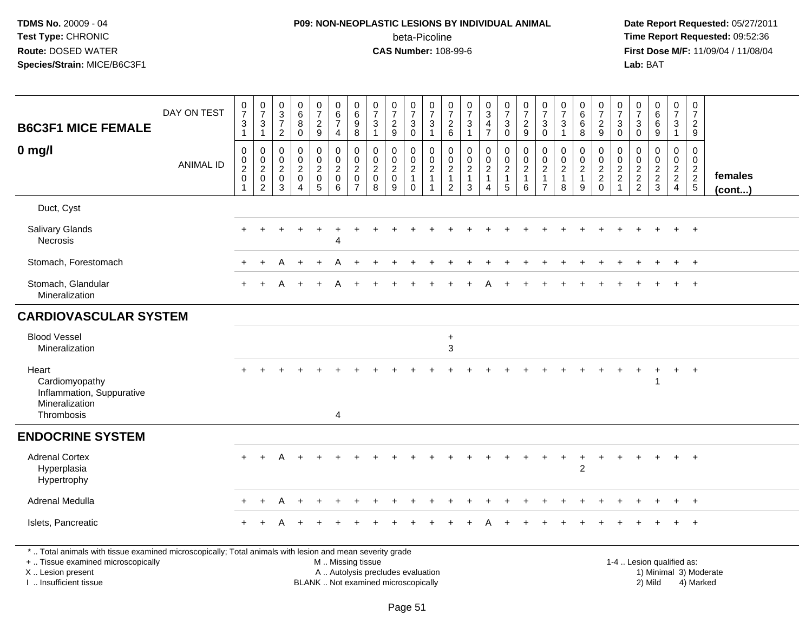# **P09: NON-NEOPLASTIC LESIONS BY INDIVIDUAL ANIMAL**beta-Picoline<br>CAS Number: 108-99-6

 **Date Report Requested:** 05/27/2011 **Time Report Requested:** 09:52:36 **First Dose M/F:** 11/09/04 / 11/08/04<br>Lab: BAT **Lab:** BAT

| <b>B6C3F1 MICE FEMALE</b>                                                                                                                                           | DAY ON TEST      | $\begin{smallmatrix}0\\7\end{smallmatrix}$<br>3<br>$\mathbf{1}$               | $\begin{array}{c} 0 \\ 7 \end{array}$<br>$\mathbf{3}$<br>$\mathbf{1}$        | $_{3}^{\rm 0}$<br>$\boldsymbol{7}$<br>$\overline{2}$                            | $_{6}^{\rm 0}$<br>8<br>$\mathbf 0$                                          | $\frac{0}{7}$<br>$\frac{2}{9}$                                    | 0<br>6<br>$\overline{7}$<br>$\overline{4}$                      | $\pmb{0}$<br>6<br>$\boldsymbol{9}$<br>8                                       | $\frac{0}{7}$<br>$\mathbf{3}$<br>$\mathbf{1}$                | $\frac{0}{7}$<br>$\overline{c}$<br>9  | $\frac{0}{7}$<br>$\sqrt{3}$<br>$\mathbf 0$              | 0<br>$\overline{7}$<br>$\sqrt{3}$<br>$\overline{1}$                         | $\pmb{0}$<br>$\overline{7}$<br>$\overline{2}$<br>6                            | $\frac{0}{7}$<br>3<br>$\overline{1}$                             | $_3^0$<br>$\overline{\mathbf{4}}$<br>$\overline{7}$     | $\frac{0}{7}$<br>$\mathbf{3}$<br>$\mathbf 0$            | $\frac{0}{7}$<br>$\sqrt{2}$<br>9                                  | $\frac{0}{7}$<br>3<br>$\mathbf 0$                                               | 0<br>$\overline{7}$<br>$\sqrt{3}$<br>$\overline{1}$        | 0<br>$6\phantom{a}$<br>$\,6\,$<br>8           | 0<br>$\overline{7}$<br>$\overline{a}$<br>9 | $\frac{0}{7}$<br>$\sqrt{3}$<br>$\mathbf 0$          | $\frac{0}{7}$<br>$\sqrt{3}$<br>$\mathbf 0$  | 0<br>6<br>$\,6\,$<br>9                   | 0<br>$\overline{7}$<br>3<br>$\mathbf{1}$            | 0<br>$\overline{7}$<br>$\overline{2}$<br>9 |                         |
|---------------------------------------------------------------------------------------------------------------------------------------------------------------------|------------------|-------------------------------------------------------------------------------|------------------------------------------------------------------------------|---------------------------------------------------------------------------------|-----------------------------------------------------------------------------|-------------------------------------------------------------------|-----------------------------------------------------------------|-------------------------------------------------------------------------------|--------------------------------------------------------------|---------------------------------------|---------------------------------------------------------|-----------------------------------------------------------------------------|-------------------------------------------------------------------------------|------------------------------------------------------------------|---------------------------------------------------------|---------------------------------------------------------|-------------------------------------------------------------------|---------------------------------------------------------------------------------|------------------------------------------------------------|-----------------------------------------------|--------------------------------------------|-----------------------------------------------------|---------------------------------------------|------------------------------------------|-----------------------------------------------------|--------------------------------------------|-------------------------|
| $0$ mg/l                                                                                                                                                            | <b>ANIMAL ID</b> | $\mathbf 0$<br>$\mathbf 0$<br>$\boldsymbol{2}$<br>$\mathbf 0$<br>$\mathbf{1}$ | 0<br>$\mathbf 0$<br>$\overline{\mathbf{c}}$<br>$\mathbf 0$<br>$\overline{2}$ | $\mathbf 0$<br>$\mathbf 0$<br>$\boldsymbol{2}$<br>$\mathbf 0$<br>$\overline{3}$ | 0<br>$\mathsf 0$<br>$\overline{c}$<br>$\mathsf 0$<br>$\boldsymbol{\Lambda}$ | 0<br>0<br>$\overline{c}$<br>$\mathsf{O}\xspace$<br>$\overline{5}$ | 0<br>$\mathbf 0$<br>$\overline{\mathbf{c}}$<br>$\mathbf 0$<br>6 | $\mathbf 0$<br>$\mathbf 0$<br>$\overline{c}$<br>$\mathbf 0$<br>$\overline{7}$ | $\mathbf 0$<br>$\mathbf 0$<br>$^2_{\rm 0}$<br>$\overline{8}$ | 0<br>$\mathbf 0$<br>$^2_{\rm 0}$<br>9 | 0<br>0<br>$\overline{c}$<br>$\mathbf{1}$<br>$\mathbf 0$ | 0<br>$\boldsymbol{0}$<br>$\overline{c}$<br>$\overline{1}$<br>$\overline{1}$ | $\Omega$<br>$\mathbf 0$<br>$\boldsymbol{2}$<br>$\mathbf{1}$<br>$\overline{2}$ | $\Omega$<br>$\mathbf 0$<br>$\overline{c}$<br>$\overline{1}$<br>3 | 0<br>$\mathbf 0$<br>$\overline{a}$<br>$\mathbf{1}$<br>4 | 0<br>$\mathbf 0$<br>$\overline{a}$<br>$\mathbf{1}$<br>5 | 0<br>$\mathbf 0$<br>$\sqrt{2}$<br>$\mathbf{1}$<br>$6\phantom{1}6$ | $\mathbf{0}$<br>$\mathbf 0$<br>$\overline{c}$<br>$\mathbf{1}$<br>$\overline{7}$ | $\Omega$<br>$\mathbf 0$<br>$\sqrt{2}$<br>$\mathbf{1}$<br>8 | 0<br>0<br>$\overline{2}$<br>$\mathbf{1}$<br>9 | 0<br>0<br>$\frac{2}{2}$<br>$\mathbf 0$     | 0<br>$\mathbf 0$<br>$\frac{2}{2}$<br>$\overline{1}$ | $\mathbf 0$<br>$\mathbf 0$<br>$\frac{2}{2}$ | $\Omega$<br>$\mathbf 0$<br>$\frac{2}{3}$ | $\mathbf 0$<br>0<br>$\frac{2}{2}$<br>$\overline{4}$ | $\Omega$<br>$\mathbf 0$<br>$\frac{2}{2}$   | females<br>$($ cont $)$ |
| Duct, Cyst                                                                                                                                                          |                  |                                                                               |                                                                              |                                                                                 |                                                                             |                                                                   |                                                                 |                                                                               |                                                              |                                       |                                                         |                                                                             |                                                                               |                                                                  |                                                         |                                                         |                                                                   |                                                                                 |                                                            |                                               |                                            |                                                     |                                             |                                          |                                                     |                                            |                         |
| Salivary Glands<br>Necrosis                                                                                                                                         |                  |                                                                               |                                                                              |                                                                                 |                                                                             |                                                                   | $\overline{\mathbf{4}}$                                         |                                                                               |                                                              |                                       |                                                         |                                                                             |                                                                               |                                                                  |                                                         |                                                         |                                                                   |                                                                                 |                                                            |                                               |                                            |                                                     |                                             |                                          |                                                     |                                            |                         |
| Stomach, Forestomach                                                                                                                                                |                  |                                                                               |                                                                              |                                                                                 | $\ddot{}$                                                                   |                                                                   |                                                                 |                                                                               |                                                              |                                       |                                                         |                                                                             |                                                                               |                                                                  |                                                         |                                                         |                                                                   |                                                                                 |                                                            |                                               |                                            |                                                     |                                             |                                          |                                                     | $\ddot{}$                                  |                         |
| Stomach, Glandular<br>Mineralization                                                                                                                                |                  |                                                                               |                                                                              |                                                                                 |                                                                             |                                                                   |                                                                 |                                                                               |                                                              |                                       |                                                         |                                                                             |                                                                               |                                                                  |                                                         |                                                         |                                                                   |                                                                                 |                                                            |                                               |                                            |                                                     |                                             |                                          |                                                     | $\ddot{}$                                  |                         |
| <b>CARDIOVASCULAR SYSTEM</b>                                                                                                                                        |                  |                                                                               |                                                                              |                                                                                 |                                                                             |                                                                   |                                                                 |                                                                               |                                                              |                                       |                                                         |                                                                             |                                                                               |                                                                  |                                                         |                                                         |                                                                   |                                                                                 |                                                            |                                               |                                            |                                                     |                                             |                                          |                                                     |                                            |                         |
| <b>Blood Vessel</b><br>Mineralization                                                                                                                               |                  |                                                                               |                                                                              |                                                                                 |                                                                             |                                                                   |                                                                 |                                                                               |                                                              |                                       |                                                         |                                                                             | +<br>3                                                                        |                                                                  |                                                         |                                                         |                                                                   |                                                                                 |                                                            |                                               |                                            |                                                     |                                             |                                          |                                                     |                                            |                         |
| Heart<br>Cardiomyopathy<br>Inflammation, Suppurative<br>Mineralization<br>Thrombosis                                                                                |                  |                                                                               |                                                                              |                                                                                 |                                                                             |                                                                   | $\overline{4}$                                                  |                                                                               |                                                              |                                       |                                                         |                                                                             |                                                                               |                                                                  |                                                         |                                                         |                                                                   |                                                                                 |                                                            |                                               |                                            |                                                     |                                             |                                          |                                                     | $+$                                        |                         |
| <b>ENDOCRINE SYSTEM</b>                                                                                                                                             |                  |                                                                               |                                                                              |                                                                                 |                                                                             |                                                                   |                                                                 |                                                                               |                                                              |                                       |                                                         |                                                                             |                                                                               |                                                                  |                                                         |                                                         |                                                                   |                                                                                 |                                                            |                                               |                                            |                                                     |                                             |                                          |                                                     |                                            |                         |
| <b>Adrenal Cortex</b><br>Hyperplasia<br>Hypertrophy                                                                                                                 |                  | $+$                                                                           |                                                                              |                                                                                 |                                                                             |                                                                   |                                                                 |                                                                               |                                                              |                                       |                                                         |                                                                             |                                                                               |                                                                  |                                                         |                                                         |                                                                   |                                                                                 |                                                            | $\overline{2}$                                |                                            |                                                     |                                             |                                          |                                                     |                                            |                         |
| Adrenal Medulla                                                                                                                                                     |                  |                                                                               |                                                                              |                                                                                 |                                                                             |                                                                   |                                                                 |                                                                               |                                                              |                                       |                                                         |                                                                             |                                                                               |                                                                  |                                                         |                                                         |                                                                   |                                                                                 |                                                            |                                               |                                            |                                                     |                                             |                                          |                                                     |                                            |                         |
| Islets, Pancreatic                                                                                                                                                  |                  |                                                                               |                                                                              |                                                                                 |                                                                             |                                                                   |                                                                 |                                                                               |                                                              |                                       |                                                         |                                                                             |                                                                               |                                                                  |                                                         |                                                         |                                                                   |                                                                                 |                                                            |                                               |                                            |                                                     |                                             |                                          |                                                     | $\pm$                                      |                         |
| *  Total animals with tissue examined microscopically; Total animals with lesion and mean severity grade<br>+  Tissue examined microscopically<br>X  Lesion present |                  |                                                                               |                                                                              |                                                                                 |                                                                             |                                                                   | M  Missing tissue                                               |                                                                               | A  Autolysis precludes evaluation                            |                                       |                                                         |                                                                             |                                                                               |                                                                  |                                                         |                                                         |                                                                   |                                                                                 |                                                            |                                               |                                            |                                                     |                                             | 1-4  Lesion qualified as:                |                                                     |                                            | 1) Minimal 3) Moderate  |

I .. Insufficient tissue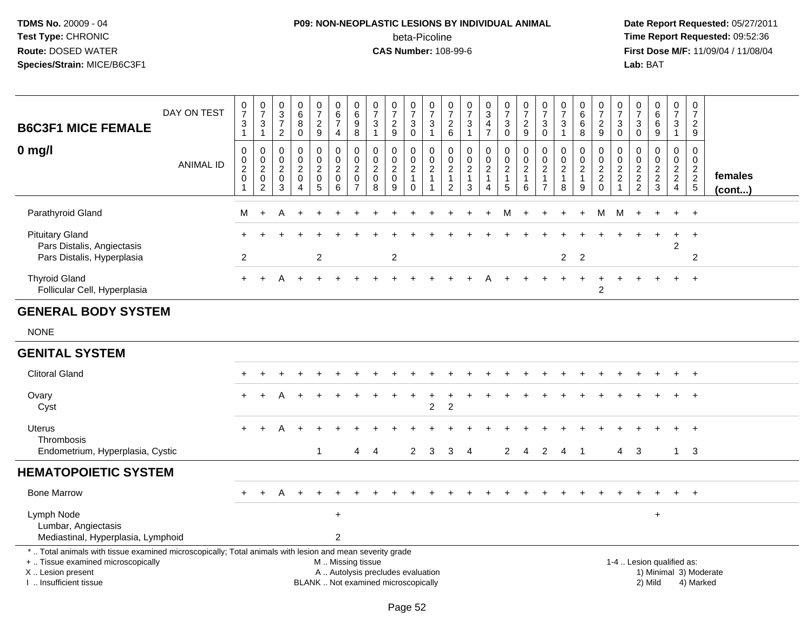# **P09: NON-NEOPLASTIC LESIONS BY INDIVIDUAL ANIMAL**beta-Picoline<br>CAS Number: 108-99-6

| <b>B6C3F1 MICE FEMALE</b><br>$0$ mg/l                                                                                                                                                        | DAY ON TEST<br><b>ANIMAL ID</b> | $\frac{0}{7}$<br>$\sqrt{3}$<br>$\mathbf{1}$<br>$\mathbf 0$<br>$\mathbf 0$<br>$\overline{2}$<br>$\pmb{0}$ | $\frac{0}{7}$<br>$\sqrt{3}$<br>$\mathbf{1}$<br>$\pmb{0}$<br>$\begin{smallmatrix} 0\\2 \end{smallmatrix}$<br>$\mathbf 0$ | 0<br>$\overline{3}$<br>$\overline{7}$<br>$\overline{2}$<br>0<br>0<br>$\sqrt{2}$<br>0 | $\mathbf 0$<br>6<br>$\bf8$<br>$\mathbf 0$<br>$\pmb{0}$<br>$\mathbf 0$<br>$\overline{2}$<br>$\mathbf 0$ | $\begin{array}{c} 0 \\ 7 \end{array}$<br>$\frac{2}{9}$<br>0<br>$\mathbf 0$<br>$\boldsymbol{2}$<br>$\mathsf{O}\xspace$ | $\begin{array}{c} 0 \\ 6 \end{array}$<br>$\boldsymbol{7}$<br>$\overline{4}$<br>0<br>$\mathbf 0$<br>$\overline{2}$<br>$\mathsf{O}\xspace$ | $_{6}^{\rm 0}$<br>$\boldsymbol{9}$<br>8<br>$\pmb{0}$<br>$\mathbf 0$<br>$\overline{2}$<br>$\pmb{0}$ | 0<br>$\overline{7}$<br>$\sqrt{3}$<br>$\mathbf{1}$<br>0<br>0<br>$\overline{c}$<br>$\mathbf 0$ | $\begin{array}{c} 0 \\ 7 \end{array}$<br>$\frac{2}{9}$<br>$\pmb{0}$<br>$\mathbf 0$<br>$\overline{2}$<br>$\pmb{0}$ | $\frac{0}{7}$<br>$\ensuremath{\mathsf{3}}$<br>$\mathbf 0$<br>0<br>0<br>$\overline{2}$<br>$\mathbf{1}$ | $\frac{0}{7}$<br>$\sqrt{3}$<br>$\mathbf{1}$<br>$\pmb{0}$<br>$\mathbf 0$<br>$\overline{2}$<br>$\mathbf{1}$ | 0<br>$\overline{7}$<br>$\frac{2}{6}$<br>0<br>0<br>$\sqrt{2}$<br>$\mathbf{1}$ | $\frac{0}{7}$<br>$\mathbf{3}$<br>$\mathbf{1}$<br>$\mathbf 0$<br>$\mathbf 0$<br>$\overline{2}$<br>$\mathbf{1}$ | $\frac{0}{3}$<br>$\overline{4}$<br>$\overline{7}$<br>$\pmb{0}$<br>$\mathbf 0$<br>$\overline{2}$<br>$\mathbf{1}$ | $\frac{0}{7}$<br>$_0^3$<br>0<br>$\mathbf 0$<br>$\overline{2}$<br>$\mathbf{1}$ | $\frac{0}{7}$<br>$\frac{2}{9}$<br>$\mathbf 0$<br>$\mathbf 0$<br>$\overline{2}$<br>$\mathbf{1}$ | $\pmb{0}$<br>$\overline{7}$<br>$\sqrt{3}$<br>$\mathbf 0$<br>0<br>$\mathbf 0$<br>$\boldsymbol{2}$<br>$\mathbf{1}$ | $\begin{array}{c} 0 \\ 7 \end{array}$<br>$\sqrt{3}$<br>$\mathbf{1}$<br>$\mathbf 0$<br>$\mathbf 0$<br>$\overline{2}$<br>$\mathbf{1}$ | 0<br>$\overline{6}$<br>$\,6$<br>8<br>0<br>$\mathbf 0$<br>$\overline{c}$<br>$\mathbf{1}$ | $\frac{0}{7}$<br>$\frac{2}{9}$<br>$\mathbf 0$<br>$\mathsf{O}$<br>$\overline{2}$<br>$\frac{2}{0}$ | $\frac{0}{7}$<br>3<br>$\mathbf 0$<br>0<br>$\mathbf 0$<br>$\overline{2}$<br>$\overline{c}$ | 0<br>$\overline{7}$<br>$\sqrt{3}$<br>$\mathbf 0$<br>0<br>0<br>$\overline{2}$<br>$\frac{2}{2}$ | $\begin{array}{c} 0 \\ 6 \end{array}$<br>$\,6\,$<br>$9\,$<br>$\mathbf 0$<br>$\mathbf 0$<br>$\overline{2}$<br>$\frac{2}{3}$ | $\mathbf 0$<br>$\overline{7}$<br>$\ensuremath{\mathsf{3}}$<br>$\overline{1}$<br>0<br>$\mathbf 0$<br>$\overline{2}$<br>$\overline{2}$ | $\mathbf 0$<br>$\overline{7}$<br>$\sqrt{2}$<br>9<br>$\mathsf 0$<br>$\mathbf 0$<br>$\overline{2}$<br>$\frac{2}{5}$ | females |
|----------------------------------------------------------------------------------------------------------------------------------------------------------------------------------------------|---------------------------------|----------------------------------------------------------------------------------------------------------|-------------------------------------------------------------------------------------------------------------------------|--------------------------------------------------------------------------------------|--------------------------------------------------------------------------------------------------------|-----------------------------------------------------------------------------------------------------------------------|------------------------------------------------------------------------------------------------------------------------------------------|----------------------------------------------------------------------------------------------------|----------------------------------------------------------------------------------------------|-------------------------------------------------------------------------------------------------------------------|-------------------------------------------------------------------------------------------------------|-----------------------------------------------------------------------------------------------------------|------------------------------------------------------------------------------|---------------------------------------------------------------------------------------------------------------|-----------------------------------------------------------------------------------------------------------------|-------------------------------------------------------------------------------|------------------------------------------------------------------------------------------------|------------------------------------------------------------------------------------------------------------------|-------------------------------------------------------------------------------------------------------------------------------------|-----------------------------------------------------------------------------------------|--------------------------------------------------------------------------------------------------|-------------------------------------------------------------------------------------------|-----------------------------------------------------------------------------------------------|----------------------------------------------------------------------------------------------------------------------------|--------------------------------------------------------------------------------------------------------------------------------------|-------------------------------------------------------------------------------------------------------------------|---------|
|                                                                                                                                                                                              |                                 | $\mathbf 1$                                                                                              | $\overline{2}$                                                                                                          | 3                                                                                    | $\overline{4}$                                                                                         | $\overline{5}$                                                                                                        | $6^{\circ}$                                                                                                                              | $\overline{7}$                                                                                     | 8                                                                                            | 9                                                                                                                 | $\mathbf 0$                                                                                           | $\overline{1}$                                                                                            | $\overline{2}$                                                               | $\mathbf{3}$                                                                                                  | $\overline{A}$                                                                                                  | $\overline{5}$                                                                | $6\phantom{1}6$                                                                                | $\overline{7}$                                                                                                   | 8                                                                                                                                   | 9                                                                                       |                                                                                                  | $\mathbf{1}$                                                                              |                                                                                               |                                                                                                                            | $\overline{4}$                                                                                                                       |                                                                                                                   | (cont)  |
| Parathyroid Gland                                                                                                                                                                            |                                 | M                                                                                                        |                                                                                                                         |                                                                                      |                                                                                                        |                                                                                                                       |                                                                                                                                          |                                                                                                    |                                                                                              |                                                                                                                   |                                                                                                       |                                                                                                           |                                                                              |                                                                                                               |                                                                                                                 |                                                                               |                                                                                                |                                                                                                                  |                                                                                                                                     |                                                                                         | м                                                                                                | м                                                                                         |                                                                                               |                                                                                                                            |                                                                                                                                      | $\overline{+}$                                                                                                    |         |
| <b>Pituitary Gland</b>                                                                                                                                                                       |                                 |                                                                                                          |                                                                                                                         |                                                                                      |                                                                                                        |                                                                                                                       |                                                                                                                                          |                                                                                                    |                                                                                              |                                                                                                                   |                                                                                                       |                                                                                                           |                                                                              |                                                                                                               |                                                                                                                 |                                                                               |                                                                                                |                                                                                                                  |                                                                                                                                     |                                                                                         |                                                                                                  |                                                                                           |                                                                                               |                                                                                                                            | +                                                                                                                                    | $\ddot{}$                                                                                                         |         |
| Pars Distalis, Angiectasis<br>Pars Distalis, Hyperplasia                                                                                                                                     |                                 | 2                                                                                                        |                                                                                                                         |                                                                                      |                                                                                                        | $\overline{2}$                                                                                                        |                                                                                                                                          |                                                                                                    |                                                                                              | $\overline{2}$                                                                                                    |                                                                                                       |                                                                                                           |                                                                              |                                                                                                               |                                                                                                                 |                                                                               |                                                                                                |                                                                                                                  | $\overline{2}$                                                                                                                      | $\overline{2}$                                                                          |                                                                                                  |                                                                                           |                                                                                               |                                                                                                                            | $\overline{2}$                                                                                                                       | $\overline{c}$                                                                                                    |         |
| <b>Thyroid Gland</b><br>Follicular Cell, Hyperplasia                                                                                                                                         |                                 |                                                                                                          |                                                                                                                         |                                                                                      |                                                                                                        |                                                                                                                       |                                                                                                                                          |                                                                                                    |                                                                                              |                                                                                                                   |                                                                                                       |                                                                                                           |                                                                              |                                                                                                               |                                                                                                                 |                                                                               |                                                                                                |                                                                                                                  |                                                                                                                                     |                                                                                         | 2                                                                                                |                                                                                           |                                                                                               |                                                                                                                            |                                                                                                                                      | $\overline{+}$                                                                                                    |         |
| <b>GENERAL BODY SYSTEM</b>                                                                                                                                                                   |                                 |                                                                                                          |                                                                                                                         |                                                                                      |                                                                                                        |                                                                                                                       |                                                                                                                                          |                                                                                                    |                                                                                              |                                                                                                                   |                                                                                                       |                                                                                                           |                                                                              |                                                                                                               |                                                                                                                 |                                                                               |                                                                                                |                                                                                                                  |                                                                                                                                     |                                                                                         |                                                                                                  |                                                                                           |                                                                                               |                                                                                                                            |                                                                                                                                      |                                                                                                                   |         |
| <b>NONE</b>                                                                                                                                                                                  |                                 |                                                                                                          |                                                                                                                         |                                                                                      |                                                                                                        |                                                                                                                       |                                                                                                                                          |                                                                                                    |                                                                                              |                                                                                                                   |                                                                                                       |                                                                                                           |                                                                              |                                                                                                               |                                                                                                                 |                                                                               |                                                                                                |                                                                                                                  |                                                                                                                                     |                                                                                         |                                                                                                  |                                                                                           |                                                                                               |                                                                                                                            |                                                                                                                                      |                                                                                                                   |         |
| <b>GENITAL SYSTEM</b>                                                                                                                                                                        |                                 |                                                                                                          |                                                                                                                         |                                                                                      |                                                                                                        |                                                                                                                       |                                                                                                                                          |                                                                                                    |                                                                                              |                                                                                                                   |                                                                                                       |                                                                                                           |                                                                              |                                                                                                               |                                                                                                                 |                                                                               |                                                                                                |                                                                                                                  |                                                                                                                                     |                                                                                         |                                                                                                  |                                                                                           |                                                                                               |                                                                                                                            |                                                                                                                                      |                                                                                                                   |         |
| <b>Clitoral Gland</b>                                                                                                                                                                        |                                 |                                                                                                          |                                                                                                                         |                                                                                      |                                                                                                        |                                                                                                                       |                                                                                                                                          |                                                                                                    |                                                                                              |                                                                                                                   |                                                                                                       |                                                                                                           |                                                                              |                                                                                                               |                                                                                                                 |                                                                               |                                                                                                |                                                                                                                  |                                                                                                                                     |                                                                                         |                                                                                                  |                                                                                           |                                                                                               |                                                                                                                            |                                                                                                                                      | $^+$                                                                                                              |         |
| Ovary<br>Cyst                                                                                                                                                                                |                                 |                                                                                                          |                                                                                                                         |                                                                                      |                                                                                                        |                                                                                                                       |                                                                                                                                          |                                                                                                    |                                                                                              |                                                                                                                   |                                                                                                       | $\overline{c}$                                                                                            | $\overline{c}$                                                               |                                                                                                               |                                                                                                                 |                                                                               |                                                                                                |                                                                                                                  |                                                                                                                                     |                                                                                         |                                                                                                  |                                                                                           |                                                                                               |                                                                                                                            |                                                                                                                                      | $\overline{+}$                                                                                                    |         |
| <b>Uterus</b>                                                                                                                                                                                |                                 | $\pm$                                                                                                    |                                                                                                                         |                                                                                      |                                                                                                        |                                                                                                                       |                                                                                                                                          |                                                                                                    |                                                                                              |                                                                                                                   |                                                                                                       |                                                                                                           |                                                                              |                                                                                                               |                                                                                                                 |                                                                               |                                                                                                |                                                                                                                  |                                                                                                                                     |                                                                                         |                                                                                                  |                                                                                           |                                                                                               |                                                                                                                            |                                                                                                                                      | $+$                                                                                                               |         |
| Thrombosis<br>Endometrium, Hyperplasia, Cystic                                                                                                                                               |                                 |                                                                                                          |                                                                                                                         |                                                                                      |                                                                                                        | 1                                                                                                                     |                                                                                                                                          | $\overline{4}$                                                                                     | $\overline{4}$                                                                               |                                                                                                                   | 2                                                                                                     | 3                                                                                                         | 3                                                                            | 4                                                                                                             |                                                                                                                 | $\overline{2}$                                                                | 4                                                                                              | $\overline{2}$                                                                                                   | 4                                                                                                                                   | - 1                                                                                     |                                                                                                  | 4                                                                                         | 3                                                                                             |                                                                                                                            | $\mathbf{1}$                                                                                                                         | $\mathbf{3}$                                                                                                      |         |
| <b>HEMATOPOIETIC SYSTEM</b>                                                                                                                                                                  |                                 |                                                                                                          |                                                                                                                         |                                                                                      |                                                                                                        |                                                                                                                       |                                                                                                                                          |                                                                                                    |                                                                                              |                                                                                                                   |                                                                                                       |                                                                                                           |                                                                              |                                                                                                               |                                                                                                                 |                                                                               |                                                                                                |                                                                                                                  |                                                                                                                                     |                                                                                         |                                                                                                  |                                                                                           |                                                                                               |                                                                                                                            |                                                                                                                                      |                                                                                                                   |         |
| <b>Bone Marrow</b>                                                                                                                                                                           |                                 | $+$                                                                                                      | $+$                                                                                                                     | A                                                                                    |                                                                                                        |                                                                                                                       |                                                                                                                                          |                                                                                                    |                                                                                              |                                                                                                                   |                                                                                                       |                                                                                                           |                                                                              |                                                                                                               |                                                                                                                 |                                                                               |                                                                                                |                                                                                                                  |                                                                                                                                     |                                                                                         |                                                                                                  |                                                                                           |                                                                                               |                                                                                                                            |                                                                                                                                      | $+$                                                                                                               |         |
| Lymph Node<br>Lumbar, Angiectasis<br>Mediastinal, Hyperplasia, Lymphoid                                                                                                                      |                                 |                                                                                                          |                                                                                                                         |                                                                                      |                                                                                                        |                                                                                                                       | $+$<br>$\overline{2}$                                                                                                                    |                                                                                                    |                                                                                              |                                                                                                                   |                                                                                                       |                                                                                                           |                                                                              |                                                                                                               |                                                                                                                 |                                                                               |                                                                                                |                                                                                                                  |                                                                                                                                     |                                                                                         |                                                                                                  |                                                                                           |                                                                                               | $\ddot{}$                                                                                                                  |                                                                                                                                      |                                                                                                                   |         |
| *  Total animals with tissue examined microscopically; Total animals with lesion and mean severity grade<br>+  Tissue examined microscopically<br>X Lesion present<br>I. Insufficient tissue |                                 |                                                                                                          |                                                                                                                         |                                                                                      |                                                                                                        |                                                                                                                       | M  Missing tissue<br>A  Autolysis precludes evaluation<br>BLANK  Not examined microscopically                                            |                                                                                                    |                                                                                              |                                                                                                                   |                                                                                                       |                                                                                                           |                                                                              |                                                                                                               |                                                                                                                 |                                                                               |                                                                                                |                                                                                                                  |                                                                                                                                     |                                                                                         |                                                                                                  |                                                                                           |                                                                                               | 1-4  Lesion qualified as:<br>1) Minimal 3) Moderate<br>2) Mild                                                             |                                                                                                                                      | 4) Marked                                                                                                         |         |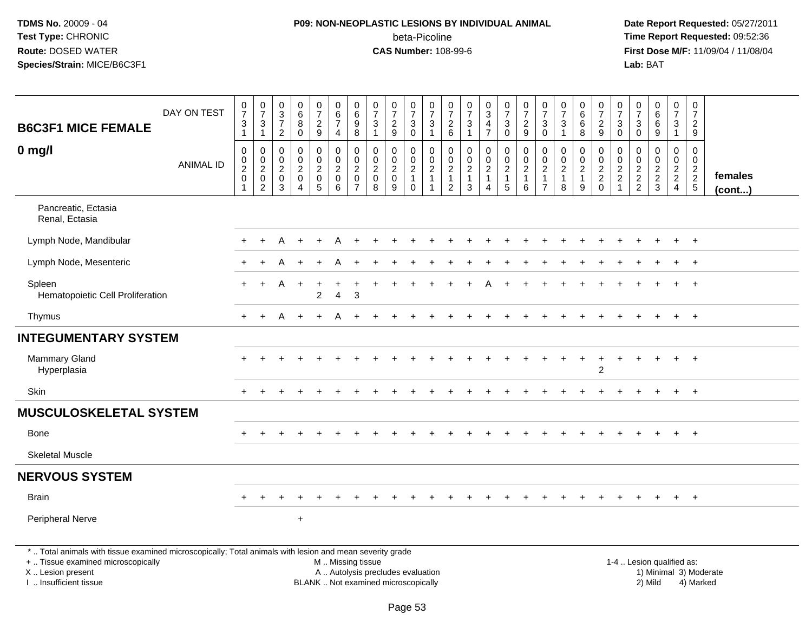# **P09: NON-NEOPLASTIC LESIONS BY INDIVIDUAL ANIMAL**beta-Picoline<br>CAS Number: 108-99-6

 **Date Report Requested:** 05/27/2011 **Time Report Requested:** 09:52:36 **First Dose M/F:** 11/09/04 / 11/08/04<br>**Lab:** BAT **Lab:** BAT

|                                                                                                                                                | DAY ON TEST      | $\begin{array}{c} 0 \\ 7 \end{array}$<br>$\ensuremath{\mathsf{3}}$          | $\frac{0}{7}$<br>$\sqrt{3}$                                           | $_{3}^{\rm 0}$<br>$\overline{7}$                                               | $_{6}^{\rm 0}$<br>8                                                 | $\frac{0}{7}$                                                         | $\begin{array}{c} 0 \\ 6 \end{array}$<br>$\overline{7}$          | $\begin{array}{c} 0 \\ 6 \end{array}$<br>$\boldsymbol{9}$       | $\frac{0}{7}$<br>$\mathbf{3}$                                    | $\frac{0}{7}$<br>$\overline{\mathbf{c}}$               | $\frac{0}{7}$                                             | $\frac{0}{7}$<br>3                                                         | 0<br>$\boldsymbol{7}$                                      | $\frac{0}{7}$<br>$\ensuremath{\mathsf{3}}$                                         | $\frac{0}{3}$                                         | $\begin{array}{c} 0 \\ 7 \end{array}$<br>$\ensuremath{\mathsf{3}}$ | $\frac{0}{7}$                                           | $\frac{0}{7}$<br>$\ensuremath{\mathsf{3}}$                                       | $\frac{0}{7}$<br>$\mathbf{3}$                 | 0<br>6<br>6                                             | $\frac{0}{7}$                     | $\frac{0}{7}$<br>$\mathbf{3}$                      | $\frac{0}{7}$<br>$\sqrt{3}$                 | $_{6}^{\rm 0}$<br>6               | $\begin{smallmatrix}0\\7\end{smallmatrix}$<br>3 | $\frac{0}{7}$<br>$\overline{c}$   |                         |
|------------------------------------------------------------------------------------------------------------------------------------------------|------------------|-----------------------------------------------------------------------------|-----------------------------------------------------------------------|--------------------------------------------------------------------------------|---------------------------------------------------------------------|-----------------------------------------------------------------------|------------------------------------------------------------------|-----------------------------------------------------------------|------------------------------------------------------------------|--------------------------------------------------------|-----------------------------------------------------------|----------------------------------------------------------------------------|------------------------------------------------------------|------------------------------------------------------------------------------------|-------------------------------------------------------|--------------------------------------------------------------------|---------------------------------------------------------|----------------------------------------------------------------------------------|-----------------------------------------------|---------------------------------------------------------|-----------------------------------|----------------------------------------------------|---------------------------------------------|-----------------------------------|-------------------------------------------------|-----------------------------------|-------------------------|
| <b>B6C3F1 MICE FEMALE</b>                                                                                                                      |                  | $\mathbf{1}$                                                                | $\mathbf{1}$                                                          | $\overline{2}$                                                                 | $\mathbf 0$                                                         | $\frac{2}{9}$                                                         | $\overline{4}$                                                   | 8                                                               | $\mathbf{1}$                                                     | 9                                                      | $\frac{3}{0}$                                             | $\mathbf{1}$                                                               | $\begin{array}{c} 2 \\ 6 \end{array}$                      | $\overline{1}$                                                                     | $\frac{4}{7}$                                         | $\mathbf 0$                                                        | $\frac{2}{9}$                                           | $\mathbf 0$                                                                      | 1                                             | 8                                                       | $\frac{2}{9}$                     | $\mathbf 0$                                        | $\mathbf 0$                                 | 9                                 | $\overline{1}$                                  | 9                                 |                         |
| $0$ mg/l                                                                                                                                       | <b>ANIMAL ID</b> | $\mathsf 0$<br>$\mathbf 0$<br>$\overline{2}$<br>$\mathbf 0$<br>$\mathbf{1}$ | 0<br>$\mathbf 0$<br>$\overline{2}$<br>$\mathbf 0$<br>$\boldsymbol{2}$ | $\mathbf 0$<br>$\boldsymbol{0}$<br>$\overline{2}$<br>$\mathbf 0$<br>$\sqrt{3}$ | 0<br>$\mathbf 0$<br>$\overline{2}$<br>$\mathbf 0$<br>$\overline{4}$ | $\pmb{0}$<br>0<br>$\overline{2}$<br>$\mathsf{O}\xspace$<br>$\sqrt{5}$ | $\pmb{0}$<br>$\pmb{0}$<br>$\overline{2}$<br>$\pmb{0}$<br>$\,6\,$ | 0<br>$\mathbf 0$<br>$\sqrt{2}$<br>$\mathbf 0$<br>$\overline{7}$ | $\mathbf 0$<br>$\mathbf 0$<br>$\overline{2}$<br>$\mathbf 0$<br>8 | 0<br>$\mathbf 0$<br>$\overline{2}$<br>$\mathbf 0$<br>9 | 0<br>$\frac{0}{2}$<br>$\mathbf{1}$<br>$\mathsf{O}\xspace$ | 0<br>$\mathsf{O}\xspace$<br>$\overline{2}$<br>$\mathbf{1}$<br>$\mathbf{1}$ | 0<br>0<br>$\overline{2}$<br>$\mathbf{1}$<br>$\overline{2}$ | $\pmb{0}$<br>$\mathsf{O}\xspace$<br>$\overline{2}$<br>$\mathbf{1}$<br>$\mathbf{3}$ | 0<br>$\pmb{0}$<br>$\overline{2}$<br>$\mathbf{1}$<br>4 | $\pmb{0}$<br>$\mathbf 0$<br>$\frac{2}{1}$<br>$\sqrt{5}$            | 0<br>$\mathbf 0$<br>$\overline{c}$<br>$\mathbf{1}$<br>6 | $\mathbf 0$<br>$\mathbf 0$<br>$\overline{2}$<br>$\overline{1}$<br>$\overline{7}$ | 0<br>0<br>$\overline{2}$<br>$\mathbf{1}$<br>8 | 0<br>$\mathbf 0$<br>$\overline{2}$<br>$\mathbf{1}$<br>9 | 0<br>$\frac{0}{2}$<br>$\mathbf 0$ | 0<br>$\mathbf{0}$<br>$\frac{2}{2}$<br>$\mathbf{1}$ | $\mathbf 0$<br>$\mathbf 0$<br>$\frac{2}{2}$ | 0<br>$\mathbf 0$<br>$\frac{2}{3}$ | 0<br>0<br>$\frac{2}{2}$<br>$\overline{4}$       | 0<br>$\mathbf 0$<br>$\frac{2}{2}$ | females<br>$($ cont $)$ |
| Pancreatic, Ectasia<br>Renal, Ectasia                                                                                                          |                  |                                                                             |                                                                       |                                                                                |                                                                     |                                                                       |                                                                  |                                                                 |                                                                  |                                                        |                                                           |                                                                            |                                                            |                                                                                    |                                                       |                                                                    |                                                         |                                                                                  |                                               |                                                         |                                   |                                                    |                                             |                                   |                                                 |                                   |                         |
| Lymph Node, Mandibular                                                                                                                         |                  |                                                                             | ÷                                                                     |                                                                                |                                                                     |                                                                       |                                                                  |                                                                 |                                                                  |                                                        |                                                           |                                                                            |                                                            |                                                                                    |                                                       |                                                                    |                                                         |                                                                                  |                                               |                                                         |                                   |                                                    |                                             |                                   |                                                 | $+$                               |                         |
| Lymph Node, Mesenteric                                                                                                                         |                  |                                                                             | $\ddot{}$                                                             | A                                                                              | $\ddot{}$                                                           | $\ddot{}$                                                             | A                                                                |                                                                 |                                                                  |                                                        |                                                           |                                                                            |                                                            |                                                                                    |                                                       |                                                                    |                                                         |                                                                                  |                                               |                                                         |                                   |                                                    |                                             |                                   | $\ddot{}$                                       | $+$                               |                         |
| Spleen<br>Hematopoietic Cell Proliferation                                                                                                     |                  |                                                                             |                                                                       | Α                                                                              | $\ddot{}$                                                           | $\ddot{}$<br>$\overline{c}$                                           | $\overline{4}$                                                   | 3                                                               |                                                                  |                                                        |                                                           |                                                                            |                                                            |                                                                                    |                                                       |                                                                    |                                                         |                                                                                  |                                               |                                                         |                                   |                                                    |                                             |                                   |                                                 | $\overline{+}$                    |                         |
| Thymus                                                                                                                                         |                  | $\div$                                                                      |                                                                       |                                                                                |                                                                     |                                                                       |                                                                  |                                                                 |                                                                  |                                                        |                                                           |                                                                            |                                                            |                                                                                    |                                                       |                                                                    |                                                         |                                                                                  |                                               |                                                         |                                   |                                                    |                                             |                                   |                                                 | $+$                               |                         |
| <b>INTEGUMENTARY SYSTEM</b>                                                                                                                    |                  |                                                                             |                                                                       |                                                                                |                                                                     |                                                                       |                                                                  |                                                                 |                                                                  |                                                        |                                                           |                                                                            |                                                            |                                                                                    |                                                       |                                                                    |                                                         |                                                                                  |                                               |                                                         |                                   |                                                    |                                             |                                   |                                                 |                                   |                         |
| Mammary Gland<br>Hyperplasia                                                                                                                   |                  |                                                                             |                                                                       |                                                                                |                                                                     |                                                                       |                                                                  |                                                                 |                                                                  |                                                        |                                                           |                                                                            |                                                            |                                                                                    |                                                       |                                                                    |                                                         |                                                                                  |                                               | $\ddot{}$                                               | $\ddot{}$<br>$\overline{2}$       | $\ddot{}$                                          |                                             |                                   | $+$                                             | $+$                               |                         |
| Skin                                                                                                                                           |                  |                                                                             |                                                                       |                                                                                |                                                                     |                                                                       |                                                                  |                                                                 |                                                                  |                                                        |                                                           |                                                                            |                                                            |                                                                                    |                                                       |                                                                    |                                                         |                                                                                  |                                               |                                                         |                                   |                                                    |                                             |                                   | $+$                                             | $+$                               |                         |
| <b>MUSCULOSKELETAL SYSTEM</b>                                                                                                                  |                  |                                                                             |                                                                       |                                                                                |                                                                     |                                                                       |                                                                  |                                                                 |                                                                  |                                                        |                                                           |                                                                            |                                                            |                                                                                    |                                                       |                                                                    |                                                         |                                                                                  |                                               |                                                         |                                   |                                                    |                                             |                                   |                                                 |                                   |                         |
| <b>Bone</b>                                                                                                                                    |                  |                                                                             |                                                                       |                                                                                |                                                                     |                                                                       |                                                                  |                                                                 |                                                                  |                                                        |                                                           |                                                                            |                                                            |                                                                                    |                                                       |                                                                    |                                                         |                                                                                  |                                               |                                                         |                                   |                                                    |                                             |                                   | $+$                                             | $+$                               |                         |
| <b>Skeletal Muscle</b>                                                                                                                         |                  |                                                                             |                                                                       |                                                                                |                                                                     |                                                                       |                                                                  |                                                                 |                                                                  |                                                        |                                                           |                                                                            |                                                            |                                                                                    |                                                       |                                                                    |                                                         |                                                                                  |                                               |                                                         |                                   |                                                    |                                             |                                   |                                                 |                                   |                         |
| <b>NERVOUS SYSTEM</b>                                                                                                                          |                  |                                                                             |                                                                       |                                                                                |                                                                     |                                                                       |                                                                  |                                                                 |                                                                  |                                                        |                                                           |                                                                            |                                                            |                                                                                    |                                                       |                                                                    |                                                         |                                                                                  |                                               |                                                         |                                   |                                                    |                                             |                                   |                                                 |                                   |                         |
| <b>Brain</b>                                                                                                                                   |                  |                                                                             |                                                                       |                                                                                |                                                                     |                                                                       |                                                                  |                                                                 |                                                                  |                                                        |                                                           |                                                                            |                                                            |                                                                                    |                                                       |                                                                    |                                                         |                                                                                  |                                               |                                                         |                                   |                                                    |                                             |                                   | $+$                                             | $+$                               |                         |
| <b>Peripheral Nerve</b>                                                                                                                        |                  |                                                                             |                                                                       |                                                                                | $\ddot{}$                                                           |                                                                       |                                                                  |                                                                 |                                                                  |                                                        |                                                           |                                                                            |                                                            |                                                                                    |                                                       |                                                                    |                                                         |                                                                                  |                                               |                                                         |                                   |                                                    |                                             |                                   |                                                 |                                   |                         |
| *  Total animals with tissue examined microscopically; Total animals with lesion and mean severity grade<br>+  Tissue examined microscopically |                  |                                                                             |                                                                       |                                                                                |                                                                     |                                                                       |                                                                  | M  Missing tissue                                               |                                                                  |                                                        |                                                           |                                                                            |                                                            |                                                                                    |                                                       |                                                                    |                                                         |                                                                                  |                                               |                                                         |                                   |                                                    |                                             | 1-4  Lesion qualified as:         |                                                 |                                   |                         |

X .. Lesion present

I .. Insufficient tissue

A .. Autolysis precludes evaluation 1) Minimal 3) Moderate BLANK .. Not examined microscopically 2) Mild 4) Marked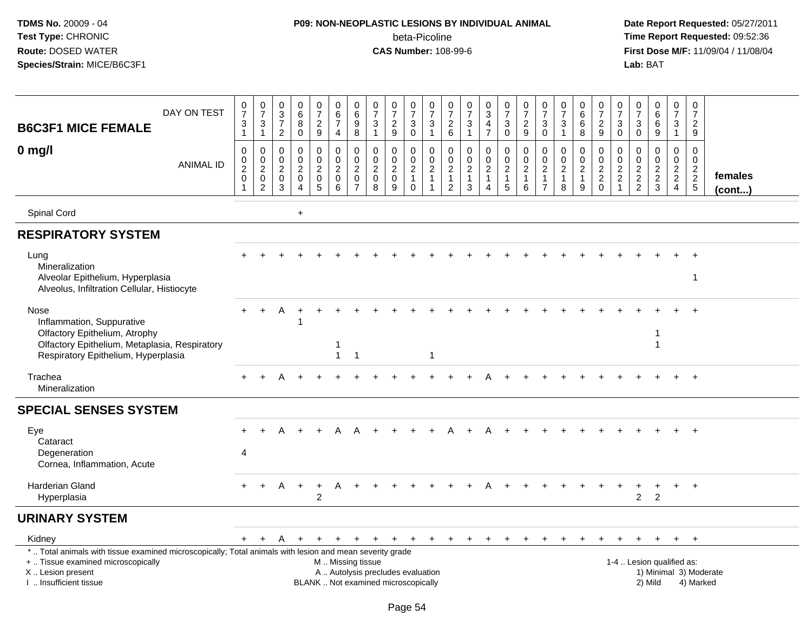### **P09: NON-NEOPLASTIC LESIONS BY INDIVIDUAL ANIMAL**beta-Picoline<br>CAS Number: 108-99-6

| <b>B6C3F1 MICE FEMALE</b><br>$0$ mg/l                                                                                                                                                         | DAY ON TEST<br><b>ANIMAL ID</b> | $\frac{0}{7}$<br>$\sqrt{3}$<br>$\mathbf{1}$<br>$\pmb{0}$<br>$_2^0$<br>$\pmb{0}$<br>$\mathbf{1}$ | $\frac{0}{7}$<br>$\sqrt{3}$<br>$\mathbf{1}$<br>$\pmb{0}$<br>$\mathbf 0$<br>$\overline{2}$<br>$\pmb{0}$<br>$\overline{2}$ | $\pmb{0}$<br>$\overline{3}$<br>$\overline{7}$<br>$\overline{2}$<br>$\mathsf{O}\xspace$<br>$\mathbf 0$<br>$\overline{2}$<br>$\pmb{0}$<br>$\overline{3}$ | $\mathbf 0$<br>$\overline{6}$<br>8<br>$\pmb{0}$<br>$\pmb{0}$<br>0<br>$\overline{2}$<br>$\pmb{0}$<br>$\Delta$ | $\begin{array}{c} 0 \\ 7 \end{array}$<br>$\frac{2}{9}$<br>$\pmb{0}$<br>$\mathbf 0$<br>$\overline{2}$<br>$\mathsf 0$<br>$\overline{5}$ | 0<br>6<br>$\overline{7}$<br>$\overline{4}$<br>$\pmb{0}$<br>$\mathbf 0$<br>$\overline{2}$<br>$\mathbf 0$<br>6 | $\mathbf 0$<br>$6\phantom{a}$<br>$\boldsymbol{9}$<br>$\bf8$<br>$\pmb{0}$<br>$\mathbf 0$<br>$\sqrt{2}$<br>$\mathbf 0$<br>$\overline{7}$ | $\mathbf 0$<br>$\overline{7}$<br>$\mathbf{3}$<br>$\mathbf{1}$<br>$\pmb{0}$<br>$\mathbf 0$<br>$\overline{2}$<br>$\mathbf 0$<br>8 | $\frac{0}{7}$<br>$\overline{\mathbf{c}}$<br>9<br>0<br>$\mathbf 0$<br>$\overline{2}$<br>$\mathbf 0$<br>9 | $\begin{smallmatrix}0\\7\end{smallmatrix}$<br>$\mathbf 3$<br>$\mathbf 0$<br>0<br>$\mathbf 0$<br>$\overline{2}$<br>$\mathbf{1}$<br>$\overline{0}$ | $\begin{array}{c} 0 \\ 7 \end{array}$<br>$\ensuremath{\mathsf{3}}$<br>$\mathbf{1}$<br>$\mathbf 0$<br>$_2^0$<br>$\mathbf{1}$ | $\mathbf 0$<br>$\overline{7}$<br>$^2\phantom{1}6$<br>$\mathbf 0$<br>$\mathbf 0$<br>$\overline{2}$<br>$\mathbf{1}$<br>2 | $\frac{0}{7}$<br>$\ensuremath{\mathsf{3}}$<br>$\mathbf{1}$<br>$\pmb{0}$<br>$\mathbf 0$<br>$\overline{2}$<br>$\mathbf{1}$<br>3 | 0<br>$\overline{3}$<br>$\overline{4}$<br>$\overline{7}$<br>$\mathbf 0$<br>$\mathbf 0$<br>$\overline{2}$<br>$\mathbf{1}$<br>$\overline{4}$ | $\frac{0}{7}$<br>3<br>$\mathbf 0$<br>$\mathsf 0$<br>$\overline{0}$<br>$\overline{2}$<br>$\mathbf{1}$<br>$\overline{5}$ | $\frac{0}{7}$<br>$\boldsymbol{2}$<br>9<br>$\mathsf 0$<br>0<br>$\overline{c}$<br>$\mathbf{1}$<br>6 | $\frac{0}{7}$<br>$\sqrt{3}$<br>$\mathbf 0$<br>$\Omega$<br>$\mathbf 0$<br>$\overline{2}$<br>$\mathbf{1}$<br>$\overline{7}$ | $\begin{array}{c} 0 \\ 7 \end{array}$<br>$\mathbf{3}$<br>$\mathbf{1}$<br>$\mathbf 0$<br>$\mathbf 0$<br>$\overline{2}$<br>$\mathbf{1}$<br>8 | 0<br>6<br>$\,6\,$<br>8<br>$\Omega$<br>$\mathbf 0$<br>$\sqrt{2}$<br>$\mathbf{1}$<br>9 | $\begin{array}{c} 0 \\ 7 \end{array}$<br>$\frac{2}{9}$<br>$\boldsymbol{0}$<br>$\mathbf 0$<br>$\frac{2}{2}$<br>$\mathbf 0$ | 0<br>$\overline{7}$<br>$\sqrt{3}$<br>$\mathbf 0$<br>$\Omega$<br>$\mathbf 0$<br>$\boldsymbol{2}$<br>$\overline{2}$<br>$\overline{1}$ | $\pmb{0}$<br>$\overline{7}$<br>$\ensuremath{\mathsf{3}}$<br>$\mathbf 0$<br>$\Omega$<br>$\overline{0}$<br>$\overline{2}$<br>$\frac{2}{2}$ | 0<br>$\overline{6}$<br>6<br>9<br>0<br>$\mathbf 0$<br>$\sqrt{2}$<br>$\frac{2}{3}$ | $\begin{array}{c} 0 \\ 7 \end{array}$<br>$\mathbf{3}$<br>$\mathbf{1}$<br>0<br>$\mathbf 0$<br>$\overline{2}$<br>$\overline{2}$<br>$\overline{4}$ | 0<br>$\overline{7}$<br>$\boldsymbol{2}$<br>9<br>0<br>$\mathbf 0$<br>$\overline{c}$<br>$\overline{2}$<br>$\overline{5}$ | females                |
|-----------------------------------------------------------------------------------------------------------------------------------------------------------------------------------------------|---------------------------------|-------------------------------------------------------------------------------------------------|--------------------------------------------------------------------------------------------------------------------------|--------------------------------------------------------------------------------------------------------------------------------------------------------|--------------------------------------------------------------------------------------------------------------|---------------------------------------------------------------------------------------------------------------------------------------|--------------------------------------------------------------------------------------------------------------|----------------------------------------------------------------------------------------------------------------------------------------|---------------------------------------------------------------------------------------------------------------------------------|---------------------------------------------------------------------------------------------------------|--------------------------------------------------------------------------------------------------------------------------------------------------|-----------------------------------------------------------------------------------------------------------------------------|------------------------------------------------------------------------------------------------------------------------|-------------------------------------------------------------------------------------------------------------------------------|-------------------------------------------------------------------------------------------------------------------------------------------|------------------------------------------------------------------------------------------------------------------------|---------------------------------------------------------------------------------------------------|---------------------------------------------------------------------------------------------------------------------------|--------------------------------------------------------------------------------------------------------------------------------------------|--------------------------------------------------------------------------------------|---------------------------------------------------------------------------------------------------------------------------|-------------------------------------------------------------------------------------------------------------------------------------|------------------------------------------------------------------------------------------------------------------------------------------|----------------------------------------------------------------------------------|-------------------------------------------------------------------------------------------------------------------------------------------------|------------------------------------------------------------------------------------------------------------------------|------------------------|
|                                                                                                                                                                                               |                                 |                                                                                                 |                                                                                                                          |                                                                                                                                                        |                                                                                                              |                                                                                                                                       |                                                                                                              |                                                                                                                                        |                                                                                                                                 |                                                                                                         |                                                                                                                                                  |                                                                                                                             |                                                                                                                        |                                                                                                                               |                                                                                                                                           |                                                                                                                        |                                                                                                   |                                                                                                                           |                                                                                                                                            |                                                                                      |                                                                                                                           |                                                                                                                                     |                                                                                                                                          |                                                                                  |                                                                                                                                                 |                                                                                                                        | $($ cont $)$           |
| Spinal Cord                                                                                                                                                                                   |                                 |                                                                                                 |                                                                                                                          |                                                                                                                                                        | $+$                                                                                                          |                                                                                                                                       |                                                                                                              |                                                                                                                                        |                                                                                                                                 |                                                                                                         |                                                                                                                                                  |                                                                                                                             |                                                                                                                        |                                                                                                                               |                                                                                                                                           |                                                                                                                        |                                                                                                   |                                                                                                                           |                                                                                                                                            |                                                                                      |                                                                                                                           |                                                                                                                                     |                                                                                                                                          |                                                                                  |                                                                                                                                                 |                                                                                                                        |                        |
| <b>RESPIRATORY SYSTEM</b>                                                                                                                                                                     |                                 |                                                                                                 |                                                                                                                          |                                                                                                                                                        |                                                                                                              |                                                                                                                                       |                                                                                                              |                                                                                                                                        |                                                                                                                                 |                                                                                                         |                                                                                                                                                  |                                                                                                                             |                                                                                                                        |                                                                                                                               |                                                                                                                                           |                                                                                                                        |                                                                                                   |                                                                                                                           |                                                                                                                                            |                                                                                      |                                                                                                                           |                                                                                                                                     |                                                                                                                                          |                                                                                  |                                                                                                                                                 |                                                                                                                        |                        |
| Lung<br>Mineralization<br>Alveolar Epithelium, Hyperplasia<br>Alveolus, Infiltration Cellular, Histiocyte                                                                                     |                                 |                                                                                                 |                                                                                                                          |                                                                                                                                                        |                                                                                                              |                                                                                                                                       |                                                                                                              |                                                                                                                                        |                                                                                                                                 |                                                                                                         |                                                                                                                                                  |                                                                                                                             |                                                                                                                        |                                                                                                                               |                                                                                                                                           |                                                                                                                        |                                                                                                   |                                                                                                                           |                                                                                                                                            |                                                                                      |                                                                                                                           |                                                                                                                                     |                                                                                                                                          |                                                                                  |                                                                                                                                                 | -1                                                                                                                     |                        |
| Nose<br>Inflammation, Suppurative<br>Olfactory Epithelium, Atrophy<br>Olfactory Epithelium, Metaplasia, Respiratory<br>Respiratory Epithelium, Hyperplasia                                    |                                 |                                                                                                 |                                                                                                                          |                                                                                                                                                        |                                                                                                              |                                                                                                                                       | -1<br>$\overline{1}$                                                                                         | $\overline{1}$                                                                                                                         |                                                                                                                                 |                                                                                                         |                                                                                                                                                  |                                                                                                                             |                                                                                                                        |                                                                                                                               |                                                                                                                                           |                                                                                                                        |                                                                                                   |                                                                                                                           |                                                                                                                                            |                                                                                      |                                                                                                                           |                                                                                                                                     |                                                                                                                                          | 1                                                                                |                                                                                                                                                 | $\ddot{}$                                                                                                              |                        |
| Trachea<br>Mineralization                                                                                                                                                                     |                                 |                                                                                                 |                                                                                                                          |                                                                                                                                                        |                                                                                                              |                                                                                                                                       |                                                                                                              |                                                                                                                                        |                                                                                                                                 |                                                                                                         |                                                                                                                                                  |                                                                                                                             |                                                                                                                        |                                                                                                                               |                                                                                                                                           |                                                                                                                        |                                                                                                   |                                                                                                                           |                                                                                                                                            |                                                                                      |                                                                                                                           |                                                                                                                                     |                                                                                                                                          |                                                                                  |                                                                                                                                                 |                                                                                                                        |                        |
| <b>SPECIAL SENSES SYSTEM</b>                                                                                                                                                                  |                                 |                                                                                                 |                                                                                                                          |                                                                                                                                                        |                                                                                                              |                                                                                                                                       |                                                                                                              |                                                                                                                                        |                                                                                                                                 |                                                                                                         |                                                                                                                                                  |                                                                                                                             |                                                                                                                        |                                                                                                                               |                                                                                                                                           |                                                                                                                        |                                                                                                   |                                                                                                                           |                                                                                                                                            |                                                                                      |                                                                                                                           |                                                                                                                                     |                                                                                                                                          |                                                                                  |                                                                                                                                                 |                                                                                                                        |                        |
| Eye<br>Cataract<br>Degeneration<br>Cornea, Inflammation, Acute                                                                                                                                |                                 | 4                                                                                               |                                                                                                                          |                                                                                                                                                        |                                                                                                              |                                                                                                                                       | A                                                                                                            |                                                                                                                                        |                                                                                                                                 |                                                                                                         |                                                                                                                                                  |                                                                                                                             |                                                                                                                        |                                                                                                                               |                                                                                                                                           |                                                                                                                        |                                                                                                   |                                                                                                                           |                                                                                                                                            |                                                                                      |                                                                                                                           |                                                                                                                                     |                                                                                                                                          |                                                                                  |                                                                                                                                                 | $\overline{+}$                                                                                                         |                        |
| Harderian Gland<br>Hyperplasia                                                                                                                                                                |                                 |                                                                                                 | $\ddot{}$                                                                                                                | A                                                                                                                                                      | $+$                                                                                                          | $\ddot{}$<br>$\overline{2}$                                                                                                           | A                                                                                                            |                                                                                                                                        |                                                                                                                                 |                                                                                                         |                                                                                                                                                  |                                                                                                                             |                                                                                                                        |                                                                                                                               |                                                                                                                                           |                                                                                                                        |                                                                                                   |                                                                                                                           |                                                                                                                                            |                                                                                      |                                                                                                                           |                                                                                                                                     | 2                                                                                                                                        | $\ddot{}$<br>$\overline{2}$                                                      | $+$                                                                                                                                             | $+$                                                                                                                    |                        |
| <b>URINARY SYSTEM</b>                                                                                                                                                                         |                                 |                                                                                                 |                                                                                                                          |                                                                                                                                                        |                                                                                                              |                                                                                                                                       |                                                                                                              |                                                                                                                                        |                                                                                                                                 |                                                                                                         |                                                                                                                                                  |                                                                                                                             |                                                                                                                        |                                                                                                                               |                                                                                                                                           |                                                                                                                        |                                                                                                   |                                                                                                                           |                                                                                                                                            |                                                                                      |                                                                                                                           |                                                                                                                                     |                                                                                                                                          |                                                                                  |                                                                                                                                                 |                                                                                                                        |                        |
| Kidney                                                                                                                                                                                        |                                 | $^+$                                                                                            | $+$                                                                                                                      | A                                                                                                                                                      | $+$                                                                                                          | $+$                                                                                                                                   | $\ddot{}$                                                                                                    | $\ddot{}$                                                                                                                              | $+$                                                                                                                             | $+$                                                                                                     | $\ddot{}$                                                                                                                                        | $+$                                                                                                                         | $\ddot{}$                                                                                                              | $\ddot{}$                                                                                                                     | $\overline{+}$                                                                                                                            |                                                                                                                        |                                                                                                   |                                                                                                                           |                                                                                                                                            |                                                                                      |                                                                                                                           |                                                                                                                                     |                                                                                                                                          |                                                                                  | $+$                                                                                                                                             | $+$                                                                                                                    |                        |
| *  Total animals with tissue examined microscopically; Total animals with lesion and mean severity grade<br>+  Tissue examined microscopically<br>X  Lesion present<br>I  Insufficient tissue |                                 |                                                                                                 |                                                                                                                          |                                                                                                                                                        |                                                                                                              |                                                                                                                                       | M  Missing tissue                                                                                            |                                                                                                                                        | A  Autolysis precludes evaluation<br>BLANK  Not examined microscopically                                                        |                                                                                                         |                                                                                                                                                  |                                                                                                                             |                                                                                                                        |                                                                                                                               |                                                                                                                                           |                                                                                                                        |                                                                                                   |                                                                                                                           |                                                                                                                                            |                                                                                      |                                                                                                                           |                                                                                                                                     |                                                                                                                                          | 1-4  Lesion qualified as:<br>2) Mild                                             |                                                                                                                                                 | 4) Marked                                                                                                              | 1) Minimal 3) Moderate |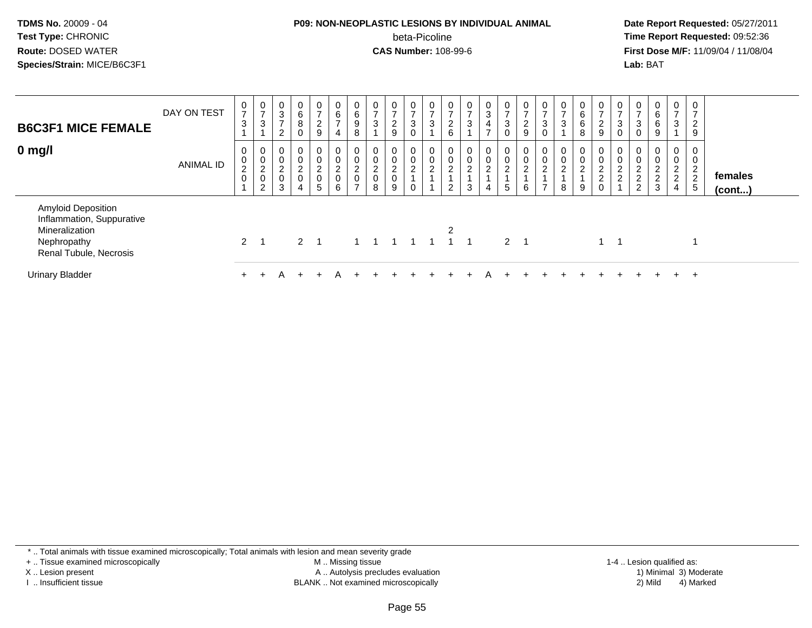#### **P09: NON-NEOPLASTIC LESIONS BY INDIVIDUAL ANIMAL** beta-Picoline**beta-Picoline**<br> **CAS Number:** 108-99-6<br> **CAS Number:** 108-99-6<br> **CAS Number:** 108-99-6

 **Date Report Requested:** 05/27/2011 **First Dose M/F:** 11/09/04 / 11/08/04<br>**Lab:** BAT **Lab:** BAT

| <b>B6C3F1 MICE FEMALE</b>                                                                                  | DAY ON TEST      | $\frac{0}{7}$<br>$\mathbf{3}$   | $\frac{0}{7}$<br>$\ensuremath{\mathsf{3}}$                        | 0<br>3<br>$\overline{ }$<br>$\sim$                 | $\overline{0}$<br>6<br>8                        | $\frac{0}{7}$<br>$\overline{a}$<br>9        | $_6^0$<br>$\overline{ }$<br>$\overline{4}$                  | 0<br>$\,6\,$<br>$\boldsymbol{9}$<br>8           | $\frac{0}{7}$<br>$\sqrt{3}$               | $\frac{0}{7}$<br>$\sqrt{2}$<br>9                       | $\frac{0}{7}$<br>3<br>0                | 0<br>$\rightarrow$<br>3    | $\frac{0}{7}$<br>$\Omega$<br>$\epsilon$<br>6 | $\frac{0}{7}$<br>$\mathbf{3}$      | $\frac{0}{3}$<br>4<br>-       | $\frac{0}{7}$<br>3<br>$\mathbf 0$                | $\frac{0}{7}$<br>$\boldsymbol{2}$<br>$9\,$ | $\frac{0}{7}$<br>$\mathbf{3}$<br>0                | 0<br>$\overline{ }$<br>3          | 0<br>6<br>6<br>8         | $\frac{0}{7}$<br>$\sqrt{2}$<br>9                 | $\frac{0}{7}$<br>$\mathbf{3}$<br>0 | $\frac{0}{7}$<br>$\ensuremath{\mathsf{3}}$<br>$\mathbf 0$ | $\begin{matrix} 0 \\ 6 \end{matrix}$<br>$\,6\,$<br>$\boldsymbol{9}$ | $\frac{0}{7}$<br>3                                   | $\mathbf 0$<br>$\overline{7}$<br>$\overline{2}$<br>9                |                   |  |
|------------------------------------------------------------------------------------------------------------|------------------|---------------------------------|-------------------------------------------------------------------|----------------------------------------------------|-------------------------------------------------|---------------------------------------------|-------------------------------------------------------------|-------------------------------------------------|-------------------------------------------|--------------------------------------------------------|----------------------------------------|----------------------------|----------------------------------------------|------------------------------------|-------------------------------|--------------------------------------------------|--------------------------------------------|---------------------------------------------------|-----------------------------------|--------------------------|--------------------------------------------------|------------------------------------|-----------------------------------------------------------|---------------------------------------------------------------------|------------------------------------------------------|---------------------------------------------------------------------|-------------------|--|
| $0$ mg/l                                                                                                   | <b>ANIMAL ID</b> | 0<br>$\pmb{0}$<br>$\frac{2}{0}$ | 0<br>$\pmb{0}$<br>$\overline{2}$<br>$\mathbf 0$<br>$\overline{c}$ | 0<br>$\pmb{0}$<br>$\overline{c}$<br>$\pmb{0}$<br>3 | $\mathbf 0$<br>$\mathbf 0$<br>$^2_{\rm 0}$<br>4 | 0<br>$\boldsymbol{0}$<br>$\frac{2}{0}$<br>5 | 0<br>$\mathsf{O}\xspace$<br>$\frac{2}{0}$<br>$\overline{6}$ | 0<br>$\pmb{0}$<br>$^2_{\rm 0}$<br>$\rightarrow$ | 0<br>$\pmb{0}$<br>$^2_{\rm 0}$<br>$\,8\,$ | 0<br>$\pmb{0}$<br>$\boldsymbol{2}$<br>$\mathbf 0$<br>9 | 0<br>0<br>$\frac{2}{1}$<br>$\mathbf 0$ | 0<br>0<br>$\boldsymbol{2}$ | 0<br>$\overline{c}$<br>റ                     | 0<br>$\mbox{O}$<br>$\sqrt{2}$<br>3 | 0<br>0<br>$\overline{2}$<br>4 | $\mathbf{0}$<br>$\pmb{0}$<br>$\overline{2}$<br>5 | 0<br>$\pmb{0}$<br>$\frac{2}{4}$<br>6       | 0<br>$\pmb{0}$<br>$\frac{2}{1}$<br>$\overline{z}$ | 0<br>$\pmb{0}$<br>$\sqrt{2}$<br>8 | 0<br>$\overline{2}$<br>9 | 0<br>$\mathbf 0$<br>$\frac{2}{2}$<br>$\mathbf 0$ | 0<br>$\mathbf 0$<br>$\frac{2}{2}$  | $\mathbf 0$<br>$\mathbf 0$<br>$\frac{2}{2}$               | 0<br>$\mathsf{O}\xspace$<br>$\frac{2}{3}$                           | $\mathbf{0}$<br>0<br>$\frac{2}{2}$<br>$\overline{4}$ | 0<br>$\mathbf 0$<br>$\sqrt{2}$<br>$\overline{2}$<br>$5\phantom{.0}$ | females<br>(cont) |  |
| Amyloid Deposition<br>Inflammation, Suppurative<br>Mineralization<br>Nephropathy<br>Renal Tubule, Necrosis |                  | $2 \quad 1$                     |                                                                   |                                                    | $2 \quad 1$                                     |                                             |                                                             |                                                 | $1 \quad 1$                               |                                                        |                                        |                            | $\overline{2}$                               |                                    |                               | $2 \quad 1$                                      |                                            |                                                   |                                   |                          |                                                  |                                    |                                                           |                                                                     |                                                      |                                                                     |                   |  |
| <b>Urinary Bladder</b>                                                                                     |                  |                                 |                                                                   |                                                    |                                                 |                                             |                                                             |                                                 |                                           |                                                        |                                        |                            |                                              |                                    |                               |                                                  |                                            |                                                   |                                   |                          |                                                  |                                    |                                                           |                                                                     | $\div$                                               | $\pm$                                                               |                   |  |

\* .. Total animals with tissue examined microscopically; Total animals with lesion and mean severity grade

+ .. Tissue examined microscopically

X .. Lesion present

I .. Insufficient tissue

 M .. Missing tissueA .. Autolysis precludes evaluation

BLANK .. Not examined microscopically 2) Mild 4) Marked

1-4 .. Lesion qualified as: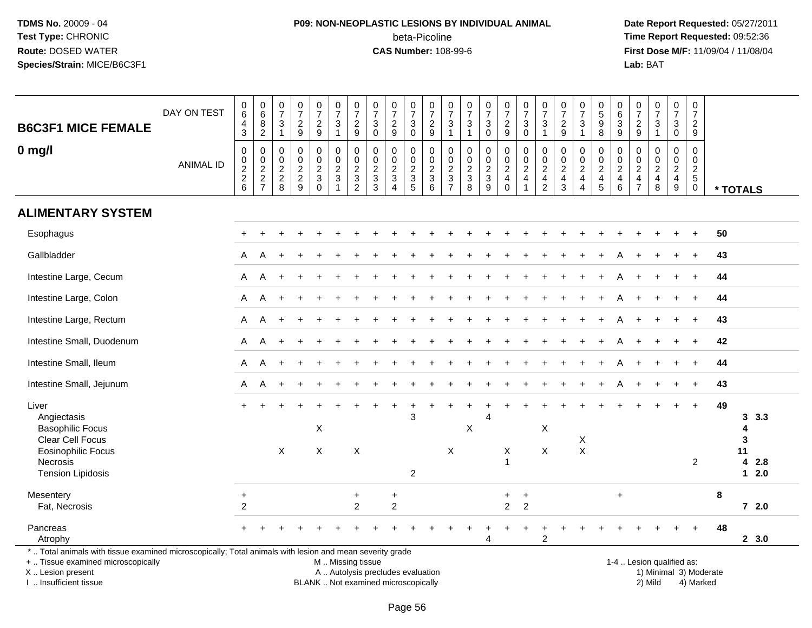# **P09: NON-NEOPLASTIC LESIONS BY INDIVIDUAL ANIMAL**beta-Picoline<br>CAS Number: 108-99-6

 **Date Report Requested:** 05/27/2011 **Time Report Requested:** 09:52:36 **First Dose M/F:** 11/09/04 / 11/08/04<br>Lab: BAT **Lab:** BAT

| <b>B6C3F1 MICE FEMALE</b>                                                                                                                                           | DAY ON TEST      | $_{6}^{\rm 0}$<br>$\overline{\mathbf{4}}$<br>$\mathbf{3}$ | $_{6}^{\rm 0}$<br>$\frac{8}{2}$             | $\begin{smallmatrix}0\\7\end{smallmatrix}$<br>$\mathbf{3}$<br>$\overline{1}$ | $\begin{smallmatrix}0\\7\end{smallmatrix}$<br>$\sqrt{2}$<br>9 | $\frac{0}{7}$<br>$\frac{2}{9}$                                              | $\frac{0}{7}$<br>$\ensuremath{\mathsf{3}}$<br>$\mathbf{1}$                          | $\frac{0}{7}$<br>$\overline{c}$<br>9                            | $\begin{array}{c} 0 \\ 7 \end{array}$<br>$\ensuremath{\mathsf{3}}$<br>$\mathbf 0$ | $\begin{array}{c} 0 \\ 7 \end{array}$<br>$\sqrt{2}$<br>9                                        | $\frac{0}{7}$<br>3<br>$\Omega$        | $\frac{0}{7}$<br>$\frac{2}{9}$                          | $\frac{0}{7}$<br>3<br>$\mathbf{1}$                    | $\begin{array}{c} 0 \\ 7 \end{array}$<br>$\ensuremath{\mathsf{3}}$<br>$\mathbf{1}$ | $\begin{smallmatrix}0\\7\end{smallmatrix}$<br>$\ensuremath{\mathsf{3}}$<br>$\mathbf 0$ | $\frac{0}{7}$<br>$\frac{2}{9}$                                              | $\frac{0}{7}$<br>$\ensuremath{\mathsf{3}}$<br>$\mathbf 0$                         | $\frac{0}{7}$<br>3<br>$\mathbf{1}$                                       | $\frac{0}{7}$<br>$\sqrt{2}$<br>9                                     | $\frac{0}{7}$<br>3<br>1                                                          | $\begin{array}{c} 0 \\ 5 \\ 9 \end{array}$<br>8                    | 0<br>$\overline{6}$<br>$\ensuremath{\mathsf{3}}$<br>9       | 0<br>$\overline{7}$<br>$\frac{2}{9}$                        | $\frac{0}{7}$<br>$\ensuremath{\mathsf{3}}$<br>$\mathbf{1}$             | $\frac{0}{7}$<br>$\sqrt{3}$<br>$\mathsf 0$              | $\mathsf{O}\xspace$<br>$\overline{7}$<br>$\frac{2}{9}$      |                        |                            |  |
|---------------------------------------------------------------------------------------------------------------------------------------------------------------------|------------------|-----------------------------------------------------------|---------------------------------------------|------------------------------------------------------------------------------|---------------------------------------------------------------|-----------------------------------------------------------------------------|-------------------------------------------------------------------------------------|-----------------------------------------------------------------|-----------------------------------------------------------------------------------|-------------------------------------------------------------------------------------------------|---------------------------------------|---------------------------------------------------------|-------------------------------------------------------|------------------------------------------------------------------------------------|----------------------------------------------------------------------------------------|-----------------------------------------------------------------------------|-----------------------------------------------------------------------------------|--------------------------------------------------------------------------|----------------------------------------------------------------------|----------------------------------------------------------------------------------|--------------------------------------------------------------------|-------------------------------------------------------------|-------------------------------------------------------------|------------------------------------------------------------------------|---------------------------------------------------------|-------------------------------------------------------------|------------------------|----------------------------|--|
| $0$ mg/l                                                                                                                                                            | <b>ANIMAL ID</b> | $\pmb{0}$<br>$\frac{0}{2}$<br>$\frac{2}{6}$               | $\pmb{0}$<br>$\frac{0}{2}$<br>$\frac{2}{7}$ | $\mathbf 0$<br>$\mathbf 0$<br>$\sqrt{2}$<br>$^2_8$                           | 0<br>$\mathbf 0$<br>$\overline{c}$<br>$\frac{2}{9}$           | 0<br>$\mathbf 0$<br>$\overline{c}$<br>$\ensuremath{\mathsf{3}}$<br>$\Omega$ | 0<br>$\ddot{\mathbf{0}}$<br>$\sqrt{2}$<br>$\ensuremath{\mathsf{3}}$<br>$\mathbf{1}$ | $\mathbf 0$<br>$\mathbf 0$<br>$\boldsymbol{2}$<br>$\frac{3}{2}$ | 0<br>$\mathbf 0$<br>$\overline{c}$<br>$\frac{3}{3}$                               | $\mathbf 0$<br>$\mathbf 0$<br>$\sqrt{2}$<br>$\ensuremath{\mathsf{3}}$<br>$\boldsymbol{\Lambda}$ | 0<br>0<br>$\sqrt{2}$<br>$\frac{3}{5}$ | 0<br>$\mathbf 0$<br>$\overline{c}$<br>$\mathbf{3}$<br>6 | 0<br>$\mathbf 0$<br>$\boldsymbol{2}$<br>$\frac{3}{7}$ | $\boldsymbol{0}$<br>$\mathbf 0$<br>$\frac{2}{3}$                                   | $\mathbf 0$<br>$\ddot{\mathbf{0}}$<br>$\begin{array}{c} 2 \\ 3 \\ 9 \end{array}$       | 0<br>$\mathsf{O}\xspace$<br>$\overline{a}$<br>$\overline{4}$<br>$\mathbf 0$ | $\pmb{0}$<br>$\overline{0}$<br>$\overline{c}$<br>$\overline{4}$<br>$\overline{1}$ | 0<br>$\mathbf 0$<br>$\boldsymbol{2}$<br>$\overline{4}$<br>$\overline{2}$ | 0<br>$\mathbf 0$<br>$\overline{c}$<br>$\overline{4}$<br>$\mathbf{3}$ | $\mathbf 0$<br>$\mathbf 0$<br>$\overline{c}$<br>$\overline{4}$<br>$\overline{4}$ | 0<br>$\mathbf 0$<br>$\sqrt{2}$<br>$\overline{4}$<br>$\overline{5}$ | 0<br>$\mathbf 0$<br>$\boldsymbol{2}$<br>4<br>$6\phantom{1}$ | 0<br>$\mathbf 0$<br>$\boldsymbol{2}$<br>4<br>$\overline{7}$ | 0<br>$\mathsf{O}\xspace$<br>$\sqrt{2}$<br>$\overline{\mathbf{4}}$<br>8 | 0<br>$\pmb{0}$<br>$\overline{c}$<br>$\overline{4}$<br>9 | 0<br>$\mathbf 0$<br>$\sqrt{2}$<br>$\sqrt{5}$<br>$\mathsf 0$ |                        | * TOTALS                   |  |
| <b>ALIMENTARY SYSTEM</b>                                                                                                                                            |                  |                                                           |                                             |                                                                              |                                                               |                                                                             |                                                                                     |                                                                 |                                                                                   |                                                                                                 |                                       |                                                         |                                                       |                                                                                    |                                                                                        |                                                                             |                                                                                   |                                                                          |                                                                      |                                                                                  |                                                                    |                                                             |                                                             |                                                                        |                                                         |                                                             |                        |                            |  |
| Esophagus                                                                                                                                                           |                  |                                                           |                                             |                                                                              |                                                               |                                                                             |                                                                                     |                                                                 |                                                                                   |                                                                                                 |                                       |                                                         |                                                       |                                                                                    |                                                                                        |                                                                             |                                                                                   |                                                                          |                                                                      |                                                                                  |                                                                    |                                                             |                                                             |                                                                        |                                                         | $\ddot{}$                                                   | 50                     |                            |  |
| Gallbladder                                                                                                                                                         |                  | A                                                         | А                                           |                                                                              |                                                               |                                                                             |                                                                                     |                                                                 |                                                                                   |                                                                                                 |                                       |                                                         |                                                       |                                                                                    |                                                                                        |                                                                             |                                                                                   |                                                                          |                                                                      |                                                                                  |                                                                    |                                                             |                                                             |                                                                        |                                                         | $\overline{+}$                                              | 43                     |                            |  |
| Intestine Large, Cecum                                                                                                                                              |                  | A                                                         | A                                           |                                                                              |                                                               |                                                                             |                                                                                     |                                                                 |                                                                                   |                                                                                                 |                                       |                                                         |                                                       |                                                                                    |                                                                                        |                                                                             |                                                                                   |                                                                          |                                                                      |                                                                                  |                                                                    |                                                             |                                                             |                                                                        | $\ddot{}$                                               | $+$                                                         | 44                     |                            |  |
| Intestine Large, Colon                                                                                                                                              |                  | A                                                         | A                                           |                                                                              |                                                               |                                                                             |                                                                                     |                                                                 |                                                                                   |                                                                                                 |                                       |                                                         |                                                       |                                                                                    |                                                                                        |                                                                             |                                                                                   |                                                                          |                                                                      |                                                                                  |                                                                    |                                                             |                                                             |                                                                        |                                                         |                                                             | 44                     |                            |  |
| Intestine Large, Rectum                                                                                                                                             |                  | Α                                                         | А                                           |                                                                              |                                                               |                                                                             |                                                                                     |                                                                 |                                                                                   |                                                                                                 |                                       |                                                         |                                                       |                                                                                    |                                                                                        |                                                                             |                                                                                   |                                                                          |                                                                      |                                                                                  |                                                                    |                                                             |                                                             |                                                                        |                                                         | $\overline{+}$                                              | 43                     |                            |  |
| Intestine Small, Duodenum                                                                                                                                           |                  | A                                                         | A                                           |                                                                              |                                                               |                                                                             |                                                                                     |                                                                 |                                                                                   |                                                                                                 |                                       |                                                         |                                                       |                                                                                    |                                                                                        |                                                                             |                                                                                   |                                                                          |                                                                      |                                                                                  |                                                                    |                                                             |                                                             |                                                                        | $\ddot{}$                                               | $\ddot{}$                                                   | 42                     |                            |  |
| Intestine Small, Ileum                                                                                                                                              |                  | A                                                         | A                                           |                                                                              |                                                               |                                                                             |                                                                                     |                                                                 |                                                                                   |                                                                                                 |                                       |                                                         |                                                       |                                                                                    |                                                                                        |                                                                             |                                                                                   |                                                                          |                                                                      |                                                                                  |                                                                    |                                                             |                                                             |                                                                        |                                                         | $\ddot{}$                                                   | 44                     |                            |  |
| Intestine Small, Jejunum                                                                                                                                            |                  | Α                                                         | A                                           |                                                                              |                                                               |                                                                             |                                                                                     |                                                                 |                                                                                   |                                                                                                 |                                       |                                                         |                                                       |                                                                                    |                                                                                        |                                                                             |                                                                                   |                                                                          |                                                                      |                                                                                  |                                                                    |                                                             |                                                             |                                                                        |                                                         |                                                             | 43                     |                            |  |
| Liver<br>Angiectasis<br><b>Basophilic Focus</b>                                                                                                                     |                  |                                                           |                                             |                                                                              |                                                               | $\mathsf X$                                                                 |                                                                                     |                                                                 |                                                                                   |                                                                                                 | 3                                     |                                                         |                                                       | $\mathsf X$                                                                        | $\overline{4}$                                                                         |                                                                             |                                                                                   | $\mathsf X$                                                              |                                                                      |                                                                                  |                                                                    |                                                             |                                                             |                                                                        |                                                         | $\ddot{}$                                                   | 49                     | 3.3<br>3<br>4              |  |
| Clear Cell Focus<br><b>Eosinophilic Focus</b><br><b>Necrosis</b><br><b>Tension Lipidosis</b>                                                                        |                  |                                                           |                                             | $\pmb{\times}$                                                               |                                                               | X                                                                           |                                                                                     | $\times$                                                        |                                                                                   |                                                                                                 | $\overline{c}$                        |                                                         | $\times$                                              |                                                                                    |                                                                                        | X<br>$\overline{1}$                                                         |                                                                                   | $\pmb{\times}$                                                           |                                                                      | X<br>$\boldsymbol{\mathsf{X}}$                                                   |                                                                    |                                                             |                                                             |                                                                        |                                                         | $\overline{2}$                                              |                        | 3<br>11<br>4 2.8<br>$12.0$ |  |
| Mesentery<br>Fat, Necrosis                                                                                                                                          |                  | $\ddot{}$<br>$\boldsymbol{2}$                             |                                             |                                                                              |                                                               |                                                                             |                                                                                     | +<br>$\overline{c}$                                             |                                                                                   | $\ddot{}$<br>$\overline{2}$                                                                     |                                       |                                                         |                                                       |                                                                                    |                                                                                        | +<br>$\overline{a}$                                                         | $\ddot{}$<br>$\boldsymbol{2}$                                                     |                                                                          |                                                                      |                                                                                  |                                                                    | $\ddot{}$                                                   |                                                             |                                                                        |                                                         |                                                             | 8                      | $72.0$                     |  |
| Pancreas<br>Atrophy                                                                                                                                                 |                  |                                                           |                                             |                                                                              |                                                               |                                                                             |                                                                                     |                                                                 |                                                                                   |                                                                                                 |                                       |                                                         |                                                       |                                                                                    |                                                                                        |                                                                             |                                                                                   | $\overline{2}$                                                           |                                                                      |                                                                                  |                                                                    |                                                             |                                                             |                                                                        |                                                         |                                                             | 48                     | 2, 3.0                     |  |
| *  Total animals with tissue examined microscopically; Total animals with lesion and mean severity grade<br>+  Tissue examined microscopically<br>X  Lesion present |                  |                                                           |                                             |                                                                              |                                                               |                                                                             | M  Missing tissue<br>A  Autolysis precludes evaluation                              |                                                                 |                                                                                   |                                                                                                 |                                       |                                                         |                                                       |                                                                                    |                                                                                        |                                                                             |                                                                                   |                                                                          |                                                                      |                                                                                  |                                                                    |                                                             |                                                             | 1-4  Lesion qualified as:                                              |                                                         |                                                             | 1) Minimal 3) Moderate |                            |  |

I .. Insufficient tissue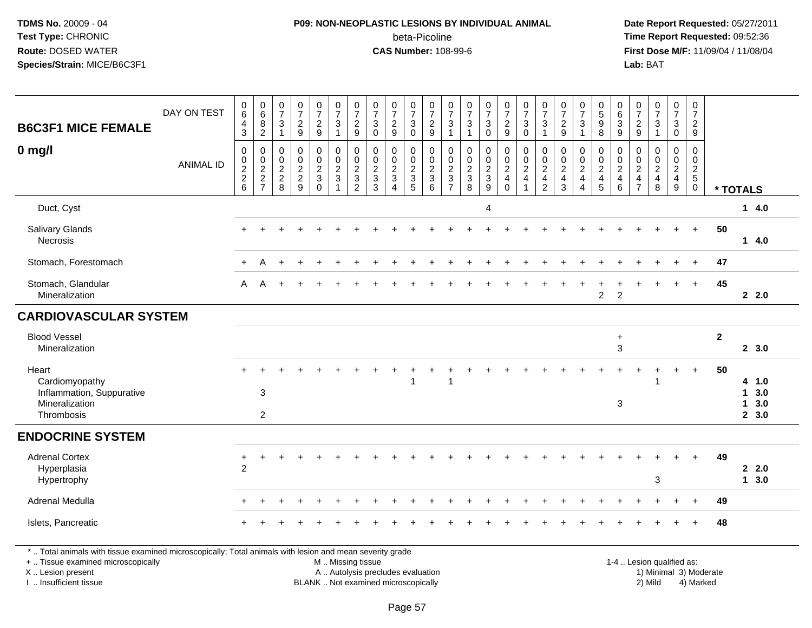### **P09: NON-NEOPLASTIC LESIONS BY INDIVIDUAL ANIMAL**beta-Picoline<br>CAS Number: 108-99-6

 **Date Report Requested:** 05/27/2011 **Time Report Requested:** 09:52:36 **First Dose M/F:** 11/09/04 / 11/08/04<br>Lab: BAT **Lab:** BAT

| <b>B6C3F1 MICE FEMALE</b>                                                                                                                                           | DAY ON TEST      | 0<br>6<br>$\overline{4}$<br>3        | 0<br>$\,6\,$<br>8<br>$\overline{2}$    | $\begin{array}{c} 0 \\ 7 \end{array}$<br>$\mathbf{3}$<br>$\overline{1}$ | $\frac{0}{7}$<br>$\boldsymbol{2}$<br>$\overline{9}$ | $\begin{array}{c} 0 \\ 7 \end{array}$<br>$\overline{c}$<br>$9\,$ | $\frac{0}{7}$<br>$\mathsf 3$<br>$\overline{1}$            | $\frac{0}{7}$<br>$\overline{2}$<br>9                      | $\frac{0}{7}$<br>3<br>$\overline{0}$             | $\frac{0}{7}$<br>$\overline{2}$<br>9                                        | 0<br>$\overline{7}$<br>$\mathbf{3}$<br>$\mathbf 0$                 | $\frac{0}{7}$<br>$\frac{2}{9}$                   | 0<br>$\overline{7}$<br>3<br>$\overline{1}$                         | $\frac{0}{7}$<br>$\sqrt{3}$<br>$\mathbf{1}$      | $\frac{0}{7}$<br>$\mathbf{3}$<br>$\mathbf 0$  | $\frac{0}{7}$<br>$\overline{a}$<br>9                   | $\boldsymbol{0}$<br>$\overline{7}$<br>$\sqrt{3}$<br>$\mathsf 0$ | 0<br>$\overline{7}$<br>$\mathbf{3}$<br>$\overline{1}$ | $\frac{0}{7}$<br>$\overline{2}$<br>9             | 0<br>$\overline{7}$<br>$\mathbf 3$<br>$\mathbf{1}$                       | 0<br>5<br>9<br>8                                            | 0<br>$\,6$<br>$\mathbf{3}$<br>9                 | 0<br>$\overline{7}$<br>$\frac{2}{9}$                          | $\begin{array}{c} 0 \\ 7 \end{array}$<br>$\sqrt{3}$<br>$\mathbf{1}$ | $\mathbf 0$<br>$\overline{7}$<br>3<br>$\mathbf 0$ | 0<br>$\overline{7}$<br>$\overline{2}$<br>9                 |                        |          |                               |  |
|---------------------------------------------------------------------------------------------------------------------------------------------------------------------|------------------|--------------------------------------|----------------------------------------|-------------------------------------------------------------------------|-----------------------------------------------------|------------------------------------------------------------------|-----------------------------------------------------------|-----------------------------------------------------------|--------------------------------------------------|-----------------------------------------------------------------------------|--------------------------------------------------------------------|--------------------------------------------------|--------------------------------------------------------------------|--------------------------------------------------|-----------------------------------------------|--------------------------------------------------------|-----------------------------------------------------------------|-------------------------------------------------------|--------------------------------------------------|--------------------------------------------------------------------------|-------------------------------------------------------------|-------------------------------------------------|---------------------------------------------------------------|---------------------------------------------------------------------|---------------------------------------------------|------------------------------------------------------------|------------------------|----------|-------------------------------|--|
| $0$ mg/l                                                                                                                                                            | <b>ANIMAL ID</b> | 0<br>$\pmb{0}$<br>$\frac{2}{2}$<br>6 | 0<br>$\mathbf 0$<br>$\frac{2}{2}$<br>7 | $\mathbf 0$<br>$\boldsymbol{0}$<br>$\frac{2}{8}$                        | $\pmb{0}$<br>$\pmb{0}$<br>$\frac{2}{9}$             | $\pmb{0}$<br>$\pmb{0}$<br>$\frac{2}{3}$<br>$\Omega$              | $\pmb{0}$<br>$\mathbf 0$<br>$\frac{2}{3}$<br>$\mathbf{1}$ | 0<br>$\mathbf 0$<br>$\overline{c}$<br>3<br>$\overline{2}$ | $\mathbf 0$<br>$\mathbf 0$<br>$\frac{2}{3}$<br>3 | $\mathbf 0$<br>$\mathbf 0$<br>$\overline{2}$<br>3<br>$\boldsymbol{\Lambda}$ | 0<br>$\pmb{0}$<br>$\overline{2}$<br>$\ensuremath{\mathsf{3}}$<br>5 | $\mathbf 0$<br>$\mathbf 0$<br>$\frac{2}{3}$<br>6 | 0<br>$\mathbf 0$<br>$\overline{2}$<br>$\sqrt{3}$<br>$\overline{7}$ | $\mathbf 0$<br>$\mathbf 0$<br>$\frac{2}{3}$<br>8 | 0<br>0<br>$\overline{c}$<br>$\mathbf{3}$<br>9 | 0<br>0<br>$\overline{2}$<br>$\overline{4}$<br>$\Omega$ | $\mathbf 0$<br>$\pmb{0}$<br>$\overline{2}$<br>$\overline{4}$    | $\mathbf 0$<br>0<br>$\frac{2}{4}$<br>$\overline{2}$   | $\mathbf 0$<br>$\mathbf 0$<br>$\frac{2}{4}$<br>3 | 0<br>$\mathbf 0$<br>$\boldsymbol{2}$<br>$\overline{4}$<br>$\overline{4}$ | 0<br>$\mathbf 0$<br>$\boldsymbol{2}$<br>$\overline{4}$<br>5 | 0<br>0<br>$\overline{c}$<br>$\overline{4}$<br>6 | $\mathbf 0$<br>$\mathbf 0$<br>$\frac{2}{4}$<br>$\overline{7}$ | $\mathbf 0$<br>0<br>$\frac{2}{4}$<br>8                              | 0<br>$\mathbf 0$<br>$\frac{2}{4}$                 | $\mathbf 0$<br>$\mathbf 0$<br>$\frac{2}{5}$<br>$\mathbf 0$ |                        | * TOTALS |                               |  |
| Duct, Cyst                                                                                                                                                          |                  |                                      |                                        |                                                                         |                                                     |                                                                  |                                                           |                                                           |                                                  |                                                                             |                                                                    |                                                  |                                                                    |                                                  | 4                                             |                                                        |                                                                 |                                                       |                                                  |                                                                          |                                                             |                                                 |                                                               |                                                                     |                                                   |                                                            |                        |          | 14.0                          |  |
| Salivary Glands<br>Necrosis                                                                                                                                         |                  |                                      |                                        |                                                                         |                                                     |                                                                  |                                                           |                                                           |                                                  |                                                                             |                                                                    |                                                  |                                                                    |                                                  |                                               |                                                        |                                                                 |                                                       |                                                  |                                                                          |                                                             |                                                 |                                                               |                                                                     |                                                   | $\ddot{}$                                                  | 50                     |          | 14.0                          |  |
| Stomach, Forestomach                                                                                                                                                |                  |                                      | Α                                      |                                                                         |                                                     |                                                                  |                                                           |                                                           |                                                  |                                                                             |                                                                    |                                                  |                                                                    |                                                  |                                               |                                                        |                                                                 |                                                       |                                                  |                                                                          |                                                             |                                                 |                                                               |                                                                     |                                                   | $\ddot{}$                                                  | 47                     |          |                               |  |
| Stomach, Glandular<br>Mineralization                                                                                                                                |                  | A                                    | A                                      |                                                                         |                                                     |                                                                  |                                                           |                                                           |                                                  |                                                                             |                                                                    |                                                  |                                                                    |                                                  |                                               |                                                        |                                                                 |                                                       |                                                  |                                                                          | $\overline{c}$                                              | $\overline{2}$                                  |                                                               |                                                                     |                                                   | $+$                                                        | 45                     |          | 2.0                           |  |
| <b>CARDIOVASCULAR SYSTEM</b>                                                                                                                                        |                  |                                      |                                        |                                                                         |                                                     |                                                                  |                                                           |                                                           |                                                  |                                                                             |                                                                    |                                                  |                                                                    |                                                  |                                               |                                                        |                                                                 |                                                       |                                                  |                                                                          |                                                             |                                                 |                                                               |                                                                     |                                                   |                                                            |                        |          |                               |  |
| <b>Blood Vessel</b><br>Mineralization                                                                                                                               |                  |                                      |                                        |                                                                         |                                                     |                                                                  |                                                           |                                                           |                                                  |                                                                             |                                                                    |                                                  |                                                                    |                                                  |                                               |                                                        |                                                                 |                                                       |                                                  |                                                                          |                                                             | $\ddot{}$<br>3                                  |                                                               |                                                                     |                                                   |                                                            | $\mathbf{2}$           |          | 2, 3.0                        |  |
| Heart<br>Cardiomyopathy<br>Inflammation, Suppurative<br>Mineralization<br>Thrombosis                                                                                |                  |                                      | 3<br>2                                 |                                                                         |                                                     |                                                                  |                                                           |                                                           |                                                  |                                                                             |                                                                    |                                                  | -1                                                                 |                                                  |                                               |                                                        |                                                                 |                                                       |                                                  |                                                                          |                                                             | 3                                               |                                                               |                                                                     |                                                   | $\ddot{}$                                                  | 50                     | 1<br>1   | 4 1.0<br>3.0<br>3.0<br>2, 3.0 |  |
| <b>ENDOCRINE SYSTEM</b>                                                                                                                                             |                  |                                      |                                        |                                                                         |                                                     |                                                                  |                                                           |                                                           |                                                  |                                                                             |                                                                    |                                                  |                                                                    |                                                  |                                               |                                                        |                                                                 |                                                       |                                                  |                                                                          |                                                             |                                                 |                                                               |                                                                     |                                                   |                                                            |                        |          |                               |  |
| <b>Adrenal Cortex</b><br>Hyperplasia<br>Hypertrophy                                                                                                                 |                  | ÷<br>$\overline{2}$                  |                                        |                                                                         |                                                     |                                                                  |                                                           |                                                           |                                                  |                                                                             |                                                                    |                                                  |                                                                    |                                                  |                                               |                                                        |                                                                 |                                                       |                                                  |                                                                          |                                                             |                                                 |                                                               | $\sqrt{3}$                                                          |                                                   |                                                            | 49                     |          | 2.0<br>13.0                   |  |
| <b>Adrenal Medulla</b>                                                                                                                                              |                  |                                      |                                        |                                                                         |                                                     |                                                                  |                                                           |                                                           |                                                  |                                                                             |                                                                    |                                                  |                                                                    |                                                  |                                               |                                                        |                                                                 |                                                       |                                                  |                                                                          |                                                             |                                                 |                                                               |                                                                     |                                                   |                                                            | 49                     |          |                               |  |
| Islets, Pancreatic                                                                                                                                                  |                  |                                      |                                        |                                                                         |                                                     |                                                                  |                                                           |                                                           |                                                  |                                                                             |                                                                    |                                                  |                                                                    |                                                  |                                               |                                                        |                                                                 |                                                       |                                                  |                                                                          |                                                             |                                                 |                                                               |                                                                     |                                                   | $\ddot{}$                                                  | 48                     |          |                               |  |
| *  Total animals with tissue examined microscopically; Total animals with lesion and mean severity grade<br>+  Tissue examined microscopically<br>X  Lesion present |                  |                                      |                                        |                                                                         |                                                     |                                                                  | M  Missing tissue                                         |                                                           |                                                  | A  Autolysis precludes evaluation                                           |                                                                    |                                                  |                                                                    |                                                  |                                               |                                                        |                                                                 |                                                       |                                                  |                                                                          |                                                             |                                                 |                                                               | 1-4  Lesion qualified as:                                           |                                                   |                                                            | 1) Minimal 3) Moderate |          |                               |  |

I .. Insufficient tissue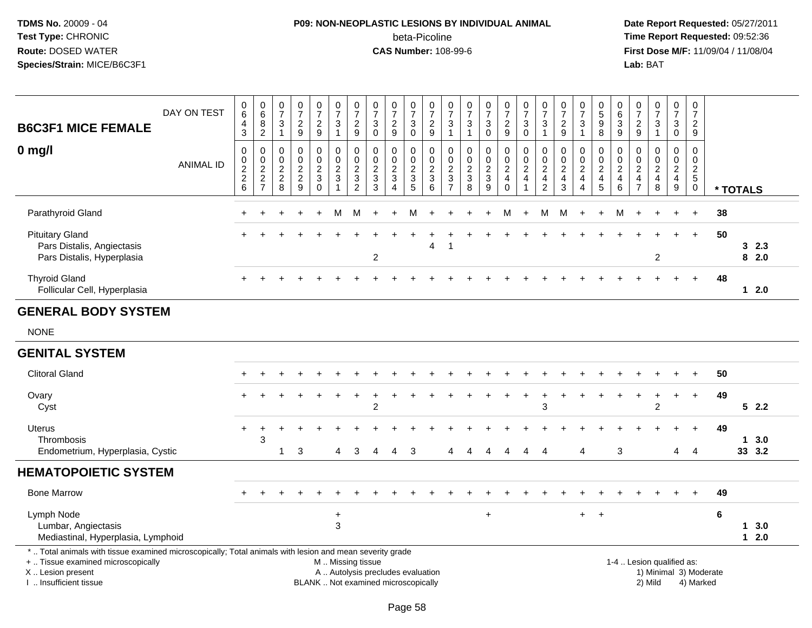# **P09: NON-NEOPLASTIC LESIONS BY INDIVIDUAL ANIMAL**beta-Picoline<br>CAS Number: 108-99-6

 **Date Report Requested:** 05/27/2011 **Time Report Requested:** 09:52:36 **First Dose M/F:** 11/09/04 / 11/08/04<br>**Lab:** BAT **Lab:** BAT

| <b>B6C3F1 MICE FEMALE</b>                                                                                                                                          | DAY ON TEST      | $\pmb{0}$<br>$\,6$<br>$\overline{4}$<br>$\mathbf{3}$                         | $\pmb{0}$<br>$\,6\,$<br>$\bf 8$<br>$\overline{2}$             | $\begin{array}{c} 0 \\ 7 \end{array}$<br>$\mathbf{3}$<br>$\mathbf{1}$ | $\frac{0}{7}$<br>$rac{2}{9}$                                          | $\frac{0}{7}$<br>$\overline{c}$<br>9                                     | $\frac{0}{7}$<br>$\sqrt{3}$<br>$\mathbf{1}$                            | $\frac{0}{7}$<br>$\frac{2}{9}$                                             | $\begin{array}{c} 0 \\ 7 \end{array}$<br>3<br>$\mathbf 0$   | $\frac{0}{7}$<br>$\sqrt{2}$<br>9                                                   | $\frac{0}{7}$<br>3<br>$\mathbf 0$            | $\frac{0}{7}$<br>$\frac{2}{9}$                                  | $\frac{0}{7}$<br>$\mathbf{3}$<br>$\mathbf{1}$                              | $\begin{array}{c} 0 \\ 7 \end{array}$<br>3<br>$\mathbf{1}$       | $\frac{0}{7}$<br>$\ensuremath{\mathsf{3}}$<br>$\mathbf 0$       | $\begin{array}{c} 0 \\ 7 \end{array}$<br>$\boldsymbol{2}$<br>$\boldsymbol{9}$ | $\begin{array}{c} 0 \\ 7 \end{array}$<br>3<br>$\mathbf 0$                      | $\frac{0}{7}$<br>3<br>$\mathbf{1}$                                    | $\frac{0}{7}$<br>$\overline{c}$<br>$\mathsf g$                      | $\begin{array}{c} 0 \\ 7 \end{array}$<br>$\mathbf{3}$                          | $\begin{array}{c} 0 \\ 5 \\ 9 \end{array}$<br>$\overline{8}$        | $\pmb{0}$<br>$\,6$<br>$\mathbf{3}$<br>$\overline{9}$                              | $\,0\,$<br>$\overline{7}$<br>$\sqrt{2}$<br>$\boldsymbol{9}$                     | $\frac{0}{7}$<br>$\mathbf{3}$<br>$\mathbf{1}$                         | $\frac{0}{7}$<br>3<br>$\mathsf{O}$                                  | $\begin{smallmatrix} 0\\7 \end{smallmatrix}$<br>$\frac{2}{9}$                |    |                      |                |  |
|--------------------------------------------------------------------------------------------------------------------------------------------------------------------|------------------|------------------------------------------------------------------------------|---------------------------------------------------------------|-----------------------------------------------------------------------|-----------------------------------------------------------------------|--------------------------------------------------------------------------|------------------------------------------------------------------------|----------------------------------------------------------------------------|-------------------------------------------------------------|------------------------------------------------------------------------------------|----------------------------------------------|-----------------------------------------------------------------|----------------------------------------------------------------------------|------------------------------------------------------------------|-----------------------------------------------------------------|-------------------------------------------------------------------------------|--------------------------------------------------------------------------------|-----------------------------------------------------------------------|---------------------------------------------------------------------|--------------------------------------------------------------------------------|---------------------------------------------------------------------|-----------------------------------------------------------------------------------|---------------------------------------------------------------------------------|-----------------------------------------------------------------------|---------------------------------------------------------------------|------------------------------------------------------------------------------|----|----------------------|----------------|--|
| $0$ mg/l                                                                                                                                                           | <b>ANIMAL ID</b> | $\mathbf 0$<br>$\begin{smallmatrix} 0\\2 \end{smallmatrix}$<br>$\frac{2}{6}$ | $\mathsf 0$<br>$\mathbf 0$<br>$\overline{2}$<br>$\frac{2}{7}$ | 0<br>$\mathbf 0$<br>$\overline{2}$<br>$\boldsymbol{2}$<br>8           | $\mathbf 0$<br>$\mathbf 0$<br>$\overline{2}$<br>$\boldsymbol{2}$<br>9 | $\mathsf 0$<br>$\mathsf 0$<br>$\overline{2}$<br>$\mathbf{3}$<br>$\Omega$ | $\mathbf 0$<br>$\mathsf{O}\xspace$<br>$\overline{2}$<br>$\mathfrak{Z}$ | $\pmb{0}$<br>$\mathbf 0$<br>$\overline{2}$<br>$\sqrt{3}$<br>$\overline{2}$ | $\mathbf 0$<br>$\mathbf 0$<br>$\sqrt{2}$<br>$\sqrt{3}$<br>3 | $\mathbf 0$<br>$\mathbf 0$<br>$\sqrt{2}$<br>$\mathbf{3}$<br>$\boldsymbol{\Lambda}$ | 0<br>$\mathbf 0$<br>$\overline{c}$<br>3<br>5 | 0<br>$\mathsf{O}\xspace$<br>$\overline{2}$<br>$\mathbf{3}$<br>6 | $\mathbf 0$<br>$\pmb{0}$<br>$\overline{2}$<br>$\sqrt{3}$<br>$\overline{7}$ | $\mathbf 0$<br>$\mathbf 0$<br>$\overline{2}$<br>$\mathsf 3$<br>8 | $\mathbf 0$<br>$\mathbf 0$<br>$\overline{2}$<br>$\sqrt{3}$<br>9 | 0<br>$\mathbf 0$<br>$\boldsymbol{2}$<br>$\overline{4}$<br>$\Omega$            | $\mathbf 0$<br>$\mathbf 0$<br>$\overline{2}$<br>$\overline{4}$<br>$\mathbf{1}$ | $\mathbf 0$<br>$^{\rm 0}_{\rm 2}$<br>$\overline{4}$<br>$\overline{2}$ | $\mathbf 0$<br>$\mathbf 0$<br>$\overline{2}$<br>$\overline{4}$<br>3 | $\mathbf 0$<br>0<br>$\overline{2}$<br>$\overline{4}$<br>$\boldsymbol{\Lambda}$ | $\mathbf 0$<br>$\mathbf 0$<br>$\overline{2}$<br>$\overline{4}$<br>5 | $\mathbf 0$<br>$\mathbf 0$<br>$\overline{2}$<br>$\overline{4}$<br>$6\phantom{1}6$ | 0<br>$\mathbf 0$<br>$\overline{2}$<br>$\overline{\mathbf{4}}$<br>$\overline{7}$ | $\mathbf 0$<br>$\mathbf 0$<br>$\boldsymbol{2}$<br>$\overline{4}$<br>8 | $\mathbf 0$<br>$\mathbf 0$<br>$\overline{a}$<br>$\overline{4}$<br>9 | $\mathbf 0$<br>$\mathbf 0$<br>$\overline{2}$<br>$5\phantom{.0}$<br>$\pmb{0}$ |    | * TOTALS             |                |  |
| Parathyroid Gland                                                                                                                                                  |                  |                                                                              |                                                               |                                                                       |                                                                       | $\ddot{}$                                                                | м                                                                      | м                                                                          | $\ddot{}$                                                   | $\ddot{}$                                                                          | M                                            | $\ddot{}$                                                       | $\ddot{}$                                                                  |                                                                  | $+$                                                             | M                                                                             | $+$                                                                            | M                                                                     | м                                                                   | $+$                                                                            | $+$                                                                 | M                                                                                 | $\ddot{}$                                                                       |                                                                       | $+$                                                                 | $+$                                                                          | 38 |                      |                |  |
| <b>Pituitary Gland</b><br>Pars Distalis, Angiectasis<br>Pars Distalis, Hyperplasia                                                                                 |                  |                                                                              |                                                               |                                                                       |                                                                       |                                                                          |                                                                        |                                                                            | $\overline{2}$                                              |                                                                                    |                                              | 4                                                               | -1                                                                         |                                                                  |                                                                 |                                                                               |                                                                                |                                                                       |                                                                     |                                                                                |                                                                     |                                                                                   |                                                                                 | $\overline{c}$                                                        |                                                                     | $\ddot{}$                                                                    | 50 |                      | 32.3<br>82.0   |  |
| <b>Thyroid Gland</b><br>Follicular Cell, Hyperplasia                                                                                                               |                  |                                                                              |                                                               |                                                                       |                                                                       |                                                                          |                                                                        |                                                                            |                                                             |                                                                                    |                                              |                                                                 |                                                                            |                                                                  |                                                                 |                                                                               |                                                                                |                                                                       |                                                                     |                                                                                |                                                                     |                                                                                   |                                                                                 |                                                                       |                                                                     | $\ddot{}$                                                                    | 48 |                      | $12.0$         |  |
| <b>GENERAL BODY SYSTEM</b>                                                                                                                                         |                  |                                                                              |                                                               |                                                                       |                                                                       |                                                                          |                                                                        |                                                                            |                                                             |                                                                                    |                                              |                                                                 |                                                                            |                                                                  |                                                                 |                                                                               |                                                                                |                                                                       |                                                                     |                                                                                |                                                                     |                                                                                   |                                                                                 |                                                                       |                                                                     |                                                                              |    |                      |                |  |
| <b>NONE</b>                                                                                                                                                        |                  |                                                                              |                                                               |                                                                       |                                                                       |                                                                          |                                                                        |                                                                            |                                                             |                                                                                    |                                              |                                                                 |                                                                            |                                                                  |                                                                 |                                                                               |                                                                                |                                                                       |                                                                     |                                                                                |                                                                     |                                                                                   |                                                                                 |                                                                       |                                                                     |                                                                              |    |                      |                |  |
| <b>GENITAL SYSTEM</b>                                                                                                                                              |                  |                                                                              |                                                               |                                                                       |                                                                       |                                                                          |                                                                        |                                                                            |                                                             |                                                                                    |                                              |                                                                 |                                                                            |                                                                  |                                                                 |                                                                               |                                                                                |                                                                       |                                                                     |                                                                                |                                                                     |                                                                                   |                                                                                 |                                                                       |                                                                     |                                                                              |    |                      |                |  |
| <b>Clitoral Gland</b>                                                                                                                                              |                  |                                                                              |                                                               |                                                                       |                                                                       |                                                                          |                                                                        |                                                                            |                                                             |                                                                                    |                                              |                                                                 |                                                                            |                                                                  |                                                                 |                                                                               |                                                                                |                                                                       |                                                                     |                                                                                |                                                                     |                                                                                   |                                                                                 |                                                                       |                                                                     |                                                                              | 50 |                      |                |  |
| Ovary<br>Cyst                                                                                                                                                      |                  |                                                                              |                                                               |                                                                       |                                                                       |                                                                          |                                                                        |                                                                            | 2                                                           |                                                                                    |                                              |                                                                 |                                                                            |                                                                  |                                                                 |                                                                               |                                                                                | 3                                                                     |                                                                     |                                                                                |                                                                     |                                                                                   |                                                                                 | 2                                                                     | $\ddot{}$                                                           | $\ddot{}$                                                                    | 49 |                      | 52.2           |  |
| <b>Uterus</b><br>Thrombosis<br>Endometrium, Hyperplasia, Cystic                                                                                                    |                  | $\pm$                                                                        | 3                                                             | 1                                                                     | 3                                                                     |                                                                          | 4                                                                      | 3                                                                          | 4                                                           | 4                                                                                  | 3                                            |                                                                 | Δ                                                                          |                                                                  | Δ                                                               | 4                                                                             | 4                                                                              | $\overline{4}$                                                        |                                                                     | $\boldsymbol{\Lambda}$                                                         |                                                                     | 3                                                                                 |                                                                                 |                                                                       | 4                                                                   | $\overline{4}$                                                               | 49 |                      | 13.0<br>33 3.2 |  |
| <b>HEMATOPOIETIC SYSTEM</b>                                                                                                                                        |                  |                                                                              |                                                               |                                                                       |                                                                       |                                                                          |                                                                        |                                                                            |                                                             |                                                                                    |                                              |                                                                 |                                                                            |                                                                  |                                                                 |                                                                               |                                                                                |                                                                       |                                                                     |                                                                                |                                                                     |                                                                                   |                                                                                 |                                                                       |                                                                     |                                                                              |    |                      |                |  |
| <b>Bone Marrow</b>                                                                                                                                                 |                  |                                                                              |                                                               |                                                                       |                                                                       |                                                                          |                                                                        |                                                                            |                                                             |                                                                                    |                                              |                                                                 |                                                                            |                                                                  |                                                                 |                                                                               |                                                                                |                                                                       |                                                                     |                                                                                |                                                                     |                                                                                   |                                                                                 |                                                                       |                                                                     | $\ddot{}$                                                                    | 49 |                      |                |  |
| Lymph Node<br>Lumbar, Angiectasis<br>Mediastinal, Hyperplasia, Lymphoid                                                                                            |                  |                                                                              |                                                               |                                                                       |                                                                       |                                                                          | $\ddot{}$<br>3                                                         |                                                                            |                                                             |                                                                                    |                                              |                                                                 |                                                                            |                                                                  | $\ddot{}$                                                       |                                                                               |                                                                                |                                                                       |                                                                     | $+$                                                                            | $+$                                                                 |                                                                                   |                                                                                 |                                                                       |                                                                     |                                                                              | 6  | $\blacktriangleleft$ | 3.0<br>12.0    |  |
| *  Total animals with tissue examined microscopically; Total animals with lesion and mean severity grade<br>+  Tissue examined microscopically<br>X Lesion present |                  |                                                                              |                                                               |                                                                       |                                                                       |                                                                          | M  Missing tissue                                                      |                                                                            | A  Autolysis precludes evaluation                           |                                                                                    |                                              |                                                                 |                                                                            |                                                                  |                                                                 |                                                                               |                                                                                |                                                                       |                                                                     |                                                                                |                                                                     |                                                                                   |                                                                                 | 1-4  Lesion qualified as:                                             |                                                                     | 1) Minimal 3) Moderate                                                       |    |                      |                |  |

I .. Insufficient tissue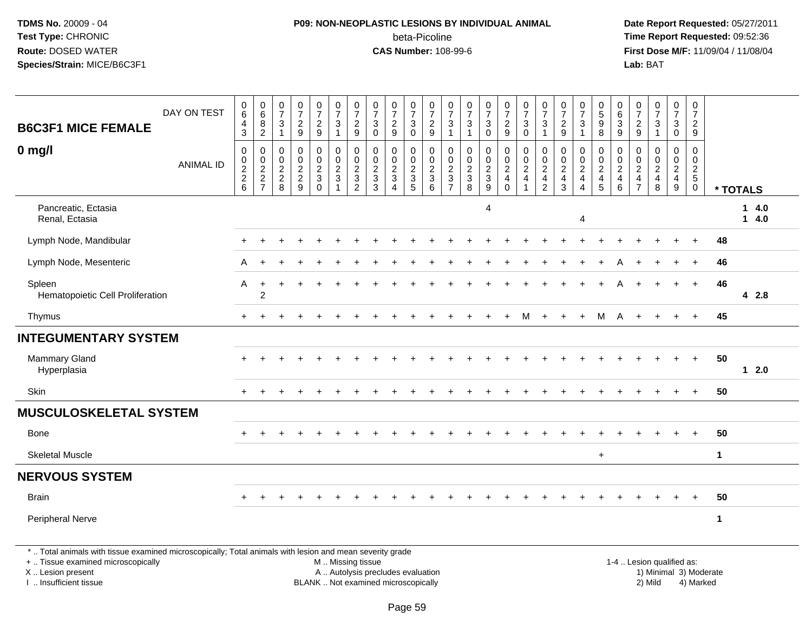### **P09: NON-NEOPLASTIC LESIONS BY INDIVIDUAL ANIMAL**beta-Picoline<br>CAS Number: 108-99-6

 **Date Report Requested:** 05/27/2011 **Time Report Requested:** 09:52:36 **First Dose M/F:** 11/09/04 / 11/08/04<br>Lab: BAT **Lab:** BAT

| <b>B6C3F1 MICE FEMALE</b>                                                                                | DAY ON TEST      | $_6^0$<br>$\overline{\mathbf{4}}$<br>$\mathbf{3}$ | $\begin{array}{c} 0 \\ 6 \end{array}$<br>$\bf 8$<br>$\overline{c}$                              | $\boldsymbol{0}$<br>$\overline{7}$<br>3<br>$\mathbf{1}$   | $\frac{0}{7}$<br>$\sqrt{2}$<br>9                              | $\frac{0}{7}$<br>$\sqrt{2}$<br>$\boldsymbol{9}$                               | $\frac{0}{7}$<br>$\ensuremath{\mathsf{3}}$<br>$\mathbf{1}$               | $\frac{0}{7}$<br>$\frac{2}{9}$                                             | $\frac{0}{7}$<br>$\sqrt{3}$<br>$\mathbf 0$             | $\frac{0}{7}$<br>$\sqrt{2}$<br>9                                     | $\frac{0}{7}$<br>$\ensuremath{\mathsf{3}}$<br>$\mathbf 0$ | $\frac{0}{7}$<br>$\sqrt{2}$<br>9                                   | 0<br>$\overline{7}$<br>$\mathbf{3}$<br>$\mathbf{1}$                             | $\begin{array}{c} 0 \\ 7 \end{array}$<br>$\ensuremath{\mathsf{3}}$<br>$\mathbf{1}$ | $\frac{0}{7}$<br>3<br>$\mathbf 0$     | $\frac{0}{7}$<br>$\frac{2}{9}$                                                                       | $\frac{0}{7}$<br>$\ensuremath{\mathsf{3}}$<br>$\mathbf 0$                                     | $\frac{0}{7}$<br>$\mathbf{3}$<br>$\overline{1}$ | $\frac{0}{7}$<br>$\sqrt{2}$<br>9                                                            | $\frac{0}{7}$<br>$\ensuremath{\mathsf{3}}$<br>1                      | $\begin{array}{c} 0 \\ 5 \end{array}$<br>$\boldsymbol{9}$<br>8                            | 0<br>6<br>$\mathbf{3}$<br>9        | $\frac{0}{7}$<br>$\frac{2}{9}$                           | $\begin{array}{c} 0 \\ 7 \end{array}$<br>$\ensuremath{\mathsf{3}}$<br>$\overline{1}$      | $\frac{0}{7}$<br>$\mathbf{3}$<br>$\mathsf{O}\xspace$                             | 0<br>$\overline{7}$<br>$\overline{2}$<br>9                                |             |                                |
|----------------------------------------------------------------------------------------------------------|------------------|---------------------------------------------------|-------------------------------------------------------------------------------------------------|-----------------------------------------------------------|---------------------------------------------------------------|-------------------------------------------------------------------------------|--------------------------------------------------------------------------|----------------------------------------------------------------------------|--------------------------------------------------------|----------------------------------------------------------------------|-----------------------------------------------------------|--------------------------------------------------------------------|---------------------------------------------------------------------------------|------------------------------------------------------------------------------------|---------------------------------------|------------------------------------------------------------------------------------------------------|-----------------------------------------------------------------------------------------------|-------------------------------------------------|---------------------------------------------------------------------------------------------|----------------------------------------------------------------------|-------------------------------------------------------------------------------------------|------------------------------------|----------------------------------------------------------|-------------------------------------------------------------------------------------------|----------------------------------------------------------------------------------|---------------------------------------------------------------------------|-------------|--------------------------------|
| $0$ mg/l                                                                                                 | <b>ANIMAL ID</b> | $\mathsf 0$<br>$_2^0$<br>$\overline{c}$<br>6      | $\pmb{0}$<br>$\begin{smallmatrix} 0\\2 \end{smallmatrix}$<br>$\boldsymbol{2}$<br>$\overline{7}$ | $\mathbf 0$<br>$\pmb{0}$<br>$\sqrt{2}$<br>$\sqrt{2}$<br>8 | $\pmb{0}$<br>$\pmb{0}$<br>$\sqrt{2}$<br>$\boldsymbol{2}$<br>9 | $\pmb{0}$<br>$\pmb{0}$<br>$\sqrt{2}$<br>$\ensuremath{\mathsf{3}}$<br>$\Omega$ | $\pmb{0}$<br>$\pmb{0}$<br>$\boldsymbol{2}$<br>$\sqrt{3}$<br>$\mathbf{1}$ | $\pmb{0}$<br>$\pmb{0}$<br>$\overline{c}$<br>$\mathbf{3}$<br>$\overline{2}$ | 0<br>$\mathbf 0$<br>$\overline{2}$<br>$\mathsf 3$<br>3 | 0<br>$\pmb{0}$<br>$\sqrt{2}$<br>$\sqrt{3}$<br>$\boldsymbol{\Lambda}$ | $\mathbf 0$<br>$\mathbf 0$<br>$\frac{2}{3}$<br>5          | $\mathbf 0$<br>$\mathop{2}\limits^{\mathbb{O}}$<br>$\sqrt{3}$<br>6 | $\mathbf 0$<br>$\overline{0}$<br>$\overline{c}$<br>$\sqrt{3}$<br>$\overline{7}$ | $\pmb{0}$<br>$\pmb{0}$<br>$\sqrt{2}$<br>$\ensuremath{\mathsf{3}}$<br>8             | $\boldsymbol{0}$<br>$0$<br>$3$<br>$9$ | $\pmb{0}$<br>$\begin{smallmatrix} 0\\2 \end{smallmatrix}$<br>$\overline{\mathbf{4}}$<br>$\mathsf{O}$ | $\pmb{0}$<br>$\begin{smallmatrix} 0\\2 \end{smallmatrix}$<br>$\overline{4}$<br>$\overline{1}$ | $\pmb{0}$<br>$\frac{0}{2}$<br>2                 | $\mathbf 0$<br>$\begin{smallmatrix} 0\\2 \end{smallmatrix}$<br>$\overline{\mathbf{4}}$<br>3 | 0<br>$\pmb{0}$<br>$\overline{c}$<br>$\overline{4}$<br>$\overline{4}$ | $\pmb{0}$<br>$\begin{smallmatrix} 0\\2 \end{smallmatrix}$<br>$\overline{\mathbf{4}}$<br>5 | 0<br>0<br>$\overline{2}$<br>4<br>6 | 0<br>0<br>$\sqrt{2}$<br>$\overline{4}$<br>$\overline{7}$ | $\pmb{0}$<br>$\begin{smallmatrix} 0\\2 \end{smallmatrix}$<br>$\overline{\mathbf{4}}$<br>8 | $\pmb{0}$<br>$\begin{smallmatrix} 0\\2 \end{smallmatrix}$<br>$\overline{4}$<br>9 | $\mathbf 0$<br>$\mathbf 0$<br>$\overline{2}$<br>$\sqrt{5}$<br>$\mathbf 0$ |             | * TOTALS                       |
| Pancreatic, Ectasia<br>Renal, Ectasia                                                                    |                  |                                                   |                                                                                                 |                                                           |                                                               |                                                                               |                                                                          |                                                                            |                                                        |                                                                      |                                                           |                                                                    |                                                                                 |                                                                                    | $\overline{4}$                        |                                                                                                      |                                                                                               |                                                 |                                                                                             | 4                                                                    |                                                                                           |                                    |                                                          |                                                                                           |                                                                                  |                                                                           |             | 4.0<br>$\mathbf 1$<br>4.0<br>1 |
| Lymph Node, Mandibular                                                                                   |                  |                                                   |                                                                                                 |                                                           |                                                               |                                                                               |                                                                          |                                                                            |                                                        |                                                                      |                                                           |                                                                    |                                                                                 |                                                                                    |                                       |                                                                                                      |                                                                                               |                                                 |                                                                                             |                                                                      |                                                                                           |                                    |                                                          |                                                                                           |                                                                                  | $\ddot{}$                                                                 | 48          |                                |
| Lymph Node, Mesenteric                                                                                   |                  | A                                                 | $\div$                                                                                          |                                                           |                                                               |                                                                               |                                                                          |                                                                            |                                                        |                                                                      |                                                           |                                                                    |                                                                                 |                                                                                    |                                       |                                                                                                      |                                                                                               |                                                 |                                                                                             |                                                                      |                                                                                           |                                    |                                                          |                                                                                           |                                                                                  |                                                                           | 46          |                                |
| Spleen<br>Hematopoietic Cell Proliferation                                                               |                  | A                                                 | $\overline{+}$<br>$\overline{c}$                                                                |                                                           |                                                               |                                                                               |                                                                          |                                                                            |                                                        |                                                                      |                                                           |                                                                    |                                                                                 |                                                                                    |                                       |                                                                                                      |                                                                                               |                                                 |                                                                                             |                                                                      |                                                                                           | А                                  |                                                          |                                                                                           | $+$                                                                              | $+$                                                                       | 46          | 4 2.8                          |
| Thymus                                                                                                   |                  | $+$                                               |                                                                                                 |                                                           |                                                               |                                                                               |                                                                          |                                                                            |                                                        |                                                                      |                                                           |                                                                    |                                                                                 |                                                                                    |                                       |                                                                                                      | м                                                                                             |                                                 |                                                                                             | $\ddot{}$                                                            | M                                                                                         | A                                  | $\ddot{}$                                                |                                                                                           | $+$                                                                              | $+$                                                                       | 45          |                                |
| <b>INTEGUMENTARY SYSTEM</b>                                                                              |                  |                                                   |                                                                                                 |                                                           |                                                               |                                                                               |                                                                          |                                                                            |                                                        |                                                                      |                                                           |                                                                    |                                                                                 |                                                                                    |                                       |                                                                                                      |                                                                                               |                                                 |                                                                                             |                                                                      |                                                                                           |                                    |                                                          |                                                                                           |                                                                                  |                                                                           |             |                                |
| <b>Mammary Gland</b><br>Hyperplasia                                                                      |                  |                                                   |                                                                                                 |                                                           |                                                               |                                                                               |                                                                          |                                                                            |                                                        |                                                                      |                                                           |                                                                    |                                                                                 |                                                                                    |                                       |                                                                                                      |                                                                                               |                                                 |                                                                                             |                                                                      |                                                                                           |                                    |                                                          |                                                                                           |                                                                                  | $+$                                                                       | 50          | $12.0$                         |
| Skin                                                                                                     |                  |                                                   |                                                                                                 |                                                           |                                                               |                                                                               |                                                                          |                                                                            |                                                        |                                                                      |                                                           |                                                                    |                                                                                 |                                                                                    |                                       |                                                                                                      |                                                                                               |                                                 |                                                                                             |                                                                      |                                                                                           |                                    |                                                          |                                                                                           |                                                                                  |                                                                           | 50          |                                |
| <b>MUSCULOSKELETAL SYSTEM</b>                                                                            |                  |                                                   |                                                                                                 |                                                           |                                                               |                                                                               |                                                                          |                                                                            |                                                        |                                                                      |                                                           |                                                                    |                                                                                 |                                                                                    |                                       |                                                                                                      |                                                                                               |                                                 |                                                                                             |                                                                      |                                                                                           |                                    |                                                          |                                                                                           |                                                                                  |                                                                           |             |                                |
| Bone                                                                                                     |                  |                                                   |                                                                                                 |                                                           |                                                               |                                                                               |                                                                          |                                                                            |                                                        |                                                                      |                                                           |                                                                    |                                                                                 |                                                                                    |                                       |                                                                                                      |                                                                                               |                                                 |                                                                                             |                                                                      |                                                                                           |                                    |                                                          |                                                                                           |                                                                                  |                                                                           | 50          |                                |
| <b>Skeletal Muscle</b>                                                                                   |                  |                                                   |                                                                                                 |                                                           |                                                               |                                                                               |                                                                          |                                                                            |                                                        |                                                                      |                                                           |                                                                    |                                                                                 |                                                                                    |                                       |                                                                                                      |                                                                                               |                                                 |                                                                                             |                                                                      | $\ddot{}$                                                                                 |                                    |                                                          |                                                                                           |                                                                                  |                                                                           | $\mathbf 1$ |                                |
| <b>NERVOUS SYSTEM</b>                                                                                    |                  |                                                   |                                                                                                 |                                                           |                                                               |                                                                               |                                                                          |                                                                            |                                                        |                                                                      |                                                           |                                                                    |                                                                                 |                                                                                    |                                       |                                                                                                      |                                                                                               |                                                 |                                                                                             |                                                                      |                                                                                           |                                    |                                                          |                                                                                           |                                                                                  |                                                                           |             |                                |
| <b>Brain</b>                                                                                             |                  | $\pm$                                             |                                                                                                 |                                                           |                                                               |                                                                               |                                                                          |                                                                            |                                                        |                                                                      |                                                           |                                                                    |                                                                                 |                                                                                    |                                       |                                                                                                      |                                                                                               |                                                 |                                                                                             |                                                                      |                                                                                           |                                    |                                                          |                                                                                           |                                                                                  | $+$                                                                       | 50          |                                |
| Peripheral Nerve                                                                                         |                  |                                                   |                                                                                                 |                                                           |                                                               |                                                                               |                                                                          |                                                                            |                                                        |                                                                      |                                                           |                                                                    |                                                                                 |                                                                                    |                                       |                                                                                                      |                                                                                               |                                                 |                                                                                             |                                                                      |                                                                                           |                                    |                                                          |                                                                                           |                                                                                  |                                                                           | $\mathbf 1$ |                                |
| *  Total animals with tissue examined microscopically; Total animals with lesion and mean severity grade |                  |                                                   |                                                                                                 |                                                           |                                                               |                                                                               |                                                                          |                                                                            |                                                        |                                                                      |                                                           |                                                                    |                                                                                 |                                                                                    |                                       |                                                                                                      |                                                                                               |                                                 |                                                                                             |                                                                      |                                                                                           |                                    |                                                          |                                                                                           |                                                                                  |                                                                           |             |                                |

+ .. Tissue examined microscopically

X .. Lesion present

I .. Insufficient tissue

M .. Missing tissue A .. Autolysis precludes evaluation 19 and 10 minimal 3) Moderate 1 and 20 minimal 3) Moderate 19 minimal 3) Moderat<br>19 and 19 and 19 and 19 and 19 and 19 and 19 and 19 and 19 and 19 and 19 and 19 and 19 and 19 and 19 and BLANK .. Not examined microscopically

1-4 .. Lesion qualified as: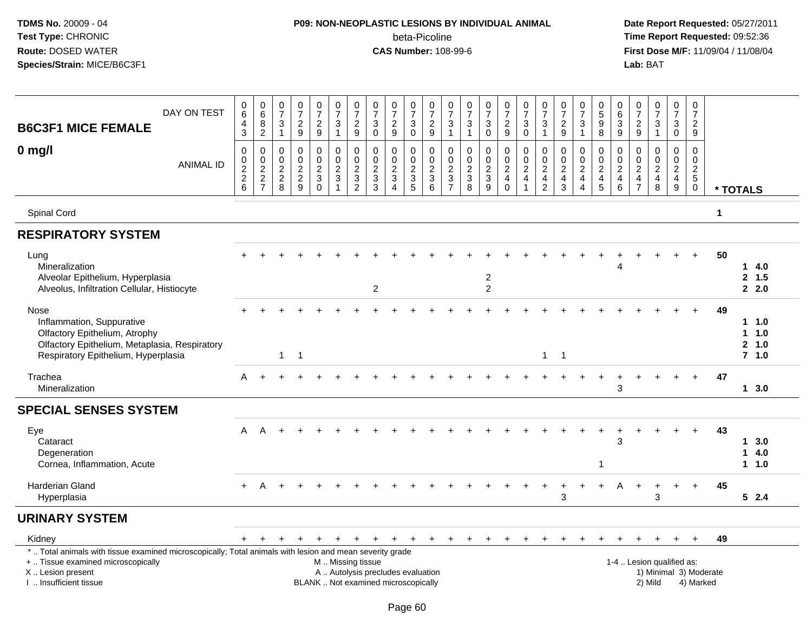### **P09: NON-NEOPLASTIC LESIONS BY INDIVIDUAL ANIMAL**beta-Picoline<br>CAS Number: 108-99-6

| <b>B6C3F1 MICE FEMALE</b>                                                                                                                                                                    | DAY ON TEST      | 0<br>$\,6$<br>4<br>$\mathbf{3}$                     | $\pmb{0}$<br>$\,6$<br>$\, 8$<br>$\boldsymbol{2}$                   | 0<br>$\overline{7}$<br>$\mathbf{3}$<br>$\mathbf{1}$ | $\frac{0}{7}$<br>$\sqrt{2}$<br>9                                     | $\frac{0}{7}$<br>$\frac{2}{9}$                                                          | $\frac{0}{7}$<br>$\ensuremath{\mathsf{3}}$<br>$\overline{1}$                  | $\frac{0}{7}$<br>$\frac{2}{9}$                                  | $\frac{0}{7}$<br>$\mathbf{3}$<br>$\mathbf 0$                                   | $\frac{0}{7}$<br>$\frac{2}{9}$                                                                       | $\frac{0}{7}$<br>3<br>$\Omega$                                              | $\frac{0}{7}$<br>$\frac{2}{9}$                                       | $\frac{0}{7}$<br>$\sqrt{3}$<br>$\mathbf{1}$                          | $\frac{0}{7}$<br>$\frac{3}{1}$    | $\frac{0}{7}$<br>$\sqrt{3}$<br>$\mathbf 0$                      | $\frac{0}{7}$<br>$\frac{2}{9}$                                             | $\frac{0}{7}$<br>$\ensuremath{\mathsf{3}}$<br>$\mathbf 0$            | $\frac{0}{7}$<br>$\mathbf{3}$<br>$\mathbf{1}$                                 | $\frac{0}{7}$<br>$\frac{2}{9}$                                        | $\frac{0}{7}$<br>$\sqrt{3}$<br>$\mathbf{1}$                                        | $\begin{array}{c} 0 \\ 5 \\ 9 \end{array}$<br>8                        | $\begin{matrix} 0 \\ 6 \end{matrix}$<br>$\sqrt{3}$<br>$\boldsymbol{9}$              | $\frac{0}{7}$<br>$\boldsymbol{2}$<br>$\boldsymbol{9}$                         | $\frac{0}{7}$<br>$\mathsf 3$<br>$\mathbf{1}$                                       | $\frac{0}{7}$<br>3<br>$\mathbf 0$                                               | $\frac{0}{7}$<br>$\overline{c}$<br>9                         |           |              |                                         |     |
|----------------------------------------------------------------------------------------------------------------------------------------------------------------------------------------------|------------------|-----------------------------------------------------|--------------------------------------------------------------------|-----------------------------------------------------|----------------------------------------------------------------------|-----------------------------------------------------------------------------------------|-------------------------------------------------------------------------------|-----------------------------------------------------------------|--------------------------------------------------------------------------------|------------------------------------------------------------------------------------------------------|-----------------------------------------------------------------------------|----------------------------------------------------------------------|----------------------------------------------------------------------|-----------------------------------|-----------------------------------------------------------------|----------------------------------------------------------------------------|----------------------------------------------------------------------|-------------------------------------------------------------------------------|-----------------------------------------------------------------------|------------------------------------------------------------------------------------|------------------------------------------------------------------------|-------------------------------------------------------------------------------------|-------------------------------------------------------------------------------|------------------------------------------------------------------------------------|---------------------------------------------------------------------------------|--------------------------------------------------------------|-----------|--------------|-----------------------------------------|-----|
| $0$ mg/l                                                                                                                                                                                     | <b>ANIMAL ID</b> | $\mathbf 0$<br>0<br>$\overline{2}$<br>$\frac{2}{6}$ | 0<br>$\mathbf 0$<br>$\overline{c}$<br>$\sqrt{2}$<br>$\overline{7}$ | 0<br>0<br>$\overline{c}$<br>$\sqrt{2}$<br>8         | $\Omega$<br>$\mathbf 0$<br>$\boldsymbol{2}$<br>$\boldsymbol{2}$<br>9 | $\mathbf 0$<br>$\mathbf 0$<br>$\boldsymbol{2}$<br>$\ensuremath{\mathsf{3}}$<br>$\Omega$ | 0<br>$\mathbf 0$<br>$\sqrt{2}$<br>$\ensuremath{\mathsf{3}}$<br>$\overline{1}$ | $\mathbf 0$<br>$\mathbf 0$<br>$\boldsymbol{2}$<br>$\frac{3}{2}$ | $\mathbf 0$<br>$\mathbf 0$<br>$\overline{c}$<br>$\ensuremath{\mathsf{3}}$<br>3 | $\mathbf 0$<br>$\mathbf 0$<br>$\overline{c}$<br>$\ensuremath{\mathsf{3}}$<br>$\overline{\mathbf{4}}$ | $\Omega$<br>$\mathbf 0$<br>$\overline{c}$<br>$\ensuremath{\mathsf{3}}$<br>5 | $\mathbf 0$<br>0<br>$\overline{c}$<br>$\ensuremath{\mathsf{3}}$<br>6 | 0<br>$\mathbf 0$<br>$\boldsymbol{2}$<br>$\sqrt{3}$<br>$\overline{7}$ | 0<br>$\mathbf 0$<br>$\frac{2}{3}$ | $\mathbf 0$<br>$\mathbf 0$<br>$\overline{c}$<br>$\sqrt{3}$<br>9 | $\mathbf 0$<br>$\mathbf 0$<br>$\overline{c}$<br>$\overline{4}$<br>$\Omega$ | 0<br>$\mathbf 0$<br>$\overline{2}$<br>$\overline{4}$<br>$\mathbf{1}$ | $\Omega$<br>$\mathbf 0$<br>$\overline{c}$<br>$\overline{4}$<br>$\overline{2}$ | $\mathbf{0}$<br>0<br>$\overline{c}$<br>$\overline{4}$<br>$\mathbf{3}$ | $\mathbf 0$<br>$\mathbf 0$<br>$\boldsymbol{2}$<br>$\overline{4}$<br>$\overline{4}$ | 0<br>$\mathbf 0$<br>$\overline{2}$<br>$\overline{4}$<br>$\overline{5}$ | $\mathbf 0$<br>$\mathbf 0$<br>$\boldsymbol{2}$<br>$\overline{4}$<br>$6\phantom{1}6$ | $\Omega$<br>$\mathbf 0$<br>$\overline{c}$<br>$\overline{a}$<br>$\overline{7}$ | $\Omega$<br>$\mathbf 0$<br>$\overline{c}$<br>$\begin{array}{c} 4 \\ 8 \end{array}$ | $\Omega$<br>$\mathbf 0$<br>$\overline{a}$<br>$\overline{4}$<br>$\boldsymbol{9}$ | $\Omega$<br>0<br>$\overline{2}$<br>$\sqrt{5}$<br>$\mathbf 0$ |           | * TOTALS     |                                         |     |
| Spinal Cord                                                                                                                                                                                  |                  |                                                     |                                                                    |                                                     |                                                                      |                                                                                         |                                                                               |                                                                 |                                                                                |                                                                                                      |                                                                             |                                                                      |                                                                      |                                   |                                                                 |                                                                            |                                                                      |                                                                               |                                                                       |                                                                                    |                                                                        |                                                                                     |                                                                               |                                                                                    |                                                                                 |                                                              |           | $\mathbf{1}$ |                                         |     |
| <b>RESPIRATORY SYSTEM</b>                                                                                                                                                                    |                  |                                                     |                                                                    |                                                     |                                                                      |                                                                                         |                                                                               |                                                                 |                                                                                |                                                                                                      |                                                                             |                                                                      |                                                                      |                                   |                                                                 |                                                                            |                                                                      |                                                                               |                                                                       |                                                                                    |                                                                        |                                                                                     |                                                                               |                                                                                    |                                                                                 |                                                              |           |              |                                         |     |
| Lung<br>Mineralization<br>Alveolar Epithelium, Hyperplasia<br>Alveolus, Infiltration Cellular, Histiocyte                                                                                    |                  |                                                     |                                                                    |                                                     |                                                                      |                                                                                         |                                                                               |                                                                 | $\overline{c}$                                                                 |                                                                                                      |                                                                             |                                                                      |                                                                      |                                   | $\boldsymbol{2}$<br>$\overline{2}$                              |                                                                            |                                                                      |                                                                               |                                                                       |                                                                                    |                                                                        | Δ                                                                                   |                                                                               |                                                                                    |                                                                                 |                                                              |           | 50           | 14.0<br>2, 1.5<br>2.0                   |     |
| Nose<br>Inflammation, Suppurative<br>Olfactory Epithelium, Atrophy<br>Olfactory Epithelium, Metaplasia, Respiratory<br>Respiratory Epithelium, Hyperplasia                                   |                  |                                                     |                                                                    | $\mathbf{1}$                                        | $\mathbf 1$                                                          |                                                                                         |                                                                               |                                                                 |                                                                                |                                                                                                      |                                                                             |                                                                      |                                                                      |                                   |                                                                 |                                                                            |                                                                      | $\mathbf{1}$                                                                  | $\overline{1}$                                                        |                                                                                    |                                                                        |                                                                                     |                                                                               |                                                                                    |                                                                                 |                                                              |           | 49           | $1 1.0$<br>$1 1.0$<br>2, 1.0<br>$7$ 1.0 |     |
| Trachea<br>Mineralization                                                                                                                                                                    |                  | A                                                   |                                                                    |                                                     |                                                                      |                                                                                         |                                                                               |                                                                 |                                                                                |                                                                                                      |                                                                             |                                                                      |                                                                      |                                   |                                                                 |                                                                            |                                                                      |                                                                               |                                                                       |                                                                                    |                                                                        | 3                                                                                   |                                                                               |                                                                                    |                                                                                 |                                                              |           | 47           | 13.0                                    |     |
| <b>SPECIAL SENSES SYSTEM</b>                                                                                                                                                                 |                  |                                                     |                                                                    |                                                     |                                                                      |                                                                                         |                                                                               |                                                                 |                                                                                |                                                                                                      |                                                                             |                                                                      |                                                                      |                                   |                                                                 |                                                                            |                                                                      |                                                                               |                                                                       |                                                                                    |                                                                        |                                                                                     |                                                                               |                                                                                    |                                                                                 |                                                              |           |              |                                         |     |
| Eye<br>Cataract<br>Degeneration<br>Cornea, Inflammation, Acute                                                                                                                               |                  | A                                                   |                                                                    |                                                     |                                                                      |                                                                                         |                                                                               |                                                                 |                                                                                |                                                                                                      |                                                                             |                                                                      |                                                                      |                                   |                                                                 |                                                                            |                                                                      |                                                                               |                                                                       |                                                                                    | 1                                                                      | 3                                                                                   |                                                                               |                                                                                    |                                                                                 |                                                              |           | 43           | 13.0<br>1<br>1.0                        | 4.0 |
| Harderian Gland<br>Hyperplasia                                                                                                                                                               |                  | $+$                                                 |                                                                    |                                                     |                                                                      |                                                                                         |                                                                               |                                                                 |                                                                                |                                                                                                      |                                                                             |                                                                      |                                                                      |                                   |                                                                 |                                                                            |                                                                      |                                                                               | 3                                                                     |                                                                                    |                                                                        | A                                                                                   | $\ddot{}$                                                                     | 3                                                                                  | $\ddot{}$                                                                       | $\ddot{}$                                                    |           | 45           | 52.4                                    |     |
| <b>URINARY SYSTEM</b>                                                                                                                                                                        |                  |                                                     |                                                                    |                                                     |                                                                      |                                                                                         |                                                                               |                                                                 |                                                                                |                                                                                                      |                                                                             |                                                                      |                                                                      |                                   |                                                                 |                                                                            |                                                                      |                                                                               |                                                                       |                                                                                    |                                                                        |                                                                                     |                                                                               |                                                                                    |                                                                                 |                                                              |           |              |                                         |     |
| Kidney                                                                                                                                                                                       |                  | $+$                                                 |                                                                    |                                                     |                                                                      |                                                                                         |                                                                               | $\ddot{}$                                                       | $\ddot{}$                                                                      | $\ddot{}$                                                                                            | $\ddot{}$                                                                   | $+$                                                                  | $\ddot{}$                                                            | $\ddot{}$                         | $\ddot{}$                                                       | $\ddot{}$                                                                  |                                                                      |                                                                               |                                                                       |                                                                                    |                                                                        |                                                                                     |                                                                               |                                                                                    | $\ddot{}$                                                                       | $+$                                                          |           | 49           |                                         |     |
| *  Total animals with tissue examined microscopically; Total animals with lesion and mean severity grade<br>+  Tissue examined microscopically<br>X Lesion present<br>I  Insufficient tissue |                  |                                                     |                                                                    |                                                     |                                                                      |                                                                                         | M  Missing tissue                                                             |                                                                 | A  Autolysis precludes evaluation<br>BLANK  Not examined microscopically       |                                                                                                      |                                                                             |                                                                      |                                                                      |                                   |                                                                 |                                                                            |                                                                      |                                                                               |                                                                       |                                                                                    |                                                                        |                                                                                     |                                                                               | 1-4  Lesion qualified as:<br>1) Minimal 3) Moderate<br>2) Mild                     |                                                                                 |                                                              | 4) Marked |              |                                         |     |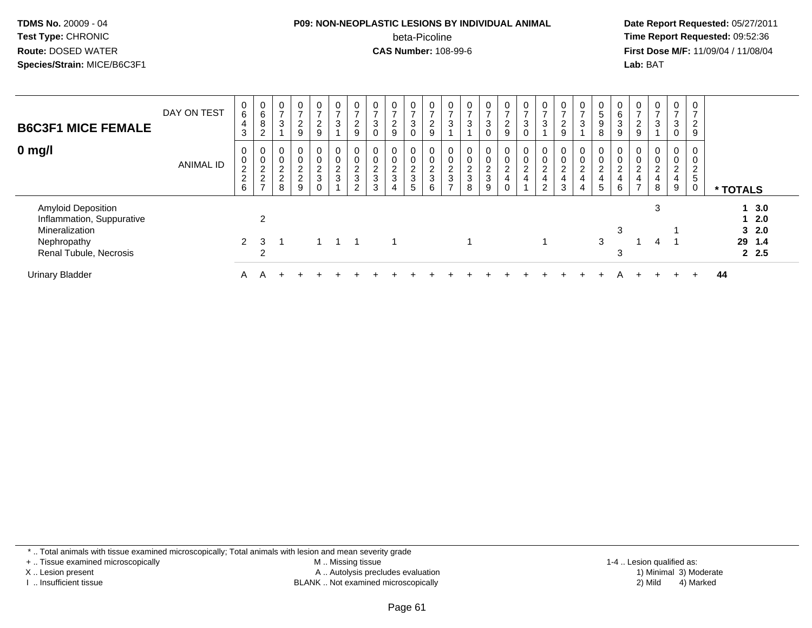#### **P09: NON-NEOPLASTIC LESIONS BY INDIVIDUAL ANIMAL** beta-Picoline**beta-Picoline**<br> **CAS Number:** 108-99-6<br> **CAS Number:** 108-99-6<br> **CAS Number:** 108-99-6

 **Date Report Requested:** 05/27/2011 **First Dose M/F:** 11/09/04 / 11/08/04<br>**Lab:** BAT **Lab:** BAT

| <b>B6C3F1 MICE FEMALE</b>                                                                                  | DAY ON TEST      | 0<br>6<br>4<br>3                   | 0<br>$\,6\,$<br>$\, 8$<br>$\overline{2}$ | 0<br>$\overline{7}$<br>3                            | $\overline{0}$<br>7<br>$\overline{c}$<br>9                       | $\overline{0}$<br>$\overline{ }$<br>$\frac{2}{9}$ | 0<br>$\overline{7}$<br>3                    | $\overline{0}$<br>$\overline{ }$<br>$\frac{2}{9}$ | $\mathbf 0$<br>$\overline{z}$<br>$\mathbf{3}$<br>$\mathbf 0$ | $\mathbf 0$<br>$\overline{7}$<br>$\frac{2}{9}$                 | $\overline{0}$<br>3<br>0                        | 0<br>$\overline{ }$<br>$\frac{2}{9}$   | 0<br>$\rightarrow$<br>$\sqrt{3}$                               | 0<br>$\mathbf{3}$                                   | 0<br>$\overline{ }$<br>$\mathbf{3}$<br>$\mathbf 0$ | 0<br>$\overline{\phantom{0}}$<br>$\overline{c}$<br>9                         | $\mathbf 0$<br>$\overline{ }$<br>$\mathbf{3}$<br>0            | 0<br>$\overline{ }$<br>3                                             | 0<br>$\overline{\mathbf{c}}$<br>9              | 0<br>$\overline{ }$<br>3                                                        | $\overline{0}$<br>5<br>9<br>8                          | 0<br>$\,6\,$<br>$\mathbf{3}$<br>9                         | $\mathbf 0$<br>$\overline{ }$<br>$\sim$<br>$\epsilon$<br>9 | $\mathbf 0$<br>$\overline{7}$<br>3                  | -<br>$\sqrt{3}$<br>0                         | $\mathbf{0}$ | 0<br>$\overline{c}$<br>9                         |          |                                              |  |
|------------------------------------------------------------------------------------------------------------|------------------|------------------------------------|------------------------------------------|-----------------------------------------------------|------------------------------------------------------------------|---------------------------------------------------|---------------------------------------------|---------------------------------------------------|--------------------------------------------------------------|----------------------------------------------------------------|-------------------------------------------------|----------------------------------------|----------------------------------------------------------------|-----------------------------------------------------|----------------------------------------------------|------------------------------------------------------------------------------|---------------------------------------------------------------|----------------------------------------------------------------------|------------------------------------------------|---------------------------------------------------------------------------------|--------------------------------------------------------|-----------------------------------------------------------|------------------------------------------------------------|-----------------------------------------------------|----------------------------------------------|--------------|--------------------------------------------------|----------|----------------------------------------------|--|
| $0$ mg/l                                                                                                   | <b>ANIMAL ID</b> | 0<br>0<br>2<br>$\overline{c}$<br>6 | 0<br>$\frac{0}{2}$<br>$\rightarrow$      | 0<br>$\pmb{0}$<br>$\sqrt{2}$<br>$\overline{c}$<br>8 | 0<br>$\boldsymbol{0}$<br>$\boldsymbol{2}$<br>$\overline{2}$<br>9 | 0<br>0<br>$\frac{2}{3}$<br>0                      | $\mathbf 0$<br>$\mathbf 0$<br>$\frac{2}{3}$ | 0<br>$\pmb{0}$<br>$\frac{2}{3}$<br>$\overline{2}$ | 0<br>$\pmb{0}$<br>$\boldsymbol{2}$<br>$\sqrt{3}$<br>3        | 0<br>$\pmb{0}$<br>$\sqrt{2}$<br>$\mathbf{3}$<br>$\overline{4}$ | $\overline{0}$<br>0<br>$\overline{c}$<br>3<br>5 | 0<br>$\mathbf 0$<br>$\frac{2}{3}$<br>6 | 0<br>$\pmb{0}$<br>$\sqrt{2}$<br>$\ensuremath{\mathsf{3}}$<br>- | 0<br>$\pmb{0}$<br>$\overline{c}$<br>$\sqrt{3}$<br>8 | 0<br>$\frac{0}{2}$<br>$\boldsymbol{9}$             | 0<br>$\pmb{0}$<br>$\boldsymbol{2}$<br>$\overline{\mathbf{4}}$<br>$\mathbf 0$ | 0<br>$\mathbf 0$<br>$\overline{c}$<br>$\overline{\mathbf{4}}$ | 0<br>$\pmb{0}$<br>$\overline{c}$<br>$\overline{4}$<br>$\overline{c}$ | $\pmb{0}$<br>$\overline{\mathbf{c}}$<br>4<br>3 | 0<br>$\mathbf 0$<br>$\overline{2}$<br>$\overline{\mathbf{4}}$<br>$\overline{4}$ | $\mathbf{0}$<br>0<br>$\overline{c}$<br>4<br>$\sqrt{5}$ | 0<br>$\pmb{0}$<br>$\boldsymbol{2}$<br>$\overline{4}$<br>6 | 0<br>0<br>$\sim$<br>$\epsilon$<br>4<br>$\rightarrow$       | 0<br>$\boldsymbol{0}$<br>$\boldsymbol{2}$<br>4<br>8 | $\mathbf 0$<br>0<br>$\overline{2}$<br>4<br>9 |              | 0<br>0<br>$\overline{c}$<br>$5\phantom{.0}$<br>0 | * TOTALS |                                              |  |
| Amyloid Deposition<br>Inflammation, Suppurative<br>Mineralization<br>Nephropathy<br>Renal Tubule, Necrosis |                  | $\mathbf{2}$                       | 2<br>3<br>2                              | -1                                                  |                                                                  |                                                   |                                             |                                                   |                                                              |                                                                |                                                 |                                        |                                                                |                                                     |                                                    |                                                                              |                                                               |                                                                      |                                                |                                                                                 | 3                                                      | 3<br>3                                                    |                                                            | 3<br>4                                              |                                              |              |                                                  |          | 3.0<br>2.0<br>$3\;\;2.0$<br>29 1.4<br>2, 2.5 |  |
| <b>Urinary Bladder</b>                                                                                     |                  | A                                  |                                          |                                                     |                                                                  |                                                   |                                             |                                                   |                                                              |                                                                |                                                 |                                        |                                                                |                                                     |                                                    |                                                                              |                                                               |                                                                      |                                                |                                                                                 |                                                        |                                                           |                                                            |                                                     |                                              |              |                                                  | 44       |                                              |  |

\* .. Total animals with tissue examined microscopically; Total animals with lesion and mean severity grade

+ .. Tissue examined microscopically

X .. Lesion present

I .. Insufficient tissue

 M .. Missing tissueA .. Autolysis precludes evaluation

BLANK .. Not examined microscopically 2) Mild 4) Marked

1-4 .. Lesion qualified as: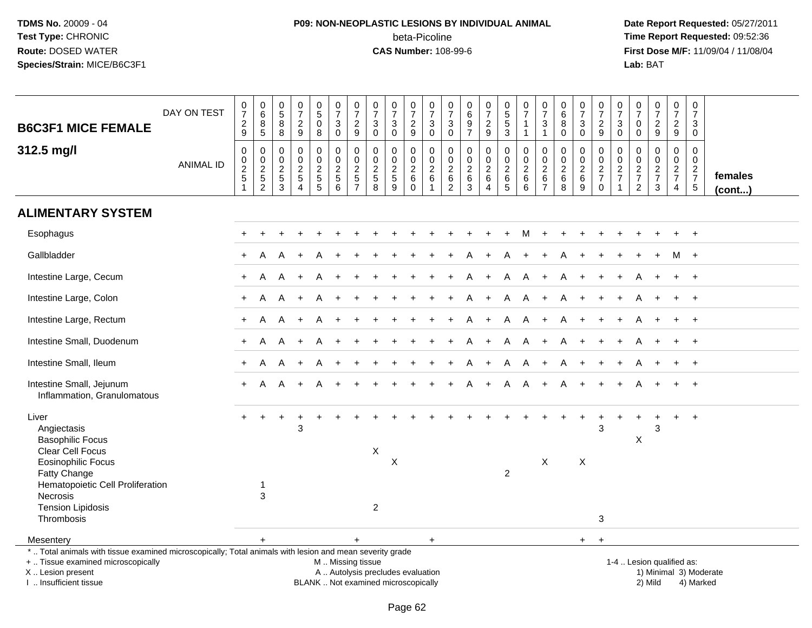# **P09: NON-NEOPLASTIC LESIONS BY INDIVIDUAL ANIMAL**beta-Picoline<br>CAS Number: 108-99-6

|                                                                                                                                                                                               |                  |                                                           |                                                  |                                                  |                                   |                                                    |                                                                                               |                                                               |                                                                    |                                                                    |                                                                                |                                                              |                                             |                                         |                                                                           |                                                                       | $\mathbf 0$                                              |                                                     |                                                 |                                                                  |                                                |                                                             |                                                     |                                                              |                                                             |                                                        |                         |
|-----------------------------------------------------------------------------------------------------------------------------------------------------------------------------------------------|------------------|-----------------------------------------------------------|--------------------------------------------------|--------------------------------------------------|-----------------------------------|----------------------------------------------------|-----------------------------------------------------------------------------------------------|---------------------------------------------------------------|--------------------------------------------------------------------|--------------------------------------------------------------------|--------------------------------------------------------------------------------|--------------------------------------------------------------|---------------------------------------------|-----------------------------------------|---------------------------------------------------------------------------|-----------------------------------------------------------------------|----------------------------------------------------------|-----------------------------------------------------|-------------------------------------------------|------------------------------------------------------------------|------------------------------------------------|-------------------------------------------------------------|-----------------------------------------------------|--------------------------------------------------------------|-------------------------------------------------------------|--------------------------------------------------------|-------------------------|
|                                                                                                                                                                                               | DAY ON TEST      | $\frac{0}{7}$<br>$\sqrt{2}$                               | $\begin{array}{c} 0 \\ 6 \end{array}$<br>$\bf 8$ | $\begin{array}{c} 0 \\ 5 \end{array}$<br>$\bf 8$ | $\frac{0}{7}$                     | $\begin{array}{c} 0 \\ 5 \end{array}$<br>$\pmb{0}$ | $\frac{0}{7}$<br>$\ensuremath{\mathsf{3}}$                                                    | $\frac{0}{7}$<br>$\overline{c}$                               | $\begin{array}{c} 0 \\ 7 \end{array}$<br>$\ensuremath{\mathsf{3}}$ | $\begin{array}{c} 0 \\ 7 \end{array}$<br>$\ensuremath{\mathsf{3}}$ | $\frac{0}{7}$<br>$\sqrt{2}$                                                    | $\frac{0}{7}$<br>3                                           | $\frac{0}{7}$<br>$\ensuremath{\mathsf{3}}$  | 0697                                    | $\begin{array}{c} 0 \\ 7 \end{array}$<br>$\sqrt{2}$                       | $\begin{array}{c} 0 \\ 5 \\ 5 \end{array}$                            | $\overline{7}$                                           | $\begin{array}{c} 0 \\ 7 \end{array}$<br>$\sqrt{3}$ | $\begin{array}{c} 0 \\ 6 \end{array}$<br>$\, 8$ | $\frac{0}{7}$<br>$\ensuremath{\mathsf{3}}$                       | $\frac{0}{7}$<br>$\boldsymbol{2}$              | $\frac{0}{7}$<br>$\ensuremath{\mathsf{3}}$                  | $\frac{0}{7}$<br>0                                  | $\begin{smallmatrix}0\\7\end{smallmatrix}$<br>$\overline{2}$ | $\frac{0}{7}$<br>$\overline{c}$                             | $\frac{0}{7}$<br>3                                     |                         |
| <b>B6C3F1 MICE FEMALE</b>                                                                                                                                                                     |                  | 9                                                         | $\overline{5}$                                   | 8                                                | $\frac{2}{9}$                     | 8                                                  | $\pmb{0}$                                                                                     | 9                                                             | $\mathbf 0$                                                        | $\pmb{0}$                                                          | 9                                                                              | $\boldsymbol{0}$                                             | $\mathbf 0$                                 |                                         | 9                                                                         | $\sqrt{3}$                                                            | $\mathbf{1}$                                             | $\mathbf{1}$                                        | $\pmb{0}$                                       | $\mathbf 0$                                                      | $\boldsymbol{9}$                               | $\mathbf 0$                                                 | $\mathbf 0$                                         | 9                                                            | $\boldsymbol{9}$                                            | $\Omega$                                               |                         |
| 312.5 mg/l                                                                                                                                                                                    | <b>ANIMAL ID</b> | $\pmb{0}$<br>$\mathbf 0$<br>$\frac{2}{5}$<br>$\mathbf{1}$ | $\pmb{0}$<br>$0$<br>$2$<br>$5$<br>$2$            | $\pmb{0}$<br>$\mathbf 0$<br>$rac{2}{3}$          | 0<br>$\mathbf 0$<br>$\frac{2}{5}$ | $\mathsf 0$<br>$\mathbf 0$<br>$rac{2}{5}$          | $\pmb{0}$<br>$\pmb{0}$<br>$rac{2}{6}$                                                         | $\mathbf 0$<br>$\mathbf 0$<br>$\frac{2}{5}$<br>$\overline{7}$ | $\mathbf 0$<br>$\pmb{0}$<br>$rac{2}{8}$                            | 0<br>$\mathbf 0$<br>$\sqrt{2}$<br>$\overline{5}$<br>9              | $\mathsf 0$<br>$\mathbf 0$<br>$\overline{2}$<br>$\,6\,$<br>$\mathsf{O}\xspace$ | $\mathbf 0$<br>$\pmb{0}$<br>$\boldsymbol{2}$<br>$\,6\,$<br>1 | $\mathbf 0$<br>$\mathbf 0$<br>$\frac{2}{6}$ | 0<br>$\mathsf{O}\xspace$<br>$rac{2}{6}$ | $\mathsf 0$<br>$\mathbf 0$<br>$\overline{2}$<br>$\,6\,$<br>$\overline{4}$ | $\mathbf 0$<br>$\begin{smallmatrix} 0\\2 \end{smallmatrix}$<br>$^6_5$ | $\mathbf 0$<br>$\mathbf 0$<br>$\sqrt{2}$<br>$\,6\,$<br>6 | $\mathbf 0$<br>$\mathbf 0$<br>$\frac{2}{6}$         | 0<br>$\mathbf 0$<br>$\sqrt{2}$<br>$^6_8$        | $\mathbf 0$<br>$\mathbf 0$<br>$\overline{2}$<br>$\,6\,$<br>$9\,$ | $\mathbf 0$<br>$\pmb{0}$<br>$\frac{2}{7}$<br>0 | $\mathbf 0$<br>$\mathbf 0$<br>$\frac{2}{7}$<br>$\mathbf{1}$ | 0<br>$\mathbf 0$<br>$\frac{2}{7}$<br>$\overline{2}$ | $\mathsf 0$<br>$\mathbf 0$<br>$\frac{2}{7}$<br>3             | $\mathbf 0$<br>$\pmb{0}$<br>$\frac{2}{7}$<br>$\overline{4}$ | $\mathbf 0$<br>$\Omega$<br>$\frac{2}{7}$<br>$\sqrt{5}$ | females<br>$($ cont $)$ |
| <b>ALIMENTARY SYSTEM</b>                                                                                                                                                                      |                  |                                                           |                                                  |                                                  |                                   |                                                    |                                                                                               |                                                               |                                                                    |                                                                    |                                                                                |                                                              |                                             |                                         |                                                                           |                                                                       |                                                          |                                                     |                                                 |                                                                  |                                                |                                                             |                                                     |                                                              |                                                             |                                                        |                         |
| Esophagus                                                                                                                                                                                     |                  |                                                           |                                                  |                                                  |                                   |                                                    |                                                                                               |                                                               |                                                                    |                                                                    |                                                                                |                                                              |                                             |                                         |                                                                           |                                                                       |                                                          |                                                     |                                                 |                                                                  |                                                |                                                             |                                                     |                                                              |                                                             |                                                        |                         |
| Gallbladder                                                                                                                                                                                   |                  |                                                           | A                                                |                                                  |                                   |                                                    |                                                                                               |                                                               |                                                                    |                                                                    |                                                                                |                                                              |                                             |                                         |                                                                           |                                                                       |                                                          |                                                     |                                                 |                                                                  |                                                |                                                             |                                                     |                                                              | M                                                           | $+$                                                    |                         |
| Intestine Large, Cecum                                                                                                                                                                        |                  | $+$                                                       | A                                                |                                                  |                                   |                                                    |                                                                                               |                                                               |                                                                    |                                                                    |                                                                                |                                                              |                                             |                                         | $\ddot{}$                                                                 | A                                                                     | A                                                        | $+$                                                 | A                                               |                                                                  |                                                |                                                             |                                                     |                                                              |                                                             | $+$                                                    |                         |
| Intestine Large, Colon                                                                                                                                                                        |                  | $\ddot{}$                                                 | A                                                | A                                                |                                   |                                                    |                                                                                               |                                                               |                                                                    |                                                                    |                                                                                |                                                              |                                             |                                         |                                                                           | A                                                                     | A                                                        |                                                     | A                                               |                                                                  |                                                |                                                             | А                                                   |                                                              |                                                             | $+$                                                    |                         |
| Intestine Large, Rectum                                                                                                                                                                       |                  | $\ddot{}$                                                 | A                                                |                                                  | $\div$                            |                                                    |                                                                                               |                                                               |                                                                    |                                                                    |                                                                                |                                                              |                                             |                                         | $\ddot{}$                                                                 | A                                                                     | A                                                        | $+$                                                 | A                                               |                                                                  |                                                |                                                             | A                                                   |                                                              |                                                             |                                                        |                         |
| Intestine Small, Duodenum                                                                                                                                                                     |                  | $\ddot{}$                                                 | A                                                | A                                                | $\overline{+}$                    |                                                    |                                                                                               |                                                               |                                                                    |                                                                    |                                                                                |                                                              |                                             | А                                       | $\ddot{}$                                                                 | A                                                                     | A                                                        |                                                     | A                                               |                                                                  |                                                |                                                             |                                                     |                                                              |                                                             |                                                        |                         |
| Intestine Small, Ileum                                                                                                                                                                        |                  | $\ddot{}$                                                 | A                                                | A                                                | $+$                               | A                                                  |                                                                                               |                                                               |                                                                    |                                                                    |                                                                                |                                                              |                                             | A                                       | $+$                                                                       | A                                                                     | A                                                        | $+$                                                 | A                                               | $+$                                                              |                                                |                                                             | A                                                   |                                                              | $+$                                                         | $+$                                                    |                         |
| Intestine Small, Jejunum<br>Inflammation, Granulomatous                                                                                                                                       |                  | $+$                                                       | А                                                |                                                  |                                   |                                                    |                                                                                               |                                                               |                                                                    |                                                                    |                                                                                |                                                              |                                             |                                         |                                                                           | A                                                                     | А                                                        |                                                     |                                                 |                                                                  |                                                |                                                             |                                                     |                                                              |                                                             |                                                        |                         |
| Liver<br>Angiectasis<br><b>Basophilic Focus</b><br><b>Clear Cell Focus</b>                                                                                                                    |                  |                                                           |                                                  |                                                  | 3                                 |                                                    |                                                                                               |                                                               | X                                                                  |                                                                    |                                                                                |                                                              |                                             |                                         |                                                                           |                                                                       |                                                          |                                                     |                                                 |                                                                  | 3                                              |                                                             | X                                                   | 3                                                            |                                                             | $+$                                                    |                         |
| <b>Eosinophilic Focus</b><br>Fatty Change<br>Hematopoietic Cell Proliferation                                                                                                                 |                  |                                                           | 1                                                |                                                  |                                   |                                                    |                                                                                               |                                                               |                                                                    | $\mathsf X$                                                        |                                                                                |                                                              |                                             |                                         |                                                                           | $\overline{c}$                                                        |                                                          | X                                                   |                                                 | X                                                                |                                                |                                                             |                                                     |                                                              |                                                             |                                                        |                         |
| Necrosis<br><b>Tension Lipidosis</b>                                                                                                                                                          |                  |                                                           | 3                                                |                                                  |                                   |                                                    |                                                                                               |                                                               | $\overline{2}$                                                     |                                                                    |                                                                                |                                                              |                                             |                                         |                                                                           |                                                                       |                                                          |                                                     |                                                 |                                                                  |                                                |                                                             |                                                     |                                                              |                                                             |                                                        |                         |
| Thrombosis                                                                                                                                                                                    |                  |                                                           |                                                  |                                                  |                                   |                                                    |                                                                                               |                                                               |                                                                    |                                                                    |                                                                                |                                                              |                                             |                                         |                                                                           |                                                                       |                                                          |                                                     |                                                 |                                                                  | $\ensuremath{\mathsf{3}}$                      |                                                             |                                                     |                                                              |                                                             |                                                        |                         |
| Mesentery                                                                                                                                                                                     |                  |                                                           | ÷                                                |                                                  |                                   |                                                    |                                                                                               | $\ddot{}$                                                     |                                                                    |                                                                    |                                                                                | $\ddot{}$                                                    |                                             |                                         |                                                                           |                                                                       |                                                          |                                                     |                                                 | $+$                                                              | $\ddot{}$                                      |                                                             |                                                     |                                                              |                                                             |                                                        |                         |
| *  Total animals with tissue examined microscopically; Total animals with lesion and mean severity grade<br>+  Tissue examined microscopically<br>X  Lesion present<br>I  Insufficient tissue |                  |                                                           |                                                  |                                                  |                                   |                                                    | M  Missing tissue<br>A  Autolysis precludes evaluation<br>BLANK  Not examined microscopically |                                                               |                                                                    |                                                                    |                                                                                |                                                              |                                             |                                         |                                                                           |                                                                       |                                                          |                                                     |                                                 |                                                                  |                                                |                                                             |                                                     | 1-4  Lesion qualified as:<br>2) Mild                         |                                                             | 4) Marked                                              | 1) Minimal 3) Moderate  |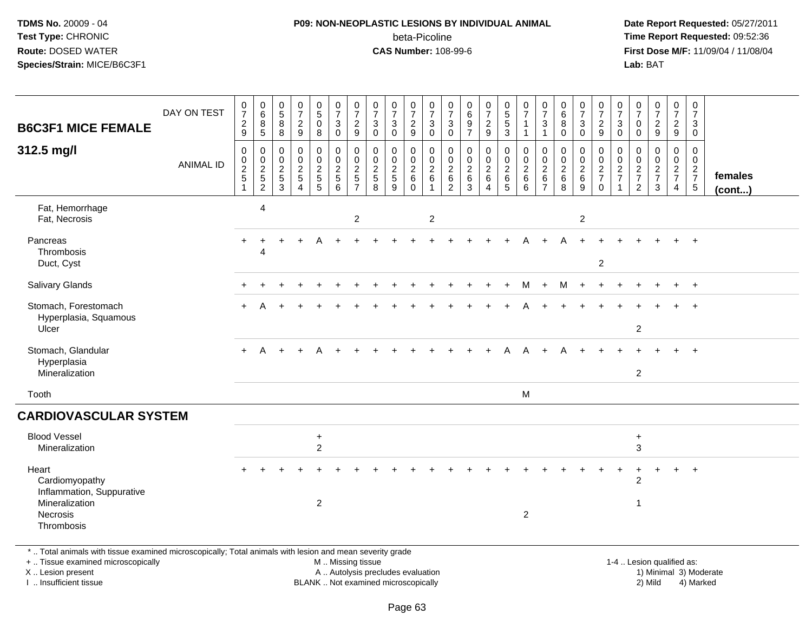### **P09: NON-NEOPLASTIC LESIONS BY INDIVIDUAL ANIMAL**beta-Picoline<br>CAS Number: 108-99-6

 **Date Report Requested:** 05/27/2011 **Time Report Requested:** 09:52:36 **First Dose M/F:** 11/09/04 / 11/08/04<br>Lab: BAT **Lab:** BAT

| <b>B6C3F1 MICE FEMALE</b>                                                                                                                                           | DAY ON TEST      | $\frac{0}{7}$<br>$\frac{2}{9}$    | $\begin{array}{c} 0 \\ 6 \end{array}$<br>$\begin{array}{c} 8 \\ 5 \end{array}$ | $\mathbf 0$<br>$\overline{5}$<br>$\, 8$<br>8                      | $\begin{array}{c} 0 \\ 7 \end{array}$<br>$\boldsymbol{2}$<br>9         | $\begin{array}{c} 0 \\ 5 \end{array}$<br>$\mathsf 0$<br>8 | $\begin{smallmatrix} 0\\7 \end{smallmatrix}$<br>$\ensuremath{\mathsf{3}}$<br>$\mathbf 0$ | $\frac{0}{7}$<br>$\sqrt{2}$<br>$9\,$                               | $\begin{array}{c} 0 \\ 7 \end{array}$<br>$\ensuremath{\mathsf{3}}$<br>$\mathbf 0$ | $\begin{array}{c} 0 \\ 7 \end{array}$<br>$\mathbf{3}$<br>$\mathbf 0$ | $\begin{array}{c} 0 \\ 7 \end{array}$<br>$\sqrt{2}$<br>$9\,$      | $\frac{0}{7}$<br>3<br>$\mathbf 0$                             | $\frac{0}{7}$<br>3<br>$\mathbf 0$                   | $\begin{array}{c} 0 \\ 6 \end{array}$<br>$\frac{9}{7}$    | $\frac{0}{7}$<br>$\sqrt{2}$<br>$\boldsymbol{9}$                                   | $\begin{array}{c} 0 \\ 5 \\ 3 \end{array}$                          | $\frac{0}{7}$<br>$\mathbf{1}$<br>$\mathbf{1}$          | $\frac{0}{7}$<br>3<br>$\mathbf{1}$                                        | $\begin{array}{c} 0 \\ 6 \end{array}$<br>$\bf 8$<br>$\mathbf 0$       | $\frac{0}{7}$<br>3<br>$\mathbf 0$                               | $\frac{0}{7}$<br>$\sqrt{2}$<br>9                                   | $\begin{array}{c} 0 \\ 7 \end{array}$<br>$\ensuremath{\mathsf{3}}$<br>$\mathbf 0$ | $\begin{array}{c} 0 \\ 7 \end{array}$<br>0<br>$\mathbf 0$  | $\begin{array}{c} 0 \\ 7 \end{array}$<br>$\sqrt{2}$<br>9    | $\frac{0}{7}$<br>$\overline{c}$<br>$\boldsymbol{9}$ | $\frac{0}{7}$<br>$\sqrt{3}$<br>$\mathbf 0$  |                         |
|---------------------------------------------------------------------------------------------------------------------------------------------------------------------|------------------|-----------------------------------|--------------------------------------------------------------------------------|-------------------------------------------------------------------|------------------------------------------------------------------------|-----------------------------------------------------------|------------------------------------------------------------------------------------------|--------------------------------------------------------------------|-----------------------------------------------------------------------------------|----------------------------------------------------------------------|-------------------------------------------------------------------|---------------------------------------------------------------|-----------------------------------------------------|-----------------------------------------------------------|-----------------------------------------------------------------------------------|---------------------------------------------------------------------|--------------------------------------------------------|---------------------------------------------------------------------------|-----------------------------------------------------------------------|-----------------------------------------------------------------|--------------------------------------------------------------------|-----------------------------------------------------------------------------------|------------------------------------------------------------|-------------------------------------------------------------|-----------------------------------------------------|---------------------------------------------|-------------------------|
| 312.5 mg/l                                                                                                                                                          | <b>ANIMAL ID</b> | 0<br>$\mathbf 0$<br>$\frac{2}{5}$ | $\mathbf 0$<br>$\frac{0}{2}$<br>$\frac{5}{2}$                                  | $\mathbf 0$<br>$\mathbf 0$<br>$\boldsymbol{2}$<br>$\sqrt{5}$<br>3 | $\mathbf 0$<br>$\mathbf 0$<br>$\overline{c}$<br>$\sqrt{5}$<br>$\Delta$ | 0<br>$\mathbf 0$<br>$\overline{c}$<br>$\frac{5}{5}$       | $\boldsymbol{0}$<br>$\mathbf 0$<br>$\overline{c}$<br>$\sqrt{5}$<br>6                     | 0<br>$\pmb{0}$<br>$\boldsymbol{2}$<br>$\sqrt{5}$<br>$\overline{7}$ | $\mathbf 0$<br>$\mathbf 0$<br>$\sqrt{2}$<br>$\begin{array}{c} 5 \\ 8 \end{array}$ | $\mathbf 0$<br>$\mathbf 0$<br>$\sqrt{2}$<br>$\sqrt{5}$<br>9          | 0<br>$\mathsf{O}\xspace$<br>$\overline{c}$<br>$\,6\,$<br>$\Omega$ | 0<br>$\mathbf 0$<br>$\overline{c}$<br>$\,6\,$<br>$\mathbf{1}$ | 0<br>0<br>$\overline{c}$<br>$\,6$<br>$\overline{2}$ | 0<br>$\mathbf 0$<br>$\overline{c}$<br>6<br>$\overline{3}$ | $\mathbf 0$<br>$\mathbf 0$<br>$\overline{c}$<br>$\,6\,$<br>$\boldsymbol{\Lambda}$ | 0<br>$\mathsf{O}\xspace$<br>$\sqrt{2}$<br>$\,6\,$<br>$\overline{5}$ | 0<br>$\mathsf{O}\xspace$<br>$\boldsymbol{2}$<br>6<br>6 | 0<br>$\mathsf 0$<br>$\boldsymbol{2}$<br>$6\phantom{1}6$<br>$\overline{7}$ | $\mathbf 0$<br>$\mathbf 0$<br>$\sqrt{2}$<br>$\,6\,$<br>$\overline{8}$ | 0<br>$\mathbf 0$<br>$\overline{c}$<br>$\,6\,$<br>$\overline{9}$ | 0<br>$\overline{0}$<br>$\sqrt{2}$<br>$\overline{7}$<br>$\mathbf 0$ | 0<br>$\mathbf 0$<br>$\sqrt{2}$<br>$\overline{7}$                                  | 0<br>$\boldsymbol{0}$<br>$\sqrt{2}$<br>$\overline{7}$<br>2 | $\mathbf 0$<br>$\mathbf 0$<br>$\frac{2}{7}$<br>$\mathbf{3}$ | 0<br>$\mathbf 0$<br>$\frac{2}{7}$<br>$\overline{4}$ | $\mathbf 0$<br>$\mathbf 0$<br>$\frac{2}{7}$ | females<br>$($ cont $)$ |
| Fat, Hemorrhage<br>Fat, Necrosis                                                                                                                                    |                  |                                   | 4                                                                              |                                                                   |                                                                        |                                                           |                                                                                          | $\boldsymbol{2}$                                                   |                                                                                   |                                                                      |                                                                   | $\overline{c}$                                                |                                                     |                                                           |                                                                                   |                                                                     |                                                        |                                                                           |                                                                       | $\overline{c}$                                                  |                                                                    |                                                                                   |                                                            |                                                             |                                                     |                                             |                         |
| Pancreas<br><b>Thrombosis</b><br>Duct, Cyst                                                                                                                         |                  |                                   | $\boldsymbol{\Lambda}$                                                         |                                                                   |                                                                        |                                                           |                                                                                          |                                                                    |                                                                                   |                                                                      |                                                                   |                                                               |                                                     |                                                           |                                                                                   |                                                                     |                                                        |                                                                           |                                                                       |                                                                 | $\overline{2}$                                                     |                                                                                   |                                                            |                                                             |                                                     | $\overline{+}$                              |                         |
| Salivary Glands                                                                                                                                                     |                  |                                   |                                                                                |                                                                   |                                                                        |                                                           |                                                                                          |                                                                    |                                                                                   |                                                                      |                                                                   |                                                               |                                                     |                                                           |                                                                                   |                                                                     | м                                                      |                                                                           | м                                                                     |                                                                 |                                                                    |                                                                                   |                                                            |                                                             |                                                     | $+$                                         |                         |
| Stomach, Forestomach<br>Hyperplasia, Squamous<br>Ulcer                                                                                                              |                  |                                   |                                                                                |                                                                   |                                                                        |                                                           |                                                                                          |                                                                    |                                                                                   |                                                                      |                                                                   |                                                               |                                                     |                                                           |                                                                                   |                                                                     |                                                        |                                                                           |                                                                       |                                                                 |                                                                    |                                                                                   | $\overline{2}$                                             |                                                             |                                                     | $\overline{+}$                              |                         |
| Stomach, Glandular<br>Hyperplasia<br>Mineralization                                                                                                                 |                  | $+$                               | A                                                                              | $+$                                                               |                                                                        |                                                           |                                                                                          |                                                                    |                                                                                   |                                                                      |                                                                   |                                                               |                                                     |                                                           |                                                                                   | A                                                                   | A                                                      |                                                                           |                                                                       |                                                                 |                                                                    |                                                                                   | $\overline{2}$                                             |                                                             |                                                     | $+$                                         |                         |
| Tooth                                                                                                                                                               |                  |                                   |                                                                                |                                                                   |                                                                        |                                                           |                                                                                          |                                                                    |                                                                                   |                                                                      |                                                                   |                                                               |                                                     |                                                           |                                                                                   |                                                                     | M                                                      |                                                                           |                                                                       |                                                                 |                                                                    |                                                                                   |                                                            |                                                             |                                                     |                                             |                         |
| <b>CARDIOVASCULAR SYSTEM</b>                                                                                                                                        |                  |                                   |                                                                                |                                                                   |                                                                        |                                                           |                                                                                          |                                                                    |                                                                                   |                                                                      |                                                                   |                                                               |                                                     |                                                           |                                                                                   |                                                                     |                                                        |                                                                           |                                                                       |                                                                 |                                                                    |                                                                                   |                                                            |                                                             |                                                     |                                             |                         |
| <b>Blood Vessel</b><br>Mineralization                                                                                                                               |                  |                                   |                                                                                |                                                                   |                                                                        | $\ddot{}$<br>$\overline{2}$                               |                                                                                          |                                                                    |                                                                                   |                                                                      |                                                                   |                                                               |                                                     |                                                           |                                                                                   |                                                                     |                                                        |                                                                           |                                                                       |                                                                 |                                                                    |                                                                                   | $\ddot{}$<br>3                                             |                                                             |                                                     |                                             |                         |
| Heart<br>Cardiomyopathy<br>Inflammation, Suppurative<br>Mineralization<br>Necrosis<br>Thrombosis                                                                    |                  |                                   |                                                                                |                                                                   |                                                                        | $\overline{c}$                                            |                                                                                          |                                                                    |                                                                                   |                                                                      |                                                                   |                                                               |                                                     |                                                           |                                                                                   |                                                                     | $\overline{2}$                                         |                                                                           |                                                                       |                                                                 |                                                                    |                                                                                   | $\overline{2}$<br>-1                                       |                                                             |                                                     | $\ddot{}$                                   |                         |
| *  Total animals with tissue examined microscopically; Total animals with lesion and mean severity grade<br>+  Tissue examined microscopically<br>X  Lesion present |                  |                                   |                                                                                |                                                                   |                                                                        |                                                           | M  Missing tissue<br>A  Autolysis precludes evaluation                                   |                                                                    |                                                                                   |                                                                      |                                                                   |                                                               |                                                     |                                                           |                                                                                   |                                                                     |                                                        |                                                                           |                                                                       |                                                                 |                                                                    |                                                                                   |                                                            | 1-4  Lesion qualified as:                                   |                                                     | 1) Minimal 3) Moderate                      |                         |

I .. Insufficient tissue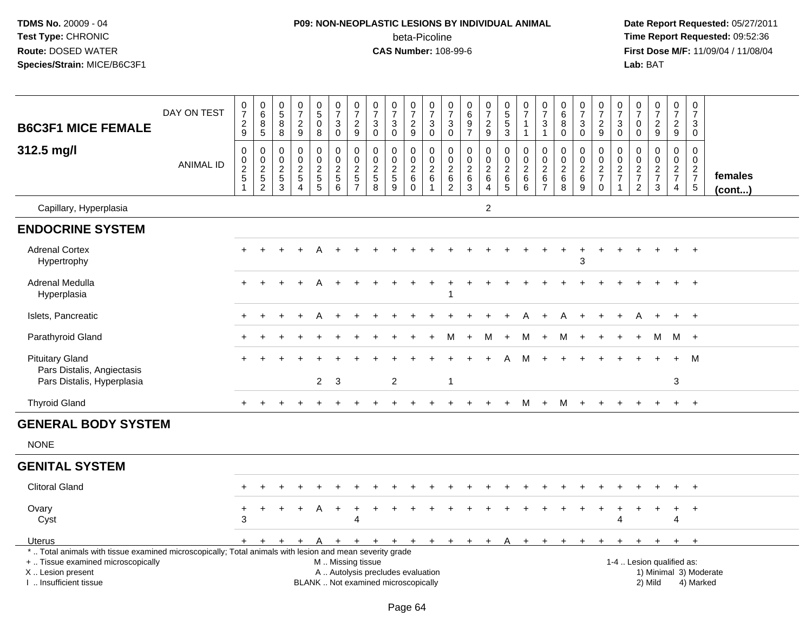### **P09: NON-NEOPLASTIC LESIONS BY INDIVIDUAL ANIMAL**beta-Picoline<br>CAS Number: 108-99-6

| <b>B6C3F1 MICE FEMALE</b>                                                                                                                                                                    | DAY ON TEST      | $\frac{0}{7}$<br>$\frac{2}{9}$               | $_{6}^{\rm 0}$<br>$\overline{8}$<br>$5\,$ | $\begin{array}{c} 0 \\ 5 \end{array}$<br>$\overline{8}$<br>$\bf 8$ | $\begin{smallmatrix}0\\7\end{smallmatrix}$<br>$\frac{2}{9}$ | $\begin{array}{c} 0 \\ 5 \end{array}$<br>$\ddot{\mathbf{0}}$<br>8 | $\begin{array}{c} 0 \\ 7 \end{array}$<br>$\sqrt{3}$<br>$\mathbf 0$ | $\frac{0}{7}$<br>$\boldsymbol{2}$<br>$9\,$                         | $\frac{0}{7}$<br>$\ensuremath{\mathsf{3}}$<br>$\mathbf 0$                                     | $\frac{0}{7}$<br>3<br>$\mathbf 0$ | $\frac{0}{7}$<br>$\sqrt{2}$<br>$9\,$               | $\frac{0}{7}$<br>$\ensuremath{\mathsf{3}}$<br>$\mathsf{O}\xspace$ | $\begin{array}{c} 0 \\ 7 \end{array}$<br>$\ensuremath{\mathsf{3}}$<br>$\mathbf 0$ | $\begin{array}{c} 0 \\ 6 \end{array}$<br>$\frac{9}{7}$ | $\begin{array}{c} 0 \\ 7 \end{array}$<br>$\sqrt{2}$<br>$\boldsymbol{9}$ | $\begin{array}{c} 0 \\ 5 \\ 5 \end{array}$<br>$\mathbf{3}$ | $\frac{0}{7}$<br>1<br>1                                | $\frac{0}{7}$<br>$\ensuremath{\mathsf{3}}$<br>$\mathbf{1}$ | $_6^0$<br>8<br>0                  | $\frac{0}{7}$<br>$\frac{3}{0}$ | $\frac{0}{7}$<br>$\frac{2}{9}$                           | $\begin{array}{c} 0 \\ 7 \end{array}$<br>$\ensuremath{\mathsf{3}}$<br>$\mathbf 0$ | $\frac{0}{7}$<br>$\mathbf 0$<br>$\mathbf 0$                   | $\frac{0}{7}$<br>$\sqrt{2}$<br>$\boldsymbol{9}$             | $\frac{0}{7}$<br>$\overline{c}$<br>9                          | $\frac{0}{7}$<br>3<br>0                                        |                                     |
|----------------------------------------------------------------------------------------------------------------------------------------------------------------------------------------------|------------------|----------------------------------------------|-------------------------------------------|--------------------------------------------------------------------|-------------------------------------------------------------|-------------------------------------------------------------------|--------------------------------------------------------------------|--------------------------------------------------------------------|-----------------------------------------------------------------------------------------------|-----------------------------------|----------------------------------------------------|-------------------------------------------------------------------|-----------------------------------------------------------------------------------|--------------------------------------------------------|-------------------------------------------------------------------------|------------------------------------------------------------|--------------------------------------------------------|------------------------------------------------------------|-----------------------------------|--------------------------------|----------------------------------------------------------|-----------------------------------------------------------------------------------|---------------------------------------------------------------|-------------------------------------------------------------|---------------------------------------------------------------|----------------------------------------------------------------|-------------------------------------|
| 312.5 mg/l                                                                                                                                                                                   | <b>ANIMAL ID</b> | $\pmb{0}$<br>$\frac{0}{2}$<br>$\overline{1}$ | $\pmb{0}$<br>$0$<br>$2$<br>$5$<br>$2$     | $\mathbf 0$<br>$\pmb{0}$<br>$rac{2}{3}$                            | $\pmb{0}$<br>$\pmb{0}$<br>$\frac{2}{5}$<br>$\overline{4}$   | $\pmb{0}$<br>$\mathbf 0$<br>$rac{2}{5}$                           | $\pmb{0}$<br>$\mathbf 0$<br>$\overline{2}$<br>$\overline{5}$<br>6  | 0<br>$\mathbf 0$<br>$\overline{c}$<br>$\sqrt{5}$<br>$\overline{7}$ | $\mathbf 0$<br>$\mathbf 0$<br>$rac{2}{8}$                                                     | 0<br>$\mathbf 0$<br>$rac{2}{9}$   | 0<br>$\mathbf 0$<br>$\overline{2}$<br>$\,6\,$<br>0 | $\mathbf 0$<br>$_{2}^{\rm 0}$<br>$\,6$                            | 0<br>$\mathbf 0$<br>$\frac{2}{6}$<br>$\sqrt{2}$                                   | $\mathbf 0$<br>$\mathbf 0$<br>$rac{2}{6}$              | 0<br>$\mathbf 0$<br>$\overline{c}$<br>$\,6\,$<br>$\overline{4}$         | $\pmb{0}$<br>$\mathbf 0$<br>$\overline{2}$<br>$6\over 5$   | $\mathbf 0$<br>$\mathbf 0$<br>$\overline{c}$<br>6<br>6 | 0<br>$\pmb{0}$<br>$\frac{2}{6}$<br>$\overline{7}$          | 0<br>$\mathbf 0$<br>$\frac{2}{6}$ | 0<br>$0$<br>$6$<br>$9$         | $\mathbf 0$<br>$\pmb{0}$<br>$\frac{2}{7}$<br>$\mathbf 0$ | $\mathbf 0$<br>$\boldsymbol{0}$<br>$\frac{2}{7}$                                  | $\mathbf 0$<br>$\mathbf 0$<br>$\frac{2}{7}$<br>$\overline{2}$ | $\mathbf 0$<br>$\mathbf 0$<br>$\frac{2}{7}$<br>$\mathbf{3}$ | $\mathbf 0$<br>$\mathbf 0$<br>$\frac{2}{7}$<br>$\overline{4}$ | $\mathbf 0$<br>$\mathbf 0$<br>$\frac{2}{7}$<br>$5\phantom{.0}$ | females<br>(cont)                   |
| Capillary, Hyperplasia                                                                                                                                                                       |                  |                                              |                                           |                                                                    |                                                             |                                                                   |                                                                    |                                                                    |                                                                                               |                                   |                                                    |                                                                   |                                                                                   |                                                        | 2                                                                       |                                                            |                                                        |                                                            |                                   |                                |                                                          |                                                                                   |                                                               |                                                             |                                                               |                                                                |                                     |
| <b>ENDOCRINE SYSTEM</b>                                                                                                                                                                      |                  |                                              |                                           |                                                                    |                                                             |                                                                   |                                                                    |                                                                    |                                                                                               |                                   |                                                    |                                                                   |                                                                                   |                                                        |                                                                         |                                                            |                                                        |                                                            |                                   |                                |                                                          |                                                                                   |                                                               |                                                             |                                                               |                                                                |                                     |
| <b>Adrenal Cortex</b><br>Hypertrophy                                                                                                                                                         |                  |                                              |                                           |                                                                    |                                                             |                                                                   |                                                                    |                                                                    |                                                                                               |                                   |                                                    |                                                                   |                                                                                   |                                                        |                                                                         |                                                            |                                                        |                                                            | $\ddot{}$                         | $\ddot{}$<br>3                 |                                                          |                                                                                   |                                                               |                                                             |                                                               | $\overline{+}$                                                 |                                     |
| Adrenal Medulla<br>Hyperplasia                                                                                                                                                               |                  |                                              |                                           |                                                                    |                                                             |                                                                   |                                                                    |                                                                    |                                                                                               |                                   |                                                    |                                                                   |                                                                                   |                                                        |                                                                         |                                                            |                                                        |                                                            |                                   |                                |                                                          |                                                                                   |                                                               |                                                             |                                                               | $\ddot{}$                                                      |                                     |
| Islets, Pancreatic                                                                                                                                                                           |                  |                                              |                                           |                                                                    |                                                             |                                                                   |                                                                    |                                                                    |                                                                                               |                                   |                                                    |                                                                   |                                                                                   |                                                        |                                                                         |                                                            |                                                        |                                                            |                                   |                                |                                                          |                                                                                   |                                                               |                                                             |                                                               | $+$                                                            |                                     |
| Parathyroid Gland                                                                                                                                                                            |                  |                                              |                                           |                                                                    |                                                             |                                                                   |                                                                    |                                                                    |                                                                                               |                                   |                                                    |                                                                   |                                                                                   |                                                        | M                                                                       | $+$                                                        | M                                                      |                                                            | м                                 | $+$                            | $\div$                                                   |                                                                                   | $\ddot{}$                                                     | M                                                           |                                                               | M +                                                            |                                     |
| <b>Pituitary Gland</b><br>Pars Distalis, Angiectasis                                                                                                                                         |                  |                                              |                                           |                                                                    |                                                             |                                                                   |                                                                    |                                                                    |                                                                                               |                                   |                                                    |                                                                   |                                                                                   |                                                        |                                                                         |                                                            |                                                        |                                                            |                                   |                                |                                                          |                                                                                   |                                                               |                                                             |                                                               | м                                                              |                                     |
| Pars Distalis, Hyperplasia                                                                                                                                                                   |                  |                                              |                                           |                                                                    |                                                             | $\overline{2}$                                                    | 3                                                                  |                                                                    |                                                                                               | 2                                 |                                                    |                                                                   | $\overline{1}$                                                                    |                                                        |                                                                         |                                                            |                                                        |                                                            |                                   |                                |                                                          |                                                                                   |                                                               |                                                             | 3                                                             |                                                                |                                     |
| <b>Thyroid Gland</b>                                                                                                                                                                         |                  | $+$                                          | $\ddot{}$                                 | $\pm$                                                              | $\overline{+}$                                              | $\ddot{}$                                                         |                                                                    |                                                                    |                                                                                               |                                   |                                                    | $\div$                                                            | +                                                                                 | $\ddot{}$                                              | $\ddot{}$                                                               | $\ddot{}$                                                  | М                                                      | $+$                                                        | M                                 | $+$                            | $\ddot{}$                                                | $+$                                                                               | $\ddot{}$                                                     | $\ddot{}$                                                   |                                                               | $+$                                                            |                                     |
| <b>GENERAL BODY SYSTEM</b>                                                                                                                                                                   |                  |                                              |                                           |                                                                    |                                                             |                                                                   |                                                                    |                                                                    |                                                                                               |                                   |                                                    |                                                                   |                                                                                   |                                                        |                                                                         |                                                            |                                                        |                                                            |                                   |                                |                                                          |                                                                                   |                                                               |                                                             |                                                               |                                                                |                                     |
| <b>NONE</b>                                                                                                                                                                                  |                  |                                              |                                           |                                                                    |                                                             |                                                                   |                                                                    |                                                                    |                                                                                               |                                   |                                                    |                                                                   |                                                                                   |                                                        |                                                                         |                                                            |                                                        |                                                            |                                   |                                |                                                          |                                                                                   |                                                               |                                                             |                                                               |                                                                |                                     |
| <b>GENITAL SYSTEM</b>                                                                                                                                                                        |                  |                                              |                                           |                                                                    |                                                             |                                                                   |                                                                    |                                                                    |                                                                                               |                                   |                                                    |                                                                   |                                                                                   |                                                        |                                                                         |                                                            |                                                        |                                                            |                                   |                                |                                                          |                                                                                   |                                                               |                                                             |                                                               |                                                                |                                     |
| <b>Clitoral Gland</b>                                                                                                                                                                        |                  |                                              |                                           |                                                                    |                                                             |                                                                   |                                                                    |                                                                    |                                                                                               |                                   |                                                    |                                                                   |                                                                                   |                                                        |                                                                         |                                                            |                                                        |                                                            |                                   |                                |                                                          |                                                                                   |                                                               |                                                             |                                                               |                                                                |                                     |
| Ovary<br>Cyst                                                                                                                                                                                |                  | 3                                            |                                           |                                                                    |                                                             |                                                                   |                                                                    | 4                                                                  |                                                                                               |                                   |                                                    |                                                                   |                                                                                   |                                                        |                                                                         |                                                            |                                                        |                                                            |                                   |                                |                                                          | Δ                                                                                 |                                                               |                                                             | 4                                                             | $\ddot{}$                                                      |                                     |
| <b>Uterus</b>                                                                                                                                                                                |                  | $+$                                          | $+$                                       | $+$                                                                | $+$                                                         | A                                                                 |                                                                    |                                                                    | $+$ $+$ $+$ $+$                                                                               |                                   | $+$                                                |                                                                   | $+$ $+$ $+$                                                                       |                                                        | $+$                                                                     | A                                                          | $+$                                                    | $+$                                                        | $\pm$                             | $\pm$                          |                                                          |                                                                                   |                                                               |                                                             |                                                               | $\overline{+}$                                                 |                                     |
| *  Total animals with tissue examined microscopically; Total animals with lesion and mean severity grade<br>+  Tissue examined microscopically<br>X Lesion present<br>I. Insufficient tissue |                  |                                              |                                           |                                                                    |                                                             |                                                                   |                                                                    |                                                                    | M  Missing tissue<br>A  Autolysis precludes evaluation<br>BLANK  Not examined microscopically |                                   |                                                    |                                                                   |                                                                                   |                                                        |                                                                         |                                                            |                                                        |                                                            |                                   |                                |                                                          |                                                                                   |                                                               | 1-4  Lesion qualified as:<br>2) Mild                        |                                                               |                                                                | 1) Minimal 3) Moderate<br>4) Marked |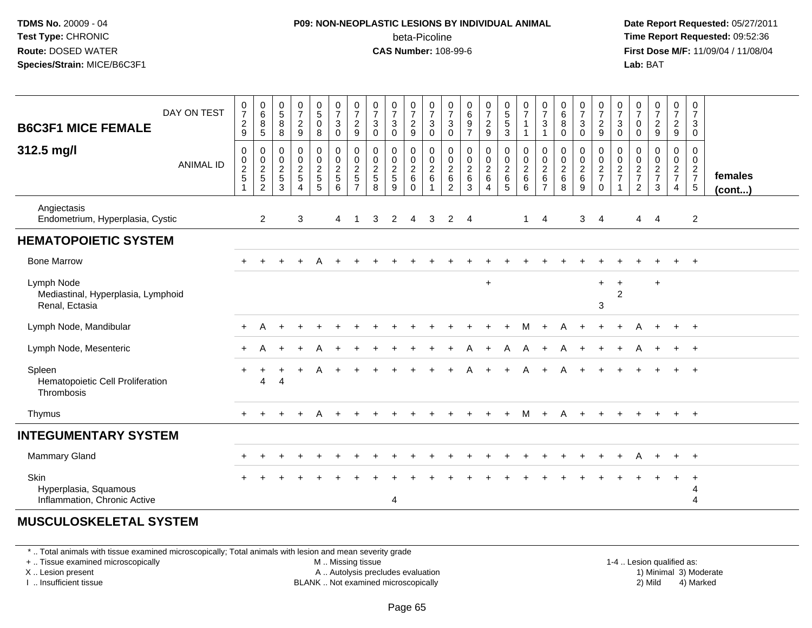#### **P09: NON-NEOPLASTIC LESIONS BY INDIVIDUAL ANIMAL** beta-Picoline**beta-Picoline**<br> **CAS Number:** 108-99-6<br> **CAS Number:** 108-99-6<br> **CAS Number:** 108-99-6

 **Date Report Requested:** 05/27/2011 **First Dose M/F:** 11/09/04 / 11/08/04<br>**Lab:** BAT **Lab:** BAT

| <b>B6C3F1 MICE FEMALE</b>                                            | DAY ON TEST      | $\frac{0}{7}$<br>$\frac{2}{9}$                                          | $_{\rm 6}^{\rm 0}$<br>$\,8\,$<br>$\overline{5}$ | $\begin{array}{c} 0 \\ 5 \\ 8 \end{array}$<br>$\bf8$ | $\frac{0}{7}$<br>$\overline{c}$<br>$\boldsymbol{9}$                                               | $\begin{array}{c} 0 \\ 5 \end{array}$<br>$\pmb{0}$<br>$\,8\,$  | $\frac{0}{7}$<br>$\mathbf{3}$<br>$\pmb{0}$ | $\frac{0}{7}$<br>$\frac{2}{9}$                                       | $\frac{0}{7}$<br>$\mathbf{3}$<br>$\mathbf 0$ | $\frac{0}{7}$<br>$\sqrt{3}$<br>$\mathbf 0$ | $\frac{0}{7}$<br>$\frac{2}{9}$               | $\begin{array}{c} 0 \\ 7 \\ 3 \end{array}$<br>$\mathbf 0$ | 0<br>$\overline{7}$<br>$\mathbf{3}$<br>$\boldsymbol{0}$         | $\begin{array}{c} 0 \\ 6 \end{array}$<br>$\boldsymbol{9}$<br>$\overline{7}$ | $\frac{0}{7}$<br>$\frac{2}{9}$     | $\begin{array}{c} 0 \\ 5 \\ 5 \end{array}$<br>$\overline{3}$ | $\frac{0}{7}$<br>$\mathbf{1}$                  | $\frac{0}{7}$<br>$\sqrt{3}$<br>$\overline{1}$               | $\begin{matrix}0\\6\\8\end{matrix}$<br>$\mathbf 0$ | 0<br>$\overline{7}$<br>$\sqrt{3}$<br>$\pmb{0}$     | $\frac{0}{7}$<br>9                                            | 0<br>$\overline{7}$<br>$\mathbf{3}$<br>$\pmb{0}$       | $\frac{0}{7}$<br>0<br>0                              | $\frac{0}{7}$<br>$\overline{c}$<br>9 | $\frac{0}{7}$<br>$\frac{2}{9}$                         | 0<br>$\overline{7}$<br>$\mathbf{3}$<br>$\mathbf 0$                 |                         |
|----------------------------------------------------------------------|------------------|-------------------------------------------------------------------------|-------------------------------------------------|------------------------------------------------------|---------------------------------------------------------------------------------------------------|----------------------------------------------------------------|--------------------------------------------|----------------------------------------------------------------------|----------------------------------------------|--------------------------------------------|----------------------------------------------|-----------------------------------------------------------|-----------------------------------------------------------------|-----------------------------------------------------------------------------|------------------------------------|--------------------------------------------------------------|------------------------------------------------|-------------------------------------------------------------|----------------------------------------------------|----------------------------------------------------|---------------------------------------------------------------|--------------------------------------------------------|------------------------------------------------------|--------------------------------------|--------------------------------------------------------|--------------------------------------------------------------------|-------------------------|
| 312.5 mg/l                                                           | <b>ANIMAL ID</b> | $\,0\,$<br>$\begin{array}{c} 0 \\ 2 \\ 5 \end{array}$<br>$\overline{1}$ | $\boldsymbol{0}$<br>$\frac{0}{2}$<br>5<br>2     | 0<br>$\frac{0}{2}$<br>3                              | $\pmb{0}$<br>$\begin{smallmatrix} 0\\2 \end{smallmatrix}$<br>$\sqrt{5}$<br>$\boldsymbol{\Lambda}$ | $\pmb{0}$<br>$\begin{array}{c}\n0 \\ 2 \\ 5 \\ 5\n\end{array}$ | $\mathbf 0$<br>$\frac{0}{2}$<br>5<br>6     | 0<br>$\pmb{0}$<br>$\overline{c}$<br>$\overline{5}$<br>$\overline{7}$ | 0<br>$\frac{0}{2}$<br>$\sqrt{5}$<br>8        | 0<br>$_{2}^{\rm 0}$<br>$\sqrt{5}$<br>9     | 0<br>$\frac{0}{2}$<br>$\,6\,$<br>$\mathbf 0$ | $\pmb{0}$<br>$\frac{0}{2}$<br>$\,6\,$<br>$\overline{1}$   | 0<br>$\mathbf 0$<br>$\overline{c}$<br>$\,6\,$<br>$\overline{c}$ | 0<br>$\pmb{0}$<br>$\overline{2}$<br>$\,6\,$<br>3                            | 0<br>$_2^0$<br>6<br>$\overline{4}$ | $\pmb{0}$<br>$\frac{0}{2}$<br>$\,6\,$<br>5                   | $\pmb{0}$<br>$\frac{0}{2}$<br>$\,6$<br>$\,6\,$ | 0<br>$\mathbf 0$<br>$\sqrt{2}$<br>$\,6\,$<br>$\overline{7}$ | $\boldsymbol{0}$<br>$\frac{0}{2}$<br>$\,6\,$<br>8  | 0<br>$\mathbf 0$<br>$\overline{2}$<br>$\,6\,$<br>9 | $\pmb{0}$<br>$\frac{0}{2}$<br>$\boldsymbol{7}$<br>$\mathbf 0$ | 0<br>$\mathbf 0$<br>$\boldsymbol{2}$<br>$\overline{7}$ | 0<br>$\begin{array}{c} 0 \\ 2 \\ 7 \\ 2 \end{array}$ | 0<br>$\frac{0}{2}$<br>$\mathbf{3}$   | 0<br>$\overline{0}$<br>$\frac{2}{7}$<br>$\overline{4}$ | 0<br>$\begin{array}{c} 0 \\ 2 \\ 7 \end{array}$<br>$5\phantom{.0}$ | females<br>$($ cont $)$ |
| Angiectasis<br>Endometrium, Hyperplasia, Cystic                      |                  |                                                                         | $\overline{2}$                                  |                                                      | 3                                                                                                 |                                                                | 4                                          | -1                                                                   | 3                                            | $\overline{2}$                             | 4                                            | 3                                                         | $\overline{2}$                                                  | 4                                                                           |                                    |                                                              | $\mathbf{1}$                                   | $\overline{4}$                                              |                                                    | 3                                                  | -4                                                            |                                                        | 4                                                    | $\overline{4}$                       |                                                        | $\overline{2}$                                                     |                         |
| <b>HEMATOPOIETIC SYSTEM</b>                                          |                  |                                                                         |                                                 |                                                      |                                                                                                   |                                                                |                                            |                                                                      |                                              |                                            |                                              |                                                           |                                                                 |                                                                             |                                    |                                                              |                                                |                                                             |                                                    |                                                    |                                                               |                                                        |                                                      |                                      |                                                        |                                                                    |                         |
| <b>Bone Marrow</b>                                                   |                  |                                                                         |                                                 |                                                      |                                                                                                   |                                                                |                                            |                                                                      |                                              |                                            |                                              |                                                           |                                                                 |                                                                             |                                    |                                                              |                                                |                                                             |                                                    |                                                    |                                                               |                                                        |                                                      |                                      | $\ddot{}$                                              | $+$                                                                |                         |
| Lymph Node<br>Mediastinal, Hyperplasia, Lymphoid<br>Renal, Ectasia   |                  |                                                                         |                                                 |                                                      |                                                                                                   |                                                                |                                            |                                                                      |                                              |                                            |                                              |                                                           |                                                                 |                                                                             | $\ddot{}$                          |                                                              |                                                |                                                             |                                                    |                                                    | $+$<br>3                                                      | $\ddot{}$<br>2                                         |                                                      | $\ddot{}$                            |                                                        |                                                                    |                         |
| Lymph Node, Mandibular                                               |                  |                                                                         |                                                 |                                                      |                                                                                                   |                                                                |                                            |                                                                      |                                              |                                            |                                              |                                                           |                                                                 |                                                                             |                                    |                                                              | м                                              |                                                             |                                                    |                                                    |                                                               |                                                        |                                                      |                                      |                                                        | $+$                                                                |                         |
| Lymph Node, Mesenteric                                               |                  | $+$                                                                     | A                                               |                                                      |                                                                                                   |                                                                |                                            |                                                                      |                                              |                                            |                                              |                                                           |                                                                 |                                                                             |                                    |                                                              |                                                | $\ddot{}$                                                   |                                                    | $\ddot{}$                                          |                                                               |                                                        |                                                      |                                      |                                                        | $^{+}$                                                             |                         |
| Spleen<br>Hematopoietic Cell Proliferation<br>Thrombosis             |                  | $+$                                                                     | $\overline{4}$                                  | 4                                                    | ÷                                                                                                 | A                                                              |                                            |                                                                      |                                              |                                            |                                              |                                                           |                                                                 |                                                                             |                                    |                                                              | А                                              |                                                             | A                                                  |                                                    |                                                               |                                                        |                                                      |                                      |                                                        | $+$                                                                |                         |
| Thymus                                                               |                  |                                                                         |                                                 |                                                      |                                                                                                   | A                                                              |                                            |                                                                      |                                              |                                            |                                              |                                                           |                                                                 |                                                                             |                                    |                                                              | м                                              | $\ddot{}$                                                   | A                                                  |                                                    |                                                               |                                                        |                                                      |                                      | $+$                                                    | $+$                                                                |                         |
| <b>INTEGUMENTARY SYSTEM</b>                                          |                  |                                                                         |                                                 |                                                      |                                                                                                   |                                                                |                                            |                                                                      |                                              |                                            |                                              |                                                           |                                                                 |                                                                             |                                    |                                                              |                                                |                                                             |                                                    |                                                    |                                                               |                                                        |                                                      |                                      |                                                        |                                                                    |                         |
| <b>Mammary Gland</b>                                                 |                  |                                                                         |                                                 |                                                      |                                                                                                   |                                                                |                                            |                                                                      |                                              |                                            |                                              |                                                           |                                                                 |                                                                             |                                    |                                                              |                                                |                                                             |                                                    |                                                    |                                                               |                                                        |                                                      |                                      | $+$                                                    | $+$                                                                |                         |
| <b>Skin</b><br>Hyperplasia, Squamous<br>Inflammation, Chronic Active |                  |                                                                         |                                                 |                                                      |                                                                                                   |                                                                |                                            |                                                                      |                                              | $\overline{4}$                             |                                              |                                                           |                                                                 |                                                                             |                                    |                                                              |                                                |                                                             |                                                    |                                                    |                                                               |                                                        |                                                      |                                      |                                                        | $\ddot{}$<br>4<br>4                                                |                         |

#### **MUSCULOSKELETAL SYSTEM**

\* .. Total animals with tissue examined microscopically; Total animals with lesion and mean severity grade

+ .. Tissue examined microscopically

X .. Lesion present

I .. Insufficient tissue

M .. Missing tissue

A .. Autolysis precludes evaluation

BLANK .. Not examined microscopically 2) Mild 4) Marked

1-4 .. Lesion qualified as: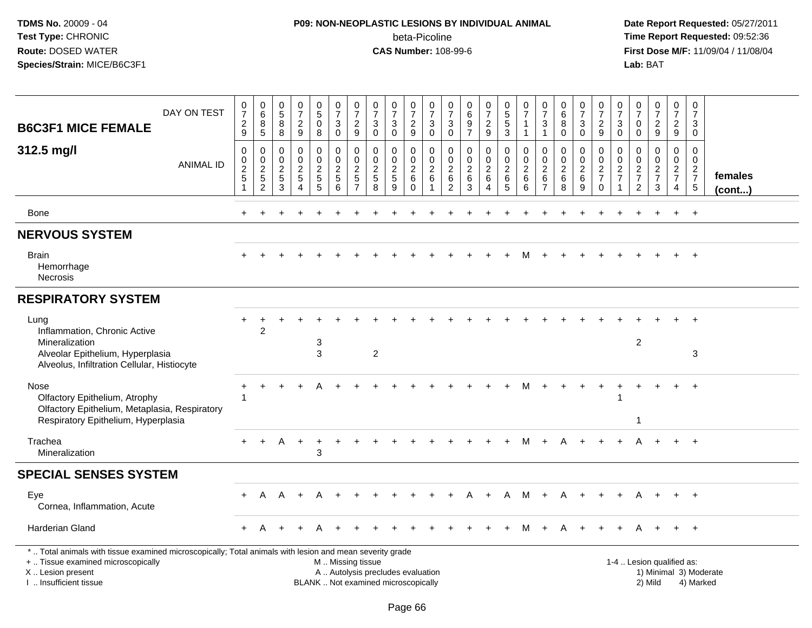## **P09: NON-NEOPLASTIC LESIONS BY INDIVIDUAL ANIMAL**beta-Picoline<br>CAS Number: 108-99-6

| DAY ON TEST<br><b>B6C3F1 MICE FEMALE</b>                                                                                                                                                      | 0<br>$\overline{7}$<br>$\frac{2}{9}$                                       | $\begin{array}{c} 0 \\ 6 \end{array}$<br>8<br>$\overline{5}$                     | $\frac{0}{5}$<br>8<br>$\overline{8}$                                              | $\frac{0}{7}$<br>$\frac{2}{9}$                             | $\begin{array}{c} 0 \\ 5 \end{array}$<br>0<br>8                    | $\frac{0}{7}$<br>$\sqrt{3}$<br>$\mathsf{O}\xspace$                                | $\frac{0}{7}$<br>$\frac{2}{9}$                                    | 0<br>$\overline{7}$<br>$\sqrt{3}$<br>$\mathbf 0$                         | $\frac{0}{7}$<br>3<br>$\mathbf 0$                  | 0<br>$\overline{7}$<br>$\frac{2}{9}$                        | $\frac{0}{7}$<br>3<br>$\mathbf 0$          | $\frac{0}{7}$<br>$\ensuremath{\mathsf{3}}$<br>$\mathsf 0$                 | $\begin{array}{c} 0 \\ 6 \end{array}$<br>$\frac{9}{7}$                 | $\frac{0}{7}$<br>$\frac{2}{9}$                       | $\begin{array}{c} 0 \\ 5 \end{array}$<br>$\frac{5}{3}$         | 0<br>$\overline{7}$<br>1<br>$\mathbf{1}$            | $\frac{0}{7}$<br>$\sqrt{3}$<br>$\overline{1}$                         | $_{6}^{\rm 0}$<br>8<br>$\mathbf 0$           | $\frac{0}{7}$<br>3<br>$\mathbf 0$                            | $\frac{0}{7}$<br>$\frac{2}{9}$                             | 0<br>$\overline{7}$<br>$\mathbf{3}$<br>0      | 0<br>$\overline{7}$<br>$\mathbf 0$<br>$\mathsf{O}\xspace$  | $\frac{0}{7}$<br>$\frac{2}{9}$          | 0<br>$\overline{7}$<br>$\overline{2}$<br>$\overline{9}$ | 0<br>$\overline{7}$<br>3<br>0                    |                         |
|-----------------------------------------------------------------------------------------------------------------------------------------------------------------------------------------------|----------------------------------------------------------------------------|----------------------------------------------------------------------------------|-----------------------------------------------------------------------------------|------------------------------------------------------------|--------------------------------------------------------------------|-----------------------------------------------------------------------------------|-------------------------------------------------------------------|--------------------------------------------------------------------------|----------------------------------------------------|-------------------------------------------------------------|--------------------------------------------|---------------------------------------------------------------------------|------------------------------------------------------------------------|------------------------------------------------------|----------------------------------------------------------------|-----------------------------------------------------|-----------------------------------------------------------------------|----------------------------------------------|--------------------------------------------------------------|------------------------------------------------------------|-----------------------------------------------|------------------------------------------------------------|-----------------------------------------|---------------------------------------------------------|--------------------------------------------------|-------------------------|
| 312.5 mg/l<br><b>ANIMAL ID</b>                                                                                                                                                                | $\mathsf 0$<br>$\mathbf 0$<br>$\overline{c}$<br>$\sqrt{5}$<br>$\mathbf{1}$ | $\mathbf 0$<br>$\mathbf 0$<br>$\boldsymbol{2}$<br>$\sqrt{5}$<br>$\boldsymbol{2}$ | $\mathsf{O}\xspace$<br>$\mathbf 0$<br>$\sqrt{2}$<br>$\,$ 5 $\,$<br>$\overline{3}$ | 0<br>$\mathbf 0$<br>$\overline{a}$<br>$5\phantom{.0}$<br>4 | $\mathbf 0$<br>0<br>$\overline{c}$<br>$\sqrt{5}$<br>$\overline{5}$ | $\mathbf 0$<br>$\mathsf{O}\xspace$<br>$\sqrt{2}$<br>$\sqrt{5}$<br>$6\phantom{1}6$ | 0<br>$\Omega$<br>$\boldsymbol{2}$<br>$\sqrt{5}$<br>$\overline{7}$ | $\mathbf 0$<br>$\mathbf 0$<br>$\boldsymbol{2}$<br>$\sqrt{5}$<br>8        | 0<br>$\Omega$<br>$\overline{c}$<br>$\sqrt{5}$<br>9 | $\pmb{0}$<br>$\mathbf 0$<br>$\overline{c}$<br>6<br>$\Omega$ | 0<br>$\Omega$<br>$\overline{c}$<br>6<br>1. | $\mathbf 0$<br>$\mathbf 0$<br>$\boldsymbol{2}$<br>$\,6$<br>$\overline{2}$ | $\mathbf 0$<br>$\mathsf{O}\xspace$<br>$\boldsymbol{2}$<br>$\,6\,$<br>3 | 0<br>$\mathbf 0$<br>$\boldsymbol{2}$<br>$\,6\,$<br>4 | $\pmb{0}$<br>$\mathbf 0$<br>$\sqrt{2}$<br>$6\phantom{1}6$<br>5 | $\mathbf 0$<br>$\Omega$<br>$\overline{c}$<br>6<br>6 | $\mathbf 0$<br>$\mathbf 0$<br>$\sqrt{2}$<br>$\,6\,$<br>$\overline{7}$ | $\mathbf 0$<br>0<br>$\overline{c}$<br>6<br>8 | 0<br>$\mathbf{0}$<br>$\boldsymbol{2}$<br>$6\phantom{1}$<br>9 | $\mathbf 0$<br>$\mathbf 0$<br>$\frac{2}{7}$<br>$\mathbf 0$ | 0<br>$\Omega$<br>$\sqrt{2}$<br>$\overline{7}$ | $\mathbf 0$<br>$\Omega$<br>$\frac{2}{7}$<br>$\overline{2}$ | 0<br>$\mathbf{0}$<br>$\frac{2}{7}$<br>3 | 0<br>0<br>$\frac{2}{7}$<br>$\overline{4}$               | $\mathbf 0$<br>$\mathbf 0$<br>$\frac{2}{7}$<br>5 | females<br>$($ cont $)$ |
| Bone                                                                                                                                                                                          |                                                                            |                                                                                  |                                                                                   |                                                            |                                                                    |                                                                                   |                                                                   |                                                                          |                                                    |                                                             |                                            |                                                                           |                                                                        |                                                      |                                                                |                                                     |                                                                       |                                              |                                                              |                                                            |                                               |                                                            |                                         |                                                         | $\ddot{}$                                        |                         |
| <b>NERVOUS SYSTEM</b>                                                                                                                                                                         |                                                                            |                                                                                  |                                                                                   |                                                            |                                                                    |                                                                                   |                                                                   |                                                                          |                                                    |                                                             |                                            |                                                                           |                                                                        |                                                      |                                                                |                                                     |                                                                       |                                              |                                                              |                                                            |                                               |                                                            |                                         |                                                         |                                                  |                         |
| <b>Brain</b><br>Hemorrhage<br><b>Necrosis</b>                                                                                                                                                 |                                                                            |                                                                                  |                                                                                   |                                                            |                                                                    |                                                                                   |                                                                   |                                                                          |                                                    |                                                             |                                            |                                                                           |                                                                        |                                                      |                                                                | м                                                   |                                                                       |                                              |                                                              |                                                            |                                               |                                                            |                                         |                                                         | $+$                                              |                         |
| <b>RESPIRATORY SYSTEM</b>                                                                                                                                                                     |                                                                            |                                                                                  |                                                                                   |                                                            |                                                                    |                                                                                   |                                                                   |                                                                          |                                                    |                                                             |                                            |                                                                           |                                                                        |                                                      |                                                                |                                                     |                                                                       |                                              |                                                              |                                                            |                                               |                                                            |                                         |                                                         |                                                  |                         |
| Lung<br>Inflammation, Chronic Active<br>Mineralization<br>Alveolar Epithelium, Hyperplasia<br>Alveolus, Infiltration Cellular, Histiocyte                                                     |                                                                            | $\overline{2}$                                                                   |                                                                                   |                                                            | 3<br>3                                                             |                                                                                   |                                                                   | $\overline{c}$                                                           |                                                    |                                                             |                                            |                                                                           |                                                                        |                                                      |                                                                |                                                     |                                                                       |                                              |                                                              |                                                            |                                               | $\overline{c}$                                             |                                         |                                                         | 3                                                |                         |
| Nose<br>Olfactory Epithelium, Atrophy<br>Olfactory Epithelium, Metaplasia, Respiratory<br>Respiratory Epithelium, Hyperplasia                                                                 | $\overline{1}$                                                             |                                                                                  |                                                                                   |                                                            |                                                                    |                                                                                   |                                                                   |                                                                          |                                                    |                                                             |                                            |                                                                           |                                                                        |                                                      |                                                                |                                                     |                                                                       |                                              |                                                              |                                                            | 1                                             | 1                                                          |                                         |                                                         | $\overline{+}$                                   |                         |
| Trachea<br>Mineralization                                                                                                                                                                     | $+$                                                                        | $+$                                                                              | A                                                                                 | $+$                                                        | $\pm$<br>3                                                         |                                                                                   |                                                                   |                                                                          |                                                    |                                                             |                                            |                                                                           |                                                                        |                                                      |                                                                | м                                                   |                                                                       | A                                            |                                                              |                                                            |                                               |                                                            |                                         |                                                         | $\overline{+}$                                   |                         |
| <b>SPECIAL SENSES SYSTEM</b>                                                                                                                                                                  |                                                                            |                                                                                  |                                                                                   |                                                            |                                                                    |                                                                                   |                                                                   |                                                                          |                                                    |                                                             |                                            |                                                                           |                                                                        |                                                      |                                                                |                                                     |                                                                       |                                              |                                                              |                                                            |                                               |                                                            |                                         |                                                         |                                                  |                         |
| Eye<br>Cornea, Inflammation, Acute                                                                                                                                                            | $+$                                                                        | A                                                                                | A                                                                                 |                                                            |                                                                    |                                                                                   |                                                                   |                                                                          |                                                    |                                                             |                                            |                                                                           |                                                                        | $+$                                                  | A                                                              | M                                                   |                                                                       | A                                            |                                                              |                                                            |                                               |                                                            |                                         |                                                         | $+$                                              |                         |
| <b>Harderian Gland</b>                                                                                                                                                                        |                                                                            |                                                                                  |                                                                                   |                                                            |                                                                    |                                                                                   |                                                                   |                                                                          |                                                    |                                                             |                                            |                                                                           |                                                                        |                                                      |                                                                |                                                     |                                                                       | A                                            |                                                              |                                                            |                                               |                                                            |                                         |                                                         | $+$                                              |                         |
| *  Total animals with tissue examined microscopically; Total animals with lesion and mean severity grade<br>+  Tissue examined microscopically<br>X  Lesion present<br>I. Insufficient tissue |                                                                            |                                                                                  |                                                                                   |                                                            |                                                                    | M  Missing tissue                                                                 |                                                                   | A  Autolysis precludes evaluation<br>BLANK  Not examined microscopically |                                                    |                                                             |                                            |                                                                           |                                                                        |                                                      |                                                                |                                                     |                                                                       |                                              |                                                              |                                                            |                                               |                                                            | 1-4  Lesion qualified as:<br>2) Mild    |                                                         | 4) Marked                                        | 1) Minimal 3) Moderate  |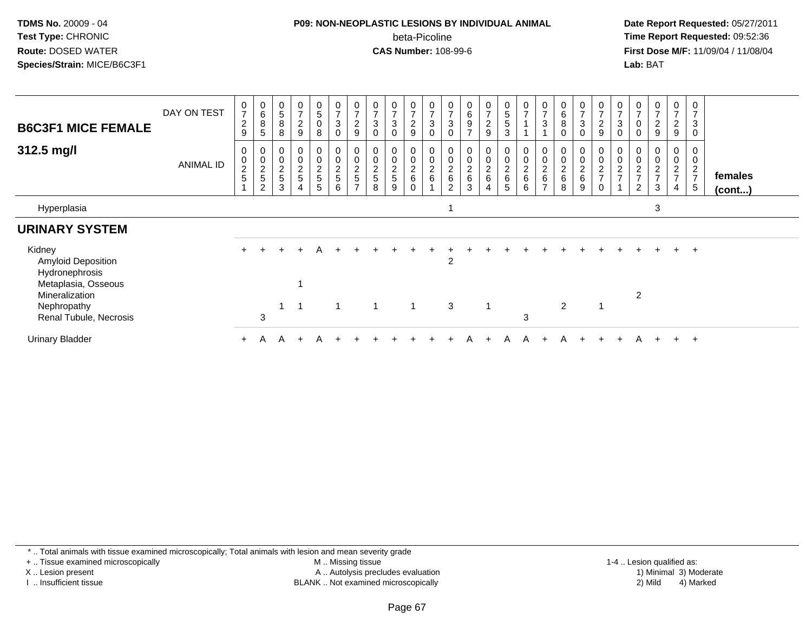#### **P09: NON-NEOPLASTIC LESIONS BY INDIVIDUAL ANIMAL** beta-Picoline**beta-Picoline**<br> **CAS Number:** 108-99-6<br> **CAS Number:** 108-99-6<br> **CAS Number:** 108-99-6

 **Date Report Requested:** 05/27/2011 **First Dose M/F:** 11/09/04 / 11/08/04<br>**Lab:** BAT **Lab:** BAT

| <b>B6C3F1 MICE FEMALE</b>                                             | DAY ON TEST      | $\frac{0}{7}$<br>$\boldsymbol{2}$<br>$\boldsymbol{9}$ | $\begin{array}{c} 0 \\ 6 \end{array}$<br>$\, 8$<br>5                             | 0<br>$\sqrt{5}$<br>8<br>8            | $\frac{0}{7}$<br>$\overline{c}$<br>$\boldsymbol{9}$ | 0<br>$\mathbf 5$<br>$\pmb{0}$<br>8 | $\pmb{0}$<br>$\overline{7}$<br>$\ensuremath{\mathsf{3}}$<br>$\mathbf 0$ | $\frac{0}{7}$<br>$\frac{2}{9}$                      | $\frac{0}{7}$<br>3<br>$\mathbf 0$               | $\frac{0}{7}$<br>$\sqrt{3}$<br>$\mathbf 0$ | $\begin{smallmatrix}0\\7\end{smallmatrix}$<br>$\frac{2}{9}$ | $\begin{array}{c} 0 \\ 7 \end{array}$<br>$\sqrt{3}$<br>0 | 0<br>$\overline{7}$<br>3<br>$\mathbf 0$ | $\begin{matrix} 0 \\ 6 \\ 9 \end{matrix}$<br>$\overline{7}$ | 0729                                                              | 0<br>5<br>5<br>3          | $\frac{0}{7}$            | $\frac{0}{7}$<br>$\mathbf{3}$                     | 0<br>$\,6$<br>$\bf8$<br>$\mathbf 0$                     | 0<br>$\overline{ }$<br>3<br>$\Omega$ | $\frac{0}{7}$<br>$\boldsymbol{2}$<br>$9\,$ | 0<br>$\overline{ }$<br>$\ensuremath{\mathsf{3}}$<br>$\mathbf 0$ | 0<br>$\overline{ }$<br>0<br>$\pmb{0}$           | 0<br>$\boldsymbol{7}$<br>$\frac{2}{9}$ | 0<br>$\overline{7}$<br>$\overline{c}$<br>9 | 0<br>$\overline{7}$<br>3<br>$\mathbf 0$                            |                         |
|-----------------------------------------------------------------------|------------------|-------------------------------------------------------|----------------------------------------------------------------------------------|--------------------------------------|-----------------------------------------------------|------------------------------------|-------------------------------------------------------------------------|-----------------------------------------------------|-------------------------------------------------|--------------------------------------------|-------------------------------------------------------------|----------------------------------------------------------|-----------------------------------------|-------------------------------------------------------------|-------------------------------------------------------------------|---------------------------|--------------------------|---------------------------------------------------|---------------------------------------------------------|--------------------------------------|--------------------------------------------|-----------------------------------------------------------------|-------------------------------------------------|----------------------------------------|--------------------------------------------|--------------------------------------------------------------------|-------------------------|
| 312.5 mg/l                                                            | <b>ANIMAL ID</b> | 0<br>$\,0\,$<br>$\frac{2}{5}$                         | $\boldsymbol{0}$<br>$\begin{array}{c} 0 \\ 2 \\ 5 \end{array}$<br>$\overline{c}$ | 0<br>$\pmb{0}$<br>$\frac{2}{5}$<br>3 | 00025<br>4                                          | 0<br>$\frac{0}{2}$<br>5            | 0<br>$\mathbf 0$<br>$rac{2}{5}$<br>6                                    | 0<br>0<br>$\frac{2}{5}$<br>$\overline{\phantom{0}}$ | $\begin{array}{c} 0 \\ 2 \\ 5 \end{array}$<br>8 | 00025<br>$9\,$                             | 00026<br>$\mathbf 0$                                        | 00026                                                    | 0<br>$\pmb{0}$<br>$\frac{2}{6}$<br>C    | 00026<br>3                                                  | $\begin{array}{c} 0 \\ 0 \\ 2 \\ 6 \end{array}$<br>$\overline{4}$ | 0<br>$\frac{0}{2}$ 6<br>5 | 00026<br>$6\phantom{1}6$ | 0<br>$\pmb{0}$<br>$\frac{2}{6}$<br>$\overline{ }$ | 0<br>$\pmb{0}$<br>$\overline{\mathbf{c}}$<br>$\,6$<br>8 | 0<br>$\frac{2}{6}$<br>9              | $\mathbf 0$<br>$\frac{2}{7}$<br>$\Omega$   | $\pmb{0}$<br>$\frac{2}{7}$                                      | 0<br>$\,0\,$<br>$\frac{2}{7}$<br>$\overline{2}$ | 0<br>$\pmb{0}$<br>$\frac{2}{7}$<br>3   | 0<br>0<br>$\frac{2}{7}$<br>4               | $\mathbf 0$<br>$\overline{c}$<br>$\overline{7}$<br>$5\phantom{.0}$ | females<br>$($ cont $)$ |
| Hyperplasia                                                           |                  |                                                       |                                                                                  |                                      |                                                     |                                    |                                                                         |                                                     |                                                 |                                            |                                                             |                                                          |                                         |                                                             |                                                                   |                           |                          |                                                   |                                                         |                                      |                                            |                                                                 |                                                 | 3                                      |                                            |                                                                    |                         |
| <b>URINARY SYSTEM</b>                                                 |                  |                                                       |                                                                                  |                                      |                                                     |                                    |                                                                         |                                                     |                                                 |                                            |                                                             |                                                          |                                         |                                                             |                                                                   |                           |                          |                                                   |                                                         |                                      |                                            |                                                                 |                                                 |                                        |                                            |                                                                    |                         |
| Kidney<br>Amyloid Deposition<br>Hydronephrosis<br>Metaplasia, Osseous |                  | $+$                                                   |                                                                                  |                                      |                                                     | A                                  |                                                                         |                                                     |                                                 |                                            |                                                             |                                                          | 2                                       |                                                             |                                                                   |                           |                          |                                                   |                                                         |                                      |                                            |                                                                 |                                                 |                                        |                                            | $\overline{ }$                                                     |                         |
| Mineralization<br>Nephropathy<br>Renal Tubule, Necrosis               |                  |                                                       | 3                                                                                |                                      | - 1                                                 |                                    |                                                                         |                                                     | $\mathbf 1$                                     |                                            | $\overline{1}$                                              |                                                          | 3                                       |                                                             | 1                                                                 |                           | 3                        |                                                   | $\overline{2}$                                          |                                      |                                            |                                                                 | 2                                               |                                        |                                            |                                                                    |                         |
| <b>Urinary Bladder</b>                                                |                  |                                                       | A                                                                                | A                                    | $\ddot{}$                                           | A                                  |                                                                         |                                                     |                                                 |                                            |                                                             |                                                          |                                         |                                                             |                                                                   | A                         | A                        | $+$                                               | A                                                       |                                      |                                            |                                                                 | A                                               |                                        | $\ddot{}$                                  | $\overline{ }$                                                     |                         |

\* .. Total animals with tissue examined microscopically; Total animals with lesion and mean severity grade

+ .. Tissue examined microscopically

X .. Lesion present

I .. Insufficient tissue

 M .. Missing tissueA .. Autolysis precludes evaluation

 1-4 .. Lesion qualified as: BLANK .. Not examined microscopically 2) Mild 4) Marked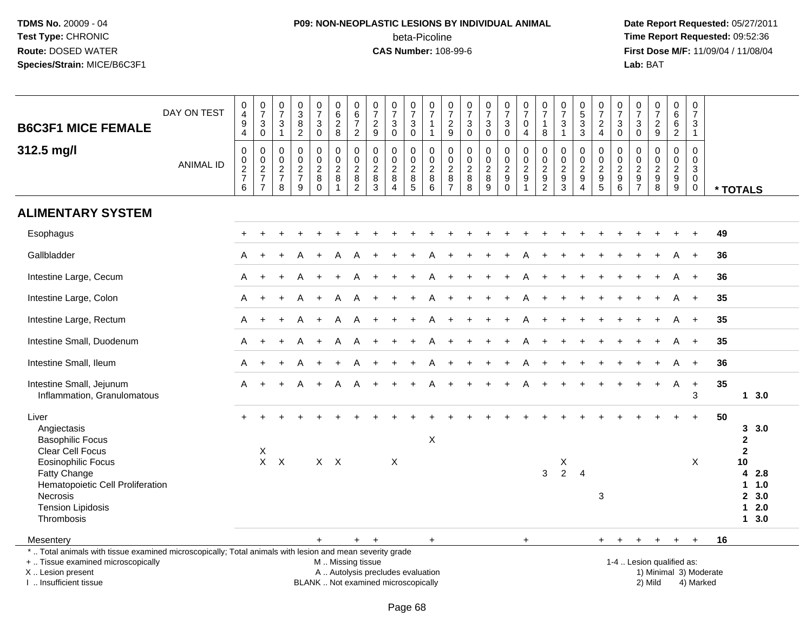# **P09: NON-NEOPLASTIC LESIONS BY INDIVIDUAL ANIMAL**beta-Picoline<br>CAS Number: 108-99-6

 **Date Report Requested:** 05/27/2011 **Time Report Requested:** 09:52:36 **First Dose M/F:** 11/09/04 / 11/08/04<br>Lab: BAT **Lab:** BAT

| <b>B6C3F1 MICE FEMALE</b><br>312.5 mg/l                                                                                                                                                                           | DAY ON TEST      | 0<br>$\overline{4}$<br>$\boldsymbol{9}$<br>$\overline{4}$<br>$\pmb{0}$ | $\frac{0}{7}$<br>$\sqrt{3}$<br>$\mathbf 0$<br>$\pmb{0}$      | 0<br>$\overline{7}$<br>3<br>$\overline{1}$<br>0 | 0<br>$\overline{3}$<br>$\,8\,$<br>$\overline{2}$<br>$\pmb{0}$ | $\frac{0}{7}$<br>$\mathbf{3}$<br>$\mathbf 0$<br>$\pmb{0}$ | $\begin{array}{c} 0 \\ 6 \end{array}$<br>$\overline{c}$<br>8<br>0 | $\mathbf 0$<br>$\overline{6}$<br>$\overline{7}$<br>$\overline{2}$<br>$\mathbf 0$ | 0<br>$\boldsymbol{7}$<br>$\overline{c}$<br>$9\,$<br>0 | $\frac{0}{7}$<br>$\ensuremath{\mathsf{3}}$<br>$\mathbf 0$<br>$\mathbf 0$ | 0<br>$\overline{7}$<br>$\ensuremath{\mathsf{3}}$<br>$\mathsf 0$<br>0 | $\frac{0}{7}$<br>$\overline{1}$<br>$\mathbf{1}$<br>$\mathbf 0$ | $\frac{0}{7}$<br>$\boldsymbol{2}$<br>9<br>0 | $\frac{0}{7}$<br>$\ensuremath{\mathsf{3}}$<br>$\mathbf 0$<br>0 | $\frac{0}{7}$<br>$\mathbf{3}$<br>$\mathsf 0$<br>$\pmb{0}$ | $\frac{0}{7}$<br>$\ensuremath{\mathsf{3}}$<br>$\mathbf 0$<br>0 | $\frac{0}{7}$<br>$\mathbf 0$<br>$\overline{4}$<br>$\mathbf 0$ | 0<br>$\overline{7}$<br>$\mathbf{1}$<br>8<br>0             | $\frac{0}{7}$<br>$\sqrt{3}$<br>$\mathbf{1}$<br>$\Omega$ | $\begin{array}{c} 0 \\ 5 \end{array}$<br>$\ensuremath{\mathsf{3}}$<br>3<br>$\Omega$ | $\frac{0}{7}$<br>$\sqrt{2}$<br>$\overline{4}$<br>$\pmb{0}$ | $\frac{0}{7}$<br>3<br>$\mathbf 0$<br>$\Omega$ | 0<br>$\boldsymbol{7}$<br>$\sqrt{3}$<br>$\mathsf 0$<br>$\mathbf{0}$ | $\begin{smallmatrix}0\\7\end{smallmatrix}$<br>$\frac{2}{9}$<br>$\mathbf 0$ | $\mathbf 0$<br>6<br>$\,6$<br>$\overline{2}$<br>0           | 0<br>$\overline{7}$<br>$\sqrt{3}$<br>$\mathbf{1}$<br>$\Omega$ |                        |                                                                        |                                        |  |
|-------------------------------------------------------------------------------------------------------------------------------------------------------------------------------------------------------------------|------------------|------------------------------------------------------------------------|--------------------------------------------------------------|-------------------------------------------------|---------------------------------------------------------------|-----------------------------------------------------------|-------------------------------------------------------------------|----------------------------------------------------------------------------------|-------------------------------------------------------|--------------------------------------------------------------------------|----------------------------------------------------------------------|----------------------------------------------------------------|---------------------------------------------|----------------------------------------------------------------|-----------------------------------------------------------|----------------------------------------------------------------|---------------------------------------------------------------|-----------------------------------------------------------|---------------------------------------------------------|-------------------------------------------------------------------------------------|------------------------------------------------------------|-----------------------------------------------|--------------------------------------------------------------------|----------------------------------------------------------------------------|------------------------------------------------------------|---------------------------------------------------------------|------------------------|------------------------------------------------------------------------|----------------------------------------|--|
|                                                                                                                                                                                                                   | <b>ANIMAL ID</b> | $\begin{array}{c} 0 \\ 2 \\ 7 \end{array}$<br>$\,6\,$                  | $\begin{array}{c} 0 \\ 2 \\ 7 \end{array}$<br>$\overline{7}$ | 0<br>$\boldsymbol{2}$<br>$\overline{7}$<br>8    | $\boldsymbol{0}$<br>$\frac{2}{7}$<br>9                        | $\mathbf 0$<br>$\overline{c}$<br>8<br>$\Omega$            | $\mathbf 0$<br>$\overline{2}$<br>8<br>$\mathbf{1}$                | $\begin{smallmatrix} 0\\2 \end{smallmatrix}$<br>$\frac{8}{2}$                    | 0<br>$\overline{c}$<br>$\bf 8$<br>$\mathbf{3}$        | $\mathbf 0$<br>$\overline{2}$<br>$\bf 8$<br>$\overline{4}$               | $\mathbf 0$<br>$\boldsymbol{2}$<br>$\,8\,$<br>$\sqrt{5}$             | $\mathsf 0$<br>$\overline{2}$<br>$\, 8$<br>$\,6\,$             | 0<br>$\overline{c}$<br>$\frac{8}{7}$        | $^{\rm 0}_{\rm 2}$<br>$_{8}^8$                                 | $\mathbf 0$<br>$\overline{2}$<br>$^8_9$                   | $\frac{0}{2}$<br>$\boldsymbol{9}$<br>$\mathbf 0$               | $\frac{0}{2}$<br>$\mathbf{1}$                                 | 0<br>$\overline{c}$<br>$\boldsymbol{9}$<br>$\overline{c}$ | $\mathbf 0$<br>$\overline{2}$<br>$\frac{9}{3}$          | $\mathbf 0$<br>$\boldsymbol{2}$<br>$\boldsymbol{9}$<br>$\overline{4}$               | $_{2}^{\rm 0}$<br>$\begin{array}{c} 9 \\ 5 \end{array}$    | $\mathbf 0$<br>$\overline{2}$<br>9<br>6       | 0<br>$\overline{2}$<br>$\frac{9}{7}$                               | $\mathbf 0$<br>$\begin{array}{c}\n 2 \\  9 \\  8\n \end{array}$            | $\mathbf 0$<br>$\overline{2}$<br>$\boldsymbol{9}$<br>$9\,$ | $\mathbf 0$<br>$\mathsf 3$<br>$\mathbf 0$<br>$\mathbf 0$      |                        | * TOTALS                                                               |                                        |  |
| <b>ALIMENTARY SYSTEM</b>                                                                                                                                                                                          |                  |                                                                        |                                                              |                                                 |                                                               |                                                           |                                                                   |                                                                                  |                                                       |                                                                          |                                                                      |                                                                |                                             |                                                                |                                                           |                                                                |                                                               |                                                           |                                                         |                                                                                     |                                                            |                                               |                                                                    |                                                                            |                                                            |                                                               |                        |                                                                        |                                        |  |
| Esophagus                                                                                                                                                                                                         |                  |                                                                        |                                                              |                                                 |                                                               |                                                           |                                                                   |                                                                                  |                                                       |                                                                          |                                                                      |                                                                |                                             |                                                                |                                                           |                                                                |                                                               |                                                           |                                                         |                                                                                     |                                                            |                                               |                                                                    |                                                                            |                                                            |                                                               | 49                     |                                                                        |                                        |  |
| Gallbladder                                                                                                                                                                                                       |                  | A                                                                      |                                                              |                                                 |                                                               |                                                           | A                                                                 | A                                                                                |                                                       |                                                                          |                                                                      |                                                                |                                             |                                                                |                                                           |                                                                |                                                               |                                                           |                                                         |                                                                                     |                                                            |                                               |                                                                    |                                                                            | A                                                          | $+$                                                           | 36                     |                                                                        |                                        |  |
| Intestine Large, Cecum                                                                                                                                                                                            |                  | A                                                                      |                                                              |                                                 |                                                               |                                                           |                                                                   |                                                                                  |                                                       |                                                                          |                                                                      |                                                                |                                             |                                                                |                                                           |                                                                |                                                               |                                                           |                                                         |                                                                                     |                                                            |                                               |                                                                    |                                                                            | A                                                          | $+$                                                           | 36                     |                                                                        |                                        |  |
| Intestine Large, Colon                                                                                                                                                                                            |                  | A                                                                      |                                                              |                                                 |                                                               |                                                           |                                                                   |                                                                                  |                                                       |                                                                          |                                                                      |                                                                |                                             |                                                                |                                                           |                                                                |                                                               |                                                           |                                                         |                                                                                     |                                                            |                                               |                                                                    |                                                                            | A                                                          | $+$                                                           | 35                     |                                                                        |                                        |  |
| Intestine Large, Rectum                                                                                                                                                                                           |                  | A                                                                      |                                                              | $\ddot{}$                                       |                                                               | $\ddot{}$                                                 | A                                                                 | A                                                                                |                                                       |                                                                          | $\ddot{}$                                                            | A                                                              |                                             |                                                                |                                                           |                                                                | A                                                             |                                                           |                                                         |                                                                                     |                                                            |                                               |                                                                    |                                                                            | A                                                          | $+$                                                           | 35                     |                                                                        |                                        |  |
| Intestine Small, Duodenum                                                                                                                                                                                         |                  | A                                                                      |                                                              |                                                 |                                                               | $+$                                                       | A                                                                 | A                                                                                |                                                       |                                                                          |                                                                      | A                                                              |                                             |                                                                |                                                           |                                                                | A                                                             |                                                           |                                                         |                                                                                     |                                                            |                                               |                                                                    |                                                                            | A                                                          | $+$                                                           | 35                     |                                                                        |                                        |  |
| Intestine Small, Ileum                                                                                                                                                                                            |                  | A                                                                      |                                                              |                                                 |                                                               |                                                           |                                                                   | А                                                                                |                                                       |                                                                          |                                                                      | A                                                              |                                             |                                                                |                                                           |                                                                | A                                                             |                                                           |                                                         |                                                                                     |                                                            |                                               |                                                                    |                                                                            | A                                                          | $+$                                                           | 36                     |                                                                        |                                        |  |
| Intestine Small, Jejunum<br>Inflammation, Granulomatous                                                                                                                                                           |                  | A                                                                      |                                                              |                                                 |                                                               |                                                           | A                                                                 | A                                                                                |                                                       |                                                                          |                                                                      |                                                                |                                             |                                                                |                                                           |                                                                |                                                               |                                                           |                                                         |                                                                                     |                                                            |                                               |                                                                    | $\ddot{}$                                                                  | A                                                          | $+$<br>3                                                      | 35                     |                                                                        | 13.0                                   |  |
| Liver<br>Angiectasis<br><b>Basophilic Focus</b><br><b>Clear Cell Focus</b><br><b>Eosinophilic Focus</b><br>Fatty Change<br>Hematopoietic Cell Proliferation<br>Necrosis<br><b>Tension Lipidosis</b><br>Thrombosis |                  |                                                                        | X<br>$\mathsf{X}$                                            | $\times$                                        |                                                               |                                                           | $X$ $X$                                                           |                                                                                  |                                                       | X                                                                        |                                                                      | $\boldsymbol{\mathsf{X}}$                                      |                                             |                                                                |                                                           |                                                                |                                                               | 3                                                         | X<br>$\overline{2}$                                     | $\overline{4}$                                                                      | 3                                                          |                                               |                                                                    |                                                                            |                                                            | $\ddot{}$<br>$\times$                                         | 50                     | 3<br>$\bf{2}$<br>$\mathbf 2$<br>10<br>4<br>1<br>$\mathbf{2}$<br>1<br>1 | 3.0<br>2.8<br>1.0<br>3.0<br>2.0<br>3.0 |  |
| Mesentery                                                                                                                                                                                                         |                  |                                                                        |                                                              |                                                 |                                                               |                                                           |                                                                   | $+$                                                                              | $\ddot{}$                                             |                                                                          |                                                                      | $\ddot{}$                                                      |                                             |                                                                |                                                           |                                                                | $+$                                                           |                                                           |                                                         |                                                                                     | $+$                                                        | $\div$                                        | $\ddot{}$                                                          | $+$                                                                        | $+$                                                        | $+$                                                           | 16                     |                                                                        |                                        |  |
| *  Total animals with tissue examined microscopically; Total animals with lesion and mean severity grade<br>+  Tissue examined microscopically<br>X  Lesion present<br>I  Insufficient tissue                     |                  |                                                                        |                                                              |                                                 |                                                               |                                                           | M  Missing tissue                                                 |                                                                                  |                                                       | A  Autolysis precludes evaluation<br>BLANK  Not examined microscopically |                                                                      |                                                                |                                             |                                                                |                                                           |                                                                |                                                               |                                                           |                                                         |                                                                                     |                                                            | 1-4  Lesion qualified as:                     |                                                                    | 2) Mild                                                                    |                                                            | 4) Marked                                                     | 1) Minimal 3) Moderate |                                                                        |                                        |  |

I .. Insufficient tissue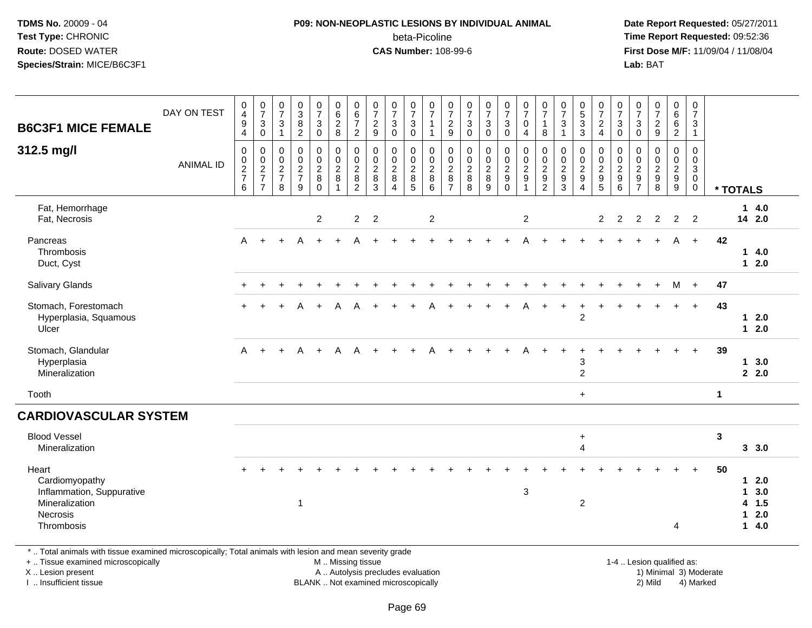### **P09: NON-NEOPLASTIC LESIONS BY INDIVIDUAL ANIMAL**beta-Picoline<br>CAS Number: 108-99-6

 **Date Report Requested:** 05/27/2011 **Time Report Requested:** 09:52:36 **First Dose M/F:** 11/09/04 / 11/08/04<br>Lab: BAT **Lab:** BAT

| <b>B6C3F1 MICE FEMALE</b>                                                                                                                                           | DAY ON TEST      | $\pmb{0}$<br>$\begin{array}{c} 4 \\ 9 \end{array}$<br>$\overline{4}$ | $\frac{0}{7}$<br>3<br>$\ddot{\mathbf{0}}$                              | $\frac{0}{7}$<br>3<br>$\mathbf{1}$                                  | 0<br>$\ensuremath{\mathsf{3}}$<br>$^8_2$                              | $\frac{0}{7}$<br>$\sqrt{3}$<br>$\mathbf 0$                            | $\begin{array}{c} 0 \\ 6 \end{array}$<br>$\frac{2}{8}$                    | $_{6}^{\rm 0}$<br>$\overline{7}$<br>$\overline{2}$                                | $\frac{0}{7}$<br>$\overline{c}$<br>$9\,$                    | $\frac{0}{7}$<br>3<br>$\overline{0}$                                      | $\frac{0}{7}$<br>3<br>$\mathbf 0$            | $\pmb{0}$<br>$\overline{7}$<br>$\mathbf{1}$<br>$\mathbf{1}$ | $\frac{0}{7}$<br>$\frac{2}{9}$                                        | $\frac{0}{7}$<br>$\sqrt{3}$<br>$\overline{0}$            | $\frac{0}{7}$<br>$\sqrt{3}$<br>$\mathbf 0$               | $\begin{smallmatrix}0\\7\end{smallmatrix}$<br>$\ensuremath{\mathsf{3}}$<br>$\ddot{\mathbf{0}}$ | $\frac{0}{7}$<br>$\pmb{0}$<br>$\overline{4}$                             | $\frac{0}{7}$<br>$\mathbf{1}$<br>8                                       | $\frac{0}{7}$<br>3<br>$\mathbf{1}$                                    | $\begin{array}{c} 0 \\ 5 \\ 3 \end{array}$<br>$\overline{3}$                               | $\begin{smallmatrix} 0\\7 \end{smallmatrix}$<br>$\frac{2}{4}$         | $\frac{0}{7}$<br>$\sqrt{3}$<br>$\mathbf 0$                                         | $\frac{0}{7}$<br>3<br>$\mathbf 0$                                                     | $\frac{0}{7}$<br>$\frac{2}{9}$                                        | $_{6}^{\rm 0}$<br>$^6_2$                                                             | $\pmb{0}$<br>$\boldsymbol{7}$<br>$\mathbf{3}$<br>$\mathbf{1}$            |                        |                                                                     |
|---------------------------------------------------------------------------------------------------------------------------------------------------------------------|------------------|----------------------------------------------------------------------|------------------------------------------------------------------------|---------------------------------------------------------------------|-----------------------------------------------------------------------|-----------------------------------------------------------------------|---------------------------------------------------------------------------|-----------------------------------------------------------------------------------|-------------------------------------------------------------|---------------------------------------------------------------------------|----------------------------------------------|-------------------------------------------------------------|-----------------------------------------------------------------------|----------------------------------------------------------|----------------------------------------------------------|------------------------------------------------------------------------------------------------|--------------------------------------------------------------------------|--------------------------------------------------------------------------|-----------------------------------------------------------------------|--------------------------------------------------------------------------------------------|-----------------------------------------------------------------------|------------------------------------------------------------------------------------|---------------------------------------------------------------------------------------|-----------------------------------------------------------------------|--------------------------------------------------------------------------------------|--------------------------------------------------------------------------|------------------------|---------------------------------------------------------------------|
| 312.5 mg/l                                                                                                                                                          | <b>ANIMAL ID</b> | $\mathbf 0$<br>$\mathbf 0$<br>$\frac{2}{7}$<br>6                     | 0<br>$\mathbf 0$<br>$\overline{c}$<br>$\overline{7}$<br>$\overline{7}$ | $\mathbf 0$<br>$\mathbf 0$<br>$\overline{c}$<br>$\overline{7}$<br>8 | $\mathbf 0$<br>$\mathbf 0$<br>$\boldsymbol{2}$<br>$\overline{7}$<br>9 | $\mathbf 0$<br>$\mathbf 0$<br>$\boldsymbol{2}$<br>$\bf 8$<br>$\Omega$ | $\mathbf 0$<br>$\mathbf 0$<br>$\overline{2}$<br>$\,8\,$<br>$\overline{1}$ | $\mathsf{O}\xspace$<br>$\mathbf 0$<br>$\overline{2}$<br>$\bf 8$<br>$\overline{2}$ | $\mathbf 0$<br>$\mathbf 0$<br>$\overline{2}$<br>$\, 8$<br>3 | $\mathbf 0$<br>$\mathbf 0$<br>$\overline{c}$<br>$\bf 8$<br>$\overline{A}$ | 0<br>$\mathbf 0$<br>$\overline{c}$<br>8<br>5 | 0<br>$\mathsf{O}\xspace$<br>$\overline{c}$<br>$\bf 8$<br>6  | $\mathbf 0$<br>$\mathsf 0$<br>$\sqrt{2}$<br>$\,8\,$<br>$\overline{7}$ | $\mathbf 0$<br>$\mathbf 0$<br>$\sqrt{2}$<br>$\,8\,$<br>8 | $\mathbf 0$<br>$\mathbf 0$<br>$\boldsymbol{2}$<br>8<br>9 | $\mathbf 0$<br>$\mathbf 0$<br>$\overline{2}$<br>$\boldsymbol{9}$<br>$\mathbf 0$                | 0<br>$\mathbf 0$<br>$\overline{c}$<br>$\boldsymbol{9}$<br>$\overline{1}$ | 0<br>$\mathbf 0$<br>$\overline{c}$<br>$\boldsymbol{9}$<br>$\overline{2}$ | $\mathbf 0$<br>$\mathbf 0$<br>$\overline{2}$<br>$\boldsymbol{9}$<br>3 | $\mathbf 0$<br>$\mathbf 0$<br>$\overline{2}$<br>$\boldsymbol{9}$<br>$\boldsymbol{\Lambda}$ | $\mathbf 0$<br>$\mathbf 0$<br>$\overline{2}$<br>$\boldsymbol{9}$<br>5 | $\mathbf 0$<br>$\mathbf 0$<br>$\overline{2}$<br>$\boldsymbol{9}$<br>$6\phantom{a}$ | $\mathbf 0$<br>$\overline{0}$<br>$\overline{2}$<br>$\boldsymbol{9}$<br>$\overline{7}$ | $\mathbf 0$<br>$\mathbf 0$<br>$\overline{c}$<br>$\boldsymbol{9}$<br>8 | $\mathbf 0$<br>$\mathbf 0$<br>$\overline{2}$<br>$\boldsymbol{9}$<br>$\boldsymbol{9}$ | $\mathbf 0$<br>$\mathbf 0$<br>$\mathbf{3}$<br>$\mathbf 0$<br>$\mathbf 0$ |                        | * TOTALS                                                            |
| Fat, Hemorrhage<br>Fat, Necrosis                                                                                                                                    |                  |                                                                      |                                                                        |                                                                     |                                                                       | $\overline{2}$                                                        |                                                                           | $\overline{2}$                                                                    | $\overline{2}$                                              |                                                                           |                                              | $\overline{c}$                                              |                                                                       |                                                          |                                                          |                                                                                                | $\overline{2}$                                                           |                                                                          |                                                                       |                                                                                            | $\overline{2}$                                                        | $\overline{c}$                                                                     | 2                                                                                     | $\overline{c}$                                                        | $\overline{2}$                                                                       | $\overline{2}$                                                           |                        | 14.0<br>14 2.0                                                      |
| Pancreas<br>Thrombosis<br>Duct, Cyst                                                                                                                                |                  | A                                                                    | $\ddot{}$                                                              |                                                                     |                                                                       |                                                                       |                                                                           | Α                                                                                 |                                                             |                                                                           |                                              |                                                             |                                                                       |                                                          |                                                          |                                                                                                |                                                                          |                                                                          |                                                                       |                                                                                            |                                                                       |                                                                                    |                                                                                       |                                                                       | A                                                                                    | $+$                                                                      | 42                     | 14.0<br>$12.0$                                                      |
| <b>Salivary Glands</b>                                                                                                                                              |                  |                                                                      |                                                                        |                                                                     |                                                                       |                                                                       |                                                                           |                                                                                   |                                                             |                                                                           |                                              |                                                             |                                                                       |                                                          |                                                          |                                                                                                |                                                                          |                                                                          |                                                                       |                                                                                            |                                                                       |                                                                                    |                                                                                       |                                                                       | M                                                                                    | $+$                                                                      | 47                     |                                                                     |
| Stomach, Forestomach<br>Hyperplasia, Squamous<br>Ulcer                                                                                                              |                  |                                                                      |                                                                        |                                                                     |                                                                       |                                                                       | A                                                                         | A                                                                                 |                                                             |                                                                           |                                              |                                                             |                                                                       |                                                          |                                                          |                                                                                                |                                                                          |                                                                          |                                                                       | $\overline{2}$                                                                             |                                                                       |                                                                                    |                                                                                       |                                                                       |                                                                                      | $+$                                                                      | 43                     | $12.0$<br>$12.0$                                                    |
| Stomach, Glandular<br>Hyperplasia<br>Mineralization                                                                                                                 |                  | $\mathsf{A}$                                                         | $+$                                                                    | $+$                                                                 | $\mathsf{A}$                                                          | $+$                                                                   | $\mathsf{A}$                                                              | A                                                                                 |                                                             |                                                                           |                                              |                                                             |                                                                       |                                                          |                                                          |                                                                                                |                                                                          | $\ddot{}$                                                                |                                                                       | 3<br>$\overline{2}$                                                                        |                                                                       |                                                                                    |                                                                                       |                                                                       |                                                                                      | $+$                                                                      | 39                     | 13.0<br>2.2.0                                                       |
| Tooth                                                                                                                                                               |                  |                                                                      |                                                                        |                                                                     |                                                                       |                                                                       |                                                                           |                                                                                   |                                                             |                                                                           |                                              |                                                             |                                                                       |                                                          |                                                          |                                                                                                |                                                                          |                                                                          |                                                                       | $+$                                                                                        |                                                                       |                                                                                    |                                                                                       |                                                                       |                                                                                      |                                                                          | $\mathbf{1}$           |                                                                     |
| <b>CARDIOVASCULAR SYSTEM</b>                                                                                                                                        |                  |                                                                      |                                                                        |                                                                     |                                                                       |                                                                       |                                                                           |                                                                                   |                                                             |                                                                           |                                              |                                                             |                                                                       |                                                          |                                                          |                                                                                                |                                                                          |                                                                          |                                                                       |                                                                                            |                                                                       |                                                                                    |                                                                                       |                                                                       |                                                                                      |                                                                          |                        |                                                                     |
| <b>Blood Vessel</b><br>Mineralization                                                                                                                               |                  |                                                                      |                                                                        |                                                                     |                                                                       |                                                                       |                                                                           |                                                                                   |                                                             |                                                                           |                                              |                                                             |                                                                       |                                                          |                                                          |                                                                                                |                                                                          |                                                                          |                                                                       | $\ddot{}$<br>$\boldsymbol{\Lambda}$                                                        |                                                                       |                                                                                    |                                                                                       |                                                                       |                                                                                      |                                                                          | $\mathbf{3}$           | 3, 3.0                                                              |
| Heart<br>Cardiomyopathy<br>Inflammation, Suppurative<br>Mineralization<br>Necrosis<br>Thrombosis                                                                    |                  |                                                                      |                                                                        |                                                                     | $\mathbf{1}$                                                          |                                                                       |                                                                           |                                                                                   |                                                             |                                                                           |                                              |                                                             |                                                                       |                                                          |                                                          |                                                                                                | 3                                                                        |                                                                          |                                                                       | $\overline{2}$                                                                             |                                                                       |                                                                                    |                                                                                       |                                                                       | 4                                                                                    | $\ddot{}$                                                                | 50                     | $12.0$<br>3.0<br>$\mathbf 1$<br>4 1.5<br>2.0<br>$\mathbf 1$<br>14.0 |
| *  Total animals with tissue examined microscopically; Total animals with lesion and mean severity grade<br>+  Tissue examined microscopically<br>X  Lesion present |                  |                                                                      |                                                                        |                                                                     |                                                                       |                                                                       | M  Missing tissue<br>A  Autolysis precludes evaluation                    |                                                                                   |                                                             |                                                                           |                                              |                                                             |                                                                       |                                                          |                                                          |                                                                                                |                                                                          |                                                                          |                                                                       |                                                                                            |                                                                       |                                                                                    |                                                                                       | 1-4  Lesion qualified as:                                             |                                                                                      |                                                                          | 1) Minimal 3) Moderate |                                                                     |

I .. Insufficient tissue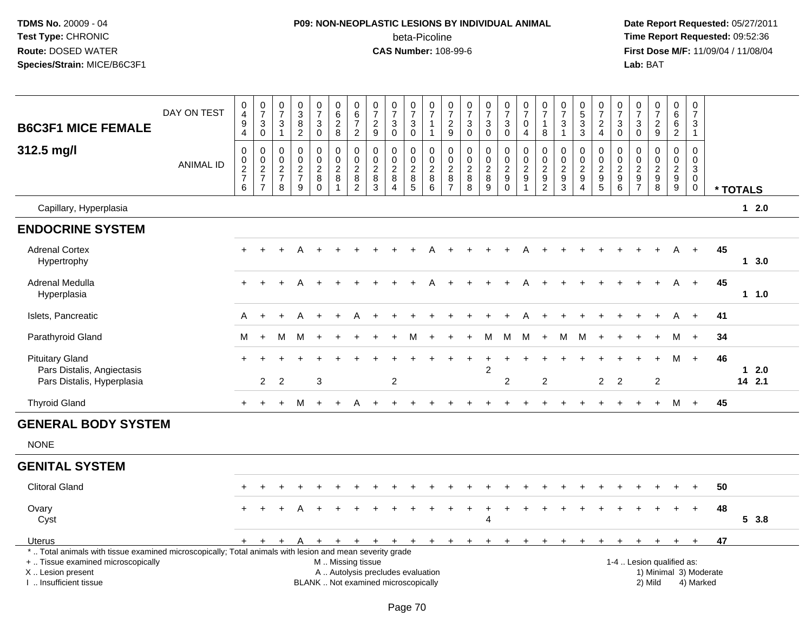# **P09: NON-NEOPLASTIC LESIONS BY INDIVIDUAL ANIMAL**beta-Picoline<br>CAS Number: 108-99-6

| <b>B6C3F1 MICE FEMALE</b>                                                                                                                                                                     | DAY ON TEST      | $_4^{\rm 0}$<br>$\boldsymbol{9}$<br>$\overline{4}$          | $\frac{0}{7}$<br>$\ensuremath{\mathsf{3}}$<br>$\mathbf 0$                        | $\frac{0}{7}$<br>3<br>$\mathbf{1}$                                      | $_{3}^{\rm 0}$<br>$\, 8$<br>$\overline{2}$                                           | $\begin{matrix}0\\7\end{matrix}$<br>3<br>$\mathbf 0$ | $_{6}^{\rm 0}$<br>$\sqrt{2}$<br>8                                                             | $\begin{array}{c} 0 \\ 6 \end{array}$<br>$\overline{7}$<br>$\overline{2}$        | $\frac{0}{7}$<br>$\frac{2}{9}$                                        | $\begin{array}{c} 0 \\ 7 \end{array}$<br>$\ensuremath{\mathsf{3}}$<br>$\mathbf 0$ | $\frac{0}{7}$<br>$\ensuremath{\mathsf{3}}$<br>$\mathbf 0$   | $\frac{0}{7}$<br>$\mathbf{1}$<br>$\mathbf{1}$               | $\frac{0}{7}$<br>$\boldsymbol{2}$<br>$\boldsymbol{9}$             | $\frac{0}{7}$<br>$\ensuremath{\mathsf{3}}$<br>$\mathbf 0$                 | $\frac{0}{7}$<br>$\mathbf{3}$<br>$\mathbf 0$                              | $\frac{0}{7}$<br>$\ensuremath{\mathsf{3}}$<br>$\mathbf 0$                     | $\frac{0}{7}$<br>$\mathbf 0$<br>$\overline{4}$                                             | $\frac{0}{7}$<br>$\mathbf{1}$<br>8                             | $\frac{0}{7}$<br>$\ensuremath{\mathsf{3}}$<br>$\overline{1}$      | $\begin{array}{c} 0 \\ 5 \end{array}$<br>$\frac{3}{3}$                   | $\frac{0}{7}$<br>$\frac{2}{4}$                                           | $\frac{0}{7}$<br>3<br>$\mathbf 0$                             | $\frac{0}{7}$<br>$\mathbf{3}$<br>$\mathbf 0$                               | $\begin{array}{c} 0 \\ 7 \end{array}$<br>$\frac{2}{9}$     | $\pmb{0}$<br>$6\overline{6}$<br>6<br>$\overline{2}$                 | $\pmb{0}$<br>$\boldsymbol{7}$<br>3<br>$\overline{1}$          |                                     |    |                     |  |
|-----------------------------------------------------------------------------------------------------------------------------------------------------------------------------------------------|------------------|-------------------------------------------------------------|----------------------------------------------------------------------------------|-------------------------------------------------------------------------|--------------------------------------------------------------------------------------|------------------------------------------------------|-----------------------------------------------------------------------------------------------|----------------------------------------------------------------------------------|-----------------------------------------------------------------------|-----------------------------------------------------------------------------------|-------------------------------------------------------------|-------------------------------------------------------------|-------------------------------------------------------------------|---------------------------------------------------------------------------|---------------------------------------------------------------------------|-------------------------------------------------------------------------------|--------------------------------------------------------------------------------------------|----------------------------------------------------------------|-------------------------------------------------------------------|--------------------------------------------------------------------------|--------------------------------------------------------------------------|---------------------------------------------------------------|----------------------------------------------------------------------------|------------------------------------------------------------|---------------------------------------------------------------------|---------------------------------------------------------------|-------------------------------------|----|---------------------|--|
| 312.5 mg/l                                                                                                                                                                                    | <b>ANIMAL ID</b> | $\mathbf 0$<br>$\boldsymbol{0}$<br>$\frac{2}{7}$<br>$\,6\,$ | $\mathsf 0$<br>$\mathbf 0$<br>$\overline{2}$<br>$\overline{7}$<br>$\overline{7}$ | $\mathbf 0$<br>$\overline{0}$<br>$\sqrt{2}$<br>$\overline{7}$<br>$\, 8$ | $\pmb{0}$<br>$\mathbf 0$<br>$\boldsymbol{2}$<br>$\boldsymbol{7}$<br>$\boldsymbol{9}$ | 0<br>$\mathbf 0$<br>$\overline{c}$<br>8<br>$\bar{0}$ | $\mathsf 0$<br>$\mathbf 0$<br>$\overline{2}$<br>8<br>$\mathbf{1}$                             | $\mathbf 0$<br>$\mathsf{O}\xspace$<br>$\overline{2}$<br>$\bf8$<br>$\overline{2}$ | $\mathbf 0$<br>$\mathbf 0$<br>$\boldsymbol{2}$<br>8<br>$\overline{3}$ | $\mathbf 0$<br>$\mathbf 0$<br>$\overline{2}$<br>$\, 8$<br>$\overline{4}$          | 0<br>$\mathbf 0$<br>$\boldsymbol{2}$<br>8<br>$\overline{5}$ | $\mathbf 0$<br>$\mathbf 0$<br>$\overline{2}$<br>$\, 8$<br>6 | 0<br>$\mathbf 0$<br>$\boldsymbol{2}$<br>$\bf 8$<br>$\overline{7}$ | $\mathbf 0$<br>$\mathbf 0$<br>$\overline{2}$<br>$\bf 8$<br>$\overline{8}$ | $\mathsf 0$<br>$\mathsf 0$<br>$\overline{2}$<br>$\bf 8$<br>$\overline{9}$ | 0<br>$\mathbf 0$<br>$\overline{2}$<br>$\boldsymbol{9}$<br>$\ddot{\mathbf{0}}$ | $\mathbf 0$<br>$\mathsf{O}\xspace$<br>$\overline{2}$<br>$\boldsymbol{9}$<br>$\overline{1}$ | $\boldsymbol{0}$<br>$\mathbf 0$<br>$\sqrt{2}$<br>$\frac{9}{2}$ | $\pmb{0}$<br>$\mathbf 0$<br>$\overline{2}$<br>9<br>$\overline{3}$ | 0<br>$\mathbf 0$<br>$\overline{2}$<br>$\boldsymbol{9}$<br>$\overline{4}$ | 0<br>$\mathbf 0$<br>$\overline{2}$<br>$\boldsymbol{9}$<br>$\overline{5}$ | 0<br>$\mathbf 0$<br>$\boldsymbol{2}$<br>$\boldsymbol{9}$<br>6 | 0<br>$\mathbf 0$<br>$\boldsymbol{2}$<br>$\boldsymbol{9}$<br>$\overline{7}$ | $\pmb{0}$<br>$\pmb{0}$<br>$\overline{2}$<br>$_{8}^{\rm 9}$ | $\mathbf 0$<br>$\mathbf 0$<br>$\overline{2}$<br>9<br>$\overline{9}$ | $\mathbf 0$<br>$\mathbf 0$<br>3<br>$\mathbf 0$<br>$\mathbf 0$ |                                     |    | * TOTALS            |  |
| Capillary, Hyperplasia                                                                                                                                                                        |                  |                                                             |                                                                                  |                                                                         |                                                                                      |                                                      |                                                                                               |                                                                                  |                                                                       |                                                                                   |                                                             |                                                             |                                                                   |                                                                           |                                                                           |                                                                               |                                                                                            |                                                                |                                                                   |                                                                          |                                                                          |                                                               |                                                                            |                                                            |                                                                     |                                                               |                                     |    | $12.0$              |  |
| <b>ENDOCRINE SYSTEM</b>                                                                                                                                                                       |                  |                                                             |                                                                                  |                                                                         |                                                                                      |                                                      |                                                                                               |                                                                                  |                                                                       |                                                                                   |                                                             |                                                             |                                                                   |                                                                           |                                                                           |                                                                               |                                                                                            |                                                                |                                                                   |                                                                          |                                                                          |                                                               |                                                                            |                                                            |                                                                     |                                                               |                                     |    |                     |  |
| <b>Adrenal Cortex</b><br>Hypertrophy                                                                                                                                                          |                  |                                                             |                                                                                  |                                                                         |                                                                                      |                                                      |                                                                                               |                                                                                  |                                                                       |                                                                                   |                                                             |                                                             |                                                                   |                                                                           |                                                                           |                                                                               |                                                                                            |                                                                |                                                                   |                                                                          |                                                                          |                                                               |                                                                            |                                                            | A                                                                   | $+$                                                           |                                     | 45 | 13.0                |  |
| Adrenal Medulla<br>Hyperplasia                                                                                                                                                                |                  | $+$                                                         |                                                                                  |                                                                         |                                                                                      |                                                      |                                                                                               |                                                                                  |                                                                       |                                                                                   |                                                             |                                                             |                                                                   |                                                                           |                                                                           |                                                                               | А                                                                                          |                                                                |                                                                   |                                                                          |                                                                          |                                                               |                                                                            |                                                            | A                                                                   | $+$                                                           |                                     | 45 | $1 \t1.0$           |  |
| Islets, Pancreatic                                                                                                                                                                            |                  | A                                                           | $\ddot{}$                                                                        | $+$                                                                     | A                                                                                    | $\ddot{}$                                            | $\ddot{}$                                                                                     | A                                                                                |                                                                       |                                                                                   |                                                             |                                                             |                                                                   |                                                                           |                                                                           | $\ddot{}$                                                                     | A                                                                                          |                                                                |                                                                   |                                                                          |                                                                          |                                                               |                                                                            | $\ddot{}$                                                  | A                                                                   | $+$                                                           |                                     | 41 |                     |  |
| Parathyroid Gland                                                                                                                                                                             |                  | м                                                           | $+$                                                                              | м                                                                       | M                                                                                    | $+$                                                  |                                                                                               |                                                                                  |                                                                       |                                                                                   | м                                                           |                                                             |                                                                   |                                                                           | м                                                                         | M                                                                             | м                                                                                          | $+$                                                            | м                                                                 | м                                                                        |                                                                          |                                                               |                                                                            | $\div$                                                     | м                                                                   | $+$                                                           |                                     | 34 |                     |  |
| <b>Pituitary Gland</b><br>Pars Distalis, Angiectasis                                                                                                                                          |                  |                                                             |                                                                                  |                                                                         |                                                                                      |                                                      |                                                                                               |                                                                                  |                                                                       |                                                                                   |                                                             |                                                             |                                                                   |                                                                           | $\overline{2}$                                                            |                                                                               |                                                                                            |                                                                |                                                                   |                                                                          |                                                                          |                                                               |                                                                            |                                                            | M                                                                   | $+$                                                           |                                     | 46 | 2.0<br>$\mathbf{1}$ |  |
| Pars Distalis, Hyperplasia                                                                                                                                                                    |                  |                                                             | $\overline{2}$                                                                   | 2                                                                       |                                                                                      | 3                                                    |                                                                                               |                                                                                  |                                                                       | $\overline{c}$                                                                    |                                                             |                                                             |                                                                   |                                                                           |                                                                           | $\overline{2}$                                                                |                                                                                            | $\overline{c}$                                                 |                                                                   |                                                                          | $\overline{a}$                                                           | $\overline{2}$                                                |                                                                            | $\overline{c}$                                             |                                                                     |                                                               |                                     |    | 14 2.1              |  |
| <b>Thyroid Gland</b>                                                                                                                                                                          |                  | $+$                                                         | $\ddot{}$                                                                        | $\ddot{}$                                                               | М                                                                                    | $\ddot{}$                                            | $+$                                                                                           | A                                                                                | $\ddot{}$                                                             |                                                                                   |                                                             |                                                             |                                                                   |                                                                           |                                                                           |                                                                               |                                                                                            |                                                                |                                                                   |                                                                          |                                                                          |                                                               |                                                                            | $+$                                                        | М                                                                   | $+$                                                           |                                     | 45 |                     |  |
| <b>GENERAL BODY SYSTEM</b>                                                                                                                                                                    |                  |                                                             |                                                                                  |                                                                         |                                                                                      |                                                      |                                                                                               |                                                                                  |                                                                       |                                                                                   |                                                             |                                                             |                                                                   |                                                                           |                                                                           |                                                                               |                                                                                            |                                                                |                                                                   |                                                                          |                                                                          |                                                               |                                                                            |                                                            |                                                                     |                                                               |                                     |    |                     |  |
| <b>NONE</b>                                                                                                                                                                                   |                  |                                                             |                                                                                  |                                                                         |                                                                                      |                                                      |                                                                                               |                                                                                  |                                                                       |                                                                                   |                                                             |                                                             |                                                                   |                                                                           |                                                                           |                                                                               |                                                                                            |                                                                |                                                                   |                                                                          |                                                                          |                                                               |                                                                            |                                                            |                                                                     |                                                               |                                     |    |                     |  |
| <b>GENITAL SYSTEM</b>                                                                                                                                                                         |                  |                                                             |                                                                                  |                                                                         |                                                                                      |                                                      |                                                                                               |                                                                                  |                                                                       |                                                                                   |                                                             |                                                             |                                                                   |                                                                           |                                                                           |                                                                               |                                                                                            |                                                                |                                                                   |                                                                          |                                                                          |                                                               |                                                                            |                                                            |                                                                     |                                                               |                                     |    |                     |  |
| <b>Clitoral Gland</b>                                                                                                                                                                         |                  |                                                             |                                                                                  |                                                                         |                                                                                      |                                                      |                                                                                               |                                                                                  |                                                                       |                                                                                   |                                                             |                                                             |                                                                   |                                                                           |                                                                           |                                                                               |                                                                                            |                                                                |                                                                   |                                                                          |                                                                          |                                                               |                                                                            |                                                            |                                                                     |                                                               |                                     | 50 |                     |  |
| Ovary<br>Cyst                                                                                                                                                                                 |                  | $+$                                                         |                                                                                  |                                                                         |                                                                                      |                                                      |                                                                                               |                                                                                  |                                                                       |                                                                                   |                                                             |                                                             |                                                                   |                                                                           | +<br>$\overline{4}$                                                       |                                                                               |                                                                                            |                                                                |                                                                   |                                                                          |                                                                          |                                                               |                                                                            |                                                            |                                                                     | $+$                                                           |                                     | 48 | 53.8                |  |
| <b>Uterus</b>                                                                                                                                                                                 |                  | $+$                                                         | $+$                                                                              | $+$                                                                     | A                                                                                    | $\ddot{}$                                            | $+$                                                                                           | $+$ $-$                                                                          | $+$                                                                   | $+$                                                                               | $+$                                                         |                                                             |                                                                   | $+$ $+$ $+$                                                               | $+$                                                                       | $+$                                                                           | $\ddot{}$                                                                                  | $\pm$                                                          | $\ddot{}$                                                         |                                                                          |                                                                          |                                                               |                                                                            |                                                            | $+$                                                                 | $+$                                                           |                                     | 47 |                     |  |
| *  Total animals with tissue examined microscopically; Total animals with lesion and mean severity grade<br>+  Tissue examined microscopically<br>X  Lesion present<br>I  Insufficient tissue |                  |                                                             |                                                                                  |                                                                         |                                                                                      |                                                      | M  Missing tissue<br>A  Autolysis precludes evaluation<br>BLANK  Not examined microscopically |                                                                                  |                                                                       |                                                                                   |                                                             |                                                             |                                                                   |                                                                           |                                                                           |                                                                               |                                                                                            |                                                                |                                                                   |                                                                          |                                                                          |                                                               |                                                                            | 1-4  Lesion qualified as:<br>2) Mild                       |                                                                     |                                                               | 1) Minimal 3) Moderate<br>4) Marked |    |                     |  |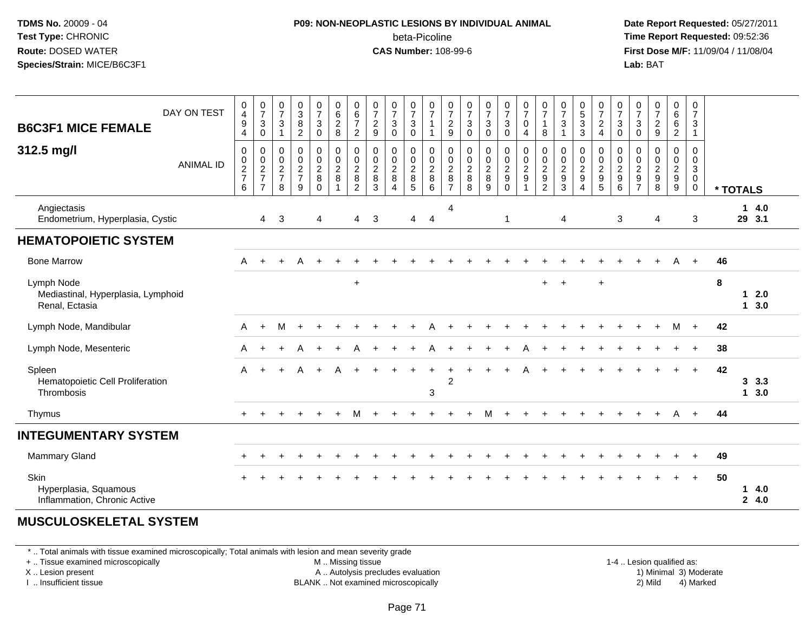#### **P09: NON-NEOPLASTIC LESIONS BY INDIVIDUAL ANIMAL** beta-Picoline**beta-Picoline**<br> **CAS Number:** 108-99-6<br> **CAS Number:** 108-99-6<br> **CAS Number:** 108-99-6

 **Date Report Requested:** 05/27/2011 **First Dose M/F:** 11/09/04 / 11/08/04 Lab: BAT **Lab:** BAT

| <b>B6C3F1 MICE FEMALE</b>                                          | DAY ON TEST      | $_4^{\rm 0}$<br>$\frac{9}{4}$                                | $\frac{0}{7}$<br>$\ensuremath{\mathsf{3}}$<br>$\mathsf 0$                 | $\frac{0}{7}$<br>$\sqrt{3}$<br>$\overline{1}$                  | $\begin{array}{c} 0 \\ 3 \\ 8 \end{array}$<br>$\sqrt{2}$                         | $\frac{0}{7}$<br>3<br>0                                           | 0628                                                    | $\begin{array}{c} 0 \\ 6 \end{array}$<br>$\overline{7}$<br>$\overline{c}$ | $\frac{0}{7}$<br>$\sqrt{2}$<br>$\boldsymbol{9}$ | $\begin{array}{c} 0 \\ 7 \end{array}$<br>$\ensuremath{\mathsf{3}}$<br>$\pmb{0}$                   | $\frac{0}{7}$<br>$\ensuremath{\mathsf{3}}$<br>$\mathsf 0$ | $\frac{0}{7}$<br>$\overline{1}$<br>$\mathbf{1}$                                           | $\frac{0}{7}$<br>$\boldsymbol{2}$<br>$\boldsymbol{9}$                     | $\frac{0}{7}$<br>$\ensuremath{\mathsf{3}}$<br>$\pmb{0}$      | $\frac{0}{7}$<br>$\ensuremath{\mathsf{3}}$<br>$\mathsf 0$ | $\frac{0}{7}$<br>$\ensuremath{\mathsf{3}}$<br>$\mathbf 0$          | $\frac{0}{7}$<br>$\mathbf 0$<br>$\overline{4}$                   | $\frac{0}{7}$<br>$\mathbf{1}$<br>$\bf8$                                                 | $\frac{0}{7}$<br>$\ensuremath{\mathsf{3}}$<br>$\overline{1}$               | $\begin{matrix}0\\5\\3\end{matrix}$<br>3                       | $\begin{array}{c} 0 \\ 7 \end{array}$<br>$\frac{2}{4}$ | $\frac{0}{7}$<br>$\ensuremath{\mathsf{3}}$<br>$\mathsf 0$                            | $\frac{0}{7}$<br>$\sqrt{3}$<br>$\mathbf 0$                                       | $\begin{array}{c} 0 \\ 7 \end{array}$<br>$\frac{2}{9}$                | $\begin{array}{c} 0 \\ 6 \end{array}$<br>$\,6$<br>$\sqrt{2}$        | $\begin{smallmatrix}0\\7\end{smallmatrix}$<br>$\ensuremath{\mathsf{3}}$<br>$\mathbf{1}$ |    |                       |     |
|--------------------------------------------------------------------|------------------|--------------------------------------------------------------|---------------------------------------------------------------------------|----------------------------------------------------------------|----------------------------------------------------------------------------------|-------------------------------------------------------------------|---------------------------------------------------------|---------------------------------------------------------------------------|-------------------------------------------------|---------------------------------------------------------------------------------------------------|-----------------------------------------------------------|-------------------------------------------------------------------------------------------|---------------------------------------------------------------------------|--------------------------------------------------------------|-----------------------------------------------------------|--------------------------------------------------------------------|------------------------------------------------------------------|-----------------------------------------------------------------------------------------|----------------------------------------------------------------------------|----------------------------------------------------------------|--------------------------------------------------------|--------------------------------------------------------------------------------------|----------------------------------------------------------------------------------|-----------------------------------------------------------------------|---------------------------------------------------------------------|-----------------------------------------------------------------------------------------|----|-----------------------|-----|
| 312.5 mg/l                                                         | <b>ANIMAL ID</b> | $\pmb{0}$<br>$\begin{array}{c} 0 \\ 2 \\ 7 \end{array}$<br>6 | $\pmb{0}$<br>$\begin{array}{c} 0 \\ 2 \\ 7 \end{array}$<br>$\overline{7}$ | $\mathbf 0$<br>$\begin{array}{c} 0 \\ 2 \\ 7 \end{array}$<br>8 | $\pmb{0}$<br>$\begin{smallmatrix} 0\\2 \end{smallmatrix}$<br>$\overline{7}$<br>9 | 0<br>$\mathsf{O}\xspace$<br>$\overline{c}$<br>$\bf 8$<br>$\Omega$ | $\pmb{0}$<br>$\frac{0}{2}$<br>$\,8\,$<br>$\overline{1}$ | $\mathbf 0$<br>$\mathbf 0$<br>$\overline{c}$<br>8<br>$\overline{2}$       | 0<br>0<br>$\overline{c}$<br>$\bf 8$<br>3        | $\mathbf 0$<br>$\begin{smallmatrix} 0\\2 \end{smallmatrix}$<br>$\bf 8$<br>$\overline{\mathbf{4}}$ | 0<br>0<br>$\boldsymbol{2}$<br>$\,8\,$<br>5                | $\boldsymbol{0}$<br>$\begin{smallmatrix} 0\\2 \end{smallmatrix}$<br>$\boldsymbol{8}$<br>6 | $\mathbf 0$<br>$\pmb{0}$<br>$\boldsymbol{2}$<br>$\bf 8$<br>$\overline{7}$ | $\pmb{0}$<br>$\begin{array}{c} 0 \\ 2 \\ 8 \end{array}$<br>8 | $\pmb{0}$<br>$^{\rm 0}_{\rm 2}$<br>$\bf 8$<br>9           | 0<br>$\mathbf 0$<br>$\overline{2}$<br>$\boldsymbol{9}$<br>$\Omega$ | $\pmb{0}$<br>$\frac{0}{2}$<br>$\boldsymbol{9}$<br>$\overline{1}$ | $\mathbf 0$<br>$\boldsymbol{0}$<br>$\overline{c}$<br>$\boldsymbol{9}$<br>$\overline{2}$ | $\mathbf 0$<br>$\boldsymbol{0}$<br>$\overline{2}$<br>$\boldsymbol{9}$<br>3 | 0<br>0<br>$\overline{c}$<br>$\boldsymbol{9}$<br>$\overline{4}$ | 0<br>0<br>$\overline{2}$<br>$\boldsymbol{9}$<br>5      | $\mathbf 0$<br>$\begin{smallmatrix} 0\\2 \end{smallmatrix}$<br>$\boldsymbol{9}$<br>6 | $\mathbf 0$<br>$\begin{smallmatrix} 0\\2\\9 \end{smallmatrix}$<br>$\overline{7}$ | $\mathbf 0$<br>$\mathbf 0$<br>$\overline{2}$<br>$\boldsymbol{9}$<br>8 | $\mathbf 0$<br>$\pmb{0}$<br>$\overline{2}$<br>$\boldsymbol{9}$<br>9 | $\mathbf 0$<br>$\mathbf 0$<br>$\mathsf 3$<br>$\mathbf 0$<br>$\mathbf 0$                 |    | * TOTALS              |     |
| Angiectasis<br>Endometrium, Hyperplasia, Cystic                    |                  |                                                              | $\overline{4}$                                                            | 3                                                              |                                                                                  | 4                                                                 |                                                         | 4                                                                         | 3                                               |                                                                                                   | 4                                                         | $\overline{4}$                                                                            | 4                                                                         |                                                              |                                                           |                                                                    |                                                                  |                                                                                         | 4                                                                          |                                                                |                                                        | 3                                                                                    |                                                                                  | 4                                                                     |                                                                     | 3                                                                                       |    | 14.0<br>29 3.1        |     |
| <b>HEMATOPOIETIC SYSTEM</b>                                        |                  |                                                              |                                                                           |                                                                |                                                                                  |                                                                   |                                                         |                                                                           |                                                 |                                                                                                   |                                                           |                                                                                           |                                                                           |                                                              |                                                           |                                                                    |                                                                  |                                                                                         |                                                                            |                                                                |                                                        |                                                                                      |                                                                                  |                                                                       |                                                                     |                                                                                         |    |                       |     |
| <b>Bone Marrow</b>                                                 |                  | Α                                                            | $\ddot{}$                                                                 | ÷                                                              | A                                                                                |                                                                   |                                                         |                                                                           |                                                 |                                                                                                   |                                                           |                                                                                           |                                                                           |                                                              |                                                           |                                                                    |                                                                  |                                                                                         |                                                                            |                                                                |                                                        |                                                                                      |                                                                                  |                                                                       | A                                                                   | $+$                                                                                     | 46 |                       |     |
| Lymph Node<br>Mediastinal, Hyperplasia, Lymphoid<br>Renal, Ectasia |                  |                                                              |                                                                           |                                                                |                                                                                  |                                                                   |                                                         | $\ddot{}$                                                                 |                                                 |                                                                                                   |                                                           |                                                                                           |                                                                           |                                                              |                                                           |                                                                    |                                                                  | $+$                                                                                     | $\overline{ }$                                                             |                                                                | $\ddot{}$                                              |                                                                                      |                                                                                  |                                                                       |                                                                     |                                                                                         | 8  | 1<br>13.0             | 2.0 |
| Lymph Node, Mandibular                                             |                  | A                                                            | $\div$                                                                    | м                                                              |                                                                                  |                                                                   |                                                         |                                                                           |                                                 |                                                                                                   |                                                           |                                                                                           |                                                                           |                                                              |                                                           |                                                                    |                                                                  |                                                                                         |                                                                            |                                                                |                                                        |                                                                                      |                                                                                  |                                                                       | M                                                                   | $+$                                                                                     | 42 |                       |     |
| Lymph Node, Mesenteric                                             |                  | A                                                            | $\overline{+}$                                                            |                                                                |                                                                                  | $\ddot{}$                                                         |                                                         | А                                                                         |                                                 |                                                                                                   |                                                           |                                                                                           |                                                                           |                                                              |                                                           |                                                                    |                                                                  |                                                                                         |                                                                            |                                                                |                                                        |                                                                                      |                                                                                  |                                                                       |                                                                     |                                                                                         | 38 |                       |     |
| Spleen<br>Hematopoietic Cell Proliferation<br>Thrombosis           |                  | A                                                            | $\ddot{}$                                                                 |                                                                | A                                                                                | $+$                                                               | A                                                       |                                                                           |                                                 |                                                                                                   | $\ddot{}$                                                 | $+$<br>3                                                                                  | $\overline{2}$                                                            |                                                              |                                                           | $+$                                                                | A                                                                |                                                                                         |                                                                            |                                                                |                                                        |                                                                                      |                                                                                  |                                                                       | $+$                                                                 | $+$                                                                                     | 42 | 3.3.3<br>$\mathbf{1}$ | 3.0 |
| Thymus                                                             |                  | $+$                                                          |                                                                           |                                                                |                                                                                  |                                                                   |                                                         | м                                                                         |                                                 |                                                                                                   |                                                           |                                                                                           |                                                                           |                                                              | м                                                         |                                                                    |                                                                  |                                                                                         |                                                                            |                                                                |                                                        |                                                                                      |                                                                                  |                                                                       | A                                                                   | $+$                                                                                     | 44 |                       |     |
| <b>INTEGUMENTARY SYSTEM</b>                                        |                  |                                                              |                                                                           |                                                                |                                                                                  |                                                                   |                                                         |                                                                           |                                                 |                                                                                                   |                                                           |                                                                                           |                                                                           |                                                              |                                                           |                                                                    |                                                                  |                                                                                         |                                                                            |                                                                |                                                        |                                                                                      |                                                                                  |                                                                       |                                                                     |                                                                                         |    |                       |     |
| <b>Mammary Gland</b>                                               |                  |                                                              |                                                                           |                                                                |                                                                                  |                                                                   |                                                         |                                                                           |                                                 |                                                                                                   |                                                           |                                                                                           |                                                                           |                                                              |                                                           |                                                                    |                                                                  |                                                                                         |                                                                            |                                                                |                                                        |                                                                                      |                                                                                  |                                                                       |                                                                     |                                                                                         | 49 |                       |     |
| Skin<br>Hyperplasia, Squamous<br>Inflammation, Chronic Active      |                  |                                                              |                                                                           |                                                                |                                                                                  |                                                                   |                                                         |                                                                           |                                                 |                                                                                                   |                                                           |                                                                                           |                                                                           |                                                              |                                                           |                                                                    |                                                                  |                                                                                         |                                                                            |                                                                |                                                        |                                                                                      |                                                                                  |                                                                       |                                                                     | $\ddot{}$                                                                               | 50 | 1<br>24.0             | 4.0 |

#### **MUSCULOSKELETAL SYSTEM**

\* .. Total animals with tissue examined microscopically; Total animals with lesion and mean severity grade

+ .. Tissue examined microscopically

X .. Lesion present

I .. Insufficient tissue

M .. Missing tissue

A .. Autolysis precludes evaluation

BLANK .. Not examined microscopically 2) Mild 4) Marked

1-4 .. Lesion qualified as:<br>1) Minimal 3) Moderate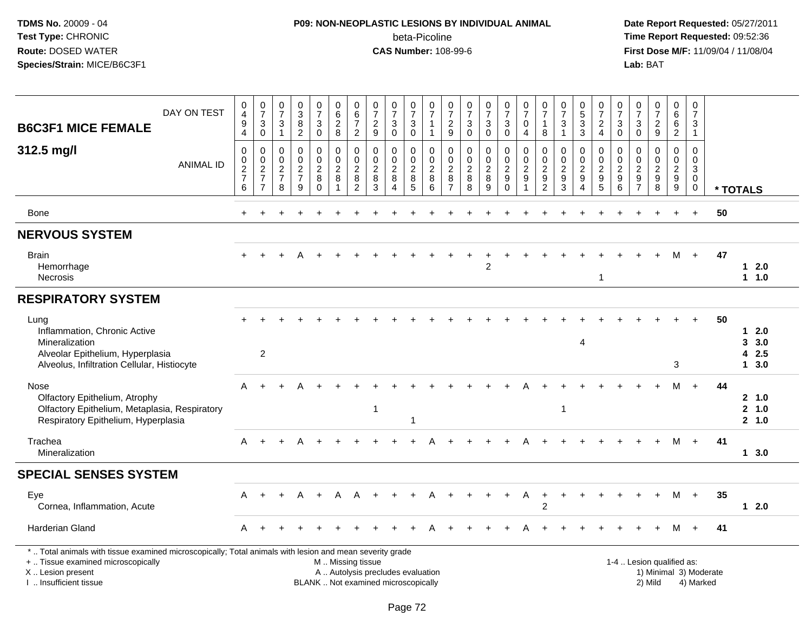### **P09: NON-NEOPLASTIC LESIONS BY INDIVIDUAL ANIMAL**beta-Picoline<br>CAS Number: 108-99-6

| <b>B6C3F1 MICE FEMALE</b>                                                                                                                                                                     | DAY ON TEST      | 0<br>$\overline{4}$<br>$\boldsymbol{9}$<br>$\overline{4}$ | $\frac{0}{7}$<br>$\sqrt{3}$<br>$\mathbf 0$   | $\frac{0}{7}$<br>3<br>$\overline{1}$                     | $_{3}^{\rm 0}$<br>$\, 8$<br>$\overline{2}$                          | $\frac{0}{7}$<br>$\mathbf{3}$<br>$\mathbf 0$    | 0<br>$\overline{6}$<br>$\overline{2}$<br>8   | $\begin{array}{c} 0 \\ 6 \\ 7 \end{array}$<br>$\overline{c}$    | $\frac{0}{7}$<br>$\sqrt{2}$<br>9                                         | $\begin{array}{c} 0 \\ 7 \end{array}$<br>$\sqrt{3}$<br>$\mathbf 0$ | $\begin{array}{c} 0 \\ 7 \end{array}$<br>$\sqrt{3}$<br>$\mathbf 0$ | $\begin{array}{c} 0 \\ 7 \end{array}$<br>$\mathbf{1}$<br>$\mathbf{1}$ | $\begin{array}{c} 0 \\ 7 \end{array}$<br>$\sqrt{2}$<br>9            | $\begin{array}{c} 0 \\ 7 \end{array}$<br>$\sqrt{3}$<br>$\mathbf 0$ | $\frac{0}{7}$<br>$\ensuremath{\mathsf{3}}$<br>$\mathbf 0$ | $\begin{smallmatrix}0\\7\end{smallmatrix}$<br>$\mathsf 3$<br>$\mathbf 0$ | $\begin{array}{c} 0 \\ 7 \end{array}$<br>$\mathbf 0$<br>$\overline{4}$         | $\frac{0}{7}$<br>$\mathbf{1}$<br>8                                             | $\frac{0}{7}$<br>$\mathbf{3}$<br>$\overline{1}$                                 | $\begin{matrix}0\\5\\3\end{matrix}$<br>3 | $\begin{array}{c} 0 \\ 7 \end{array}$<br>$\boldsymbol{2}$<br>$\overline{4}$ | $\frac{0}{7}$<br>$\mathbf{3}$<br>$\mathbf 0$                                | $\frac{0}{7}$<br>$\sqrt{3}$<br>$\mathbf 0$     | $\frac{0}{7}$<br>$\sqrt{2}$<br>$9\,$               | 0<br>$\overline{6}$<br>$\,6\,$<br>$\overline{c}$                                   | $\pmb{0}$<br>$\overline{7}$<br>$\mathbf{3}$<br>$\mathbf{1}$                |    |          |                                |
|-----------------------------------------------------------------------------------------------------------------------------------------------------------------------------------------------|------------------|-----------------------------------------------------------|----------------------------------------------|----------------------------------------------------------|---------------------------------------------------------------------|-------------------------------------------------|----------------------------------------------|-----------------------------------------------------------------|--------------------------------------------------------------------------|--------------------------------------------------------------------|--------------------------------------------------------------------|-----------------------------------------------------------------------|---------------------------------------------------------------------|--------------------------------------------------------------------|-----------------------------------------------------------|--------------------------------------------------------------------------|--------------------------------------------------------------------------------|--------------------------------------------------------------------------------|---------------------------------------------------------------------------------|------------------------------------------|-----------------------------------------------------------------------------|-----------------------------------------------------------------------------|------------------------------------------------|----------------------------------------------------|------------------------------------------------------------------------------------|----------------------------------------------------------------------------|----|----------|--------------------------------|
| 312.5 mg/l                                                                                                                                                                                    | <b>ANIMAL ID</b> | $\mathbf 0$<br>0<br>$\frac{2}{7}$<br>6                    | $\pmb{0}$<br>$\frac{0}{2}$<br>$\overline{7}$ | 0<br>$\overline{0}$<br>$\sqrt{2}$<br>$\overline{7}$<br>8 | $\mathbf 0$<br>$\mathbf 0$<br>$\overline{2}$<br>$\overline{7}$<br>9 | 0<br>$\mathsf 0$<br>$\sqrt{2}$<br>8<br>$\Omega$ | 0<br>$\mathbf 0$<br>$\overline{2}$<br>8<br>1 | $\pmb{0}$<br>$\pmb{0}$<br>$\overline{2}$<br>8<br>$\overline{2}$ | $\mathbf 0$<br>0<br>$\sqrt{2}$<br>8<br>3                                 | $\mathbf 0$<br>$\mathbf 0$<br>$\overline{2}$<br>8<br>4             | 0<br>$\mathsf{O}$<br>$\sqrt{2}$<br>8<br>$\overline{5}$             | $\mathbf 0$<br>$\mathsf{O}$<br>$\overline{2}$<br>8<br>6               | 0<br>$\mathsf{O}\xspace$<br>$\boldsymbol{2}$<br>8<br>$\overline{7}$ | 0<br>$\pmb{0}$<br>$\overline{c}$<br>8<br>8                         | $\pmb{0}$<br>$\pmb{0}$<br>$\overline{2}$<br>$\,8\,$<br>9  | $\mathbf 0$<br>$\mathbf 0$<br>$\sqrt{2}$<br>$9\,$<br>$\Omega$            | $\mathbf 0$<br>$\pmb{0}$<br>$\overline{c}$<br>$\boldsymbol{9}$<br>$\mathbf{1}$ | $\mathbf 0$<br>$\mathbf 0$<br>$\sqrt{2}$<br>$\boldsymbol{9}$<br>$\overline{2}$ | $\mathbf 0$<br>$\mathbf 0$<br>$\mathbf 2$<br>$\boldsymbol{9}$<br>$\overline{3}$ | 0<br>0<br>$\overline{c}$<br>9<br>4       | 0<br>$\pmb{0}$<br>$\overline{2}$<br>$\begin{array}{c} 9 \\ 5 \end{array}$   | $\mathbf 0$<br>$\mathbf 0$<br>$\overline{2}$<br>$\boldsymbol{9}$<br>$\,6\,$ | $\boldsymbol{0}$<br>$\mathbf 0$<br>$rac{2}{9}$ | $\mathbf 0$<br>$\mathbf 0$<br>$\sqrt{2}$<br>9<br>8 | $\mathbf 0$<br>$\mathbf 0$<br>$\overline{2}$<br>$\boldsymbol{9}$<br>$\overline{9}$ | $\mathbf 0$<br>$\mathbf 0$<br>$\overline{3}$<br>$\mathbf 0$<br>$\mathbf 0$ |    | * TOTALS |                                |
| Bone                                                                                                                                                                                          |                  | $\pm$                                                     |                                              |                                                          |                                                                     |                                                 |                                              |                                                                 |                                                                          |                                                                    |                                                                    |                                                                       |                                                                     |                                                                    |                                                           |                                                                          |                                                                                |                                                                                |                                                                                 |                                          |                                                                             |                                                                             |                                                |                                                    |                                                                                    | $\ddot{}$                                                                  | 50 |          |                                |
| <b>NERVOUS SYSTEM</b>                                                                                                                                                                         |                  |                                                           |                                              |                                                          |                                                                     |                                                 |                                              |                                                                 |                                                                          |                                                                    |                                                                    |                                                                       |                                                                     |                                                                    |                                                           |                                                                          |                                                                                |                                                                                |                                                                                 |                                          |                                                                             |                                                                             |                                                |                                                    |                                                                                    |                                                                            |    |          |                                |
| <b>Brain</b><br>Hemorrhage<br><b>Necrosis</b>                                                                                                                                                 |                  | $+$                                                       | $\ddot{}$                                    | $+$                                                      | A                                                                   |                                                 |                                              |                                                                 |                                                                          |                                                                    |                                                                    |                                                                       |                                                                     |                                                                    | $\overline{2}$                                            |                                                                          |                                                                                |                                                                                |                                                                                 |                                          | 1                                                                           |                                                                             |                                                | ÷.                                                 | М                                                                                  | $+$                                                                        | 47 |          | $12.0$<br>1 1.0                |
| <b>RESPIRATORY SYSTEM</b>                                                                                                                                                                     |                  |                                                           |                                              |                                                          |                                                                     |                                                 |                                              |                                                                 |                                                                          |                                                                    |                                                                    |                                                                       |                                                                     |                                                                    |                                                           |                                                                          |                                                                                |                                                                                |                                                                                 |                                          |                                                                             |                                                                             |                                                |                                                    |                                                                                    |                                                                            |    |          |                                |
| Lung<br>Inflammation, Chronic Active<br>Mineralization<br>Alveolar Epithelium, Hyperplasia<br>Alveolus, Infiltration Cellular, Histiocyte                                                     |                  |                                                           | 2                                            |                                                          |                                                                     |                                                 |                                              |                                                                 |                                                                          |                                                                    |                                                                    |                                                                       |                                                                     |                                                                    |                                                           |                                                                          |                                                                                |                                                                                |                                                                                 | 4                                        |                                                                             |                                                                             |                                                |                                                    | 3                                                                                  |                                                                            | 50 | 1<br>4   | 2.0<br>3, 3.0<br>2.5<br>1, 3.0 |
| Nose<br>Olfactory Epithelium, Atrophy<br>Olfactory Epithelium, Metaplasia, Respiratory<br>Respiratory Epithelium, Hyperplasia                                                                 |                  | A                                                         |                                              |                                                          |                                                                     |                                                 |                                              |                                                                 | $\overline{1}$                                                           |                                                                    | 1                                                                  |                                                                       |                                                                     |                                                                    |                                                           |                                                                          |                                                                                |                                                                                | $\mathbf{1}$                                                                    |                                          |                                                                             |                                                                             |                                                |                                                    | м                                                                                  | $+$                                                                        | 44 |          | 2, 1.0<br>2, 1.0<br>2, 1.0     |
| Trachea<br>Mineralization                                                                                                                                                                     |                  | A                                                         | $+$                                          |                                                          |                                                                     |                                                 |                                              |                                                                 |                                                                          |                                                                    |                                                                    |                                                                       |                                                                     |                                                                    |                                                           |                                                                          |                                                                                |                                                                                |                                                                                 |                                          |                                                                             |                                                                             |                                                |                                                    | M                                                                                  | $+$                                                                        | 41 |          | 13.0                           |
| <b>SPECIAL SENSES SYSTEM</b>                                                                                                                                                                  |                  |                                                           |                                              |                                                          |                                                                     |                                                 |                                              |                                                                 |                                                                          |                                                                    |                                                                    |                                                                       |                                                                     |                                                                    |                                                           |                                                                          |                                                                                |                                                                                |                                                                                 |                                          |                                                                             |                                                                             |                                                |                                                    |                                                                                    |                                                                            |    |          |                                |
| Eye<br>Cornea, Inflammation, Acute                                                                                                                                                            |                  | A                                                         | $+$                                          | $+$                                                      | A                                                                   | $\ddot{}$                                       | A                                            | A                                                               |                                                                          |                                                                    |                                                                    |                                                                       |                                                                     |                                                                    |                                                           |                                                                          | A                                                                              | $\ddot{}$<br>$\overline{c}$                                                    |                                                                                 |                                          |                                                                             |                                                                             |                                                |                                                    | м                                                                                  | $+$                                                                        | 35 |          | $12.0$                         |
| Harderian Gland                                                                                                                                                                               |                  | A                                                         |                                              |                                                          |                                                                     |                                                 |                                              |                                                                 |                                                                          |                                                                    |                                                                    |                                                                       |                                                                     |                                                                    |                                                           |                                                                          |                                                                                |                                                                                |                                                                                 |                                          |                                                                             |                                                                             |                                                |                                                    | М                                                                                  | $+$                                                                        | 41 |          |                                |
| *  Total animals with tissue examined microscopically; Total animals with lesion and mean severity grade<br>+  Tissue examined microscopically<br>X  Lesion present<br>I. Insufficient tissue |                  |                                                           |                                              |                                                          |                                                                     |                                                 | M  Missing tissue                            |                                                                 | A  Autolysis precludes evaluation<br>BLANK  Not examined microscopically |                                                                    |                                                                    |                                                                       |                                                                     |                                                                    |                                                           |                                                                          |                                                                                |                                                                                |                                                                                 |                                          |                                                                             |                                                                             |                                                | 2) Mild                                            | 1-4  Lesion qualified as:                                                          | 1) Minimal 3) Moderate<br>4) Marked                                        |    |          |                                |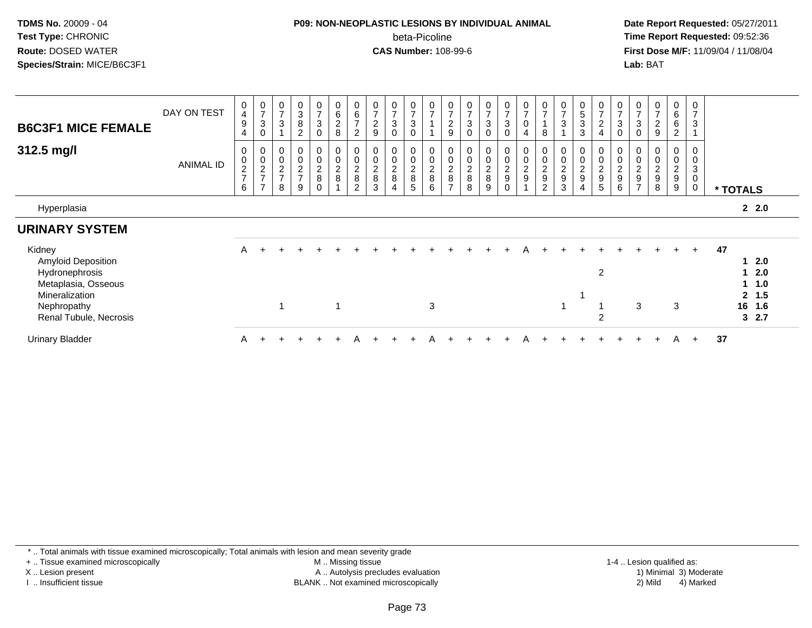#### **P09: NON-NEOPLASTIC LESIONS BY INDIVIDUAL ANIMAL** beta-Picoline**beta-Picoline**<br> **CAS Number:** 108-99-6<br> **CAS Number:** 108-99-6<br> **CAS Number:** 108-99-6

 **Date Report Requested:** 05/27/2011 **First Dose M/F:** 11/09/04 / 11/08/04<br>Lab: BAT **Lab:** BAT

| <b>B6C3F1 MICE FEMALE</b>                                                                                                        | DAY ON TEST | 0<br>$\overline{\mathbf{4}}$<br>9<br>4 | $\frac{0}{7}$<br>$\mathbf{3}$<br>$\mathbf 0$                     | 0<br>$\overline{7}$<br>3                                    | $\begin{array}{c} 0 \\ 3 \\ 8 \end{array}$<br>$\overline{2}$       | $\frac{0}{7}$<br>$\mathbf{3}$<br>$\mathsf{O}$ | 0<br>6<br>2<br>8        | $\begin{array}{c} 0 \\ 6 \\ 7 \end{array}$<br>$\overline{2}$                    | $\frac{0}{7}$<br>$\frac{2}{9}$           | $\frac{0}{7}$<br>$\sqrt{3}$<br>$\mathbf 0$            | $\frac{0}{7}$<br>3<br>$\mathbf 0$      | $\frac{0}{7}$                                            | $\frac{0}{7}$<br>$\frac{2}{9}$                    | $\frac{0}{7}$<br>$\ensuremath{\mathsf{3}}$<br>$\Omega$ | $\frac{0}{7}$<br>$\sqrt{3}$<br>$\mathbf 0$ | $\frac{0}{7}$<br>$\sqrt{3}$<br>$\mathbf 0$                               | $\frac{0}{7}$<br>$\pmb{0}$<br>$\overline{4}$ | $\frac{0}{7}$<br>8                                                 | $\overline{7}$<br>3                                                                      | $\frac{0}{5}$<br>3<br>3                      | $\frac{0}{7}$<br>$\overline{c}$<br>$\overline{4}$                 | $\frac{0}{7}$<br>$\sqrt{3}$<br>$\mathsf{O}\xspace$              | $\overline{\phantom{0}}$<br>$\ensuremath{\mathsf{3}}$<br>$\mathbf 0$ | $\frac{0}{7}$<br>$\frac{2}{9}$                 | $\begin{array}{c} 0 \\ 6 \end{array}$<br>$\,6\,$<br>$\boldsymbol{2}$ | 0<br>$\overline{7}$<br>$\mathbf{3}$                      |          |                             |                                 |
|----------------------------------------------------------------------------------------------------------------------------------|-------------|----------------------------------------|------------------------------------------------------------------|-------------------------------------------------------------|--------------------------------------------------------------------|-----------------------------------------------|-------------------------|---------------------------------------------------------------------------------|------------------------------------------|-------------------------------------------------------|----------------------------------------|----------------------------------------------------------|---------------------------------------------------|--------------------------------------------------------|--------------------------------------------|--------------------------------------------------------------------------|----------------------------------------------|--------------------------------------------------------------------|------------------------------------------------------------------------------------------|----------------------------------------------|-------------------------------------------------------------------|-----------------------------------------------------------------|----------------------------------------------------------------------|------------------------------------------------|----------------------------------------------------------------------|----------------------------------------------------------|----------|-----------------------------|---------------------------------|
| 312.5 mg/l                                                                                                                       | ANIMAL ID   | 0<br>$\frac{0}{2}$<br>6                | $\boldsymbol{0}$<br>$\pmb{0}$<br>$\frac{2}{7}$<br>$\overline{ }$ | 0<br>$\mathbf 0$<br>$\boldsymbol{2}$<br>$\overline{ }$<br>8 | $\begin{smallmatrix} 0\\0 \end{smallmatrix}$<br>$\frac{2}{7}$<br>9 | $_0^0$<br>$\frac{2}{8}$                       | 0<br>0<br>$\frac{2}{8}$ | $\begin{smallmatrix} 0\\0 \end{smallmatrix}$<br>$\frac{2}{8}$<br>$\overline{2}$ | $_{\rm 0}^{\rm 0}$<br>$\frac{2}{8}$<br>3 | $_{\rm 0}^{\rm 0}$<br>$\frac{2}{8}$<br>$\overline{4}$ | 0<br>$\mathbf 0$<br>$\frac{2}{8}$<br>5 | $\boldsymbol{0}$<br>$\overline{0}$<br>$\frac{2}{8}$<br>6 | 0<br>$\bar{0}$<br>$\frac{2}{8}$<br>$\overline{ }$ | $_{\rm 0}^{\rm 0}$<br>$\frac{2}{8}$<br>8               | 0<br>$\mathbf 0$<br>$\frac{2}{8}$<br>9     | $\begin{smallmatrix}0\0\0\end{smallmatrix}$<br>$\frac{2}{9}$<br>$\Omega$ |                                              | $\begin{smallmatrix} 0\\0 \end{smallmatrix}$<br>$\frac{2}{9}$<br>2 | $\begin{matrix} 0 \\ 0 \end{matrix}$<br>$\overline{\mathbf{c}}$<br>$\boldsymbol{9}$<br>3 | 0<br>$\mathsf 0$<br>$\overline{c}$<br>9<br>4 | $\begin{smallmatrix}0\0\0\end{smallmatrix}$<br>$\frac{2}{9}$<br>5 | 0<br>$\ddot{\mathbf{0}}$<br>$\sqrt{2}$<br>$\boldsymbol{9}$<br>6 | $\boldsymbol{2}$<br>$\boldsymbol{9}$<br>$\rightarrow$                | $\mathbf 0$<br>$\pmb{0}$<br>$\frac{2}{9}$<br>8 | $_{\rm 0}^{\rm 0}$<br>$\frac{2}{9}$<br>9                             | 0<br>$\pmb{0}$<br>$\sqrt{3}$<br>$\pmb{0}$<br>$\mathbf 0$ | * TOTALS |                             |                                 |
| Hyperplasia                                                                                                                      |             |                                        |                                                                  |                                                             |                                                                    |                                               |                         |                                                                                 |                                          |                                                       |                                        |                                                          |                                                   |                                                        |                                            |                                                                          |                                              |                                                                    |                                                                                          |                                              |                                                                   |                                                                 |                                                                      |                                                |                                                                      |                                                          |          |                             | 2.0                             |
| <b>URINARY SYSTEM</b>                                                                                                            |             |                                        |                                                                  |                                                             |                                                                    |                                               |                         |                                                                                 |                                          |                                                       |                                        |                                                          |                                                   |                                                        |                                            |                                                                          |                                              |                                                                    |                                                                                          |                                              |                                                                   |                                                                 |                                                                      |                                                |                                                                      |                                                          |          |                             |                                 |
| Kidney<br>Amyloid Deposition<br>Hydronephrosis<br>Metaplasia, Osseous<br>Mineralization<br>Nephropathy<br>Renal Tubule, Necrosis |             | A                                      | ÷.                                                               | 1                                                           |                                                                    |                                               |                         |                                                                                 |                                          |                                                       |                                        | 3                                                        |                                                   |                                                        |                                            |                                                                          | A                                            |                                                                    |                                                                                          |                                              | 2<br>$\overline{2}$                                               |                                                                 | 3                                                                    |                                                | $+$<br>3                                                             | $+$                                                      | 47       | $\mathbf{2}$<br>16 1.6<br>3 | 2.0<br>2.0<br>1.0<br>1.5<br>2.7 |
| <b>Urinary Bladder</b>                                                                                                           |             | A                                      |                                                                  |                                                             |                                                                    |                                               | +                       |                                                                                 |                                          |                                                       |                                        |                                                          |                                                   |                                                        |                                            |                                                                          |                                              |                                                                    |                                                                                          |                                              |                                                                   |                                                                 |                                                                      | $\ddot{}$                                      | A                                                                    | $+$                                                      | 37       |                             |                                 |

\* .. Total animals with tissue examined microscopically; Total animals with lesion and mean severity grade

+ .. Tissue examined microscopically

X .. Lesion present

I .. Insufficient tissue

M .. Missing tissue

Lesion present A .. Autolysis precludes evaluation 1) Minimal 3) Moderate

1-4 .. Lesion qualified as:<br>1) Minimal 3) Moderate BLANK .. Not examined microscopically 2) Mild 4) Marked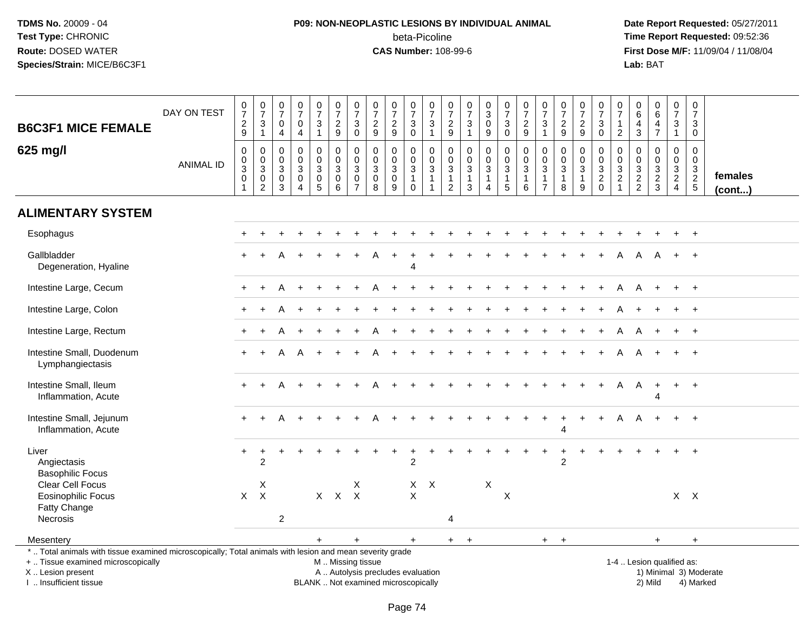# **P09: NON-NEOPLASTIC LESIONS BY INDIVIDUAL ANIMAL**beta-Picoline<br>CAS Number: 108-99-6

 **Date Report Requested:** 05/27/2011 **Time Report Requested:** 09:52:36 **First Dose M/F:** 11/09/04 / 11/08/04<br>Lab: BAT **Lab:** BAT

| <b>B6C3F1 MICE FEMALE</b>                                                                                                                                                                                  | DAY ON TEST      | $\frac{0}{7}$<br>$\frac{2}{9}$  | $\frac{0}{7}$<br>$\sqrt{3}$<br>$\mathbf{1}$                                 | $\begin{array}{c} 0 \\ 7 \end{array}$<br>0<br>4 | $\frac{0}{7}$<br>$\mathbf 0$<br>$\overline{4}$                  | $\begin{array}{c} 0 \\ 7 \end{array}$<br>$\mathbf{3}$<br>$\mathbf{1}$ | $\frac{0}{7}$<br>$\frac{2}{9}$                                       | 0<br>$\overline{7}$<br>3<br>$\mathbf 0$                          | $\frac{0}{7}$<br>$\overline{2}$<br>9                                     | $\frac{0}{7}$<br>$\frac{2}{9}$                       | $\frac{0}{7}$<br>$_{0}^{3}$                                     | $\frac{0}{7}$<br>3<br>$\mathbf{1}$ | $\frac{0}{7}$<br>$\frac{2}{9}$                                                  | $\begin{array}{c} 0 \\ 7 \end{array}$<br>$\sqrt{3}$<br>$\mathbf{1}$ | $_{3}^{\rm 0}$<br>$\mathbf 0$<br>$\boldsymbol{9}$                              | $\begin{smallmatrix}0\\7\end{smallmatrix}$<br>$_{\rm 0}^3$                 | 0<br>$\overline{7}$<br>$\frac{2}{9}$ | $\begin{array}{c} 0 \\ 7 \end{array}$<br>$\mathbf{3}$<br>$\mathbf{1}$      | $\frac{0}{7}$<br>$\frac{2}{9}$             | $\frac{0}{7}$<br>$\frac{2}{9}$                       | $\begin{array}{c} 0 \\ 7 \end{array}$<br>$\sqrt{3}$<br>$\pmb{0}$ | $\mathbf 0$<br>$\overline{7}$<br>$\overline{2}$                           | 0<br>$6\phantom{a}$<br>$\overline{4}$<br>$\mathbf{3}$     | 0<br>$6\phantom{a}$<br>$\overline{4}$<br>$\overline{7}$ | $\pmb{0}$<br>$\overline{7}$<br>$\sqrt{3}$<br>$\mathbf{1}$                     | 0<br>$\overline{7}$<br>3<br>$\mathbf 0$     |                        |
|------------------------------------------------------------------------------------------------------------------------------------------------------------------------------------------------------------|------------------|---------------------------------|-----------------------------------------------------------------------------|-------------------------------------------------|-----------------------------------------------------------------|-----------------------------------------------------------------------|----------------------------------------------------------------------|------------------------------------------------------------------|--------------------------------------------------------------------------|------------------------------------------------------|-----------------------------------------------------------------|------------------------------------|---------------------------------------------------------------------------------|---------------------------------------------------------------------|--------------------------------------------------------------------------------|----------------------------------------------------------------------------|--------------------------------------|----------------------------------------------------------------------------|--------------------------------------------|------------------------------------------------------|------------------------------------------------------------------|---------------------------------------------------------------------------|-----------------------------------------------------------|---------------------------------------------------------|-------------------------------------------------------------------------------|---------------------------------------------|------------------------|
| 625 mg/l                                                                                                                                                                                                   | <b>ANIMAL ID</b> | $\mathbf 0$<br>0<br>3<br>0<br>1 | $\mathbf 0$<br>$\pmb{0}$<br>$\overline{3}$<br>$\mathbf 0$<br>$\overline{2}$ | 0<br>0<br>$\mathbf{3}$<br>0<br>3                | $\mathbf 0$<br>0<br>$\sqrt{3}$<br>$\mathsf 0$<br>$\overline{4}$ | $\mathbf 0$<br>$\mathbf 0$<br>$\mathbf{3}$<br>0<br>5                  | $\mathbf 0$<br>$\mathbf 0$<br>$\sqrt{3}$<br>$\mathsf{O}\xspace$<br>6 | $\mathbf 0$<br>$\mathbf 0$<br>3<br>$\mathbf 0$<br>$\overline{7}$ | $\mathbf 0$<br>$\mathbf 0$<br>$\mathbf{3}$<br>$\mathbf 0$<br>8           | 0<br>$\mathbf 0$<br>$\mathbf{3}$<br>$\mathbf 0$<br>9 | 0<br>$\mathsf{O}$<br>$\overline{3}$<br>$\mathbf{1}$<br>$\Omega$ | 0<br>0<br>3<br>$\mathbf{1}$        | $\mathbf 0$<br>0<br>$\ensuremath{\mathsf{3}}$<br>$\mathbf{1}$<br>$\overline{c}$ | $\mathbf 0$<br>$\mathbf 0$<br>$\overline{3}$<br>$\mathbf{1}$<br>3   | $\mathbf 0$<br>$\mathbf 0$<br>$\overline{3}$<br>$\mathbf{1}$<br>$\overline{4}$ | $\mathbf 0$<br>$\mathbf 0$<br>$\sqrt{3}$<br>$\mathbf{1}$<br>$\overline{5}$ | $\mathbf 0$<br>0<br>3<br>1<br>6      | $\mathbf 0$<br>$\mathbf 0$<br>$\sqrt{3}$<br>$\mathbf{1}$<br>$\overline{7}$ | $\mathbf 0$<br>0<br>3<br>$\mathbf{1}$<br>8 | $\mathbf 0$<br>$\mathbf 0$<br>3<br>$\mathbf{1}$<br>9 | $\mathbf 0$<br>$\pmb{0}$<br>$\overline{3}$<br>$\frac{2}{0}$      | $\mathbf 0$<br>$\mathbf 0$<br>$\ensuremath{\mathsf{3}}$<br>$\overline{c}$ | $\mathbf 0$<br>$\mathbf 0$<br>$\sqrt{3}$<br>$\frac{2}{2}$ | 0<br>$\mathbf 0$<br>3<br>$\frac{2}{3}$                  | $\Omega$<br>$\mathbf 0$<br>$\mathbf{3}$<br>$\boldsymbol{2}$<br>$\overline{4}$ | $\Omega$<br>$\mathbf 0$<br>3<br>$rac{2}{5}$ | females<br>(cont)      |
| <b>ALIMENTARY SYSTEM</b>                                                                                                                                                                                   |                  |                                 |                                                                             |                                                 |                                                                 |                                                                       |                                                                      |                                                                  |                                                                          |                                                      |                                                                 |                                    |                                                                                 |                                                                     |                                                                                |                                                                            |                                      |                                                                            |                                            |                                                      |                                                                  |                                                                           |                                                           |                                                         |                                                                               |                                             |                        |
| Esophagus                                                                                                                                                                                                  |                  |                                 |                                                                             |                                                 |                                                                 |                                                                       |                                                                      |                                                                  |                                                                          |                                                      |                                                                 |                                    |                                                                                 |                                                                     |                                                                                |                                                                            |                                      |                                                                            |                                            |                                                      |                                                                  |                                                                           |                                                           |                                                         |                                                                               |                                             |                        |
| Gallbladder<br>Degeneration, Hyaline                                                                                                                                                                       |                  |                                 |                                                                             |                                                 |                                                                 |                                                                       |                                                                      |                                                                  |                                                                          |                                                      | 4                                                               |                                    |                                                                                 |                                                                     |                                                                                |                                                                            |                                      |                                                                            |                                            |                                                      |                                                                  | A                                                                         | A                                                         | A                                                       | $+$                                                                           | $+$                                         |                        |
| Intestine Large, Cecum                                                                                                                                                                                     |                  |                                 |                                                                             |                                                 |                                                                 |                                                                       |                                                                      |                                                                  |                                                                          |                                                      |                                                                 |                                    |                                                                                 |                                                                     |                                                                                |                                                                            |                                      |                                                                            |                                            |                                                      |                                                                  |                                                                           | A                                                         | $+$                                                     | $+$                                                                           | $+$                                         |                        |
| Intestine Large, Colon                                                                                                                                                                                     |                  |                                 |                                                                             |                                                 |                                                                 |                                                                       |                                                                      |                                                                  |                                                                          |                                                      |                                                                 |                                    |                                                                                 |                                                                     |                                                                                |                                                                            |                                      |                                                                            |                                            |                                                      |                                                                  |                                                                           |                                                           |                                                         |                                                                               | $+$                                         |                        |
| Intestine Large, Rectum                                                                                                                                                                                    |                  |                                 |                                                                             |                                                 |                                                                 |                                                                       |                                                                      |                                                                  |                                                                          |                                                      |                                                                 |                                    |                                                                                 |                                                                     |                                                                                |                                                                            |                                      |                                                                            |                                            |                                                      |                                                                  |                                                                           | A                                                         |                                                         |                                                                               |                                             |                        |
| Intestine Small, Duodenum<br>Lymphangiectasis                                                                                                                                                              |                  |                                 |                                                                             |                                                 | A                                                               |                                                                       |                                                                      |                                                                  |                                                                          |                                                      |                                                                 |                                    |                                                                                 |                                                                     |                                                                                |                                                                            |                                      |                                                                            |                                            |                                                      |                                                                  |                                                                           | A                                                         |                                                         |                                                                               |                                             |                        |
| Intestine Small, Ileum<br>Inflammation, Acute                                                                                                                                                              |                  |                                 |                                                                             |                                                 |                                                                 |                                                                       |                                                                      |                                                                  |                                                                          |                                                      |                                                                 |                                    |                                                                                 |                                                                     |                                                                                |                                                                            |                                      |                                                                            |                                            |                                                      |                                                                  | A                                                                         | A                                                         | $\ddot{}$<br>4                                          | $+$                                                                           | $^{+}$                                      |                        |
| Intestine Small, Jejunum<br>Inflammation, Acute                                                                                                                                                            |                  |                                 |                                                                             |                                                 |                                                                 |                                                                       |                                                                      |                                                                  |                                                                          |                                                      |                                                                 |                                    |                                                                                 |                                                                     |                                                                                |                                                                            |                                      |                                                                            | $\lambda$                                  | $+$                                                  | $+$                                                              | A                                                                         | A                                                         | $+$                                                     |                                                                               |                                             |                        |
| Liver<br>Angiectasis<br><b>Basophilic Focus</b>                                                                                                                                                            |                  |                                 | $\overline{c}$                                                              |                                                 |                                                                 |                                                                       |                                                                      |                                                                  |                                                                          |                                                      | $\overline{c}$                                                  |                                    |                                                                                 |                                                                     |                                                                                |                                                                            |                                      |                                                                            | $\overline{2}$                             |                                                      |                                                                  |                                                                           |                                                           |                                                         |                                                                               |                                             |                        |
| <b>Clear Cell Focus</b><br><b>Eosinophilic Focus</b><br>Fatty Change<br>Necrosis                                                                                                                           |                  | $\mathsf{X}$                    | Х<br>$\mathsf{X}$                                                           | $\overline{2}$                                  |                                                                 |                                                                       | $X$ $X$ $X$                                                          | Χ                                                                |                                                                          |                                                      | X<br>$\sf X$                                                    | $\mathsf{X}$                       | 4                                                                               |                                                                     | X                                                                              | X                                                                          |                                      |                                                                            |                                            |                                                      |                                                                  |                                                                           |                                                           |                                                         |                                                                               | $X$ $X$                                     |                        |
|                                                                                                                                                                                                            |                  |                                 |                                                                             |                                                 |                                                                 |                                                                       |                                                                      |                                                                  |                                                                          |                                                      |                                                                 |                                    |                                                                                 |                                                                     |                                                                                |                                                                            |                                      |                                                                            |                                            |                                                      |                                                                  |                                                                           |                                                           |                                                         |                                                                               |                                             |                        |
| Mesentery<br>*  Total animals with tissue examined microscopically; Total animals with lesion and mean severity grade<br>+  Tissue examined microscopically<br>X  Lesion present<br>I  Insufficient tissue |                  |                                 |                                                                             |                                                 |                                                                 |                                                                       | M  Missing tissue                                                    | $\ddot{}$                                                        | A  Autolysis precludes evaluation<br>BLANK  Not examined microscopically |                                                      | $\pm$                                                           |                                    | $+$                                                                             | $+$                                                                 |                                                                                |                                                                            |                                      | $+$                                                                        | $+$                                        |                                                      |                                                                  |                                                                           |                                                           | $+$<br>1-4  Lesion qualified as:<br>2) Mild             |                                                                               | $\ddot{}$<br>4) Marked                      | 1) Minimal 3) Moderate |

I .. Insufficient tissue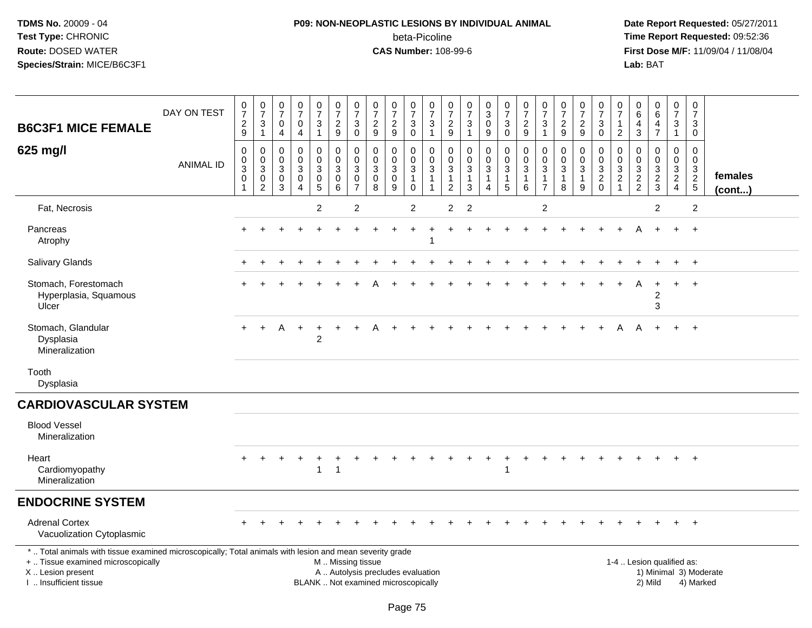# **P09: NON-NEOPLASTIC LESIONS BY INDIVIDUAL ANIMAL**beta-Picoline<br>CAS Number: 108-99-6

| <b>B6C3F1 MICE FEMALE</b>                                                                                                                                                                     | DAY ON TEST      | $\frac{0}{7}$<br>$\overline{c}$<br>$\boldsymbol{9}$      | $\begin{smallmatrix}0\\7\end{smallmatrix}$<br>$\ensuremath{\mathsf{3}}$<br>$\mathbf{1}$ | $\pmb{0}$<br>$\overline{7}$<br>0<br>$\overline{4}$                             | $\begin{array}{c} 0 \\ 7 \end{array}$<br>0<br>$\overline{4}$            | $\pmb{0}$<br>$\overline{7}$<br>3<br>$\mathbf{1}$                      | $\frac{0}{7}$<br>$\boldsymbol{2}$<br>$9\,$                         | $\pmb{0}$<br>$\overline{7}$<br>3<br>$\pmb{0}$          | $\pmb{0}$<br>$\overline{7}$<br>$\overline{c}$<br>9                       | $\frac{0}{7}$<br>$\overline{a}$<br>9      | 0<br>$\overline{7}$<br>$\mathbf{3}$<br>$\mathbf 0$                | $\pmb{0}$<br>$\overline{7}$<br>$\mathbf{3}$<br>$\mathbf{1}$           | 0<br>$\overline{7}$<br>$\overline{c}$<br>9                                 | $\begin{array}{c} 0 \\ 7 \end{array}$<br>$\sqrt{3}$<br>$\mathbf{1}$            | 0<br>3<br>0<br>9                                        | $\begin{array}{c} 0 \\ 7 \end{array}$<br>3<br>$\mathbf 0$                             | $\frac{0}{7}$<br>$\overline{2}$<br>9    | 0<br>$\overline{7}$<br>3<br>$\overline{1}$                        | $\frac{0}{7}$<br>$\overline{2}$<br>$\boldsymbol{9}$                        | $\mathbf 0$<br>$\overline{7}$<br>$\overline{2}$<br>9    | $\pmb{0}$<br>$\overline{7}$<br>$\sqrt{3}$<br>$\mathbf 0$ | 0<br>$\overline{7}$<br>$\mathbf{1}$<br>$\overline{2}$     | $\mathbf 0$<br>6<br>4<br>$\mathbf{3}$                  | $\begin{array}{c} 0 \\ 6 \end{array}$<br>$\overline{4}$<br>$\overline{7}$ | $\mathbf 0$<br>$\overline{7}$<br>$\mathbf{3}$<br>$\mathbf{1}$        | $\pmb{0}$<br>$\overline{7}$<br>3<br>$\mathbf 0$ |                                     |
|-----------------------------------------------------------------------------------------------------------------------------------------------------------------------------------------------|------------------|----------------------------------------------------------|-----------------------------------------------------------------------------------------|--------------------------------------------------------------------------------|-------------------------------------------------------------------------|-----------------------------------------------------------------------|--------------------------------------------------------------------|--------------------------------------------------------|--------------------------------------------------------------------------|-------------------------------------------|-------------------------------------------------------------------|-----------------------------------------------------------------------|----------------------------------------------------------------------------|--------------------------------------------------------------------------------|---------------------------------------------------------|---------------------------------------------------------------------------------------|-----------------------------------------|-------------------------------------------------------------------|----------------------------------------------------------------------------|---------------------------------------------------------|----------------------------------------------------------|-----------------------------------------------------------|--------------------------------------------------------|---------------------------------------------------------------------------|----------------------------------------------------------------------|-------------------------------------------------|-------------------------------------|
| 625 mg/l                                                                                                                                                                                      | <b>ANIMAL ID</b> | $\pmb{0}$<br>$_{3}^{\rm 0}$<br>$\pmb{0}$<br>$\mathbf{1}$ | $\mathbf 0$<br>$_{3}^{\rm 0}$<br>$\pmb{0}$<br>$\overline{2}$                            | $\mathsf{O}\xspace$<br>$\mathsf{O}\xspace$<br>$\mathbf{3}$<br>$\mathbf 0$<br>3 | $\pmb{0}$<br>$\mathbf 0$<br>$\mathbf{3}$<br>$\pmb{0}$<br>$\overline{4}$ | $\mathbf 0$<br>$\mathsf{O}\xspace$<br>$\overline{3}$<br>$\frac{0}{5}$ | $\pmb{0}$<br>$\mathbf 0$<br>$\mathbf{3}$<br>$\mathbf 0$<br>$\,6\,$ | 0<br>$\mathbf 0$<br>3<br>$\mathbf 0$<br>$\overline{7}$ | $\pmb{0}$<br>$\mathbf 0$<br>$\mathbf{3}$<br>$\mathbf 0$<br>8             | 0<br>$\mathbf 0$<br>3<br>$\mathbf 0$<br>9 | 0<br>$\mathbf 0$<br>$\overline{3}$<br>$\mathbf{1}$<br>$\mathbf 0$ | 0<br>$\mathsf{O}\xspace$<br>$\ensuremath{\mathsf{3}}$<br>$\mathbf{1}$ | $\mathbf 0$<br>$\mathbf 0$<br>$\sqrt{3}$<br>$\mathbf{1}$<br>$\overline{c}$ | $\mathsf{O}\xspace$<br>$\pmb{0}$<br>$\sqrt{3}$<br>$\mathbf{1}$<br>$\mathbf{3}$ | 0<br>$\mathbf 0$<br>3<br>$\mathbf{1}$<br>$\overline{4}$ | $\mathbf 0$<br>$\mathbf 0$<br>$\ensuremath{\mathsf{3}}$<br>$\mathbf{1}$<br>$\sqrt{5}$ | $\mathbf 0$<br>$\pmb{0}$<br>3<br>1<br>6 | $\mathbf 0$<br>$\mathbf 0$<br>3<br>$\mathbf{1}$<br>$\overline{7}$ | 0<br>$\mathsf{O}\xspace$<br>$\ensuremath{\mathsf{3}}$<br>$\mathbf{1}$<br>8 | 0<br>$\mathbf 0$<br>$\mathbf{3}$<br>$\overline{1}$<br>9 | $\mathbf 0$<br>$\mathbf 0$<br>$\frac{3}{2}$ <sub>0</sub> | 0<br>$\mathbf 0$<br>3<br>$\overline{2}$<br>$\overline{1}$ | $\Omega$<br>$\mathbf 0$<br>$\sqrt{3}$<br>$\frac{2}{2}$ | 0<br>$\mathbf 0$<br>3<br>$\frac{2}{3}$                                    | 0<br>$\mathbf 0$<br>$\mathbf{3}$<br>$\overline{2}$<br>$\overline{4}$ | $\Omega$<br>$\mathbf 0$<br>3<br>$\frac{2}{5}$   | females<br>$($ cont $)$             |
| Fat, Necrosis                                                                                                                                                                                 |                  |                                                          |                                                                                         |                                                                                |                                                                         | $\overline{2}$                                                        |                                                                    | $\overline{c}$                                         |                                                                          |                                           | $\overline{2}$                                                    |                                                                       | $\overline{2}$                                                             | $\overline{2}$                                                                 |                                                         |                                                                                       |                                         | $\overline{c}$                                                    |                                                                            |                                                         |                                                          |                                                           |                                                        | $\overline{c}$                                                            |                                                                      | $\overline{2}$                                  |                                     |
| Pancreas<br>Atrophy                                                                                                                                                                           |                  |                                                          |                                                                                         |                                                                                |                                                                         |                                                                       |                                                                    |                                                        |                                                                          |                                           |                                                                   |                                                                       |                                                                            |                                                                                |                                                         |                                                                                       |                                         |                                                                   |                                                                            |                                                         |                                                          |                                                           | А                                                      | $\ddot{}$                                                                 | $+$                                                                  | $+$                                             |                                     |
| Salivary Glands                                                                                                                                                                               |                  |                                                          |                                                                                         |                                                                                |                                                                         |                                                                       |                                                                    |                                                        |                                                                          |                                           |                                                                   |                                                                       |                                                                            |                                                                                |                                                         |                                                                                       |                                         |                                                                   |                                                                            |                                                         |                                                          |                                                           |                                                        |                                                                           | $+$                                                                  | $+$                                             |                                     |
| Stomach, Forestomach<br>Hyperplasia, Squamous<br>Ulcer                                                                                                                                        |                  |                                                          |                                                                                         |                                                                                |                                                                         |                                                                       |                                                                    |                                                        |                                                                          |                                           |                                                                   |                                                                       |                                                                            |                                                                                |                                                         |                                                                                       |                                         |                                                                   |                                                                            |                                                         |                                                          |                                                           |                                                        | $\overline{2}$<br>3                                                       |                                                                      | $\ddot{}$                                       |                                     |
| Stomach, Glandular<br>Dysplasia<br>Mineralization                                                                                                                                             |                  | $+$                                                      | $+$                                                                                     | A                                                                              | $+$                                                                     | $\ddot{}$<br>$\mathfrak{p}$                                           | $\ddot{}$                                                          |                                                        |                                                                          |                                           |                                                                   |                                                                       |                                                                            |                                                                                |                                                         |                                                                                       |                                         |                                                                   |                                                                            |                                                         |                                                          | A                                                         | A                                                      | $\ddot{}$                                                                 | $+$                                                                  | $+$                                             |                                     |
| Tooth<br>Dysplasia                                                                                                                                                                            |                  |                                                          |                                                                                         |                                                                                |                                                                         |                                                                       |                                                                    |                                                        |                                                                          |                                           |                                                                   |                                                                       |                                                                            |                                                                                |                                                         |                                                                                       |                                         |                                                                   |                                                                            |                                                         |                                                          |                                                           |                                                        |                                                                           |                                                                      |                                                 |                                     |
| <b>CARDIOVASCULAR SYSTEM</b>                                                                                                                                                                  |                  |                                                          |                                                                                         |                                                                                |                                                                         |                                                                       |                                                                    |                                                        |                                                                          |                                           |                                                                   |                                                                       |                                                                            |                                                                                |                                                         |                                                                                       |                                         |                                                                   |                                                                            |                                                         |                                                          |                                                           |                                                        |                                                                           |                                                                      |                                                 |                                     |
| <b>Blood Vessel</b><br>Mineralization                                                                                                                                                         |                  |                                                          |                                                                                         |                                                                                |                                                                         |                                                                       |                                                                    |                                                        |                                                                          |                                           |                                                                   |                                                                       |                                                                            |                                                                                |                                                         |                                                                                       |                                         |                                                                   |                                                                            |                                                         |                                                          |                                                           |                                                        |                                                                           |                                                                      |                                                 |                                     |
| Heart<br>Cardiomyopathy<br>Mineralization                                                                                                                                                     |                  |                                                          |                                                                                         |                                                                                |                                                                         | $\overline{1}$                                                        | $\overline{1}$                                                     |                                                        |                                                                          |                                           |                                                                   |                                                                       |                                                                            |                                                                                |                                                         | 1                                                                                     |                                         |                                                                   |                                                                            |                                                         |                                                          |                                                           |                                                        |                                                                           |                                                                      | $+$                                             |                                     |
| <b>ENDOCRINE SYSTEM</b>                                                                                                                                                                       |                  |                                                          |                                                                                         |                                                                                |                                                                         |                                                                       |                                                                    |                                                        |                                                                          |                                           |                                                                   |                                                                       |                                                                            |                                                                                |                                                         |                                                                                       |                                         |                                                                   |                                                                            |                                                         |                                                          |                                                           |                                                        |                                                                           |                                                                      |                                                 |                                     |
| <b>Adrenal Cortex</b><br>Vacuolization Cytoplasmic                                                                                                                                            |                  |                                                          |                                                                                         |                                                                                |                                                                         |                                                                       |                                                                    |                                                        |                                                                          |                                           |                                                                   |                                                                       |                                                                            |                                                                                |                                                         |                                                                                       |                                         |                                                                   |                                                                            |                                                         |                                                          |                                                           |                                                        |                                                                           | $+$                                                                  | $+$                                             |                                     |
| *  Total animals with tissue examined microscopically; Total animals with lesion and mean severity grade<br>+  Tissue examined microscopically<br>X  Lesion present<br>I  Insufficient tissue |                  |                                                          |                                                                                         |                                                                                |                                                                         |                                                                       | M  Missing tissue                                                  |                                                        | A  Autolysis precludes evaluation<br>BLANK  Not examined microscopically |                                           |                                                                   |                                                                       |                                                                            |                                                                                |                                                         |                                                                                       |                                         |                                                                   |                                                                            |                                                         |                                                          |                                                           |                                                        | 1-4  Lesion qualified as:<br>2) Mild                                      |                                                                      |                                                 | 1) Minimal 3) Moderate<br>4) Marked |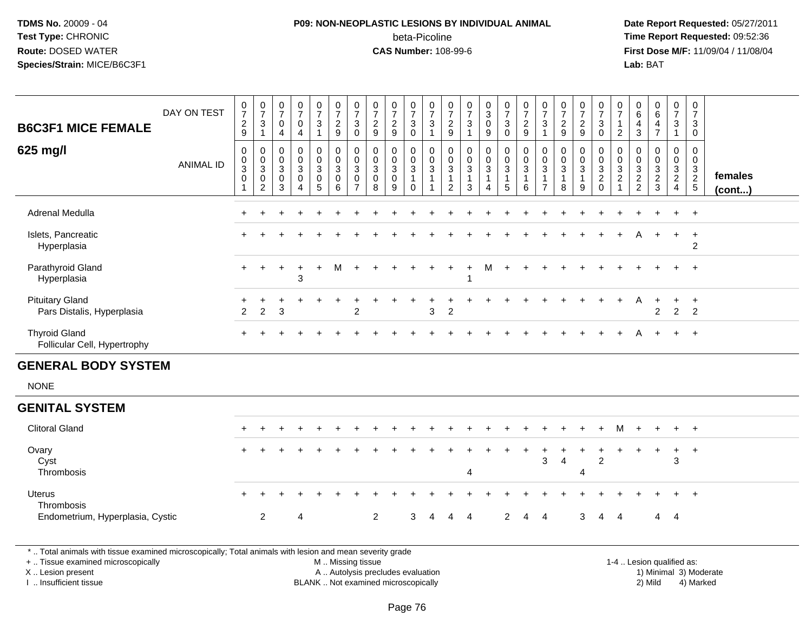### **P09: NON-NEOPLASTIC LESIONS BY INDIVIDUAL ANIMAL** beta-Picoline**beta-Picoline**<br> **CAS Number:** 108-99-6<br> **CAS Number:** 108-99-6<br> **CAS Number:** 108-99-6

 **Date Report Requested:** 05/27/2011 **First Dose M/F:** 11/09/04 / 11/08/04 Lab: BAT **Lab:** BAT

| <b>B6C3F1 MICE FEMALE</b>                            | DAY ON TEST      | $\frac{0}{7}$<br>$\boldsymbol{2}$<br>$9\,$ | $\frac{0}{7}$<br>$\mathbf{3}$                                   | $\overline{7}$<br>$\mathbf 0$<br>$\overline{4}$                         | 0<br>$\overline{ }$<br>0 | $\frac{0}{7}$<br>$\sqrt{3}$                           | 0<br>$\overline{ }$<br>$\overline{c}$<br>$\boldsymbol{9}$ | $\frac{0}{7}$<br>$\ensuremath{\mathsf{3}}$<br>$\mathbf 0$                    | 0<br>$\overline{7}$<br>$\sqrt{2}$<br>9                            | 0<br>$\overline{7}$<br>$\overline{\mathbf{c}}$<br>9 | $\frac{0}{7}$<br>$\sqrt{3}$<br>$\mathbf 0$ | $\frac{0}{7}$<br>$\ensuremath{\mathsf{3}}$ | $\overline{ }$<br>$\overline{c}$<br>9    | $\frac{0}{7}$<br>$\sqrt{3}$                          | $_3^0$<br>$\pmb{0}$<br>9 | 0<br>$\overline{7}$<br>$\sqrt{3}$<br>$\mathbf 0$ | 0<br>$\overline{7}$<br>$\overline{\mathbf{c}}$<br>9 | $\overline{7}$<br>3 | 0<br>$\overline{z}$<br>$\sqrt{2}$<br>$9\,$                      | $\frac{0}{7}$<br>$\frac{2}{9}$                       | $\frac{0}{7}$<br>$\sqrt{3}$<br>$\pmb{0}$                       | 0<br>$\overline{7}$<br>2                           | 6<br>4<br>3                                | $\mathbf 0$<br>$\,6$<br>4<br>$\overline{ }$                                  | 0<br>$\overline{7}$<br>3                                   | 0<br>$\overline{7}$<br>$\mathbf{3}$<br>$\mathbf 0$                  |                         |
|------------------------------------------------------|------------------|--------------------------------------------|-----------------------------------------------------------------|-------------------------------------------------------------------------|--------------------------|-------------------------------------------------------|-----------------------------------------------------------|------------------------------------------------------------------------------|-------------------------------------------------------------------|-----------------------------------------------------|--------------------------------------------|--------------------------------------------|------------------------------------------|------------------------------------------------------|--------------------------|--------------------------------------------------|-----------------------------------------------------|---------------------|-----------------------------------------------------------------|------------------------------------------------------|----------------------------------------------------------------|----------------------------------------------------|--------------------------------------------|------------------------------------------------------------------------------|------------------------------------------------------------|---------------------------------------------------------------------|-------------------------|
| 625 mg/l                                             | <b>ANIMAL ID</b> | 0<br>$\frac{0}{3}$<br>$\pmb{0}$            | 0<br>$\overline{0}$ <sub>3</sub><br>$\pmb{0}$<br>$\overline{2}$ | $\mathbf 0$<br>$\pmb{0}$<br>$\ensuremath{\mathsf{3}}$<br>$\pmb{0}$<br>3 | 0<br>0<br>3<br>0         | 0<br>$\pmb{0}$<br>$\ensuremath{\mathsf{3}}$<br>0<br>5 | 0<br>$\pmb{0}$<br>$\sqrt{3}$<br>$\mathbf 0$<br>6          | $\begin{smallmatrix}0\\0\\3\end{smallmatrix}$<br>$\pmb{0}$<br>$\overline{ }$ | $\begin{smallmatrix}0\\0\\3\end{smallmatrix}$<br>$\mathbf 0$<br>8 | 0<br>$\mathbf 0$<br>$\mathbf{3}$<br>0<br>9          | 0<br>$\frac{0}{3}$                         | $_{\rm 0}^{\rm 0}$<br>$\mathbf{3}$         | 0<br>0<br>$\ensuremath{\mathsf{3}}$<br>2 | $\begin{smallmatrix} 0\\0\\3 \end{smallmatrix}$<br>3 | 0<br>$_{3}^{\rm 0}$<br>4 | 0<br>$\pmb{0}$<br>$\ensuremath{\mathsf{3}}$<br>5 | 0<br>$\boldsymbol{0}$<br>3<br>6                     | 0<br>$\pmb{0}$<br>3 | $\begin{smallmatrix} 0\\0 \end{smallmatrix}$<br>$\sqrt{3}$<br>8 | $\begin{smallmatrix} 0\\0\\3 \end{smallmatrix}$<br>9 | $\begin{array}{c} 0 \\ 0 \\ 3 \\ 2 \end{array}$<br>$\mathbf 0$ | $\pmb{0}$<br>$\sqrt{3}$<br>$\overline{\mathbf{c}}$ | 0<br>3<br>$\overline{c}$<br>$\overline{2}$ | $\mathbf 0$<br>$\pmb{0}$<br>$\ensuremath{\mathsf{3}}$<br>$\overline{c}$<br>3 | 0<br>0<br>$\mathbf{3}$<br>$\overline{c}$<br>$\overline{4}$ | 0<br>$\mathbf 0$<br>$\mathbf 3$<br>$\overline{c}$<br>$\overline{5}$ | females<br>$($ cont $)$ |
| <b>Adrenal Medulla</b>                               |                  |                                            |                                                                 |                                                                         |                          |                                                       |                                                           |                                                                              |                                                                   |                                                     |                                            |                                            |                                          |                                                      |                          |                                                  |                                                     |                     |                                                                 |                                                      |                                                                |                                                    |                                            |                                                                              | $+$                                                        | $+$                                                                 |                         |
| Islets, Pancreatic<br>Hyperplasia                    |                  |                                            |                                                                 |                                                                         |                          |                                                       |                                                           |                                                                              |                                                                   |                                                     |                                            |                                            |                                          |                                                      |                          |                                                  |                                                     |                     |                                                                 |                                                      |                                                                | $\ddot{}$                                          | A                                          | $+$                                                                          | $+$                                                        | $^{+}$<br>$\overline{2}$                                            |                         |
| Parathyroid Gland<br>Hyperplasia                     |                  | $\pm$                                      |                                                                 |                                                                         | $\div$<br>3              | $\pm$                                                 | м                                                         |                                                                              |                                                                   |                                                     |                                            |                                            |                                          | $\pm$                                                | M                        | $\pm$                                            |                                                     |                     |                                                                 |                                                      |                                                                |                                                    |                                            | $\pm$                                                                        | $+$ $+$                                                    |                                                                     |                         |
| <b>Pituitary Gland</b><br>Pars Distalis, Hyperplasia |                  | $\overline{2}$                             | 2                                                               | 3                                                                       |                          |                                                       |                                                           | 2                                                                            |                                                                   |                                                     |                                            | 3                                          | 2                                        |                                                      |                          |                                                  |                                                     |                     |                                                                 |                                                      |                                                                |                                                    | A                                          | $\ddot{}$<br>2                                                               | $\ddot{}$<br>2                                             | $\overline{ }$<br>$\overline{2}$                                    |                         |
| <b>Thyroid Gland</b><br>Follicular Cell, Hypertrophy |                  |                                            |                                                                 |                                                                         |                          |                                                       |                                                           |                                                                              |                                                                   |                                                     |                                            |                                            |                                          |                                                      |                          |                                                  |                                                     |                     |                                                                 |                                                      |                                                                |                                                    | A                                          | $+$                                                                          | $+$ $+$                                                    |                                                                     |                         |

### **GENERAL BODY SYSTEM**

NONE

#### **GENITAL SYSTEM**Clitoral Gland $\alpha$  + <sup>+</sup> <sup>+</sup> <sup>+</sup> <sup>+</sup> <sup>+</sup> <sup>+</sup> <sup>+</sup> <sup>+</sup> <sup>+</sup> <sup>+</sup> <sup>+</sup> <sup>+</sup> <sup>+</sup> <sup>+</sup> <sup>+</sup> <sup>+</sup> <sup>+</sup> <sup>+</sup> <sup>+</sup> <sup>M</sup> <sup>+</sup> <sup>+</sup> <sup>+</sup> <sup>+</sup> **Ovary**  $\mathsf y$  <sup>+</sup> <sup>+</sup> <sup>+</sup> <sup>+</sup> <sup>+</sup> <sup>+</sup> <sup>+</sup> <sup>+</sup> <sup>+</sup> <sup>+</sup> <sup>+</sup> <sup>+</sup> <sup>+</sup> <sup>+</sup> <sup>+</sup> <sup>+</sup> <sup>+</sup> <sup>+</sup> <sup>+</sup> <sup>+</sup> <sup>+</sup> <sup>+</sup> <sup>+</sup> <sup>+</sup> Cystt to the contract of the contract of the contract of the contract of the contract of the contract of the contract of the contract of the contract of the contract of the contract of the contract of the contract of the contr  $3 \t 4 \t 2 \t 3$ **Thrombosis**  $\sim$  4 <sup>4</sup> Uterus <sup>+</sup> <sup>+</sup> <sup>+</sup> <sup>+</sup> <sup>+</sup> <sup>+</sup> <sup>+</sup> <sup>+</sup> <sup>+</sup> <sup>+</sup> <sup>+</sup> <sup>+</sup> <sup>+</sup> <sup>+</sup> <sup>+</sup> <sup>+</sup> <sup>+</sup> <sup>+</sup> <sup>+</sup> <sup>+</sup> <sup>+</sup> <sup>+</sup> <sup>+</sup> <sup>+</sup> <sup>+</sup> **Thrombosis**  Endometrium, Hyperplasia, Cysticc  $\sim$  2 2 4 2 3 4 4 4 2 4 4 3 4 4 4 4 4

\* .. Total animals with tissue examined microscopically; Total animals with lesion and mean severity grade

+ .. Tissue examined microscopically

X .. Lesion present

I .. Insufficient tissue

 M .. Missing tissueA .. Autolysis precludes evaluation

 1-4 .. Lesion qualified as: BLANK .. Not examined microscopically 2) Mild 4) Marked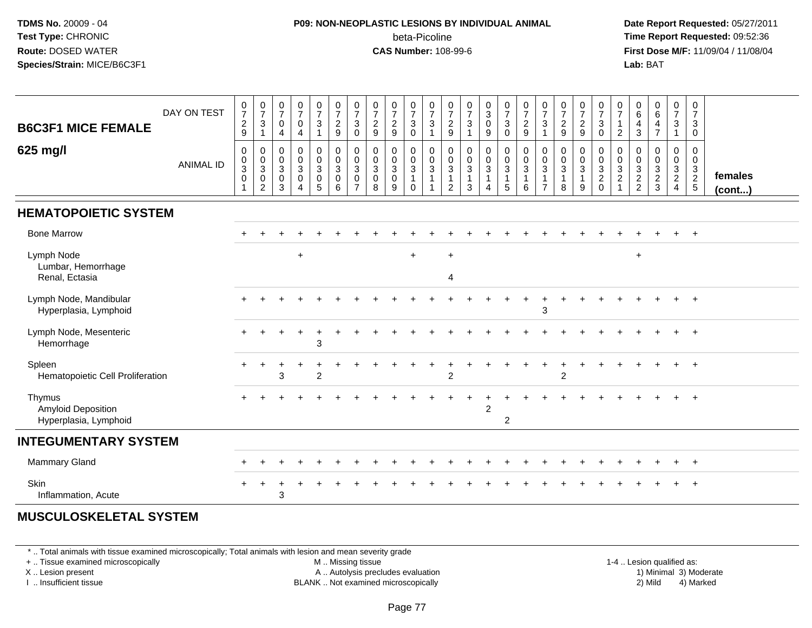#### **P09: NON-NEOPLASTIC LESIONS BY INDIVIDUAL ANIMAL** beta-Picoline**beta-Picoline**<br> **CAS Number:** 108-99-6<br> **CAS Number:** 108-99-6<br> **CAS Number:** 108-99-6

 **Date Report Requested:** 05/27/2011 **First Dose M/F:** 11/09/04 / 11/08/04<br>**Lab:** BAT **Lab:** BAT

| <b>B6C3F1 MICE FEMALE</b>                             | DAY ON TEST      | $\begin{array}{c} 0 \\ 7 \end{array}$<br>$\boldsymbol{2}$<br>$\boldsymbol{9}$ | $\frac{0}{7}$<br>3<br>$\mathbf 1$                    | $\frac{0}{7}$<br>0<br>$\overline{4}$                 | $\frac{0}{7}$<br>0<br>$\overline{4}$                              | $\frac{0}{7}$<br>3<br>1                              | $\frac{0}{7}$<br>$\frac{2}{9}$                                  | $\frac{0}{7}$<br>$\sqrt{3}$<br>$\mathbf 0$                                  | $\begin{array}{c} 0 \\ 7 \end{array}$<br>$\overline{2}$<br>$\boldsymbol{9}$ | $\frac{0}{7}$<br>$\overline{a}$<br>$\boldsymbol{9}$ | $\begin{array}{c} 0 \\ 7 \end{array}$<br>$\mathbf{3}$<br>0 | $\frac{0}{7}$<br>$\sqrt{3}$  | $\frac{0}{7}$<br>$\frac{2}{9}$                          | $\frac{0}{7}$<br>$\sqrt{3}$<br>$\mathbf{1}$               | $_3^0$<br>$\pmb{0}$<br>$\boldsymbol{9}$               | $\frac{0}{7}$<br>$_0^3$                                                  | $\begin{array}{c} 0 \\ 7 \end{array}$<br>$\overline{c}$<br>$\mathsf g$ | $\frac{0}{7}$<br>3                       | $\frac{0}{7}$<br>$\overline{2}$<br>$\boldsymbol{9}$                 | $\frac{0}{7}$<br>$\sqrt{2}$<br>$\boldsymbol{9}$         | $\frac{0}{7}$<br>$\mathbf{3}$<br>$\mathbf 0$                                | 0<br>$\overline{7}$<br>$\overline{c}$                                      | $_6^0$<br>$\overline{4}$<br>$\mathbf{3}$ | $_{6}^{\rm 0}$<br>$\overline{\mathbf{4}}$<br>$\overline{7}$ | $\mathbf 0$<br>$\overline{7}$<br>$\sqrt{3}$<br>$\mathbf{1}$ | 0<br>$\overline{7}$<br>3<br>$\mathbf 0$                        |                         |
|-------------------------------------------------------|------------------|-------------------------------------------------------------------------------|------------------------------------------------------|------------------------------------------------------|-------------------------------------------------------------------|------------------------------------------------------|-----------------------------------------------------------------|-----------------------------------------------------------------------------|-----------------------------------------------------------------------------|-----------------------------------------------------|------------------------------------------------------------|------------------------------|---------------------------------------------------------|-----------------------------------------------------------|-------------------------------------------------------|--------------------------------------------------------------------------|------------------------------------------------------------------------|------------------------------------------|---------------------------------------------------------------------|---------------------------------------------------------|-----------------------------------------------------------------------------|----------------------------------------------------------------------------|------------------------------------------|-------------------------------------------------------------|-------------------------------------------------------------|----------------------------------------------------------------|-------------------------|
| 625 mg/l                                              | <b>ANIMAL ID</b> | $\pmb{0}$<br>$\,0\,$<br>$\sqrt{3}$<br>$\pmb{0}$<br>$\mathbf{1}$               | 0<br>$\pmb{0}$<br>3<br>$\mathbf 0$<br>$\overline{c}$ | 0<br>$\pmb{0}$<br>$\mathfrak{S}$<br>$\mathbf 0$<br>3 | $\pmb{0}$<br>$\pmb{0}$<br>$\overline{3}$<br>$\boldsymbol{0}$<br>4 | 0<br>$\mathbf 0$<br>$\mathbf{3}$<br>$\mathbf 0$<br>5 | $\begin{smallmatrix}0\\0\\3\end{smallmatrix}$<br>$\pmb{0}$<br>6 | $\mathbf 0$<br>$\mathbf 0$<br>$\mathbf{3}$<br>$\mathbf 0$<br>$\overline{7}$ | $\mathbf 0$<br>$\boldsymbol{0}$<br>$\mathfrak{Z}$<br>$\boldsymbol{0}$<br>8  | 0<br>$\mathbf 0$<br>3<br>$\pmb{0}$<br>9             | 0<br>$\mathbf 0$<br>$\mathbf{3}$<br>$\mathbf{1}$<br>0      | 0<br>$\pmb{0}$<br>$\sqrt{3}$ | 0<br>$_{3}^{\rm 0}$<br>$\overline{1}$<br>$\overline{2}$ | $\pmb{0}$<br>$\pmb{0}$<br>$\sqrt{3}$<br>$\mathbf{1}$<br>3 | 0<br>$\mathbf 0$<br>$\mathbf{3}$<br>$\mathbf{1}$<br>4 | $\begin{smallmatrix} 0\\0 \end{smallmatrix}$<br>$\overline{3}$<br>1<br>5 | $\pmb{0}$<br>$\ddot{\mathbf{0}}$<br>$\mathbf{3}$<br>$\mathbf{1}$<br>6  | 0<br>0<br>$\mathbf{3}$<br>$\overline{ }$ | $\mathbf 0$<br>$\overline{0}$<br>$\overline{3}$<br>$\mathbf 1$<br>8 | 0<br>$\mathbf 0$<br>$\mathfrak{S}$<br>$\mathbf{1}$<br>9 | $\pmb{0}$<br>$\mathbf 0$<br>$\mathbf{3}$<br>$\boldsymbol{2}$<br>$\mathbf 0$ | $\mathbf 0$<br>$\pmb{0}$<br>$\mathbf{3}$<br>$\overline{c}$<br>$\mathbf{1}$ | 0<br>0<br>$\sqrt{3}$<br>$\frac{2}{2}$    | $\mathbf 0$<br>$\pmb{0}$<br>$\frac{3}{2}$                   | 0<br>$\mathbf 0$<br>$\frac{3}{2}$<br>$\overline{4}$         | $\mathbf 0$<br>$\mathbf 0$<br>$\frac{3}{2}$<br>$5\phantom{.0}$ | females<br>$($ cont $)$ |
| <b>HEMATOPOIETIC SYSTEM</b>                           |                  |                                                                               |                                                      |                                                      |                                                                   |                                                      |                                                                 |                                                                             |                                                                             |                                                     |                                                            |                              |                                                         |                                                           |                                                       |                                                                          |                                                                        |                                          |                                                                     |                                                         |                                                                             |                                                                            |                                          |                                                             |                                                             |                                                                |                         |
| <b>Bone Marrow</b>                                    |                  |                                                                               |                                                      |                                                      |                                                                   |                                                      |                                                                 |                                                                             |                                                                             |                                                     |                                                            |                              |                                                         |                                                           |                                                       |                                                                          |                                                                        |                                          |                                                                     |                                                         |                                                                             |                                                                            |                                          |                                                             |                                                             | $\ddot{}$                                                      |                         |
| Lymph Node<br>Lumbar, Hemorrhage<br>Renal, Ectasia    |                  |                                                                               |                                                      |                                                      | $\ddot{}$                                                         |                                                      |                                                                 |                                                                             |                                                                             |                                                     | $+$                                                        |                              | $+$<br>4                                                |                                                           |                                                       |                                                                          |                                                                        |                                          |                                                                     |                                                         |                                                                             |                                                                            | $+$                                      |                                                             |                                                             |                                                                |                         |
| Lymph Node, Mandibular<br>Hyperplasia, Lymphoid       |                  |                                                                               |                                                      |                                                      |                                                                   |                                                      |                                                                 |                                                                             |                                                                             |                                                     |                                                            |                              |                                                         |                                                           |                                                       |                                                                          |                                                                        | 3                                        |                                                                     |                                                         |                                                                             |                                                                            |                                          |                                                             |                                                             |                                                                |                         |
| Lymph Node, Mesenteric<br>Hemorrhage                  |                  |                                                                               |                                                      |                                                      |                                                                   | 3                                                    |                                                                 |                                                                             |                                                                             |                                                     |                                                            |                              |                                                         |                                                           |                                                       |                                                                          |                                                                        |                                          |                                                                     |                                                         |                                                                             |                                                                            |                                          |                                                             |                                                             | $+$                                                            |                         |
| Spleen<br>Hematopoietic Cell Proliferation            |                  |                                                                               |                                                      | 3                                                    |                                                                   | $\overline{2}$                                       |                                                                 |                                                                             |                                                                             |                                                     |                                                            |                              | $\overline{2}$                                          |                                                           |                                                       |                                                                          |                                                                        |                                          | $\overline{2}$                                                      |                                                         |                                                                             |                                                                            |                                          |                                                             |                                                             | $\ddot{}$                                                      |                         |
| Thymus<br>Amyloid Deposition<br>Hyperplasia, Lymphoid |                  |                                                                               |                                                      |                                                      |                                                                   |                                                      |                                                                 |                                                                             |                                                                             |                                                     |                                                            |                              |                                                         |                                                           | $\overline{2}$                                        | 2                                                                        |                                                                        |                                          |                                                                     |                                                         |                                                                             |                                                                            |                                          |                                                             |                                                             |                                                                |                         |
| <b>INTEGUMENTARY SYSTEM</b>                           |                  |                                                                               |                                                      |                                                      |                                                                   |                                                      |                                                                 |                                                                             |                                                                             |                                                     |                                                            |                              |                                                         |                                                           |                                                       |                                                                          |                                                                        |                                          |                                                                     |                                                         |                                                                             |                                                                            |                                          |                                                             |                                                             |                                                                |                         |
| <b>Mammary Gland</b>                                  |                  |                                                                               |                                                      |                                                      |                                                                   |                                                      |                                                                 |                                                                             |                                                                             |                                                     |                                                            |                              |                                                         |                                                           |                                                       |                                                                          |                                                                        |                                          |                                                                     |                                                         |                                                                             |                                                                            |                                          |                                                             |                                                             | $^{+}$                                                         |                         |
| Skin<br>Inflammation, Acute                           |                  |                                                                               |                                                      | 3                                                    |                                                                   |                                                      |                                                                 |                                                                             |                                                                             |                                                     |                                                            |                              |                                                         |                                                           |                                                       |                                                                          |                                                                        |                                          |                                                                     |                                                         |                                                                             |                                                                            |                                          |                                                             |                                                             | $\overline{ }$                                                 |                         |

### **MUSCULOSKELETAL SYSTEM**

\* .. Total animals with tissue examined microscopically; Total animals with lesion and mean severity grade

+ .. Tissue examined microscopically

X .. Lesion present

I .. Insufficient tissue

M .. Missing tissue

A .. Autolysis precludes evaluation

BLANK .. Not examined microscopically 2) Mild 4) Marked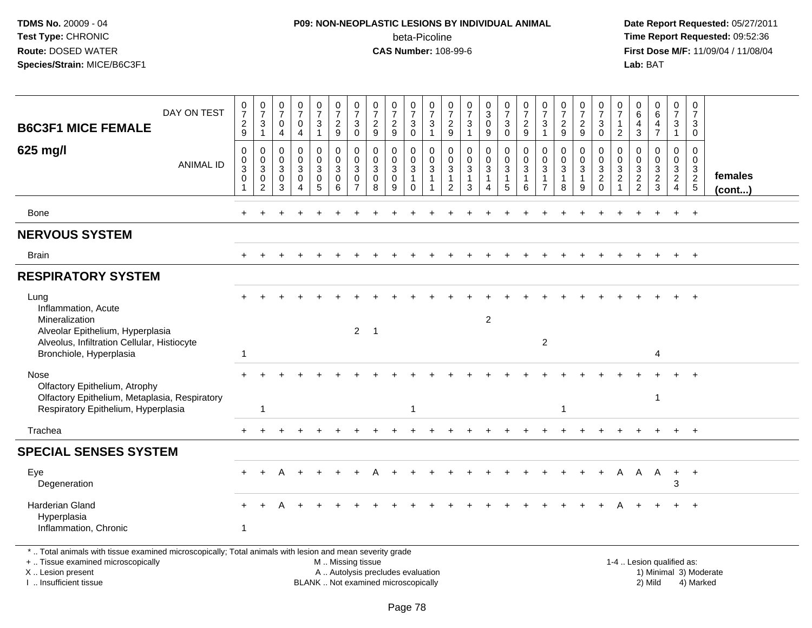# **P09: NON-NEOPLASTIC LESIONS BY INDIVIDUAL ANIMAL**beta-Picoline<br>CAS Number: 108-99-6

 **Date Report Requested:** 05/27/2011 **Time Report Requested:** 09:52:36 **First Dose M/F:** 11/09/04 / 11/08/04<br>**Lab:** BAT **Lab:** BAT

| <b>B6C3F1 MICE FEMALE</b>                                                                                                                                           | DAY ON TEST      | $\frac{0}{7}$<br>$\frac{2}{9}$                   | $\frac{0}{7}$<br>3<br>$\overline{1}$                                      | $\frac{0}{7}$<br>$\mathbf 0$<br>$\overline{4}$         | $\frac{0}{7}$<br>0<br>$\overline{4}$                 | $\frac{0}{7}$<br>$\mathbf{3}$<br>$\mathbf{1}$ | $\frac{0}{7}$<br>$\frac{2}{9}$                         | $\frac{0}{7}$<br>$_{0}^{3}$                                                              | $\frac{0}{7}$<br>$\frac{2}{9}$                               | $\frac{0}{7}$<br>$\overline{c}$<br>$\mathsf g$ | $\frac{0}{7}$<br>$\mathbf{3}$<br>$\mathbf 0$                          | $\frac{0}{7}$<br>$\mathbf{3}$<br>$\mathbf{1}$                      | $\frac{0}{7}$<br>$\frac{2}{9}$                                               | $\frac{0}{7}$<br>$\sqrt{3}$<br>$\overline{1}$                   | $\frac{0}{3}$<br>$\pmb{0}$<br>$\overline{9}$                                | $\frac{0}{7}$<br>$\mathbf{3}$<br>$\overline{0}$      | $\frac{0}{7}$<br>$\frac{2}{9}$             | $\frac{0}{7}$<br>$\sqrt{3}$<br>$\overline{1}$                  | $\frac{0}{7}$<br>$\frac{2}{9}$                      | $\frac{0}{7}$<br>$\sqrt{2}$<br>$9\,$          | 0<br>$\overline{7}$<br>$\mathbf{3}$<br>$\mathbf 0$ | 0<br>$\overline{7}$<br>$\mathbf{1}$<br>$\overline{2}$                          | 0<br>$\,6\,$<br>$\overline{4}$<br>$\mathbf{3}$         | $\begin{array}{c} 0 \\ 6 \end{array}$<br>4<br>$\overline{7}$ | $\begin{array}{c} 0 \\ 7 \end{array}$<br>$\sqrt{3}$<br>$\mathbf{1}$ | 0<br>$\overline{7}$<br>3<br>$\mathbf 0$                   |                        |
|---------------------------------------------------------------------------------------------------------------------------------------------------------------------|------------------|--------------------------------------------------|---------------------------------------------------------------------------|--------------------------------------------------------|------------------------------------------------------|-----------------------------------------------|--------------------------------------------------------|------------------------------------------------------------------------------------------|--------------------------------------------------------------|------------------------------------------------|-----------------------------------------------------------------------|--------------------------------------------------------------------|------------------------------------------------------------------------------|-----------------------------------------------------------------|-----------------------------------------------------------------------------|------------------------------------------------------|--------------------------------------------|----------------------------------------------------------------|-----------------------------------------------------|-----------------------------------------------|----------------------------------------------------|--------------------------------------------------------------------------------|--------------------------------------------------------|--------------------------------------------------------------|---------------------------------------------------------------------|-----------------------------------------------------------|------------------------|
| 625 mg/l                                                                                                                                                            | <b>ANIMAL ID</b> | $\mathsf 0$<br>0<br>$\mathbf{3}$<br>$\mathbf{0}$ | $\mathbf 0$<br>$\mathbf 0$<br>$\sqrt{3}$<br>$\mathbf 0$<br>$\overline{c}$ | $\Omega$<br>$\Omega$<br>$\sqrt{3}$<br>$\mathbf 0$<br>3 | $\mathbf 0$<br>0<br>$\mathbf{3}$<br>$\mathbf 0$<br>4 | $\mathbf 0$<br>0<br>3<br>0<br>5               | 0<br>0<br>$\sqrt{3}$<br>$\mathbf 0$<br>6               | $\mathbf 0$<br>$\mathbf 0$<br>$\ensuremath{\mathsf{3}}$<br>$\mathbf 0$<br>$\overline{7}$ | $\mathbf 0$<br>$\mathbf 0$<br>$\sqrt{3}$<br>$\mathbf 0$<br>8 | $\mathbf 0$<br>0<br>3<br>$\mathbf 0$<br>9      | $\mathbf 0$<br>$\mathbf 0$<br>$\mathsf 3$<br>$\mathbf{1}$<br>$\Omega$ | $\mathbf 0$<br>$\mathsf{O}\xspace$<br>$\mathbf{3}$<br>$\mathbf{1}$ | $\mathbf 0$<br>$\mathbf 0$<br>$\mathbf{3}$<br>$\mathbf{1}$<br>$\overline{2}$ | $\mathbf 0$<br>$\mathbf 0$<br>$\sqrt{3}$<br>$\overline{1}$<br>3 | $\mathbf 0$<br>$\mathbf 0$<br>$\mathsf 3$<br>$\mathbf{1}$<br>$\overline{A}$ | $\mathbf 0$<br>$\mathbf 0$<br>3<br>$\mathbf{1}$<br>5 | $\mathbf 0$<br>0<br>3<br>$\mathbf{1}$<br>6 | $\Omega$<br>$\mathbf 0$<br>3<br>$\mathbf{1}$<br>$\overline{7}$ | $\mathbf 0$<br>0<br>$\sqrt{3}$<br>$\mathbf{1}$<br>8 | 0<br>0<br>$\mathbf{3}$<br>$\overline{1}$<br>9 | $\mathbf 0$<br>$\mathbf 0$<br>$\sqrt{3}$<br>$^2_0$ | $\mathbf 0$<br>$\mathbf 0$<br>$\ensuremath{\mathsf{3}}$<br>$\overline{c}$<br>1 | $\Omega$<br>$\mathbf 0$<br>$\sqrt{3}$<br>$\frac{2}{2}$ | $\mathbf 0$<br>$\mathbf 0$<br>3<br>$\frac{2}{3}$             | $\mathbf 0$<br>$\mathbf 0$<br>$\frac{3}{2}$                         | $\mathbf 0$<br>$\mathbf 0$<br>$\sqrt{3}$<br>$\frac{2}{5}$ | females<br>(cont)      |
| Bone                                                                                                                                                                |                  | $\pm$                                            | $\ddot{}$                                                                 | $\div$                                                 | $\pm$                                                | $\pm$                                         | $\div$                                                 | +                                                                                        | ÷                                                            | $\div$                                         |                                                                       | $\div$                                                             | +                                                                            |                                                                 | $\ddot{}$                                                                   |                                                      | $\ddot{}$                                  | $\ddot{}$                                                      | $\ddot{}$                                           | $\pm$                                         | $\div$                                             | $\ddot{}$                                                                      | $\ddot{}$                                              | $\ddot{}$                                                    | $\ddot{}$                                                           | $+$                                                       |                        |
| <b>NERVOUS SYSTEM</b>                                                                                                                                               |                  |                                                  |                                                                           |                                                        |                                                      |                                               |                                                        |                                                                                          |                                                              |                                                |                                                                       |                                                                    |                                                                              |                                                                 |                                                                             |                                                      |                                            |                                                                |                                                     |                                               |                                                    |                                                                                |                                                        |                                                              |                                                                     |                                                           |                        |
| <b>Brain</b>                                                                                                                                                        |                  |                                                  |                                                                           |                                                        |                                                      |                                               |                                                        |                                                                                          |                                                              |                                                |                                                                       |                                                                    |                                                                              |                                                                 |                                                                             |                                                      |                                            |                                                                |                                                     |                                               |                                                    |                                                                                |                                                        |                                                              | $+$                                                                 | $+$                                                       |                        |
| <b>RESPIRATORY SYSTEM</b>                                                                                                                                           |                  |                                                  |                                                                           |                                                        |                                                      |                                               |                                                        |                                                                                          |                                                              |                                                |                                                                       |                                                                    |                                                                              |                                                                 |                                                                             |                                                      |                                            |                                                                |                                                     |                                               |                                                    |                                                                                |                                                        |                                                              |                                                                     |                                                           |                        |
| Lung<br>Inflammation, Acute<br>Mineralization<br>Alveolar Epithelium, Hyperplasia<br>Alveolus, Infiltration Cellular, Histiocyte<br>Bronchiole, Hyperplasia         |                  | $\mathbf{1}$                                     |                                                                           |                                                        |                                                      |                                               |                                                        | $\overline{2}$                                                                           | $\overline{1}$                                               |                                                |                                                                       |                                                                    |                                                                              |                                                                 | $\overline{c}$                                                              |                                                      |                                            | $\overline{2}$                                                 |                                                     |                                               |                                                    |                                                                                |                                                        | $\overline{4}$                                               |                                                                     |                                                           |                        |
| Nose<br>Olfactory Epithelium, Atrophy<br>Olfactory Epithelium, Metaplasia, Respiratory<br>Respiratory Epithelium, Hyperplasia                                       |                  |                                                  | 1                                                                         |                                                        |                                                      |                                               |                                                        |                                                                                          |                                                              |                                                | 1                                                                     |                                                                    |                                                                              |                                                                 |                                                                             |                                                      |                                            |                                                                | 1                                                   |                                               |                                                    |                                                                                |                                                        | $\mathbf{1}$                                                 |                                                                     |                                                           |                        |
| Trachea                                                                                                                                                             |                  |                                                  |                                                                           |                                                        |                                                      |                                               |                                                        |                                                                                          |                                                              |                                                |                                                                       |                                                                    |                                                                              |                                                                 |                                                                             |                                                      |                                            |                                                                |                                                     |                                               |                                                    |                                                                                |                                                        |                                                              |                                                                     | $+$                                                       |                        |
| <b>SPECIAL SENSES SYSTEM</b>                                                                                                                                        |                  |                                                  |                                                                           |                                                        |                                                      |                                               |                                                        |                                                                                          |                                                              |                                                |                                                                       |                                                                    |                                                                              |                                                                 |                                                                             |                                                      |                                            |                                                                |                                                     |                                               |                                                    |                                                                                |                                                        |                                                              |                                                                     |                                                           |                        |
| Eye<br>Degeneration                                                                                                                                                 |                  |                                                  |                                                                           |                                                        |                                                      |                                               |                                                        |                                                                                          |                                                              |                                                |                                                                       |                                                                    |                                                                              |                                                                 |                                                                             |                                                      |                                            |                                                                |                                                     |                                               |                                                    | A                                                                              | $\mathsf{A}$                                           | $\overline{A}$                                               | $+$<br>3                                                            | $+$                                                       |                        |
| <b>Harderian Gland</b><br>Hyperplasia<br>Inflammation, Chronic                                                                                                      |                  | $\mathbf{1}$                                     |                                                                           |                                                        |                                                      |                                               |                                                        |                                                                                          |                                                              |                                                |                                                                       |                                                                    |                                                                              |                                                                 |                                                                             |                                                      |                                            |                                                                |                                                     |                                               |                                                    |                                                                                |                                                        |                                                              |                                                                     |                                                           |                        |
| *  Total animals with tissue examined microscopically; Total animals with lesion and mean severity grade<br>+  Tissue examined microscopically<br>X  Lesion present |                  |                                                  |                                                                           |                                                        |                                                      |                                               | M  Missing tissue<br>A  Autolysis precludes evaluation |                                                                                          |                                                              |                                                |                                                                       |                                                                    |                                                                              |                                                                 |                                                                             |                                                      |                                            |                                                                |                                                     |                                               |                                                    |                                                                                |                                                        | 1-4  Lesion qualified as:                                    |                                                                     |                                                           | 1) Minimal 3) Moderate |

I .. Insufficient tissue

BLANK .. Not examined microscopically 2) Mild 4) Marked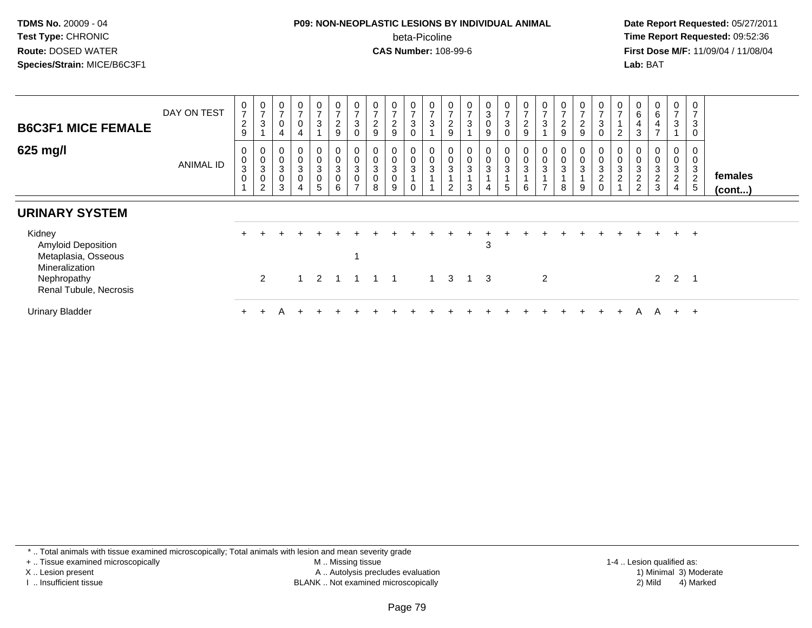### **P09: NON-NEOPLASTIC LESIONS BY INDIVIDUAL ANIMAL** beta-Picoline**beta-Picoline**<br> **CAS Number:** 108-99-6<br> **CAS Number:** 108-99-6<br> **CAS Number:** 108-99-6

 **Date Report Requested:** 05/27/2011 **First Dose M/F:** 11/09/04 / 11/08/04<br>**Lab:** BAT **Lab:** BAT

| <b>B6C3F1 MICE FEMALE</b>                                             | DAY ON TEST | $\frac{0}{7}$<br>$\frac{2}{9}$              | $\frac{0}{7}$<br>$\ensuremath{\mathsf{3}}$                         | $\frac{0}{7}$<br>$\pmb{0}$                                                                  | $\frac{0}{7}$<br>$\pmb{0}$ | $\frac{0}{7}$<br>$\mathbf 3$                        | $\frac{0}{7}$<br>$\overline{c}$<br>9 | $\mathbf 0$<br>$\overline{ }$<br>$\mathbf 3$<br>$\mathbf{0}$                     | $\frac{0}{7}$<br>$\frac{2}{9}$                                                              | $\frac{0}{7}$<br>$\overline{c}$<br>9             | $\frac{0}{7}$<br>3       | $\frac{0}{7}$<br>$\sqrt{3}$                                              | $\frac{0}{7}$<br>$\frac{2}{9}$                     | $\frac{0}{7}$<br>$\mathbf{3}$                                        | $\frac{0}{3}$<br>0<br>9       | $\frac{0}{7}$<br>$\mathbf{3}$                                                                    | $\frac{0}{7}$<br>$\overline{a}$<br>9 | $\frac{0}{7}$<br>$\mathbf 3$                                                  | $\frac{0}{7}$<br>$\sqrt{2}$<br>$\overline{9}$ | $\frac{0}{7}$<br>$\frac{2}{9}$                       | $\frac{0}{7}$<br>$\sqrt{3}$<br>$\mathbf 0$                                  | $\frac{0}{7}$<br>$\overline{2}$                                                        | $\begin{matrix}0\\6\end{matrix}$<br>$\overline{\mathbf{4}}$<br>3 | 0<br>6<br>$\overline{\mathbf{4}}$<br>$\rightarrow$ | $\begin{array}{c} 0 \\ 7 \end{array}$<br>$\mathbf{3}$       | 0<br>$\overline{ }$<br>3<br>$\Omega$              |                   |
|-----------------------------------------------------------------------|-------------|---------------------------------------------|--------------------------------------------------------------------|---------------------------------------------------------------------------------------------|----------------------------|-----------------------------------------------------|--------------------------------------|----------------------------------------------------------------------------------|---------------------------------------------------------------------------------------------|--------------------------------------------------|--------------------------|--------------------------------------------------------------------------|----------------------------------------------------|----------------------------------------------------------------------|-------------------------------|--------------------------------------------------------------------------------------------------|--------------------------------------|-------------------------------------------------------------------------------|-----------------------------------------------|------------------------------------------------------|-----------------------------------------------------------------------------|----------------------------------------------------------------------------------------|------------------------------------------------------------------|----------------------------------------------------|-------------------------------------------------------------|---------------------------------------------------|-------------------|
| 625 mg/l                                                              | ANIMAL ID   | 0<br>$\pmb{0}$<br>$\sqrt{3}$<br>$\mathbf 0$ | $\begin{matrix}0\\0\\3\end{matrix}$<br>$\pmb{0}$<br>$\overline{2}$ | $\begin{smallmatrix} 0\\0 \end{smallmatrix}$<br>$\ensuremath{\mathsf{3}}$<br>$\pmb{0}$<br>3 | 0003004                    | $\begin{matrix} 0 \\ 0 \\ 3 \end{matrix}$<br>0<br>5 | $_{0}^{0}$<br>$\frac{3}{0}$<br>6     | 0<br>$\pmb{0}$<br>$\ensuremath{\mathsf{3}}$<br>$\boldsymbol{0}$<br>$\rightarrow$ | $\begin{matrix} 0 \\ 0 \end{matrix}$<br>$\begin{smallmatrix} 3 \\ 0 \end{smallmatrix}$<br>8 | $_0^0$<br>$\sqrt{3}$<br>$\mathsf{O}\xspace$<br>9 | $_0^0$<br>$\overline{3}$ | $\begin{smallmatrix}0\0\0\end{smallmatrix}$<br>$\ensuremath{\mathsf{3}}$ | $\begin{smallmatrix}0\\0\\3\end{smallmatrix}$<br>2 | $\begin{smallmatrix} 0\\0\\3 \end{smallmatrix}$<br>$\mathbf{1}$<br>3 | $_0^0$<br>$\overline{3}$<br>4 | $\begin{smallmatrix} 0\\0 \end{smallmatrix}$<br>$\ensuremath{\mathsf{3}}$<br>$\overline{A}$<br>5 | $_0^0$<br>3<br>6                     | $\begin{smallmatrix} 0\\0 \end{smallmatrix}$<br>$\mathbf 3$<br>$\overline{ }$ | $_0^0$<br>$\overline{3}$<br>8                 | $\begin{smallmatrix} 0\\0\\3 \end{smallmatrix}$<br>9 | $\begin{smallmatrix}0\0\0\end{smallmatrix}$<br>$\frac{3}{2}$<br>$\mathbf 0$ | $\begin{smallmatrix}0\0\0\end{smallmatrix}$<br>$\ensuremath{\mathsf{3}}$<br>$\sqrt{2}$ | $\begin{matrix} 0 \\ 0 \end{matrix}$<br>3<br>$\frac{2}{2}$       | 0<br>$\mathbf 0$<br>3<br>$\frac{2}{3}$             | $\pmb{0}$<br>$\sqrt{3}$<br>$\overline{c}$<br>$\overline{4}$ | 0<br>$\mathbf 0$<br>3<br>$\sqrt{2}$<br>$\sqrt{5}$ | females<br>(cont) |
| <b>URINARY SYSTEM</b>                                                 |             |                                             |                                                                    |                                                                                             |                            |                                                     |                                      |                                                                                  |                                                                                             |                                                  |                          |                                                                          |                                                    |                                                                      |                               |                                                                                                  |                                      |                                                                               |                                               |                                                      |                                                                             |                                                                                        |                                                                  |                                                    |                                                             |                                                   |                   |
| Kidney<br>Amyloid Deposition<br>Metaplasia, Osseous<br>Mineralization |             | $+$                                         |                                                                    |                                                                                             |                            |                                                     |                                      |                                                                                  |                                                                                             |                                                  |                          |                                                                          |                                                    |                                                                      | 3                             |                                                                                                  |                                      |                                                                               |                                               |                                                      |                                                                             |                                                                                        |                                                                  |                                                    | $+$ $+$                                                     |                                                   |                   |
| Nephropathy<br>Renal Tubule, Necrosis                                 |             |                                             | $\overline{2}$                                                     |                                                                                             |                            | 2                                                   |                                      |                                                                                  |                                                                                             | -1                                               |                          | $1 \quad$                                                                | $\mathbf{3}$                                       | $1 \quad 3$                                                          |                               |                                                                                                  |                                      | $\overline{2}$                                                                |                                               |                                                      |                                                                             |                                                                                        |                                                                  | $2^{\circ}$                                        | $\overline{2}$                                              | - 1                                               |                   |
| <b>Urinary Bladder</b>                                                |             |                                             |                                                                    |                                                                                             |                            |                                                     |                                      |                                                                                  |                                                                                             |                                                  |                          |                                                                          |                                                    |                                                                      |                               |                                                                                                  |                                      |                                                                               |                                               |                                                      |                                                                             |                                                                                        | A                                                                | $\mathsf{A}$                                       | $+$                                                         | $+$                                               |                   |

\* .. Total animals with tissue examined microscopically; Total animals with lesion and mean severity grade

+ .. Tissue examined microscopically

X .. Lesion present

I .. Insufficient tissue

 M .. Missing tissueA .. Autolysis precludes evaluation

BLANK .. Not examined microscopically 2) Mild 4) Marked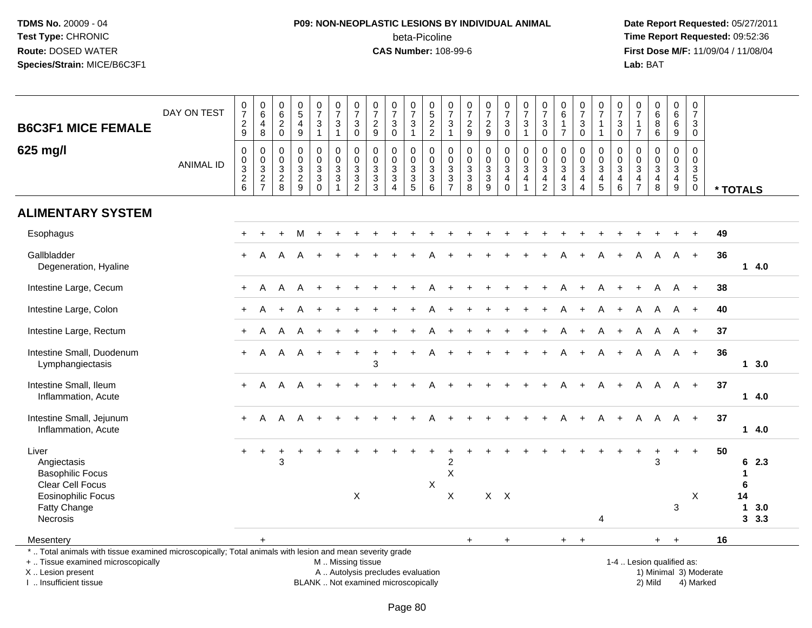# **P09: NON-NEOPLASTIC LESIONS BY INDIVIDUAL ANIMAL**beta-Picoline<br>CAS Number: 108-99-6

| <b>B6C3F1 MICE FEMALE</b>                                                                                                                                                                     | DAY ON TEST      | $\begin{array}{c} 0 \\ 7 \end{array}$<br>$\frac{2}{9}$ | $\begin{array}{c} 0 \\ 6 \end{array}$<br>$\overline{\mathbf{4}}$<br>8 | $\begin{array}{c} 0 \\ 6 \end{array}$<br>$\sqrt{2}$<br>$\mathbf 0$ | $\begin{array}{c} 0 \\ 5 \end{array}$<br>$\overline{\mathbf{4}}$<br>$\boldsymbol{9}$ | $\frac{0}{7}$<br>$\mathbf{3}$<br>$\mathbf{1}$ | $\frac{0}{7}$<br>$\frac{3}{1}$                                            | $\frac{0}{7}$<br>$\ensuremath{\mathsf{3}}$<br>$\pmb{0}$       | $\begin{array}{c} 0 \\ 7 \end{array}$<br>$\frac{2}{9}$                   | $\begin{array}{c} 0 \\ 7 \end{array}$<br>$\ensuremath{\mathsf{3}}$<br>$\mathbf 0$ | $\frac{0}{7}$<br>$\ensuremath{\mathsf{3}}$<br>$\mathbf{1}$ | $0$<br>5<br>2<br>2<br>2                                      | $\frac{0}{7}$<br>$\ensuremath{\mathsf{3}}$<br>$\mathbf{1}$                   | $\frac{0}{7}$<br>$\frac{2}{9}$                               | $\begin{smallmatrix}0\\7\end{smallmatrix}$<br>$\frac{2}{9}$         | $\begin{array}{c} 0 \\ 7 \end{array}$<br>$\ensuremath{\mathsf{3}}$<br>$\mathbf 0$ | $\frac{0}{7}$<br>$\sqrt{3}$<br>$\mathbf{1}$                                    | $\frac{0}{7}$<br>$\ensuremath{\mathsf{3}}$<br>$\mathbf 0$ | $\begin{array}{c} 0 \\ 6 \end{array}$<br>$\mathbf{1}$<br>$\overline{7}$ | $\frac{0}{7}$<br>$\ensuremath{\mathsf{3}}$<br>$\mathbf 0$                                | $\frac{0}{7}$<br>$\overline{1}$                                  | $\frac{0}{7}$<br>$_{0}^{3}$                                               | 0<br>$\overline{7}$<br>$\mathbf{1}$<br>$\overline{7}$ | $\mathbf 0$<br>$\,6\,$<br>8<br>$\,6\,$                              | $_{6}^{\rm 0}$<br>$\,6\,$<br>9                                     | 0<br>$\frac{5}{7}$<br>$\ensuremath{\mathsf{3}}$<br>$\mathbf 0$                         |    |                   |               |
|-----------------------------------------------------------------------------------------------------------------------------------------------------------------------------------------------|------------------|--------------------------------------------------------|-----------------------------------------------------------------------|--------------------------------------------------------------------|--------------------------------------------------------------------------------------|-----------------------------------------------|---------------------------------------------------------------------------|---------------------------------------------------------------|--------------------------------------------------------------------------|-----------------------------------------------------------------------------------|------------------------------------------------------------|--------------------------------------------------------------|------------------------------------------------------------------------------|--------------------------------------------------------------|---------------------------------------------------------------------|-----------------------------------------------------------------------------------|--------------------------------------------------------------------------------|-----------------------------------------------------------|-------------------------------------------------------------------------|------------------------------------------------------------------------------------------|------------------------------------------------------------------|---------------------------------------------------------------------------|-------------------------------------------------------|---------------------------------------------------------------------|--------------------------------------------------------------------|----------------------------------------------------------------------------------------|----|-------------------|---------------|
| 625 mg/l                                                                                                                                                                                      | <b>ANIMAL ID</b> | $\mathbf 0$<br>$_{3}^{\rm 0}$<br>$\frac{2}{6}$         | $\mathbf 0$<br>$\begin{array}{c} 0 \\ 3 \\ 2 \\ 7 \end{array}$        | $\mathbf 0$<br>0<br>$\sqrt{3}$<br>$\overline{c}$<br>$\,8\,$        | $\mathbf 0$<br>$\mathsf 0$<br>$\ensuremath{\mathsf{3}}$<br>$\frac{2}{9}$             | $\mathbf 0$<br>$\mathsf{O}$<br>3<br>3<br>0    | $\pmb{0}$<br>$\mathbf 0$<br>$\overline{3}$<br>$\mathsf 3$<br>$\mathbf{1}$ | $\mathbf 0$<br>$\mathbf 0$<br>$\overline{3}$<br>$\frac{3}{2}$ | $\mathbf 0$<br>$\mathbf 0$<br>$\mathbf 3$<br>$\frac{3}{3}$               | $\mathbf 0$<br>$\mathbf 0$<br>$\mathsf 3$<br>$\sqrt{3}$<br>$\boldsymbol{\Lambda}$ | 0<br>$\mathbf 0$<br>3<br>$\frac{3}{5}$                     | $\pmb{0}$<br>$\frac{0}{3}$<br>$\ensuremath{\mathsf{3}}$<br>6 | $\mathbf 0$<br>$\mathbf 0$<br>$\mathbf{3}$<br>$\mathbf{3}$<br>$\overline{7}$ | 0<br>$\pmb{0}$<br>$\ensuremath{\mathsf{3}}$<br>$\frac{3}{8}$ | $\pmb{0}$<br>$\mathsf{O}\xspace$<br>$\overline{3}$<br>$\frac{3}{9}$ | 0<br>$\mathbf 0$<br>$\mathbf{3}$<br>4<br>$\mathbf 0$                              | $\mathbf 0$<br>$\mathbf 0$<br>$\overline{3}$<br>$\overline{4}$<br>$\mathbf{1}$ | 0<br>$\pmb{0}$<br>3<br>4<br>$\overline{c}$                | $\mathbf 0$<br>$\pmb{0}$<br>$\overline{3}$<br>$\frac{4}{3}$             | 0<br>$\pmb{0}$<br>$\ensuremath{\mathsf{3}}$<br>$\overline{\mathbf{4}}$<br>$\overline{4}$ | 0<br>$\mathbf 0$<br>$\mathbf{3}$<br>$\overline{4}$<br>$\sqrt{5}$ | $\mathbf 0$<br>$\mathbf 0$<br>$\overline{3}$<br>$\overline{4}$<br>$\,6\,$ | 0<br>$\mathbf 0$<br>3<br>4<br>$\overline{7}$          | $\Omega$<br>$\mathbf 0$<br>$\mathbf{3}$<br>$\overline{4}$<br>$\bf8$ | $\mathbf 0$<br>$\mathsf{O}$<br>$\mathbf{3}$<br>$\overline{4}$<br>9 | $\mathbf 0$<br>$\mathsf{O}\xspace$<br>$\overline{3}$<br>$5\phantom{.0}$<br>$\mathbf 0$ |    | * TOTALS          |               |
| <b>ALIMENTARY SYSTEM</b>                                                                                                                                                                      |                  |                                                        |                                                                       |                                                                    |                                                                                      |                                               |                                                                           |                                                               |                                                                          |                                                                                   |                                                            |                                                              |                                                                              |                                                              |                                                                     |                                                                                   |                                                                                |                                                           |                                                                         |                                                                                          |                                                                  |                                                                           |                                                       |                                                                     |                                                                    |                                                                                        |    |                   |               |
| Esophagus                                                                                                                                                                                     |                  |                                                        |                                                                       |                                                                    |                                                                                      |                                               |                                                                           |                                                               |                                                                          |                                                                                   |                                                            |                                                              |                                                                              |                                                              |                                                                     |                                                                                   |                                                                                |                                                           |                                                                         |                                                                                          |                                                                  |                                                                           |                                                       |                                                                     |                                                                    |                                                                                        | 49 |                   |               |
| Gallbladder<br>Degeneration, Hyaline                                                                                                                                                          |                  | $+$                                                    | A                                                                     | A                                                                  |                                                                                      |                                               |                                                                           |                                                               |                                                                          |                                                                                   |                                                            |                                                              |                                                                              |                                                              |                                                                     |                                                                                   |                                                                                |                                                           |                                                                         |                                                                                          | А                                                                |                                                                           | Α                                                     | A                                                                   | Α                                                                  | $+$                                                                                    | 36 |                   | 14.0          |
| Intestine Large, Cecum                                                                                                                                                                        |                  | $+$                                                    | A                                                                     | A                                                                  |                                                                                      |                                               |                                                                           |                                                               |                                                                          |                                                                                   |                                                            |                                                              |                                                                              |                                                              |                                                                     |                                                                                   |                                                                                |                                                           |                                                                         | $\ddot{}$                                                                                | A                                                                |                                                                           | $\ddot{}$                                             |                                                                     | A                                                                  | $+$                                                                                    | 38 |                   |               |
| Intestine Large, Colon                                                                                                                                                                        |                  | $\ddot{}$                                              | A                                                                     | $\ddot{}$                                                          |                                                                                      | $\overline{1}$                                |                                                                           |                                                               |                                                                          |                                                                                   |                                                            |                                                              | $\ddot{}$                                                                    |                                                              |                                                                     | $\div$                                                                            |                                                                                | ÷                                                         | А                                                                       | $\ddot{}$                                                                                | A                                                                | $+$                                                                       | A                                                     | A                                                                   | A                                                                  | $+$                                                                                    | 40 |                   |               |
| Intestine Large, Rectum                                                                                                                                                                       |                  | $\ddot{}$                                              | A                                                                     | A                                                                  |                                                                                      |                                               |                                                                           |                                                               |                                                                          |                                                                                   |                                                            |                                                              |                                                                              |                                                              |                                                                     |                                                                                   |                                                                                |                                                           |                                                                         |                                                                                          |                                                                  |                                                                           | A                                                     | A                                                                   | A                                                                  | $+$                                                                                    | 37 |                   |               |
| Intestine Small, Duodenum<br>Lymphangiectasis                                                                                                                                                 |                  | $\ddot{}$                                              | A                                                                     | A                                                                  | A                                                                                    | $\ddot{}$                                     | $\ddot{}$                                                                 | $\ddot{}$                                                     | 3                                                                        |                                                                                   | $\ddot{}$                                                  | A                                                            |                                                                              |                                                              |                                                                     |                                                                                   |                                                                                |                                                           |                                                                         | $\ddot{}$                                                                                | A                                                                | $\ddot{}$                                                                 | A                                                     | A                                                                   | A                                                                  | $+$                                                                                    | 36 |                   | 13.0          |
| Intestine Small, Ileum<br>Inflammation, Acute                                                                                                                                                 |                  | $+$                                                    |                                                                       |                                                                    |                                                                                      |                                               |                                                                           |                                                               |                                                                          |                                                                                   |                                                            |                                                              |                                                                              |                                                              |                                                                     |                                                                                   |                                                                                |                                                           |                                                                         |                                                                                          |                                                                  |                                                                           | A                                                     | A                                                                   | A                                                                  | $+$                                                                                    | 37 |                   | 14.0          |
| Intestine Small, Jejunum<br>Inflammation, Acute                                                                                                                                               |                  | $+$                                                    | A                                                                     | A                                                                  |                                                                                      |                                               |                                                                           |                                                               |                                                                          |                                                                                   |                                                            |                                                              |                                                                              |                                                              |                                                                     |                                                                                   |                                                                                |                                                           |                                                                         |                                                                                          | A                                                                |                                                                           | A                                                     | A                                                                   | A                                                                  | $+$                                                                                    | 37 |                   | 14.0          |
| Liver<br>Angiectasis<br><b>Basophilic Focus</b><br>Clear Cell Focus<br><b>Eosinophilic Focus</b>                                                                                              |                  |                                                        |                                                                       | 3                                                                  |                                                                                      |                                               |                                                                           | X                                                             |                                                                          |                                                                                   |                                                            | $\times$                                                     | 2<br>X<br>X                                                                  |                                                              | $X$ $X$                                                             |                                                                                   |                                                                                |                                                           |                                                                         |                                                                                          |                                                                  |                                                                           |                                                       | 3                                                                   |                                                                    | $+$<br>Χ                                                                               | 50 | 6<br>1<br>6<br>14 | 2.3           |
| Fatty Change<br>Necrosis                                                                                                                                                                      |                  |                                                        |                                                                       |                                                                    |                                                                                      |                                               |                                                                           |                                                               |                                                                          |                                                                                   |                                                            |                                                              |                                                                              |                                                              |                                                                     |                                                                                   |                                                                                |                                                           |                                                                         |                                                                                          | 4                                                                |                                                                           |                                                       |                                                                     | 3                                                                  |                                                                                        |    | $\mathbf 1$       | 3.0<br>3, 3.3 |
| Mesentery                                                                                                                                                                                     |                  |                                                        | $\ddot{}$                                                             |                                                                    |                                                                                      |                                               |                                                                           |                                                               |                                                                          |                                                                                   |                                                            |                                                              |                                                                              | $+$                                                          |                                                                     | $\ddot{}$                                                                         |                                                                                |                                                           |                                                                         | $+$ $+$                                                                                  |                                                                  |                                                                           |                                                       | $+$                                                                 | $+$                                                                |                                                                                        | 16 |                   |               |
| *  Total animals with tissue examined microscopically; Total animals with lesion and mean severity grade<br>+  Tissue examined microscopically<br>X  Lesion present<br>I. Insufficient tissue |                  |                                                        |                                                                       |                                                                    |                                                                                      |                                               | M  Missing tissue                                                         |                                                               | A  Autolysis precludes evaluation<br>BLANK  Not examined microscopically |                                                                                   |                                                            |                                                              |                                                                              |                                                              |                                                                     |                                                                                   |                                                                                |                                                           |                                                                         |                                                                                          |                                                                  |                                                                           |                                                       | 1-4  Lesion qualified as:<br>2) Mild                                |                                                                    | 1) Minimal 3) Moderate<br>4) Marked                                                    |    |                   |               |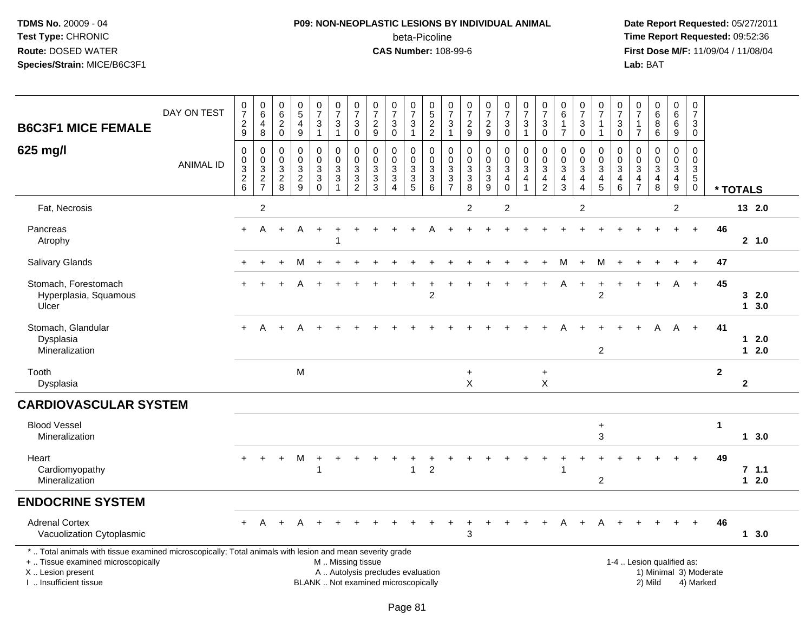# **P09: NON-NEOPLASTIC LESIONS BY INDIVIDUAL ANIMAL**beta-Picoline<br>CAS Number: 108-99-6

| <b>B6C3F1 MICE FEMALE</b>                                                                                                                                                                     | DAY ON TEST      | $\begin{array}{c} 0 \\ 7 \\ 2 \end{array}$<br>$9\,$    | $_{6}^{\rm 0}$<br>$\overline{4}$<br>8       | $\pmb{0}$<br>$\,6\,$<br>$\sqrt{2}$<br>$\mathsf{O}\xspace$ | $\begin{array}{c} 0 \\ 5 \end{array}$<br>$\overline{4}$<br>$\boldsymbol{9}$ | $\begin{array}{c} 0 \\ 7 \end{array}$<br>$\sqrt{3}$<br>$\mathbf{1}$         | $\begin{array}{c} 0 \\ 7 \\ 3 \end{array}$<br>$\mathbf{1}$                            | $\frac{0}{7}$<br>3<br>$\mathbf 0$                               | $\begin{array}{c} 0 \\ 7 \end{array}$<br>$\overline{2}$<br>$\boldsymbol{9}$             | $\frac{0}{7}$<br>$\sqrt{3}$<br>$\pmb{0}$                                 | $\frac{0}{7}$<br>3<br>$\overline{1}$   | $\begin{array}{c} 0 \\ 5 \\ 2 \end{array}$<br>$\sqrt{2}$         | $\pmb{0}$<br>$\overline{7}$<br>$\sqrt{3}$<br>$\mathbf{1}$ | $\begin{array}{c} 0 \\ 7 \\ 2 \end{array}$<br>$\boldsymbol{9}$ | $\frac{0}{7}$<br>$\sqrt{2}$<br>$\boldsymbol{9}$ | $\begin{smallmatrix}0\\7\end{smallmatrix}$<br>$\sqrt{3}$<br>$\mathsf{O}\xspace$ | $\frac{0}{7}$<br>$\overline{3}$<br>$\mathbf{1}$                          | $\begin{array}{c} 0 \\ 7 \end{array}$<br>3<br>$\pmb{0}$ | $\begin{array}{c} 0 \\ 6 \end{array}$<br>$\mathbf{1}$<br>$\overline{7}$ | $\frac{0}{7}$<br>3<br>$\pmb{0}$                                              | $\frac{0}{7}$<br>$\mathbf{1}$                                                        | $\frac{0}{7}$<br>$\sqrt{3}$<br>$\overline{0}$                | 0<br>$\overline{7}$<br>$\mathbf{1}$<br>$\overline{7}$ | $\pmb{0}$<br>$\,6\,$<br>8<br>$\,6\,$                             | 0<br>6<br>6<br>$\boldsymbol{9}$              | $\begin{smallmatrix} 0\\7 \end{smallmatrix}$<br>$\mathbf{3}$<br>$\mathsf{O}\xspace$ |                        |                |                  |  |
|-----------------------------------------------------------------------------------------------------------------------------------------------------------------------------------------------|------------------|--------------------------------------------------------|---------------------------------------------|-----------------------------------------------------------|-----------------------------------------------------------------------------|-----------------------------------------------------------------------------|---------------------------------------------------------------------------------------|-----------------------------------------------------------------|-----------------------------------------------------------------------------------------|--------------------------------------------------------------------------|----------------------------------------|------------------------------------------------------------------|-----------------------------------------------------------|----------------------------------------------------------------|-------------------------------------------------|---------------------------------------------------------------------------------|--------------------------------------------------------------------------|---------------------------------------------------------|-------------------------------------------------------------------------|------------------------------------------------------------------------------|--------------------------------------------------------------------------------------|--------------------------------------------------------------|-------------------------------------------------------|------------------------------------------------------------------|----------------------------------------------|-------------------------------------------------------------------------------------|------------------------|----------------|------------------|--|
| 625 mg/l                                                                                                                                                                                      | <b>ANIMAL ID</b> | $\pmb{0}$<br>$\pmb{0}$<br>$\mathbf 3$<br>$\frac{2}{6}$ | $\pmb{0}$<br>$\frac{0}{2}$<br>$\frac{3}{7}$ | $\mathbf 0$<br>$\mathbf 0$<br>3<br>$\frac{2}{8}$          | $\mathbf 0$<br>$\mathbf 0$<br>$\sqrt{3}$<br>$\overline{\mathbf{c}}$<br>9    | 0<br>$\pmb{0}$<br>$\ensuremath{\mathsf{3}}$<br>$\sqrt{3}$<br>$\overline{0}$ | $\mathbf 0$<br>$\pmb{0}$<br>$\sqrt{3}$<br>$\ensuremath{\mathsf{3}}$<br>$\overline{1}$ | $\pmb{0}$<br>$\mathbf 0$<br>3<br>$\mathbf{3}$<br>$\overline{2}$ | $\mathbf 0$<br>$\mathbf 0$<br>$\sqrt{3}$<br>$\ensuremath{\mathsf{3}}$<br>$\overline{3}$ | $\mathbf 0$<br>$\pmb{0}$<br>$\sqrt{3}$<br>$\sqrt{3}$<br>$\overline{4}$   | 0<br>0<br>$\mathbf 3$<br>$\frac{3}{5}$ | $\mathbf 0$<br>$\boldsymbol{0}$<br>$\mathbf{3}$<br>$\frac{3}{6}$ | $\mathbf 0$<br>$\mathbf 0$<br>$\sqrt{3}$<br>$\frac{3}{7}$ | 0<br>$\mathbf 0$<br>$\sqrt{3}$<br>$_8^3$                       | $\pmb{0}$<br>$\pmb{0}$<br>$\frac{3}{9}$         | $\mathbf 0$<br>$\mathbf 0$<br>$\mathsf 3$<br>$^4_{\rm 0}$                       | $\mathbf 0$<br>$\pmb{0}$<br>$\sqrt{3}$<br>$\overline{4}$<br>$\mathbf{1}$ | 0<br>$\mathbf 0$<br>3<br>$\frac{4}{2}$                  | $\mathbf 0$<br>$\pmb{0}$<br>$\sqrt{3}$<br>$\frac{4}{3}$                 | 0<br>$\mathbf 0$<br>$\mathbf{3}$<br>$\overline{4}$<br>$\boldsymbol{\Lambda}$ | $\mathbf 0$<br>$\mathsf{O}$<br>$\mathbf{3}$<br>$\begin{array}{c} 4 \\ 5 \end{array}$ | $\mathbf 0$<br>$\mathbf 0$<br>$\overline{3}$<br>4<br>$\,6\,$ | 0<br>$\Omega$<br>3<br>4<br>$\overline{7}$             | $\mathbf 0$<br>$\Omega$<br>$\mathbf{3}$<br>4<br>$\boldsymbol{8}$ | $\mathbf 0$<br>0<br>3<br>$\overline{4}$<br>9 | $\mathbf 0$<br>$\mathbf 0$<br>$\sqrt{3}$<br>$\overline{5}$<br>$\ddot{\mathbf{0}}$   |                        | * TOTALS       |                  |  |
| Fat, Necrosis                                                                                                                                                                                 |                  |                                                        | $\overline{c}$                              |                                                           |                                                                             |                                                                             |                                                                                       |                                                                 |                                                                                         |                                                                          |                                        |                                                                  |                                                           | $\overline{2}$                                                 |                                                 | $\overline{c}$                                                                  |                                                                          |                                                         |                                                                         | $\overline{c}$                                                               |                                                                                      |                                                              |                                                       |                                                                  | 2                                            |                                                                                     |                        | 13 2.0         |                  |  |
| Pancreas<br>Atrophy                                                                                                                                                                           |                  | $+$                                                    | A                                           | $\ddot{}$                                                 | A                                                                           | $\ddot{}$                                                                   |                                                                                       |                                                                 |                                                                                         |                                                                          |                                        |                                                                  |                                                           |                                                                |                                                 |                                                                                 |                                                                          |                                                         |                                                                         |                                                                              |                                                                                      |                                                              |                                                       |                                                                  | $\ddot{}$                                    | $+$                                                                                 | 46                     |                | 2, 1.0           |  |
| Salivary Glands                                                                                                                                                                               |                  |                                                        |                                             |                                                           |                                                                             |                                                                             |                                                                                       |                                                                 |                                                                                         |                                                                          |                                        |                                                                  |                                                           |                                                                |                                                 |                                                                                 |                                                                          |                                                         | м                                                                       | $\ddot{}$                                                                    | M                                                                                    |                                                              |                                                       |                                                                  |                                              | $\ddot{}$                                                                           | 47                     |                |                  |  |
| Stomach, Forestomach<br>Hyperplasia, Squamous<br>Ulcer                                                                                                                                        |                  |                                                        |                                             |                                                           |                                                                             |                                                                             |                                                                                       |                                                                 |                                                                                         |                                                                          |                                        | 2                                                                |                                                           |                                                                |                                                 |                                                                                 |                                                                          |                                                         |                                                                         |                                                                              | $\ddot{}$<br>$\overline{2}$                                                          |                                                              |                                                       | ÷.                                                               | A                                            | $+$                                                                                 | 45                     |                | 32.0<br>13.0     |  |
| Stomach, Glandular<br>Dysplasia<br>Mineralization                                                                                                                                             |                  | $+$                                                    | A                                           | $\ddot{}$                                                 |                                                                             |                                                                             |                                                                                       |                                                                 |                                                                                         |                                                                          |                                        |                                                                  |                                                           |                                                                |                                                 |                                                                                 |                                                                          |                                                         |                                                                         |                                                                              | $\overline{2}$                                                                       |                                                              |                                                       | A                                                                | A                                            | $+$                                                                                 | 41                     |                | $12.0$<br>$12.0$ |  |
| Tooth<br>Dysplasia                                                                                                                                                                            |                  |                                                        |                                             |                                                           | M                                                                           |                                                                             |                                                                                       |                                                                 |                                                                                         |                                                                          |                                        |                                                                  |                                                           | $\ddot{}$<br>$\sf X$                                           |                                                 |                                                                                 |                                                                          | $\ddot{}$<br>X                                          |                                                                         |                                                                              |                                                                                      |                                                              |                                                       |                                                                  |                                              |                                                                                     | $\mathbf{2}$           | $\overline{2}$ |                  |  |
| <b>CARDIOVASCULAR SYSTEM</b>                                                                                                                                                                  |                  |                                                        |                                             |                                                           |                                                                             |                                                                             |                                                                                       |                                                                 |                                                                                         |                                                                          |                                        |                                                                  |                                                           |                                                                |                                                 |                                                                                 |                                                                          |                                                         |                                                                         |                                                                              |                                                                                      |                                                              |                                                       |                                                                  |                                              |                                                                                     |                        |                |                  |  |
| <b>Blood Vessel</b><br>Mineralization                                                                                                                                                         |                  |                                                        |                                             |                                                           |                                                                             |                                                                             |                                                                                       |                                                                 |                                                                                         |                                                                          |                                        |                                                                  |                                                           |                                                                |                                                 |                                                                                 |                                                                          |                                                         |                                                                         |                                                                              | $\ddot{}$<br>3                                                                       |                                                              |                                                       |                                                                  |                                              |                                                                                     | $\mathbf{1}$           |                | $1 \quad 3.0$    |  |
| Heart<br>Cardiomyopathy<br>Mineralization                                                                                                                                                     |                  | $+$                                                    | $\ddot{}$                                   | $+$                                                       | M                                                                           | $\ddot{}$                                                                   |                                                                                       |                                                                 |                                                                                         |                                                                          | 1                                      | $\overline{2}$                                                   |                                                           |                                                                |                                                 |                                                                                 |                                                                          |                                                         |                                                                         |                                                                              | $\overline{2}$                                                                       |                                                              |                                                       |                                                                  |                                              | $\ddot{}$                                                                           | 49                     |                | 7.1.1<br>$12.0$  |  |
| <b>ENDOCRINE SYSTEM</b>                                                                                                                                                                       |                  |                                                        |                                             |                                                           |                                                                             |                                                                             |                                                                                       |                                                                 |                                                                                         |                                                                          |                                        |                                                                  |                                                           |                                                                |                                                 |                                                                                 |                                                                          |                                                         |                                                                         |                                                                              |                                                                                      |                                                              |                                                       |                                                                  |                                              |                                                                                     |                        |                |                  |  |
| <b>Adrenal Cortex</b><br>Vacuolization Cytoplasmic                                                                                                                                            |                  |                                                        |                                             |                                                           |                                                                             |                                                                             |                                                                                       |                                                                 |                                                                                         |                                                                          |                                        |                                                                  |                                                           | 3                                                              |                                                 |                                                                                 |                                                                          |                                                         |                                                                         |                                                                              |                                                                                      |                                                              |                                                       |                                                                  |                                              |                                                                                     | 46                     |                | 13.0             |  |
| *  Total animals with tissue examined microscopically; Total animals with lesion and mean severity grade<br>+  Tissue examined microscopically<br>X  Lesion present<br>I. Insufficient tissue |                  |                                                        |                                             |                                                           |                                                                             |                                                                             | M  Missing tissue                                                                     |                                                                 |                                                                                         | A  Autolysis precludes evaluation<br>BLANK  Not examined microscopically |                                        |                                                                  |                                                           |                                                                |                                                 |                                                                                 |                                                                          |                                                         |                                                                         |                                                                              |                                                                                      |                                                              |                                                       | 1-4  Lesion qualified as:<br>2) Mild                             |                                              | 4) Marked                                                                           | 1) Minimal 3) Moderate |                |                  |  |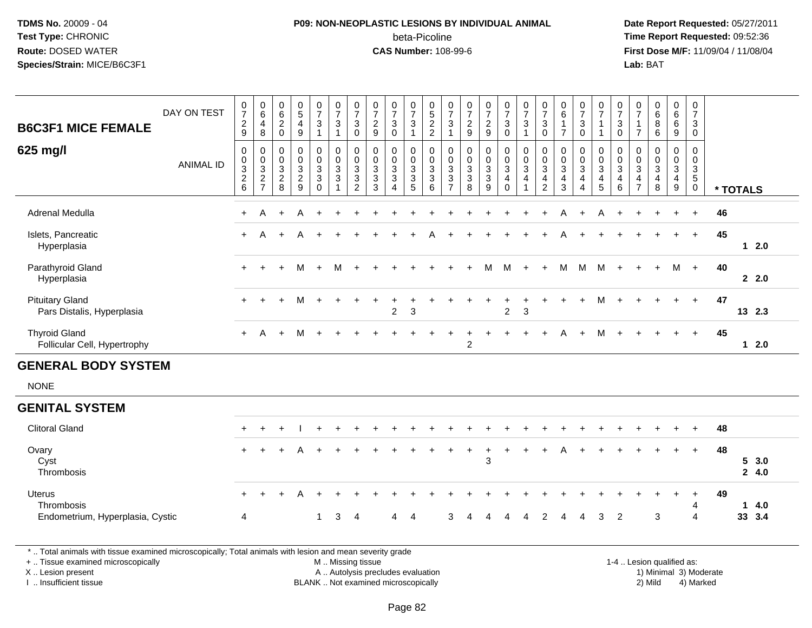#### **P09: NON-NEOPLASTIC LESIONS BY INDIVIDUAL ANIMAL** beta-Picoline**beta-Picoline**<br> **CAS Number:** 108-99-6<br> **CAS Number:** 108-99-6<br> **CAS Number:** 108-99-6

 **Date Report Requested:** 05/27/2011 **First Dose M/F:** 11/09/04 / 11/08/04 Lab: BAT **Lab:** BAT

| <b>B6C3F1 MICE FEMALE</b><br>625 mg/l                | DAY ON TEST<br><b>ANIMAL ID</b> | $\frac{0}{7}$<br>$\boldsymbol{2}$<br>$\boldsymbol{9}$<br>0<br>$\,0\,$<br>$\ensuremath{\mathsf{3}}$<br>$\boldsymbol{2}$<br>6 | $\begin{array}{c} 0 \\ 6 \end{array}$<br>$\overline{4}$<br>$\, 8$<br>$\pmb{0}$<br>$\frac{0}{2}$ | $\begin{array}{c} 0 \\ 6 \end{array}$<br>$\overline{c}$<br>$\mathsf 0$<br>0<br>$\begin{array}{c} 0 \\ 3 \\ 2 \end{array}$<br>8 | 0<br>5<br>$\overline{4}$<br>9<br>0<br>$\boldsymbol{0}$<br>3<br>$\overline{a}$<br>9 | $\frac{0}{7}$<br>$\sqrt{3}$<br>0<br>$\pmb{0}$<br>$\ensuremath{\mathsf{3}}$<br>$\mathsf 3$<br>$\Omega$ | $\frac{0}{7}$<br>3<br>$\pmb{0}$<br>$\pmb{0}$<br>$\ensuremath{\mathsf{3}}$<br>$\mathbf{3}$ | 0<br>$\overline{z}$<br>$\mathbf{3}$<br>$\mathbf 0$<br>0<br>$\pmb{0}$<br>$\ensuremath{\mathsf{3}}$<br>$\mathbf{3}$<br>$\overline{2}$ | $\begin{array}{c} 0 \\ 7 \end{array}$<br>$\boldsymbol{2}$<br>9<br>$\pmb{0}$<br>$_{3}^{\rm 0}$<br>3<br>3 | $\mathbf 0$<br>$\overline{ }$<br>3<br>$\mathbf 0$<br>0<br>$\mathbf 0$<br>3<br>$\mathbf{3}$<br>4 | $\frac{0}{7}$<br>3<br>0<br>$\pmb{0}$<br>3<br>$\sqrt{3}$<br>5 | $\begin{smallmatrix}0\\5\end{smallmatrix}$<br>$\boldsymbol{2}$<br>$\overline{c}$<br>$\boldsymbol{0}$<br>$\pmb{0}$<br>$\ensuremath{\mathsf{3}}$<br>$\ensuremath{\mathsf{3}}$<br>6 | $\frac{0}{7}$<br>$\sqrt{3}$<br>$\pmb{0}$<br>$\pmb{0}$<br>$\ensuremath{\mathsf{3}}$<br>$\ensuremath{\mathsf{3}}$<br>$\rightarrow$ | $\begin{array}{c} 0 \\ 7 \end{array}$<br>$\overline{c}$<br>$\boldsymbol{9}$<br>0<br>$\frac{0}{3}$<br>$\ensuremath{\mathsf{3}}$<br>8 | $\frac{0}{7}$<br>$\overline{a}$<br>9<br>0<br>0<br>3<br>3<br>9 | $\frac{0}{7}$<br>$\sqrt{3}$<br>$\mathbf 0$<br>0<br>$\mathbf 0$<br>$\ensuremath{\mathsf{3}}$<br>$\overline{\mathbf{4}}$<br>$\Omega$ | $\frac{0}{7}$<br>3<br>$\pmb{0}$<br>$\pmb{0}$<br>$\ensuremath{\mathsf{3}}$<br>4 | 0<br>$\overline{z}$<br>3<br>$\Omega$<br>0<br>$\pmb{0}$<br>$\sqrt{3}$<br>$\overline{4}$<br>$\overline{2}$ | $\pmb{0}$<br>$\,6\,$<br>$\overline{ }$<br>$\pmb{0}$<br>$_{3}^{\rm 0}$<br>$\overline{4}$<br>3 | $\frac{0}{7}$<br>3<br>$\mathbf 0$<br>0<br>$\mathbf 0$<br>$\mathbf{3}$<br>$\overline{4}$<br>4 | $\frac{0}{7}$<br>0<br>$\pmb{0}$<br>3<br>4<br>5 | $\frac{0}{7}$<br>$\sqrt{3}$<br>$\mathbf 0$<br>$\pmb{0}$<br>$\pmb{0}$<br>$\ensuremath{\mathsf{3}}$<br>$\overline{4}$<br>6 | 0<br>$\overline{ }$<br>$\overline{ }$<br>0<br>0<br>$\sqrt{3}$<br>4<br>$\overline{ }$ | $\pmb{0}$<br>$\,6\,$<br>$\bf 8$<br>6<br>0<br>$\pmb{0}$<br>$\ensuremath{\mathsf{3}}$<br>$\overline{\mathbf{4}}$<br>8 | 0<br>$\,6\,$<br>$\,6\,$<br>9<br>0<br>0<br>3<br>$\overline{4}$<br>9 | $\pmb{0}$<br>$\overline{7}$<br>3<br>$\mathbf 0$<br>0<br>$\pmb{0}$<br>$\ensuremath{\mathsf{3}}$<br>$\sqrt{5}$<br>$\mathbf 0$ |    | * TOTALS |
|------------------------------------------------------|---------------------------------|-----------------------------------------------------------------------------------------------------------------------------|-------------------------------------------------------------------------------------------------|--------------------------------------------------------------------------------------------------------------------------------|------------------------------------------------------------------------------------|-------------------------------------------------------------------------------------------------------|-------------------------------------------------------------------------------------------|-------------------------------------------------------------------------------------------------------------------------------------|---------------------------------------------------------------------------------------------------------|-------------------------------------------------------------------------------------------------|--------------------------------------------------------------|----------------------------------------------------------------------------------------------------------------------------------------------------------------------------------|----------------------------------------------------------------------------------------------------------------------------------|-------------------------------------------------------------------------------------------------------------------------------------|---------------------------------------------------------------|------------------------------------------------------------------------------------------------------------------------------------|--------------------------------------------------------------------------------|----------------------------------------------------------------------------------------------------------|----------------------------------------------------------------------------------------------|----------------------------------------------------------------------------------------------|------------------------------------------------|--------------------------------------------------------------------------------------------------------------------------|--------------------------------------------------------------------------------------|---------------------------------------------------------------------------------------------------------------------|--------------------------------------------------------------------|-----------------------------------------------------------------------------------------------------------------------------|----|----------|
| Adrenal Medulla                                      |                                 | $+$                                                                                                                         | A                                                                                               | $+$                                                                                                                            | A                                                                                  |                                                                                                       |                                                                                           |                                                                                                                                     |                                                                                                         |                                                                                                 |                                                              |                                                                                                                                                                                  |                                                                                                                                  |                                                                                                                                     |                                                               |                                                                                                                                    |                                                                                | +                                                                                                        | A                                                                                            | $\div$                                                                                       | A                                              |                                                                                                                          |                                                                                      |                                                                                                                     | $\div$                                                             | $+$                                                                                                                         | 46 |          |
| Islets, Pancreatic<br>Hyperplasia                    |                                 | $+$                                                                                                                         | A                                                                                               | $+$                                                                                                                            | A                                                                                  | $+$                                                                                                   |                                                                                           |                                                                                                                                     |                                                                                                         |                                                                                                 |                                                              | Α                                                                                                                                                                                |                                                                                                                                  |                                                                                                                                     |                                                               |                                                                                                                                    |                                                                                | +                                                                                                        | A                                                                                            |                                                                                              |                                                |                                                                                                                          |                                                                                      |                                                                                                                     | $\ddot{}$                                                          | $+$                                                                                                                         | 45 | 2.0      |
| Parathyroid Gland<br>Hyperplasia                     |                                 | $+$                                                                                                                         |                                                                                                 | $+$                                                                                                                            | м                                                                                  | $+$                                                                                                   | м                                                                                         |                                                                                                                                     |                                                                                                         |                                                                                                 |                                                              |                                                                                                                                                                                  |                                                                                                                                  | $+$                                                                                                                                 | М                                                             | M                                                                                                                                  | $+$                                                                            | $+$                                                                                                      | м                                                                                            | м                                                                                            | M                                              | $+$                                                                                                                      | $+$                                                                                  | $+$                                                                                                                 | $M +$                                                              |                                                                                                                             | 40 | 2.0      |
| <b>Pituitary Gland</b><br>Pars Distalis, Hyperplasia |                                 | $+$                                                                                                                         | $\pm$                                                                                           | $\ddot{}$                                                                                                                      | м                                                                                  | $+$                                                                                                   | $\pm$                                                                                     |                                                                                                                                     |                                                                                                         | $\pm$<br>$\overline{2}$                                                                         | 3                                                            |                                                                                                                                                                                  |                                                                                                                                  |                                                                                                                                     |                                                               | $\overline{2}$                                                                                                                     | 3                                                                              |                                                                                                          |                                                                                              | ÷                                                                                            | м                                              |                                                                                                                          |                                                                                      |                                                                                                                     | $\pm$                                                              | $+$                                                                                                                         | 47 | 13 2.3   |
| <b>Thyroid Gland</b><br>Follicular Cell, Hypertrophy |                                 | $+$                                                                                                                         | A                                                                                               | $+$                                                                                                                            | M                                                                                  |                                                                                                       |                                                                                           |                                                                                                                                     |                                                                                                         |                                                                                                 |                                                              |                                                                                                                                                                                  | $\pm$                                                                                                                            | $\div$<br>2                                                                                                                         | $\ddot{}$                                                     |                                                                                                                                    | $\ddot{}$                                                                      | ÷                                                                                                        | A                                                                                            | $\ddot{}$                                                                                    | м                                              |                                                                                                                          |                                                                                      |                                                                                                                     | $\div$                                                             | $+$                                                                                                                         | 45 | 2.0      |

### **GENERAL BODY SYSTEM**

NONE

#### **GENITAL SYSTEM**Clitoral Gland $\alpha$  + <sup>+</sup> <sup>+</sup> <sup>I</sup> <sup>+</sup> <sup>+</sup> <sup>+</sup> <sup>+</sup> <sup>+</sup> <sup>+</sup> <sup>+</sup> <sup>+</sup> <sup>+</sup> <sup>+</sup> <sup>+</sup> <sup>+</sup> <sup>+</sup> <sup>+</sup> <sup>+</sup> <sup>+</sup> <sup>+</sup> <sup>+</sup> <sup>+</sup> <sup>+</sup> <sup>+</sup> **<sup>48</sup> Ovary**  $\mathsf y$  <sup>+</sup> <sup>+</sup> <sup>A</sup> <sup>+</sup> <sup>+</sup> <sup>+</sup> <sup>+</sup> <sup>+</sup> <sup>+</sup> <sup>+</sup> <sup>+</sup> <sup>+</sup> <sup>+</sup> <sup>+</sup> <sup>+</sup> <sup>+</sup> <sup>A</sup> <sup>+</sup> <sup>+</sup> <sup>+</sup> <sup>+</sup> <sup>+</sup> <sup>+</sup> <sup>+</sup> **<sup>48</sup>** Cyst 3 **5 3.0** $2, 4.0$ Thrombosis **2 4.0**Uterus <sup>+</sup> <sup>+</sup> <sup>+</sup> <sup>A</sup> <sup>+</sup> <sup>+</sup> <sup>+</sup> <sup>+</sup> <sup>+</sup> <sup>+</sup> <sup>+</sup> <sup>+</sup> <sup>+</sup> <sup>+</sup> <sup>+</sup> <sup>+</sup> <sup>+</sup> <sup>+</sup> <sup>+</sup> <sup>+</sup> <sup>+</sup> <sup>+</sup> <sup>+</sup> <sup>+</sup> <sup>+</sup> **<sup>49</sup> Thrombosis**  <sup>4</sup> **1 4.0**33 3.4 Endometrium, Hyperplasia, Cysticc  $\sim$  4 <sup>1</sup> <sup>3</sup> <sup>4</sup> <sup>4</sup> <sup>4</sup> <sup>3</sup> <sup>4</sup> <sup>4</sup> <sup>4</sup> <sup>4</sup> <sup>2</sup> <sup>4</sup> <sup>4</sup> <sup>3</sup> <sup>2</sup> <sup>3</sup> <sup>4</sup> **33 3.4**

\* .. Total animals with tissue examined microscopically; Total animals with lesion and mean severity grade

+ .. Tissue examined microscopically

X .. Lesion present

I .. Insufficient tissue

 M .. Missing tissueA .. Autolysis precludes evaluation

BLANK .. Not examined microscopically 2) Mild 4) Marked

1-4 .. Lesion qualified as: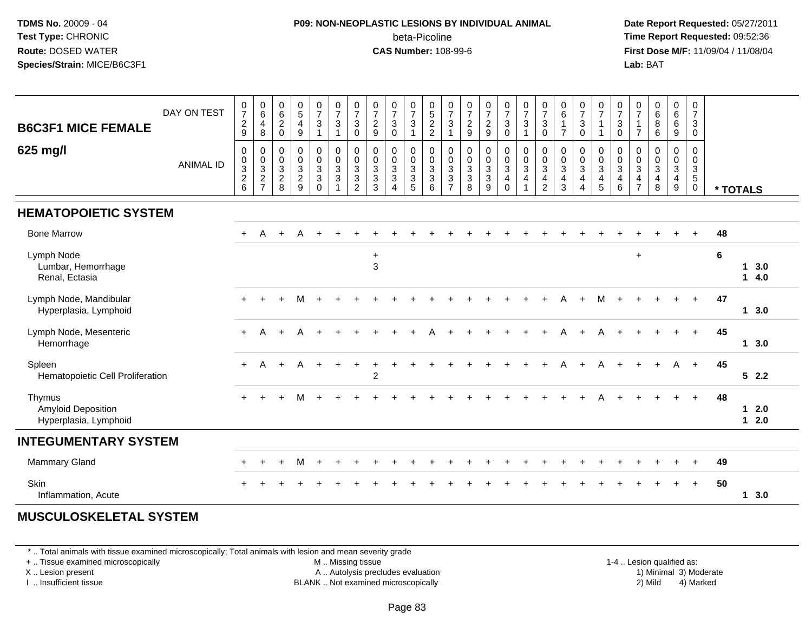#### **P09: NON-NEOPLASTIC LESIONS BY INDIVIDUAL ANIMAL** beta-Picoline**beta-Picoline**<br> **CAS Number:** 108-99-6<br> **CAS Number:** 108-99-6<br> **CAS Number:** 108-99-6

 **Date Report Requested:** 05/27/2011 **First Dose M/F:** 11/09/04 / 11/08/04 Lab: BAT **Lab:** BAT

| <b>B6C3F1 MICE FEMALE</b>                             | DAY ON TEST      | $\mathbf 0$<br>$\overline{\mathcal{I}}$<br>$\overline{2}$<br>$\boldsymbol{9}$    | 0<br>$6\overline{6}$<br>4<br>8            | 0<br>$\,6\,$<br>$\overline{2}$<br>$\mathsf{O}\xspace$                                  | $\begin{array}{c} 0 \\ 5 \end{array}$<br>$\overline{4}$<br>$\boldsymbol{9}$ | $\frac{0}{7}$<br>$\mathbf{3}$<br>$\overline{1}$               | $\frac{0}{7}$<br>$\mathbf{3}$<br>$\mathbf{1}$                          | $\frac{0}{7}$<br>$\mathbf{3}$<br>0                            | $\frac{0}{7}$<br>$\overline{2}$<br>$\boldsymbol{9}$                          | $\frac{0}{7}$<br>$\sqrt{3}$<br>$\mathbf 0$                                         | $\begin{smallmatrix}0\\7\end{smallmatrix}$<br>$\mathbf{3}$<br>$\overline{1}$ | $\begin{array}{c} 0 \\ 5 \end{array}$<br>$\frac{2}{2}$                      | 0<br>$\overline{7}$<br>$\ensuremath{\mathsf{3}}$<br>1          | $\frac{0}{7}$<br>$\boldsymbol{2}$<br>$\boldsymbol{9}$ | $\frac{0}{7}$<br>$\boldsymbol{2}$<br>$\boldsymbol{9}$     | $\begin{smallmatrix}0\\7\end{smallmatrix}$<br>$\mathsf 3$<br>$\mathsf{O}\xspace$        | $\frac{0}{7}$<br>$\mathbf{3}$<br>$\mathbf{1}$                            | 0<br>$\overline{7}$<br>$\ensuremath{\mathsf{3}}$<br>0 | 0<br>$\,6\,$<br>$\overline{1}$<br>$\overline{7}$                             | $\frac{0}{7}$<br>$\sqrt{3}$<br>$\mathbf 0$                         | 0<br>$\overline{7}$<br>1                              | 0<br>$\overline{7}$<br>$\mathbf{3}$<br>$\mathbf 0$                               | 0<br>$\overline{7}$<br>1<br>$\overline{7}$                                  | $\begin{array}{c} 0 \\ 6 \\ 8 \end{array}$<br>$6\phantom{1}$                      | $\begin{smallmatrix}0\0\0\end{smallmatrix}$<br>6<br>$\overline{9}$        | 0<br>$\overline{7}$<br>3<br>0                                     |    |                                   |
|-------------------------------------------------------|------------------|----------------------------------------------------------------------------------|-------------------------------------------|----------------------------------------------------------------------------------------|-----------------------------------------------------------------------------|---------------------------------------------------------------|------------------------------------------------------------------------|---------------------------------------------------------------|------------------------------------------------------------------------------|------------------------------------------------------------------------------------|------------------------------------------------------------------------------|-----------------------------------------------------------------------------|----------------------------------------------------------------|-------------------------------------------------------|-----------------------------------------------------------|-----------------------------------------------------------------------------------------|--------------------------------------------------------------------------|-------------------------------------------------------|------------------------------------------------------------------------------|--------------------------------------------------------------------|-------------------------------------------------------|----------------------------------------------------------------------------------|-----------------------------------------------------------------------------|-----------------------------------------------------------------------------------|---------------------------------------------------------------------------|-------------------------------------------------------------------|----|-----------------------------------|
| 625 mg/l                                              | <b>ANIMAL ID</b> | $\mathbf 0$<br>$\mathbf 0$<br>$\ensuremath{\mathsf{3}}$<br>$\boldsymbol{2}$<br>6 | 0<br>0<br>$\frac{3}{2}$<br>$\overline{7}$ | $\mathbf 0$<br>0<br>$\ensuremath{\mathsf{3}}$<br>$\begin{array}{c} 2 \\ 8 \end{array}$ | $\pmb{0}$<br>$\pmb{0}$<br>$\frac{3}{2}$                                     | 0<br>$\pmb{0}$<br>$\mathfrak{S}$<br>$\sqrt{3}$<br>$\mathbf 0$ | $\pmb{0}$<br>$\mathbf 0$<br>$\sqrt{3}$<br>$\mathbf{3}$<br>$\mathbf{1}$ | $\mathbf 0$<br>$\mathbf 0$<br>$\frac{3}{3}$<br>$\overline{2}$ | $\mathbf 0$<br>$\mathbf 0$<br>$\mathbf{3}$<br>$\overline{3}$<br>$\mathbf{3}$ | $\pmb{0}$<br>$\mathsf{O}\xspace$<br>$\sqrt{3}$<br>$\overline{3}$<br>$\overline{4}$ | 0<br>$\mathsf{O}\xspace$<br>$\frac{3}{3}$<br>$\overline{5}$                  | $\boldsymbol{0}$<br>$\mathsf{O}\xspace$<br>$\frac{3}{3}$<br>$6\phantom{1}6$ | $\mathbf 0$<br>0<br>$\sqrt{3}$<br>$\sqrt{3}$<br>$\overline{7}$ | $\mathbf 0$<br>$\pmb{0}$<br>$\frac{3}{3}$<br>8        | $\pmb{0}$<br>$\pmb{0}$<br>$\frac{3}{3}$<br>$\overline{9}$ | $\boldsymbol{0}$<br>$\mathsf{O}\xspace$<br>$\mathsf 3$<br>$\overline{4}$<br>$\mathbf 0$ | $\pmb{0}$<br>$\mathbf 0$<br>$\sqrt{3}$<br>$\overline{4}$<br>$\mathbf{1}$ | 0<br>0<br>3<br>4<br>$\overline{2}$                    | $\mathbf 0$<br>$\pmb{0}$<br>$\overline{3}$<br>$\overline{4}$<br>$\mathbf{3}$ | $\mathbf 0$<br>0<br>$\sqrt{3}$<br>$\overline{4}$<br>$\overline{4}$ | 0<br>$\mathbf 0$<br>$\sqrt{3}$<br>$\overline{4}$<br>5 | $\Omega$<br>$\pmb{0}$<br>$\sqrt{3}$<br>$\overline{\mathbf{4}}$<br>$6\phantom{a}$ | $\Omega$<br>$\mathbf 0$<br>$\ensuremath{\mathsf{3}}$<br>4<br>$\overline{7}$ | $\mathbf 0$<br>$\boldsymbol{0}$<br>$\overline{3}$<br>$\overline{\mathbf{4}}$<br>8 | $\mathsf 0$<br>$\mathsf{O}\xspace$<br>$\mathbf{3}$<br>$\overline{4}$<br>9 | $\Omega$<br>0<br>$\mathfrak{S}$<br>$5\phantom{.0}$<br>$\mathbf 0$ |    | * TOTALS                          |
| <b>HEMATOPOIETIC SYSTEM</b>                           |                  |                                                                                  |                                           |                                                                                        |                                                                             |                                                               |                                                                        |                                                               |                                                                              |                                                                                    |                                                                              |                                                                             |                                                                |                                                       |                                                           |                                                                                         |                                                                          |                                                       |                                                                              |                                                                    |                                                       |                                                                                  |                                                                             |                                                                                   |                                                                           |                                                                   |    |                                   |
| <b>Bone Marrow</b>                                    |                  | $\ddot{}$                                                                        | Α                                         | $\ddot{}$                                                                              |                                                                             |                                                               |                                                                        |                                                               |                                                                              |                                                                                    |                                                                              |                                                                             |                                                                |                                                       |                                                           |                                                                                         |                                                                          |                                                       |                                                                              |                                                                    |                                                       |                                                                                  |                                                                             |                                                                                   |                                                                           |                                                                   | 48 |                                   |
| Lymph Node<br>Lumbar, Hemorrhage<br>Renal, Ectasia    |                  |                                                                                  |                                           |                                                                                        |                                                                             |                                                               |                                                                        |                                                               | $\ddot{}$<br>3                                                               |                                                                                    |                                                                              |                                                                             |                                                                |                                                       |                                                           |                                                                                         |                                                                          |                                                       |                                                                              |                                                                    |                                                       |                                                                                  | $\ddot{}$                                                                   |                                                                                   |                                                                           |                                                                   | 6  | 3.0<br>1.<br>14.0                 |
| Lymph Node, Mandibular<br>Hyperplasia, Lymphoid       |                  |                                                                                  |                                           |                                                                                        |                                                                             |                                                               |                                                                        |                                                               |                                                                              |                                                                                    |                                                                              |                                                                             |                                                                |                                                       |                                                           |                                                                                         |                                                                          |                                                       |                                                                              |                                                                    |                                                       |                                                                                  |                                                                             |                                                                                   |                                                                           | $+$                                                               | 47 | 13.0                              |
| Lymph Node, Mesenteric<br>Hemorrhage                  |                  | $+$                                                                              | A                                         |                                                                                        | Α                                                                           |                                                               |                                                                        |                                                               |                                                                              |                                                                                    |                                                                              |                                                                             |                                                                |                                                       |                                                           |                                                                                         |                                                                          |                                                       |                                                                              |                                                                    |                                                       |                                                                                  |                                                                             |                                                                                   |                                                                           | $+$                                                               | 45 | 13.0                              |
| Spleen<br>Hematopoietic Cell Proliferation            |                  | $+$                                                                              | A                                         | $+$                                                                                    | A                                                                           | $+$                                                           | $\ddot{}$                                                              |                                                               | $\overline{c}$                                                               |                                                                                    |                                                                              |                                                                             |                                                                |                                                       |                                                           |                                                                                         |                                                                          |                                                       |                                                                              |                                                                    |                                                       |                                                                                  |                                                                             |                                                                                   | A                                                                         | $+$                                                               | 45 | 52.2                              |
| Thymus<br>Amyloid Deposition<br>Hyperplasia, Lymphoid |                  |                                                                                  |                                           |                                                                                        | м                                                                           | $\ddot{}$                                                     |                                                                        |                                                               |                                                                              |                                                                                    |                                                                              |                                                                             |                                                                |                                                       |                                                           |                                                                                         |                                                                          |                                                       |                                                                              |                                                                    |                                                       |                                                                                  |                                                                             |                                                                                   | $\ddot{}$                                                                 | $+$                                                               | 48 | 2.0<br>1<br>2.0<br>$\blacksquare$ |
| <b>INTEGUMENTARY SYSTEM</b>                           |                  |                                                                                  |                                           |                                                                                        |                                                                             |                                                               |                                                                        |                                                               |                                                                              |                                                                                    |                                                                              |                                                                             |                                                                |                                                       |                                                           |                                                                                         |                                                                          |                                                       |                                                                              |                                                                    |                                                       |                                                                                  |                                                                             |                                                                                   |                                                                           |                                                                   |    |                                   |
| Mammary Gland                                         |                  |                                                                                  |                                           | $\pm$                                                                                  | M                                                                           | $+$                                                           |                                                                        |                                                               |                                                                              |                                                                                    |                                                                              |                                                                             |                                                                |                                                       |                                                           |                                                                                         |                                                                          |                                                       |                                                                              |                                                                    |                                                       |                                                                                  |                                                                             |                                                                                   |                                                                           | $\div$                                                            | 49 |                                   |
| Skin<br>Inflammation, Acute                           |                  |                                                                                  |                                           |                                                                                        |                                                                             |                                                               |                                                                        |                                                               |                                                                              |                                                                                    |                                                                              |                                                                             |                                                                |                                                       |                                                           |                                                                                         |                                                                          |                                                       |                                                                              |                                                                    |                                                       |                                                                                  |                                                                             |                                                                                   |                                                                           | $+$                                                               | 50 | $1 \quad 3.0$                     |
|                                                       |                  |                                                                                  |                                           |                                                                                        |                                                                             |                                                               |                                                                        |                                                               |                                                                              |                                                                                    |                                                                              |                                                                             |                                                                |                                                       |                                                           |                                                                                         |                                                                          |                                                       |                                                                              |                                                                    |                                                       |                                                                                  |                                                                             |                                                                                   |                                                                           |                                                                   |    |                                   |

### **MUSCULOSKELETAL SYSTEM**

\* .. Total animals with tissue examined microscopically; Total animals with lesion and mean severity grade

+ .. Tissue examined microscopically

X .. Lesion present

I .. Insufficient tissue

 M .. Missing tissueA .. Autolysis precludes evaluation

1-4 .. Lesion qualified as:<br>1) Minimal 3) Moderate BLANK .. Not examined microscopically 2) Mild 4) Marked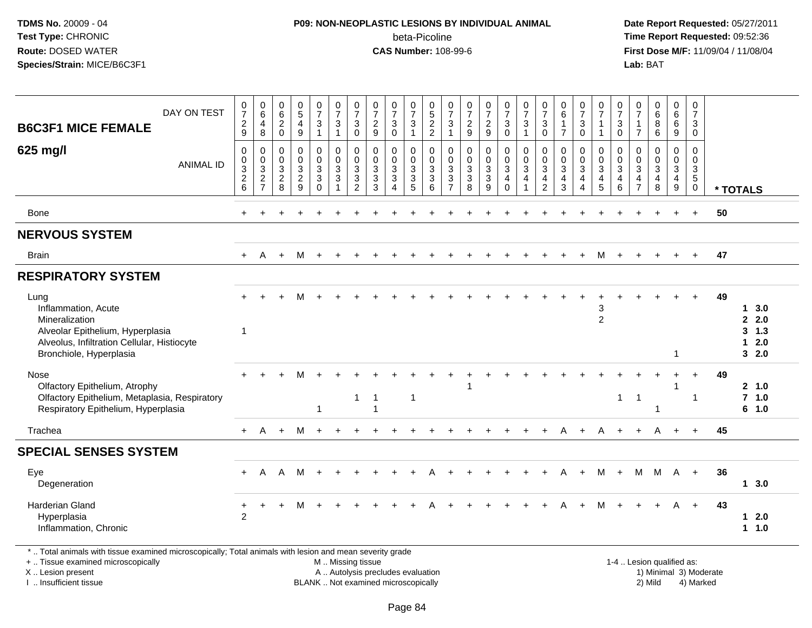# **P09: NON-NEOPLASTIC LESIONS BY INDIVIDUAL ANIMAL**beta-Picoline<br>CAS Number: 108-99-6

 **Date Report Requested:** 05/27/2011 **Time Report Requested:** 09:52:36 **First Dose M/F:** 11/09/04 / 11/08/04<br>Lab: BAT **Lab:** BAT

| DAY ON TEST<br><b>B6C3F1 MICE FEMALE</b>                                                                                                                            |                  | 0<br>$\overline{7}$<br>$\overline{c}$<br>9                     | $\begin{array}{c} 0 \\ 6 \end{array}$<br>$\begin{array}{c} 4 \\ 8 \end{array}$ | $\begin{array}{c} 0 \\ 6 \end{array}$<br>$\overline{2}$<br>$\mathbf 0$ | $\begin{matrix} 0 \\ 5 \end{matrix}$<br>$\overline{4}$<br>$\overline{9}$ | $\frac{0}{7}$<br>$\mathbf{3}$<br>$\mathbf{1}$                        | $\frac{0}{7}$<br>$\mathbf{3}$<br>$\mathbf{1}$                   | $\frac{0}{7}$<br>$\mathbf{3}$<br>$\mathbf 0$                          | $\frac{0}{7}$<br>$\boldsymbol{2}$<br>9                                                  | 0<br>$\overline{7}$<br>3<br>$\Omega$                     | 0<br>$\overline{7}$<br>$\sqrt{3}$<br>$\mathbf{1}$               | 0<br>$\,$ 5 $\,$<br>$\overline{2}$<br>$\overline{2}$  | $\frac{0}{7}$<br>$\mathbf{3}$<br>$\overline{1}$        | $\frac{0}{7}$<br>$\frac{2}{9}$                                     | $\frac{0}{7}$<br>$\frac{2}{9}$                                    | $\frac{0}{7}$<br>$\mathbf{3}$<br>$\mathbf 0$                 | 0<br>$\overline{7}$<br>3<br>$\mathbf{1}$                         | $\frac{0}{7}$<br>$\sqrt{3}$<br>$\mathbf 0$                                 | 0<br>6<br>$\mathbf{1}$<br>$\overline{7}$      | $\begin{array}{c} 0 \\ 7 \end{array}$<br>$\sqrt{3}$<br>$\ddot{\mathbf{0}}$ | $\boldsymbol{0}$<br>$\overline{7}$<br>$\mathbf{1}$<br>$\mathbf{1}$   | 0<br>$\overline{7}$<br>3<br>$\overline{0}$                          | $\frac{0}{7}$<br>$\mathbf{1}$<br>$\overline{7}$           | 0<br>6<br>$\overline{8}$<br>6                          | 0<br>$\,6\,$<br>6<br>9                                                      | 0<br>$\overline{7}$<br>3<br>$\mathbf 0$                 |    |                                                 |     |
|---------------------------------------------------------------------------------------------------------------------------------------------------------------------|------------------|----------------------------------------------------------------|--------------------------------------------------------------------------------|------------------------------------------------------------------------|--------------------------------------------------------------------------|----------------------------------------------------------------------|-----------------------------------------------------------------|-----------------------------------------------------------------------|-----------------------------------------------------------------------------------------|----------------------------------------------------------|-----------------------------------------------------------------|-------------------------------------------------------|--------------------------------------------------------|--------------------------------------------------------------------|-------------------------------------------------------------------|--------------------------------------------------------------|------------------------------------------------------------------|----------------------------------------------------------------------------|-----------------------------------------------|----------------------------------------------------------------------------|----------------------------------------------------------------------|---------------------------------------------------------------------|-----------------------------------------------------------|--------------------------------------------------------|-----------------------------------------------------------------------------|---------------------------------------------------------|----|-------------------------------------------------|-----|
| 625 mg/l                                                                                                                                                            | <b>ANIMAL ID</b> | $\mathbf 0$<br>0<br>$\ensuremath{\mathsf{3}}$<br>$\frac{2}{6}$ | $\boldsymbol{0}$<br>$\mathbf 0$<br>$\frac{3}{2}$                               | $\pmb{0}$<br>$\mathbf 0$<br>$\overline{3}$<br>$\frac{2}{8}$            | 0<br>0<br>3<br>$\frac{2}{9}$                                             | $\pmb{0}$<br>$\pmb{0}$<br>$\overline{3}$<br>$\mathbf{3}$<br>$\Omega$ | $\mathbf 0$<br>$\pmb{0}$<br>$\overline{3}$<br>$\mathbf{3}$<br>1 | 0<br>0<br>$\ensuremath{\mathsf{3}}$<br>$\mathbf{3}$<br>$\overline{2}$ | $\mathbf 0$<br>$\pmb{0}$<br>$\ensuremath{\mathsf{3}}$<br>$\ensuremath{\mathsf{3}}$<br>3 | 0<br>0<br>$\mathbf{3}$<br>$\mathbf{3}$<br>$\overline{4}$ | $\mathbf 0$<br>$\mathbf 0$<br>$\mathbf{3}$<br>$\mathbf{3}$<br>5 | 0<br>$\mathbf 0$<br>$\sqrt{3}$<br>$\mathfrak{S}$<br>6 | 0<br>0<br>$\sqrt{3}$<br>$\mathbf{3}$<br>$\overline{7}$ | 0<br>$\pmb{0}$<br>$\overline{3}$<br>$\ensuremath{\mathsf{3}}$<br>8 | 0<br>$\mathbf 0$<br>$\ensuremath{\mathsf{3}}$<br>$\mathsf 3$<br>9 | 0<br>$\mathbf 0$<br>$\sqrt{3}$<br>$\overline{4}$<br>$\Omega$ | $\mathbf 0$<br>0<br>$\sqrt{3}$<br>$\overline{4}$<br>$\mathbf{1}$ | $\pmb{0}$<br>$\mathbf 0$<br>$\sqrt{3}$<br>$\overline{4}$<br>$\overline{2}$ | 0<br>0<br>$\mathbf{3}$<br>$\overline{4}$<br>3 | 0<br>$\pmb{0}$<br>$\overline{3}$<br>$\overline{4}$<br>$\overline{4}$       | $\mathbf 0$<br>0<br>$\ensuremath{\mathsf{3}}$<br>$\overline{4}$<br>5 | 0<br>$\mathbf 0$<br>$\sqrt{3}$<br>$\overline{4}$<br>$6\phantom{1}6$ | $\mathbf 0$<br>$\mathbf 0$<br>$\sqrt{3}$<br>$\frac{4}{7}$ | 0<br>0<br>$\mathbf{3}$<br>$\overline{\mathbf{4}}$<br>8 | $\mathbf 0$<br>$\mathsf{O}\xspace$<br>$\overline{3}$<br>$\overline{4}$<br>9 | 0<br>0<br>$\mathbf{3}$<br>$\overline{5}$<br>$\mathbf 0$ |    | * TOTALS                                        |     |
| Bone                                                                                                                                                                |                  | $\ddot{}$                                                      | $\pm$                                                                          |                                                                        | $\ddot{}$                                                                |                                                                      | $\ddot{}$                                                       |                                                                       |                                                                                         |                                                          |                                                                 |                                                       |                                                        |                                                                    |                                                                   |                                                              |                                                                  |                                                                            |                                               |                                                                            |                                                                      |                                                                     |                                                           | $\div$                                                 |                                                                             | $\ddot{}$                                               | 50 |                                                 |     |
| <b>NERVOUS SYSTEM</b>                                                                                                                                               |                  |                                                                |                                                                                |                                                                        |                                                                          |                                                                      |                                                                 |                                                                       |                                                                                         |                                                          |                                                                 |                                                       |                                                        |                                                                    |                                                                   |                                                              |                                                                  |                                                                            |                                               |                                                                            |                                                                      |                                                                     |                                                           |                                                        |                                                                             |                                                         |    |                                                 |     |
| <b>Brain</b>                                                                                                                                                        |                  | $+$                                                            | A                                                                              | $\ddot{}$                                                              | M                                                                        |                                                                      |                                                                 |                                                                       |                                                                                         |                                                          |                                                                 |                                                       |                                                        |                                                                    |                                                                   |                                                              |                                                                  |                                                                            |                                               |                                                                            | м                                                                    |                                                                     |                                                           |                                                        |                                                                             | $\ddot{}$                                               | 47 |                                                 |     |
| <b>RESPIRATORY SYSTEM</b>                                                                                                                                           |                  |                                                                |                                                                                |                                                                        |                                                                          |                                                                      |                                                                 |                                                                       |                                                                                         |                                                          |                                                                 |                                                       |                                                        |                                                                    |                                                                   |                                                              |                                                                  |                                                                            |                                               |                                                                            |                                                                      |                                                                     |                                                           |                                                        |                                                                             |                                                         |    |                                                 |     |
| Lung<br>Inflammation, Acute<br>Mineralization<br>Alveolar Epithelium, Hyperplasia<br>Alveolus, Infiltration Cellular, Histiocyte<br>Bronchiole, Hyperplasia         |                  | $\overline{1}$                                                 |                                                                                |                                                                        | м                                                                        |                                                                      |                                                                 |                                                                       |                                                                                         |                                                          |                                                                 |                                                       |                                                        |                                                                    |                                                                   |                                                              |                                                                  |                                                                            |                                               |                                                                            | 3<br>$\overline{2}$                                                  |                                                                     |                                                           |                                                        | -1                                                                          | $\ddot{}$                                               | 49 | 13.0<br>2, 2.0<br>3, 1.3<br>$\mathbf 1$<br>32.0 | 2.0 |
| Nose<br>Olfactory Epithelium, Atrophy<br>Olfactory Epithelium, Metaplasia, Respiratory<br>Respiratory Epithelium, Hyperplasia                                       |                  |                                                                |                                                                                |                                                                        | м                                                                        | $\mathbf 1$                                                          |                                                                 | $\mathbf{1}$                                                          | -1<br>$\overline{1}$                                                                    |                                                          | $\overline{1}$                                                  |                                                       |                                                        |                                                                    |                                                                   |                                                              |                                                                  |                                                                            |                                               |                                                                            |                                                                      | $\mathbf{1}$                                                        | $\overline{1}$                                            | 1                                                      |                                                                             | $\ddot{}$<br>$\mathbf{1}$                               | 49 | 2, 1.0<br>$7$ 1.0<br>6 1.0                      |     |
| Trachea                                                                                                                                                             |                  | $+$                                                            | $\mathsf{A}$                                                                   | $+$                                                                    | M                                                                        | $+$                                                                  |                                                                 |                                                                       |                                                                                         |                                                          |                                                                 |                                                       |                                                        |                                                                    |                                                                   |                                                              |                                                                  |                                                                            |                                               |                                                                            | A                                                                    |                                                                     |                                                           | A                                                      |                                                                             | $+$                                                     | 45 |                                                 |     |
| <b>SPECIAL SENSES SYSTEM</b>                                                                                                                                        |                  |                                                                |                                                                                |                                                                        |                                                                          |                                                                      |                                                                 |                                                                       |                                                                                         |                                                          |                                                                 |                                                       |                                                        |                                                                    |                                                                   |                                                              |                                                                  |                                                                            |                                               |                                                                            |                                                                      |                                                                     |                                                           |                                                        |                                                                             |                                                         |    |                                                 |     |
| Eye<br>Degeneration                                                                                                                                                 |                  | $+$                                                            | A                                                                              | A                                                                      | M                                                                        |                                                                      |                                                                 |                                                                       |                                                                                         |                                                          |                                                                 |                                                       |                                                        |                                                                    |                                                                   |                                                              |                                                                  |                                                                            | A                                             | $+$                                                                        | м                                                                    | $+$                                                                 | M                                                         | M                                                      | $\mathsf{A}$                                                                | $+$                                                     | 36 | 13.0                                            |     |
| <b>Harderian Gland</b><br>Hyperplasia<br>Inflammation, Chronic                                                                                                      |                  | 2                                                              |                                                                                | ÷                                                                      | м                                                                        |                                                                      |                                                                 |                                                                       |                                                                                         |                                                          |                                                                 |                                                       |                                                        |                                                                    |                                                                   |                                                              |                                                                  |                                                                            |                                               |                                                                            | м                                                                    |                                                                     |                                                           |                                                        | A                                                                           | $+$                                                     | 43 | $12.0$<br>$1 1.0$                               |     |
| *  Total animals with tissue examined microscopically; Total animals with lesion and mean severity grade<br>+  Tissue examined microscopically<br>X  Lesion present |                  |                                                                |                                                                                |                                                                        |                                                                          |                                                                      | M  Missing tissue                                               |                                                                       | A  Autolysis precludes evaluation                                                       |                                                          |                                                                 |                                                       |                                                        |                                                                    |                                                                   |                                                              |                                                                  |                                                                            |                                               |                                                                            |                                                                      |                                                                     |                                                           |                                                        | 1-4  Lesion qualified as:                                                   | 1) Minimal 3) Moderate                                  |    |                                                 |     |

I .. Insufficient tissue

BLANK .. Not examined microscopically 2) Mild 4) Marked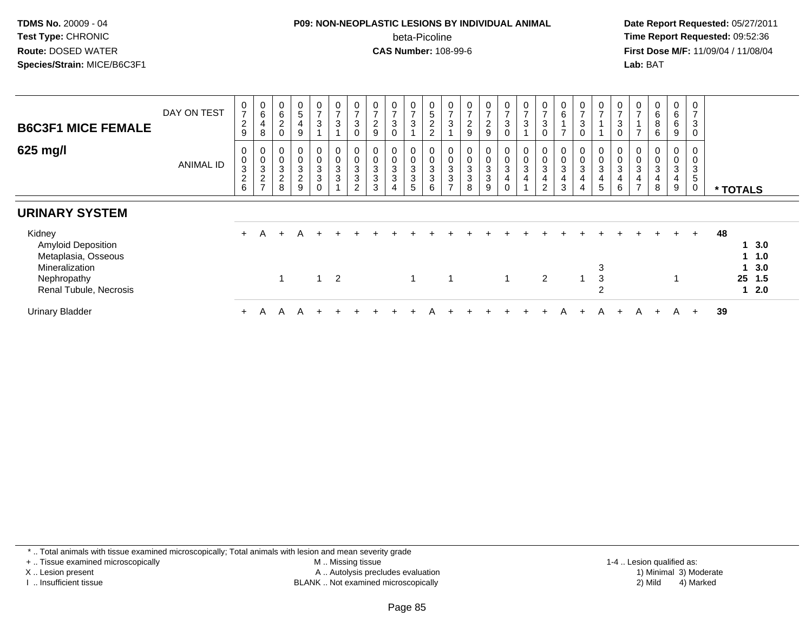#### **P09: NON-NEOPLASTIC LESIONS BY INDIVIDUAL ANIMAL** beta-Picoline**beta-Picoline**<br> **CAS Number:** 108-99-6<br> **CAS Number:** 108-99-6<br> **CAS Number:** 108-99-6

 **Date Report Requested:** 05/27/2011 **First Dose M/F:** 11/09/04 / 11/08/04<br>**Lab:** BAT **Lab:** BAT

| <b>B6C3F1 MICE FEMALE</b>                                                                                      | DAY ON TEST | $\pmb{0}$<br>$\overline{z}$<br>$\overline{c}$<br>9 | 0<br>$\,6\,$<br>4<br>8                                                                      | 6<br>$\overline{c}$                       | 0<br>$\sqrt{5}$<br>$\overline{\mathbf{4}}$<br>9                          | $\frac{0}{7}$<br>$\sqrt{3}$                                                 | $\frac{0}{7}$<br>$\ensuremath{\mathsf{3}}$                    | $\frac{0}{7}$<br>$\sqrt{3}$<br>$\mathbf 0$                       | $\frac{0}{7}$<br>$\boldsymbol{2}$<br>9                     | $\frac{0}{7}$<br>$\mathbf{3}$<br>$\Omega$                                                   | 0<br>$\overline{ }$<br>3           | $\begin{matrix} 0 \\ 5 \end{matrix}$<br>$\boldsymbol{2}$<br>$\overline{c}$       | $\frac{0}{7}$<br>$\sqrt{3}$                                                     | $\frac{0}{7}$<br>$\overline{\mathbf{c}}$<br>9                      | $\frac{0}{7}$<br>$\sqrt{2}$<br>9                                                  | 0<br>$\overline{ }$<br>3<br>$\Omega$                                     | $\frac{0}{7}$<br>$\sqrt{3}$                                                | $\frac{0}{7}$<br>$\ensuremath{\mathsf{3}}$<br>$\Omega$                                       | 0<br>6                                                         | $\frac{0}{7}$<br>$\sqrt{3}$<br>$\Omega$                                                                                | $\frac{0}{7}$                                                        | $\mathbf 0$<br>$\overline{7}$<br>$\ensuremath{\mathsf{3}}$<br>$\Omega$             | $\frac{0}{7}$<br>$\overline{ }$                     | $^{\rm 0}_{\rm 6}$<br>$\bf 8$<br>6                                                                | 0<br>6<br>6<br>9                                             | 0<br>$\overline{7}$<br>3<br>$\mathbf 0$                                 |          |                                 |  |
|----------------------------------------------------------------------------------------------------------------|-------------|----------------------------------------------------|---------------------------------------------------------------------------------------------|-------------------------------------------|--------------------------------------------------------------------------|-----------------------------------------------------------------------------|---------------------------------------------------------------|------------------------------------------------------------------|------------------------------------------------------------|---------------------------------------------------------------------------------------------|------------------------------------|----------------------------------------------------------------------------------|---------------------------------------------------------------------------------|--------------------------------------------------------------------|-----------------------------------------------------------------------------------|--------------------------------------------------------------------------|----------------------------------------------------------------------------|----------------------------------------------------------------------------------------------|----------------------------------------------------------------|------------------------------------------------------------------------------------------------------------------------|----------------------------------------------------------------------|------------------------------------------------------------------------------------|-----------------------------------------------------|---------------------------------------------------------------------------------------------------|--------------------------------------------------------------|-------------------------------------------------------------------------|----------|---------------------------------|--|
| 625 mg/l                                                                                                       | ANIMAL ID   | 0<br>0<br>3<br>$\boldsymbol{2}$<br>6               | $\mathbf 0$<br>$\pmb{0}$<br>$\ensuremath{\mathsf{3}}$<br>$\boldsymbol{2}$<br>$\overline{ }$ | $\mathbf 0$<br>3<br>$\boldsymbol{2}$<br>8 | $_{\rm 0}^{\rm 0}$<br>$\ensuremath{\mathsf{3}}$<br>$\boldsymbol{2}$<br>9 | $\begin{smallmatrix}0\0\0\end{smallmatrix}$<br>$\frac{3}{3}$<br>$\mathbf 0$ | $_{\rm 0}^{\rm 0}$<br>$\ensuremath{\mathsf{3}}$<br>$\sqrt{3}$ | $\begin{matrix} 0 \\ 0 \\ 3 \\ 3 \end{matrix}$<br>$\overline{2}$ | $\begin{smallmatrix}0\0\0\end{smallmatrix}$<br>3<br>3<br>3 | $\begin{smallmatrix}0\0\0\end{smallmatrix}$<br>$\ensuremath{\mathsf{3}}$<br>$\sqrt{3}$<br>4 | 0<br>$\overline{0}$<br>3<br>3<br>5 | $\begin{smallmatrix}0\0\0\end{smallmatrix}$<br>$\mathbf{3}$<br>$\mathbf{3}$<br>6 | $_{\rm 0}^{\rm 0}$<br>$\ensuremath{\mathsf{3}}$<br>$\sqrt{3}$<br>$\overline{ }$ | $_{\rm 0}^{\rm 0}$<br>$\ensuremath{\mathsf{3}}$<br>$\sqrt{3}$<br>8 | $\begin{smallmatrix} 0\\0\\3 \end{smallmatrix}$<br>$\ensuremath{\mathsf{3}}$<br>9 | $\mathbf 0$<br>$\mathbf 0$<br>$\mathbf{3}$<br>$\overline{4}$<br>$\Omega$ | $\begin{smallmatrix}0\\0\end{smallmatrix}$<br>$\sqrt{3}$<br>$\overline{4}$ | $_{\rm 0}^{\rm 0}$<br>$\ensuremath{\mathsf{3}}$<br>$\overline{\mathbf{4}}$<br>$\overline{2}$ | 0<br>$\pmb{0}$<br>$\mathbf{3}$<br>$\overline{\mathbf{4}}$<br>3 | $\begin{smallmatrix} 0\\0 \end{smallmatrix}$<br>$\ensuremath{\mathsf{3}}$<br>$\overline{\mathbf{r}}$<br>$\overline{4}$ | $_{\rm 0}^{\rm 0}$<br>$\sqrt{3}$<br>$\overline{4}$<br>$\overline{5}$ | 0<br>$\boldsymbol{0}$<br>$\ensuremath{\mathsf{3}}$<br>$\overline{\mathbf{4}}$<br>6 | $\mathbf 0$<br>3<br>$\overline{4}$<br>$\rightarrow$ | $\begin{matrix} 0 \\ 0 \end{matrix}$<br>$\ensuremath{\mathsf{3}}$<br>$\overline{\mathbf{4}}$<br>8 | 0<br>0<br>$\ensuremath{\mathsf{3}}$<br>4<br>$\boldsymbol{9}$ | 0<br>$\pmb{0}$<br>$\ensuremath{\mathsf{3}}$<br>$\,$ 5 $\,$<br>$\pmb{0}$ | * TOTALS |                                 |  |
|                                                                                                                |             |                                                    |                                                                                             |                                           |                                                                          |                                                                             |                                                               |                                                                  |                                                            |                                                                                             |                                    |                                                                                  |                                                                                 |                                                                    |                                                                                   |                                                                          |                                                                            |                                                                                              |                                                                |                                                                                                                        |                                                                      |                                                                                    |                                                     |                                                                                                   |                                                              |                                                                         |          |                                 |  |
| <b>URINARY SYSTEM</b>                                                                                          |             |                                                    |                                                                                             |                                           |                                                                          |                                                                             |                                                               |                                                                  |                                                            |                                                                                             |                                    |                                                                                  |                                                                                 |                                                                    |                                                                                   |                                                                          |                                                                            |                                                                                              |                                                                |                                                                                                                        |                                                                      |                                                                                    |                                                     |                                                                                                   |                                                              |                                                                         |          |                                 |  |
| Kidney<br>Amyloid Deposition<br>Metaplasia, Osseous<br>Mineralization<br>Nephropathy<br>Renal Tubule, Necrosis |             | $+$                                                | A                                                                                           |                                           | А                                                                        | $\div$<br>1                                                                 | $\overline{2}$                                                |                                                                  |                                                            |                                                                                             |                                    |                                                                                  |                                                                                 |                                                                    |                                                                                   | 1                                                                        |                                                                            | 2                                                                                            |                                                                |                                                                                                                        | ົ<br>$\sqrt{3}$<br>$\overline{2}$                                    |                                                                                    |                                                     |                                                                                                   | $+$                                                          | $+$                                                                     | 48<br>25 | 3.0<br>1.0<br>3.0<br>1.5<br>2.0 |  |
| <b>Urinary Bladder</b>                                                                                         |             | $+$                                                | A                                                                                           | A                                         | A                                                                        | $\ddot{}$                                                                   |                                                               |                                                                  |                                                            |                                                                                             |                                    |                                                                                  |                                                                                 |                                                                    |                                                                                   |                                                                          |                                                                            |                                                                                              |                                                                |                                                                                                                        | A                                                                    | $\ddot{}$                                                                          |                                                     | $\ddot{}$                                                                                         | A                                                            | $+$                                                                     | 39       |                                 |  |

\* .. Total animals with tissue examined microscopically; Total animals with lesion and mean severity grade

+ .. Tissue examined microscopically

X .. Lesion present

I .. Insufficient tissue

 M .. Missing tissueA .. Autolysis precludes evaluation

BLANK .. Not examined microscopically 2) Mild 4) Marked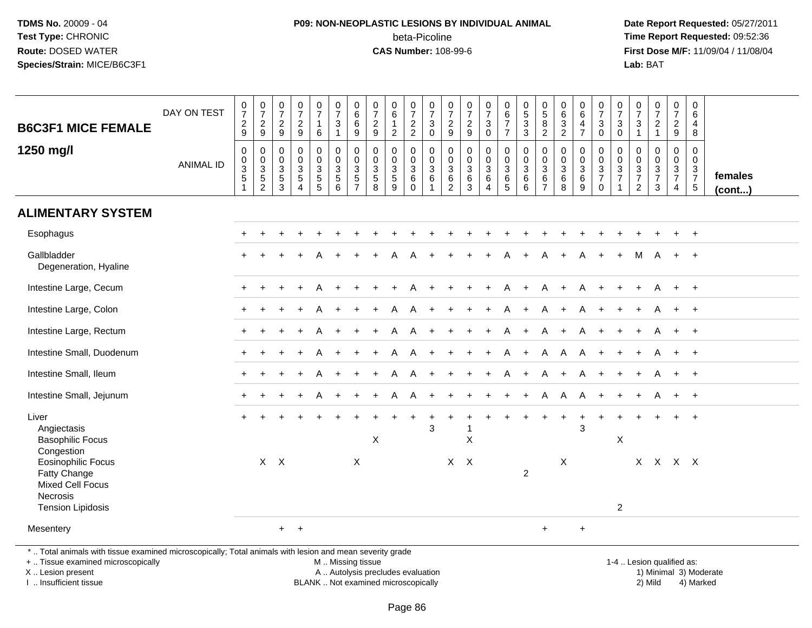# **P09: NON-NEOPLASTIC LESIONS BY INDIVIDUAL ANIMAL**beta-Picoline<br>CAS Number: 108-99-6

 **Date Report Requested:** 05/27/2011 **Time Report Requested:** 09:52:36 **First Dose M/F:** 11/09/04 / 11/08/04<br>Lab: BAT **Lab:** BAT

| <b>B6C3F1 MICE FEMALE</b>                                                                                                                                                                     | DAY ON TEST      | $\frac{0}{7}$<br>$\frac{2}{9}$                       | $\frac{0}{7}$<br>$\frac{2}{9}$                                        | $\begin{smallmatrix}0\\7\end{smallmatrix}$<br>$\frac{2}{9}$ | $\frac{0}{7}$<br>$\frac{2}{9}$                                             | $\frac{0}{7}$<br>-1<br>$\,6\,$                                               | $\frac{0}{7}$<br>$\ensuremath{\mathsf{3}}$<br>$\mathbf{1}$                          | 0<br>$\,6$<br>6<br>9                          | $\frac{0}{7}$<br>$\frac{2}{9}$                                                         | $_6^0$<br>$\mathbf 1$<br>$\overline{a}$                                  | $\frac{0}{7}$<br>$\frac{2}{2}$                                     | $\frac{0}{7}$<br>$_{\rm 0}^3$                          | 0<br>$\overline{7}$<br>$\frac{2}{9}$                 | $\frac{0}{7}$<br>$\frac{2}{9}$                            | $\frac{0}{7}$<br>3<br>$\mathsf{O}\xspace$                       | $_{6}^{\rm 0}$<br>$\overline{7}$<br>$\overline{7}$     | $\begin{array}{c} 0 \\ 5 \end{array}$<br>$\mathbf{3}$<br>$\overline{3}$ | 0<br>$\overline{5}$<br>$\bf 8$<br>$\overline{2}$    | $_{6}^{\rm 0}$<br>$\frac{3}{2}$                                   | 0<br>$6\phantom{a}$<br>$\overline{4}$<br>$\overline{7}$ | $\begin{array}{c} 0 \\ 7 \end{array}$<br>$_{0}^{3}$                         | 0<br>$\overline{7}$<br>3<br>$\mathsf 0$ | $\frac{0}{7}$<br>$\sqrt{3}$<br>$\mathbf{1}$                   | $\frac{0}{7}$<br>$\frac{2}{1}$                                       | $\begin{array}{c} 0 \\ 7 \end{array}$<br>$\frac{2}{9}$    | $\mathbf 0$<br>$\,6\,$<br>$\overline{4}$<br>8                 |                         |
|-----------------------------------------------------------------------------------------------------------------------------------------------------------------------------------------------|------------------|------------------------------------------------------|-----------------------------------------------------------------------|-------------------------------------------------------------|----------------------------------------------------------------------------|------------------------------------------------------------------------------|-------------------------------------------------------------------------------------|-----------------------------------------------|----------------------------------------------------------------------------------------|--------------------------------------------------------------------------|--------------------------------------------------------------------|--------------------------------------------------------|------------------------------------------------------|-----------------------------------------------------------|-----------------------------------------------------------------|--------------------------------------------------------|-------------------------------------------------------------------------|-----------------------------------------------------|-------------------------------------------------------------------|---------------------------------------------------------|-----------------------------------------------------------------------------|-----------------------------------------|---------------------------------------------------------------|----------------------------------------------------------------------|-----------------------------------------------------------|---------------------------------------------------------------|-------------------------|
| 1250 mg/l                                                                                                                                                                                     | <b>ANIMAL ID</b> | $\mathbf 0$<br>$\pmb{0}$<br>$\overline{3}$<br>5<br>1 | $\mathsf{O}\xspace$<br>$\mathbf 0$<br>$\overline{3}$<br>$\frac{5}{2}$ | 0<br>0<br>$\ensuremath{\mathsf{3}}$<br>$\frac{5}{3}$        | $\mathbf 0$<br>$\pmb{0}$<br>$\overline{3}$<br>$\sqrt{5}$<br>$\overline{4}$ | 0<br>0<br>$\ensuremath{\mathsf{3}}$<br>$\begin{array}{c} 5 \\ 5 \end{array}$ | $\mathbf 0$<br>$\mathbf 0$<br>$\mathbf{3}$<br>$\begin{array}{c} 5 \\ 6 \end{array}$ | $\Omega$<br>$\mathbf 0$<br>3<br>$\frac{5}{7}$ | $\mathbf 0$<br>0<br>$\ensuremath{\mathsf{3}}$<br>$\begin{array}{c} 5 \\ 8 \end{array}$ | $\mathbf 0$<br>0<br>$\mathbf{3}$<br>$\frac{5}{9}$                        | 0<br>$\mathsf{O}$<br>$\ensuremath{\mathsf{3}}$<br>6<br>$\mathbf 0$ | $\mathbf 0$<br>0<br>$\ensuremath{\mathsf{3}}$<br>$\,6$ | 0<br>0<br>$\ensuremath{\mathsf{3}}$<br>$\frac{6}{2}$ | $\mathbf 0$<br>$\mathbf 0$<br>$\sqrt{3}$<br>$\frac{6}{3}$ | $\mathbf 0$<br>0<br>$\mathbf{3}$<br>6<br>$\boldsymbol{\Lambda}$ | $\mathbf 0$<br>$\mathbf 0$<br>$\overline{3}$<br>$^6$ 5 | $\mathbf 0$<br>$\mathbf 0$<br>$\mathbf{3}$<br>$\,6$<br>$\overline{6}$   | $\Omega$<br>$\mathbf 0$<br>3<br>6<br>$\overline{7}$ | $\mathbf 0$<br>$\mathbf 0$<br>$\ensuremath{\mathsf{3}}$<br>$^6_8$ | 0<br>0<br>$\ensuremath{\mathsf{3}}$<br>$\,6$<br>9       | $\mathbf 0$<br>$\mathbf 0$<br>$\sqrt{3}$<br>$\boldsymbol{7}$<br>$\mathbf 0$ | $\Omega$<br>0<br>3<br>$\overline{7}$    | $\mathbf 0$<br>$\mathbf 0$<br>$\overline{3}$<br>$\frac{7}{2}$ | $\mathbf 0$<br>0<br>$\ensuremath{\mathsf{3}}$<br>$\overline{7}$<br>3 | 0<br>$\mathbf 0$<br>$\overline{3}$<br>$\overline{7}$<br>4 | $\mathbf 0$<br>$\mathbf 0$<br>$\frac{3}{7}$<br>$\overline{5}$ | females<br>$($ cont $)$ |
| <b>ALIMENTARY SYSTEM</b>                                                                                                                                                                      |                  |                                                      |                                                                       |                                                             |                                                                            |                                                                              |                                                                                     |                                               |                                                                                        |                                                                          |                                                                    |                                                        |                                                      |                                                           |                                                                 |                                                        |                                                                         |                                                     |                                                                   |                                                         |                                                                             |                                         |                                                               |                                                                      |                                                           |                                                               |                         |
| Esophagus                                                                                                                                                                                     |                  |                                                      |                                                                       |                                                             |                                                                            |                                                                              |                                                                                     |                                               |                                                                                        |                                                                          |                                                                    |                                                        |                                                      |                                                           |                                                                 |                                                        |                                                                         |                                                     |                                                                   |                                                         |                                                                             |                                         |                                                               |                                                                      |                                                           | $\overline{+}$                                                |                         |
| Gallbladder<br>Degeneration, Hyaline                                                                                                                                                          |                  |                                                      |                                                                       |                                                             |                                                                            |                                                                              |                                                                                     |                                               |                                                                                        | Α                                                                        |                                                                    |                                                        |                                                      |                                                           |                                                                 |                                                        |                                                                         |                                                     |                                                                   | A                                                       |                                                                             |                                         | м                                                             | A                                                                    | $+$                                                       | $+$                                                           |                         |
| Intestine Large, Cecum                                                                                                                                                                        |                  |                                                      |                                                                       |                                                             |                                                                            | А                                                                            |                                                                                     |                                               |                                                                                        |                                                                          |                                                                    |                                                        |                                                      |                                                           |                                                                 | A                                                      | $\ddot{}$                                                               | A                                                   | $\ddot{}$                                                         | A                                                       |                                                                             |                                         |                                                               | A                                                                    | $+$                                                       | $+$                                                           |                         |
| Intestine Large, Colon                                                                                                                                                                        |                  |                                                      | $\ddot{}$                                                             |                                                             |                                                                            | A                                                                            |                                                                                     |                                               |                                                                                        | A                                                                        | A                                                                  | $\div$                                                 |                                                      |                                                           | $\ddot{}$                                                       | A                                                      | $+$                                                                     | A                                                   | $\ddot{}$                                                         | A                                                       | $\ddot{}$                                                                   | $\ddot{}$                               | $\ddot{}$                                                     | A                                                                    | $+$                                                       | $+$                                                           |                         |
| Intestine Large, Rectum                                                                                                                                                                       |                  |                                                      |                                                                       |                                                             |                                                                            |                                                                              |                                                                                     |                                               |                                                                                        | Α                                                                        |                                                                    |                                                        |                                                      |                                                           |                                                                 |                                                        | $\ddot{}$                                                               |                                                     |                                                                   | A                                                       |                                                                             |                                         |                                                               |                                                                      | $+$                                                       | $+$                                                           |                         |
| Intestine Small, Duodenum                                                                                                                                                                     |                  |                                                      |                                                                       |                                                             |                                                                            |                                                                              |                                                                                     |                                               |                                                                                        | Α                                                                        | A                                                                  |                                                        |                                                      |                                                           |                                                                 | A                                                      | $+$                                                                     | A                                                   | A                                                                 | A                                                       |                                                                             |                                         |                                                               |                                                                      |                                                           | $+$                                                           |                         |
| Intestine Small, Ileum                                                                                                                                                                        |                  |                                                      |                                                                       |                                                             |                                                                            | A                                                                            |                                                                                     |                                               |                                                                                        | Α                                                                        | A                                                                  |                                                        |                                                      |                                                           | $\ddot{}$                                                       | A                                                      | $+$                                                                     | A                                                   | $+$                                                               | A                                                       | $+$                                                                         |                                         | $\ddot{}$                                                     | A                                                                    | $+$                                                       | $+$                                                           |                         |
| Intestine Small, Jejunum                                                                                                                                                                      |                  |                                                      |                                                                       |                                                             |                                                                            | A                                                                            |                                                                                     |                                               |                                                                                        | A                                                                        | A                                                                  |                                                        |                                                      |                                                           |                                                                 |                                                        | $\ddot{}$                                                               | A                                                   | A                                                                 | Α                                                       | $+$                                                                         | $\ddot{}$                               |                                                               | A                                                                    | $\ddot{}$                                                 | $+$                                                           |                         |
| Liver<br>Angiectasis<br><b>Basophilic Focus</b><br>Congestion                                                                                                                                 |                  |                                                      |                                                                       |                                                             |                                                                            |                                                                              |                                                                                     |                                               | X                                                                                      |                                                                          | $\ddot{}$                                                          | 3                                                      |                                                      | 1<br>X                                                    |                                                                 |                                                        |                                                                         |                                                     | $\ddot{}$                                                         | $\ddot{}$<br>3                                          | $\ddot{}$                                                                   | Χ                                       |                                                               |                                                                      |                                                           | $+$                                                           |                         |
| <b>Eosinophilic Focus</b><br>Fatty Change<br><b>Mixed Cell Focus</b><br>Necrosis                                                                                                              |                  |                                                      | X                                                                     | $\mathsf{X}$                                                |                                                                            |                                                                              |                                                                                     | $\pmb{\times}$                                |                                                                                        |                                                                          |                                                                    |                                                        | $\mathsf{X}$                                         | $\mathsf{X}$                                              |                                                                 |                                                        | $\overline{2}$                                                          |                                                     | X                                                                 |                                                         |                                                                             |                                         |                                                               | X X X X                                                              |                                                           |                                                               |                         |
| <b>Tension Lipidosis</b>                                                                                                                                                                      |                  |                                                      |                                                                       |                                                             |                                                                            |                                                                              |                                                                                     |                                               |                                                                                        |                                                                          |                                                                    |                                                        |                                                      |                                                           |                                                                 |                                                        |                                                                         |                                                     |                                                                   |                                                         |                                                                             | $\overline{c}$                          |                                                               |                                                                      |                                                           |                                                               |                         |
| Mesentery                                                                                                                                                                                     |                  |                                                      |                                                                       | $+$                                                         | $\overline{1}$                                                             |                                                                              |                                                                                     |                                               |                                                                                        |                                                                          |                                                                    |                                                        |                                                      |                                                           |                                                                 |                                                        |                                                                         | $\ddot{}$                                           |                                                                   | $\ddot{}$                                               |                                                                             |                                         |                                                               |                                                                      |                                                           |                                                               |                         |
| *  Total animals with tissue examined microscopically; Total animals with lesion and mean severity grade<br>+  Tissue examined microscopically<br>X  Lesion present<br>I  Insufficient tissue |                  |                                                      |                                                                       |                                                             |                                                                            |                                                                              | M  Missing tissue                                                                   |                                               |                                                                                        | A  Autolysis precludes evaluation<br>BLANK  Not examined microscopically |                                                                    |                                                        |                                                      |                                                           |                                                                 |                                                        |                                                                         |                                                     |                                                                   |                                                         |                                                                             |                                         |                                                               | 1-4  Lesion qualified as:<br>2) Mild                                 |                                                           | 4) Marked                                                     | 1) Minimal 3) Moderate  |

I .. Insufficient tissue

Page 86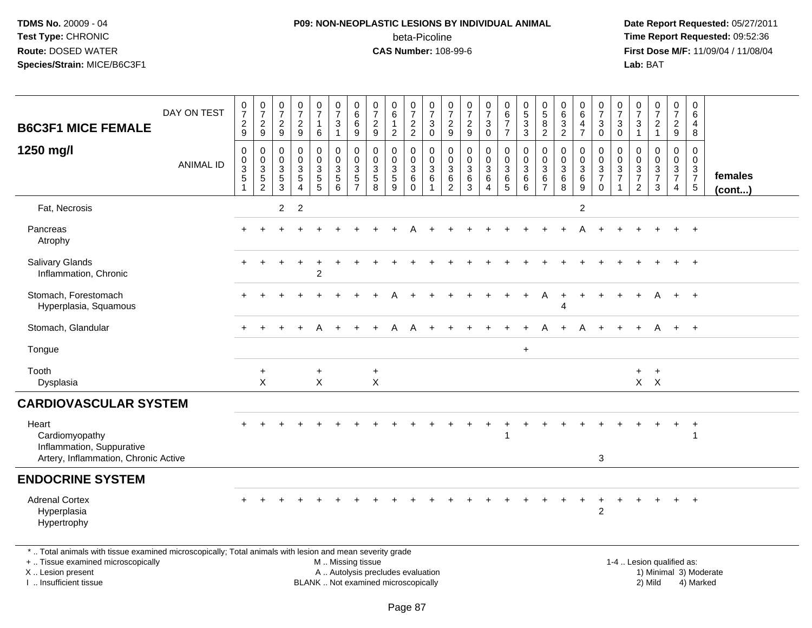# **P09: NON-NEOPLASTIC LESIONS BY INDIVIDUAL ANIMAL**beta-Picoline<br>CAS Number: 108-99-6

 **Date Report Requested:** 05/27/2011 **Time Report Requested:** 09:52:36 **First Dose M/F:** 11/09/04 / 11/08/04<br>Lab: BAT **Lab:** BAT

| <b>B6C3F1 MICE FEMALE</b>                                                                                                                                           | DAY ON TEST      | $\frac{0}{7}$<br>$\frac{2}{9}$                              | $\frac{0}{7}$<br>$\frac{2}{9}$            | $\frac{0}{7}$<br>$\frac{2}{9}$              | $\frac{0}{7}$<br>$\sqrt{2}$<br>9                                      | $\frac{0}{7}$<br>$\mathbf{1}$<br>$\,6\,$                                             | $\frac{0}{7}$<br>$\mathbf{3}$<br>$\mathbf{1}$                            | $\begin{array}{c} 0 \\ 6 \end{array}$<br>6<br>$9\,$    | $\frac{0}{7}$<br>$\sqrt{2}$<br>9                             | 0<br>$6\phantom{a}$<br>$\overline{2}$            | $\frac{0}{7}$<br>$\frac{2}{2}$                            | $\pmb{0}$<br>$\overline{7}$<br>$\sqrt{3}$<br>$\mathbf 0$         | $\pmb{0}$<br>$\overline{7}$<br>$\frac{2}{9}$           | $\frac{0}{7}$<br>$\sqrt{2}$<br>$9\,$   | $\frac{0}{7}$<br>$\ensuremath{\mathsf{3}}$<br>$\mathbf 0$       | 0<br>$6\phantom{a}$<br>$\overline{7}$<br>$\overline{7}$            | $\begin{array}{c} 0 \\ 5 \end{array}$<br>$\ensuremath{\mathsf{3}}$<br>$\mathfrak{Z}$ | $\begin{array}{c} 0 \\ 5 \end{array}$<br>$\bf 8$<br>$\overline{2}$ | $\begin{array}{c} 0 \\ 6 \end{array}$<br>$\frac{3}{2}$           | 0<br>$6\phantom{a}$<br>$\overline{\mathbf{4}}$<br>$\overline{7}$ | 0<br>$\overline{7}$<br>$\ensuremath{\mathsf{3}}$<br>$\boldsymbol{0}$ | 0<br>$\overline{7}$<br>3<br>$\mathbf 0$                   | 0<br>$\overline{7}$<br>$\mathbf{3}$<br>$\overline{1}$   | $\frac{0}{7}$<br>$\overline{a}$<br>$\mathbf{1}$   | 0<br>$\overline{7}$<br>$\overline{a}$<br>9              | 0<br>6<br>4<br>8                                              |                         |
|---------------------------------------------------------------------------------------------------------------------------------------------------------------------|------------------|-------------------------------------------------------------|-------------------------------------------|---------------------------------------------|-----------------------------------------------------------------------|--------------------------------------------------------------------------------------|--------------------------------------------------------------------------|--------------------------------------------------------|--------------------------------------------------------------|--------------------------------------------------|-----------------------------------------------------------|------------------------------------------------------------------|--------------------------------------------------------|----------------------------------------|-----------------------------------------------------------------|--------------------------------------------------------------------|--------------------------------------------------------------------------------------|--------------------------------------------------------------------|------------------------------------------------------------------|------------------------------------------------------------------|----------------------------------------------------------------------|-----------------------------------------------------------|---------------------------------------------------------|---------------------------------------------------|---------------------------------------------------------|---------------------------------------------------------------|-------------------------|
| 1250 mg/l                                                                                                                                                           | <b>ANIMAL ID</b> | $\mathbf 0$<br>$\pmb{0}$<br>$\frac{3}{5}$<br>$\overline{1}$ | $\pmb{0}$<br>$\mathbf 0$<br>$\frac{3}{5}$ | $\mathbf 0$<br>$\mathbf 0$<br>$\frac{3}{5}$ | $\mathbf 0$<br>$\Omega$<br>$\sqrt{3}$<br>$\sqrt{5}$<br>$\overline{4}$ | 0<br>$\pmb{0}$<br>$\ensuremath{\mathsf{3}}$<br>$\begin{array}{c} 5 \\ 5 \end{array}$ | 0<br>$\mathsf{O}\xspace$<br>$\ensuremath{\mathsf{3}}$<br>$\sqrt{5}$<br>6 | $\mathbf 0$<br>$\mathbf 0$<br>3<br>5<br>$\overline{7}$ | $\mathbf 0$<br>$\Omega$<br>3<br>$\sqrt{5}$<br>$\overline{8}$ | $\mathbf 0$<br>$\mathbf 0$<br>$\frac{3}{5}$<br>9 | 0<br>$\mathbf 0$<br>$\mathsf 3$<br>$\,6\,$<br>$\mathbf 0$ | $\mathbf 0$<br>$\mathbf 0$<br>$\mathbf 3$<br>6<br>$\overline{1}$ | $\mathbf 0$<br>$\mathbf 0$<br>3<br>6<br>$\overline{2}$ | $\mathbf 0$<br>$\Omega$<br>3<br>6<br>3 | 0<br>$\mathbf 0$<br>$\mathbf{3}$<br>6<br>$\boldsymbol{\Lambda}$ | $\mathbf 0$<br>$\mathbf 0$<br>$\mathbf{3}$<br>6<br>$5\phantom{.0}$ | $\mathbf 0$<br>$\mathsf 0$<br>$\sqrt{3}$<br>$\,6\,$<br>$\,6\,$                       | $\mathbf 0$<br>$\Omega$<br>3<br>6<br>$\overline{7}$                | $\mathbf 0$<br>$\mathbf 0$<br>$\mathbf 3$<br>6<br>$\overline{8}$ | 0<br>$\mathbf 0$<br>$\mathbf{3}$<br>6<br>9                       | $\mathbf 0$<br>$\mathbf 0$<br>$\frac{3}{7}$<br>$\mathbf 0$           | $\mathbf 0$<br>$\Omega$<br>$\mathbf{3}$<br>$\overline{7}$ | $\Omega$<br>$\Omega$<br>$\frac{3}{7}$<br>$\overline{2}$ | 0<br>$\mathbf 0$<br>$\frac{3}{7}$<br>$\mathbf{3}$ | 0<br>$\mathbf 0$<br>$\mathbf{3}$<br>$\overline{7}$<br>4 | $\mathbf 0$<br>$\mathbf 0$<br>$\frac{3}{7}$<br>$\overline{5}$ | females<br>$($ cont $)$ |
| Fat, Necrosis                                                                                                                                                       |                  |                                                             |                                           | $\overline{2}$                              | $\overline{2}$                                                        |                                                                                      |                                                                          |                                                        |                                                              |                                                  |                                                           |                                                                  |                                                        |                                        |                                                                 |                                                                    |                                                                                      |                                                                    |                                                                  | $\overline{c}$                                                   |                                                                      |                                                           |                                                         |                                                   |                                                         |                                                               |                         |
| Pancreas<br>Atrophy                                                                                                                                                 |                  |                                                             |                                           |                                             |                                                                       |                                                                                      |                                                                          |                                                        |                                                              |                                                  |                                                           |                                                                  |                                                        |                                        |                                                                 |                                                                    |                                                                                      |                                                                    |                                                                  |                                                                  |                                                                      |                                                           |                                                         |                                                   |                                                         | $\overline{+}$                                                |                         |
| Salivary Glands<br>Inflammation, Chronic                                                                                                                            |                  |                                                             |                                           |                                             |                                                                       | $\overline{2}$                                                                       |                                                                          |                                                        |                                                              |                                                  |                                                           |                                                                  |                                                        |                                        |                                                                 |                                                                    |                                                                                      |                                                                    |                                                                  |                                                                  |                                                                      |                                                           |                                                         |                                                   |                                                         | $\overline{+}$                                                |                         |
| Stomach, Forestomach<br>Hyperplasia, Squamous                                                                                                                       |                  |                                                             |                                           |                                             |                                                                       |                                                                                      |                                                                          |                                                        |                                                              |                                                  |                                                           |                                                                  |                                                        |                                        |                                                                 |                                                                    |                                                                                      | A                                                                  | Δ                                                                |                                                                  |                                                                      |                                                           |                                                         | A                                                 | $+$                                                     | $+$                                                           |                         |
| Stomach, Glandular                                                                                                                                                  |                  |                                                             |                                           |                                             |                                                                       |                                                                                      |                                                                          |                                                        |                                                              |                                                  |                                                           |                                                                  |                                                        |                                        |                                                                 |                                                                    |                                                                                      |                                                                    |                                                                  | A                                                                | $+$                                                                  |                                                           |                                                         | A                                                 | $+$                                                     | $+$                                                           |                         |
| Tongue                                                                                                                                                              |                  |                                                             |                                           |                                             |                                                                       |                                                                                      |                                                                          |                                                        |                                                              |                                                  |                                                           |                                                                  |                                                        |                                        |                                                                 |                                                                    | $+$                                                                                  |                                                                    |                                                                  |                                                                  |                                                                      |                                                           |                                                         |                                                   |                                                         |                                                               |                         |
| Tooth<br>Dysplasia                                                                                                                                                  |                  |                                                             | $\ddot{}$<br>X                            |                                             |                                                                       | $\ddot{}$<br>$\mathsf{X}$                                                            |                                                                          |                                                        | $\ddot{}$<br>$\mathsf{X}$                                    |                                                  |                                                           |                                                                  |                                                        |                                        |                                                                 |                                                                    |                                                                                      |                                                                    |                                                                  |                                                                  |                                                                      |                                                           | $+$                                                     | $+$<br>$X$ $X$                                    |                                                         |                                                               |                         |
| <b>CARDIOVASCULAR SYSTEM</b>                                                                                                                                        |                  |                                                             |                                           |                                             |                                                                       |                                                                                      |                                                                          |                                                        |                                                              |                                                  |                                                           |                                                                  |                                                        |                                        |                                                                 |                                                                    |                                                                                      |                                                                    |                                                                  |                                                                  |                                                                      |                                                           |                                                         |                                                   |                                                         |                                                               |                         |
| Heart<br>Cardiomyopathy<br>Inflammation, Suppurative                                                                                                                |                  |                                                             |                                           |                                             |                                                                       |                                                                                      |                                                                          |                                                        |                                                              |                                                  |                                                           |                                                                  |                                                        |                                        |                                                                 |                                                                    |                                                                                      |                                                                    |                                                                  |                                                                  |                                                                      |                                                           |                                                         | $\ddot{}$                                         | $\ddot{}$                                               | $+$<br>$\overline{1}$                                         |                         |
| Artery, Inflammation, Chronic Active                                                                                                                                |                  |                                                             |                                           |                                             |                                                                       |                                                                                      |                                                                          |                                                        |                                                              |                                                  |                                                           |                                                                  |                                                        |                                        |                                                                 |                                                                    |                                                                                      |                                                                    |                                                                  |                                                                  | 3                                                                    |                                                           |                                                         |                                                   |                                                         |                                                               |                         |
| <b>ENDOCRINE SYSTEM</b>                                                                                                                                             |                  |                                                             |                                           |                                             |                                                                       |                                                                                      |                                                                          |                                                        |                                                              |                                                  |                                                           |                                                                  |                                                        |                                        |                                                                 |                                                                    |                                                                                      |                                                                    |                                                                  |                                                                  |                                                                      |                                                           |                                                         |                                                   |                                                         |                                                               |                         |
| <b>Adrenal Cortex</b><br>Hyperplasia<br>Hypertrophy                                                                                                                 |                  |                                                             |                                           |                                             |                                                                       |                                                                                      |                                                                          |                                                        |                                                              |                                                  |                                                           |                                                                  |                                                        |                                        |                                                                 |                                                                    |                                                                                      |                                                                    |                                                                  |                                                                  | $\overline{2}$                                                       |                                                           |                                                         |                                                   |                                                         |                                                               |                         |
| *  Total animals with tissue examined microscopically; Total animals with lesion and mean severity grade<br>+  Tissue examined microscopically<br>X  Lesion present |                  |                                                             |                                           |                                             |                                                                       |                                                                                      | M  Missing tissue<br>A  Autolysis precludes evaluation                   |                                                        |                                                              |                                                  |                                                           |                                                                  |                                                        |                                        |                                                                 |                                                                    |                                                                                      |                                                                    |                                                                  |                                                                  |                                                                      |                                                           |                                                         | 1-4  Lesion qualified as:                         |                                                         |                                                               | 1) Minimal 3) Moderate  |

I .. Insufficient tissue

BLANK .. Not examined microscopically 2) Mild 4) Marked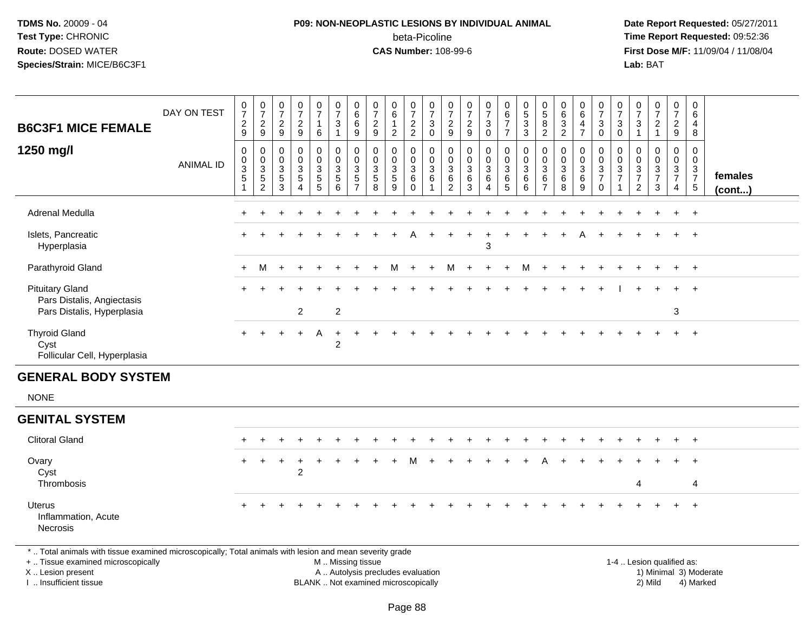### **P09: NON-NEOPLASTIC LESIONS BY INDIVIDUAL ANIMAL** beta-Picoline**beta-Picoline**<br> **CAS Number:** 108-99-6<br> **CAS Number:** 108-99-6<br> **CAS Number:** 108-99-6

 **Date Report Requested:** 05/27/2011 **First Dose M/F:** 11/09/04 / 11/08/04 Lab: BAT **Lab:** BAT

| <b>B6C3F1 MICE FEMALE</b>                                    | DAY ON TEST      | $\frac{0}{7}$<br>$\overline{c}$<br>9 | $\begin{array}{c} 0 \\ 7 \end{array}$<br>$\overline{2}$<br>9           | 0<br>$\overline{7}$<br>$\overline{c}$<br>9                           | $\frac{0}{7}$<br>$\overline{c}$<br>9 | $\frac{0}{7}$<br>6    | $\begin{array}{c} 0 \\ 7 \end{array}$<br>$\mathbf{3}$ | $\begin{matrix} 0 \\ 6 \\ 6 \end{matrix}$<br>9                                                   | 0<br>$\overline{7}$<br>$\overline{c}$<br>9                                        | $_6^0$<br>$\overline{4}$<br>2      | $\frac{0}{7}$<br>$\overline{c}$ | $\frac{0}{7}$<br>$\mathbf{3}$<br>$\mathbf 0$ | $\frac{0}{7}$<br>$\sqrt{2}$<br>$\boldsymbol{9}$                  | $\frac{0}{7}$<br>$\overline{c}$<br>$\boldsymbol{9}$                                     | $\frac{0}{7}$<br>3<br>$\mathbf 0$ | $\begin{array}{c} 0 \\ 6 \\ 7 \end{array}$<br>$\overline{ }$ | $\begin{array}{c} 0 \\ 5 \\ 3 \end{array}$<br>$\mathbf{3}$ | $\begin{array}{c} 0 \\ 5 \\ 8 \end{array}$<br>$\overline{2}$                            | $\begin{matrix} 0 \\ 6 \\ 3 \end{matrix}$<br>$\overline{c}$                         | $\begin{matrix} 0 \\ 6 \\ 4 \end{matrix}$<br>$\overline{ }$ | $\frac{0}{7}$<br>$\overline{3}$<br>0                | $\frac{0}{7}$<br>$\mathbf{3}$<br>$\mathbf 0$                 | $\frac{0}{7}$<br>$\sqrt{3}$                                        | 7<br>$\boldsymbol{2}$                      | $\frac{0}{7}$<br>$\overline{a}$<br>9 | 0<br>$\,6\,$<br>$\overline{\mathbf{4}}$<br>8 |                         |
|--------------------------------------------------------------|------------------|--------------------------------------|------------------------------------------------------------------------|----------------------------------------------------------------------|--------------------------------------|-----------------------|-------------------------------------------------------|--------------------------------------------------------------------------------------------------|-----------------------------------------------------------------------------------|------------------------------------|---------------------------------|----------------------------------------------|------------------------------------------------------------------|-----------------------------------------------------------------------------------------|-----------------------------------|--------------------------------------------------------------|------------------------------------------------------------|-----------------------------------------------------------------------------------------|-------------------------------------------------------------------------------------|-------------------------------------------------------------|-----------------------------------------------------|--------------------------------------------------------------|--------------------------------------------------------------------|--------------------------------------------|--------------------------------------|----------------------------------------------|-------------------------|
| 1250 mg/l                                                    | <b>ANIMAL ID</b> | $\mathbf 0$<br>$\frac{0}{3}$         | $\begin{smallmatrix} 0\\0\\3 \end{smallmatrix}$<br>5<br>$\overline{2}$ | $\pmb{0}$<br>$\boldsymbol{0}$<br>$\ensuremath{\mathsf{3}}$<br>5<br>3 | 0<br>0<br>3<br>5<br>4                | 0<br>0<br>3<br>5<br>5 | $\begin{array}{c} 0 \\ 0 \\ 3 \\ 5 \end{array}$<br>6  | $\begin{smallmatrix} 0\\0 \end{smallmatrix}$<br>$\ensuremath{\mathsf{3}}$<br>5<br>$\overline{ }$ | $\begin{smallmatrix}0\\0\end{smallmatrix}$<br>$\ensuremath{\mathsf{3}}$<br>5<br>8 | $_0^0$<br>$\overline{3}$<br>5<br>9 | 0<br>0<br>3<br>6<br>$\Omega$    | $\begin{matrix}0\\0\\3\\6\end{matrix}$       | $\begin{matrix}0\\0\\3\end{matrix}$<br>$\,6\,$<br>$\overline{2}$ | $\begin{smallmatrix} 0\\0 \end{smallmatrix}$<br>$\ensuremath{\mathsf{3}}$<br>$\,6$<br>3 | 0<br>0<br>3<br>6<br>4             | 0<br>0<br>3<br>6<br>5                                        | $\begin{array}{c} 0 \\ 0 \\ 3 \\ 6 \end{array}$<br>6       | $\begin{smallmatrix} 0\\0 \end{smallmatrix}$<br>$\sqrt{3}$<br>$\,6\,$<br>$\overline{ }$ | $\begin{smallmatrix} 0\\0 \end{smallmatrix}$<br>$\ensuremath{\mathsf{3}}$<br>6<br>8 | $_0^0$<br>$\overline{3}$<br>6<br>9                          | $\begin{matrix} 0 \\ 0 \\ 3 \\ 7 \end{matrix}$<br>0 | $\begin{smallmatrix}0\0\0\end{smallmatrix}$<br>$\frac{3}{7}$ | $\begin{smallmatrix} 0\\0 \end{smallmatrix}$<br>$\frac{3}{7}$<br>2 | 0<br>$\pmb{0}$<br>3<br>$\overline{7}$<br>3 | $_0^0$<br>$\frac{3}{7}$<br>4         | 0<br>0<br>$\frac{3}{7}$<br>5                 | females<br>$($ cont $)$ |
| Adrenal Medulla                                              |                  |                                      |                                                                        |                                                                      |                                      |                       |                                                       |                                                                                                  |                                                                                   |                                    |                                 |                                              |                                                                  |                                                                                         |                                   |                                                              |                                                            |                                                                                         |                                                                                     |                                                             |                                                     |                                                              |                                                                    |                                            |                                      | $\overline{+}$                               |                         |
| Islets, Pancreatic<br>Hyperplasia                            |                  |                                      |                                                                        |                                                                      |                                      |                       |                                                       |                                                                                                  |                                                                                   |                                    |                                 |                                              |                                                                  |                                                                                         | +<br>3                            |                                                              |                                                            |                                                                                         |                                                                                     | A                                                           |                                                     |                                                              |                                                                    |                                            |                                      | $+$                                          |                         |
| Parathyroid Gland                                            |                  |                                      | М                                                                      |                                                                      |                                      |                       |                                                       |                                                                                                  |                                                                                   | м                                  | $\ddot{}$                       |                                              | м                                                                |                                                                                         |                                   | $\div$                                                       | м                                                          |                                                                                         |                                                                                     |                                                             |                                                     |                                                              |                                                                    |                                            | $+$                                  | $+$                                          |                         |
| <b>Pituitary Gland</b><br>Pars Distalis, Angiectasis         |                  |                                      |                                                                        |                                                                      |                                      |                       |                                                       |                                                                                                  |                                                                                   |                                    |                                 |                                              |                                                                  |                                                                                         |                                   |                                                              |                                                            |                                                                                         |                                                                                     |                                                             |                                                     |                                                              |                                                                    |                                            | $+$                                  | $+$                                          |                         |
| Pars Distalis, Hyperplasia                                   |                  |                                      |                                                                        |                                                                      | 2                                    |                       | $\overline{2}$                                        |                                                                                                  |                                                                                   |                                    |                                 |                                              |                                                                  |                                                                                         |                                   |                                                              |                                                            |                                                                                         |                                                                                     |                                                             |                                                     |                                                              |                                                                    |                                            | 3                                    |                                              |                         |
| <b>Thyroid Gland</b><br>Cyst<br>Follicular Cell, Hyperplasia |                  |                                      |                                                                        |                                                                      | $\ddot{}$                            | A                     | $\overline{2}$                                        |                                                                                                  |                                                                                   |                                    |                                 |                                              |                                                                  |                                                                                         |                                   |                                                              |                                                            |                                                                                         |                                                                                     |                                                             |                                                     |                                                              |                                                                    |                                            |                                      | $+$                                          |                         |

### **GENERAL BODY SYSTEM**

**NONE** 

**GENITAL SYSTEM**Clitoral Gland $\alpha$  + <sup>+</sup> <sup>+</sup> <sup>+</sup> <sup>+</sup> <sup>+</sup> <sup>+</sup> <sup>+</sup> <sup>+</sup> <sup>+</sup> <sup>+</sup> <sup>+</sup> <sup>+</sup> <sup>+</sup> <sup>+</sup> <sup>+</sup> <sup>+</sup> <sup>+</sup> <sup>+</sup> <sup>+</sup> <sup>+</sup> <sup>+</sup> <sup>+</sup> <sup>+</sup> <sup>+</sup> Ovary $\mathsf y$  <sup>+</sup> <sup>+</sup> <sup>+</sup> <sup>+</sup> <sup>+</sup> <sup>+</sup> <sup>+</sup> <sup>+</sup> <sup>M</sup> <sup>+</sup> <sup>+</sup> <sup>+</sup> <sup>+</sup> <sup>+</sup> <sup>+</sup> <sup>A</sup> <sup>+</sup> <sup>+</sup> <sup>+</sup> <sup>+</sup> <sup>+</sup> <sup>+</sup> <sup>+</sup> <sup>+</sup> Cystt  $\sim$  2 **Thrombosis**  $\sim$  4 <sup>4</sup> Uterus <sup>+</sup>Inflammation, Acute <sup>+</sup> <sup>+</sup> <sup>+</sup> <sup>+</sup> <sup>+</sup> <sup>+</sup> <sup>+</sup> <sup>+</sup> <sup>+</sup> <sup>+</sup> <sup>+</sup> <sup>+</sup> <sup>+</sup> <sup>+</sup> <sup>+</sup> <sup>+</sup> <sup>+</sup> <sup>+</sup> <sup>+</sup> <sup>+</sup> <sup>+</sup> <sup>+</sup> <sup>+</sup> <sup>+</sup> Necrosis

\* .. Total animals with tissue examined microscopically; Total animals with lesion and mean severity grade

+ .. Tissue examined microscopically

X .. Lesion present

I .. Insufficient tissue

 M .. Missing tissueA .. Autolysis precludes evaluation

 1-4 .. Lesion qualified as: BLANK .. Not examined microscopically 2) Mild 4) Marked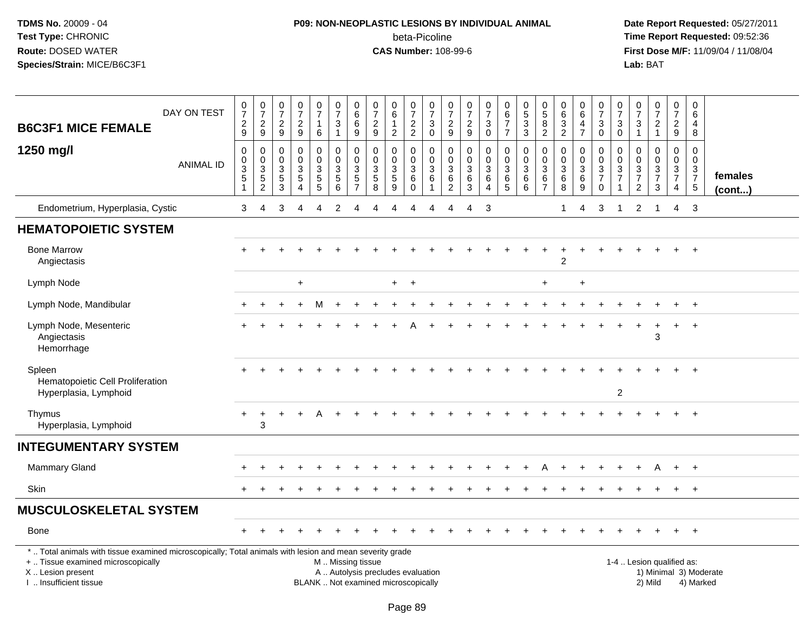# **P09: NON-NEOPLASTIC LESIONS BY INDIVIDUAL ANIMAL**beta-Picoline<br>CAS Number: 108-99-6

| <b>B6C3F1 MICE FEMALE</b>                                                                                                                                                                     | DAY ON TEST      | $\frac{0}{7}$<br>$\boldsymbol{2}$                                               | $\begin{array}{c} 0 \\ 7 \end{array}$<br>$\overline{c}$                 | $\frac{0}{7}$<br>$\overline{c}$                                   | $\frac{0}{7}$<br>$\sqrt{2}$                                                               | 0<br>$\overline{7}$<br>$\mathbf{1}$                                 | $\pmb{0}$<br>$\overline{7}$<br>$\ensuremath{\mathsf{3}}$                  | $\begin{array}{c} 0 \\ 6 \end{array}$<br>6                        | 0<br>$\overline{7}$<br>$\overline{c}$                                                           | 0<br>$\overline{6}$<br>$\mathbf{1}$                                                   | $\begin{array}{c} 0 \\ 7 \end{array}$<br>$\frac{2}{2}$                  | 0<br>$\overline{7}$<br>$\ensuremath{\mathsf{3}}$                                   | 0<br>$\overline{7}$<br>$\overline{c}$                                 | 0<br>$\overline{7}$<br>$\overline{\mathbf{c}}$                  | $\frac{0}{7}$<br>3                                          | $\begin{array}{c} 0 \\ 6 \end{array}$<br>$\overline{7}$                               | $\begin{array}{c} 0 \\ 5 \end{array}$<br>$\ensuremath{\mathsf{3}}$ | 0582                                                                 | 0<br>$6\phantom{a}$<br>$\frac{3}{2}$                   | 0<br>$\overline{6}$<br>$\frac{4}{7}$          | $\begin{smallmatrix}0\\7\end{smallmatrix}$<br>$\ensuremath{\mathsf{3}}$        | $\frac{0}{7}$<br>3                                      | $\frac{0}{7}$<br>$\ensuremath{\mathsf{3}}$                                                                  | $\begin{smallmatrix}0\\7\end{smallmatrix}$<br>$\frac{2}{1}$         | $\mathbf 0$<br>$\overline{7}$<br>$\boldsymbol{2}$        | 0<br>$\,6\,$<br>$\overline{4}$                                                |                         |
|-----------------------------------------------------------------------------------------------------------------------------------------------------------------------------------------------|------------------|---------------------------------------------------------------------------------|-------------------------------------------------------------------------|-------------------------------------------------------------------|-------------------------------------------------------------------------------------------|---------------------------------------------------------------------|---------------------------------------------------------------------------|-------------------------------------------------------------------|-------------------------------------------------------------------------------------------------|---------------------------------------------------------------------------------------|-------------------------------------------------------------------------|------------------------------------------------------------------------------------|-----------------------------------------------------------------------|-----------------------------------------------------------------|-------------------------------------------------------------|---------------------------------------------------------------------------------------|--------------------------------------------------------------------|----------------------------------------------------------------------|--------------------------------------------------------|-----------------------------------------------|--------------------------------------------------------------------------------|---------------------------------------------------------|-------------------------------------------------------------------------------------------------------------|---------------------------------------------------------------------|----------------------------------------------------------|-------------------------------------------------------------------------------|-------------------------|
| 1250 mg/l                                                                                                                                                                                     | <b>ANIMAL ID</b> | $\boldsymbol{9}$<br>$\mathbf 0$<br>$\boldsymbol{0}$<br>$\overline{3}$<br>5<br>1 | $9\,$<br>$\mathbf 0$<br>$\begin{array}{c} 0 \\ 3 \\ 5 \\ 2 \end{array}$ | 9<br>$\mathbf 0$<br>$\mathbf 0$<br>$\mathsf 3$<br>$\sqrt{5}$<br>3 | 9<br>$\mathbf 0$<br>$\mathsf{O}\xspace$<br>$\sqrt{3}$<br>$\overline{5}$<br>$\overline{4}$ | 6<br>0<br>$\mathbf 0$<br>$\ensuremath{\mathsf{3}}$<br>$\frac{5}{5}$ | $\mathbf{1}$<br>$\pmb{0}$<br>$\mathbf 0$<br>$\sqrt{3}$<br>$\sqrt{5}$<br>6 | 9<br>0<br>$\pmb{0}$<br>$\ensuremath{\mathsf{3}}$<br>$\frac{5}{7}$ | $\boldsymbol{9}$<br>$\mathbf 0$<br>$\mathbf 0$<br>$\ensuremath{\mathsf{3}}$<br>$\,$ 5 $\,$<br>8 | $\overline{2}$<br>$\mathbf 0$<br>$\mathsf{O}\xspace$<br>$\sqrt{3}$<br>$\sqrt{5}$<br>9 | $\mathbf 0$<br>$\mathsf{O}\xspace$<br>$\sqrt{3}$<br>$\,6\,$<br>$\Omega$ | $\mathbf 0$<br>0<br>$\mathsf{O}\xspace$<br>$\mathbf{3}$<br>$\,6$<br>$\overline{1}$ | $9\,$<br>$\mathbf 0$<br>$\mathbf 0$<br>3<br>$\,6\,$<br>$\overline{c}$ | 9<br>$\mathbf 0$<br>$\mathbf 0$<br>$\mathbf{3}$<br>$\,6\,$<br>3 | $\mathbf 0$<br>0<br>$\mathbf 0$<br>3<br>6<br>$\overline{4}$ | $\overline{7}$<br>$\pmb{0}$<br>$\mathsf{O}\xspace$<br>$\overline{3}$<br>$\frac{6}{5}$ | $\mathbf{3}$<br>$\mathbf 0$<br>$\pmb{0}$<br>$\sqrt{3}$<br>$^6_6$   | $\mathbf 0$<br>$\pmb{0}$<br>$\ensuremath{\mathsf{3}}$<br>$rac{6}{7}$ | $\mathbf 0$<br>$\pmb{0}$<br>$\sqrt{3}$<br>$\,6\,$<br>8 | 0<br>$\mathsf{O}\xspace$<br>3<br>$\,6\,$<br>9 | 0<br>0<br>$\mathsf{O}\xspace$<br>$\sqrt{3}$<br>$\boldsymbol{7}$<br>$\mathbf 0$ | $\mathbf 0$<br>0<br>0<br>$\mathbf{3}$<br>$\overline{7}$ | $\mathbf{1}$<br>$\mathbf 0$<br>$\mathbf 0$<br>$\ensuremath{\mathsf{3}}$<br>$\overline{7}$<br>$\overline{2}$ | $\mathbf 0$<br>$\mathbf 0$<br>$\overline{3}$<br>$\overline{7}$<br>3 | 9<br>0<br>$\mathbf 0$<br>$\frac{3}{7}$<br>$\overline{4}$ | 8<br>$\mathbf 0$<br>$\mathbf 0$<br>$\begin{array}{c} 3 \\ 7 \\ 5 \end{array}$ | females<br>$($ cont $)$ |
| Endometrium, Hyperplasia, Cystic                                                                                                                                                              |                  | 3                                                                               | $\boldsymbol{\Lambda}$                                                  | 3                                                                 | Δ                                                                                         | 4                                                                   | $\overline{2}$                                                            | 4                                                                 |                                                                                                 |                                                                                       | 4                                                                       | 4                                                                                  | 4                                                                     | 4                                                               | 3                                                           |                                                                                       |                                                                    |                                                                      | $\mathbf{1}$                                           | 4                                             | 3                                                                              |                                                         | $\overline{2}$                                                                                              | -1                                                                  | 4                                                        | 3                                                                             |                         |
| <b>HEMATOPOIETIC SYSTEM</b>                                                                                                                                                                   |                  |                                                                                 |                                                                         |                                                                   |                                                                                           |                                                                     |                                                                           |                                                                   |                                                                                                 |                                                                                       |                                                                         |                                                                                    |                                                                       |                                                                 |                                                             |                                                                                       |                                                                    |                                                                      |                                                        |                                               |                                                                                |                                                         |                                                                                                             |                                                                     |                                                          |                                                                               |                         |
| <b>Bone Marrow</b><br>Angiectasis                                                                                                                                                             |                  |                                                                                 |                                                                         |                                                                   |                                                                                           |                                                                     |                                                                           |                                                                   |                                                                                                 |                                                                                       |                                                                         |                                                                                    |                                                                       |                                                                 |                                                             |                                                                                       |                                                                    | ÷                                                                    | $\ddot{}$<br>2                                         | ÷                                             |                                                                                |                                                         |                                                                                                             |                                                                     | $\ddot{}$                                                | $+$                                                                           |                         |
| Lymph Node                                                                                                                                                                                    |                  |                                                                                 |                                                                         |                                                                   | $\ddot{}$                                                                                 |                                                                     |                                                                           |                                                                   |                                                                                                 | $+$                                                                                   | $+$                                                                     |                                                                                    |                                                                       |                                                                 |                                                             |                                                                                       |                                                                    | $\ddot{}$                                                            |                                                        | $\ddot{}$                                     |                                                                                |                                                         |                                                                                                             |                                                                     |                                                          |                                                                               |                         |
| Lymph Node, Mandibular                                                                                                                                                                        |                  |                                                                                 |                                                                         |                                                                   |                                                                                           | М                                                                   |                                                                           |                                                                   |                                                                                                 |                                                                                       |                                                                         |                                                                                    |                                                                       |                                                                 |                                                             |                                                                                       |                                                                    |                                                                      |                                                        |                                               |                                                                                |                                                         |                                                                                                             |                                                                     |                                                          | $\overline{+}$                                                                |                         |
| Lymph Node, Mesenteric<br>Angiectasis<br>Hemorrhage                                                                                                                                           |                  |                                                                                 |                                                                         |                                                                   |                                                                                           |                                                                     |                                                                           |                                                                   |                                                                                                 |                                                                                       |                                                                         |                                                                                    |                                                                       |                                                                 |                                                             |                                                                                       |                                                                    |                                                                      |                                                        |                                               |                                                                                |                                                         |                                                                                                             | 3                                                                   | $+$                                                      | $\overline{+}$                                                                |                         |
| Spleen<br>Hematopoietic Cell Proliferation<br>Hyperplasia, Lymphoid                                                                                                                           |                  |                                                                                 |                                                                         |                                                                   |                                                                                           |                                                                     |                                                                           |                                                                   |                                                                                                 |                                                                                       |                                                                         |                                                                                    |                                                                       |                                                                 |                                                             |                                                                                       |                                                                    |                                                                      |                                                        |                                               |                                                                                | 2                                                       |                                                                                                             |                                                                     |                                                          |                                                                               |                         |
| Thymus<br>Hyperplasia, Lymphoid                                                                                                                                                               |                  | $+$                                                                             | $\ddot{}$<br>3                                                          |                                                                   |                                                                                           |                                                                     |                                                                           |                                                                   |                                                                                                 |                                                                                       |                                                                         |                                                                                    |                                                                       |                                                                 |                                                             |                                                                                       |                                                                    |                                                                      |                                                        |                                               |                                                                                |                                                         |                                                                                                             |                                                                     |                                                          | $\overline{+}$                                                                |                         |
| <b>INTEGUMENTARY SYSTEM</b>                                                                                                                                                                   |                  |                                                                                 |                                                                         |                                                                   |                                                                                           |                                                                     |                                                                           |                                                                   |                                                                                                 |                                                                                       |                                                                         |                                                                                    |                                                                       |                                                                 |                                                             |                                                                                       |                                                                    |                                                                      |                                                        |                                               |                                                                                |                                                         |                                                                                                             |                                                                     |                                                          |                                                                               |                         |
| <b>Mammary Gland</b>                                                                                                                                                                          |                  |                                                                                 |                                                                         |                                                                   |                                                                                           |                                                                     |                                                                           |                                                                   |                                                                                                 |                                                                                       |                                                                         |                                                                                    |                                                                       |                                                                 |                                                             |                                                                                       |                                                                    | A                                                                    |                                                        |                                               |                                                                                |                                                         | $\ddot{}$                                                                                                   | A                                                                   | $+$                                                      | $+$                                                                           |                         |
| <b>Skin</b>                                                                                                                                                                                   |                  |                                                                                 |                                                                         |                                                                   |                                                                                           |                                                                     |                                                                           |                                                                   |                                                                                                 |                                                                                       |                                                                         |                                                                                    |                                                                       |                                                                 |                                                             |                                                                                       |                                                                    |                                                                      |                                                        |                                               |                                                                                |                                                         |                                                                                                             |                                                                     |                                                          | $+$                                                                           |                         |
| <b>MUSCULOSKELETAL SYSTEM</b>                                                                                                                                                                 |                  |                                                                                 |                                                                         |                                                                   |                                                                                           |                                                                     |                                                                           |                                                                   |                                                                                                 |                                                                                       |                                                                         |                                                                                    |                                                                       |                                                                 |                                                             |                                                                                       |                                                                    |                                                                      |                                                        |                                               |                                                                                |                                                         |                                                                                                             |                                                                     |                                                          |                                                                               |                         |
| Bone                                                                                                                                                                                          |                  |                                                                                 |                                                                         |                                                                   |                                                                                           |                                                                     |                                                                           |                                                                   |                                                                                                 |                                                                                       |                                                                         |                                                                                    |                                                                       |                                                                 |                                                             |                                                                                       |                                                                    |                                                                      |                                                        |                                               |                                                                                |                                                         |                                                                                                             |                                                                     |                                                          | $+$                                                                           |                         |
| *  Total animals with tissue examined microscopically; Total animals with lesion and mean severity grade<br>+  Tissue examined microscopically<br>X  Lesion present<br>I  Insufficient tissue |                  |                                                                                 |                                                                         |                                                                   |                                                                                           |                                                                     | M  Missing tissue                                                         |                                                                   |                                                                                                 | A  Autolysis precludes evaluation<br>BLANK  Not examined microscopically              |                                                                         |                                                                                    |                                                                       |                                                                 |                                                             |                                                                                       |                                                                    |                                                                      |                                                        |                                               |                                                                                |                                                         |                                                                                                             | 1-4  Lesion qualified as:<br>2) Mild                                |                                                          | 1) Minimal 3) Moderate<br>4) Marked                                           |                         |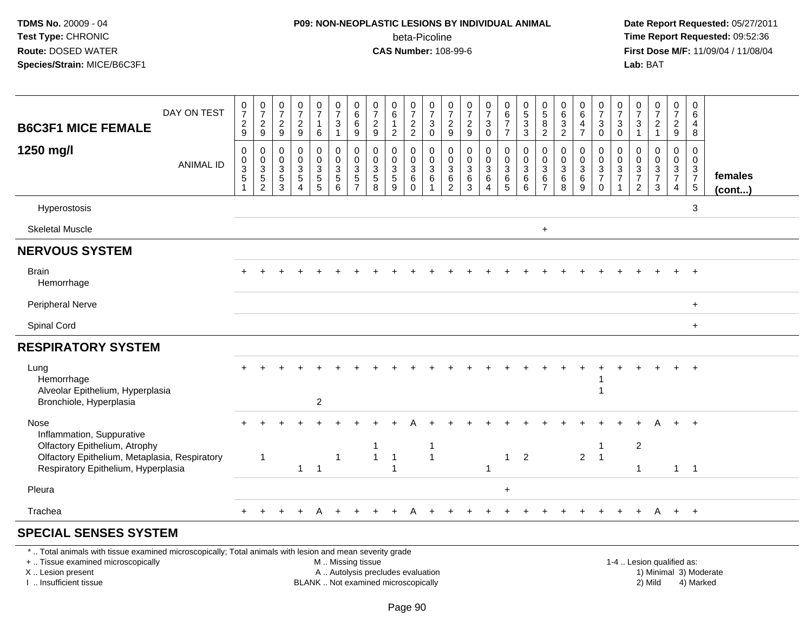### **P09: NON-NEOPLASTIC LESIONS BY INDIVIDUAL ANIMAL** beta-Picoline**beta-Picoline**<br> **CAS Number:** 108-99-6<br> **CAS Number:** 108-99-6<br> **CAS Number:** 108-99-6

 **Date Report Requested:** 05/27/2011 **First Dose M/F:** 11/09/04 / 11/08/04 Lab: BAT **Lab:** BAT

|                            | $\frac{0}{7}$<br>$\frac{2}{9}$                               | 0<br>$\overline{7}$<br>$\boldsymbol{2}$<br>$\boldsymbol{9}$ | $\frac{0}{7}$<br>$\frac{2}{9}$                                            | $\frac{0}{7}$<br>1<br>$\,6\,$                   | $\frac{0}{7}$<br>$\sqrt{3}$<br>$\mathbf{1}$                    | 0<br>6<br>6<br>9                                        | $\frac{0}{7}$<br>$\frac{2}{9}$ | $\begin{matrix} 0 \\ 6 \end{matrix}$<br>$\mathbf{1}$<br>$\overline{2}$ | 0<br>$\boldsymbol{7}$<br>$\frac{2}{2}$ | $\frac{0}{7}$<br>$\frac{3}{0}$                           | $\frac{0}{7}$<br>$\frac{2}{9}$                              | $\frac{0}{7}$<br>$\frac{2}{9}$                           | $\frac{0}{7}$<br>$\mathbf{3}$<br>$\pmb{0}$              | $\begin{array}{c} 0 \\ 6 \end{array}$<br>$\frac{7}{7}$                                 | 0<br>5<br>3<br>3                                                     | 0<br>$\begin{array}{c} 5 \\ 8 \\ 2 \end{array}$ | $063$<br>2                                                                 | 0<br>$6\overline{6}$<br>$\frac{4}{7}$ | $\frac{0}{7}$<br>$\frac{3}{0}$            | $\frac{0}{7}$<br>3<br>$\pmb{0}$         | $\frac{0}{7}$<br>$\frac{3}{1}$       | $\frac{0}{7}$<br>$\frac{2}{1}$  | 0<br>$\overline{7}$<br>$\frac{2}{9}$              | 0<br>$6\phantom{1}6$<br>4<br>8                      |                   |
|----------------------------|--------------------------------------------------------------|-------------------------------------------------------------|---------------------------------------------------------------------------|-------------------------------------------------|----------------------------------------------------------------|---------------------------------------------------------|--------------------------------|------------------------------------------------------------------------|----------------------------------------|----------------------------------------------------------|-------------------------------------------------------------|----------------------------------------------------------|---------------------------------------------------------|----------------------------------------------------------------------------------------|----------------------------------------------------------------------|-------------------------------------------------|----------------------------------------------------------------------------|---------------------------------------|-------------------------------------------|-----------------------------------------|--------------------------------------|---------------------------------|---------------------------------------------------|-----------------------------------------------------|-------------------|
| $\pmb{0}$<br>$\frac{0}{3}$ | $\pmb{0}$<br>$\begin{array}{c} 0 \\ 3 \\ 5 \\ 2 \end{array}$ | 0<br>0<br>$\ensuremath{\mathsf{3}}$<br>$\frac{5}{3}$        | $\begin{array}{c} 0 \\ 0 \\ 3 \\ 5 \end{array}$<br>$\boldsymbol{\Lambda}$ | 0<br>$\pmb{0}$<br>$\mathbf{3}$<br>$\frac{5}{5}$ | $\begin{smallmatrix}0\\0\\3\end{smallmatrix}$<br>$\frac{5}{6}$ | 0<br>$\mathbf 0$<br>$\mathbf{3}$<br>5<br>$\overline{7}$ | 0<br>0<br>0<br>5<br>5<br>8     | 0<br>$\begin{array}{c} 0 \\ 3 \\ 5 \end{array}$<br>$\overline{9}$      | 0<br>$\frac{0}{3}$<br>$\mathbf 0$      | $\begin{smallmatrix}0\\0\\3\end{smallmatrix}$<br>$\,6\,$ | 0<br>$\pmb{0}$<br>$\mathbf{3}$<br>$\,6\,$<br>$\overline{2}$ | $\pmb{0}$<br>$_{3}^{\rm 0}$<br>$\,6\,$<br>$\overline{3}$ | 0<br>$\frac{0}{3}$<br>$\,6\,$<br>$\boldsymbol{\Lambda}$ | $\begin{smallmatrix}0\0\0\3\end{smallmatrix}$<br>$\begin{array}{c} 6 \\ 5 \end{array}$ | $\begin{smallmatrix}0\\0\\3\end{smallmatrix}$<br>6<br>$\overline{6}$ | 0<br>0<br>$\mathbf{3}$<br>6                     | $\begin{smallmatrix}0\0\0\3\end{smallmatrix}$<br>$\,6\,$<br>$\overline{8}$ | 0<br>$_{3}^{\rm 0}$<br>$\,6$<br>9     | $\pmb{0}$<br>$\frac{0}{3}$<br>$\mathbf 0$ | 0<br>0<br>$\mathsf 3$<br>$\overline{7}$ | 0<br>$\frac{0}{3}$<br>$\overline{2}$ | $\pmb{0}$<br>$\frac{0}{3}$<br>3 | 0<br>$\pmb{0}$<br>$\frac{3}{7}$<br>$\overline{4}$ | 0<br>$\mathbf 0$<br>$\frac{3}{7}$<br>$\overline{5}$ | females<br>(cont) |
|                            |                                                              |                                                             |                                                                           |                                                 |                                                                |                                                         |                                |                                                                        |                                        |                                                          |                                                             |                                                          |                                                         |                                                                                        |                                                                      |                                                 |                                                                            |                                       |                                           |                                         |                                      |                                 |                                                   | 3                                                   |                   |
|                            |                                                              |                                                             |                                                                           |                                                 |                                                                |                                                         |                                |                                                                        |                                        |                                                          |                                                             |                                                          |                                                         |                                                                                        |                                                                      | $+$                                             |                                                                            |                                       |                                           |                                         |                                      |                                 |                                                   |                                                     |                   |
|                            |                                                              |                                                             |                                                                           |                                                 |                                                                |                                                         |                                |                                                                        |                                        |                                                          |                                                             |                                                          |                                                         |                                                                                        |                                                                      |                                                 |                                                                            |                                       |                                           |                                         |                                      |                                 |                                                   |                                                     |                   |
|                            |                                                              |                                                             |                                                                           |                                                 |                                                                |                                                         |                                |                                                                        |                                        |                                                          |                                                             |                                                          |                                                         |                                                                                        |                                                                      |                                                 |                                                                            |                                       |                                           |                                         |                                      |                                 |                                                   | $+$                                                 |                   |
|                            |                                                              |                                                             |                                                                           |                                                 |                                                                |                                                         |                                |                                                                        |                                        |                                                          |                                                             |                                                          |                                                         |                                                                                        |                                                                      |                                                 |                                                                            |                                       |                                           |                                         |                                      |                                 |                                                   | $\ddot{}$                                           |                   |
|                            |                                                              |                                                             |                                                                           |                                                 |                                                                |                                                         |                                |                                                                        |                                        |                                                          |                                                             |                                                          |                                                         |                                                                                        |                                                                      |                                                 |                                                                            |                                       |                                           |                                         |                                      |                                 |                                                   | $+$                                                 |                   |
|                            |                                                              |                                                             |                                                                           |                                                 |                                                                |                                                         |                                |                                                                        |                                        |                                                          |                                                             |                                                          |                                                         |                                                                                        |                                                                      |                                                 |                                                                            |                                       |                                           |                                         |                                      |                                 |                                                   |                                                     |                   |
|                            |                                                              |                                                             |                                                                           | $\overline{2}$                                  |                                                                |                                                         |                                |                                                                        |                                        |                                                          |                                                             |                                                          |                                                         |                                                                                        |                                                                      |                                                 |                                                                            |                                       | $\overline{1}$                            |                                         |                                      |                                 | $+$                                               | $+$                                                 |                   |
|                            |                                                              |                                                             |                                                                           |                                                 |                                                                |                                                         |                                |                                                                        |                                        |                                                          |                                                             |                                                          |                                                         |                                                                                        |                                                                      |                                                 |                                                                            |                                       |                                           |                                         |                                      | А                               | $+$                                               | $+$                                                 |                   |
|                            | $\mathbf{1}$                                                 |                                                             | $\overline{1}$                                                            | $\overline{1}$                                  | $\mathbf 1$                                                    |                                                         | $\mathbf{1}$                   | $\overline{1}$<br>$\mathbf{1}$                                         |                                        | $\mathbf 1$<br>$\overline{1}$                            |                                                             |                                                          | $\mathbf 1$                                             | 1                                                                                      | $\overline{2}$                                                       |                                                 |                                                                            | 2 <sup>1</sup>                        | -1<br>$\overline{1}$                      |                                         | $\mathbf{2}$<br>$\mathbf 1$          |                                 | $\mathbf{1}$                                      | $\overline{\phantom{0}}$ 1                          |                   |
|                            |                                                              |                                                             |                                                                           |                                                 |                                                                |                                                         |                                |                                                                        |                                        |                                                          |                                                             |                                                          |                                                         | $\ddot{}$                                                                              |                                                                      |                                                 |                                                                            |                                       |                                           |                                         |                                      |                                 |                                                   |                                                     |                   |
|                            |                                                              |                                                             |                                                                           | Α                                               |                                                                |                                                         |                                |                                                                        |                                        |                                                          |                                                             |                                                          |                                                         |                                                                                        |                                                                      |                                                 |                                                                            |                                       |                                           |                                         |                                      | Α                               | $+$                                               | $+$                                                 |                   |
|                            |                                                              | $\frac{0}{7}$<br>$\frac{2}{9}$                              |                                                                           |                                                 |                                                                |                                                         |                                |                                                                        |                                        |                                                          |                                                             |                                                          |                                                         |                                                                                        |                                                                      |                                                 |                                                                            |                                       |                                           |                                         |                                      |                                 |                                                   |                                                     |                   |

### **SPECIAL SENSES SYSTEM**

\* .. Total animals with tissue examined microscopically; Total animals with lesion and mean severity grade

+ .. Tissue examined microscopically

X .. Lesion present

I .. Insufficient tissue

M .. Missing tissue

A .. Autolysis precludes evaluation

BLANK .. Not examined microscopically 2) Mild 4) Marked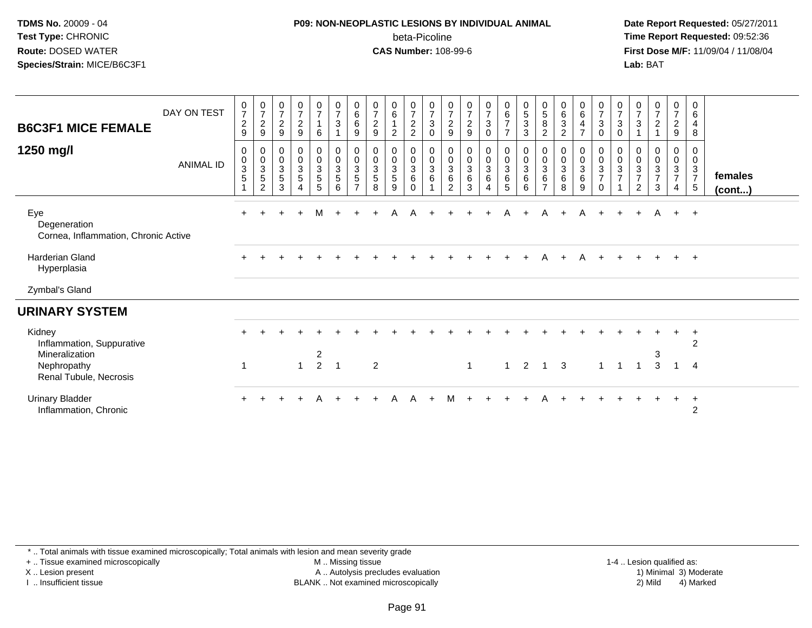#### **P09: NON-NEOPLASTIC LESIONS BY INDIVIDUAL ANIMAL** beta-Picoline**beta-Picoline**<br> **CAS Number:** 108-99-6<br> **CAS Number:** 108-99-6<br> **CAS Number:** 108-99-6

 **Date Report Requested:** 05/27/2011 **First Dose M/F:** 11/09/04 / 11/08/04<br>**Lab:** BAT **Lab:** BAT

| <b>B6C3F1 MICE FEMALE</b><br>1250 mg/l                      | DAY ON TEST<br><b>ANIMAL ID</b> | $\frac{0}{7}$<br>$\overline{c}$<br>9<br>0<br>$\,0\,$<br>$\frac{3}{5}$ | $\frac{0}{7}$<br>$\frac{2}{9}$<br>$\pmb{0}$<br>$\frac{0}{3}$<br>$\overline{2}$ | $\frac{0}{7}$<br>$\sqrt{2}$<br>9<br>0<br>$\frac{0}{3}$<br>3 | $\frac{0}{7}$<br>$\overline{c}$<br>9<br>0<br>$\mathbf 0$<br>$\mathbf 3$<br>5<br>$\overline{4}$ | $\frac{0}{7}$<br>$\mathbf{1}$<br>6<br>$\pmb{0}$<br>$\pmb{0}$<br>$\frac{3}{5}$<br>5 | $\frac{0}{7}$<br>$\ensuremath{\mathsf{3}}$<br>$\begin{smallmatrix} 0\\0 \end{smallmatrix}$<br>$\frac{3}{5}$<br>6 | $\begin{matrix} 0 \\ 6 \end{matrix}$<br>6<br>9<br>0<br>$\pmb{0}$<br>$\ensuremath{\mathsf{3}}$<br>$\sqrt{5}$<br>$\overline{ }$ | $\frac{0}{7}$<br>$\sqrt{2}$<br>$\boldsymbol{9}$<br>$\pmb{0}$<br>$\pmb{0}$<br>$\frac{3}{5}$<br>8 | $\begin{matrix} 0 \\ 6 \end{matrix}$<br>1<br>$\overline{2}$<br>0<br>$\pmb{0}$<br>$\ensuremath{\mathsf{3}}$<br>$\sqrt{5}$<br>9 | $\begin{array}{c} 0 \\ 7 \\ 2 \end{array}$<br>$\overline{c}$<br>$\,0\,$<br>$\mathbf 0$<br>$\sqrt{3}$<br>$\,6\,$<br>$\Omega$ | $\frac{0}{7}$<br>$\mathbf{3}$<br>$\mathbf 0$<br>0<br>$\mathbf 0$<br>$\mathbf{3}$<br>$\,6$ | $\frac{0}{7}$<br>$\boldsymbol{2}$<br>9<br>0<br>$\mathbf 0$<br>$\ensuremath{\mathsf{3}}$<br>6<br>$\mathfrak{p}$ | $\frac{0}{7}$<br>$\boldsymbol{2}$<br>$\boldsymbol{9}$<br>0<br>$_{3}^{\rm 0}$<br>$\,6\,$<br>3 | $\frac{0}{7}$<br>$\mathsf 3$<br>$\mathbf 0$<br>$\mathbf 0$<br>$_{3}^{\rm 0}$<br>6<br>$\overline{4}$ | $\begin{array}{c} 0 \\ 6 \\ 7 \end{array}$<br>$\overline{7}$<br>$\begin{smallmatrix}0\\0\\3\end{smallmatrix}$<br>$\,6\,$<br>5 | $\begin{matrix}0\\5\end{matrix}$<br>3<br>3<br>0<br>$\mathbf 0$<br>$\mathfrak{Z}$<br>6<br>6 | $\begin{array}{c} 0 \\ 5 \\ 8 \end{array}$<br>$\overline{c}$<br>$\pmb{0}$<br>$\pmb{0}$<br>$\ensuremath{\mathsf{3}}$<br>6<br>$\overline{7}$ | $\begin{matrix} 0 \\ 6 \\ 3 \end{matrix}$<br>$\overline{2}$<br>$\mathbf 0$<br>$\mathsf{O}\xspace$<br>$\mathbf{3}$<br>6<br>8 | $\begin{matrix} 0 \\ 6 \end{matrix}$<br>$\overline{4}$<br>$\overline{7}$<br>0<br>$\mathbf 0$<br>$\mathbf{3}$<br>6<br>9 | $\frac{0}{7}$<br>$\sqrt{3}$<br>$\mathbf 0$<br>$\,0\,$<br>$\mathbf 0$<br>$\frac{3}{7}$<br>$\Omega$ | $\frac{0}{7}$<br>3<br>$\mathbf 0$<br>0<br>$\pmb{0}$<br>$\frac{3}{7}$ | $\frac{0}{7}$<br>3<br>0<br>$\pmb{0}$<br>$\frac{3}{7}$<br>$\mathcal{P}$ | $\frac{0}{7}$<br>$\overline{2}$<br>0<br>$\mathbf 0$<br>$\ensuremath{\mathsf{3}}$<br>$\overline{7}$<br>3 | $\frac{0}{7}$<br>$\frac{2}{9}$<br>$\boldsymbol{0}$<br>$\mathbf 0$<br>$\frac{3}{7}$<br>$\overline{4}$ | 0<br>$\,6\,$<br>4<br>8<br>0<br>$\mathbf 0$<br>$\ensuremath{\mathsf{3}}$<br>$\overline{7}$<br>$\overline{5}$ | females<br>(cont) |
|-------------------------------------------------------------|---------------------------------|-----------------------------------------------------------------------|--------------------------------------------------------------------------------|-------------------------------------------------------------|------------------------------------------------------------------------------------------------|------------------------------------------------------------------------------------|------------------------------------------------------------------------------------------------------------------|-------------------------------------------------------------------------------------------------------------------------------|-------------------------------------------------------------------------------------------------|-------------------------------------------------------------------------------------------------------------------------------|-----------------------------------------------------------------------------------------------------------------------------|-------------------------------------------------------------------------------------------|----------------------------------------------------------------------------------------------------------------|----------------------------------------------------------------------------------------------|-----------------------------------------------------------------------------------------------------|-------------------------------------------------------------------------------------------------------------------------------|--------------------------------------------------------------------------------------------|--------------------------------------------------------------------------------------------------------------------------------------------|-----------------------------------------------------------------------------------------------------------------------------|------------------------------------------------------------------------------------------------------------------------|---------------------------------------------------------------------------------------------------|----------------------------------------------------------------------|------------------------------------------------------------------------|---------------------------------------------------------------------------------------------------------|------------------------------------------------------------------------------------------------------|-------------------------------------------------------------------------------------------------------------|-------------------|
| Eye<br>Degeneration<br>Cornea, Inflammation, Chronic Active |                                 | $+$                                                                   |                                                                                |                                                             | $\ddot{}$                                                                                      | м                                                                                  | $\ddot{}$                                                                                                        |                                                                                                                               | ÷.                                                                                              | Α                                                                                                                             | A                                                                                                                           |                                                                                           |                                                                                                                |                                                                                              | $\div$                                                                                              | A                                                                                                                             | $\ddot{}$                                                                                  |                                                                                                                                            | $+$                                                                                                                         | A                                                                                                                      | $+$                                                                                               | $\div$                                                               | $\ddot{}$                                                              | A                                                                                                       | $+$                                                                                                  | $+$                                                                                                         |                   |
| <b>Harderian Gland</b><br>Hyperplasia                       |                                 | $+$                                                                   |                                                                                |                                                             |                                                                                                |                                                                                    |                                                                                                                  |                                                                                                                               |                                                                                                 |                                                                                                                               |                                                                                                                             |                                                                                           |                                                                                                                |                                                                                              |                                                                                                     |                                                                                                                               |                                                                                            |                                                                                                                                            | $\div$                                                                                                                      | A                                                                                                                      |                                                                                                   |                                                                      |                                                                        |                                                                                                         |                                                                                                      | $+$                                                                                                         |                   |
| Zymbal's Gland                                              |                                 |                                                                       |                                                                                |                                                             |                                                                                                |                                                                                    |                                                                                                                  |                                                                                                                               |                                                                                                 |                                                                                                                               |                                                                                                                             |                                                                                           |                                                                                                                |                                                                                              |                                                                                                     |                                                                                                                               |                                                                                            |                                                                                                                                            |                                                                                                                             |                                                                                                                        |                                                                                                   |                                                                      |                                                                        |                                                                                                         |                                                                                                      |                                                                                                             |                   |
| <b>URINARY SYSTEM</b>                                       |                                 |                                                                       |                                                                                |                                                             |                                                                                                |                                                                                    |                                                                                                                  |                                                                                                                               |                                                                                                 |                                                                                                                               |                                                                                                                             |                                                                                           |                                                                                                                |                                                                                              |                                                                                                     |                                                                                                                               |                                                                                            |                                                                                                                                            |                                                                                                                             |                                                                                                                        |                                                                                                   |                                                                      |                                                                        |                                                                                                         |                                                                                                      |                                                                                                             |                   |
| Kidney<br>Inflammation, Suppurative                         |                                 |                                                                       |                                                                                |                                                             |                                                                                                |                                                                                    |                                                                                                                  |                                                                                                                               |                                                                                                 |                                                                                                                               |                                                                                                                             |                                                                                           |                                                                                                                |                                                                                              |                                                                                                     |                                                                                                                               |                                                                                            |                                                                                                                                            |                                                                                                                             |                                                                                                                        |                                                                                                   |                                                                      |                                                                        |                                                                                                         |                                                                                                      | $\div$<br>$\overline{2}$                                                                                    |                   |
| Mineralization<br>Nephropathy<br>Renal Tubule, Necrosis     |                                 |                                                                       |                                                                                |                                                             | 1                                                                                              | $\frac{2}{2}$                                                                      | $\overline{1}$                                                                                                   |                                                                                                                               | $\overline{2}$                                                                                  |                                                                                                                               |                                                                                                                             |                                                                                           |                                                                                                                | -1                                                                                           |                                                                                                     | $\mathbf{1}$                                                                                                                  | $\overline{2}$                                                                             |                                                                                                                                            | 3                                                                                                                           |                                                                                                                        |                                                                                                   |                                                                      |                                                                        | 3<br>3                                                                                                  |                                                                                                      | $\overline{4}$                                                                                              |                   |
| <b>Urinary Bladder</b><br>Inflammation, Chronic             |                                 | $\pm$                                                                 |                                                                                | $\overline{+}$                                              | $+$                                                                                            | A                                                                                  | $+$                                                                                                              | $+$                                                                                                                           | $\pm$                                                                                           | A                                                                                                                             | A                                                                                                                           | $\ddot{}$                                                                                 | м                                                                                                              | $\pm$                                                                                        | $+$                                                                                                 |                                                                                                                               |                                                                                            | A                                                                                                                                          | $\pm$                                                                                                                       | $+$                                                                                                                    |                                                                                                   |                                                                      |                                                                        |                                                                                                         | $+$                                                                                                  | $+$<br>$\overline{2}$                                                                                       |                   |

\* .. Total animals with tissue examined microscopically; Total animals with lesion and mean severity grade

+ .. Tissue examined microscopically

X .. Lesion present

I .. Insufficient tissue

 M .. Missing tissueA .. Autolysis precludes evaluation

BLANK .. Not examined microscopically 2) Mild 4) Marked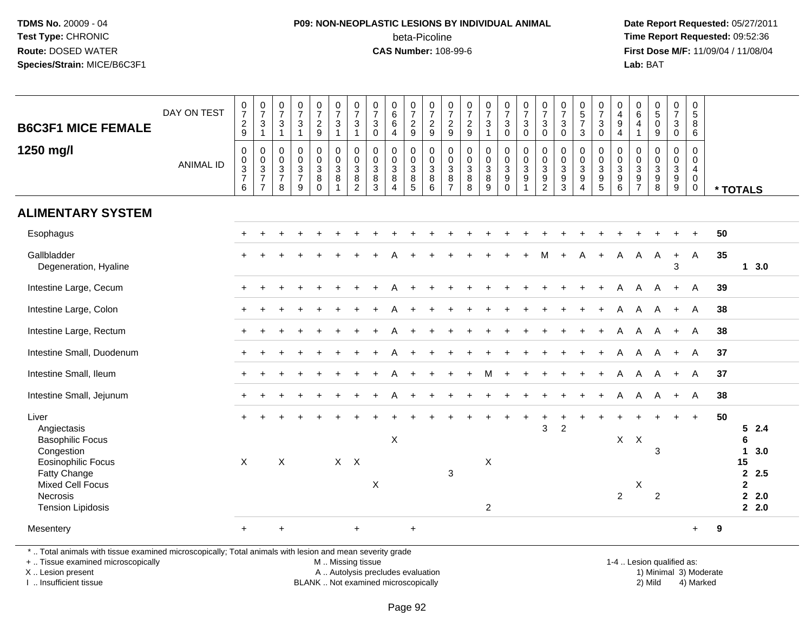# **P09: NON-NEOPLASTIC LESIONS BY INDIVIDUAL ANIMAL**beta-Picoline<br>CAS Number: 108-99-6

 **Date Report Requested:** 05/27/2011 **Time Report Requested:** 09:52:36 **First Dose M/F:** 11/09/04 / 11/08/04<br>Lab: BAT **Lab:** BAT

| <b>B6C3F1 MICE FEMALE</b>                                                                                             | DAY ON TEST      | $\frac{0}{7}$<br>$\frac{2}{9}$                                     | $\begin{array}{c} 0 \\ 7 \end{array}$<br>$\sqrt{3}$<br>$\mathbf{1}$ | $\frac{0}{7}$<br>$\mathbf{3}$<br>$\mathbf{1}$                                  | $\frac{0}{7}$<br>$\mathbf{3}$<br>$\overline{1}$                   | $\frac{0}{7}$<br>$\frac{2}{9}$                              | $\pmb{0}$<br>$\overline{7}$<br>$\mathbf{3}$<br>$\overline{1}$ | $\frac{0}{7}$<br>$\sqrt{3}$<br>$\overline{1}$                    | $\begin{array}{c} 0 \\ 7 \end{array}$<br>$\mathbf{3}$<br>$\mathbf 0$  | $\pmb{0}$<br>$\,6\,$<br>$\,6\,$<br>$\overline{4}$                     | $\frac{0}{7}$<br>$\overline{c}$<br>9                    | $\frac{0}{7}$<br>$\frac{2}{9}$                                  | $\begin{array}{c} 0 \\ 7 \end{array}$<br>$\frac{2}{9}$      | $\begin{array}{c} 0 \\ 7 \end{array}$<br>$\frac{2}{9}$               | $\frac{0}{7}$<br>$\sqrt{3}$<br>$\overline{1}$         | $\frac{0}{7}$<br>$\mathbf{3}$<br>0        | $\begin{matrix}0\\7\end{matrix}$<br>$\mathbf{3}$<br>$\mathbf 0$  | $\frac{0}{7}$<br>$\sqrt{3}$<br>$\mathbf 0$                  | 0<br>$\overline{7}$<br>$\ensuremath{\mathsf{3}}$<br>$\mathbf 0$             | $\begin{array}{c} 0 \\ 5 \\ 7 \end{array}$<br>3                                    | $\frac{0}{7}$<br>3<br>$\mathbf 0$                       | 0<br>$\overline{4}$<br>$\boldsymbol{9}$<br>$\overline{4}$               | 0<br>6<br>4<br>1                                                            | 0<br>$\sqrt{5}$<br>0<br>9                                           | $\begin{array}{c} 0 \\ 7 \end{array}$<br>$\mathbf{3}$<br>$\mathbf 0$           | $\pmb{0}$<br>$\sqrt{5}$<br>$\bf 8$<br>$6\phantom{1}$                               |    |                                                    |            |
|-----------------------------------------------------------------------------------------------------------------------|------------------|--------------------------------------------------------------------|---------------------------------------------------------------------|--------------------------------------------------------------------------------|-------------------------------------------------------------------|-------------------------------------------------------------|---------------------------------------------------------------|------------------------------------------------------------------|-----------------------------------------------------------------------|-----------------------------------------------------------------------|---------------------------------------------------------|-----------------------------------------------------------------|-------------------------------------------------------------|----------------------------------------------------------------------|-------------------------------------------------------|-------------------------------------------|------------------------------------------------------------------|-------------------------------------------------------------|-----------------------------------------------------------------------------|------------------------------------------------------------------------------------|---------------------------------------------------------|-------------------------------------------------------------------------|-----------------------------------------------------------------------------|---------------------------------------------------------------------|--------------------------------------------------------------------------------|------------------------------------------------------------------------------------|----|----------------------------------------------------|------------|
| 1250 mg/l                                                                                                             | <b>ANIMAL ID</b> | 0<br>$\pmb{0}$<br>$\ensuremath{\mathsf{3}}$<br>$\overline{7}$<br>6 | $\,0\,$<br>$\frac{0}{3}$<br>$\overline{7}$                          | $\mathbf 0$<br>$\mathbf 0$<br>$\ensuremath{\mathsf{3}}$<br>$\overline{7}$<br>8 | $\mathbf 0$<br>$\mathbf 0$<br>$\sqrt{3}$<br>$\boldsymbol{7}$<br>9 | $\mathsf 0$<br>$\pmb{0}$<br>$\overline{3}$<br>8<br>$\Omega$ | 0<br>$\mathbf 0$<br>$\mathsf 3$<br>$\, 8$<br>$\overline{1}$   | $\pmb{0}$<br>$\pmb{0}$<br>$\sqrt{3}$<br>$\, 8$<br>$\overline{2}$ | $\mathbf 0$<br>$\mathbf 0$<br>$\mathbf{3}$<br>$\bf 8$<br>$\mathbf{3}$ | $\pmb{0}$<br>$\mathbf 0$<br>$\mathbf{3}$<br>$\bf 8$<br>$\overline{4}$ | $\mathbf 0$<br>$\mathsf{O}\xspace$<br>3<br>$\bf 8$<br>5 | $\pmb{0}$<br>$\mathbf 0$<br>$\sqrt{3}$<br>$\, 8$<br>$6^{\circ}$ | 0<br>$\mathsf 0$<br>$\sqrt{3}$<br>$\bf 8$<br>$\overline{7}$ | $\mathbf 0$<br>$\pmb{0}$<br>$\ensuremath{\mathsf{3}}$<br>$\, 8$<br>8 | $\pmb{0}$<br>$\pmb{0}$<br>$\mathbf 3$<br>$\bf 8$<br>9 | 0<br>$\mathsf 0$<br>3<br>9<br>$\mathbf 0$ | $\pmb{0}$<br>$\frac{0}{3}$<br>$\boldsymbol{9}$<br>$\overline{1}$ | $\mathbf 0$<br>$\pmb{0}$<br>$\overline{3}$<br>$\frac{9}{2}$ | $\Omega$<br>$\mathbf 0$<br>$\mathbf{3}$<br>$\boldsymbol{9}$<br>$\mathbf{3}$ | $\mathbf 0$<br>$\mathbf 0$<br>$\overline{3}$<br>$\boldsymbol{9}$<br>$\overline{4}$ | 0<br>$\mathbf 0$<br>$\sqrt{3}$<br>$\boldsymbol{9}$<br>5 | $\mathbf 0$<br>$\pmb{0}$<br>$\mathbf{3}$<br>$\boldsymbol{9}$<br>$\,6\,$ | $\Omega$<br>$\mathbf 0$<br>$\sqrt{3}$<br>$\boldsymbol{9}$<br>$\overline{7}$ | $\mathbf 0$<br>$\mathbf 0$<br>$\mathbf{3}$<br>$\boldsymbol{9}$<br>8 | $\mathbf 0$<br>$\pmb{0}$<br>$\sqrt{3}$<br>$\boldsymbol{9}$<br>$\boldsymbol{9}$ | $\mathsf 0$<br>$\mathbf 0$<br>$\overline{4}$<br>$\mathsf{O}\xspace$<br>$\mathbf 0$ |    | * TOTALS                                           |            |
| <b>ALIMENTARY SYSTEM</b>                                                                                              |                  |                                                                    |                                                                     |                                                                                |                                                                   |                                                             |                                                               |                                                                  |                                                                       |                                                                       |                                                         |                                                                 |                                                             |                                                                      |                                                       |                                           |                                                                  |                                                             |                                                                             |                                                                                    |                                                         |                                                                         |                                                                             |                                                                     |                                                                                |                                                                                    |    |                                                    |            |
| Esophagus                                                                                                             |                  | $+$                                                                |                                                                     |                                                                                |                                                                   |                                                             |                                                               |                                                                  |                                                                       |                                                                       |                                                         |                                                                 |                                                             |                                                                      |                                                       |                                           |                                                                  |                                                             |                                                                             |                                                                                    |                                                         |                                                                         |                                                                             |                                                                     |                                                                                |                                                                                    | 50 |                                                    |            |
| Gallbladder<br>Degeneration, Hyaline                                                                                  |                  |                                                                    |                                                                     |                                                                                |                                                                   |                                                             |                                                               |                                                                  |                                                                       |                                                                       |                                                         |                                                                 |                                                             |                                                                      |                                                       |                                           |                                                                  | м                                                           |                                                                             | A                                                                                  | $+$                                                     | A                                                                       | Α                                                                           | A                                                                   | $+$<br>3                                                                       | A                                                                                  | 35 | $1 \quad 3.0$                                      |            |
| Intestine Large, Cecum                                                                                                |                  | $\pm$                                                              |                                                                     |                                                                                |                                                                   |                                                             |                                                               |                                                                  |                                                                       |                                                                       |                                                         |                                                                 |                                                             |                                                                      |                                                       |                                           |                                                                  |                                                             |                                                                             |                                                                                    |                                                         | A                                                                       | A                                                                           | A                                                                   | $+$                                                                            | A                                                                                  | 39 |                                                    |            |
| Intestine Large, Colon                                                                                                |                  |                                                                    |                                                                     |                                                                                |                                                                   |                                                             |                                                               |                                                                  |                                                                       |                                                                       |                                                         |                                                                 |                                                             |                                                                      |                                                       |                                           |                                                                  |                                                             |                                                                             |                                                                                    | $\ddot{}$                                               | A                                                                       | A                                                                           | A                                                                   | $+$                                                                            | $\overline{A}$                                                                     | 38 |                                                    |            |
| Intestine Large, Rectum                                                                                               |                  | $\pm$                                                              |                                                                     |                                                                                |                                                                   |                                                             |                                                               |                                                                  |                                                                       |                                                                       |                                                         |                                                                 |                                                             |                                                                      |                                                       |                                           |                                                                  |                                                             |                                                                             |                                                                                    | $\ddot{}$                                               | A                                                                       | A                                                                           | A                                                                   | $+$                                                                            | A                                                                                  | 38 |                                                    |            |
| Intestine Small, Duodenum                                                                                             |                  | $\pm$                                                              |                                                                     |                                                                                |                                                                   |                                                             |                                                               |                                                                  |                                                                       |                                                                       |                                                         |                                                                 |                                                             |                                                                      |                                                       |                                           |                                                                  |                                                             |                                                                             |                                                                                    | $\ddot{}$                                               | A                                                                       | A                                                                           | A                                                                   | $+$                                                                            | A                                                                                  | 37 |                                                    |            |
| Intestine Small, Ileum                                                                                                |                  | $\pm$                                                              |                                                                     |                                                                                |                                                                   |                                                             |                                                               |                                                                  |                                                                       |                                                                       |                                                         |                                                                 |                                                             | $+$                                                                  | M                                                     | $\ddot{}$                                 |                                                                  |                                                             |                                                                             |                                                                                    | $\ddot{}$                                               | A                                                                       | A                                                                           | A                                                                   | $+$                                                                            | A                                                                                  | 37 |                                                    |            |
| Intestine Small, Jejunum                                                                                              |                  | $+$                                                                |                                                                     |                                                                                |                                                                   |                                                             |                                                               |                                                                  |                                                                       |                                                                       |                                                         |                                                                 |                                                             |                                                                      |                                                       |                                           |                                                                  |                                                             |                                                                             |                                                                                    | $\ddot{}$                                               | A                                                                       | A                                                                           | A                                                                   | $+$                                                                            | $\overline{A}$                                                                     | 38 |                                                    |            |
| Liver<br>Angiectasis<br><b>Basophilic Focus</b><br>Congestion                                                         |                  | $+$                                                                |                                                                     |                                                                                |                                                                   |                                                             |                                                               |                                                                  |                                                                       | $\mathsf X$                                                           |                                                         |                                                                 |                                                             |                                                                      |                                                       |                                           |                                                                  | 3                                                           | $\overline{c}$                                                              |                                                                                    |                                                         | $\mathsf{X}^-$                                                          | $\mathsf{X}$                                                                | 3                                                                   | $+$                                                                            | $+$                                                                                | 50 | $5\phantom{.0}$<br>6<br>$\mathbf 1$                | 2.4<br>3.0 |
| <b>Eosinophilic Focus</b><br>Fatty Change<br><b>Mixed Cell Focus</b><br><b>Necrosis</b>                               |                  | X                                                                  |                                                                     | X                                                                              |                                                                   |                                                             | $X$ $X$                                                       |                                                                  | $\boldsymbol{\mathsf{X}}$                                             |                                                                       |                                                         |                                                                 | $\mathbf{3}$                                                |                                                                      | X                                                     |                                           |                                                                  |                                                             |                                                                             |                                                                                    |                                                         | $\overline{2}$                                                          | Χ                                                                           | 2                                                                   |                                                                                |                                                                                    |    | 15<br>$\mathbf{2}$<br>$\mathbf{2}$<br>$\mathbf{2}$ | 2.5<br>2.0 |
| <b>Tension Lipidosis</b>                                                                                              |                  |                                                                    |                                                                     |                                                                                |                                                                   |                                                             |                                                               |                                                                  |                                                                       |                                                                       |                                                         |                                                                 |                                                             |                                                                      | $\overline{2}$                                        |                                           |                                                                  |                                                             |                                                                             |                                                                                    |                                                         |                                                                         |                                                                             |                                                                     |                                                                                |                                                                                    |    | 22.0                                               |            |
| Mesentery<br>*  Total animals with tissue examined microscopically; Total animals with lesion and mean severity grade |                  | $+$                                                                |                                                                     | $\ddot{}$                                                                      |                                                                   |                                                             |                                                               | $\ddot{}$                                                        |                                                                       |                                                                       | $\ddot{}$                                               |                                                                 |                                                             |                                                                      |                                                       |                                           |                                                                  |                                                             |                                                                             |                                                                                    |                                                         |                                                                         |                                                                             |                                                                     |                                                                                | $+$                                                                                | 9  |                                                    |            |

+ .. Tissue examined microscopically

X .. Lesion present

I .. Insufficient tissue

M .. Missing tissue

BLANK .. Not examined microscopically

1-4 .. Lesion qualified as:<br>1) Minimal 3) Moderate A .. Autolysis precludes evaluation 19 and 10 minimal 3) Moderate 1 and 20 minimal 3) Moderate 19 minimal 3) Moderat<br>19 and 19 and 19 and 19 and 19 and 19 and 19 and 19 and 19 and 19 and 19 and 19 and 19 and 19 and 19 and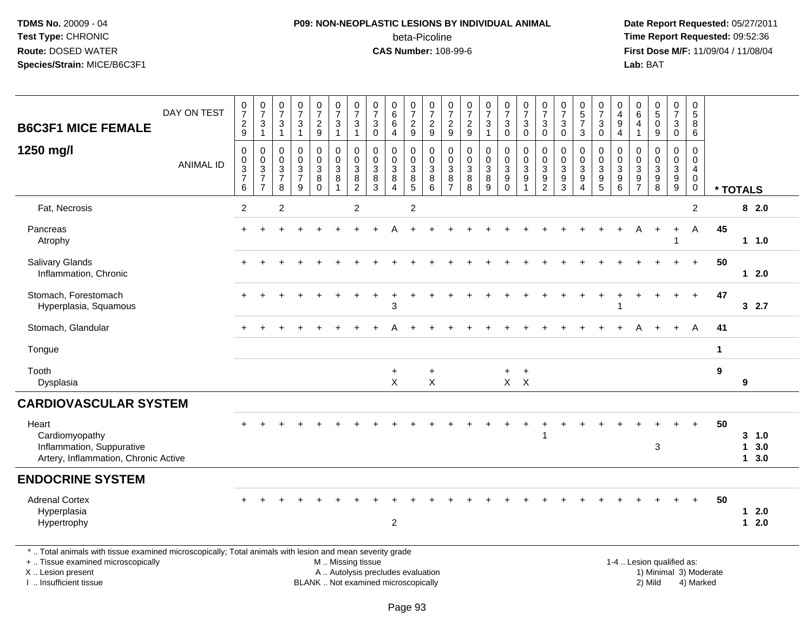# **P09: NON-NEOPLASTIC LESIONS BY INDIVIDUAL ANIMAL**beta-Picoline<br>CAS Number: 108-99-6

 **Date Report Requested:** 05/27/2011 **Time Report Requested:** 09:52:36 **First Dose M/F:** 11/09/04 / 11/08/04<br>Lab: BAT **Lab:** BAT

| <b>B6C3F1 MICE FEMALE</b>                                                                                                                                           | DAY ON TEST      | $\frac{0}{7}$<br>$\boldsymbol{2}$<br>$\boldsymbol{9}$ | $\frac{0}{7}$<br>$\ensuremath{\mathsf{3}}$<br>$\mathbf{1}$ | $\frac{0}{7}$<br>3<br>$\overline{1}$             | $\frac{0}{7}$<br>$\ensuremath{\mathsf{3}}$<br>$\mathbf{1}$       | $\frac{0}{7}$<br>$\sqrt{2}$<br>$\boldsymbol{9}$      | $\frac{0}{7}$<br>$\sqrt{3}$<br>$\mathbf{1}$                     | $\frac{0}{7}$<br>3<br>$\mathbf{1}$                           | $\frac{0}{7}$<br>$\ensuremath{\mathsf{3}}$<br>$\mathbf 0$ | $\begin{array}{c} 0 \\ 6 \end{array}$<br>$\,6$<br>$\overline{4}$        | $\frac{0}{7}$<br>$\frac{2}{9}$                                             | 0<br>$\overline{7}$<br>$\sqrt{2}$<br>9          | $\frac{0}{7}$<br>$\overline{c}$<br>$\boldsymbol{9}$               | $\frac{0}{7}$<br>$\frac{2}{9}$                                        | $\frac{0}{7}$<br>$\mathbf 3$<br>$\mathbf{1}$         | $\frac{0}{7}$<br>3<br>$\mathbf 0$                        | $\frac{0}{7}$<br>$\sqrt{3}$<br>$\mathbf 0$                    | $\frac{0}{7}$<br>$\sqrt{3}$<br>$\mathbf 0$                                     | $\frac{0}{7}$<br>$\ensuremath{\mathsf{3}}$<br>$\mathbf 0$ | $\begin{array}{c} 0 \\ 5 \\ 7 \end{array}$<br>3     | $\frac{0}{7}$<br>$\ensuremath{\mathsf{3}}$<br>$\mathbf 0$ | 0<br>$\overline{4}$<br>$\boldsymbol{9}$<br>$\overline{4}$                      | 0<br>$6\overline{6}$<br>$\overline{4}$<br>$\overline{1}$     | $\begin{array}{c} 0 \\ 5 \end{array}$<br>$\mathbf 0$<br>9 | 0<br>$\overline{7}$<br>3<br>$\mathbf 0$                | 0<br>$5\,$<br>8<br>$\,6\,$                              |                  |          |                                    |  |
|---------------------------------------------------------------------------------------------------------------------------------------------------------------------|------------------|-------------------------------------------------------|------------------------------------------------------------|--------------------------------------------------|------------------------------------------------------------------|------------------------------------------------------|-----------------------------------------------------------------|--------------------------------------------------------------|-----------------------------------------------------------|-------------------------------------------------------------------------|----------------------------------------------------------------------------|-------------------------------------------------|-------------------------------------------------------------------|-----------------------------------------------------------------------|------------------------------------------------------|----------------------------------------------------------|---------------------------------------------------------------|--------------------------------------------------------------------------------|-----------------------------------------------------------|-----------------------------------------------------|-----------------------------------------------------------|--------------------------------------------------------------------------------|--------------------------------------------------------------|-----------------------------------------------------------|--------------------------------------------------------|---------------------------------------------------------|------------------|----------|------------------------------------|--|
| 1250 mg/l                                                                                                                                                           | <b>ANIMAL ID</b> | $\mathbf 0$<br>0<br>$\frac{3}{7}$<br>6                | 0<br>$\pmb{0}$<br>$\frac{3}{7}$<br>$\overline{7}$          | $\mathbf 0$<br>$\mathbf 0$<br>$\frac{3}{7}$<br>8 | $\pmb{0}$<br>$\overline{0}$<br>$\frac{3}{7}$<br>$\boldsymbol{9}$ | 0<br>$\pmb{0}$<br>$\mathbf{3}$<br>$_{\rm 0}^{\rm 8}$ | $\mathbf 0$<br>$\mathbf 0$<br>$\sqrt{3}$<br>8<br>$\overline{1}$ | $\mathbf 0$<br>$\mathbf 0$<br>3<br>$\bf 8$<br>$\overline{c}$ | $\Omega$<br>$\Omega$<br>3<br>$\bf 8$<br>3                 | $\mathbf 0$<br>$\mathbf 0$<br>$\ensuremath{\mathsf{3}}$<br>$\bf 8$<br>4 | 0<br>$\mathbf 0$<br>$\ensuremath{\mathsf{3}}$<br>$\bf 8$<br>$\overline{5}$ | $\mathbf 0$<br>$\Omega$<br>$\sqrt{3}$<br>8<br>6 | $\mathbf 0$<br>$\mathbf 0$<br>$\mathbf{3}$<br>8<br>$\overline{7}$ | $\mathbf 0$<br>$\mathbf 0$<br>$\sqrt{3}$<br>$\bf 8$<br>$\overline{8}$ | $\mathsf 0$<br>$\pmb{0}$<br>$_8^3$<br>$\overline{9}$ | 0<br>$\mathbf 0$<br>$\mathbf{3}$<br>$9\,$<br>$\mathbf 0$ | $\mathbf 0$<br>$\mathbf 0$<br>$\frac{3}{9}$<br>$\overline{1}$ | $\mathbf 0$<br>$\mathbf 0$<br>$\ensuremath{\mathsf{3}}$<br>9<br>$\overline{c}$ | $\mathbf 0$<br>$\mathbf{0}$<br>3<br>9<br>3                | $\mathbf 0$<br>$\Omega$<br>3<br>9<br>$\overline{4}$ | $\mathbf 0$<br>$\pmb{0}$<br>$\frac{3}{9}$                 | $\mathbf 0$<br>$\mathbf 0$<br>$\sqrt{3}$<br>$\boldsymbol{9}$<br>$6\phantom{a}$ | $\mathbf 0$<br>$\Omega$<br>$\sqrt{3}$<br>9<br>$\overline{7}$ | $\Omega$<br>$\Omega$<br>$\sqrt{3}$<br>9<br>$\overline{8}$ | $\mathbf 0$<br>$\mathbf 0$<br>3<br>9<br>$\overline{9}$ | $\Omega$<br>$\Omega$<br>4<br>$\mathbf 0$<br>$\mathsf 0$ |                  | * TOTALS |                                    |  |
| Fat, Necrosis                                                                                                                                                       |                  | $\overline{2}$                                        |                                                            | $\overline{2}$                                   |                                                                  |                                                      |                                                                 | $\overline{c}$                                               |                                                           |                                                                         | $\overline{2}$                                                             |                                                 |                                                                   |                                                                       |                                                      |                                                          |                                                               |                                                                                |                                                           |                                                     |                                                           |                                                                                |                                                              |                                                           |                                                        | $\overline{2}$                                          |                  |          | 82.0                               |  |
| Pancreas<br>Atrophy                                                                                                                                                 |                  |                                                       |                                                            |                                                  |                                                                  |                                                      |                                                                 |                                                              |                                                           |                                                                         |                                                                            |                                                 |                                                                   |                                                                       |                                                      |                                                          |                                                               |                                                                                |                                                           |                                                     |                                                           |                                                                                | A                                                            |                                                           | $\ddot{}$<br>$\overline{1}$                            | A                                                       | 45               |          | $1 1.0$                            |  |
| <b>Salivary Glands</b><br>Inflammation, Chronic                                                                                                                     |                  |                                                       |                                                            |                                                  |                                                                  |                                                      |                                                                 |                                                              |                                                           |                                                                         |                                                                            |                                                 |                                                                   |                                                                       |                                                      |                                                          |                                                               |                                                                                |                                                           |                                                     |                                                           |                                                                                |                                                              |                                                           |                                                        | $\ddot{}$                                               | 50               |          | $12.0$                             |  |
| Stomach, Forestomach<br>Hyperplasia, Squamous                                                                                                                       |                  |                                                       |                                                            |                                                  |                                                                  |                                                      |                                                                 |                                                              |                                                           | 3                                                                       |                                                                            |                                                 |                                                                   |                                                                       |                                                      |                                                          |                                                               |                                                                                |                                                           |                                                     |                                                           |                                                                                |                                                              |                                                           |                                                        | $+$                                                     | 47               |          | 32.7                               |  |
| Stomach, Glandular                                                                                                                                                  |                  |                                                       |                                                            |                                                  |                                                                  |                                                      |                                                                 |                                                              |                                                           |                                                                         |                                                                            |                                                 |                                                                   |                                                                       |                                                      |                                                          |                                                               |                                                                                |                                                           |                                                     |                                                           |                                                                                | А                                                            |                                                           | $+$                                                    | A                                                       | 41               |          |                                    |  |
| Tongue                                                                                                                                                              |                  |                                                       |                                                            |                                                  |                                                                  |                                                      |                                                                 |                                                              |                                                           |                                                                         |                                                                            |                                                 |                                                                   |                                                                       |                                                      |                                                          |                                                               |                                                                                |                                                           |                                                     |                                                           |                                                                                |                                                              |                                                           |                                                        |                                                         | $\mathbf{1}$     |          |                                    |  |
| Tooth<br>Dysplasia                                                                                                                                                  |                  |                                                       |                                                            |                                                  |                                                                  |                                                      |                                                                 |                                                              |                                                           | $+$<br>$\sf X$                                                          |                                                                            | $\ddot{}$<br>$\sf X$                            |                                                                   |                                                                       |                                                      | $+$                                                      | $+$<br>$X \times X$                                           |                                                                                |                                                           |                                                     |                                                           |                                                                                |                                                              |                                                           |                                                        |                                                         | $\boldsymbol{9}$ | 9        |                                    |  |
| <b>CARDIOVASCULAR SYSTEM</b>                                                                                                                                        |                  |                                                       |                                                            |                                                  |                                                                  |                                                      |                                                                 |                                                              |                                                           |                                                                         |                                                                            |                                                 |                                                                   |                                                                       |                                                      |                                                          |                                                               |                                                                                |                                                           |                                                     |                                                           |                                                                                |                                                              |                                                           |                                                        |                                                         |                  |          |                                    |  |
| Heart<br>Cardiomyopathy<br>Inflammation, Suppurative<br>Artery, Inflammation, Chronic Active                                                                        |                  |                                                       |                                                            |                                                  |                                                                  |                                                      |                                                                 |                                                              |                                                           |                                                                         |                                                                            |                                                 |                                                                   |                                                                       |                                                      |                                                          |                                                               | $\mathbf{1}$                                                                   |                                                           |                                                     |                                                           |                                                                                |                                                              | 3                                                         |                                                        |                                                         | 50               |          | $3 - 1.0$<br>13.0<br>$1 \quad 3.0$ |  |
| <b>ENDOCRINE SYSTEM</b>                                                                                                                                             |                  |                                                       |                                                            |                                                  |                                                                  |                                                      |                                                                 |                                                              |                                                           |                                                                         |                                                                            |                                                 |                                                                   |                                                                       |                                                      |                                                          |                                                               |                                                                                |                                                           |                                                     |                                                           |                                                                                |                                                              |                                                           |                                                        |                                                         |                  |          |                                    |  |
| <b>Adrenal Cortex</b><br>Hyperplasia<br>Hypertrophy                                                                                                                 |                  |                                                       |                                                            |                                                  |                                                                  |                                                      |                                                                 |                                                              |                                                           | $\overline{2}$                                                          |                                                                            |                                                 |                                                                   |                                                                       |                                                      |                                                          |                                                               |                                                                                |                                                           |                                                     |                                                           |                                                                                |                                                              |                                                           |                                                        |                                                         | 50               |          | $12.0$<br>$12.0$                   |  |
| *  Total animals with tissue examined microscopically; Total animals with lesion and mean severity grade<br>+  Tissue examined microscopically<br>X  Lesion present |                  |                                                       |                                                            |                                                  |                                                                  |                                                      | M  Missing tissue<br>A  Autolysis precludes evaluation          |                                                              |                                                           |                                                                         |                                                                            |                                                 |                                                                   |                                                                       |                                                      |                                                          |                                                               |                                                                                |                                                           |                                                     |                                                           |                                                                                |                                                              | 1-4  Lesion qualified as:                                 |                                                        | 1) Minimal 3) Moderate                                  |                  |          |                                    |  |

I .. Insufficient tissue

BLANK .. Not examined microscopically 2) Mild 4) Marked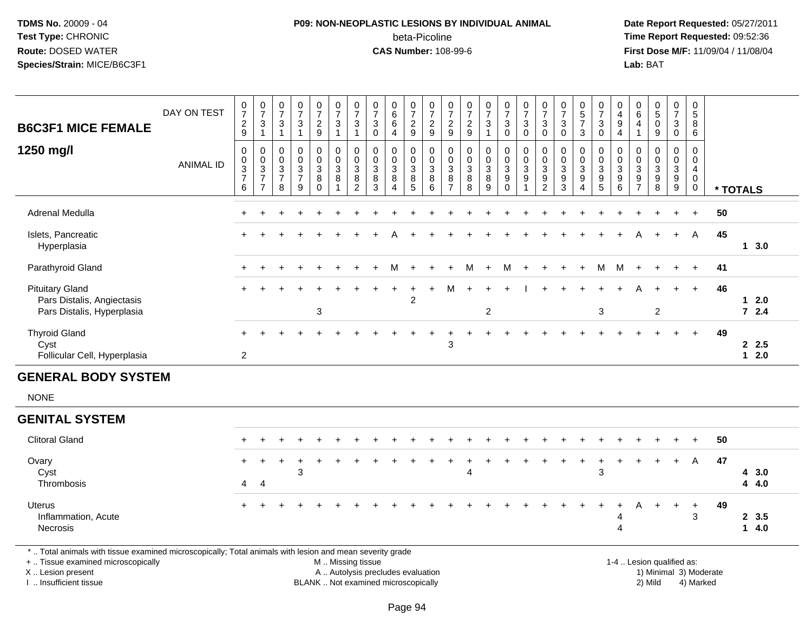#### **P09: NON-NEOPLASTIC LESIONS BY INDIVIDUAL ANIMAL** beta-Picoline**beta-Picoline**<br> **CAS Number:** 108-99-6<br> **CAS Number:** 108-99-6<br> **CAS Number:** 108-99-6

 **Date Report Requested:** 05/27/2011 **First Dose M/F:** 11/09/04 / 11/08/04 Lab: BAT **Lab:** BAT

| <b>B6C3F1 MICE FEMALE</b><br>1250 mg/l                                             | DAY ON TEST<br><b>ANIMAL ID</b> | $\begin{smallmatrix}0\\7\end{smallmatrix}$<br>$\boldsymbol{2}$<br>9<br>$\pmb{0}$<br>$\pmb{0}$<br>$\ensuremath{\mathsf{3}}$<br>$\overline{7}$<br>6 | $\frac{0}{7}$<br>$\sqrt{3}$<br>1<br>$\pmb{0}$<br>$\mathbf 0$<br>$\mathbf{3}$<br>$\overline{7}$<br>$\overline{ }$ | $\pmb{0}$<br>$\overline{\mathbf{7}}$<br>$\sqrt{3}$<br>$\mathbf 0$<br>$\mathbf 0$<br>$\sqrt{3}$<br>$\overline{7}$<br>8 | $\frac{0}{7}$<br>$\mathbf{3}$<br>$\mathsf{O}\xspace$<br>$\pmb{0}$<br>$\mathbf{3}$<br>$\overline{7}$<br>9 | $\frac{0}{7}$<br>$\overline{a}$<br>9<br>0<br>0<br>3<br>8<br>$\Omega$ | $\frac{0}{7}$<br>$\sqrt{3}$<br>$\begin{matrix} 0 \\ 0 \\ 3 \end{matrix}$<br>$\bf 8$ | $\frac{0}{7}$<br>$\ensuremath{\mathsf{3}}$<br>1<br>$\pmb{0}$<br>$\mathbf 0$<br>$\sqrt{3}$<br>8<br>$\overline{2}$ | $\frac{0}{7}$<br>$\sqrt{3}$<br>$\overline{0}$<br>$\pmb{0}$<br>$\pmb{0}$<br>3<br>8<br>3 | 0<br>6<br>6<br>$\overline{4}$<br>$\mathsf{O}\xspace$<br>$\pmb{0}$<br>$\mathbf{3}$<br>8 | $\frac{0}{7}$<br>$\overline{a}$<br>9<br>0<br>$\mathsf 0$<br>$\mathbf 3$<br>8<br>5 | $\frac{0}{7}$<br>$\sqrt{2}$<br>$\boldsymbol{9}$<br>$\pmb{0}$<br>$\mathbf 0$<br>$\sqrt{3}$<br>$\bf 8$<br>6 | $\frac{0}{7}$<br>$\boldsymbol{2}$<br>$\boldsymbol{9}$<br>0<br>$\mathbf 0$<br>$\ensuremath{\mathsf{3}}$<br>$\bf 8$<br>$\overline{ }$ | 0<br>$\overline{\mathbf{7}}$<br>$\boldsymbol{2}$<br>$\boldsymbol{9}$<br>$\pmb{0}$<br>$\pmb{0}$<br>$\ensuremath{\mathsf{3}}$<br>$\bf8$<br>8 | $\frac{0}{7}$<br>3<br>0<br>0<br>3<br>8<br>9 | $\frac{0}{7}$<br>3<br>0<br>0<br>$\mathsf{O}\xspace$<br>3<br>9<br>$\mathbf 0$ | $\frac{0}{7}$<br>$\sqrt{3}$<br>$\pmb{0}$<br>$\begin{matrix} 0 \\ 0 \\ 3 \end{matrix}$<br>$\boldsymbol{9}$ | $\frac{0}{7}$<br>$\sqrt{3}$<br>0<br>$\pmb{0}$<br>$\mathbf 0$<br>$\sqrt{3}$<br>9<br>$\overline{2}$ | $\boldsymbol{0}$<br>$\overline{7}$<br>3<br>$\mathbf 0$<br>$\pmb{0}$<br>3<br>$\boldsymbol{9}$<br>3 | 0<br>5<br>$\overline{7}$<br>3<br>$\mathbf 0$<br>$\mathsf{O}$<br>$\mathbf{3}$<br>9 | $\frac{0}{7}$<br>3<br>0<br>0<br>$\mathsf 0$<br>$\sqrt{3}$<br>$\boldsymbol{9}$<br>5 | 0<br>$\overline{4}$<br>$\boldsymbol{9}$<br>$\overline{4}$<br>$\pmb{0}$<br>$\pmb{0}$<br>$\mathbf{3}$<br>$\boldsymbol{9}$<br>6 | $\begin{array}{c} 0 \\ 6 \end{array}$<br>4<br>1<br>0<br>$\pmb{0}$<br>$\ensuremath{\mathsf{3}}$<br>9<br>$\overline{ }$ | 0<br>$\sqrt{5}$<br>$\pmb{0}$<br>9<br>$\pmb{0}$<br>$\ensuremath{\mathsf{3}}$<br>9<br>8 | $\frac{0}{7}$<br>3<br>0<br>0<br>0<br>3<br>9<br>9 | 0<br>$\sqrt{5}$<br>8<br>6<br>0<br>0<br>4<br>0<br>0 |    | * TOTALS |     |
|------------------------------------------------------------------------------------|---------------------------------|---------------------------------------------------------------------------------------------------------------------------------------------------|------------------------------------------------------------------------------------------------------------------|-----------------------------------------------------------------------------------------------------------------------|----------------------------------------------------------------------------------------------------------|----------------------------------------------------------------------|-------------------------------------------------------------------------------------|------------------------------------------------------------------------------------------------------------------|----------------------------------------------------------------------------------------|----------------------------------------------------------------------------------------|-----------------------------------------------------------------------------------|-----------------------------------------------------------------------------------------------------------|-------------------------------------------------------------------------------------------------------------------------------------|--------------------------------------------------------------------------------------------------------------------------------------------|---------------------------------------------|------------------------------------------------------------------------------|-----------------------------------------------------------------------------------------------------------|---------------------------------------------------------------------------------------------------|---------------------------------------------------------------------------------------------------|-----------------------------------------------------------------------------------|------------------------------------------------------------------------------------|------------------------------------------------------------------------------------------------------------------------------|-----------------------------------------------------------------------------------------------------------------------|---------------------------------------------------------------------------------------|--------------------------------------------------|----------------------------------------------------|----|----------|-----|
|                                                                                    |                                 |                                                                                                                                                   |                                                                                                                  |                                                                                                                       |                                                                                                          |                                                                      |                                                                                     |                                                                                                                  |                                                                                        |                                                                                        |                                                                                   |                                                                                                           |                                                                                                                                     |                                                                                                                                            |                                             |                                                                              |                                                                                                           |                                                                                                   |                                                                                                   |                                                                                   |                                                                                    |                                                                                                                              |                                                                                                                       |                                                                                       |                                                  |                                                    |    |          |     |
| Adrenal Medulla                                                                    |                                 |                                                                                                                                                   |                                                                                                                  |                                                                                                                       |                                                                                                          |                                                                      |                                                                                     |                                                                                                                  |                                                                                        |                                                                                        |                                                                                   |                                                                                                           |                                                                                                                                     |                                                                                                                                            |                                             |                                                                              |                                                                                                           |                                                                                                   |                                                                                                   |                                                                                   |                                                                                    |                                                                                                                              |                                                                                                                       |                                                                                       | $+$                                              | $+$                                                | 50 |          |     |
| Islets, Pancreatic<br>Hyperplasia                                                  |                                 | $\ddot{}$                                                                                                                                         |                                                                                                                  |                                                                                                                       |                                                                                                          | $\div$                                                               |                                                                                     |                                                                                                                  |                                                                                        | Α                                                                                      | $\pm$                                                                             |                                                                                                           |                                                                                                                                     |                                                                                                                                            |                                             |                                                                              |                                                                                                           |                                                                                                   |                                                                                                   |                                                                                   | $\pm$                                                                              | $+$                                                                                                                          | A                                                                                                                     | $+$                                                                                   | $+$                                              | A                                                  | 45 |          | 3.0 |
| Parathyroid Gland                                                                  |                                 |                                                                                                                                                   |                                                                                                                  |                                                                                                                       |                                                                                                          |                                                                      |                                                                                     |                                                                                                                  |                                                                                        | M                                                                                      | $+$                                                                               |                                                                                                           | $\ddot{}$                                                                                                                           | м                                                                                                                                          | $+$                                         | M                                                                            |                                                                                                           |                                                                                                   |                                                                                                   | $+$                                                                               | M                                                                                  | M                                                                                                                            | $\ddot{}$                                                                                                             | $\pm$                                                                                 | $+$                                              | $+$                                                | 41 |          |     |
| <b>Pituitary Gland</b><br>Pars Distalis, Angiectasis<br>Pars Distalis, Hyperplasia |                                 |                                                                                                                                                   |                                                                                                                  |                                                                                                                       |                                                                                                          | $\mathbf{3}$                                                         |                                                                                     |                                                                                                                  |                                                                                        | $\overline{+}$                                                                         | $\pm$<br>2                                                                        | $+$                                                                                                       | М                                                                                                                                   | $\ddot{}$                                                                                                                                  | $\ddot{}$<br>$\overline{c}$                 | $\div$                                                                       |                                                                                                           |                                                                                                   |                                                                                                   | $\div$                                                                            | $\pm$<br>3                                                                         |                                                                                                                              | A                                                                                                                     | $\ddot{}$<br>$\overline{2}$                                                           | $+$                                              | $+$                                                | 46 | 72.4     | 2.0 |
|                                                                                    |                                 |                                                                                                                                                   |                                                                                                                  |                                                                                                                       |                                                                                                          |                                                                      |                                                                                     |                                                                                                                  |                                                                                        |                                                                                        |                                                                                   |                                                                                                           |                                                                                                                                     |                                                                                                                                            |                                             |                                                                              |                                                                                                           |                                                                                                   |                                                                                                   |                                                                                   |                                                                                    |                                                                                                                              |                                                                                                                       |                                                                                       |                                                  |                                                    |    |          |     |
| <b>Thyroid Gland</b><br>Cyst                                                       |                                 |                                                                                                                                                   |                                                                                                                  |                                                                                                                       |                                                                                                          |                                                                      |                                                                                     |                                                                                                                  |                                                                                        |                                                                                        |                                                                                   |                                                                                                           | 3                                                                                                                                   |                                                                                                                                            |                                             |                                                                              |                                                                                                           |                                                                                                   |                                                                                                   |                                                                                   |                                                                                    |                                                                                                                              |                                                                                                                       |                                                                                       |                                                  | $\ddot{}$                                          | 49 | 2.5      |     |
| Follicular Cell, Hyperplasia                                                       |                                 | $\overline{c}$                                                                                                                                    |                                                                                                                  |                                                                                                                       |                                                                                                          |                                                                      |                                                                                     |                                                                                                                  |                                                                                        |                                                                                        |                                                                                   |                                                                                                           |                                                                                                                                     |                                                                                                                                            |                                             |                                                                              |                                                                                                           |                                                                                                   |                                                                                                   |                                                                                   |                                                                                    |                                                                                                                              |                                                                                                                       |                                                                                       |                                                  |                                                    |    |          | 2.0 |

### **GENERAL BODY SYSTEM**

NONE

**GENITAL SYSTEM**

| <b>Clitoral Gland</b>                            | $+$      |          |     |   |         |  | $+$ | $\div$ |  | $+$ | $+$ $-$                 | $+$ $-$ | $+$ $+$ |  |  |         | $+$ $+$ | 50         |                |  |
|--------------------------------------------------|----------|----------|-----|---|---------|--|-----|--------|--|-----|-------------------------|---------|---------|--|--|---------|---------|------------|----------------|--|
| Ovary<br>Cyst<br>Thrombosis                      | $+$<br>4 | $\Delta$ |     | 3 |         |  | $+$ |        |  |     | + + + + + + + + + + + + |         |         |  |  | $+$ $-$ | A       | -47        | 4 3.0<br>4 4.0 |  |
| Uterus<br>Inflammation, Acute<br><b>Necrosis</b> | $+$      |          | $+$ |   | + + + + |  |     |        |  |     | + + + + + + + +         |         |         |  |  |         | 3       | A + + + 49 | 2, 3.5<br>4.0  |  |

\* .. Total animals with tissue examined microscopically; Total animals with lesion and mean severity grade

+ .. Tissue examined microscopically

X .. Lesion present

I .. Insufficient tissue

 M .. Missing tissueA .. Autolysis precludes evaluation

BLANK .. Not examined microscopically 2) Mild 4) Marked

1-4 .. Lesion qualified as: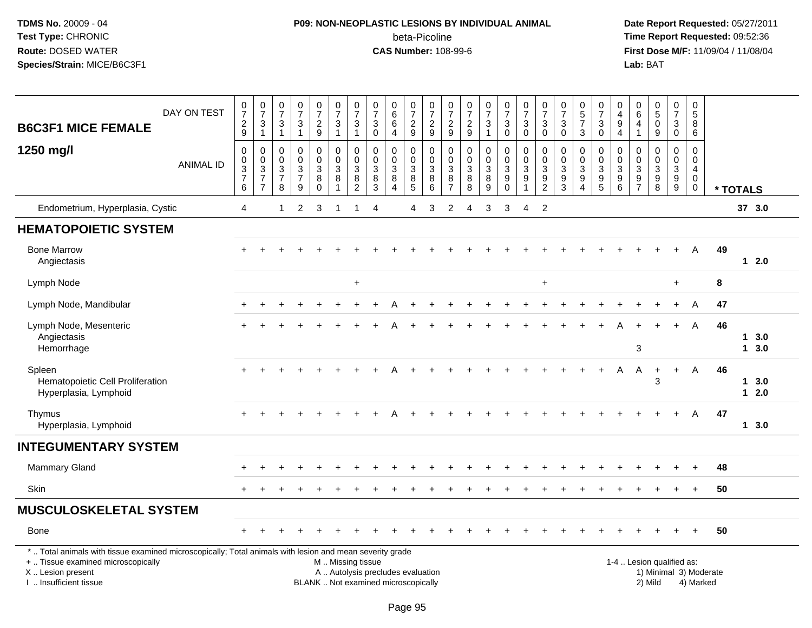# **P09: NON-NEOPLASTIC LESIONS BY INDIVIDUAL ANIMAL**beta-Picoline<br>CAS Number: 108-99-6

| <b>B6C3F1 MICE FEMALE</b>                                                                                                                                                                     | DAY ON TEST      | $\frac{0}{7}$<br>$\frac{2}{9}$                                  | $\begin{array}{c} 0 \\ 7 \end{array}$<br>$\ensuremath{\mathsf{3}}$<br>$\mathbf{1}$ | $\frac{0}{7}$<br>$\sqrt{3}$<br>$\overline{1}$           | $\frac{0}{7}$<br>$\sqrt{3}$<br>$\overline{1}$                                  | $\begin{smallmatrix}0\\7\end{smallmatrix}$<br>$\frac{2}{9}$                      | $\pmb{0}$<br>$\overline{7}$<br>$\ensuremath{\mathsf{3}}$<br>$\overline{1}$ | $\frac{0}{7}$<br>3<br>$\mathbf{1}$                          | $\frac{0}{7}$<br>3<br>$\mathbf 0$          | $\pmb{0}$<br>$6\phantom{a}$<br>$\,6\,$<br>$\overline{4}$                 | $\frac{0}{7}$<br>$\frac{2}{9}$              | $\pmb{0}$<br>$\overline{7}$<br>$\frac{2}{9}$       | $\pmb{0}$<br>$\overline{7}$<br>$\frac{2}{9}$                                   | $\frac{0}{7}$<br>$\frac{2}{9}$                                  | $\frac{0}{7}$<br>3<br>$\mathbf{1}$                   | $\begin{array}{c} 0 \\ 7 \end{array}$<br>$\mathbf{3}$<br>$\overline{0}$     | $\begin{array}{c} 0 \\ 7 \end{array}$<br>$\sqrt{3}$<br>$\mathbf 0$ | $\frac{0}{7}$<br>$\ensuremath{\mathsf{3}}$<br>$\overline{0}$             | 0<br>$\overline{7}$<br>$\sqrt{3}$<br>$\Omega$ | 0<br>$\frac{5}{7}$<br>$\sqrt{3}$                                                            | 0<br>$\overline{7}$<br>$\sqrt{3}$<br>$\mathsf 0$ | 0<br>$\overline{4}$<br>$\boldsymbol{9}$<br>$\overline{4}$ | 0<br>$\,6\,$<br>4<br>$\mathbf{1}$                          | $\begin{array}{c} 0 \\ 5 \end{array}$<br>$\pmb{0}$<br>$\overline{9}$ | $\mathbf 0$<br>$\overline{7}$<br>$\mathbf{3}$<br>$\overline{0}$ | 0<br>$\sqrt{5}$<br>8<br>6                                               |                                     |          |                   |            |
|-----------------------------------------------------------------------------------------------------------------------------------------------------------------------------------------------|------------------|-----------------------------------------------------------------|------------------------------------------------------------------------------------|---------------------------------------------------------|--------------------------------------------------------------------------------|----------------------------------------------------------------------------------|----------------------------------------------------------------------------|-------------------------------------------------------------|--------------------------------------------|--------------------------------------------------------------------------|---------------------------------------------|----------------------------------------------------|--------------------------------------------------------------------------------|-----------------------------------------------------------------|------------------------------------------------------|-----------------------------------------------------------------------------|--------------------------------------------------------------------|--------------------------------------------------------------------------|-----------------------------------------------|---------------------------------------------------------------------------------------------|--------------------------------------------------|-----------------------------------------------------------|------------------------------------------------------------|----------------------------------------------------------------------|-----------------------------------------------------------------|-------------------------------------------------------------------------|-------------------------------------|----------|-------------------|------------|
| 1250 mg/l                                                                                                                                                                                     | <b>ANIMAL ID</b> | $\pmb{0}$<br>$\pmb{0}$<br>$\overline{3}$<br>$\overline{7}$<br>6 | $\pmb{0}$<br>$\pmb{0}$<br>$\frac{3}{7}$<br>$\overline{7}$                          | $\mathbf 0$<br>0<br>$\sqrt{3}$<br>$\boldsymbol{7}$<br>8 | $\mathbf 0$<br>$\mathbf 0$<br>$\ensuremath{\mathsf{3}}$<br>$\overline{7}$<br>9 | $\mathbf 0$<br>$\mathbf 0$<br>$\ensuremath{\mathsf{3}}$<br>$\, 8$<br>$\mathbf 0$ | 0<br>$\mathsf{O}\xspace$<br>$\ensuremath{\mathsf{3}}$<br>8<br>$\mathbf{1}$ | $\pmb{0}$<br>$\pmb{0}$<br>$\sqrt{3}$<br>8<br>$\overline{c}$ | 0<br>$\mathbf 0$<br>$\mathbf{3}$<br>8<br>3 | 0<br>$\mathbf 0$<br>$\sqrt{3}$<br>$\bf 8$<br>$\overline{4}$              | $\mathbf 0$<br>$\mathbf 0$<br>$\frac{3}{8}$ | $\mathbf 0$<br>$\mathbf 0$<br>$\sqrt{3}$<br>8<br>6 | $\mathbf 0$<br>$\mathbf 0$<br>$\ensuremath{\mathsf{3}}$<br>8<br>$\overline{7}$ | $\pmb{0}$<br>$\mathbf 0$<br>$\ensuremath{\mathsf{3}}$<br>8<br>8 | 0<br>$\mathbf 0$<br>3<br>$\bf 8$<br>$\boldsymbol{9}$ | $\pmb{0}$<br>$\mathbf 0$<br>$\mathbf{3}$<br>$\boldsymbol{9}$<br>$\mathbf 0$ | $\pmb{0}$<br>$\pmb{0}$<br>$\sqrt{3}$<br>9<br>$\mathbf{1}$          | $\mathbf 0$<br>$\mathbf 0$<br>$\ensuremath{\mathsf{3}}$<br>$\frac{9}{2}$ | 0<br>$\mathbf 0$<br>$\mathfrak{Z}$<br>9<br>3  | 0<br>$\mathsf{O}\xspace$<br>$\ensuremath{\mathsf{3}}$<br>$\boldsymbol{9}$<br>$\overline{4}$ | 0<br>$\mathbf 0$<br>$\mathbf{3}$<br>9<br>5       | 0<br>$\mathbf 0$<br>$\mathbf{3}$<br>9<br>6                | $\pmb{0}$<br>$\mathbf{0}$<br>$\mathbf{3}$<br>$\frac{9}{7}$ | $\mathbf 0$<br>$\mathbf 0$<br>$\frac{3}{9}$                          | $\mathbf 0$<br>$\mathbf 0$<br>$\frac{3}{9}$<br>9                | $\Omega$<br>$\mathbf 0$<br>$\overline{4}$<br>$\mathbf 0$<br>$\mathbf 0$ |                                     | * TOTALS |                   |            |
| Endometrium, Hyperplasia, Cystic                                                                                                                                                              |                  | $\overline{4}$                                                  |                                                                                    | 1                                                       | 2                                                                              | 3                                                                                | -1                                                                         | $\mathbf{1}$                                                | $\overline{4}$                             |                                                                          | 4                                           | 3                                                  | $\overline{c}$                                                                 | 4                                                               | 3                                                    | 3                                                                           | 4                                                                  | $\overline{2}$                                                           |                                               |                                                                                             |                                                  |                                                           |                                                            |                                                                      |                                                                 |                                                                         |                                     |          | 37 3.0            |            |
| <b>HEMATOPOIETIC SYSTEM</b>                                                                                                                                                                   |                  |                                                                 |                                                                                    |                                                         |                                                                                |                                                                                  |                                                                            |                                                             |                                            |                                                                          |                                             |                                                    |                                                                                |                                                                 |                                                      |                                                                             |                                                                    |                                                                          |                                               |                                                                                             |                                                  |                                                           |                                                            |                                                                      |                                                                 |                                                                         |                                     |          |                   |            |
| <b>Bone Marrow</b><br>Angiectasis                                                                                                                                                             |                  |                                                                 |                                                                                    |                                                         |                                                                                |                                                                                  |                                                                            |                                                             |                                            |                                                                          |                                             |                                                    |                                                                                |                                                                 |                                                      |                                                                             |                                                                    |                                                                          |                                               |                                                                                             |                                                  |                                                           |                                                            |                                                                      |                                                                 | $\mathsf{A}$                                                            |                                     | 49       | $12.0$            |            |
| Lymph Node                                                                                                                                                                                    |                  |                                                                 |                                                                                    |                                                         |                                                                                |                                                                                  |                                                                            | $\ddot{}$                                                   |                                            |                                                                          |                                             |                                                    |                                                                                |                                                                 |                                                      |                                                                             |                                                                    | $+$                                                                      |                                               |                                                                                             |                                                  |                                                           |                                                            |                                                                      | $+$                                                             |                                                                         | 8                                   |          |                   |            |
| Lymph Node, Mandibular                                                                                                                                                                        |                  |                                                                 |                                                                                    |                                                         |                                                                                |                                                                                  |                                                                            |                                                             |                                            |                                                                          |                                             |                                                    |                                                                                |                                                                 |                                                      |                                                                             |                                                                    |                                                                          |                                               |                                                                                             |                                                  |                                                           |                                                            |                                                                      |                                                                 | A                                                                       |                                     | 47       |                   |            |
| Lymph Node, Mesenteric<br>Angiectasis<br>Hemorrhage                                                                                                                                           |                  |                                                                 |                                                                                    |                                                         |                                                                                |                                                                                  |                                                                            |                                                             |                                            |                                                                          |                                             |                                                    |                                                                                |                                                                 |                                                      |                                                                             |                                                                    |                                                                          |                                               |                                                                                             |                                                  |                                                           | 3                                                          |                                                                      | $+$                                                             | A                                                                       |                                     | 46       | 1.<br>$\mathbf 1$ | 3.0<br>3.0 |
| Spleen<br>Hematopoietic Cell Proliferation<br>Hyperplasia, Lymphoid                                                                                                                           |                  |                                                                 |                                                                                    |                                                         |                                                                                |                                                                                  |                                                                            |                                                             |                                            |                                                                          |                                             |                                                    |                                                                                |                                                                 |                                                      |                                                                             |                                                                    |                                                                          |                                               |                                                                                             |                                                  | А                                                         | Α                                                          | $\ddot{}$<br>3                                                       | $+$                                                             | A                                                                       |                                     | 46       | 1<br>$12.0$       | 3.0        |
| Thymus<br>Hyperplasia, Lymphoid                                                                                                                                                               |                  |                                                                 |                                                                                    |                                                         |                                                                                |                                                                                  |                                                                            |                                                             |                                            |                                                                          |                                             |                                                    |                                                                                |                                                                 |                                                      |                                                                             |                                                                    |                                                                          |                                               |                                                                                             |                                                  |                                                           |                                                            |                                                                      | $\ddot{}$                                                       | A                                                                       |                                     | 47       | $1 \, 3.0$        |            |
| <b>INTEGUMENTARY SYSTEM</b>                                                                                                                                                                   |                  |                                                                 |                                                                                    |                                                         |                                                                                |                                                                                  |                                                                            |                                                             |                                            |                                                                          |                                             |                                                    |                                                                                |                                                                 |                                                      |                                                                             |                                                                    |                                                                          |                                               |                                                                                             |                                                  |                                                           |                                                            |                                                                      |                                                                 |                                                                         |                                     |          |                   |            |
| <b>Mammary Gland</b>                                                                                                                                                                          |                  |                                                                 |                                                                                    |                                                         |                                                                                |                                                                                  |                                                                            |                                                             |                                            |                                                                          |                                             |                                                    |                                                                                |                                                                 |                                                      |                                                                             |                                                                    |                                                                          |                                               |                                                                                             |                                                  |                                                           |                                                            |                                                                      |                                                                 | $\ddot{}$                                                               |                                     | 48       |                   |            |
| Skin                                                                                                                                                                                          |                  |                                                                 |                                                                                    |                                                         |                                                                                |                                                                                  |                                                                            |                                                             |                                            |                                                                          |                                             |                                                    |                                                                                |                                                                 |                                                      |                                                                             |                                                                    |                                                                          |                                               |                                                                                             |                                                  |                                                           |                                                            |                                                                      |                                                                 | $\ddot{}$                                                               |                                     | 50       |                   |            |
| <b>MUSCULOSKELETAL SYSTEM</b>                                                                                                                                                                 |                  |                                                                 |                                                                                    |                                                         |                                                                                |                                                                                  |                                                                            |                                                             |                                            |                                                                          |                                             |                                                    |                                                                                |                                                                 |                                                      |                                                                             |                                                                    |                                                                          |                                               |                                                                                             |                                                  |                                                           |                                                            |                                                                      |                                                                 |                                                                         |                                     |          |                   |            |
| Bone                                                                                                                                                                                          |                  |                                                                 |                                                                                    |                                                         |                                                                                |                                                                                  |                                                                            |                                                             |                                            |                                                                          |                                             |                                                    |                                                                                |                                                                 |                                                      |                                                                             |                                                                    |                                                                          |                                               |                                                                                             |                                                  |                                                           |                                                            |                                                                      |                                                                 |                                                                         |                                     | 50       |                   |            |
| *  Total animals with tissue examined microscopically; Total animals with lesion and mean severity grade<br>+  Tissue examined microscopically<br>X  Lesion present<br>I. Insufficient tissue |                  |                                                                 |                                                                                    |                                                         |                                                                                |                                                                                  | M  Missing tissue                                                          |                                                             |                                            | A  Autolysis precludes evaluation<br>BLANK  Not examined microscopically |                                             |                                                    |                                                                                |                                                                 |                                                      |                                                                             |                                                                    |                                                                          |                                               |                                                                                             |                                                  |                                                           |                                                            | 1-4  Lesion qualified as:<br>2) Mild                                 |                                                                 |                                                                         | 1) Minimal 3) Moderate<br>4) Marked |          |                   |            |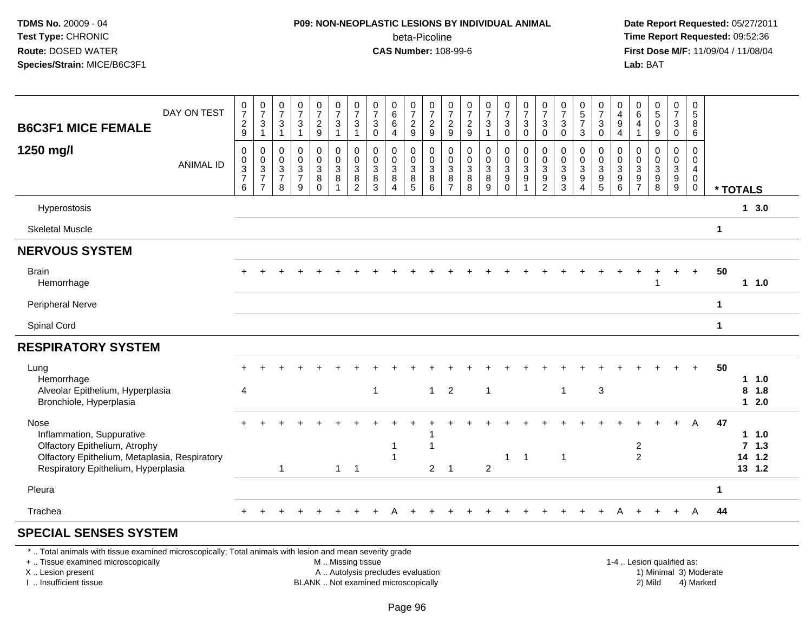#### **P09: NON-NEOPLASTIC LESIONS BY INDIVIDUAL ANIMAL** beta-Picoline**beta-Picoline**<br> **CAS Number:** 108-99-6<br> **CAS Number:** 108-99-6<br> **CAS Number:** 108-99-6

 **Date Report Requested:** 05/27/2011 **First Dose M/F:** 11/09/04 / 11/08/04 Lab: BAT **Lab:** BAT

|                                                                                                                                                            |                  | $\frac{0}{7}$                   | $\frac{0}{7}$                                           | 0                                                           | $\frac{0}{7}$                                                  | $\frac{0}{7}$                                  | $\frac{0}{7}$                                                   | 0                                                            | $\frac{0}{7}$                                                        | 0                                                   | 0                               | $\frac{0}{7}$                             | 0                                                                 | $\frac{0}{7}$                        | $\frac{0}{7}$                                        | $\begin{array}{c} 0 \\ 7 \end{array}$            | $\frac{0}{7}$                          | $\frac{0}{7}$                                                    | $\frac{0}{7}$                              | 0                                          | $\frac{0}{7}$                                            | 0                                                       | $\begin{array}{c} 0 \\ 6 \end{array}$                                        |                                                                        | 0                                                          | 0                                            |                      |                  |                              |
|------------------------------------------------------------------------------------------------------------------------------------------------------------|------------------|---------------------------------|---------------------------------------------------------|-------------------------------------------------------------|----------------------------------------------------------------|------------------------------------------------|-----------------------------------------------------------------|--------------------------------------------------------------|----------------------------------------------------------------------|-----------------------------------------------------|---------------------------------|-------------------------------------------|-------------------------------------------------------------------|--------------------------------------|------------------------------------------------------|--------------------------------------------------|----------------------------------------|------------------------------------------------------------------|--------------------------------------------|--------------------------------------------|----------------------------------------------------------|---------------------------------------------------------|------------------------------------------------------------------------------|------------------------------------------------------------------------|------------------------------------------------------------|----------------------------------------------|----------------------|------------------|------------------------------|
| <b>B6C3F1 MICE FEMALE</b>                                                                                                                                  | DAY ON TEST      | $\frac{2}{9}$                   | $\mathbf{3}$<br>$\mathbf{1}$                            | $\overline{7}$<br>$\ensuremath{\mathsf{3}}$<br>$\mathbf{1}$ | $\ensuremath{\mathsf{3}}$<br>$\mathbf{1}$                      | $\frac{2}{9}$                                  | $\sqrt{3}$<br>$\mathbf{1}$                                      | $\overline{7}$<br>$\sqrt{3}$<br>$\mathbf{1}$                 | $\ensuremath{\mathsf{3}}$<br>$\mathbf 0$                             | $6\overline{6}$<br>$\overline{6}$<br>$\overline{4}$ | $\overline{7}$<br>$\frac{2}{9}$ | $\frac{2}{9}$                             | $\overline{7}$<br>$\sqrt{2}$<br>9                                 | $\frac{2}{9}$                        | $\ensuremath{\mathsf{3}}$<br>$\mathbf{1}$            | $\mathbf{3}$<br>$\mathbf 0$                      | $\ensuremath{\mathsf{3}}$<br>$\pmb{0}$ | $\ensuremath{\mathsf{3}}$<br>$\pmb{0}$                           | $\mathbf{3}$<br>$\mathbf 0$                | $\frac{5}{7}$<br>$\mathbf{3}$              | $\ensuremath{\mathsf{3}}$<br>$\mathsf 0$                 | $\begin{array}{c} 4 \\ 9 \end{array}$<br>$\overline{4}$ | $\overline{4}$<br>$\mathbf{1}$                                               | $\begin{array}{c} 0 \\ 5 \end{array}$<br>$\pmb{0}$<br>$\boldsymbol{9}$ | $\overline{7}$<br>$\ensuremath{\mathsf{3}}$<br>$\mathbf 0$ | 5<br>8<br>6                                  |                      |                  |                              |
| 1250 mg/l                                                                                                                                                  | <b>ANIMAL ID</b> | $\pmb{0}$<br>$\frac{0}{3}$<br>6 | 0<br>$_{3}^{\rm 0}$<br>$\overline{7}$<br>$\overline{7}$ | 0<br>$\pmb{0}$<br>$\overline{3}$<br>$\overline{7}$<br>8     | $\pmb{0}$<br>$\frac{0}{3}$<br>$\overline{7}$<br>$\overline{9}$ | $\pmb{0}$<br>$\frac{0}{3}$<br>8<br>$\mathbf 0$ | $\pmb{0}$<br>$\pmb{0}$<br>$\overline{3}$<br>8<br>$\overline{1}$ | 0<br>$\boldsymbol{0}$<br>$\mathbf{3}$<br>8<br>$\overline{2}$ | $\boldsymbol{0}$<br>$\pmb{0}$<br>$\overline{3}$<br>8<br>$\mathbf{3}$ | 0<br>0<br>$\overline{3}$<br>8<br>$\overline{4}$     | 0<br>$\frac{0}{3}$<br>8<br>5    | 0<br>$\frac{0}{3}$<br>8<br>$6\phantom{1}$ | 0<br>$\mathsf{O}\xspace$<br>$\overline{3}$<br>8<br>$\overline{7}$ | $\pmb{0}$<br>$\frac{0}{3}$<br>8<br>8 | 0<br>$\mathsf{O}\xspace$<br>$\overline{3}$<br>8<br>9 | $\overline{0}$<br>$\frac{0}{3}$<br>9<br>$\Omega$ | 0<br>$\pmb{0}$<br>$\overline{3}$<br>9  | $\pmb{0}$<br>$\frac{0}{3}$<br>$\boldsymbol{9}$<br>$\overline{2}$ | 0<br>$\pmb{0}$<br>$\overline{3}$<br>9<br>3 | 0<br>$_{3}^{\rm 0}$<br>9<br>$\overline{4}$ | 0<br>$\frac{0}{3}$<br>$\boldsymbol{9}$<br>$\overline{5}$ | 0<br>$\mathbf 0$<br>$\overline{3}$<br>$9\,$<br>6        | $\pmb{0}$<br>$\,0\,$<br>$\overline{3}$<br>$\boldsymbol{9}$<br>$\overline{7}$ | 0<br>$\mathsf{O}\xspace$<br>$\overline{3}$<br>$\boldsymbol{9}$<br>8    | 0<br>$\frac{0}{3}$<br>9<br>9                               | 0<br>$\mathbf 0$<br>$\overline{4}$<br>0<br>0 |                      | * TOTALS         |                              |
| Hyperostosis                                                                                                                                               |                  |                                 |                                                         |                                                             |                                                                |                                                |                                                                 |                                                              |                                                                      |                                                     |                                 |                                           |                                                                   |                                      |                                                      |                                                  |                                        |                                                                  |                                            |                                            |                                                          |                                                         |                                                                              |                                                                        |                                                            |                                              |                      |                  | 13.0                         |
| <b>Skeletal Muscle</b>                                                                                                                                     |                  |                                 |                                                         |                                                             |                                                                |                                                |                                                                 |                                                              |                                                                      |                                                     |                                 |                                           |                                                                   |                                      |                                                      |                                                  |                                        |                                                                  |                                            |                                            |                                                          |                                                         |                                                                              |                                                                        |                                                            |                                              | $\blacktriangleleft$ |                  |                              |
| <b>NERVOUS SYSTEM</b>                                                                                                                                      |                  |                                 |                                                         |                                                             |                                                                |                                                |                                                                 |                                                              |                                                                      |                                                     |                                 |                                           |                                                                   |                                      |                                                      |                                                  |                                        |                                                                  |                                            |                                            |                                                          |                                                         |                                                                              |                                                                        |                                                            |                                              |                      |                  |                              |
| <b>Brain</b><br>Hemorrhage                                                                                                                                 |                  |                                 |                                                         |                                                             |                                                                |                                                |                                                                 |                                                              |                                                                      |                                                     |                                 |                                           |                                                                   |                                      |                                                      |                                                  |                                        |                                                                  |                                            |                                            |                                                          |                                                         |                                                                              | 1                                                                      |                                                            |                                              | 50                   |                  | $1 \t1.0$                    |
| <b>Peripheral Nerve</b>                                                                                                                                    |                  |                                 |                                                         |                                                             |                                                                |                                                |                                                                 |                                                              |                                                                      |                                                     |                                 |                                           |                                                                   |                                      |                                                      |                                                  |                                        |                                                                  |                                            |                                            |                                                          |                                                         |                                                                              |                                                                        |                                                            |                                              | $\blacktriangleleft$ |                  |                              |
| Spinal Cord                                                                                                                                                |                  |                                 |                                                         |                                                             |                                                                |                                                |                                                                 |                                                              |                                                                      |                                                     |                                 |                                           |                                                                   |                                      |                                                      |                                                  |                                        |                                                                  |                                            |                                            |                                                          |                                                         |                                                                              |                                                                        |                                                            |                                              | $\mathbf 1$          |                  |                              |
| <b>RESPIRATORY SYSTEM</b>                                                                                                                                  |                  |                                 |                                                         |                                                             |                                                                |                                                |                                                                 |                                                              |                                                                      |                                                     |                                 |                                           |                                                                   |                                      |                                                      |                                                  |                                        |                                                                  |                                            |                                            |                                                          |                                                         |                                                                              |                                                                        |                                                            |                                              |                      |                  |                              |
| Lung<br>Hemorrhage<br>Alveolar Epithelium, Hyperplasia<br>Bronchiole, Hyperplasia                                                                          |                  | 4                               |                                                         |                                                             |                                                                |                                                |                                                                 |                                                              | $\mathbf{1}$                                                         |                                                     |                                 | $\mathbf{1}$                              | 2                                                                 |                                      | $\overline{1}$                                       |                                                  |                                        |                                                                  | $\mathbf{1}$                               |                                            | $\mathbf{3}$                                             |                                                         |                                                                              |                                                                        |                                                            |                                              | 50                   |                  | $1 \t1.0$<br>8 1.8<br>$12.0$ |
| Nose<br>Inflammation, Suppurative<br>Olfactory Epithelium, Atrophy<br>Olfactory Epithelium, Metaplasia, Respiratory<br>Respiratory Epithelium, Hyperplasia |                  |                                 |                                                         | $\mathbf{1}$                                                |                                                                |                                                | $\mathbf{1}$                                                    | $\mathbf{1}$                                                 |                                                                      | 1                                                   |                                 | -1<br>$\overline{2}$                      | $\overline{1}$                                                    |                                      | $\overline{2}$                                       | 1                                                | $\overline{1}$                         |                                                                  | $\mathbf{1}$                               |                                            |                                                          |                                                         | 2<br>2                                                                       |                                                                        |                                                            | $\overline{A}$                               | 47                   | 14 1.2<br>13 1.2 | 11.0<br>7, 1.3               |
| Pleura                                                                                                                                                     |                  |                                 |                                                         |                                                             |                                                                |                                                |                                                                 |                                                              |                                                                      |                                                     |                                 |                                           |                                                                   |                                      |                                                      |                                                  |                                        |                                                                  |                                            |                                            |                                                          |                                                         |                                                                              |                                                                        |                                                            |                                              | $\mathbf 1$          |                  |                              |
| Trachea                                                                                                                                                    |                  |                                 |                                                         |                                                             |                                                                |                                                |                                                                 |                                                              |                                                                      |                                                     |                                 |                                           |                                                                   |                                      |                                                      |                                                  |                                        |                                                                  |                                            |                                            |                                                          |                                                         |                                                                              |                                                                        |                                                            | A                                            | 44                   |                  |                              |
|                                                                                                                                                            |                  |                                 |                                                         |                                                             |                                                                |                                                |                                                                 |                                                              |                                                                      |                                                     |                                 |                                           |                                                                   |                                      |                                                      |                                                  |                                        |                                                                  |                                            |                                            |                                                          |                                                         |                                                                              |                                                                        |                                                            |                                              |                      |                  |                              |

### **SPECIAL SENSES SYSTEM**

\* .. Total animals with tissue examined microscopically; Total animals with lesion and mean severity grade

+ .. Tissue examined microscopically

X .. Lesion present

I .. Insufficient tissue

M .. Missing tissue

A .. Autolysis precludes evaluation

BLANK .. Not examined microscopically 2) Mild 4) Marked